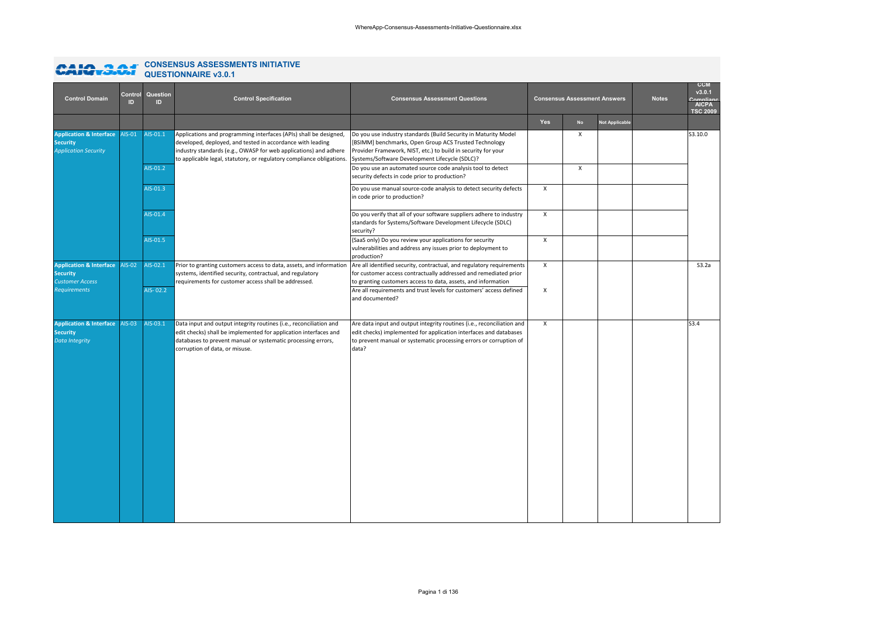# **CONSENSUS ASSESSMENTS INITIATIVE QUESTIONNAIRE v3.0.1**

| <b>Control Domain</b>                                                                       | Control<br>ID | Question<br>$\mathbf{D}$ | <b>Control Specification</b>                                                                                                                                                                                                                                                 | <b>Consensus Assessment Questions</b>                                                                                                                                                                                                       |                           | <b>Consensus Assessment Answers</b> |                | <b>Notes</b> | <b>CCM</b><br>v3.0.1<br>Compliano<br>AICPA<br><b>TSC 2009</b> |
|---------------------------------------------------------------------------------------------|---------------|--------------------------|------------------------------------------------------------------------------------------------------------------------------------------------------------------------------------------------------------------------------------------------------------------------------|---------------------------------------------------------------------------------------------------------------------------------------------------------------------------------------------------------------------------------------------|---------------------------|-------------------------------------|----------------|--------------|---------------------------------------------------------------|
|                                                                                             |               |                          |                                                                                                                                                                                                                                                                              |                                                                                                                                                                                                                                             | Yes                       | <b>No</b>                           | Not Applicable |              |                                                               |
| <b>Application &amp; Interface AIS-01</b><br><b>Security</b><br><b>Application Security</b> |               | AIS-01.1                 | Applications and programming interfaces (APIs) shall be designed,<br>developed, deployed, and tested in accordance with leading<br>industry standards (e.g., OWASP for web applications) and adhere<br>to applicable legal, statutory, or regulatory compliance obligations. | Do you use industry standards (Build Security in Maturity Model<br>[BSIMM] benchmarks, Open Group ACS Trusted Technology<br>Provider Framework, NIST, etc.) to build in security for your<br>Systems/Software Development Lifecycle (SDLC)? |                           | $\pmb{\times}$                      |                |              | S3.10.0                                                       |
|                                                                                             |               | AIS-01.2                 |                                                                                                                                                                                                                                                                              | Do you use an automated source code analysis tool to detect<br>security defects in code prior to production?                                                                                                                                |                           | X                                   |                |              |                                                               |
|                                                                                             |               | AIS-01.3                 |                                                                                                                                                                                                                                                                              | Do you use manual source-code analysis to detect security defects<br>in code prior to production?                                                                                                                                           | $\mathsf{x}$              |                                     |                |              |                                                               |
|                                                                                             |               | AIS-01.4                 |                                                                                                                                                                                                                                                                              | Do you verify that all of your software suppliers adhere to industry<br>standards for Systems/Software Development Lifecycle (SDLC)<br>security?                                                                                            | $\boldsymbol{\mathsf{x}}$ |                                     |                |              |                                                               |
|                                                                                             |               | AIS-01.5                 |                                                                                                                                                                                                                                                                              | (SaaS only) Do you review your applications for security<br>vulnerabilities and address any issues prior to deployment to<br>production?                                                                                                    | X                         |                                     |                |              |                                                               |
| <b>Application &amp; Interface AIS-02</b><br><b>Security</b><br><b>Customer Access</b>      |               | AIS-02.1                 | Prior to granting customers access to data, assets, and information<br>systems, identified security, contractual, and regulatory<br>requirements for customer access shall be addressed.                                                                                     | Are all identified security, contractual, and regulatory requirements<br>for customer access contractually addressed and remediated prior<br>to granting customers access to data, assets, and information                                  | $\boldsymbol{\mathsf{x}}$ |                                     |                |              | S3.2a                                                         |
| <b>Requirements</b>                                                                         |               | AIS-02.2                 |                                                                                                                                                                                                                                                                              | Are all requirements and trust levels for customers' access defined<br>and documented?                                                                                                                                                      | X                         |                                     |                |              |                                                               |
| <b>Application &amp; Interface AIS-03</b><br><b>Security</b><br><b>Data Integrity</b>       |               | AIS-03.1                 | Data input and output integrity routines (i.e., reconciliation and<br>edit checks) shall be implemented for application interfaces and<br>databases to prevent manual or systematic processing errors,<br>corruption of data, or misuse.                                     | Are data input and output integrity routines (i.e., reconciliation and<br>edit checks) implemented for application interfaces and databases<br>to prevent manual or systematic processing errors or corruption of<br>data?                  | $\pmb{\chi}$              |                                     |                |              | S3.4                                                          |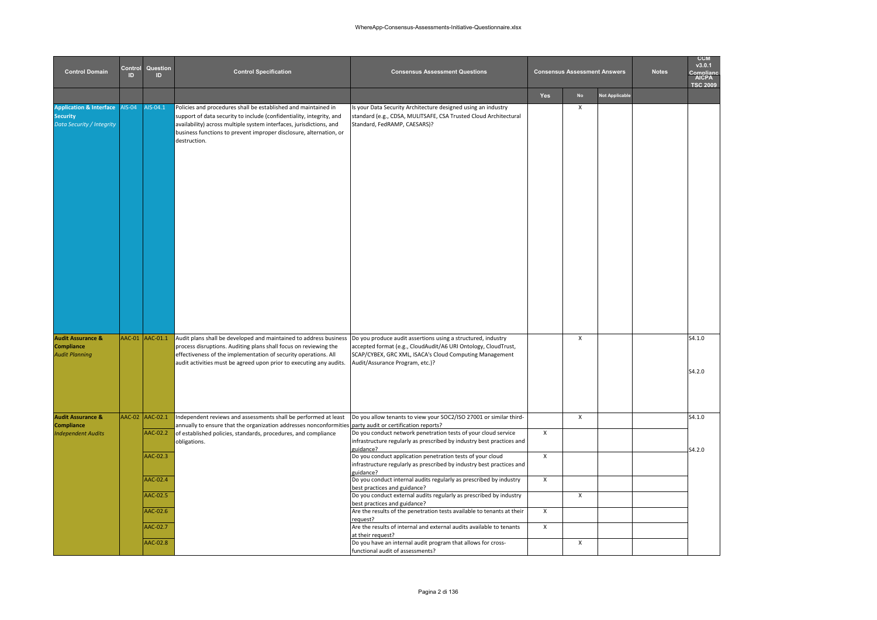| <b>Control Domain</b>                                                                     | Control<br>ID | Question<br>ID                               | <b>Control Specification</b>                                                                                                                                                                                                                                                                        | <b>Consensus Assessment Questions</b>                                                                                                                                                                                                                                                                                                                                                                                                               |                                                                        | <b>Consensus Assessment Answers</b> |                       | <b>Notes</b> | <b>CCM</b><br>v3.0.1<br>Complia<br><b>AICPA</b><br><b>TSC 2009</b> |
|-------------------------------------------------------------------------------------------|---------------|----------------------------------------------|-----------------------------------------------------------------------------------------------------------------------------------------------------------------------------------------------------------------------------------------------------------------------------------------------------|-----------------------------------------------------------------------------------------------------------------------------------------------------------------------------------------------------------------------------------------------------------------------------------------------------------------------------------------------------------------------------------------------------------------------------------------------------|------------------------------------------------------------------------|-------------------------------------|-----------------------|--------------|--------------------------------------------------------------------|
|                                                                                           |               |                                              |                                                                                                                                                                                                                                                                                                     |                                                                                                                                                                                                                                                                                                                                                                                                                                                     | Yes                                                                    | <b>No</b>                           | <b>Not Applicable</b> |              |                                                                    |
| <b>Application &amp; Interface AIS-04</b><br><b>Security</b><br>Data Security / Integrity |               | AIS-04.1                                     | Policies and procedures shall be established and maintained in<br>support of data security to include (confidentiality, integrity, and<br>availability) across multiple system interfaces, jurisdictions, and<br>business functions to prevent improper disclosure, alternation, or<br>destruction. | Is your Data Security Architecture designed using an industry<br>standard (e.g., CDSA, MULITSAFE, CSA Trusted Cloud Architectural<br>Standard, FedRAMP, CAESARS)?                                                                                                                                                                                                                                                                                   |                                                                        | Х                                   |                       |              |                                                                    |
| <b>Audit Assurance &amp;</b><br><b>Compliance</b><br><b>Audit Planning</b>                |               | AAC-01 AAC-01.1                              | Audit plans shall be developed and maintained to address business<br>process disruptions. Auditing plans shall focus on reviewing the<br>effectiveness of the implementation of security operations. All<br>audit activities must be agreed upon prior to executing any audits.                     | Do you produce audit assertions using a structured, industry<br>accepted format (e.g., CloudAudit/A6 URI Ontology, CloudTrust,<br>SCAP/CYBEX, GRC XML, ISACA's Cloud Computing Management<br>Audit/Assurance Program, etc.)?                                                                                                                                                                                                                        |                                                                        | X                                   |                       |              | S4.1.0<br>S4.2.0                                                   |
| <b>Audit Assurance &amp;</b>                                                              |               | AAC-02 AAC-02.1                              | Independent reviews and assessments shall be performed at least                                                                                                                                                                                                                                     | Do you allow tenants to view your SOC2/ISO 27001 or similar third-                                                                                                                                                                                                                                                                                                                                                                                  |                                                                        | X                                   |                       |              | S4.1.0                                                             |
| <b>Compliance</b><br><b>Independent Audits</b>                                            |               | AAC-02.2                                     | annually to ensure that the organization addresses nonconformities<br>of established policies, standards, procedures, and compliance<br>obligations.                                                                                                                                                | party audit or certification reports?<br>Do you conduct network penetration tests of your cloud service<br>infrastructure regularly as prescribed by industry best practices and                                                                                                                                                                                                                                                                    | $\boldsymbol{\mathsf{x}}$                                              |                                     |                       |              |                                                                    |
|                                                                                           |               | AAC-02.3<br>AAC-02.4<br>AAC-02.5<br>AAC-02.6 |                                                                                                                                                                                                                                                                                                     | guidance?<br>Do you conduct application penetration tests of your cloud<br>infrastructure regularly as prescribed by industry best practices and<br>guidance?<br>Do you conduct internal audits regularly as prescribed by industry<br>best practices and guidance?<br>Do you conduct external audits regularly as prescribed by industry<br>best practices and guidance?<br>Are the results of the penetration tests available to tenants at their | $\mathsf{x}$<br>$\boldsymbol{\mathsf{x}}$<br>$\boldsymbol{\mathsf{x}}$ | X                                   |                       |              | S4.2.0                                                             |
|                                                                                           |               | AAC-02.7<br>AAC-02.8                         |                                                                                                                                                                                                                                                                                                     | request?<br>Are the results of internal and external audits available to tenants<br>at their request?<br>Do you have an internal audit program that allows for cross-<br>functional audit of assessments?                                                                                                                                                                                                                                           | $\pmb{\chi}$                                                           | X                                   |                       |              |                                                                    |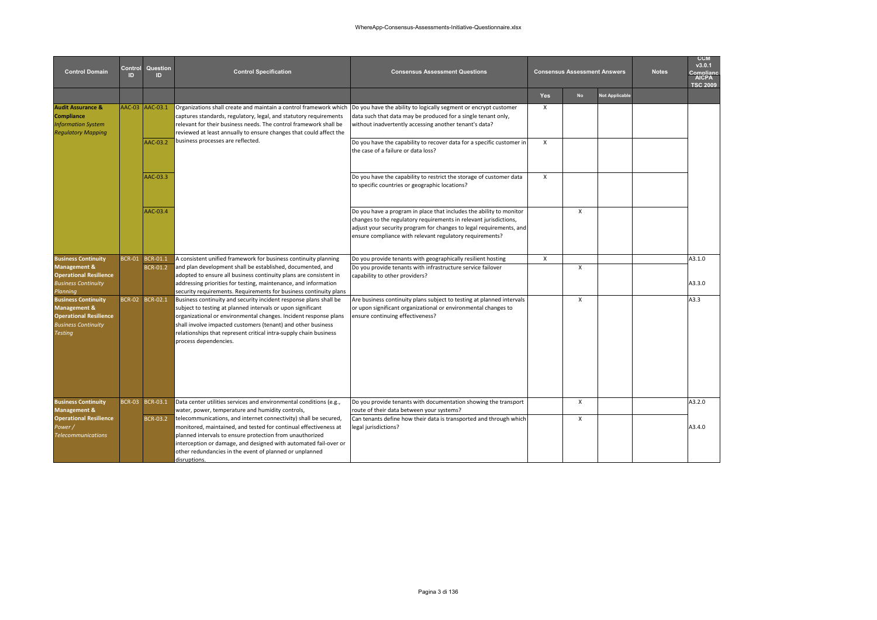| <b>Control Domain</b>                                                                                                | Control<br>ID | Question<br><b>ID</b> | <b>Control Specification</b>                                                                                                                                                                                                                                                                                                                                       | <b>Consensus Assessment Questions</b>                                                                                                                                                                                                                                       |              | <b>Consensus Assessment Answers</b> |                | <b>Notes</b> | <b>CCM</b><br>v3.0.1<br>Compliance<br>AICPA<br><b>TSC 2009</b> |
|----------------------------------------------------------------------------------------------------------------------|---------------|-----------------------|--------------------------------------------------------------------------------------------------------------------------------------------------------------------------------------------------------------------------------------------------------------------------------------------------------------------------------------------------------------------|-----------------------------------------------------------------------------------------------------------------------------------------------------------------------------------------------------------------------------------------------------------------------------|--------------|-------------------------------------|----------------|--------------|----------------------------------------------------------------|
|                                                                                                                      |               |                       |                                                                                                                                                                                                                                                                                                                                                                    |                                                                                                                                                                                                                                                                             | <b>Yes</b>   | <b>No</b>                           | Not Applicable |              |                                                                |
| <b>Audit Assurance &amp;</b><br><b>Compliance</b><br><b>Information System</b><br><b>Regulatory Mapping</b>          |               | AAC-03 AAC-03.1       | Organizations shall create and maintain a control framework which<br>captures standards, regulatory, legal, and statutory requirements<br>relevant for their business needs. The control framework shall be<br>reviewed at least annually to ensure changes that could affect the                                                                                  | Do you have the ability to logically segment or encrypt customer<br>data such that data may be produced for a single tenant only,<br>without inadvertently accessing another tenant's data?                                                                                 | $\mathsf{x}$ |                                     |                |              |                                                                |
|                                                                                                                      |               | AAC-03.2              | business processes are reflected.                                                                                                                                                                                                                                                                                                                                  | Do you have the capability to recover data for a specific customer in<br>the case of a failure or data loss?                                                                                                                                                                | $\mathsf{x}$ |                                     |                |              |                                                                |
|                                                                                                                      |               | AAC-03.3              |                                                                                                                                                                                                                                                                                                                                                                    | Do you have the capability to restrict the storage of customer data<br>to specific countries or geographic locations?                                                                                                                                                       | $\mathsf{X}$ |                                     |                |              |                                                                |
|                                                                                                                      |               | AAC-03.4              |                                                                                                                                                                                                                                                                                                                                                                    | Do you have a program in place that includes the ability to monitor<br>changes to the regulatory requirements in relevant jurisdictions,<br>adjust your security program for changes to legal requirements, and<br>ensure compliance with relevant regulatory requirements? |              | X                                   |                |              |                                                                |
| <b>Business Continuity</b>                                                                                           | <b>BCR-01</b> | BCR-01.1              | A consistent unified framework for business continuity planning                                                                                                                                                                                                                                                                                                    | Do you provide tenants with geographically resilient hosting                                                                                                                                                                                                                | X            |                                     |                |              | A3.1.0                                                         |
| Management &<br><b>Operational Resilience</b><br><b>Business Continuity</b><br>Planning                              |               | <b>BCR-01.2</b>       | and plan development shall be established, documented, and<br>adopted to ensure all business continuity plans are consistent in<br>addressing priorities for testing, maintenance, and information<br>security requirements. Requirements for business continuity plans                                                                                            | Do you provide tenants with infrastructure service failover<br>capability to other providers?                                                                                                                                                                               |              | X                                   |                |              | A3.3.0                                                         |
| <b>Business Continuity</b><br>Management &<br><b>Operational Resilience</b><br><b>Business Continuity</b><br>Testing |               | BCR-02 BCR-02.1       | Business continuity and security incident response plans shall be<br>subject to testing at planned intervals or upon significant<br>organizational or environmental changes. Incident response plans<br>shall involve impacted customers (tenant) and other business<br>relationships that represent critical intra-supply chain business<br>process dependencies. | Are business continuity plans subject to testing at planned intervals<br>or upon significant organizational or environmental changes to<br>ensure continuing effectiveness?                                                                                                 |              | $\mathsf{x}$                        |                |              | A3.3                                                           |
| <b>Business Continuity</b><br>Management &                                                                           |               | BCR-03 BCR-03.1       | Data center utilities services and environmental conditions (e.g.,<br>water, power, temperature and humidity controls,                                                                                                                                                                                                                                             | Do you provide tenants with documentation showing the transport<br>route of their data between your systems?                                                                                                                                                                |              | X                                   |                |              | A3.2.0                                                         |
| <b>Operational Resilience</b><br>Power /<br><b>Telecommunications</b>                                                |               | <b>BCR-03.2</b>       | telecommunications, and internet connectivity) shall be secured,<br>monitored, maintained, and tested for continual effectiveness at<br>planned intervals to ensure protection from unauthorized<br>interception or damage, and designed with automated fail-over or<br>other redundancies in the event of planned or unplanned<br>disruptions.                    | Can tenants define how their data is transported and through which<br>legal jurisdictions?                                                                                                                                                                                  |              | X                                   |                |              | A3.4.0                                                         |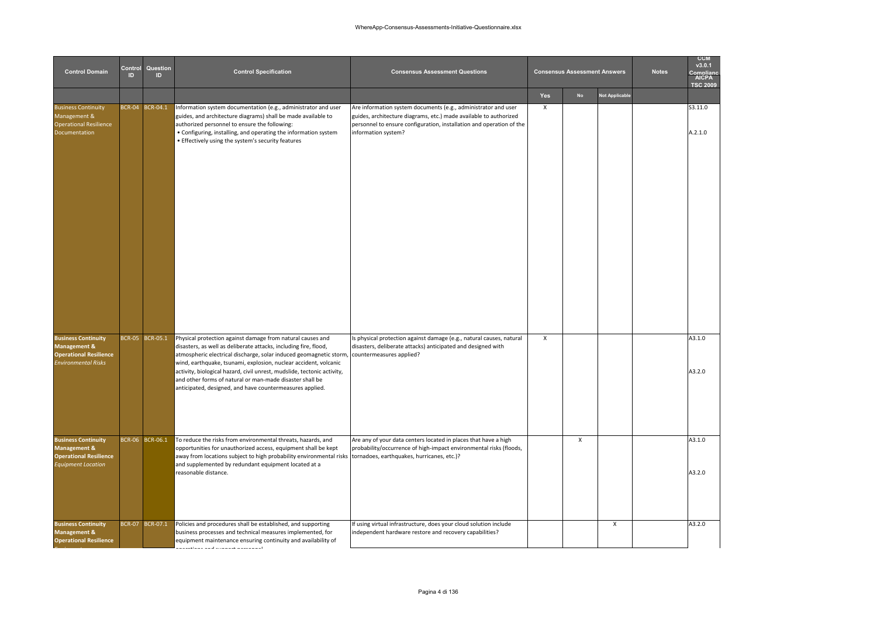| <b>Control Domain</b>                                                                                                | Control<br>ID | Question<br>ID. | <b>Control Specification</b>                                                                                                                                                                                                                                                                                                                                                                                                                                               | <b>Consensus Assessment Questions</b>                                                                                                                                                                                              |     | <b>Consensus Assessment Answers</b> |                       | <b>Notes</b> | <b>CCM</b><br>v3.0.1<br>∩mnlian<br>AICPA<br><b>TSC 2009</b> |
|----------------------------------------------------------------------------------------------------------------------|---------------|-----------------|----------------------------------------------------------------------------------------------------------------------------------------------------------------------------------------------------------------------------------------------------------------------------------------------------------------------------------------------------------------------------------------------------------------------------------------------------------------------------|------------------------------------------------------------------------------------------------------------------------------------------------------------------------------------------------------------------------------------|-----|-------------------------------------|-----------------------|--------------|-------------------------------------------------------------|
|                                                                                                                      |               |                 |                                                                                                                                                                                                                                                                                                                                                                                                                                                                            |                                                                                                                                                                                                                                    | Yes | <b>No</b>                           | <b>Not Applicable</b> |              |                                                             |
| <b>Business Continuity</b><br>Management &<br><b>Operational Resilience</b><br>Documentation                         |               | BCR-04 BCR-04.1 | Information system documentation (e.g., administrator and user<br>guides, and architecture diagrams) shall be made available to<br>authorized personnel to ensure the following:<br>• Configuring, installing, and operating the information system<br>• Effectively using the system's security features                                                                                                                                                                  | Are information system documents (e.g., administrator and user<br>guides, architecture diagrams, etc.) made available to authorized<br>personnel to ensure configuration, installation and operation of the<br>information system? | X   |                                     |                       |              | S3.11.0<br>A.2.1.0                                          |
| <b>Business Continuity</b><br><b>Management &amp;</b><br><b>Operational Resilience</b><br><b>Environmental Risks</b> |               | BCR-05 BCR-05.1 | Physical protection against damage from natural causes and<br>disasters, as well as deliberate attacks, including fire, flood,<br>atmospheric electrical discharge, solar induced geomagnetic storm<br>wind, earthquake, tsunami, explosion, nuclear accident, volcanic<br>activity, biological hazard, civil unrest, mudslide, tectonic activity,<br>and other forms of natural or man-made disaster shall be<br>anticipated, designed, and have countermeasures applied. | Is physical protection against damage (e.g., natural causes, natural<br>disasters, deliberate attacks) anticipated and designed with<br>countermeasures applied?                                                                   | X   |                                     |                       |              | A3.1.0<br>A3.2.0                                            |
| <b>Business Continuity</b><br><b>Management &amp;</b><br><b>Operational Resilience</b><br><b>Equipment Location</b>  |               | BCR-06 BCR-06.1 | To reduce the risks from environmental threats, hazards, and<br>opportunities for unauthorized access, equipment shall be kept<br>away from locations subject to high probability environmental risks<br>and supplemented by redundant equipment located at a<br>reasonable distance.                                                                                                                                                                                      | Are any of your data centers located in places that have a high<br>probability/occurrence of high-impact environmental risks (floods,<br>tornadoes, earthquakes, hurricanes, etc.)?                                                |     | X                                   |                       |              | A3.1.0<br>A3.2.0                                            |
| <b>Business Continuity</b><br><b>Management &amp;</b><br><b>Operational Resilience</b>                               |               | BCR-07 BCR-07.1 | Policies and procedures shall be established, and supporting<br>business processes and technical measures implemented, for<br>equipment maintenance ensuring continuity and availability of<br>المستحدث والمستحين المستحدث المستحدث والمتحدث والمتحدث                                                                                                                                                                                                                      | If using virtual infrastructure, does your cloud solution include<br>independent hardware restore and recovery capabilities?                                                                                                       |     |                                     | X                     |              | A3.2.0                                                      |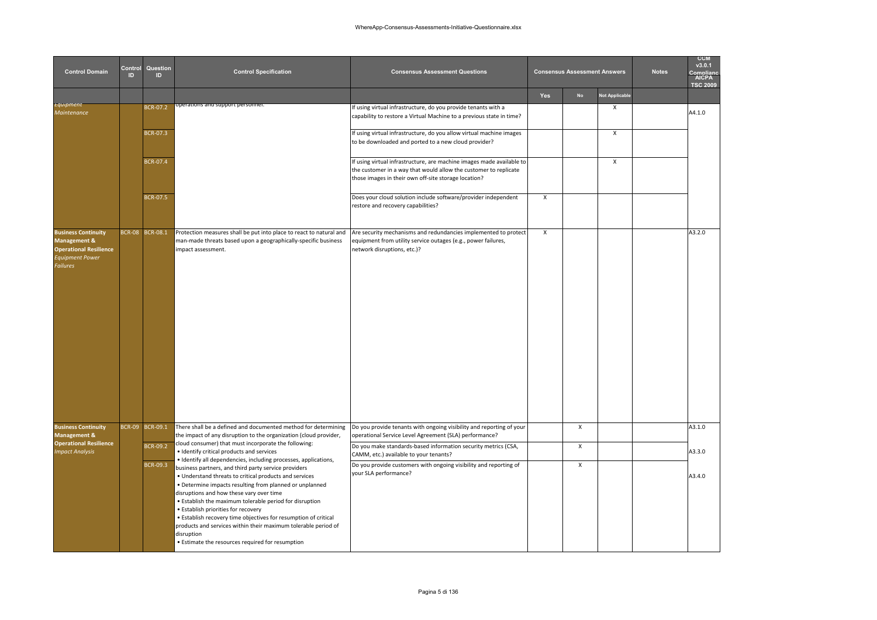| <b>Control Domain</b>                                                                                                               | Control<br>ID | Question<br>ID  | <b>Control Specification</b>                                                                                                                                                                                                                                                                                                                                                                                                                                                                                                                                                                      | <b>Consensus Assessment Questions</b>                                                                                                                                                             |                           | <b>Consensus Assessment Answers</b> |                       | <b>Notes</b> | <b>CCM</b><br>v3.0.1<br><b>AICPA</b><br><b>TSC 2009</b> |
|-------------------------------------------------------------------------------------------------------------------------------------|---------------|-----------------|---------------------------------------------------------------------------------------------------------------------------------------------------------------------------------------------------------------------------------------------------------------------------------------------------------------------------------------------------------------------------------------------------------------------------------------------------------------------------------------------------------------------------------------------------------------------------------------------------|---------------------------------------------------------------------------------------------------------------------------------------------------------------------------------------------------|---------------------------|-------------------------------------|-----------------------|--------------|---------------------------------------------------------|
|                                                                                                                                     |               |                 |                                                                                                                                                                                                                                                                                                                                                                                                                                                                                                                                                                                                   |                                                                                                                                                                                                   | Yes                       | <b>No</b>                           | <b>Not Applicable</b> |              |                                                         |
| Equipment<br><b>Maintenance</b>                                                                                                     |               | <b>BCR-07.2</b> | operations and support personnel                                                                                                                                                                                                                                                                                                                                                                                                                                                                                                                                                                  | If using virtual infrastructure, do you provide tenants with a<br>capability to restore a Virtual Machine to a previous state in time?                                                            |                           |                                     | X                     |              | A4.1.0                                                  |
|                                                                                                                                     |               | BCR-07.3        |                                                                                                                                                                                                                                                                                                                                                                                                                                                                                                                                                                                                   | If using virtual infrastructure, do you allow virtual machine images<br>to be downloaded and ported to a new cloud provider?                                                                      |                           |                                     | $\mathsf{x}$          |              |                                                         |
|                                                                                                                                     |               | BCR-07.4        |                                                                                                                                                                                                                                                                                                                                                                                                                                                                                                                                                                                                   | If using virtual infrastructure, are machine images made available to<br>the customer in a way that would allow the customer to replicate<br>those images in their own off-site storage location? |                           |                                     | X                     |              |                                                         |
|                                                                                                                                     |               | <b>BCR-07.5</b> |                                                                                                                                                                                                                                                                                                                                                                                                                                                                                                                                                                                                   | Does your cloud solution include software/provider independent<br>restore and recovery capabilities?                                                                                              | $\boldsymbol{\mathsf{X}}$ |                                     |                       |              |                                                         |
| <b>Business Continuity</b><br><b>Management &amp;</b><br><b>Operational Resilience</b><br><b>Equipment Power</b><br><b>Failures</b> |               | BCR-08 BCR-08.1 | Protection measures shall be put into place to react to natural and<br>man-made threats based upon a geographically-specific business<br>impact assessment.                                                                                                                                                                                                                                                                                                                                                                                                                                       | Are security mechanisms and redundancies implemented to protect<br>equipment from utility service outages (e.g., power failures,<br>network disruptions, etc.)?                                   | $\boldsymbol{\mathsf{x}}$ |                                     |                       |              | A3.2.0                                                  |
| <b>Business Continuity</b><br><b>Management &amp;</b>                                                                               |               | BCR-09 BCR-09.1 | There shall be a defined and documented method for determining<br>the impact of any disruption to the organization (cloud provider,                                                                                                                                                                                                                                                                                                                                                                                                                                                               | Do you provide tenants with ongoing visibility and reporting of your<br>operational Service Level Agreement (SLA) performance?                                                                    |                           | X                                   |                       |              | A3.1.0                                                  |
| <b>Operational Resilience</b><br><b>Impact Analysis</b>                                                                             |               | BCR-09.2        | cloud consumer) that must incorporate the following:<br>· Identify critical products and services                                                                                                                                                                                                                                                                                                                                                                                                                                                                                                 | Do you make standards-based information security metrics (CSA,<br>CAMM, etc.) available to your tenants?                                                                                          |                           | $\pmb{\chi}$                        |                       |              | A3.3.0                                                  |
|                                                                                                                                     |               | <b>BCR-09.3</b> | · Identify all dependencies, including processes, applications,<br>business partners, and third party service providers<br>. Understand threats to critical products and services<br>• Determine impacts resulting from planned or unplanned<br>disruptions and how these vary over time<br>. Establish the maximum tolerable period for disruption<br>• Establish priorities for recovery<br>• Establish recovery time objectives for resumption of critical<br>products and services within their maximum tolerable period of<br>disruption<br>• Estimate the resources required for resumption | Do you provide customers with ongoing visibility and reporting of<br>your SLA performance?                                                                                                        |                           | X                                   |                       |              | A3.4.0                                                  |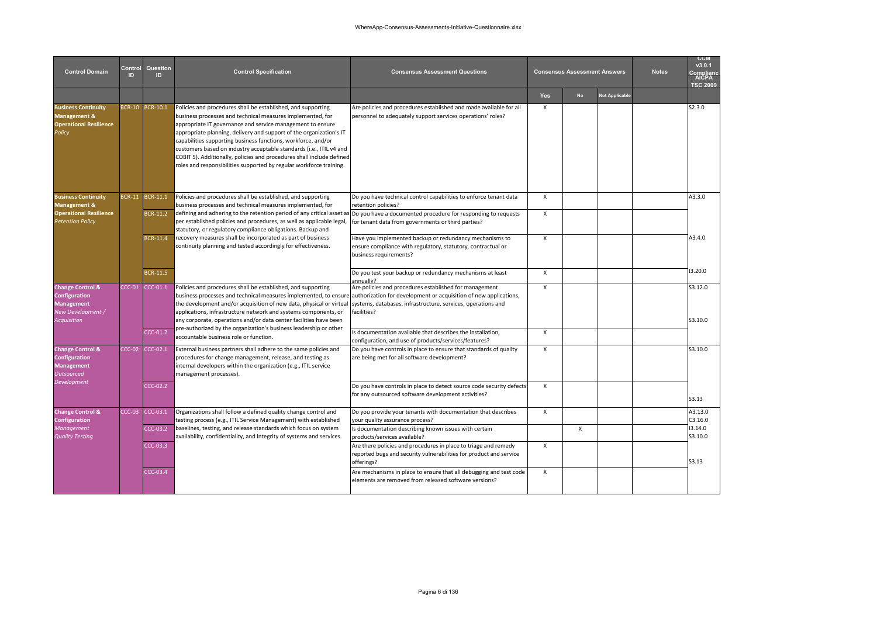| <b>Control Domain</b>                                                                                        | Control<br>ID | Question<br>םו                       | <b>Control Specification</b>                                                                                                                                                                                                                                                                                                                                                                                                                                                                                                                            | <b>Consensus Assessment Questions</b>                                                                                                                                                                                                                        |                              | <b>Consensus Assessment Answers</b> |                       | <b>Notes</b> | <b>CCM</b><br>v3.0.1<br><u>mnlian</u><br><b>AICPA</b><br><b>TSC 2009</b> |
|--------------------------------------------------------------------------------------------------------------|---------------|--------------------------------------|---------------------------------------------------------------------------------------------------------------------------------------------------------------------------------------------------------------------------------------------------------------------------------------------------------------------------------------------------------------------------------------------------------------------------------------------------------------------------------------------------------------------------------------------------------|--------------------------------------------------------------------------------------------------------------------------------------------------------------------------------------------------------------------------------------------------------------|------------------------------|-------------------------------------|-----------------------|--------------|--------------------------------------------------------------------------|
|                                                                                                              |               |                                      |                                                                                                                                                                                                                                                                                                                                                                                                                                                                                                                                                         |                                                                                                                                                                                                                                                              | <b>Yes</b>                   | <b>No</b>                           | <b>Not Applicable</b> |              |                                                                          |
| <b>Business Continuity</b><br>Management &<br><b>Operational Resilience</b><br>Policy                        |               | BCR-10 BCR-10.1                      | Policies and procedures shall be established, and supporting<br>business processes and technical measures implemented, for<br>appropriate IT governance and service management to ensure<br>appropriate planning, delivery and support of the organization's IT<br>capabilities supporting business functions, workforce, and/or<br>customers based on industry acceptable standards (i.e., ITIL v4 and<br>COBIT 5). Additionally, policies and procedures shall include defined<br>roles and responsibilities supported by regular workforce training. | Are policies and procedures established and made available for all<br>personnel to adequately support services operations' roles?                                                                                                                            | X                            |                                     |                       |              | S2.3.0                                                                   |
| <b>Business Continuity</b><br>Management &                                                                   | BCR-11        | BCR-11.1                             | Policies and procedures shall be established, and supporting<br>business processes and technical measures implemented, for                                                                                                                                                                                                                                                                                                                                                                                                                              | Do you have technical control capabilities to enforce tenant data<br>retention policies?                                                                                                                                                                     | $\mathsf{x}$                 |                                     |                       |              | A3.3.0                                                                   |
| <b>Operational Resilience</b><br><b>Retention Policy</b>                                                     |               | BCR-11.2                             | defining and adhering to the retention period of any critical asset as Do you have a documented procedure for responding to requests<br>per established policies and procedures, as well as applicable legal,<br>statutory, or regulatory compliance obligations. Backup and                                                                                                                                                                                                                                                                            | for tenant data from governments or third parties?                                                                                                                                                                                                           | $\mathsf{x}$                 |                                     |                       |              |                                                                          |
|                                                                                                              |               | <b>BCR-11.4</b>                      | recovery measures shall be incorporated as part of business<br>continuity planning and tested accordingly for effectiveness.                                                                                                                                                                                                                                                                                                                                                                                                                            | Have you implemented backup or redundancy mechanisms to<br>ensure compliance with regulatory, statutory, contractual or<br>business requirements?                                                                                                            | $\mathsf{x}$                 |                                     |                       |              | A3.4.0                                                                   |
|                                                                                                              |               | <b>BCR-11.5</b>                      |                                                                                                                                                                                                                                                                                                                                                                                                                                                                                                                                                         | Do you test your backup or redundancy mechanisms at least<br>annually?                                                                                                                                                                                       | $\mathsf{x}$                 |                                     |                       |              | 3.20.0                                                                   |
| <b>Change Control &amp;</b><br>Configuration<br><b>Management</b><br>New Development /<br><b>Acquisition</b> | $CC-01$       | CCC-01.1                             | Policies and procedures shall be established, and supporting<br>business processes and technical measures implemented, to ensure authorization for development or acquisition of new applications,<br>the development and/or acquisition of new data, physical or virtual<br>applications, infrastructure network and systems components, or<br>any corporate, operations and/or data center facilities have been                                                                                                                                       | Are policies and procedures established for management<br>systems, databases, infrastructure, services, operations and<br>facilities?                                                                                                                        | $\mathsf{x}$                 |                                     |                       |              | S3.12.0<br>S3.10.0                                                       |
|                                                                                                              |               | $CC-01.2$                            | pre-authorized by the organization's business leadership or other<br>accountable business role or function.                                                                                                                                                                                                                                                                                                                                                                                                                                             | Is documentation available that describes the installation,<br>configuration, and use of products/services/features?                                                                                                                                         | $\mathsf{x}$                 |                                     |                       |              |                                                                          |
| <b>Change Control &amp;</b><br>Configuration<br><b>Management</b><br><b>Outsourced</b>                       | $CC-C2$       | $CCC-02.1$                           | External business partners shall adhere to the same policies and<br>procedures for change management, release, and testing as<br>internal developers within the organization (e.g., ITIL service<br>management processes).                                                                                                                                                                                                                                                                                                                              | Do you have controls in place to ensure that standards of quality<br>are being met for all software development?                                                                                                                                             | $\mathsf{x}$                 |                                     |                       |              | S3.10.0                                                                  |
| Development                                                                                                  |               | $CC-02.2$                            |                                                                                                                                                                                                                                                                                                                                                                                                                                                                                                                                                         | Do you have controls in place to detect source code security defects<br>for any outsourced software development activities?                                                                                                                                  | $\mathsf{x}$                 |                                     |                       |              | <b>S3.13</b>                                                             |
| <b>Change Control &amp;</b><br><b>Configuration</b><br><b>Management</b><br><b>Quality Testing</b>           | $CC-03$       | CCC-03.1<br>$CCC-03.2$<br>$CCC-03.3$ | Organizations shall follow a defined quality change control and<br>testing process (e.g., ITIL Service Management) with established<br>baselines, testing, and release standards which focus on system<br>availability, confidentiality, and integrity of systems and services.                                                                                                                                                                                                                                                                         | Do you provide your tenants with documentation that describes<br>your quality assurance process?<br>Is documentation describing known issues with certain<br>products/services available?<br>Are there policies and procedures in place to triage and remedy | $\mathsf{X}$<br>$\mathsf{x}$ | $\mathsf{X}$                        |                       |              | A3.13.0<br>C3.16.0<br>13.14.0<br>S3.10.0                                 |
|                                                                                                              |               | <b>CCC-03.4</b>                      |                                                                                                                                                                                                                                                                                                                                                                                                                                                                                                                                                         | reported bugs and security vulnerabilities for product and service<br>offerings?<br>Are mechanisms in place to ensure that all debugging and test code                                                                                                       | $\mathsf{x}$                 |                                     |                       |              | S3.13                                                                    |
|                                                                                                              |               |                                      |                                                                                                                                                                                                                                                                                                                                                                                                                                                                                                                                                         | elements are removed from released software versions?                                                                                                                                                                                                        |                              |                                     |                       |              |                                                                          |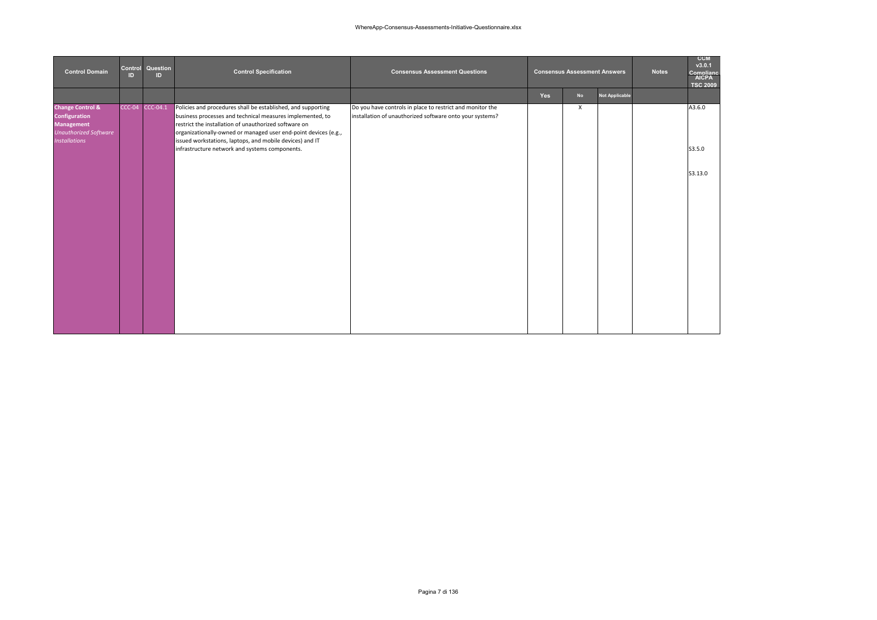| <b>Control Domain</b>                                                                                                     | Control<br><b>ID</b> | Question<br>ID. | <b>Control Specification</b>                                                                                                                                                                                                                                                                                      | <b>Consensus Assessment Questions</b>                                                                                 |     | <b>Consensus Assessment Answers</b> |                       | <b>Notes</b> | <b>CCM</b><br>v3.0.1<br>Complianc<br><b>AICPA</b><br><b>TSC 2009</b> |
|---------------------------------------------------------------------------------------------------------------------------|----------------------|-----------------|-------------------------------------------------------------------------------------------------------------------------------------------------------------------------------------------------------------------------------------------------------------------------------------------------------------------|-----------------------------------------------------------------------------------------------------------------------|-----|-------------------------------------|-----------------------|--------------|----------------------------------------------------------------------|
|                                                                                                                           |                      |                 |                                                                                                                                                                                                                                                                                                                   |                                                                                                                       | Yes | <b>No</b>                           | <b>Not Applicable</b> |              |                                                                      |
| <b>Change Control &amp;</b><br>Configuration<br><b>Management</b><br><b>Unauthorized Software</b><br><b>Installations</b> |                      | CCC-04 CCC-04.1 | Policies and procedures shall be established, and supporting<br>business processes and technical measures implemented, to<br>restrict the installation of unauthorized software on<br>organizationally-owned or managed user end-point devices (e.g.,<br>issued workstations, laptops, and mobile devices) and IT | Do you have controls in place to restrict and monitor the<br>installation of unauthorized software onto your systems? |     | $\times$                            |                       |              | A3.6.0                                                               |
|                                                                                                                           |                      |                 | infrastructure network and systems components.                                                                                                                                                                                                                                                                    |                                                                                                                       |     |                                     |                       |              | S3.5.0                                                               |
|                                                                                                                           |                      |                 |                                                                                                                                                                                                                                                                                                                   |                                                                                                                       |     |                                     |                       |              | S3.13.0                                                              |
|                                                                                                                           |                      |                 |                                                                                                                                                                                                                                                                                                                   |                                                                                                                       |     |                                     |                       |              |                                                                      |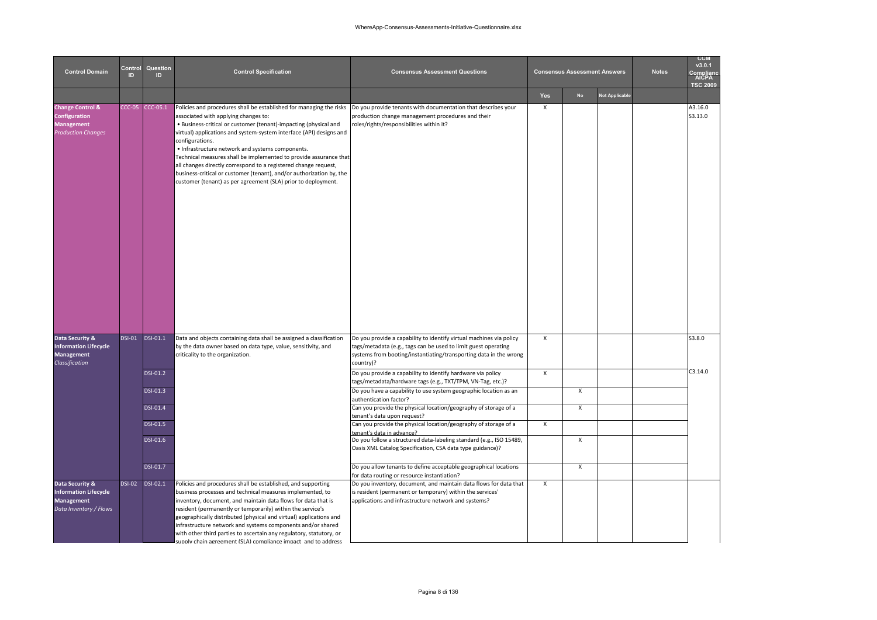| <b>Control Domain</b>                                                                                 | Control<br>ID. | Question<br>ID  | <b>Control Specification</b>                                                                                                                                                                                                                                                                                                                                                                                                                                                                                                                                                                                                                                                 | <b>Consensus Assessment Questions</b>                                                                                                                                                                                   |                           | <b>Consensus Assessment Answers</b> |                       | <b>Notes</b> | <b>CCM</b><br>v3.0.1<br>nmnlian<br>AICPA<br><b>TSC 2009</b> |
|-------------------------------------------------------------------------------------------------------|----------------|-----------------|------------------------------------------------------------------------------------------------------------------------------------------------------------------------------------------------------------------------------------------------------------------------------------------------------------------------------------------------------------------------------------------------------------------------------------------------------------------------------------------------------------------------------------------------------------------------------------------------------------------------------------------------------------------------------|-------------------------------------------------------------------------------------------------------------------------------------------------------------------------------------------------------------------------|---------------------------|-------------------------------------|-----------------------|--------------|-------------------------------------------------------------|
|                                                                                                       |                |                 |                                                                                                                                                                                                                                                                                                                                                                                                                                                                                                                                                                                                                                                                              |                                                                                                                                                                                                                         | Yes                       | <b>No</b>                           | <b>Not Applicable</b> |              |                                                             |
| <b>Change Control &amp;</b><br>Configuration<br><b>Management</b><br><b>Production Changes</b>        | $CC-05$        | CCC-05.1        | Policies and procedures shall be established for managing the risks Do you provide tenants with documentation that describes your<br>associated with applying changes to:<br>. Business-critical or customer (tenant)-impacting (physical and<br>virtual) applications and system-system interface (API) designs and<br>configurations.<br>• Infrastructure network and systems components.<br>Technical measures shall be implemented to provide assurance that<br>all changes directly correspond to a registered change request,<br>business-critical or customer (tenant), and/or authorization by, the<br>customer (tenant) as per agreement (SLA) prior to deployment. | production change management procedures and their<br>roles/rights/responsibilities within it?                                                                                                                           | $\pmb{\chi}$              |                                     |                       |              | A3.16.0<br>S3.13.0                                          |
| Data Security &<br><b>Information Lifecycle</b><br><b>Management</b><br>Classification                | <b>DSI-01</b>  | <b>DSI-01.1</b> | Data and objects containing data shall be assigned a classification<br>by the data owner based on data type, value, sensitivity, and<br>criticality to the organization.                                                                                                                                                                                                                                                                                                                                                                                                                                                                                                     | Do you provide a capability to identify virtual machines via policy<br>tags/metadata (e.g., tags can be used to limit guest operating<br>systems from booting/instantiating/transporting data in the wrong<br>country)? | $\pmb{\chi}$              |                                     |                       |              | S3.8.0                                                      |
|                                                                                                       |                | <b>DSI-01.2</b> |                                                                                                                                                                                                                                                                                                                                                                                                                                                                                                                                                                                                                                                                              | Do you provide a capability to identify hardware via policy<br>tags/metadata/hardware tags (e.g., TXT/TPM, VN-Tag, etc.)?                                                                                               | $\pmb{\chi}$              |                                     |                       |              | C3.14.0                                                     |
|                                                                                                       |                | DSI-01.3        |                                                                                                                                                                                                                                                                                                                                                                                                                                                                                                                                                                                                                                                                              | Do you have a capability to use system geographic location as an<br>authentication factor?                                                                                                                              |                           | $\pmb{\chi}$                        |                       |              |                                                             |
|                                                                                                       |                | <b>DSI-01.4</b> |                                                                                                                                                                                                                                                                                                                                                                                                                                                                                                                                                                                                                                                                              | Can you provide the physical location/geography of storage of a<br>tenant's data upon request?                                                                                                                          |                           | $\pmb{\chi}$                        |                       |              |                                                             |
|                                                                                                       |                | DSI-01.5        |                                                                                                                                                                                                                                                                                                                                                                                                                                                                                                                                                                                                                                                                              | Can you provide the physical location/geography of storage of a<br>tenant's data in advance?                                                                                                                            | $\pmb{\chi}$              |                                     |                       |              |                                                             |
|                                                                                                       |                | DSI-01.6        |                                                                                                                                                                                                                                                                                                                                                                                                                                                                                                                                                                                                                                                                              | Do you follow a structured data-labeling standard (e.g., ISO 15489,<br>Oasis XML Catalog Specification, CSA data type guidance)?                                                                                        |                           | $\boldsymbol{\mathsf{x}}$           |                       |              |                                                             |
|                                                                                                       |                | <b>DSI-01.7</b> |                                                                                                                                                                                                                                                                                                                                                                                                                                                                                                                                                                                                                                                                              | Do you allow tenants to define acceptable geographical locations<br>for data routing or resource instantiation?                                                                                                         |                           | $\boldsymbol{\mathsf{x}}$           |                       |              |                                                             |
| Data Security &<br><b>Information Lifecycle</b><br><b>Management</b><br>Data <i>Inventory</i> / Flows | <b>DSI-02</b>  | DSI-02.1        | Policies and procedures shall be established, and supporting<br>business processes and technical measures implemented, to<br>inventory, document, and maintain data flows for data that is<br>resident (permanently or temporarily) within the service's<br>geographically distributed (physical and virtual) applications and<br>infrastructure network and systems components and/or shared<br>with other third parties to ascertain any regulatory, statutory, or<br>unnly chain agreement (SLA) compliance impact, and to address                                                                                                                                        | Do you inventory, document, and maintain data flows for data that<br>is resident (permanent or temporary) within the services'<br>applications and infrastructure network and systems?                                  | $\boldsymbol{\mathsf{x}}$ |                                     |                       |              |                                                             |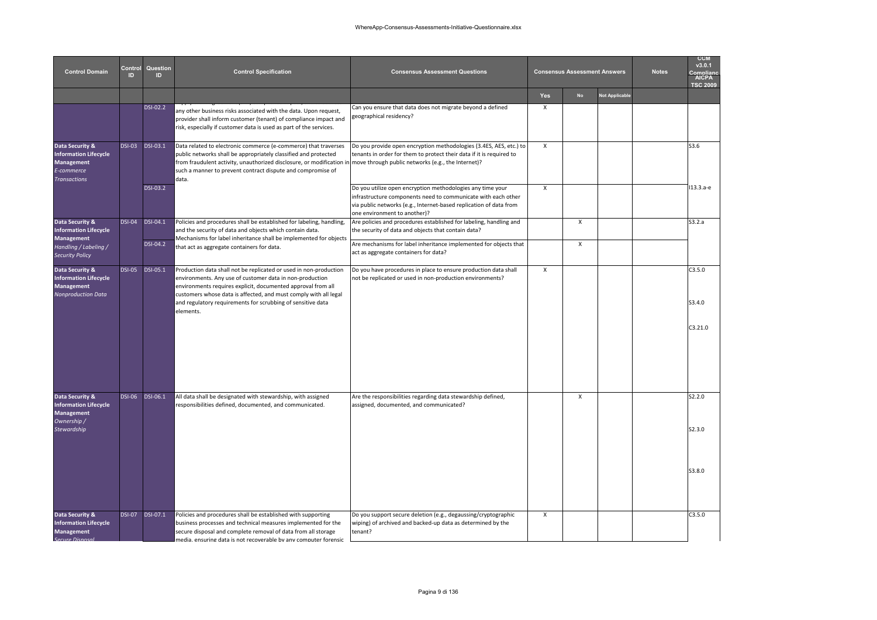| <b>Control Domain</b>                                                                                     | Control<br>ID | Question<br>ID. | <b>Control Specification</b>                                                                                                                                                                                                                                                                                                                  | <b>Consensus Assessment Questions</b>                                                                                                                                                                                             |     | <b>Consensus Assessment Answers</b> |                | <b>Notes</b> | <b>CCM</b><br>v3.0.1<br>omnlian<br><b>TSC 2009</b> |
|-----------------------------------------------------------------------------------------------------------|---------------|-----------------|-----------------------------------------------------------------------------------------------------------------------------------------------------------------------------------------------------------------------------------------------------------------------------------------------------------------------------------------------|-----------------------------------------------------------------------------------------------------------------------------------------------------------------------------------------------------------------------------------|-----|-------------------------------------|----------------|--------------|----------------------------------------------------|
|                                                                                                           |               |                 |                                                                                                                                                                                                                                                                                                                                               |                                                                                                                                                                                                                                   | Yes | <b>No</b>                           | Not Applicable |              |                                                    |
|                                                                                                           |               | DSI-02.2        | any other business risks associated with the data. Upon request,<br>provider shall inform customer (tenant) of compliance impact and<br>risk, especially if customer data is used as part of the services.                                                                                                                                    | Can you ensure that data does not migrate beyond a defined<br>geographical residency?                                                                                                                                             | X   |                                     |                |              |                                                    |
| Data Security &<br><b>Information Lifecycle</b><br><b>Management</b><br>E-commerce<br><b>Transactions</b> | <b>DSI-03</b> | <b>DSI-03.1</b> | Data related to electronic commerce (e-commerce) that traverses<br>public networks shall be appropriately classified and protected<br>from fraudulent activity, unauthorized disclosure, or modification in<br>such a manner to prevent contract dispute and compromise of<br>data.                                                           | Do you provide open encryption methodologies (3.4ES, AES, etc.) to<br>tenants in order for them to protect their data if it is required to<br>move through public networks (e.g., the Internet)?                                  | X   |                                     |                |              | S3.6                                               |
|                                                                                                           |               | <b>DSI-03.2</b> |                                                                                                                                                                                                                                                                                                                                               | Do you utilize open encryption methodologies any time your<br>infrastructure components need to communicate with each other<br>via public networks (e.g., Internet-based replication of data from<br>one environment to another)? | X   |                                     |                |              | 113.3.a-e                                          |
| Data Security &<br><b>Information Lifecycle</b><br><b>Management</b>                                      | <b>DSI-04</b> | <b>DSI-04.1</b> | Policies and procedures shall be established for labeling, handling,<br>and the security of data and objects which contain data.<br>Mechanisms for label inheritance shall be implemented for objects                                                                                                                                         | Are policies and procedures established for labeling, handling and<br>the security of data and objects that contain data?                                                                                                         |     | $\pmb{\chi}$                        |                |              | S3.2.a                                             |
| Handling / Labeling /<br><b>Security Policy</b>                                                           |               | DSI-04.2        | that act as aggregate containers for data.                                                                                                                                                                                                                                                                                                    | Are mechanisms for label inheritance implemented for objects that<br>act as aggregate containers for data?                                                                                                                        |     | X                                   |                |              |                                                    |
| Data Security &<br><b>Information Lifecycle</b><br><b>Management</b><br><b>Nonproduction Data</b>         | <b>DSI-05</b> | <b>DSI-05.1</b> | Production data shall not be replicated or used in non-production<br>environments. Any use of customer data in non-production<br>environments requires explicit, documented approval from all<br>customers whose data is affected, and must comply with all legal<br>and regulatory requirements for scrubbing of sensitive data<br>elements. | Do you have procedures in place to ensure production data shall<br>not be replicated or used in non-production environments?                                                                                                      | X   |                                     |                |              | C3.5.0<br>S3.4.0                                   |
|                                                                                                           |               |                 |                                                                                                                                                                                                                                                                                                                                               |                                                                                                                                                                                                                                   |     |                                     |                |              | C3.21.0                                            |
| Data Security &<br><b>Information Lifecycle</b><br><b>Management</b><br>Ownership /                       | <b>DSI-06</b> | DSI-06.1        | All data shall be designated with stewardship, with assigned<br>responsibilities defined, documented, and communicated.                                                                                                                                                                                                                       | Are the responsibilities regarding data stewardship defined,<br>assigned, documented, and communicated?                                                                                                                           |     | X                                   |                |              | S2.2.0                                             |
| Stewardship                                                                                               |               |                 |                                                                                                                                                                                                                                                                                                                                               |                                                                                                                                                                                                                                   |     |                                     |                |              | S2.3.0                                             |
|                                                                                                           |               |                 |                                                                                                                                                                                                                                                                                                                                               |                                                                                                                                                                                                                                   |     |                                     |                |              | S3.8.0                                             |
| Data Security &<br><b>Information Lifecycle</b><br><b>Management</b><br><b>Secure Disposal</b>            | <b>DSI-07</b> | DSI-07.1        | Policies and procedures shall be established with supporting<br>business processes and technical measures implemented for the<br>secure disposal and complete removal of data from all storage<br>media ensuring data is not recoverable by any computer forensic                                                                             | Do you support secure deletion (e.g., degaussing/cryptographic<br>wiping) of archived and backed-up data as determined by the<br>tenant?                                                                                          | X   |                                     |                |              | C3.5.0                                             |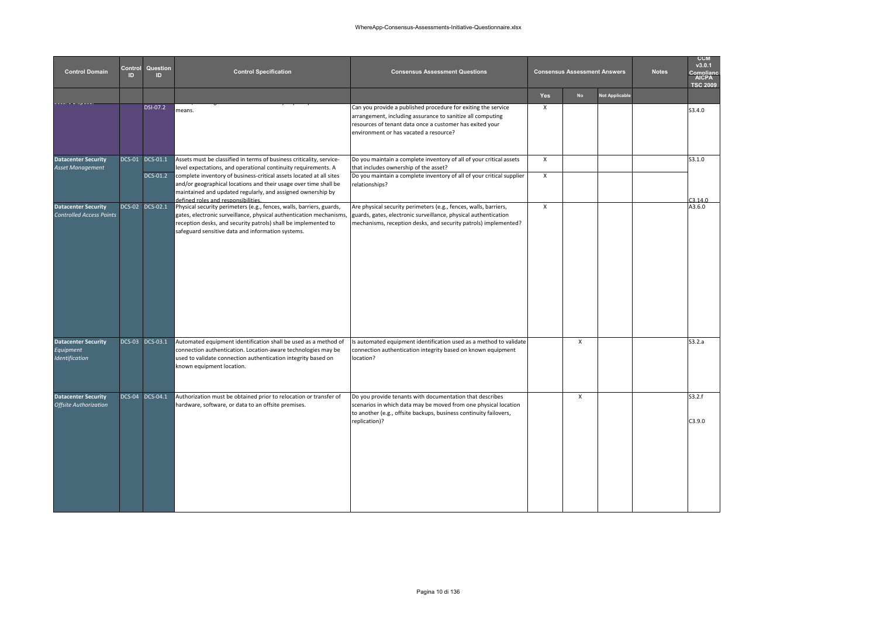| <b>Control Domain</b>                                            | Control<br>ID | Question<br>ID  | <b>Control Specification</b>                                                                                                                                                                                                                                                                              | <b>Consensus Assessment Questions</b>                                                                                                                                                                                             |              | <b>Consensus Assessment Answers</b> |                       | <b>Notes</b> | <b>CCM</b><br>v3.0.1<br>Complian<br>AICPA<br><b>TSC 2009</b> |
|------------------------------------------------------------------|---------------|-----------------|-----------------------------------------------------------------------------------------------------------------------------------------------------------------------------------------------------------------------------------------------------------------------------------------------------------|-----------------------------------------------------------------------------------------------------------------------------------------------------------------------------------------------------------------------------------|--------------|-------------------------------------|-----------------------|--------------|--------------------------------------------------------------|
|                                                                  |               |                 |                                                                                                                                                                                                                                                                                                           |                                                                                                                                                                                                                                   | Yes          | <b>No</b>                           | <b>Not Applicable</b> |              |                                                              |
|                                                                  |               | <b>DSI-07.2</b> | means.                                                                                                                                                                                                                                                                                                    | Can you provide a published procedure for exiting the service<br>arrangement, including assurance to sanitize all computing<br>resources of tenant data once a customer has exited your<br>environment or has vacated a resource? | X            |                                     |                       |              | S3.4.0                                                       |
| <b>Datacenter Security</b>                                       |               | DCS-01 DCS-01.1 | Assets must be classified in terms of business criticality, service-                                                                                                                                                                                                                                      | Do you maintain a complete inventory of all of your critical assets                                                                                                                                                               | $\mathsf{x}$ |                                     |                       |              | S3.1.0                                                       |
| Asset Management                                                 |               | DCS-01.2        | level expectations, and operational continuity requirements. A<br>complete inventory of business-critical assets located at all sites<br>and/or geographical locations and their usage over time shall be<br>maintained and updated regularly, and assigned ownership by                                  | that includes ownership of the asset?<br>Do you maintain a complete inventory of all of your critical supplier<br>relationships?                                                                                                  | $\mathsf{X}$ |                                     |                       |              |                                                              |
| <b>Datacenter Security</b><br><b>Controlled Access Points</b>    |               | DCS-02 DCS-02.1 | defined roles and responsibilities.<br>Physical security perimeters (e.g., fences, walls, barriers, guards,<br>gates, electronic surveillance, physical authentication mechanisms,<br>reception desks, and security patrols) shall be implemented to<br>safeguard sensitive data and information systems. | Are physical security perimeters (e.g., fences, walls, barriers,<br>guards, gates, electronic surveillance, physical authentication<br>mechanisms, reception desks, and security patrols) implemented?                            | X            |                                     |                       |              | 3.14.0<br>A3.6.0                                             |
| <b>Datacenter Security</b><br>Equipment<br><b>Identification</b> |               | DCS-03 DCS-03.1 | Automated equipment identification shall be used as a method of<br>connection authentication. Location-aware technologies may be<br>used to validate connection authentication integrity based on<br>known equipment location.                                                                            | Is automated equipment identification used as a method to validate<br>connection authentication integrity based on known equipment<br>location?                                                                                   |              | $\pmb{\chi}$                        |                       |              | S3.2.a                                                       |
| <b>Datacenter Security</b><br><b>Offsite Authorization</b>       |               | DCS-04 DCS-04.1 | Authorization must be obtained prior to relocation or transfer of<br>hardware, software, or data to an offsite premises.                                                                                                                                                                                  | Do you provide tenants with documentation that describes<br>scenarios in which data may be moved from one physical location<br>to another (e.g., offsite backups, business continuity failovers,<br>replication)?                 |              | $\pmb{\chi}$                        |                       |              | S3.2.f<br>C3.9.0                                             |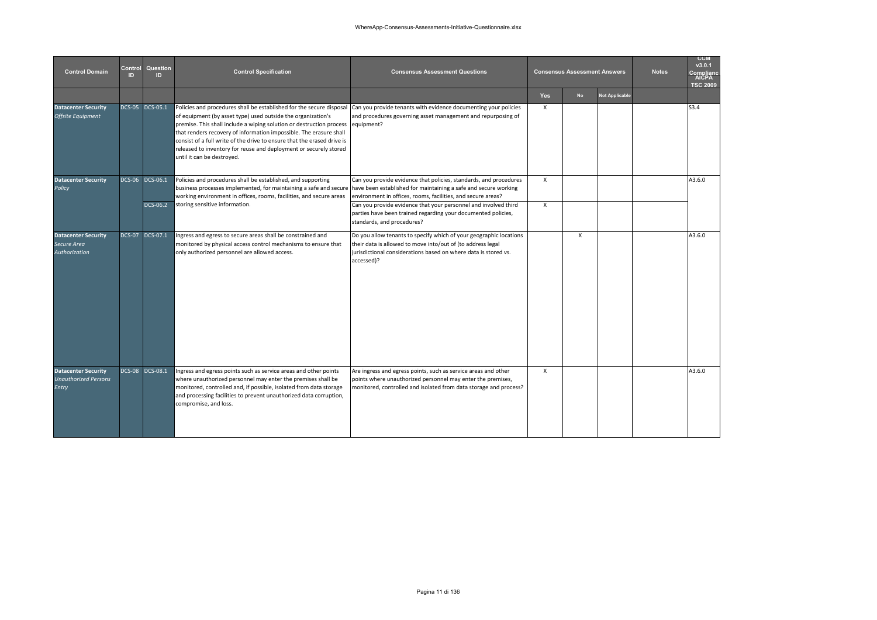| <b>Control Domain</b>                                              | Control<br>ID. | Question<br>ID.             | <b>Control Specification</b>                                                                                                                                                                                                                                                                                                                                                                                                                                     | <b>Consensus Assessment Questions</b>                                                                                                                                                                                                                                                                                                    |                          | <b>Consensus Assessment Answers</b> |                       | <b>Notes</b> | <b>CCM</b><br>v3.0.1<br>Compliano<br>AICPA<br><b>TSC 2009</b> |
|--------------------------------------------------------------------|----------------|-----------------------------|------------------------------------------------------------------------------------------------------------------------------------------------------------------------------------------------------------------------------------------------------------------------------------------------------------------------------------------------------------------------------------------------------------------------------------------------------------------|------------------------------------------------------------------------------------------------------------------------------------------------------------------------------------------------------------------------------------------------------------------------------------------------------------------------------------------|--------------------------|-------------------------------------|-----------------------|--------------|---------------------------------------------------------------|
|                                                                    |                |                             |                                                                                                                                                                                                                                                                                                                                                                                                                                                                  |                                                                                                                                                                                                                                                                                                                                          | <b>Yes</b>               | <b>No</b>                           | <b>Not Applicable</b> |              |                                                               |
| <b>Datacenter Security</b><br><b>Offsite Equipment</b>             |                | DCS-05 DCS-05.1             | Policies and procedures shall be established for the secure disposal<br>of equipment (by asset type) used outside the organization's<br>premise. This shall include a wiping solution or destruction process<br>that renders recovery of information impossible. The erasure shall<br>consist of a full write of the drive to ensure that the erased drive is<br>released to inventory for reuse and deployment or securely stored<br>until it can be destroyed. | Can you provide tenants with evidence documenting your policies<br>and procedures governing asset management and repurposing of<br>equipment?                                                                                                                                                                                            | $\mathsf{x}$             |                                     |                       |              | S3.4                                                          |
| <b>Datacenter Security</b><br>Policy                               |                | DCS-06 DCS-06.1<br>DCS-06.2 | Policies and procedures shall be established, and supporting<br>business processes implemented, for maintaining a safe and secure<br>working environment in offices, rooms, facilities, and secure areas<br>storing sensitive information.                                                                                                                                                                                                                       | Can you provide evidence that policies, standards, and procedures<br>have been established for maintaining a safe and secure working<br>environment in offices, rooms, facilities, and secure areas?<br>Can you provide evidence that your personnel and involved third<br>parties have been trained regarding your documented policies, | $\mathsf{x}$<br>$\times$ |                                     |                       |              | A3.6.0                                                        |
|                                                                    |                |                             |                                                                                                                                                                                                                                                                                                                                                                                                                                                                  | standards, and procedures?                                                                                                                                                                                                                                                                                                               |                          |                                     |                       |              |                                                               |
| <b>Datacenter Security</b><br>Secure Area<br>Authorization         |                | DCS-07 DCS-07.1             | Ingress and egress to secure areas shall be constrained and<br>monitored by physical access control mechanisms to ensure that<br>only authorized personnel are allowed access.                                                                                                                                                                                                                                                                                   | Do you allow tenants to specify which of your geographic locations<br>their data is allowed to move into/out of (to address legal<br>iurisdictional considerations based on where data is stored vs.<br>accessed)?                                                                                                                       |                          | $\mathsf{X}$                        |                       |              | A3.6.0                                                        |
| <b>Datacenter Security</b><br><b>Unauthorized Persons</b><br>Entry |                | DCS-08 DCS-08.1             | Ingress and egress points such as service areas and other points<br>where unauthorized personnel may enter the premises shall be<br>monitored, controlled and, if possible, isolated from data storage<br>and processing facilities to prevent unauthorized data corruption,<br>compromise, and loss.                                                                                                                                                            | Are ingress and egress points, such as service areas and other<br>points where unauthorized personnel may enter the premises,<br>monitored, controlled and isolated from data storage and process?                                                                                                                                       | $\mathsf{x}$             |                                     |                       |              | A3.6.0                                                        |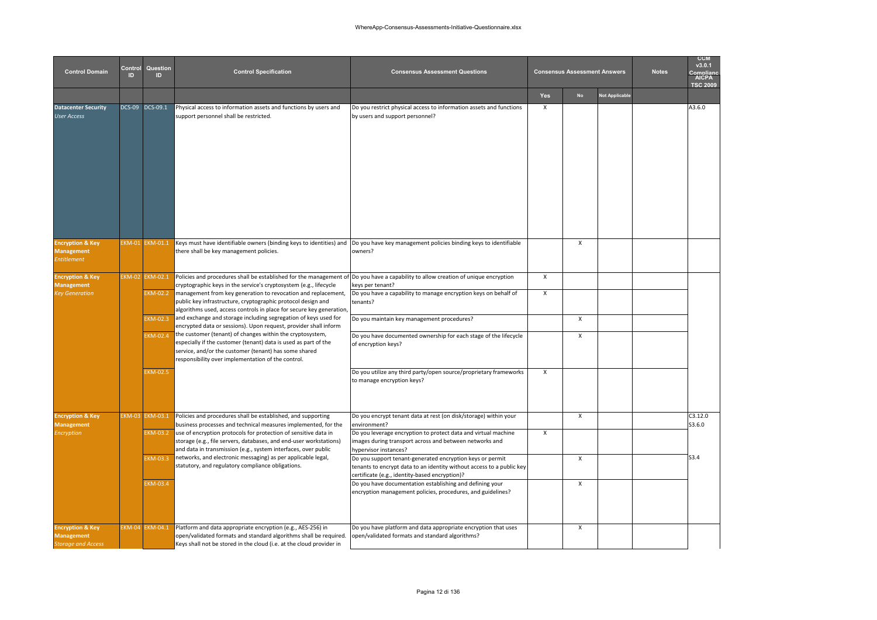| <b>Control Domain</b>                                                         | Control<br><b>ID</b> | Question<br>ID  | <b>Control Specification</b>                                                                                                                                                                                                                                               | <b>Consensus Assessment Questions</b>                                                                                                                                                |                           | <b>Consensus Assessment Answers</b> |                       | <b>Notes</b> | <b>CCM</b><br>v3.0.1<br><b>AICPA</b><br><b>TSC 2009</b> |
|-------------------------------------------------------------------------------|----------------------|-----------------|----------------------------------------------------------------------------------------------------------------------------------------------------------------------------------------------------------------------------------------------------------------------------|--------------------------------------------------------------------------------------------------------------------------------------------------------------------------------------|---------------------------|-------------------------------------|-----------------------|--------------|---------------------------------------------------------|
|                                                                               |                      |                 |                                                                                                                                                                                                                                                                            |                                                                                                                                                                                      | Yes                       | <b>No</b>                           | <b>Not Applicable</b> |              |                                                         |
| <b>Datacenter Security</b><br>User Access                                     |                      | DCS-09 DCS-09.1 | Physical access to information assets and functions by users and<br>support personnel shall be restricted.                                                                                                                                                                 | Do you restrict physical access to information assets and functions<br>by users and support personnel?                                                                               | $\boldsymbol{\mathsf{x}}$ |                                     |                       |              | A3.6.0                                                  |
| <b>Encryption &amp; Key</b><br><b>Management</b><br><b>Intitlement</b>        | EKM-01               | <b>EKM-01.1</b> | Keys must have identifiable owners (binding keys to identities) and Do you have key management policies binding keys to identifiable<br>there shall be key management policies.                                                                                            | owners?                                                                                                                                                                              |                           | $\mathsf{x}$                        |                       |              |                                                         |
| <b>Encryption &amp; Key</b>                                                   |                      | EKM-02 EKM-02.1 | Policies and procedures shall be established for the management of Do you have a capability to allow creation of unique encryption                                                                                                                                         |                                                                                                                                                                                      | $\pmb{\chi}$              |                                     |                       |              |                                                         |
| <b>Management</b><br>ey Generation                                            |                      | EKM-02.2        | cryptographic keys in the service's cryptosystem (e.g., lifecycle<br>management from key generation to revocation and replacement,<br>public key infrastructure, cryptographic protocol design and<br>algorithms used, access controls in place for secure key generation, | keys per tenant?<br>Do you have a capability to manage encryption keys on behalf of<br>tenants?                                                                                      | $\boldsymbol{\mathsf{x}}$ |                                     |                       |              |                                                         |
|                                                                               |                      | KM-02.3         | and exchange and storage including segregation of keys used for<br>encrypted data or sessions). Upon request, provider shall inform                                                                                                                                        | Do you maintain key management procedures?                                                                                                                                           |                           | $\mathsf{x}$                        |                       |              |                                                         |
|                                                                               |                      | EKM-02.4        | the customer (tenant) of changes within the cryptosystem,<br>especially if the customer (tenant) data is used as part of the<br>service, and/or the customer (tenant) has some shared<br>responsibility over implementation of the control.                                | Do you have documented ownership for each stage of the lifecycle<br>of encryption keys?                                                                                              |                           | X                                   |                       |              |                                                         |
|                                                                               |                      | <b>EKM-02.5</b> |                                                                                                                                                                                                                                                                            | Do you utilize any third party/open source/proprietary frameworks<br>to manage encryption keys?                                                                                      | $\boldsymbol{\mathsf{x}}$ |                                     |                       |              |                                                         |
| <b>Encryption &amp; Key</b><br><b>Management</b>                              |                      | EKM-03 EKM-03.1 | Policies and procedures shall be established, and supporting<br>business processes and technical measures implemented, for the                                                                                                                                             | Do you encrypt tenant data at rest (on disk/storage) within your<br>environment?                                                                                                     |                           | $\mathsf{x}$                        |                       |              | C3.12.0<br>\$3.6.0                                      |
| <b>Encryption</b>                                                             |                      | EKM-03.2        | use of encryption protocols for protection of sensitive data in<br>storage (e.g., file servers, databases, and end-user workstations)<br>and data in transmission (e.g., system interfaces, over public                                                                    | Do you leverage encryption to protect data and virtual machine<br>images during transport across and between networks and<br>hypervisor instances?                                   | $\boldsymbol{\mathsf{x}}$ |                                     |                       |              |                                                         |
|                                                                               |                      | EKM-03.3        | networks, and electronic messaging) as per applicable legal,<br>statutory, and regulatory compliance obligations.                                                                                                                                                          | Do you support tenant-generated encryption keys or permit<br>tenants to encrypt data to an identity without access to a public key<br>certificate (e.g., identity-based encryption)? |                           | X                                   |                       |              | S3.4                                                    |
|                                                                               |                      | EKM-03.4        |                                                                                                                                                                                                                                                                            | Do you have documentation establishing and defining your<br>encryption management policies, procedures, and guidelines?                                                              |                           | $\mathsf{x}$                        |                       |              |                                                         |
| <b>Encryption &amp; Key</b><br><b>Management</b><br><b>Storage and Access</b> |                      | EKM-04 EKM-04.1 | Platform and data appropriate encryption (e.g., AES-256) in<br>open/validated formats and standard algorithms shall be required.<br>Keys shall not be stored in the cloud (i.e. at the cloud provider in                                                                   | Do you have platform and data appropriate encryption that uses<br>open/validated formats and standard algorithms?                                                                    |                           | X                                   |                       |              |                                                         |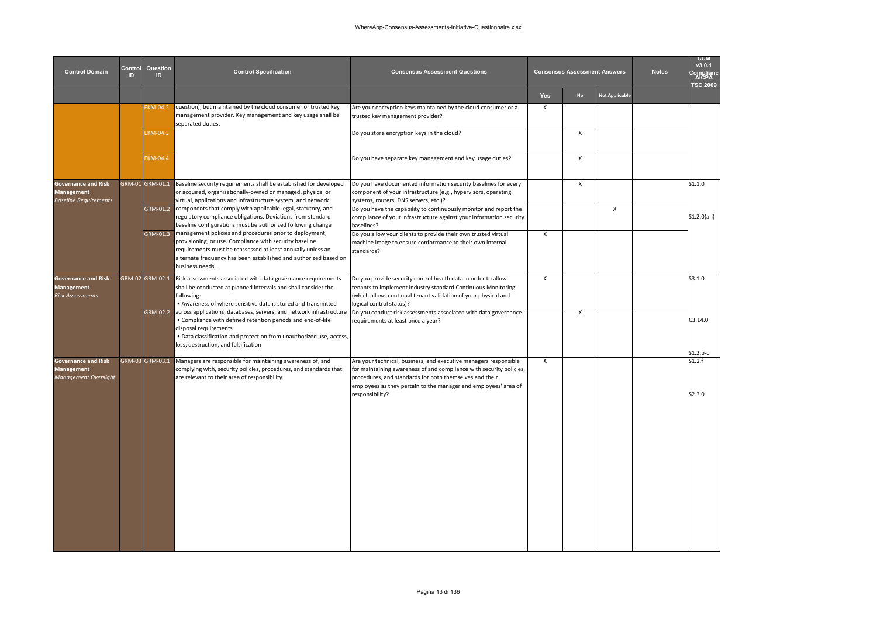| Question<br>Control<br><b>Control Domain</b><br>ID.<br>ID                |  |                 | <b>Control Specification</b>                                                                                                                                                                                                                                               | <b>Consensus Assessment Questions</b>                                                                                                                                                                                       |              | <b>Consensus Assessment Answers</b> |                       | <b>Notes</b> | <b>CCM</b><br>v3.0.1<br><b>AICPA</b><br><b>TSC 2009</b> |
|--------------------------------------------------------------------------|--|-----------------|----------------------------------------------------------------------------------------------------------------------------------------------------------------------------------------------------------------------------------------------------------------------------|-----------------------------------------------------------------------------------------------------------------------------------------------------------------------------------------------------------------------------|--------------|-------------------------------------|-----------------------|--------------|---------------------------------------------------------|
|                                                                          |  |                 |                                                                                                                                                                                                                                                                            |                                                                                                                                                                                                                             | Yes          | <b>No</b>                           | <b>Not Applicable</b> |              |                                                         |
|                                                                          |  | EKM-04.2        | question), but maintained by the cloud consumer or trusted key<br>management provider. Key management and key usage shall be<br>separated duties.                                                                                                                          | Are your encryption keys maintained by the cloud consumer or a<br>trusted key management provider?                                                                                                                          | X            |                                     |                       |              |                                                         |
|                                                                          |  | EKM-04.3        |                                                                                                                                                                                                                                                                            | Do you store encryption keys in the cloud?                                                                                                                                                                                  |              | X                                   |                       |              |                                                         |
|                                                                          |  | EKM-04.4        |                                                                                                                                                                                                                                                                            | Do you have separate key management and key usage duties?                                                                                                                                                                   |              | $\boldsymbol{\mathsf{x}}$           |                       |              |                                                         |
| <b>Governance and Risk</b><br>Management<br><b>Baseline Requirements</b> |  | GRM-01 GRM-01.1 | Baseline security requirements shall be established for developed<br>or acquired, organizationally-owned or managed, physical or<br>virtual, applications and infrastructure system, and network                                                                           | Do you have documented information security baselines for every<br>component of your infrastructure (e.g., hypervisors, operating<br>systems, routers, DNS servers, etc.)?                                                  |              | $\pmb{\chi}$                        |                       |              | S1.1.0                                                  |
|                                                                          |  |                 | GRM-01.2 components that comply with applicable legal, statutory, and<br>regulatory compliance obligations. Deviations from standard<br>baseline configurations must be authorized following change                                                                        | Do you have the capability to continuously monitor and report the<br>compliance of your infrastructure against your information security<br>baselines?                                                                      |              |                                     | $\mathsf{X}$          |              | $S1.2.0(a-i)$                                           |
|                                                                          |  | GRM-01.3        | management policies and procedures prior to deployment,<br>provisioning, or use. Compliance with security baseline<br>requirements must be reassessed at least annually unless an<br>alternate frequency has been established and authorized based on<br>business needs.   | Do you allow your clients to provide their own trusted virtual<br>machine image to ensure conformance to their own internal<br>standards?                                                                                   | X            |                                     |                       |              |                                                         |
| <b>Governance and Risk</b><br>Management<br><b>Risk Assessments</b>      |  | GRM-02 GRM-02.1 | Risk assessments associated with data governance requirements<br>shall be conducted at planned intervals and shall consider the<br>following:<br>• Awareness of where sensitive data is stored and transmitted                                                             | Do you provide security control health data in order to allow<br>tenants to implement industry standard Continuous Monitoring<br>(which allows continual tenant validation of your physical and<br>logical control status)? | $\mathsf{x}$ |                                     |                       |              | S3.1.0                                                  |
|                                                                          |  | GRM-02.2        | across applications, databases, servers, and network infrastructure<br>• Compliance with defined retention periods and end-of-life<br>disposal requirements<br>. Data classification and protection from unauthorized use, access,<br>loss, destruction, and falsification | Do you conduct risk assessments associated with data governance<br>requirements at least once a year?                                                                                                                       |              | X                                   |                       |              | C3.14.0                                                 |
| <b>Governance and Risk</b>                                               |  | GRM-03 GRM-03.1 | Managers are responsible for maintaining awareness of, and                                                                                                                                                                                                                 | Are your technical, business, and executive managers responsible                                                                                                                                                            | X            |                                     |                       |              | $S1.2.b-c$<br>51.2.f                                    |
| <b>Management</b><br>Management Oversight                                |  |                 | complying with, security policies, procedures, and standards that<br>are relevant to their area of responsibility.                                                                                                                                                         | for maintaining awareness of and compliance with security policies,<br>procedures, and standards for both themselves and their<br>employees as they pertain to the manager and employees' area of<br>responsibility?        |              |                                     |                       |              | S2.3.0                                                  |
|                                                                          |  |                 |                                                                                                                                                                                                                                                                            |                                                                                                                                                                                                                             |              |                                     |                       |              |                                                         |
|                                                                          |  |                 |                                                                                                                                                                                                                                                                            |                                                                                                                                                                                                                             |              |                                     |                       |              |                                                         |
|                                                                          |  |                 |                                                                                                                                                                                                                                                                            |                                                                                                                                                                                                                             |              |                                     |                       |              |                                                         |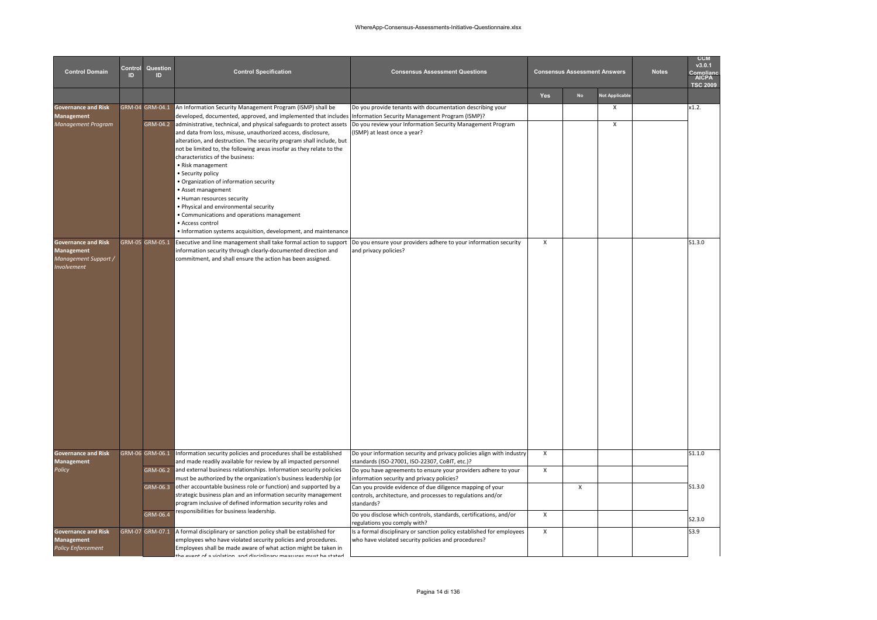| <b>Control Domain</b>                                                                  | Control<br>ID | Question<br>ID.                           | <b>Control Specification</b>                                                                                                                                                                                                                                                                                                                                                                                                                                                                                                                                                                                                                                                                                                                                | <b>Consensus Assessment Questions</b>                                                                                                                                                                                                                                                                                                                                                                                                                  |                                   | <b>Consensus Assessment Answers</b> |                       | <b>Notes</b> | <b>CCM</b><br>v3.0.1<br>Compliar<br>AICPA<br><b>TSC 2009</b> |
|----------------------------------------------------------------------------------------|---------------|-------------------------------------------|-------------------------------------------------------------------------------------------------------------------------------------------------------------------------------------------------------------------------------------------------------------------------------------------------------------------------------------------------------------------------------------------------------------------------------------------------------------------------------------------------------------------------------------------------------------------------------------------------------------------------------------------------------------------------------------------------------------------------------------------------------------|--------------------------------------------------------------------------------------------------------------------------------------------------------------------------------------------------------------------------------------------------------------------------------------------------------------------------------------------------------------------------------------------------------------------------------------------------------|-----------------------------------|-------------------------------------|-----------------------|--------------|--------------------------------------------------------------|
|                                                                                        |               |                                           |                                                                                                                                                                                                                                                                                                                                                                                                                                                                                                                                                                                                                                                                                                                                                             |                                                                                                                                                                                                                                                                                                                                                                                                                                                        | Yes                               | No                                  | <b>Not Applicable</b> |              |                                                              |
| <b>Governance and Risk</b><br><b>Management</b><br>Management Program                  |               | GRM-04 GRM-04.1<br>GRM-04.2               | An Information Security Management Program (ISMP) shall be<br>developed, documented, approved, and implemented that includes Information Security Management Program (ISMP)?<br>administrative, technical, and physical safeguards to protect assets<br>and data from loss, misuse, unauthorized access, disclosure,<br>alteration, and destruction. The security program shall include, but<br>not be limited to, the following areas insofar as they relate to the<br>characteristics of the business:<br>• Risk management<br>· Security policy<br>· Organization of information security<br>• Asset management<br>• Human resources security<br>. Physical and environmental security<br>· Communications and operations management<br>· Access control | Do you provide tenants with documentation describing your<br>Do you review your Information Security Management Program<br>(ISMP) at least once a year?                                                                                                                                                                                                                                                                                                |                                   |                                     | X<br>X                |              | x1.2.                                                        |
| <b>Governance and Risk</b><br><b>Management</b><br>Management Support /<br>Involvement |               | GRM-05 GRM-05.1                           | • Information systems acquisition, development, and maintenance<br>Executive and line management shall take formal action to support  Do you ensure your providers adhere to your information security<br>information security through clearly-documented direction and<br>commitment, and shall ensure the action has been assigned.                                                                                                                                                                                                                                                                                                                                                                                                                       | and privacy policies?                                                                                                                                                                                                                                                                                                                                                                                                                                  | $\mathsf{x}$                      |                                     |                       |              | S1.3.0                                                       |
| <b>Governance and Risk</b><br><b>Management</b><br>Policy                              |               | GRM-06 GRM-06.1<br>$GRM-06.3$<br>GRM-06.4 | Information security policies and procedures shall be established<br>and made readily available for review by all impacted personnel<br>GRM-06.2 and external business relationships. Information security policies<br>must be authorized by the organization's business leadership (or<br>other accountable business role or function) and supported by a<br>strategic business plan and an information security management<br>program inclusive of defined information security roles and<br>responsibilities for business leadership.                                                                                                                                                                                                                    | Do your information security and privacy policies align with industry<br>standards (ISO-27001, ISO-22307, CoBIT, etc.)?<br>Do you have agreements to ensure your providers adhere to your<br>information security and privacy policies?<br>Can you provide evidence of due diligence mapping of your<br>controls, architecture, and processes to regulations and/or<br>standards?<br>Do you disclose which controls, standards, certifications, and/or | $\pmb{\chi}$<br>$\pmb{\chi}$<br>X | $\pmb{\times}$                      |                       |              | S1.1.0<br>S1.3.0                                             |
| <b>Governance and Risk</b><br>Management<br><b>Policy Enforcement</b>                  |               | GRM-07 GRM-07.1                           | A formal disciplinary or sanction policy shall be established for<br>employees who have violated security policies and procedures.<br>Employees shall be made aware of what action might be taken in<br>ha avant of a violation and diccinlinary maacurac muct ha ctatad                                                                                                                                                                                                                                                                                                                                                                                                                                                                                    | regulations you comply with?<br>Is a formal disciplinary or sanction policy established for employees<br>who have violated security policies and procedures?                                                                                                                                                                                                                                                                                           | $\mathsf{x}$                      |                                     |                       |              | S2.3.0<br>S3.9                                               |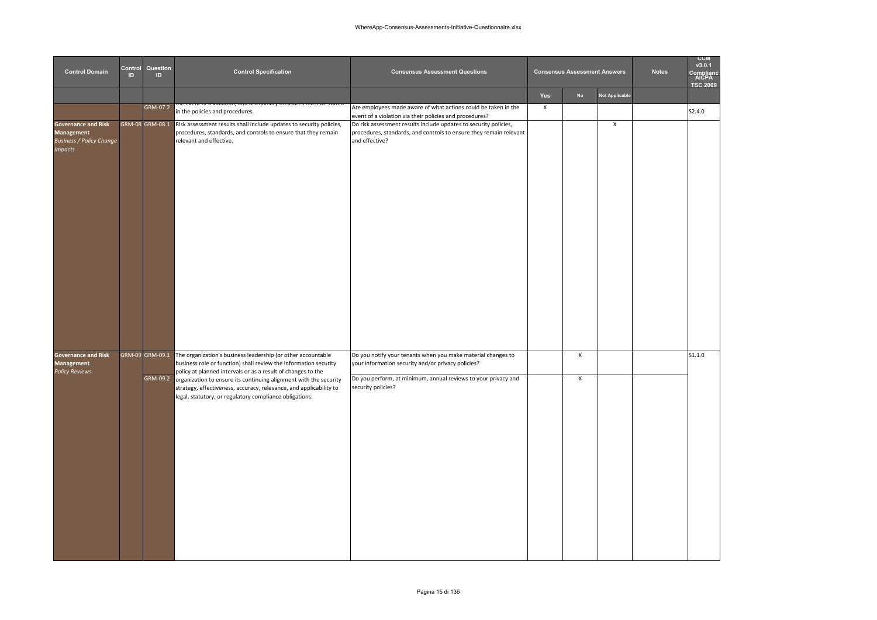| <b>Control Domain</b>                                                                         | Control<br>ID | Question<br>ID. | <b>Control Specification</b>                                                                                                                                                                                                                                                                                                                                                                                           | <b>Consensus Assessment Questions</b>                                                                                                                                                                      |              | <b>Consensus Assessment Answers</b> |                       | <b>Notes</b> | <b>CCM</b><br>v3.0.1<br>nmnlian<br>AICPA<br><b>TSC 2009</b> |
|-----------------------------------------------------------------------------------------------|---------------|-----------------|------------------------------------------------------------------------------------------------------------------------------------------------------------------------------------------------------------------------------------------------------------------------------------------------------------------------------------------------------------------------------------------------------------------------|------------------------------------------------------------------------------------------------------------------------------------------------------------------------------------------------------------|--------------|-------------------------------------|-----------------------|--------------|-------------------------------------------------------------|
|                                                                                               |               |                 |                                                                                                                                                                                                                                                                                                                                                                                                                        |                                                                                                                                                                                                            | Yes          | No                                  | <b>Not Applicable</b> |              |                                                             |
|                                                                                               |               | GRM-07.2        | in the policies and procedures.                                                                                                                                                                                                                                                                                                                                                                                        | Are employees made aware of what actions could be taken in the<br>event of a violation via their policies and procedures?                                                                                  | $\mathsf{x}$ |                                     |                       |              | \$2.4.0                                                     |
| <b>Governance and Risk</b><br>Management<br><b>Business / Policy Change</b><br><b>Impacts</b> |               | GRM-08 GRM-08.1 | Risk assessment results shall include updates to security policies,<br>procedures, standards, and controls to ensure that they remain<br>relevant and effective.                                                                                                                                                                                                                                                       | Do risk assessment results include updates to security policies,<br>procedures, standards, and controls to ensure they remain relevant<br>and effective?                                                   |              |                                     | X                     |              |                                                             |
| Governance and Risk<br><b>Management</b><br><b>Policy Reviews</b>                             |               | GRM-09.2        | GRM-09 GRM-09.1 The organization's business leadership (or other accountable<br>business role or function) shall review the information security<br>policy at planned intervals or as a result of changes to the<br>organization to ensure its continuing alignment with the security<br>strategy, effectiveness, accuracy, relevance, and applicability to<br>legal, statutory, or regulatory compliance obligations. | Do you notify your tenants when you make material changes to<br>your information security and/or privacy policies?<br>Do you perform, at minimum, annual reviews to your privacy and<br>security policies? |              | X<br>$\pmb{\times}$                 |                       |              | S1.1.0                                                      |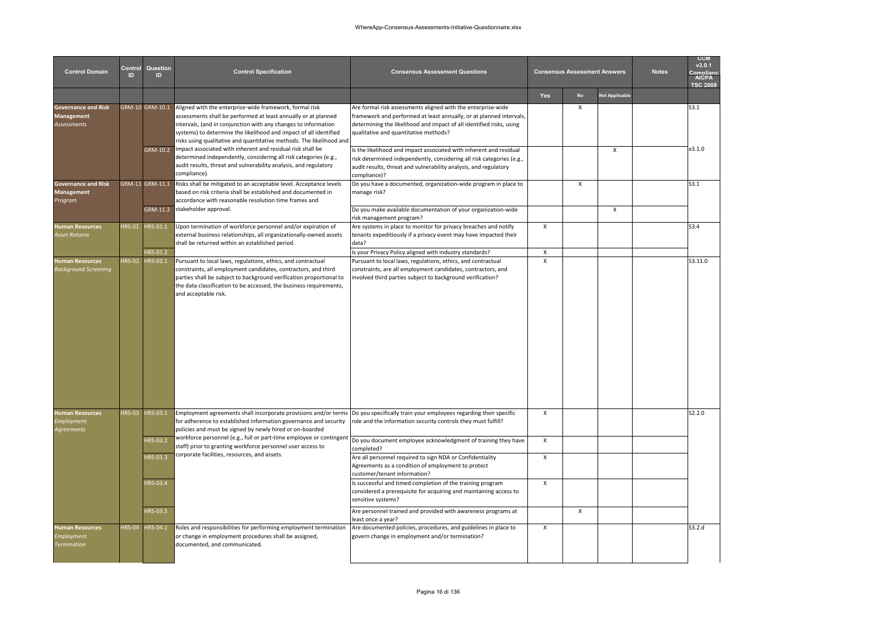| <b>Control Domain</b>                                      | Control<br>m  | Question<br>ID  | <b>Control Specification</b>                                                                                                                                                                                                                                                                                                             | <b>Consensus Assessment Questions</b>                                                                                                                                                                                                                |                | <b>Consensus Assessment Answers</b> |                       | <b>Notes</b> | <b>CCM</b><br>v3.0.1<br>Complian<br>AICPA<br><b>TSC 2009</b> |
|------------------------------------------------------------|---------------|-----------------|------------------------------------------------------------------------------------------------------------------------------------------------------------------------------------------------------------------------------------------------------------------------------------------------------------------------------------------|------------------------------------------------------------------------------------------------------------------------------------------------------------------------------------------------------------------------------------------------------|----------------|-------------------------------------|-----------------------|--------------|--------------------------------------------------------------|
|                                                            |               |                 |                                                                                                                                                                                                                                                                                                                                          |                                                                                                                                                                                                                                                      | <b>Yes</b>     | <b>No</b>                           | <b>Not Applicable</b> |              |                                                              |
| <b>Governance and Risk</b><br>Management<br>Assessments    |               | GRM-10 GRM-10.1 | Aligned with the enterprise-wide framework, formal risk<br>assessments shall be performed at least annually or at planned<br>intervals, (and in conjunction with any changes to information<br>systems) to determine the likelihood and impact of all identified<br>risks using qualitative and quantitative methods. The likelihood and | Are formal risk assessments aligned with the enterprise-wide<br>framework and performed at least annually, or at planned intervals,<br>determining the likelihood and impact of all identified risks, using<br>qualitative and quantitative methods? |                | X                                   |                       |              | S3.1                                                         |
|                                                            |               | GRM-10.2        | impact associated with inherent and residual risk shall be<br>determined independently, considering all risk categories (e.g.,<br>audit results, threat and vulnerability analysis, and regulatory<br>compliance).                                                                                                                       | Is the likelihood and impact associated with inherent and residual<br>risk determined independently, considering all risk categories (e.g.,<br>audit results, threat and vulnerability analysis, and regulatory<br>compliance)?                      |                |                                     | X                     |              | x3.1.0                                                       |
| <b>Governance and Risk</b><br>Management<br>Program        |               | GRM-11 GRM-11.1 | Risks shall be mitigated to an acceptable level. Acceptance levels<br>based on risk criteria shall be established and documented in<br>accordance with reasonable resolution time frames and                                                                                                                                             | Do you have a documented, organization-wide program in place to<br>manage risk?                                                                                                                                                                      |                | $\mathsf{x}$                        |                       |              | S3.1                                                         |
|                                                            |               |                 | GRM-11.2 stakeholder approval.                                                                                                                                                                                                                                                                                                           | Do you make available documentation of your organization-wide<br>risk management program?                                                                                                                                                            |                |                                     | X                     |              |                                                              |
| <b>Human Resources</b><br>Asset Returns                    | <b>HRS-01</b> | HRS-01.1        | Upon termination of workforce personnel and/or expiration of<br>external business relationships, all organizationally-owned assets<br>shall be returned within an established period.                                                                                                                                                    | Are systems in place to monitor for privacy breaches and notify<br>tenants expeditiously if a privacy event may have impacted their<br>data?                                                                                                         | X              |                                     |                       |              | S3.4                                                         |
|                                                            |               | HRS-01.2        |                                                                                                                                                                                                                                                                                                                                          | Is your Privacy Policy aligned with industry standards?                                                                                                                                                                                              | X              |                                     |                       |              |                                                              |
| <b>Human Resources</b><br>Background Screening             | <b>HRS-02</b> | HRS-02.1        | Pursuant to local laws, regulations, ethics, and contractual<br>constraints, all employment candidates, contractors, and third<br>parties shall be subject to background verification proportional to<br>the data classification to be accessed, the business requirements,<br>and acceptable risk.                                      | Pursuant to local laws, regulations, ethics, and contractual<br>constraints, are all employment candidates, contractors, and<br>involved third parties subject to background verification?                                                           | $\pmb{\times}$ |                                     |                       |              | S3.11.0                                                      |
| <b>Human Resources</b><br>Employment<br>Agreements         |               | HRS-03 HRS-03.1 | Employment agreements shall incorporate provisions and/or terms<br>for adherence to established information governance and security<br>policies and must be signed by newly hired or on-boarded                                                                                                                                          | Do you specifically train your employees regarding their specific<br>role and the information security controls they must fulfill?                                                                                                                   | X              |                                     |                       |              | S2.2.0                                                       |
|                                                            |               | HRS-03.2        | workforce personnel (e.g., full or part-time employee or contingent<br>staff) prior to granting workforce personnel user access to                                                                                                                                                                                                       | Do you document employee acknowledgment of training they have<br>completed?                                                                                                                                                                          | X              |                                     |                       |              |                                                              |
|                                                            |               | HRS-03.3        | corporate facilities, resources, and assets.                                                                                                                                                                                                                                                                                             | Are all personnel required to sign NDA or Confidentiality<br>Agreements as a condition of employment to protect<br>customer/tenant information?                                                                                                      | $\mathsf{x}$   |                                     |                       |              |                                                              |
|                                                            |               | HRS-03.4        |                                                                                                                                                                                                                                                                                                                                          | Is successful and timed completion of the training program<br>considered a prerequisite for acquiring and maintaining access to<br>sensitive systems?                                                                                                | X              |                                     |                       |              |                                                              |
|                                                            |               | HRS-03.5        |                                                                                                                                                                                                                                                                                                                                          | Are personnel trained and provided with awareness programs at<br>east once a year?                                                                                                                                                                   |                | $\mathsf{x}$                        |                       |              |                                                              |
| <b>Human Resources</b><br>Employment<br><b>Termination</b> |               | HRS-04 HRS-04.1 | Roles and responsibilities for performing employment termination<br>or change in employment procedures shall be assigned,<br>documented, and communicated.                                                                                                                                                                               | Are documented policies, procedures, and guidelines in place to<br>govern change in employment and/or termination?                                                                                                                                   | X              |                                     |                       |              | S3.2.d                                                       |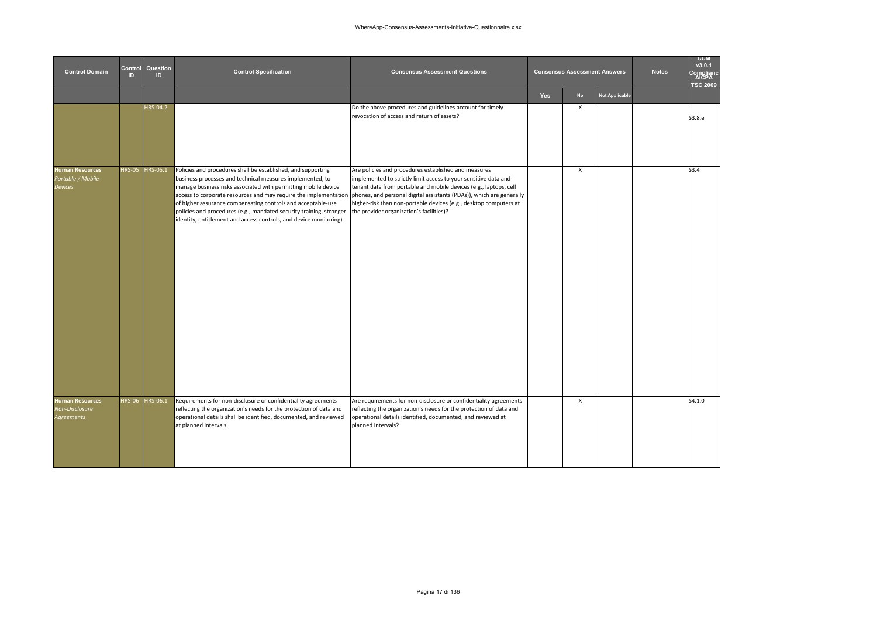| <b>Control Domain</b>                                         | Control<br>ID. | Question<br>ID  | <b>Control Specification</b>                                                                                                                                                                                                                                                                                                                                                                                                                                                 | <b>Consensus Assessment Questions</b>                                                                                                                                                                                                                                                                                                                                                 |     | <b>Consensus Assessment Answers</b> |                       | <b>Notes</b> | <b>CCM</b><br>v3.0.1<br>Compliano<br><b>AICPA</b><br><b>TSC 2009</b> |
|---------------------------------------------------------------|----------------|-----------------|------------------------------------------------------------------------------------------------------------------------------------------------------------------------------------------------------------------------------------------------------------------------------------------------------------------------------------------------------------------------------------------------------------------------------------------------------------------------------|---------------------------------------------------------------------------------------------------------------------------------------------------------------------------------------------------------------------------------------------------------------------------------------------------------------------------------------------------------------------------------------|-----|-------------------------------------|-----------------------|--------------|----------------------------------------------------------------------|
|                                                               |                |                 |                                                                                                                                                                                                                                                                                                                                                                                                                                                                              |                                                                                                                                                                                                                                                                                                                                                                                       | Yes | <b>No</b>                           | <b>Not Applicable</b> |              |                                                                      |
|                                                               |                | <b>HRS-04.2</b> |                                                                                                                                                                                                                                                                                                                                                                                                                                                                              | Do the above procedures and guidelines account for timely<br>revocation of access and return of assets?                                                                                                                                                                                                                                                                               |     | X                                   |                       |              | S3.8.e                                                               |
| <b>Human Resources</b><br>Portable / Mobile<br><b>Devices</b> | <b>HRS-05</b>  | HRS-05.1        | Policies and procedures shall be established, and supporting<br>business processes and technical measures implemented, to<br>manage business risks associated with permitting mobile device<br>access to corporate resources and may require the implementation<br>of higher assurance compensating controls and acceptable-use<br>policies and procedures (e.g., mandated security training, stronger<br>identity, entitlement and access controls, and device monitoring). | Are policies and procedures established and measures<br>implemented to strictly limit access to your sensitive data and<br>tenant data from portable and mobile devices (e.g., laptops, cell<br>phones, and personal digital assistants (PDAs)), which are generally<br>higher-risk than non-portable devices (e.g., desktop computers at<br>the provider organization's facilities)? |     | $\pmb{\chi}$                        |                       |              | S3.4                                                                 |
| <b>Human Resources</b><br>Non-Disclosure<br><b>Agreements</b> |                | HRS-06 HRS-06.1 | Requirements for non-disclosure or confidentiality agreements<br>reflecting the organization's needs for the protection of data and<br>operational details shall be identified, documented, and reviewed<br>at planned intervals.                                                                                                                                                                                                                                            | Are requirements for non-disclosure or confidentiality agreements<br>reflecting the organization's needs for the protection of data and<br>operational details identified, documented, and reviewed at<br>planned intervals?                                                                                                                                                          |     | $\mathsf{x}$                        |                       |              | S4.1.0                                                               |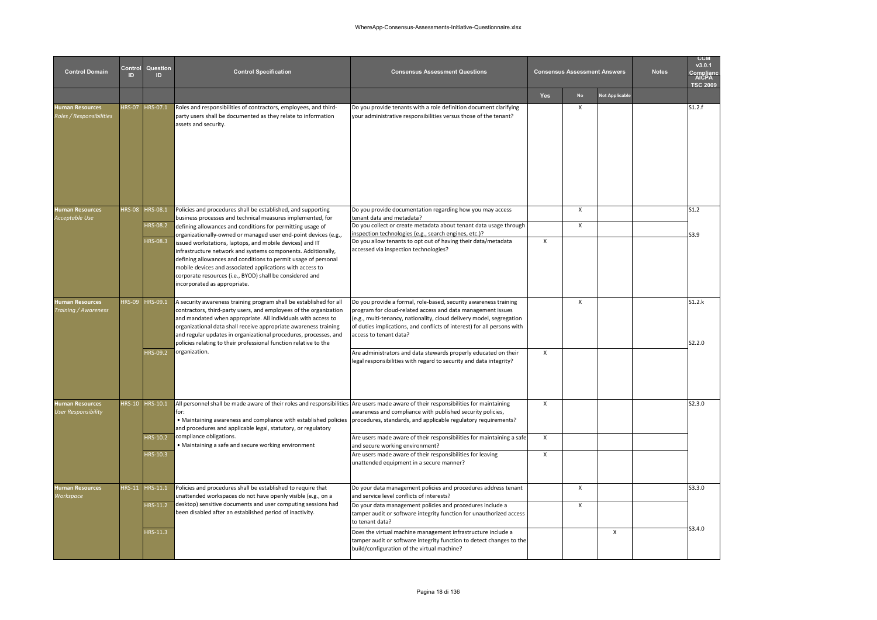| <b>Control Domain</b>                              | Control<br>ID | Question<br>ID. | <b>Control Specification</b>                                                                                                                                                                                                                                                                                                                                                                                         | <b>Consensus Assessment Questions</b>                                                                                                                                                                                                                                                                        |              | <b>Consensus Assessment Answers</b> |                | <b>Notes</b> | <b>CCM</b><br>v3.0.1<br><b>AICPA</b><br><b>TSC 2009</b> |
|----------------------------------------------------|---------------|-----------------|----------------------------------------------------------------------------------------------------------------------------------------------------------------------------------------------------------------------------------------------------------------------------------------------------------------------------------------------------------------------------------------------------------------------|--------------------------------------------------------------------------------------------------------------------------------------------------------------------------------------------------------------------------------------------------------------------------------------------------------------|--------------|-------------------------------------|----------------|--------------|---------------------------------------------------------|
|                                                    |               |                 |                                                                                                                                                                                                                                                                                                                                                                                                                      |                                                                                                                                                                                                                                                                                                              | Yes          | <b>No</b>                           | Not Applicable |              |                                                         |
| <b>Human Resources</b><br>Roles / Responsibilities | <b>HRS-07</b> | HRS-07.1        | Roles and responsibilities of contractors, employees, and third-<br>party users shall be documented as they relate to information<br>assets and security.                                                                                                                                                                                                                                                            | Do you provide tenants with a role definition document clarifying<br>your administrative responsibilities versus those of the tenant?                                                                                                                                                                        |              | Χ                                   |                |              | S1.2.f                                                  |
| <b>Human Resources</b>                             | <b>HRS-08</b> | <b>HRS-08.1</b> | Policies and procedures shall be established, and supporting                                                                                                                                                                                                                                                                                                                                                         | Do you provide documentation regarding how you may access                                                                                                                                                                                                                                                    |              | X                                   |                |              | S1.2                                                    |
| Acceptable Use                                     |               | <b>HRS-08.2</b> | pusiness processes and technical measures implemented, for<br>defining allowances and conditions for permitting usage of                                                                                                                                                                                                                                                                                             | tenant data and metadata?<br>Do you collect or create metadata about tenant data usage through                                                                                                                                                                                                               |              | X                                   |                |              |                                                         |
|                                                    |               | <b>HRS-08.3</b> | organizationally-owned or managed user end-point devices (e.g.,                                                                                                                                                                                                                                                                                                                                                      | inspection technologies (e.g., search engines, etc.)?<br>Do you allow tenants to opt out of having their data/metadata                                                                                                                                                                                       | X            |                                     |                |              | S3.9                                                    |
|                                                    |               |                 | issued workstations, laptops, and mobile devices) and IT<br>nfrastructure network and systems components. Additionally,<br>defining allowances and conditions to permit usage of personal<br>mobile devices and associated applications with access to<br>corporate resources (i.e., BYOD) shall be considered and<br>incorporated as appropriate.                                                                   | accessed via inspection technologies?                                                                                                                                                                                                                                                                        |              |                                     |                |              |                                                         |
| <b>Human Resources</b><br>Training / Awareness     | <b>IRS-09</b> | HRS-09.1        | A security awareness training program shall be established for all<br>contractors, third-party users, and employees of the organization<br>and mandated when appropriate. All individuals with access to<br>organizational data shall receive appropriate awareness training<br>and regular updates in organizational procedures, processes, and<br>policies relating to their professional function relative to the | Do you provide a formal, role-based, security awareness training<br>program for cloud-related access and data management issues<br>(e.g., multi-tenancy, nationality, cloud delivery model, segregation<br>of duties implications, and conflicts of interest) for all persons with<br>access to tenant data? |              | $\boldsymbol{\mathsf{x}}$           |                |              | S1.2.k<br>S2.2.0                                        |
|                                                    |               | HRS-09.2        | organization.                                                                                                                                                                                                                                                                                                                                                                                                        | Are administrators and data stewards properly educated on their<br>legal responsibilities with regard to security and data integrity?                                                                                                                                                                        | $\mathsf{x}$ |                                     |                |              |                                                         |
| Human Resources<br><b>User Responsibility</b>      |               | HRS-10 HRS-10.1 | All personnel shall be made aware of their roles and responsibilities<br>for:<br>. Maintaining awareness and compliance with established policies<br>and procedures and applicable legal, statutory, or regulatory                                                                                                                                                                                                   | Are users made aware of their responsibilities for maintaining<br>awareness and compliance with published security policies,<br>procedures, standards, and applicable regulatory requirements?                                                                                                               | Х            |                                     |                |              | S2.3.0                                                  |
|                                                    |               | <b>HRS-10.2</b> | compliance obligations.<br>• Maintaining a safe and secure working environment                                                                                                                                                                                                                                                                                                                                       | Are users made aware of their responsibilities for maintaining a safe<br>and secure working environment?                                                                                                                                                                                                     | X            |                                     |                |              |                                                         |
|                                                    |               | HRS-10.3        |                                                                                                                                                                                                                                                                                                                                                                                                                      | Are users made aware of their responsibilities for leaving<br>unattended equipment in a secure manner?                                                                                                                                                                                                       | X            |                                     |                |              |                                                         |
| <b>Human Resources</b><br>Workspace                | <b>HRS-11</b> | HRS-11.1        | Policies and procedures shall be established to require that<br>unattended workspaces do not have openly visible (e.g., on a                                                                                                                                                                                                                                                                                         | Do your data management policies and procedures address tenant<br>and service level conflicts of interests?                                                                                                                                                                                                  |              | X                                   |                |              | \$3.3.0                                                 |
|                                                    |               | HRS-11.2        | desktop) sensitive documents and user computing sessions had<br>been disabled after an established period of inactivity.                                                                                                                                                                                                                                                                                             | Do your data management policies and procedures include a<br>tamper audit or software integrity function for unauthorized access<br>to tenant data?                                                                                                                                                          |              | X                                   |                |              |                                                         |
|                                                    |               | HRS-11.3        |                                                                                                                                                                                                                                                                                                                                                                                                                      | Does the virtual machine management infrastructure include a<br>tamper audit or software integrity function to detect changes to the<br>build/configuration of the virtual machine?                                                                                                                          |              |                                     | X              |              | \$3.4.0                                                 |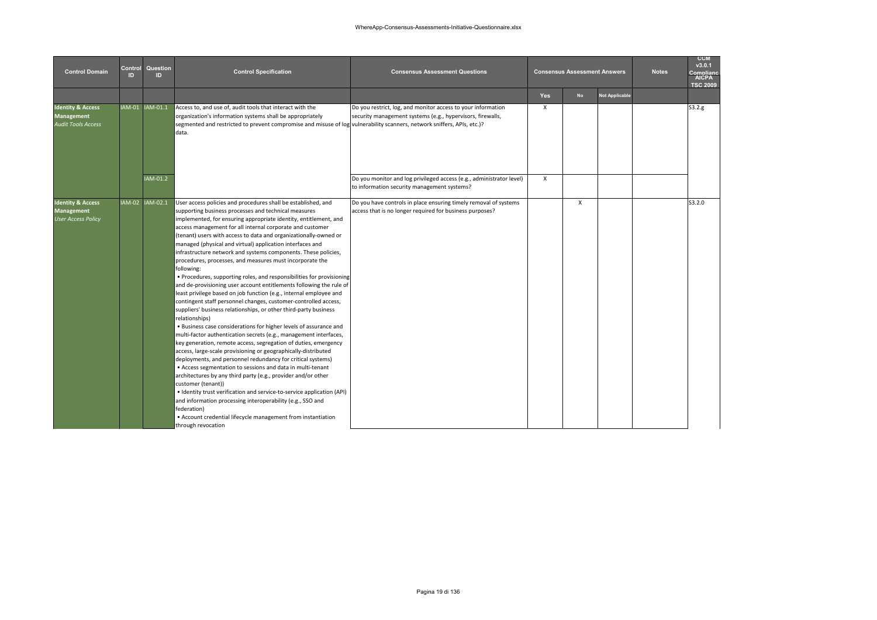| <b>Control Domain</b>                                                          | Control<br>ID. | Question<br>ID  | <b>Control Specification</b>                                                                                                                                                                                                                                                                                                                                                                                                                                                                                                                                                                                                                                                                                                                                                                                                                                                                                                                                                                                                                                                                                                                                                                                                                                                                                                                                                                                                                                                                                                                                                                                                                                       | <b>Consensus Assessment Questions</b>                                                                                        |            | <b>Consensus Assessment Answers</b> |                       | <b>Notes</b> | <b>CCM</b><br>v3.0.1<br>Compliane<br><b>AICPA</b><br><b>TSC 2009</b> |
|--------------------------------------------------------------------------------|----------------|-----------------|--------------------------------------------------------------------------------------------------------------------------------------------------------------------------------------------------------------------------------------------------------------------------------------------------------------------------------------------------------------------------------------------------------------------------------------------------------------------------------------------------------------------------------------------------------------------------------------------------------------------------------------------------------------------------------------------------------------------------------------------------------------------------------------------------------------------------------------------------------------------------------------------------------------------------------------------------------------------------------------------------------------------------------------------------------------------------------------------------------------------------------------------------------------------------------------------------------------------------------------------------------------------------------------------------------------------------------------------------------------------------------------------------------------------------------------------------------------------------------------------------------------------------------------------------------------------------------------------------------------------------------------------------------------------|------------------------------------------------------------------------------------------------------------------------------|------------|-------------------------------------|-----------------------|--------------|----------------------------------------------------------------------|
|                                                                                |                |                 |                                                                                                                                                                                                                                                                                                                                                                                                                                                                                                                                                                                                                                                                                                                                                                                                                                                                                                                                                                                                                                                                                                                                                                                                                                                                                                                                                                                                                                                                                                                                                                                                                                                                    |                                                                                                                              | <b>Yes</b> | <b>No</b>                           | <b>Not Applicable</b> |              |                                                                      |
| <b>Identity &amp; Access</b><br><b>Management</b><br><b>Audit Tools Access</b> |                | IAM-01 IAM-01.1 | Access to, and use of, audit tools that interact with the<br>organization's information systems shall be appropriately<br>segmented and restricted to prevent compromise and misuse of log vulnerability scanners, network sniffers, APIs, etc.)?<br>data.                                                                                                                                                                                                                                                                                                                                                                                                                                                                                                                                                                                                                                                                                                                                                                                                                                                                                                                                                                                                                                                                                                                                                                                                                                                                                                                                                                                                         | Do you restrict, log, and monitor access to your information<br>security management systems (e.g., hypervisors, firewalls,   | Х          |                                     |                       |              | S3.2.g                                                               |
|                                                                                |                | IAM-01.2        |                                                                                                                                                                                                                                                                                                                                                                                                                                                                                                                                                                                                                                                                                                                                                                                                                                                                                                                                                                                                                                                                                                                                                                                                                                                                                                                                                                                                                                                                                                                                                                                                                                                                    | Do you monitor and log privileged access (e.g., administrator level)<br>to information security management systems?          | X          |                                     |                       |              |                                                                      |
| <b>Identity &amp; Access</b><br><b>Management</b><br><b>User Access Policy</b> |                | IAM-02 IAM-02.1 | User access policies and procedures shall be established, and<br>supporting business processes and technical measures<br>implemented, for ensuring appropriate identity, entitlement, and<br>access management for all internal corporate and customer<br>(tenant) users with access to data and organizationally-owned or<br>managed (physical and virtual) application interfaces and<br>infrastructure network and systems components. These policies,<br>procedures, processes, and measures must incorporate the<br>following:<br>• Procedures, supporting roles, and responsibilities for provisioning<br>and de-provisioning user account entitlements following the rule of<br>least privilege based on job function (e.g., internal employee and<br>contingent staff personnel changes, customer-controlled access,<br>suppliers' business relationships, or other third-party business<br>relationships)<br>. Business case considerations for higher levels of assurance and<br>multi-factor authentication secrets (e.g., management interfaces,<br>key generation, remote access, segregation of duties, emergency<br>access, large-scale provisioning or geographically-distributed<br>deployments, and personnel redundancy for critical systems)<br>• Access segmentation to sessions and data in multi-tenant<br>architectures by any third party (e.g., provider and/or other<br>customer (tenant))<br>• Identity trust verification and service-to-service application (API)<br>and information processing interoperability (e.g., SSO and<br>federation)<br>• Account credential lifecycle management from instantiation<br>through revocation | Do you have controls in place ensuring timely removal of systems<br>access that is no longer required for business purposes? |            | $\mathsf{x}$                        |                       |              | S3.2.0                                                               |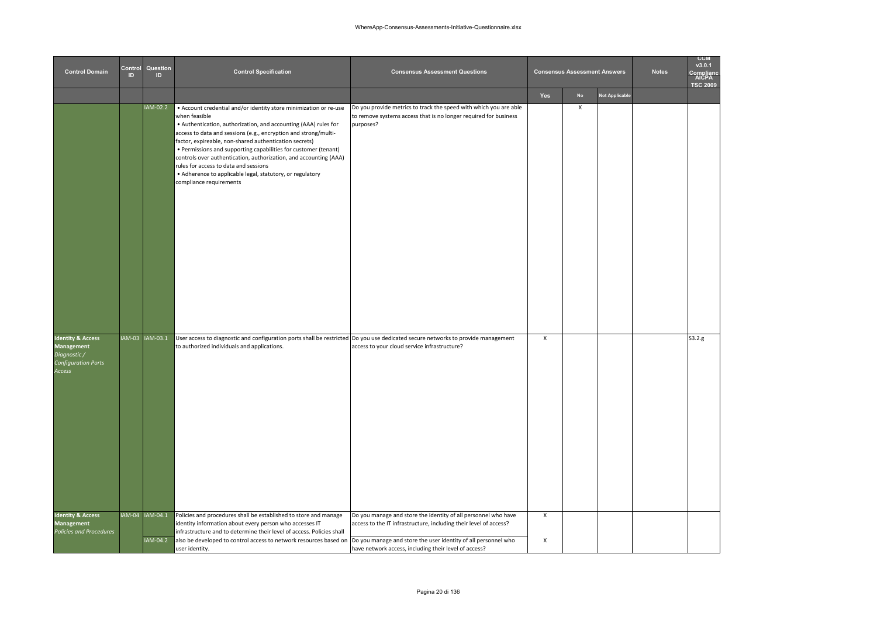| <b>Control Domain</b>                                                                       | Control<br>ID | Question<br>ID              | <b>Control Specification</b>                                                                                                                                                                                                                                                                                                                                                                                                                                                                                                                                | <b>Consensus Assessment Questions</b>                                                                                                                                                                                                                          |        | <b>Consensus Assessment Answers</b> |                       | <b>Notes</b> | <b>CCM</b><br>v3.0.1<br>Complian<br>AICPA<br><b>TSC 2009</b> |
|---------------------------------------------------------------------------------------------|---------------|-----------------------------|-------------------------------------------------------------------------------------------------------------------------------------------------------------------------------------------------------------------------------------------------------------------------------------------------------------------------------------------------------------------------------------------------------------------------------------------------------------------------------------------------------------------------------------------------------------|----------------------------------------------------------------------------------------------------------------------------------------------------------------------------------------------------------------------------------------------------------------|--------|-------------------------------------|-----------------------|--------------|--------------------------------------------------------------|
|                                                                                             |               |                             |                                                                                                                                                                                                                                                                                                                                                                                                                                                                                                                                                             |                                                                                                                                                                                                                                                                | Yes    | No                                  | <b>Not Applicable</b> |              |                                                              |
|                                                                                             |               | IAM-02.2                    | • Account credential and/or identity store minimization or re-use<br>when feasible<br>• Authentication, authorization, and accounting (AAA) rules for<br>access to data and sessions (e.g., encryption and strong/multi-<br>factor, expireable, non-shared authentication secrets)<br>• Permissions and supporting capabilities for customer (tenant)<br>controls over authentication, authorization, and accounting (AAA)<br>rules for access to data and sessions<br>• Adherence to applicable legal, statutory, or regulatory<br>compliance requirements | Do you provide metrics to track the speed with which you are able<br>to remove systems access that is no longer required for business<br>purposes?                                                                                                             |        | $\pmb{\chi}$                        |                       |              |                                                              |
| <b>Identity &amp; Access</b><br>Management<br>Diagnostic /<br>Configuration Ports<br>Access |               | IAM-03 IAM-03.1             | User access to diagnostic and configuration ports shall be restricted Do you use dedicated secure networks to provide management<br>to authorized individuals and applications.                                                                                                                                                                                                                                                                                                                                                                             | access to your cloud service infrastructure?                                                                                                                                                                                                                   | X      |                                     |                       |              | S3.2.g                                                       |
| <b>Identity &amp; Access</b><br>Management<br>Policies and Procedures                       |               | IAM-04 IAM-04.1<br>IAM-04.2 | Policies and procedures shall be established to store and manage<br>identity information about every person who accesses IT<br>infrastructure and to determine their level of access. Policies shall<br>also be developed to control access to network resources based on<br>user identitv.                                                                                                                                                                                                                                                                 | Do you manage and store the identity of all personnel who have<br>access to the IT infrastructure, including their level of access?<br>Do you manage and store the user identity of all personnel who<br>have network access, including their level of access? | X<br>X |                                     |                       |              |                                                              |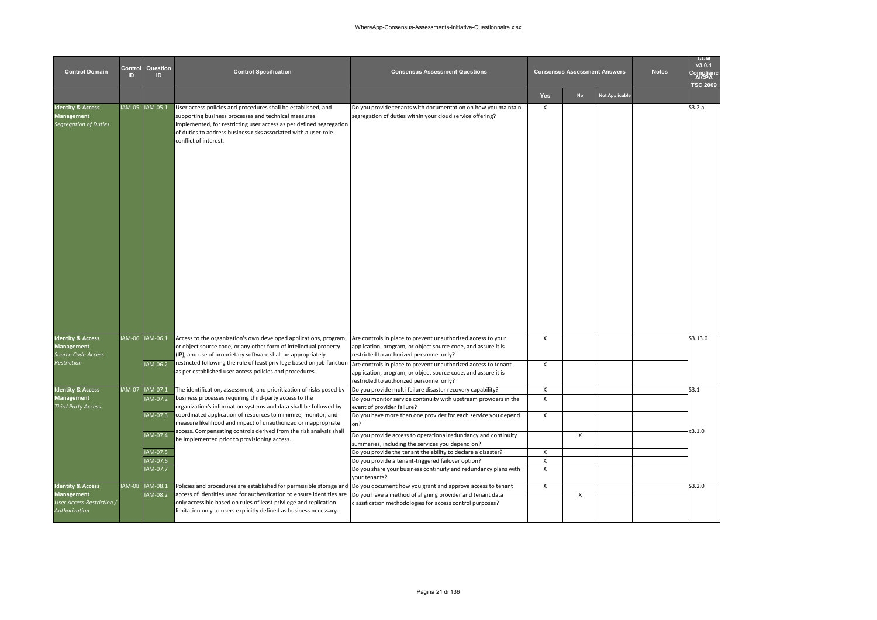| <b>Control Domain</b>                                                                  | Control<br>ID | Question<br>ID       | <b>Control Specification</b>                                                                                                                                                                                                                                                                                                                    | <b>Consensus Assessment Questions</b>                                                                                                                                     |                              | <b>Consensus Assessment Answers</b> |                       | <b>Notes</b> | <b>CCM</b><br>v3.0.1<br>nmnlian<br>AICPA<br><b>TSC 2009</b> |
|----------------------------------------------------------------------------------------|---------------|----------------------|-------------------------------------------------------------------------------------------------------------------------------------------------------------------------------------------------------------------------------------------------------------------------------------------------------------------------------------------------|---------------------------------------------------------------------------------------------------------------------------------------------------------------------------|------------------------------|-------------------------------------|-----------------------|--------------|-------------------------------------------------------------|
|                                                                                        |               |                      |                                                                                                                                                                                                                                                                                                                                                 |                                                                                                                                                                           | Yes                          | <b>No</b>                           | <b>Not Applicable</b> |              |                                                             |
| <b>Identity &amp; Access</b><br><b>Management</b><br><b>Segregation of Duties</b>      |               | IAM-05 IAM-05.1      | User access policies and procedures shall be established, and<br>supporting business processes and technical measures<br>implemented, for restricting user access as per defined segregation<br>of duties to address business risks associated with a user-role<br>conflict of interest.                                                        | Do you provide tenants with documentation on how you maintain<br>segregation of duties within your cloud service offering?                                                | $\boldsymbol{\mathsf{x}}$    |                                     |                       |              | S3.2.a                                                      |
| <b>Identity &amp; Access</b><br><b>Management</b><br>Source Code Access<br>Restriction |               | IAM-06 IAM-06.1      | Access to the organization's own developed applications, program,<br>or object source code, or any other form of intellectual property<br>(IP), and use of proprietary software shall be appropriately<br>restricted following the rule of least privilege based on job function Are controls in place to prevent unauthorized access to tenant | Are controls in place to prevent unauthorized access to your<br>application, program, or object source code, and assure it is<br>restricted to authorized personnel only? | $\mathsf{x}$                 |                                     |                       |              | S3.13.0                                                     |
|                                                                                        |               | IAM-06.2             | as per established user access policies and procedures.                                                                                                                                                                                                                                                                                         | application, program, or object source code, and assure it is<br>restricted to authorized personnel only?                                                                 | $\boldsymbol{\mathsf{x}}$    |                                     |                       |              |                                                             |
| <b>Identity &amp; Access</b>                                                           |               | IAM-07 IAM-07.1      | The identification, assessment, and prioritization of risks posed by                                                                                                                                                                                                                                                                            | Do you provide multi-failure disaster recovery capability?                                                                                                                | X                            |                                     |                       |              | S3.1                                                        |
| <b>Management</b><br><b>Third Party Access</b>                                         |               | IAM-07.2             | business processes requiring third-party access to the<br>organization's information systems and data shall be followed by                                                                                                                                                                                                                      | Do you monitor service continuity with upstream providers in the<br>event of provider failure?                                                                            | $\mathsf{x}$                 |                                     |                       |              |                                                             |
|                                                                                        |               | IAM-07.3             | coordinated application of resources to minimize, monitor, and<br>measure likelihood and impact of unauthorized or inappropriate                                                                                                                                                                                                                | Do you have more than one provider for each service you depend<br>on?                                                                                                     | $\boldsymbol{\mathsf{x}}$    |                                     |                       |              | x3.1.0                                                      |
|                                                                                        |               | IAM-07.4             | access. Compensating controls derived from the risk analysis shall<br>be implemented prior to provisioning access.                                                                                                                                                                                                                              | Do you provide access to operational redundancy and continuity<br>summaries, including the services you depend on?                                                        |                              | $\mathsf{x}$                        |                       |              |                                                             |
|                                                                                        |               | IAM-07.5             |                                                                                                                                                                                                                                                                                                                                                 | Do you provide the tenant the ability to declare a disaster?                                                                                                              | $\mathsf{x}$                 |                                     |                       |              |                                                             |
|                                                                                        |               | IAM-07.6<br>IAM-07.7 |                                                                                                                                                                                                                                                                                                                                                 | Do you provide a tenant-triggered failover option?<br>Do you share your business continuity and redundancy plans with<br>your tenants?                                    | $\pmb{\chi}$<br>$\mathsf{x}$ |                                     |                       |              |                                                             |
| <b>Identity &amp; Access</b>                                                           |               | IAM-08 IAM-08.1      | Policies and procedures are established for permissible storage and Do you document how you grant and approve access to tenant                                                                                                                                                                                                                  |                                                                                                                                                                           | $\pmb{\chi}$                 |                                     |                       |              | S3.2.0                                                      |
| <b>Management</b><br><b>User Access Restriction /</b><br>Authorization                 |               | IAM-08.2             | access of identities used for authentication to ensure identities are<br>only accessible based on rules of least privilege and replication<br>limitation only to users explicitly defined as business necessary.                                                                                                                                | Do you have a method of aligning provider and tenant data<br>classification methodologies for access control purposes?                                                    |                              | $\mathsf{x}$                        |                       |              |                                                             |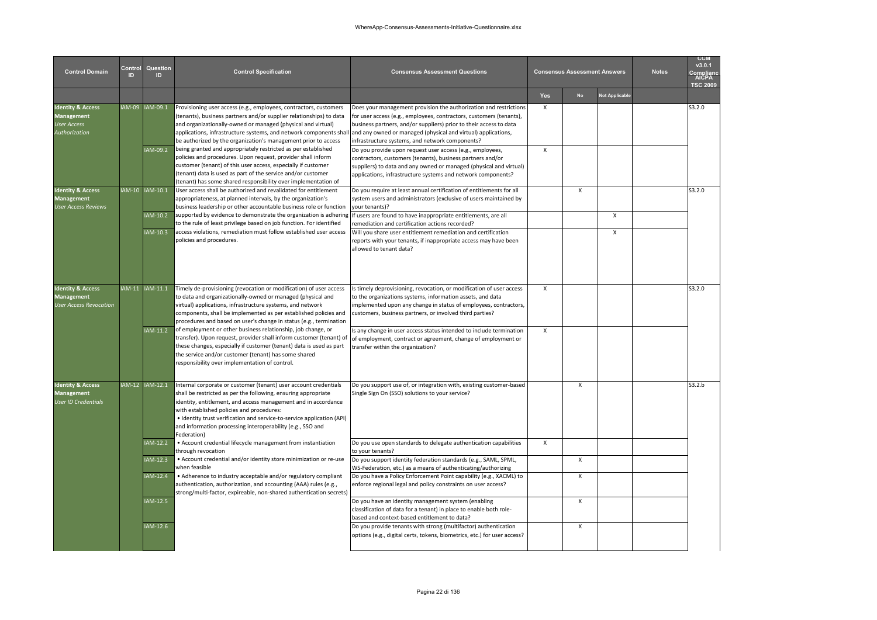| <b>Control Domain</b>                                                                           | Control<br>ID | Question<br>ID              | <b>Control Specification</b>                                                                                                                                                                                                                                                                                                                                                                                      | <b>Consensus Assessment Questions</b>                                                                                                                                                                                                                                                                                                                                                           |                              | <b>Consensus Assessment Answers</b> |                | <b>Notes</b> | <b>CCM</b><br>v3.0.1<br><b>AICPA</b><br><b>TSC 2009</b> |
|-------------------------------------------------------------------------------------------------|---------------|-----------------------------|-------------------------------------------------------------------------------------------------------------------------------------------------------------------------------------------------------------------------------------------------------------------------------------------------------------------------------------------------------------------------------------------------------------------|-------------------------------------------------------------------------------------------------------------------------------------------------------------------------------------------------------------------------------------------------------------------------------------------------------------------------------------------------------------------------------------------------|------------------------------|-------------------------------------|----------------|--------------|---------------------------------------------------------|
|                                                                                                 |               |                             |                                                                                                                                                                                                                                                                                                                                                                                                                   |                                                                                                                                                                                                                                                                                                                                                                                                 | Yes                          | <b>No</b>                           | Not Applicable |              |                                                         |
| <b>Identity &amp; Access</b><br><b>Management</b><br><b>Jser Access</b><br><b>Authorization</b> |               | IAM-09 IAM-09.1<br>IAM-09.2 | Provisioning user access (e.g., employees, contractors, customers<br>(tenants), business partners and/or supplier relationships) to data<br>and organizationally-owned or managed (physical and virtual)<br>applications, infrastructure systems, and network components shall<br>be authorized by the organization's management prior to access<br>being granted and appropriately restricted as per established | Does your management provision the authorization and restrictions<br>for user access (e.g., employees, contractors, customers (tenants),<br>business partners, and/or suppliers) prior to their access to data<br>and any owned or managed (physical and virtual) applications,<br>infrastructure systems, and network components?<br>Do you provide upon request user access (e.g., employees, | $\mathsf{x}$<br>$\mathsf{x}$ |                                     |                |              | S3.2.0                                                  |
|                                                                                                 |               |                             | policies and procedures. Upon request, provider shall inform<br>customer (tenant) of this user access, especially if customer<br>(tenant) data is used as part of the service and/or customer<br>(tenant) has some shared responsibility over implementation of                                                                                                                                                   | contractors, customers (tenants), business partners and/or<br>suppliers) to data and any owned or managed (physical and virtual)<br>applications, infrastructure systems and network components?                                                                                                                                                                                                |                              |                                     |                |              |                                                         |
| <b>Identity &amp; Access</b><br><b>Management</b><br>User Access Reviews                        |               | IAM-10 IAM-10.1             | User access shall be authorized and revalidated for entitlement<br>appropriateness, at planned intervals, by the organization's<br>business leadership or other accountable business role or function                                                                                                                                                                                                             | Do you require at least annual certification of entitlements for all<br>system users and administrators (exclusive of users maintained by<br>your tenants)?                                                                                                                                                                                                                                     |                              | $\mathsf{x}$                        |                |              | S3.2.0                                                  |
|                                                                                                 |               | IAM-10.2                    | supported by evidence to demonstrate the organization is adhering<br>to the rule of least privilege based on job function. For identified                                                                                                                                                                                                                                                                         | If users are found to have inappropriate entitlements, are all<br>remediation and certification actions recorded?                                                                                                                                                                                                                                                                               |                              |                                     | $\mathsf{x}$   |              |                                                         |
|                                                                                                 |               | IAM-10.3                    | access violations, remediation must follow established user access<br>policies and procedures.                                                                                                                                                                                                                                                                                                                    | Will you share user entitlement remediation and certification<br>eports with your tenants, if inappropriate access may have been<br>allowed to tenant data?                                                                                                                                                                                                                                     |                              |                                     | $\mathsf{x}$   |              |                                                         |
| <b>Identity &amp; Access</b><br><b>Management</b><br><b>User Access Revocation</b>              |               | AM-11 IAM-11.1              | Timely de-provisioning (revocation or modification) of user access<br>to data and organizationally-owned or managed (physical and<br>virtual) applications, infrastructure systems, and network<br>components, shall be implemented as per established policies and<br>procedures and based on user's change in status (e.g., termination                                                                         | Is timely deprovisioning, revocation, or modification of user access<br>to the organizations systems, information assets, and data<br>implemented upon any change in status of employees, contractors,<br>customers, business partners, or involved third parties?                                                                                                                              | $\mathsf{x}$                 |                                     |                |              | S3.2.0                                                  |
|                                                                                                 |               | IAM-11.2                    | of employment or other business relationship, job change, or<br>transfer). Upon request, provider shall inform customer (tenant) of<br>these changes, especially if customer (tenant) data is used as part<br>the service and/or customer (tenant) has some shared<br>responsibility over implementation of control.                                                                                              | Is any change in user access status intended to include termination<br>of employment, contract or agreement, change of employment or<br>transfer within the organization?                                                                                                                                                                                                                       | $\mathsf{x}$                 |                                     |                |              |                                                         |
| <b>Identity &amp; Access</b><br><b>Management</b><br><b>Jser ID Credentials</b>                 |               | IAM-12 IAM-12.1             | Internal corporate or customer (tenant) user account credentials<br>shall be restricted as per the following, ensuring appropriate<br>identity, entitlement, and access management and in accordance<br>with established policies and procedures:<br>• Identity trust verification and service-to-service application (API)<br>and information processing interoperability (e.g., SSO and<br>Federation)          | Do you support use of, or integration with, existing customer-based<br>Single Sign On (SSO) solutions to your service?                                                                                                                                                                                                                                                                          |                              | X                                   |                |              | S3.2.b                                                  |
|                                                                                                 |               | IAM-12.2                    | • Account credential lifecycle management from instantiation<br>through revocation                                                                                                                                                                                                                                                                                                                                | Do you use open standards to delegate authentication capabilities<br>to your tenants?                                                                                                                                                                                                                                                                                                           | X                            |                                     |                |              |                                                         |
|                                                                                                 |               | IAM-12.3                    | • Account credential and/or identity store minimization or re-use<br>when feasible                                                                                                                                                                                                                                                                                                                                | Do you support identity federation standards (e.g., SAML, SPML,<br>WS-Federation, etc.) as a means of authenticating/authorizing                                                                                                                                                                                                                                                                |                              | X                                   |                |              |                                                         |
|                                                                                                 |               | IAM-12.4                    | • Adherence to industry acceptable and/or regulatory compliant<br>authentication, authorization, and accounting (AAA) rules (e.g.,<br>strong/multi-factor, expireable, non-shared authentication secrets)                                                                                                                                                                                                         | Do you have a Policy Enforcement Point capability (e.g., XACML) to<br>enforce regional legal and policy constraints on user access?                                                                                                                                                                                                                                                             |                              | x                                   |                |              |                                                         |
|                                                                                                 |               | IAM-12.5                    |                                                                                                                                                                                                                                                                                                                                                                                                                   | Do you have an identity management system (enabling<br>classification of data for a tenant) in place to enable both role-<br>based and context-based entitlement to data?                                                                                                                                                                                                                       |                              | x                                   |                |              |                                                         |
|                                                                                                 |               | IAM-12.6                    |                                                                                                                                                                                                                                                                                                                                                                                                                   | Do you provide tenants with strong (multifactor) authentication<br>options (e.g., digital certs, tokens, biometrics, etc.) for user access?                                                                                                                                                                                                                                                     |                              | x                                   |                |              |                                                         |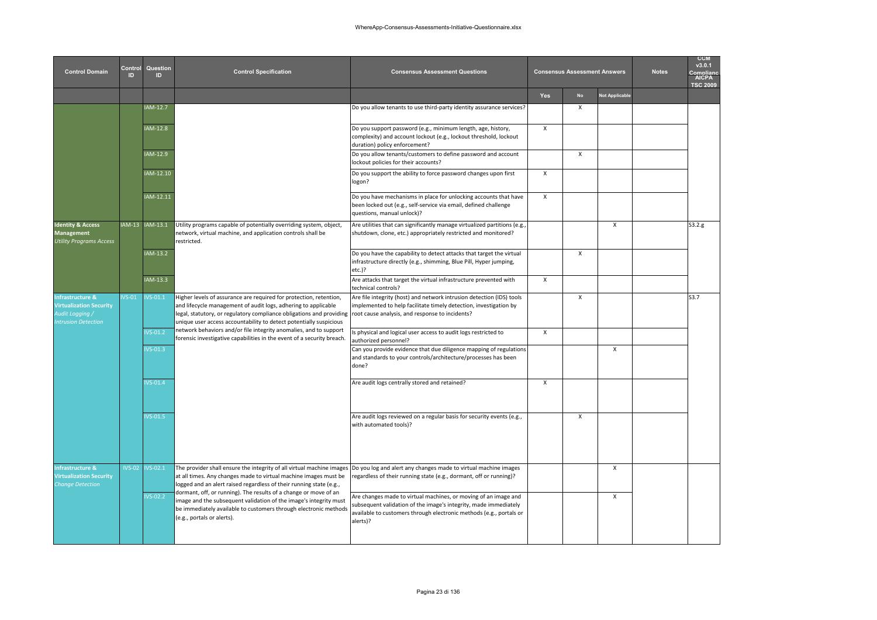| <b>Control Domain</b>                                                                                  | Control<br>ID. | Question<br>$\mathbf{D}$ | <b>Control Specification</b>                                                                                                                                                                                                                                                       | <b>Consensus Assessment Questions</b>                                                                                                                                                                                  |                           | <b>Consensus Assessment Answers</b> |                | <b>Notes</b> | <b>CCM</b><br>v3.0.1<br><b>AICPA</b><br><b>TSC 2009</b> |
|--------------------------------------------------------------------------------------------------------|----------------|--------------------------|------------------------------------------------------------------------------------------------------------------------------------------------------------------------------------------------------------------------------------------------------------------------------------|------------------------------------------------------------------------------------------------------------------------------------------------------------------------------------------------------------------------|---------------------------|-------------------------------------|----------------|--------------|---------------------------------------------------------|
|                                                                                                        |                |                          |                                                                                                                                                                                                                                                                                    |                                                                                                                                                                                                                        | Yes                       | No                                  | Not Applicable |              |                                                         |
|                                                                                                        |                | IAM-12.7                 |                                                                                                                                                                                                                                                                                    | Do you allow tenants to use third-party identity assurance services?                                                                                                                                                   |                           | $\boldsymbol{\mathsf{x}}$           |                |              |                                                         |
|                                                                                                        |                | IAM-12.8                 |                                                                                                                                                                                                                                                                                    | Do you support password (e.g., minimum length, age, history,<br>complexity) and account lockout (e.g., lockout threshold, lockout<br>duration) policy enforcement?                                                     | $\mathsf{x}$              |                                     |                |              |                                                         |
|                                                                                                        |                | IAM-12.9                 |                                                                                                                                                                                                                                                                                    | Do you allow tenants/customers to define password and account<br>lockout policies for their accounts?                                                                                                                  |                           | $\boldsymbol{\mathsf{x}}$           |                |              |                                                         |
|                                                                                                        |                | IAM-12.10                |                                                                                                                                                                                                                                                                                    | Do you support the ability to force password changes upon first<br>logon?                                                                                                                                              | $\mathsf{x}$              |                                     |                |              |                                                         |
|                                                                                                        |                | IAM-12.11                |                                                                                                                                                                                                                                                                                    | Do you have mechanisms in place for unlocking accounts that have<br>been locked out (e.g., self-service via email, defined challenge<br>questions, manual unlock)?                                                     | $\boldsymbol{\mathsf{x}}$ |                                     |                |              |                                                         |
| <b>Identity &amp; Access</b><br><b>Management</b><br><b>Utility Programs Access</b>                    |                | AM-13 IAM-13.1           | Utility programs capable of potentially overriding system, object,<br>network, virtual machine, and application controls shall be<br>restricted.                                                                                                                                   | Are utilities that can significantly manage virtualized partitions (e.g.,<br>shutdown, clone, etc.) appropriately restricted and monitored?                                                                            |                           |                                     | X              |              | S3.2.g                                                  |
|                                                                                                        |                | IAM-13.2                 |                                                                                                                                                                                                                                                                                    | Do you have the capability to detect attacks that target the virtual<br>infrastructure directly (e.g., shimming, Blue Pill, Hyper jumping,<br>etc.)?                                                                   |                           | $\boldsymbol{\mathsf{x}}$           |                |              |                                                         |
|                                                                                                        |                | IAM-13.3                 |                                                                                                                                                                                                                                                                                    | Are attacks that target the virtual infrastructure prevented with<br>technical controls?                                                                                                                               | $\boldsymbol{\mathsf{x}}$ |                                     |                |              |                                                         |
| <b>Infrastructure &amp;</b><br><b>Virtualization Security</b><br>Audit Logging /<br>ntrusion Detection | $VS-01$        | $VS-01.1$                | Higher levels of assurance are required for protection, retention,<br>and lifecycle management of audit logs, adhering to applicable<br>legal, statutory, or regulatory compliance obligations and providing<br>unique user access accountability to detect potentially suspicious | Are file integrity (host) and network intrusion detection (IDS) tools<br>implemented to help facilitate timely detection, investigation by<br>root cause analysis, and response to incidents?                          |                           | $\pmb{\chi}$                        |                |              | S3.7                                                    |
|                                                                                                        |                | $VS-01.2$                | network behaviors and/or file integrity anomalies, and to support<br>forensic investigative capabilities in the event of a security breach.                                                                                                                                        | Is physical and logical user access to audit logs restricted to<br>authorized personnel?                                                                                                                               | $\boldsymbol{\mathsf{x}}$ |                                     |                |              |                                                         |
|                                                                                                        |                | $VS-01.3$                |                                                                                                                                                                                                                                                                                    | Can you provide evidence that due diligence mapping of regulations<br>and standards to your controls/architecture/processes has been<br>done?                                                                          |                           |                                     | X              |              |                                                         |
|                                                                                                        |                | $VS-01.4$                |                                                                                                                                                                                                                                                                                    | Are audit logs centrally stored and retained?                                                                                                                                                                          | $\boldsymbol{\mathsf{x}}$ |                                     |                |              |                                                         |
|                                                                                                        |                | $VS-01.5$                |                                                                                                                                                                                                                                                                                    | Are audit logs reviewed on a regular basis for security events (e.g.,<br>with automated tools)?                                                                                                                        |                           | $\boldsymbol{\mathsf{x}}$           |                |              |                                                         |
| Infrastructure &<br><b>Virtualization Security</b><br>Change Detection                                 | $IVS-02$       | IVS-02.1                 | The provider shall ensure the integrity of all virtual machine images<br>at all times. Any changes made to virtual machine images must be<br>logged and an alert raised regardless of their running state (e.g.,                                                                   | Do you log and alert any changes made to virtual machine images<br>regardless of their running state (e.g., dormant, off or running)?                                                                                  |                           |                                     | X              |              |                                                         |
|                                                                                                        |                | $VS - 02.2$              | dormant, off, or running). The results of a change or move of an<br>image and the subsequent validation of the image's integrity must<br>be immediately available to customers through electronic methods<br>(e.g., portals or alerts).                                            | Are changes made to virtual machines, or moving of an image and<br>subsequent validation of the image's integrity, made immediately<br>available to customers through electronic methods (e.g., portals or<br>alerts)? |                           |                                     | X              |              |                                                         |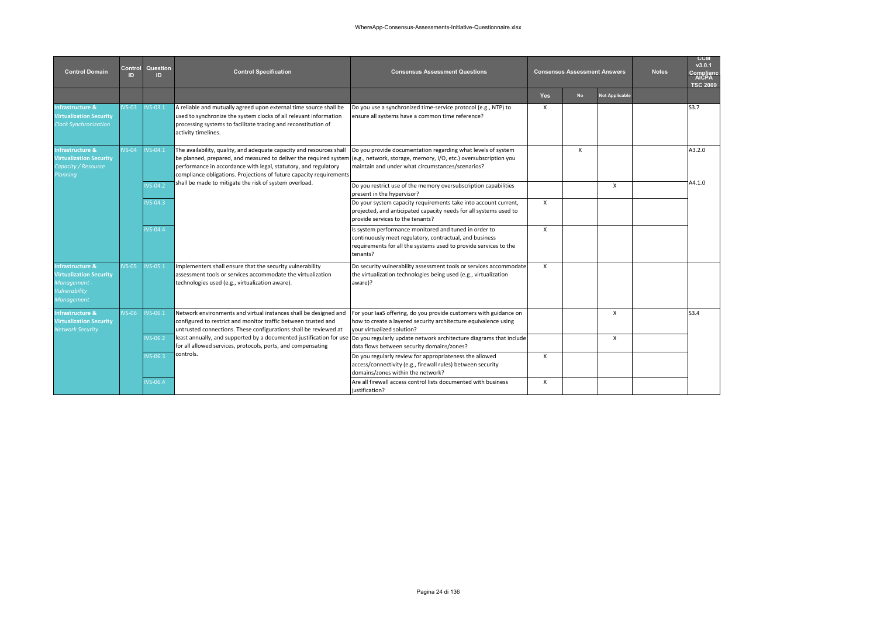| <b>Control Domain</b>                                                                                               | Control<br>ID. | Question<br>ID. | <b>Control Specification</b>                                                                                                                                                                                                                                                                                                                         | <b>Consensus Assessment Questions</b>                                                                                                                                                            |              | <b>Consensus Assessment Answers</b> | <b>Notes</b>          | <b>CCM</b><br>v3.0.1<br>Complian<br><b>AICPA</b><br><b>TSC 2009</b> |                  |
|---------------------------------------------------------------------------------------------------------------------|----------------|-----------------|------------------------------------------------------------------------------------------------------------------------------------------------------------------------------------------------------------------------------------------------------------------------------------------------------------------------------------------------------|--------------------------------------------------------------------------------------------------------------------------------------------------------------------------------------------------|--------------|-------------------------------------|-----------------------|---------------------------------------------------------------------|------------------|
|                                                                                                                     |                |                 |                                                                                                                                                                                                                                                                                                                                                      |                                                                                                                                                                                                  | <b>Yes</b>   | <b>No</b>                           | <b>Not Applicable</b> |                                                                     |                  |
| Infrastructure &<br><b>/irtualization Security</b><br><b>Clock Synchronization</b>                                  | $VS-03$        | $VS - 03.1$     | A reliable and mutually agreed upon external time source shall be<br>used to synchronize the system clocks of all relevant information<br>processing systems to facilitate tracing and reconstitution of<br>activity timelines.                                                                                                                      | Do you use a synchronized time-service protocol (e.g., NTP) to<br>ensure all systems have a common time reference?                                                                               | X            |                                     |                       |                                                                     | S3.7             |
| <b>Infrastructure &amp;</b><br><b>Virtualization Security</b><br>Capacity / Resource<br>Planning                    | $VS-04$        | <b>IVS-04.1</b> | The availability, quality, and adequate capacity and resources shall<br>be planned, prepared, and measured to deliver the required system (e.g., network, storage, memory, I/O, etc.) oversubscription you<br>performance in accordance with legal, statutory, and regulatory<br>compliance obligations. Projections of future capacity requirements | Do you provide documentation regarding what levels of system<br>maintain and under what circumstances/scenarios?                                                                                 |              | $\mathsf{x}$                        |                       |                                                                     | A3.2.0           |
|                                                                                                                     |                | $VS-04.2$       | shall be made to mitigate the risk of system overload.                                                                                                                                                                                                                                                                                               | Do you restrict use of the memory oversubscription capabilities<br>present in the hypervisor?                                                                                                    |              |                                     | X                     |                                                                     | A4.1.0           |
|                                                                                                                     |                | $VS-04.3$       |                                                                                                                                                                                                                                                                                                                                                      | Do your system capacity requirements take into account current,<br>projected, and anticipated capacity needs for all systems used to<br>provide services to the tenants?                         | X            |                                     |                       |                                                                     |                  |
|                                                                                                                     |                | <b>IVS-04.4</b> |                                                                                                                                                                                                                                                                                                                                                      | Is system performance monitored and tuned in order to<br>continuously meet regulatory, contractual, and business<br>requirements for all the systems used to provide services to the<br>tenants? | X            |                                     |                       |                                                                     |                  |
| <b>Infrastructure &amp;</b><br><b>Virtualization Security</b><br>Management -<br>Vulnerability<br><b>Management</b> | $VS-05$        | $VS-05.1$       | Implementers shall ensure that the security vulnerability<br>assessment tools or services accommodate the virtualization<br>technologies used (e.g., virtualization aware).                                                                                                                                                                          | Do security vulnerability assessment tools or services accommodate<br>the virtualization technologies being used (e.g., virtualization<br>aware)?                                                | $\mathsf{x}$ |                                     |                       |                                                                     |                  |
| <b>Infrastructure &amp;</b><br><b>Virtualization Security</b><br><b>Network Security</b>                            | $VS-06$        | IVS-06.1        | Network environments and virtual instances shall be designed and<br>configured to restrict and monitor traffic between trusted and<br>untrusted connections. These configurations shall be reviewed at                                                                                                                                               | For your laaS offering, do you provide customers with guidance on<br>how to create a layered security architecture equivalence using<br>your virtualized solution?                               |              |                                     | X                     |                                                                     | S <sub>3.4</sub> |
|                                                                                                                     |                | $VS-06.2$       | least annually, and supported by a documented justification for use<br>for all allowed services, protocols, ports, and compensating                                                                                                                                                                                                                  | Do you regularly update network architecture diagrams that include<br>data flows between security domains/zones?                                                                                 |              |                                     | X                     |                                                                     |                  |
|                                                                                                                     |                | $VS-06.3$       | controls.                                                                                                                                                                                                                                                                                                                                            | Do you regularly review for appropriateness the allowed<br>access/connectivity (e.g., firewall rules) between security<br>domains/zones within the network?                                      | X            |                                     |                       |                                                                     |                  |
|                                                                                                                     |                | $VS-06.4$       |                                                                                                                                                                                                                                                                                                                                                      | Are all firewall access control lists documented with business<br>iustification?                                                                                                                 | X            |                                     |                       |                                                                     |                  |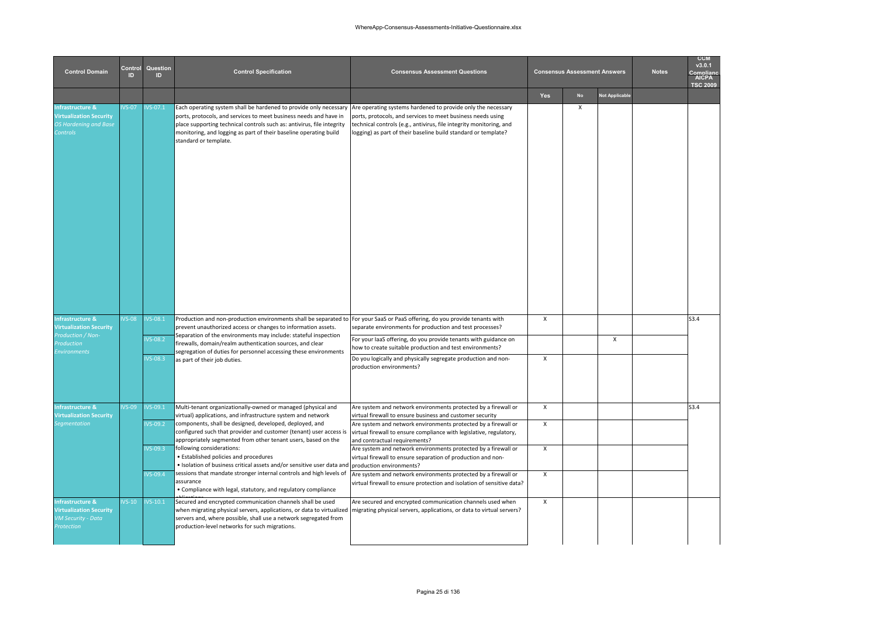| <b>Control Domain</b>                                                                                     | Control<br>ID. | Question<br>ID.        | <b>Control Specification</b>                                                                                                                                                                                                                                                                                                    |                                                                                                                                                                                                                                                                      | <b>Consensus Assessment Answers</b> |           | <b>Notes</b>          | <b>CCM</b><br>v3.0.1<br>Complian<br><b>AICPA</b><br><b>TSC 2009</b> |      |
|-----------------------------------------------------------------------------------------------------------|----------------|------------------------|---------------------------------------------------------------------------------------------------------------------------------------------------------------------------------------------------------------------------------------------------------------------------------------------------------------------------------|----------------------------------------------------------------------------------------------------------------------------------------------------------------------------------------------------------------------------------------------------------------------|-------------------------------------|-----------|-----------------------|---------------------------------------------------------------------|------|
|                                                                                                           |                |                        |                                                                                                                                                                                                                                                                                                                                 |                                                                                                                                                                                                                                                                      | Yes                                 | <b>No</b> | <b>Not Applicable</b> |                                                                     |      |
| <b>Infrastructure &amp;</b><br><b>Virtualization Security</b><br><b>OS Hardening and Base</b><br>Controls | $VS-07$        | <b>VS-07.1</b>         | Each operating system shall be hardened to provide only necessary<br>ports, protocols, and services to meet business needs and have in<br>place supporting technical controls such as: antivirus, file integrity<br>monitoring, and logging as part of their baseline operating build<br>standard or template.                  | Are operating systems hardened to provide only the necessary<br>ports, protocols, and services to meet business needs using<br>technical controls (e.g., antivirus, file integrity monitoring, and<br>logging) as part of their baseline build standard or template? |                                     | $\times$  |                       |                                                                     |      |
| Infrastructure &<br><b>Virtualization Security</b>                                                        | $VS-08$        | $VS - 08.1$            | Production and non-production environments shall be separated to For your SaaS or PaaS offering, do you provide tenants with<br>prevent unauthorized access or changes to information assets.                                                                                                                                   | separate environments for production and test processes?                                                                                                                                                                                                             | $\mathsf{x}$                        |           |                       |                                                                     | S3.4 |
| Production / Non-<br><i><u><b>roduction</b></u></i>                                                       |                | $VS-08.2$              | Separation of the environments may include: stateful inspection<br>firewalls, domain/realm authentication sources, and clear                                                                                                                                                                                                    | For your laaS offering, do you provide tenants with guidance on<br>how to create suitable production and test environments?                                                                                                                                          |                                     |           | X                     |                                                                     |      |
| <b>Environments</b>                                                                                       |                | $VS - 08.3$            | segregation of duties for personnel accessing these environments<br>as part of their job duties.                                                                                                                                                                                                                                | Do you logically and physically segregate production and non-<br>production environments?                                                                                                                                                                            | X                                   |           |                       |                                                                     |      |
| <b>Infrastructure &amp;</b><br><b>Virtualization Security</b><br>egmentation                              | $VS-09$        | $VS-09.1$<br>$VS-09.2$ | Multi-tenant organizationally-owned or managed (physical and<br>virtual) applications, and infrastructure system and network<br>components, shall be designed, developed, deployed, and<br>configured such that provider and customer (tenant) user access is                                                                   | Are system and network environments protected by a firewall or<br>virtual firewall to ensure business and customer security<br>Are system and network environments protected by a firewall or<br>virtual firewall to ensure compliance with legislative, regulatory, | $\pmb{\chi}$<br>X                   |           |                       |                                                                     | S3.4 |
|                                                                                                           |                | $VS - 09.3$            | appropriately segmented from other tenant users, based on the<br>following considerations:<br>• Established policies and procedures<br>. Isolation of business critical assets and/or sensitive user data and                                                                                                                   | and contractual requirements?<br>Are system and network environments protected by a firewall or<br>virtual firewall to ensure separation of production and non-<br>production environments?                                                                          | X                                   |           |                       |                                                                     |      |
|                                                                                                           |                | $VS - O9.4$            | sessions that mandate stronger internal controls and high levels of<br>assurance<br>• Compliance with legal, statutory, and regulatory compliance                                                                                                                                                                               | Are system and network environments protected by a firewall or<br>virtual firewall to ensure protection and isolation of sensitive data?                                                                                                                             | X                                   |           |                       |                                                                     |      |
| <b>Infrastructure &amp;</b><br><b>Virtualization Security</b><br>VM Security - Data<br>Protection         | $/S-10$        | $IVS-10.1$             | Secured and encrypted communication channels shall be used<br>when migrating physical servers, applications, or data to virtualized migrating physical servers, applications, or data to virtual servers?<br>servers and, where possible, shall use a network segregated from<br>production-level networks for such migrations. | Are secured and encrypted communication channels used when                                                                                                                                                                                                           | X                                   |           |                       |                                                                     |      |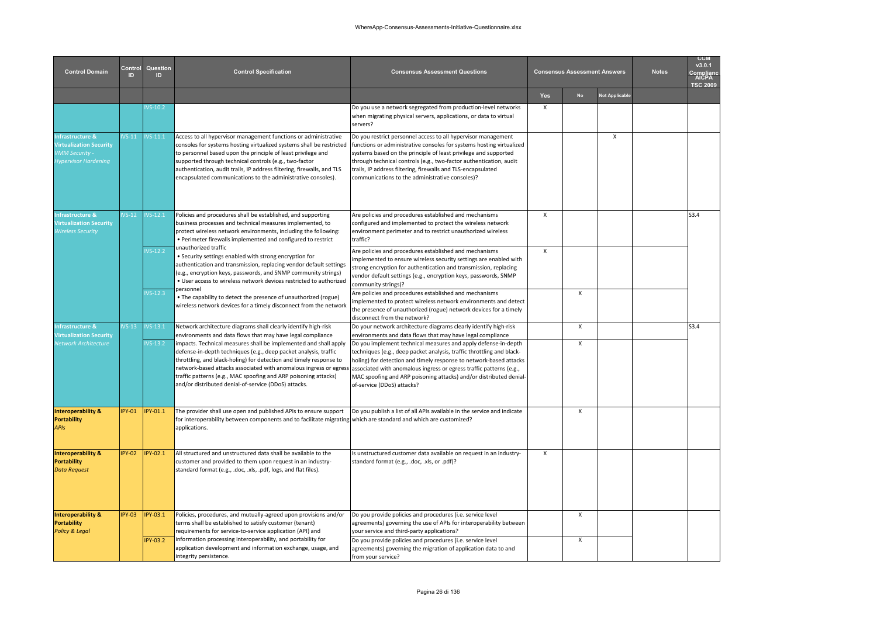| <b>Control Domain</b>                                                                               | Control<br>ID | Question<br>ID  | <b>Control Specification</b>                                                                                                                                                                                                                                                                                                                                                                                | <b>Consensus Assessment Questions</b>                                                                                                                                                                                                                                                                                                                                                             |                           |                           | <b>Consensus Assessment Answers</b> | <b>Notes</b> | <b>CCM</b><br>v3.0.1<br><b>AICPA</b><br><b>TSC 2009</b> |
|-----------------------------------------------------------------------------------------------------|---------------|-----------------|-------------------------------------------------------------------------------------------------------------------------------------------------------------------------------------------------------------------------------------------------------------------------------------------------------------------------------------------------------------------------------------------------------------|---------------------------------------------------------------------------------------------------------------------------------------------------------------------------------------------------------------------------------------------------------------------------------------------------------------------------------------------------------------------------------------------------|---------------------------|---------------------------|-------------------------------------|--------------|---------------------------------------------------------|
|                                                                                                     |               |                 |                                                                                                                                                                                                                                                                                                                                                                                                             |                                                                                                                                                                                                                                                                                                                                                                                                   | Yes                       | <b>No</b>                 | <b>Not Applicable</b>               |              |                                                         |
|                                                                                                     |               | $VS-10.2$       |                                                                                                                                                                                                                                                                                                                                                                                                             | Do you use a network segregated from production-level networks<br>when migrating physical servers, applications, or data to virtual<br>servers?                                                                                                                                                                                                                                                   | $\boldsymbol{\mathsf{x}}$ |                           |                                     |              |                                                         |
| Infrastructure &<br><b>Virtualization Security</b><br>VMM Security -<br><b>Hypervisor Hardening</b> | $VS-11$       | $VS-11.1$       | Access to all hypervisor management functions or administrative<br>consoles for systems hosting virtualized systems shall be restricted<br>to personnel based upon the principle of least privilege and<br>supported through technical controls (e.g., two-factor<br>authentication, audit trails, IP address filtering, firewalls, and TLS<br>encapsulated communications to the administrative consoles). | Do you restrict personnel access to all hypervisor management<br>functions or administrative consoles for systems hosting virtualized<br>systems based on the principle of least privilege and supported<br>through technical controls (e.g., two-factor authentication, audit<br>trails, IP address filtering, firewalls and TLS-encapsulated<br>communications to the administrative consoles)? |                           |                           | X                                   |              |                                                         |
| nfrastructure &<br><b>Virtualization Security</b><br><b>Wireless Security</b>                       | $VS-12$       | $VS-12.1$       | Policies and procedures shall be established, and supporting<br>business processes and technical measures implemented, to<br>protect wireless network environments, including the following:<br>. Perimeter firewalls implemented and configured to restrict                                                                                                                                                | Are policies and procedures established and mechanisms<br>configured and implemented to protect the wireless network<br>environment perimeter and to restrict unauthorized wireless<br>traffic?                                                                                                                                                                                                   | $\mathsf{x}$              |                           |                                     |              | S3.4                                                    |
|                                                                                                     |               | $VS-12.2$       | unauthorized traffic<br>· Security settings enabled with strong encryption for<br>authentication and transmission, replacing vendor default settings<br>(e.g., encryption keys, passwords, and SNMP community strings)<br>. User access to wireless network devices restricted to authorized<br>personnel                                                                                                   | Are policies and procedures established and mechanisms<br>mplemented to ensure wireless security settings are enabled with<br>strong encryption for authentication and transmission, replacing<br>vendor default settings (e.g., encryption keys, passwords, SNMP<br>community strings)?                                                                                                          | $\mathsf{x}$              |                           |                                     |              |                                                         |
|                                                                                                     |               | $VS-12.3$       | . The capability to detect the presence of unauthorized (rogue)<br>wireless network devices for a timely disconnect from the network                                                                                                                                                                                                                                                                        | Are policies and procedures established and mechanisms<br>mplemented to protect wireless network environments and detect<br>the presence of unauthorized (rogue) network devices for a timely<br>disconnect from the network?                                                                                                                                                                     |                           | $\pmb{\chi}$              |                                     |              |                                                         |
| <b>Infrastructure &amp;</b><br><b>Virtualization Security</b>                                       | $VS-13$       | $VS-13.1$       | Network architecture diagrams shall clearly identify high-risk<br>environments and data flows that may have legal compliance                                                                                                                                                                                                                                                                                | Do your network architecture diagrams clearly identify high-risk<br>environments and data flows that may have legal compliance                                                                                                                                                                                                                                                                    |                           | $\boldsymbol{\mathsf{x}}$ |                                     |              | S3.4                                                    |
| <b>Vetwork Architecture</b>                                                                         |               | $VS-13.2$       | impacts. Technical measures shall be implemented and shall apply<br>defense-in-depth techniques (e.g., deep packet analysis, traffic<br>throttling, and black-holing) for detection and timely response to<br>network-based attacks associated with anomalous ingress or egress<br>traffic patterns (e.g., MAC spoofing and ARP poisoning attacks)<br>and/or distributed denial-of-service (DDoS) attacks.  | Do you implement technical measures and apply defense-in-depth<br>techniques (e.g., deep packet analysis, traffic throttling and black-<br>holing) for detection and timely response to network-based attacks<br>associated with anomalous ingress or egress traffic patterns (e.g.,<br>MAC spoofing and ARP poisoning attacks) and/or distributed denial-<br>of-service (DDoS) attacks?          |                           | $\mathsf{X}$              |                                     |              |                                                         |
| <b>Interoperability &amp;</b><br><b>Portability</b><br><b>APIs</b>                                  | <b>PY-01</b>  | PY-01.1         | The provider shall use open and published APIs to ensure support<br>for interoperability between components and to facilitate migrating which are standard and which are customized?<br>applications.                                                                                                                                                                                                       | Do you publish a list of all APIs available in the service and indicate                                                                                                                                                                                                                                                                                                                           |                           | $\boldsymbol{\mathsf{x}}$ |                                     |              |                                                         |
| <b>Interoperability &amp;</b><br><b>Portability</b><br><b>Data Request</b>                          | <b>IPY-02</b> | PY-02.1         | All structured and unstructured data shall be available to the<br>customer and provided to them upon request in an industry-<br>standard format (e.g., .doc, .xls, .pdf, logs, and flat files).                                                                                                                                                                                                             | Is unstructured customer data available on request in an industry-<br>standard format (e.g., .doc, .xls, or .pdf)?                                                                                                                                                                                                                                                                                | $\mathsf{x}$              |                           |                                     |              |                                                         |
| <b>Interoperability &amp;</b><br><b>Portability</b><br><b>Policy &amp; Legal</b>                    | <b>IPY-03</b> | PY-03.1         | Policies, procedures, and mutually-agreed upon provisions and/or<br>terms shall be established to satisfy customer (tenant)<br>requirements for service-to-service application (API) and                                                                                                                                                                                                                    | Do you provide policies and procedures (i.e. service level<br>agreements) governing the use of APIs for interoperability between<br>your service and third-party applications?                                                                                                                                                                                                                    |                           | $\pmb{\chi}$              |                                     |              |                                                         |
|                                                                                                     |               | <b>IPY-03.2</b> | information processing interoperability, and portability for<br>application development and information exchange, usage, and<br>integrity persistence.                                                                                                                                                                                                                                                      | Do you provide policies and procedures (i.e. service level<br>agreements) governing the migration of application data to and<br>from your service?                                                                                                                                                                                                                                                |                           | X                         |                                     |              |                                                         |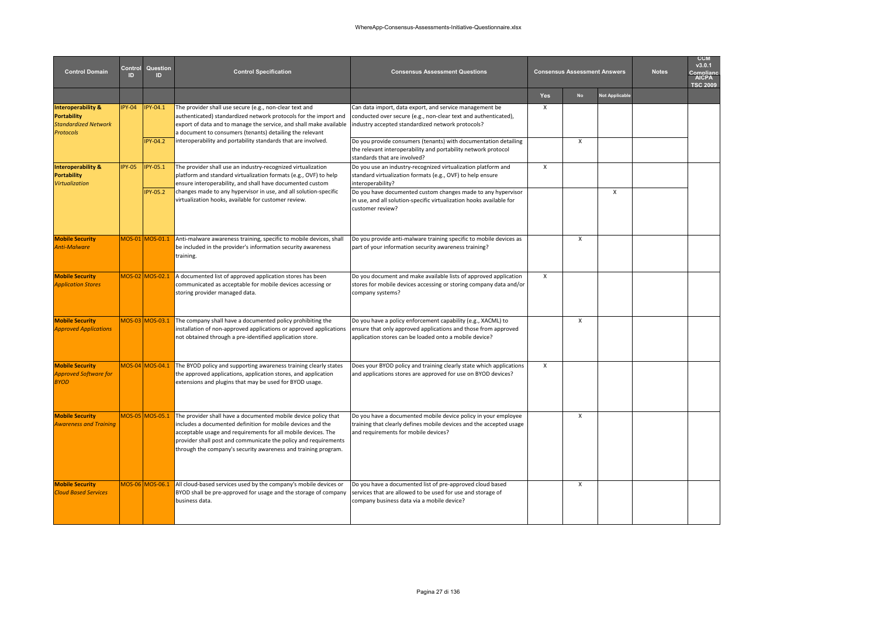| <b>Control Domain</b>                                                                                  | Control<br>הו | Question<br>ID              | <b>Control Specification</b>                                                                                                                                                                                                                                                                                                        | <b>Consensus Assessment Questions</b>                                                                                                                                                                                                              |              | <b>Consensus Assessment Answers</b> |                       | <b>Notes</b> | <b>CCM</b><br>v3.0.1<br>nmnlian<br>AICPA<br><b>TSC 2009</b> |
|--------------------------------------------------------------------------------------------------------|---------------|-----------------------------|-------------------------------------------------------------------------------------------------------------------------------------------------------------------------------------------------------------------------------------------------------------------------------------------------------------------------------------|----------------------------------------------------------------------------------------------------------------------------------------------------------------------------------------------------------------------------------------------------|--------------|-------------------------------------|-----------------------|--------------|-------------------------------------------------------------|
|                                                                                                        |               |                             |                                                                                                                                                                                                                                                                                                                                     |                                                                                                                                                                                                                                                    | Yes          | <b>No</b>                           | <b>Not Applicable</b> |              |                                                             |
| <b>Interoperability &amp;</b><br><b>Portability</b><br><b>Standardized Network</b><br><b>Protocols</b> | $PY-04$       | IPY-04.1<br><b>IPY-04.2</b> | The provider shall use secure (e.g., non-clear text and<br>authenticated) standardized network protocols for the import and<br>export of data and to manage the service, and shall make available<br>a document to consumers (tenants) detailing the relevant<br>interoperability and portability standards that are involved.      | Can data import, data export, and service management be<br>conducted over secure (e.g., non-clear text and authenticated),<br>industry accepted standardized network protocols?<br>Do you provide consumers (tenants) with documentation detailing | $\mathsf{x}$ | $\mathsf{x}$                        |                       |              |                                                             |
|                                                                                                        |               |                             |                                                                                                                                                                                                                                                                                                                                     | the relevant interoperability and portability network protocol<br>standards that are involved?                                                                                                                                                     |              |                                     |                       |              |                                                             |
| <b>Interoperability &amp;</b><br><b>Portability</b><br><b>Virtualization</b>                           | <b>IPY-05</b> | <b>IPY-05.1</b>             | The provider shall use an industry-recognized virtualization<br>platform and standard virtualization formats (e.g., OVF) to help<br>ensure interoperability, and shall have documented custom                                                                                                                                       | Do you use an industry-recognized virtualization platform and<br>standard virtualization formats (e.g., OVF) to help ensure<br>interoperability?                                                                                                   | X            |                                     |                       |              |                                                             |
|                                                                                                        |               | <b>IPY-05.2</b>             | changes made to any hypervisor in use, and all solution-specific<br>virtualization hooks, available for customer review.                                                                                                                                                                                                            | Do you have documented custom changes made to any hypervisor<br>in use, and all solution-specific virtualization hooks available for<br>customer review?                                                                                           |              |                                     | X                     |              |                                                             |
| <b>Mobile Security</b><br>Anti-Malware                                                                 |               | MOS-01 MOS-01.1             | Anti-malware awareness training, specific to mobile devices, shall<br>be included in the provider's information security awareness<br>training.                                                                                                                                                                                     | Do you provide anti-malware training specific to mobile devices as<br>part of your information security awareness training?                                                                                                                        |              | $\mathsf{x}$                        |                       |              |                                                             |
| <b>Mobile Security</b><br><b>Application Stores</b>                                                    |               | MOS-02 MOS-02.1             | A documented list of approved application stores has been<br>communicated as acceptable for mobile devices accessing or<br>storing provider managed data.                                                                                                                                                                           | Do you document and make available lists of approved application<br>stores for mobile devices accessing or storing company data and/or<br>company systems?                                                                                         | $\mathsf{x}$ |                                     |                       |              |                                                             |
| <b>Mobile Security</b><br><b>Approved Applications</b>                                                 |               | MOS-03 MOS-03.1             | The company shall have a documented policy prohibiting the<br>installation of non-approved applications or approved applications<br>not obtained through a pre-identified application store.                                                                                                                                        | Do you have a policy enforcement capability (e.g., XACML) to<br>ensure that only approved applications and those from approved<br>application stores can be loaded onto a mobile device?                                                           |              | $\mathsf{x}$                        |                       |              |                                                             |
| <b>Mobile Security</b><br>Approved Software for<br><b>BYOD</b>                                         |               | MOS-04 MOS-04.1             | The BYOD policy and supporting awareness training clearly states<br>the approved applications, application stores, and application<br>extensions and plugins that may be used for BYOD usage.                                                                                                                                       | Does your BYOD policy and training clearly state which applications<br>and applications stores are approved for use on BYOD devices?                                                                                                               | $\mathsf{x}$ |                                     |                       |              |                                                             |
| <b>Mobile Security</b><br><b>Awareness and Training</b>                                                |               | MOS-05 MOS-05.1             | The provider shall have a documented mobile device policy that<br>includes a documented definition for mobile devices and the<br>acceptable usage and requirements for all mobile devices. The<br>provider shall post and communicate the policy and requirements<br>through the company's security awareness and training program. | Do you have a documented mobile device policy in your employee<br>training that clearly defines mobile devices and the accepted usage<br>and requirements for mobile devices?                                                                      |              | X                                   |                       |              |                                                             |
| <b>Mobile Security</b><br><b>Cloud Based Services</b>                                                  |               | MOS-06 MOS-06.1             | All cloud-based services used by the company's mobile devices or<br>BYOD shall be pre-approved for usage and the storage of company<br>business data.                                                                                                                                                                               | Do you have a documented list of pre-approved cloud based<br>services that are allowed to be used for use and storage of<br>company business data via a mobile device?                                                                             |              | X                                   |                       |              |                                                             |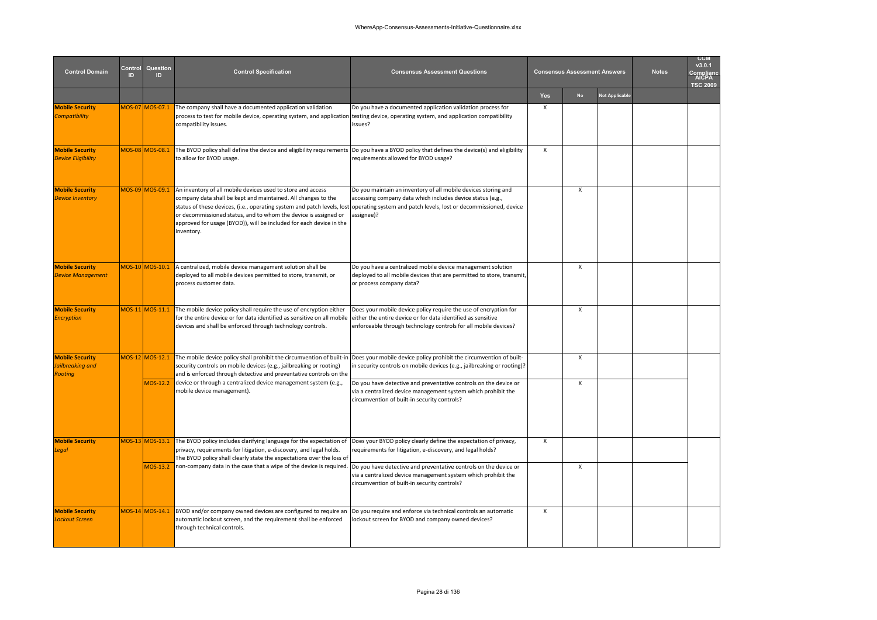| <b>Control Domain</b>                                 | Control<br>ID | Question<br><b>ID</b> | <b>Control Specification</b>                                                                                                                                                                                                                                                                                                                                    | <b>Consensus Assessment Questions</b>                                                                                                                                                                           |     | <b>Consensus Assessment Answers</b> |                | <b>Notes</b> | <b>CCM</b><br>v3.0.1<br>omplian<br>AICPA<br><b>TSC 2009</b> |
|-------------------------------------------------------|---------------|-----------------------|-----------------------------------------------------------------------------------------------------------------------------------------------------------------------------------------------------------------------------------------------------------------------------------------------------------------------------------------------------------------|-----------------------------------------------------------------------------------------------------------------------------------------------------------------------------------------------------------------|-----|-------------------------------------|----------------|--------------|-------------------------------------------------------------|
|                                                       |               |                       |                                                                                                                                                                                                                                                                                                                                                                 |                                                                                                                                                                                                                 | Yes | <b>No</b>                           | Not Applicable |              |                                                             |
| <b>Mobile Security</b><br><b>Compatibility</b>        |               | MOS-07 MOS-07.1       | The company shall have a documented application validation<br>process to test for mobile device, operating system, and application<br>compatibility issues.                                                                                                                                                                                                     | Do you have a documented application validation process for<br>testing device, operating system, and application compatibility<br>issues?                                                                       | X   |                                     |                |              |                                                             |
| <b>Mobile Security</b><br><b>Device Eligibility</b>   |               | MOS-08 MOS-08.1       | The BYOD policy shall define the device and eligibility requirements<br>to allow for BYOD usage.                                                                                                                                                                                                                                                                | Do you have a BYOD policy that defines the device(s) and eligibility<br>requirements allowed for BYOD usage?                                                                                                    | X   |                                     |                |              |                                                             |
| <b>Mobile Security</b><br><b>Device Inventory</b>     |               | MOS-09 MOS-09.1       | An inventory of all mobile devices used to store and access<br>company data shall be kept and maintained. All changes to the<br>status of these devices, (i.e., operating system and patch levels, lost<br>or decommissioned status, and to whom the device is assigned or<br>approved for usage (BYOD)), will be included for each device in the<br>inventory. | Do you maintain an inventory of all mobile devices storing and<br>accessing company data which includes device status (e.g.,<br>operating system and patch levels, lost or decommissioned, device<br>assignee)? |     | X                                   |                |              |                                                             |
| <b>Mobile Security</b><br><b>Device Management</b>    |               | MOS-10 MOS-10.1       | A centralized, mobile device management solution shall be<br>deployed to all mobile devices permitted to store, transmit, or<br>process customer data.                                                                                                                                                                                                          | Do you have a centralized mobile device management solution<br>deployed to all mobile devices that are permitted to store, transmit,<br>or process company data?                                                |     | X                                   |                |              |                                                             |
| <b>Mobile Security</b><br><b>Encryption</b>           |               | MOS-11 MOS-11.1       | The mobile device policy shall require the use of encryption either<br>for the entire device or for data identified as sensitive on all mobile<br>devices and shall be enforced through technology controls.                                                                                                                                                    | Does your mobile device policy require the use of encryption for<br>either the entire device or for data identified as sensitive<br>enforceable through technology controls for all mobile devices?             |     | X                                   |                |              |                                                             |
| <b>Mobile Security</b><br>lailbreaking and<br>Rooting |               | MOS-12 MOS-12.1       | The mobile device policy shall prohibit the circumvention of built-in Does your mobile device policy prohibit the circumvention of built-<br>security controls on mobile devices (e.g., jailbreaking or rooting)<br>and is enforced through detective and preventative controls on the                                                                          | in security controls on mobile devices (e.g., jailbreaking or rooting)?                                                                                                                                         |     | X                                   |                |              |                                                             |
|                                                       |               | MOS-12.2              | device or through a centralized device management system (e.g.,<br>mobile device management).                                                                                                                                                                                                                                                                   | Do you have detective and preventative controls on the device or<br>via a centralized device management system which prohibit the<br>circumvention of built-in security controls?                               |     | X                                   |                |              |                                                             |
| <b>Mobile Security</b><br>egal                        |               | MOS-13 MOS-13.1       | The BYOD policy includes clarifying language for the expectation of<br>privacy, requirements for litigation, e-discovery, and legal holds.<br>The BYOD policy shall clearly state the expectations over the loss of                                                                                                                                             | Does your BYOD policy clearly define the expectation of privacy,<br>requirements for litigation, e-discovery, and legal holds?                                                                                  | X   |                                     |                |              |                                                             |
|                                                       |               | MOS-13.2              | non-company data in the case that a wipe of the device is required.  Do you have detective and preventative controls on the device or                                                                                                                                                                                                                           | via a centralized device management system which prohibit the<br>circumvention of built-in security controls?                                                                                                   |     | X                                   |                |              |                                                             |
| <b>Mobile Security</b><br>Lockout Screen              |               | MOS-14 MOS-14.1       | BYOD and/or company owned devices are configured to require an<br>automatic lockout screen, and the requirement shall be enforced<br>through technical controls.                                                                                                                                                                                                | Do you require and enforce via technical controls an automatic<br>lockout screen for BYOD and company owned devices?                                                                                            | X   |                                     |                |              |                                                             |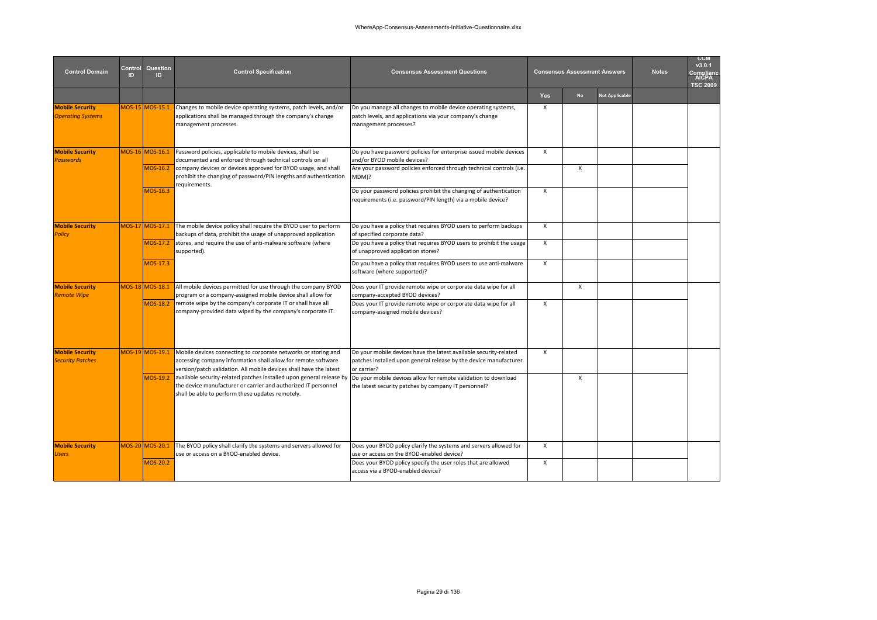| <b>Control Domain</b>                              | Control<br>ID | Question<br>ID.             | <b>Control Specification</b>                                                                                                                                                                                                                                | <b>Consensus Assessment Questions</b>                                                                                                                                              |              | <b>Consensus Assessment Answers</b> |                       | <b>Notes</b> | <b>CCM</b><br>v3.0.1<br>complianc<br><b>AICPA</b><br><b>TSC 2009</b> |
|----------------------------------------------------|---------------|-----------------------------|-------------------------------------------------------------------------------------------------------------------------------------------------------------------------------------------------------------------------------------------------------------|------------------------------------------------------------------------------------------------------------------------------------------------------------------------------------|--------------|-------------------------------------|-----------------------|--------------|----------------------------------------------------------------------|
|                                                    |               |                             |                                                                                                                                                                                                                                                             |                                                                                                                                                                                    | <b>Yes</b>   | <b>No</b>                           | <b>Not Applicable</b> |              |                                                                      |
| <b>Mobile Security</b><br><b>Operating Systems</b> |               | MOS-15 MOS-15.1             | Changes to mobile device operating systems, patch levels, and/or<br>applications shall be managed through the company's change<br>management processes.                                                                                                     | Do you manage all changes to mobile device operating systems,<br>patch levels, and applications via your company's change<br>management processes?                                 | $\times$     |                                     |                       |              |                                                                      |
| <b>Mobile Security</b><br><b>Passwords</b>         |               | MOS-16 MOS-16.1<br>MOS-16.2 | Password policies, applicable to mobile devices, shall be<br>documented and enforced through technical controls on all<br>company devices or devices approved for BYOD usage, and shall<br>prohibit the changing of password/PIN lengths and authentication | Do you have password policies for enterprise issued mobile devices<br>and/or BYOD mobile devices?<br>Are your password policies enforced through technical controls (i.e.<br>MDM)? | $\times$     | X                                   |                       |              |                                                                      |
|                                                    |               | MOS-16.3                    | requirements.                                                                                                                                                                                                                                               | Do your password policies prohibit the changing of authentication<br>requirements (i.e. password/PIN length) via a mobile device?                                                  | $\times$     |                                     |                       |              |                                                                      |
| <b>Mobile Security</b><br><b>Policy</b>            |               | MOS-17 MOS-17.1             | The mobile device policy shall require the BYOD user to perform<br>backups of data, prohibit the usage of unapproved application                                                                                                                            | Do you have a policy that requires BYOD users to perform backups<br>of specified corporate data?                                                                                   | $\mathsf{x}$ |                                     |                       |              |                                                                      |
|                                                    |               | MOS-17.2                    | stores, and require the use of anti-malware software (where<br>supported).                                                                                                                                                                                  | Do you have a policy that requires BYOD users to prohibit the usage<br>of unapproved application stores?                                                                           | $\mathsf{x}$ |                                     |                       |              |                                                                      |
|                                                    |               | MOS-17.3                    |                                                                                                                                                                                                                                                             | Do you have a policy that requires BYOD users to use anti-malware<br>software (where supported)?                                                                                   | $\mathsf{x}$ |                                     |                       |              |                                                                      |
| <b>Mobile Security</b><br><b>Remote Wipe</b>       |               | MOS-18 MOS-18.1             | All mobile devices permitted for use through the company BYOD<br>program or a company-assigned mobile device shall allow for                                                                                                                                | Does your IT provide remote wipe or corporate data wipe for all<br>company-accepted BYOD devices?                                                                                  |              | X                                   |                       |              |                                                                      |
|                                                    |               | MOS-18.2                    | remote wipe by the company's corporate IT or shall have all<br>company-provided data wiped by the company's corporate IT.                                                                                                                                   | Does your IT provide remote wipe or corporate data wipe for all<br>company-assigned mobile devices?                                                                                | $\times$     |                                     |                       |              |                                                                      |
| <b>Mobile Security</b><br><b>Security Patches</b>  |               | MOS-19 MOS-19.1             | Mobile devices connecting to corporate networks or storing and<br>accessing company information shall allow for remote software<br>version/patch validation. All mobile devices shall have the latest                                                       | Do your mobile devices have the latest available security-related<br>patches installed upon general release by the device manufacturer<br>or carrier?                              | $\mathsf{x}$ |                                     |                       |              |                                                                      |
|                                                    |               | MOS-19.2                    | available security-related patches installed upon general release by lDo your mobile devices allow for remote validation to download<br>the device manufacturer or carrier and authorized IT personnel<br>shall be able to perform these updates remotely.  | the latest security patches by company IT personnel?                                                                                                                               |              | $\mathsf{x}$                        |                       |              |                                                                      |
| <b>Mobile Security</b><br><b>Users</b>             |               | MOS-20 MOS-20.1             | The BYOD policy shall clarify the systems and servers allowed for<br>use or access on a BYOD-enabled device.                                                                                                                                                | Does your BYOD policy clarify the systems and servers allowed for<br>use or access on the BYOD-enabled device?                                                                     | $\times$     |                                     |                       |              |                                                                      |
|                                                    |               | MOS-20.2                    |                                                                                                                                                                                                                                                             | Does your BYOD policy specify the user roles that are allowed<br>access via a BYOD-enabled device?                                                                                 | $\mathsf{x}$ |                                     |                       |              |                                                                      |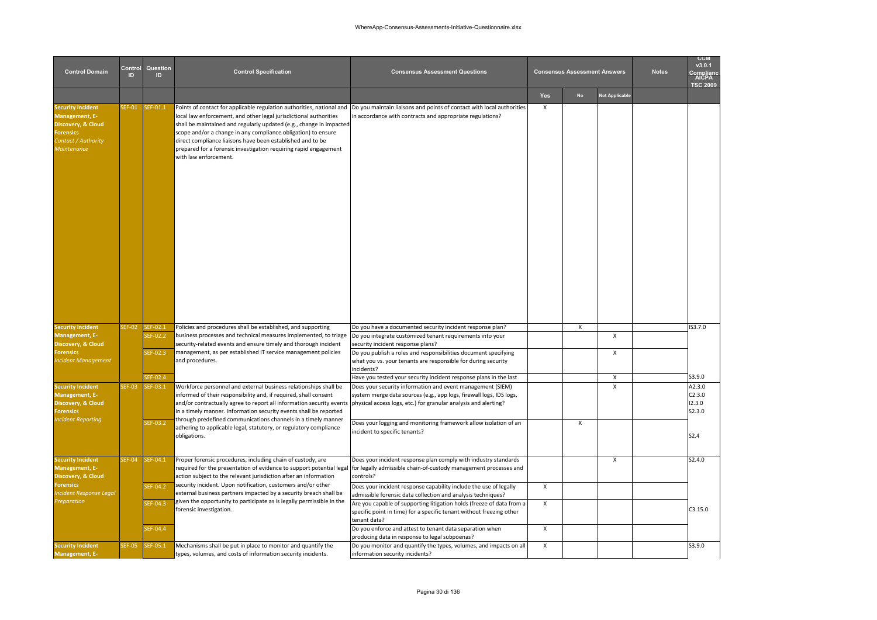| <b>Control Domain</b>                                                                                                     | Control<br>ID | Question<br><b>ID</b>            | <b>Control Specification</b>                                                                                                                                                                                                                                                                                                                                                                                                                  | <b>Consensus Assessment Questions</b>                                                                                                                                                                                                                                                                                 |            | <b>Consensus Assessment Answers</b> |                       | <b>Notes</b> | <b>CCM</b><br>v3.0.1<br>ompliar<br><b>AICPA</b><br><b>TSC 2009</b> |
|---------------------------------------------------------------------------------------------------------------------------|---------------|----------------------------------|-----------------------------------------------------------------------------------------------------------------------------------------------------------------------------------------------------------------------------------------------------------------------------------------------------------------------------------------------------------------------------------------------------------------------------------------------|-----------------------------------------------------------------------------------------------------------------------------------------------------------------------------------------------------------------------------------------------------------------------------------------------------------------------|------------|-------------------------------------|-----------------------|--------------|--------------------------------------------------------------------|
|                                                                                                                           |               |                                  |                                                                                                                                                                                                                                                                                                                                                                                                                                               |                                                                                                                                                                                                                                                                                                                       | <b>Yes</b> | No                                  | <b>Not Applicable</b> |              |                                                                    |
| ecurity Incident<br>Management, E-<br>Discovery, & Cloud<br><b>Forensics</b><br>Contact / Authority<br><b>Maintenance</b> | EF-01         | SEF-01.1                         | Points of contact for applicable regulation authorities, national and<br>local law enforcement, and other legal jurisdictional authorities<br>shall be maintained and regularly updated (e.g., change in impacted<br>scope and/or a change in any compliance obligation) to ensure<br>direct compliance liaisons have been established and to be<br>prepared for a forensic investigation requiring rapid engagement<br>with law enforcement. | Do you maintain liaisons and points of contact with local authorities<br>in accordance with contracts and appropriate regulations?                                                                                                                                                                                    | X          |                                     |                       |              |                                                                    |
| <b>Security Incident</b>                                                                                                  | <b>SEF-02</b> | SEF-02.1                         | Policies and procedures shall be established, and supporting                                                                                                                                                                                                                                                                                                                                                                                  | Do you have a documented security incident response plan?                                                                                                                                                                                                                                                             |            | x                                   |                       |              | IS3.7.0                                                            |
| Management, E-<br>Discovery, & Cloud<br><b>Forensics</b><br><b>Incident Management</b>                                    |               | SEF-02.2<br>SEF-02.3<br>SEF-02.4 | business processes and technical measures implemented, to triage<br>security-related events and ensure timely and thorough incident<br>management, as per established IT service management policies<br>and procedures.                                                                                                                                                                                                                       | Do you integrate customized tenant requirements into your<br>security incident response plans?<br>Do you publish a roles and responsibilities document specifying<br>what you vs. your tenants are responsible for during security<br>incidents?<br>Have you tested your security incident response plans in the last |            |                                     | X<br>X<br>Х           |              | S3.9.0                                                             |
| <b>Security Incident</b>                                                                                                  | <b>SEF-03</b> | SEF-03.1                         | Workforce personnel and external business relationships shall be                                                                                                                                                                                                                                                                                                                                                                              | Does your security information and event management (SIEM)                                                                                                                                                                                                                                                            |            |                                     | $\mathsf{x}$          |              | A2.3.0                                                             |
| Management, E-<br>Discovery, & Cloud<br><b>Forensics</b><br><b>Incident Reporting</b>                                     |               | SEF-03.2                         | informed of their responsibility and, if required, shall consent<br>and/or contractually agree to report all information security events<br>in a timely manner. Information security events shall be reported<br>through predefined communications channels in a timely manner<br>adhering to applicable legal, statutory, or regulatory compliance<br>obligations.                                                                           | system merge data sources (e.g., app logs, firewall logs, IDS logs,<br>physical access logs, etc.) for granular analysis and alerting?<br>Does your logging and monitoring framework allow isolation of an<br>incident to specific tenants?                                                                           |            | x                                   |                       |              | C2.3.0<br>12.3.0<br>S2.3.0<br>S <sub>2.4</sub>                     |
| <b>Security Incident</b><br>Management, E-<br>Discovery, & Cloud                                                          | SEF-04        | SEF-04.1                         | Proper forensic procedures, including chain of custody, are<br>required for the presentation of evidence to support potential legal<br>action subject to the relevant jurisdiction after an information                                                                                                                                                                                                                                       | Does your incident response plan comply with industry standards<br>for legally admissible chain-of-custody management processes and<br>controls?                                                                                                                                                                      |            |                                     | X                     |              | S2.4.0                                                             |
| <b>Forensics</b><br>ncident Response Legal                                                                                |               | SEF-04.2                         | security incident. Upon notification, customers and/or other<br>external business partners impacted by a security breach shall be                                                                                                                                                                                                                                                                                                             | Does your incident response capability include the use of legally<br>admissible forensic data collection and analysis techniques?                                                                                                                                                                                     | X          |                                     |                       |              |                                                                    |
| <b>Preparation</b>                                                                                                        |               | SEF-04.3                         | given the opportunity to participate as is legally permissible in the<br>forensic investigation.                                                                                                                                                                                                                                                                                                                                              | Are you capable of supporting litigation holds (freeze of data from a<br>specific point in time) for a specific tenant without freezing other<br>tenant data?                                                                                                                                                         | X          |                                     |                       |              | C3.15.0                                                            |
|                                                                                                                           |               | SEF-04.4                         |                                                                                                                                                                                                                                                                                                                                                                                                                                               | Do you enforce and attest to tenant data separation when<br>producing data in response to legal subpoenas?                                                                                                                                                                                                            | X          |                                     |                       |              |                                                                    |
| <b>Security Incident</b><br>Management, E-                                                                                | SEF-05        | SEF-05.1                         | Mechanisms shall be put in place to monitor and quantify the<br>types, volumes, and costs of information security incidents.                                                                                                                                                                                                                                                                                                                  | Do you monitor and quantify the types, volumes, and impacts on all<br>information security incidents?                                                                                                                                                                                                                 | X          |                                     |                       |              | S3.9.0                                                             |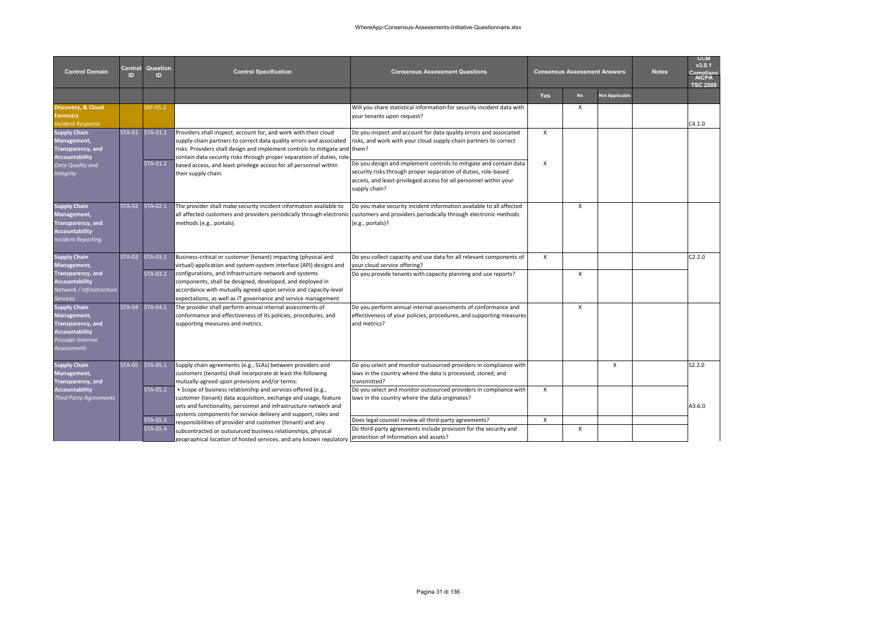| <b>Control Domain</b>                                                                                                       | Control<br>ID. | Question<br>ID              | <b>Control Specification</b>                                                                                                                                                                                                                                                                                                                                                                    | <b>Consensus Assessment Questions</b>                                                                                                                                                                                                                                                                                                                                                                                                                                                                                                                          |                                           | <b>Consensus Assessment Answers</b> |                       | <b>Notes</b> | <b>CCM</b><br>v3.0.1<br>Compliano<br><b>AICPA</b><br><b>TSC 2009</b> |
|-----------------------------------------------------------------------------------------------------------------------------|----------------|-----------------------------|-------------------------------------------------------------------------------------------------------------------------------------------------------------------------------------------------------------------------------------------------------------------------------------------------------------------------------------------------------------------------------------------------|----------------------------------------------------------------------------------------------------------------------------------------------------------------------------------------------------------------------------------------------------------------------------------------------------------------------------------------------------------------------------------------------------------------------------------------------------------------------------------------------------------------------------------------------------------------|-------------------------------------------|-------------------------------------|-----------------------|--------------|----------------------------------------------------------------------|
|                                                                                                                             |                |                             |                                                                                                                                                                                                                                                                                                                                                                                                 | your tenants upon request?<br>Do you inspect and account for data quality errors and associated<br>risks, and work with your cloud supply-chain partners to correct<br>security risks through proper separation of duties, role-based<br>access, and least-privileged access for all personnel within your<br>supply chain?<br>Do you make security incident information available to all affected<br>all affected customers and providers periodically through electronic customers and providers periodically through electronic methods<br>(e.g., portals)? |                                           |                                     | <b>Not Applicable</b> |              |                                                                      |
| Discovery, & Cloud<br>orensics<br>ncident Response                                                                          |                | SEF-05.2                    |                                                                                                                                                                                                                                                                                                                                                                                                 | Will you share statistical information for security incident data with                                                                                                                                                                                                                                                                                                                                                                                                                                                                                         |                                           | X                                   |                       |              | C4.1.0                                                               |
| <b>Supply Chain</b><br>Management,<br>Transparency, and<br><b>Accountability</b><br>Data Quality and<br><b>Integrity</b>    |                | STA-01 STA-01.1<br>STA-01.2 | Providers shall inspect, account for, and work with their cloud<br>supply-chain partners to correct data quality errors and associated<br>risks. Providers shall design and implement controls to mitigate and them?<br>contain data security risks through proper separation of duties, role-<br>based access, and least-privilege access for all personnel within<br>their supply chain.      | Do you design and implement controls to mitigate and contain data                                                                                                                                                                                                                                                                                                                                                                                                                                                                                              | $\mathsf{x}$<br>$\boldsymbol{\mathsf{X}}$ |                                     |                       |              |                                                                      |
| <b>Supply Chain</b><br>Management,<br>Transparency, and<br><b>Accountability</b><br>Incident Reporting                      |                | STA-02 STA-02.1             | The provider shall make security incident information available to<br>methods (e.g., portals).                                                                                                                                                                                                                                                                                                  |                                                                                                                                                                                                                                                                                                                                                                                                                                                                                                                                                                |                                           | $\mathsf{x}$                        |                       |              |                                                                      |
| <b>Supply Chain</b><br>Management,<br>Transparency, and<br><b>Accountability</b><br>Network / Infrastructure<br>Services    | <b>STA-03</b>  | STA-03.1<br>STA-03.2        | Business-critical or customer (tenant) impacting (physical and<br>virtual) application and system-system interface (API) designs and<br>configurations, and infrastructure network and systems<br>components, shall be designed, developed, and deployed in<br>accordance with mutually agreed-upon service and capacity-level<br>expectations, as well as IT governance and service management | Do you collect capacity and use data for all relevant components of<br>your cloud service offering?<br>Do you provide tenants with capacity planning and use reports?                                                                                                                                                                                                                                                                                                                                                                                          | $\mathsf{x}$                              | $\mathsf{x}$                        |                       |              | C2.2.0                                                               |
| <b>Supply Chain</b><br>Management,<br>Transparency, and<br><b>Accountability</b><br>Provider Internal<br><b>Assessments</b> |                | STA-04 STA-04.1             | The provider shall perform annual internal assessments of<br>conformance and effectiveness of its policies, procedures, and<br>supporting measures and metrics.                                                                                                                                                                                                                                 | Do you perform annual internal assessments of conformance and<br>effectiveness of your policies, procedures, and supporting measures<br>and metrics?                                                                                                                                                                                                                                                                                                                                                                                                           |                                           | X                                   |                       |              |                                                                      |
| <b>Supply Chain</b><br>Management,<br>Transparency, and                                                                     |                | STA-05 STA-05.1             | Supply chain agreements (e.g., SLAs) between providers and<br>customers (tenants) shall incorporate at least the following<br>mutually-agreed upon provisions and/or terms:                                                                                                                                                                                                                     | Do you select and monitor outsourced providers in compliance with<br>laws in the country where the data is processed, stored, and<br>transmitted?                                                                                                                                                                                                                                                                                                                                                                                                              |                                           |                                     | $\mathsf{x}$          |              | S2.2.0                                                               |
| <b>Accountability</b><br><b>Third Party Agreements</b>                                                                      |                | STA-05.2                    | . Scope of business relationship and services offered (e.g.,<br>customer (tenant) data acquisition, exchange and usage, feature<br>sets and functionality, personnel and infrastructure network and                                                                                                                                                                                             | Do you select and monitor outsourced providers in compliance with<br>laws in the country where the data originates?                                                                                                                                                                                                                                                                                                                                                                                                                                            | X                                         |                                     |                       |              | A3.6.0                                                               |
|                                                                                                                             |                | STA-05.3<br>STA-05.4        | systems components for service delivery and support, roles and<br>responsibilities of provider and customer (tenant) and any<br>subcontracted or outsourced business relationships, physical<br>geographical location of hosted services, and any known regulatory                                                                                                                              | Does legal counsel review all third-party agreements?<br>Do third-party agreements include provision for the security and<br>protection of information and assets?                                                                                                                                                                                                                                                                                                                                                                                             | $\pmb{\times}$                            | $\mathsf{x}$                        |                       |              |                                                                      |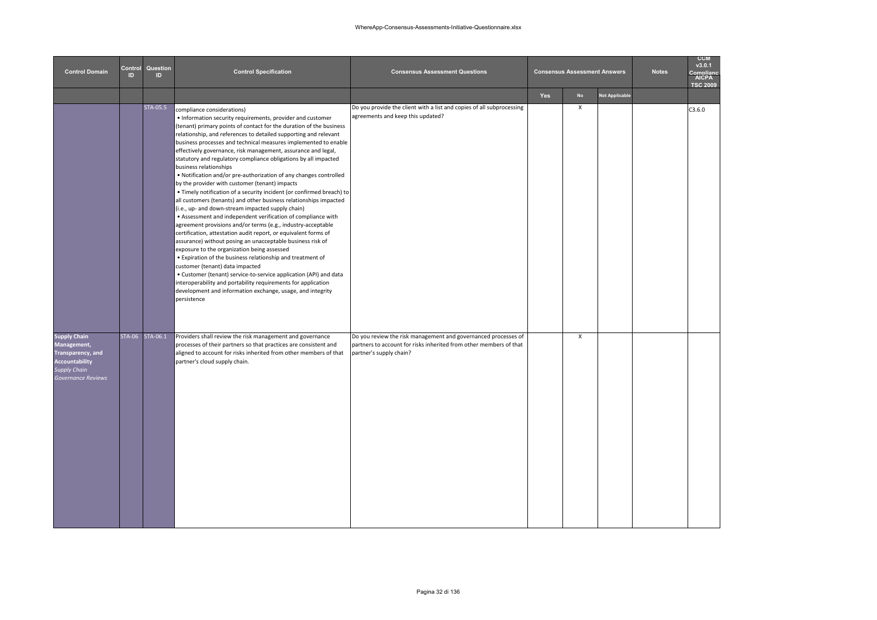| <b>Control Domain</b>                                                                                           | Control<br>ID | Question<br>ID. | <b>Control Specification</b>                                                                                                                                                                                                                                                                                                                                                                                                                                                                                                                                                                                                                                                                                                                                                                                                                                                                                                                                                                                                                                                                                                                                                                                                                                                                                                                                                                                                       | <b>Consensus Assessment Questions</b>                                                                                                                           |     | <b>Consensus Assessment Answers</b> |                       | <b>Notes</b> | <b>CCM</b><br>v3.0.1<br>omplian<br>AICPA<br><b>TSC 2009</b> |
|-----------------------------------------------------------------------------------------------------------------|---------------|-----------------|------------------------------------------------------------------------------------------------------------------------------------------------------------------------------------------------------------------------------------------------------------------------------------------------------------------------------------------------------------------------------------------------------------------------------------------------------------------------------------------------------------------------------------------------------------------------------------------------------------------------------------------------------------------------------------------------------------------------------------------------------------------------------------------------------------------------------------------------------------------------------------------------------------------------------------------------------------------------------------------------------------------------------------------------------------------------------------------------------------------------------------------------------------------------------------------------------------------------------------------------------------------------------------------------------------------------------------------------------------------------------------------------------------------------------------|-----------------------------------------------------------------------------------------------------------------------------------------------------------------|-----|-------------------------------------|-----------------------|--------------|-------------------------------------------------------------|
|                                                                                                                 |               |                 |                                                                                                                                                                                                                                                                                                                                                                                                                                                                                                                                                                                                                                                                                                                                                                                                                                                                                                                                                                                                                                                                                                                                                                                                                                                                                                                                                                                                                                    |                                                                                                                                                                 | Yes | No                                  | <b>Not Applicable</b> |              |                                                             |
|                                                                                                                 |               | STA-05.5        | compliance considerations)<br>• Information security requirements, provider and customer<br>(tenant) primary points of contact for the duration of the business<br>relationship, and references to detailed supporting and relevant<br>business processes and technical measures implemented to enable<br>effectively governance, risk management, assurance and legal,<br>statutory and regulatory compliance obligations by all impacted<br>business relationships<br>. Notification and/or pre-authorization of any changes controlled<br>by the provider with customer (tenant) impacts<br>. Timely notification of a security incident (or confirmed breach) to<br>all customers (tenants) and other business relationships impacted<br>(i.e., up- and down-stream impacted supply chain)<br>• Assessment and independent verification of compliance with<br>agreement provisions and/or terms (e.g., industry-acceptable<br>certification, attestation audit report, or equivalent forms of<br>assurance) without posing an unacceptable business risk of<br>exposure to the organization being assessed<br>. Expiration of the business relationship and treatment of<br>customer (tenant) data impacted<br>• Customer (tenant) service-to-service application (API) and data<br>interoperability and portability requirements for application<br>development and information exchange, usage, and integrity<br>persistence | Do you provide the client with a list and copies of all subprocessing<br>agreements and keep this updated?                                                      |     | $\mathsf{x}$                        |                       |              | C3.6.0                                                      |
| Supply Chain<br>Management,<br>Transparency, and<br><b>Accountability</b><br>Supply Chain<br>Governance Reviews |               | STA-06 STA-06.1 | Providers shall review the risk management and governance<br>processes of their partners so that practices are consistent and<br>aligned to account for risks inherited from other members of that<br>partner's cloud supply chain.                                                                                                                                                                                                                                                                                                                                                                                                                                                                                                                                                                                                                                                                                                                                                                                                                                                                                                                                                                                                                                                                                                                                                                                                | Do you review the risk management and governanced processes of<br>partners to account for risks inherited from other members of that<br>partner's supply chain? |     | $\pmb{\chi}$                        |                       |              |                                                             |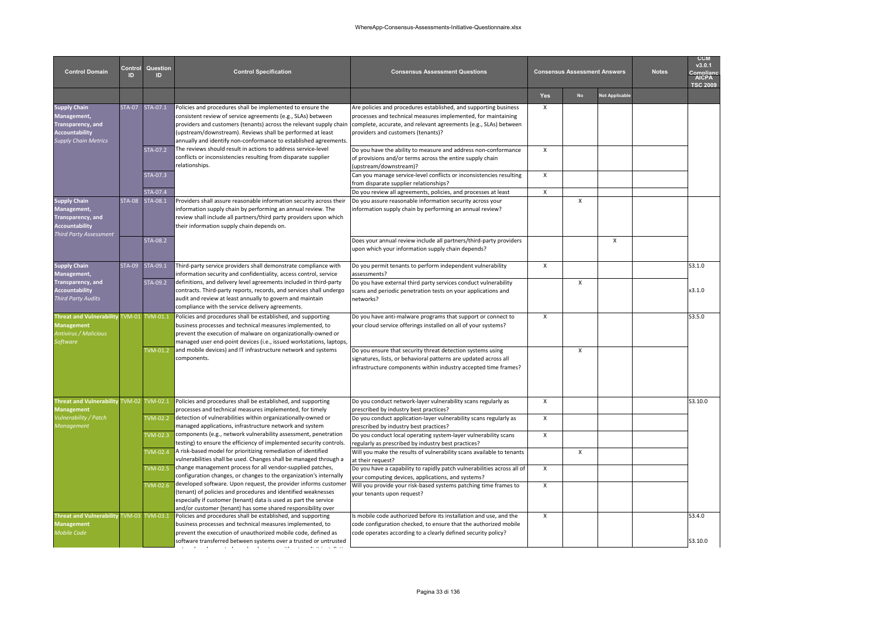| <b>Control Domain</b>                                                                                           | Control<br>ID. | Question<br>ID                           | <b>Control Specification</b>                                                                                                                                                                                                                                                                                                       | <b>Consensus Assessment Questions</b>                                                                                                                                                                                                       |                           | <b>Consensus Assessment Answers</b> |                       | <b>Notes</b> | <b>CCM</b><br>v3.0.1<br><b>AICPA</b><br><b>TSC 2009</b> |
|-----------------------------------------------------------------------------------------------------------------|----------------|------------------------------------------|------------------------------------------------------------------------------------------------------------------------------------------------------------------------------------------------------------------------------------------------------------------------------------------------------------------------------------|---------------------------------------------------------------------------------------------------------------------------------------------------------------------------------------------------------------------------------------------|---------------------------|-------------------------------------|-----------------------|--------------|---------------------------------------------------------|
|                                                                                                                 |                |                                          |                                                                                                                                                                                                                                                                                                                                    |                                                                                                                                                                                                                                             | <b>Yes</b>                | <b>No</b>                           | <b>Not Applicable</b> |              |                                                         |
| <b>Supply Chain</b><br>Management,<br>Transparency, and<br><b>Accountability</b><br><b>Supply Chain Metrics</b> |                | STA-07 STA-07.1                          | Policies and procedures shall be implemented to ensure the<br>consistent review of service agreements (e.g., SLAs) between<br>providers and customers (tenants) across the relevant supply chain<br>(upstream/downstream). Reviews shall be performed at least<br>annually and identify non-conformance to established agreements. | Are policies and procedures established, and supporting business<br>processes and technical measures implemented, for maintaining<br>complete, accurate, and relevant agreements (e.g., SLAs) between<br>providers and customers (tenants)? | $\boldsymbol{\mathsf{x}}$ |                                     |                       |              |                                                         |
|                                                                                                                 |                | STA-07.2                                 | The reviews should result in actions to address service-level<br>conflicts or inconsistencies resulting from disparate supplier<br>relationships.                                                                                                                                                                                  | Do you have the ability to measure and address non-conformance<br>of provisions and/or terms across the entire supply chain<br>upstream/downstream)?                                                                                        | $\mathsf{x}$              |                                     |                       |              |                                                         |
|                                                                                                                 |                | STA-07.3                                 |                                                                                                                                                                                                                                                                                                                                    | Can you manage service-level conflicts or inconsistencies resulting<br>from disparate supplier relationships?                                                                                                                               | X                         |                                     |                       |              |                                                         |
| <b>Supply Chain</b><br>Management,<br>Transparency, and<br>Accountability<br><b>Third Party Assessment</b>      |                | STA-07.4<br>STA-08 STA-08.1              | Providers shall assure reasonable information security across their<br>information supply chain by performing an annual review. The<br>review shall include all partners/third party providers upon which<br>their information supply chain depends on.                                                                            | Do you review all agreements, policies, and processes at least<br>Do you assure reasonable information security across your<br>nformation supply chain by performing an annual review?                                                      | X                         | X                                   |                       |              |                                                         |
|                                                                                                                 |                | STA-08.2                                 |                                                                                                                                                                                                                                                                                                                                    | Does your annual review include all partners/third-party providers<br>upon which your information supply chain depends?                                                                                                                     |                           |                                     | $\times$              |              |                                                         |
| <b>Supply Chain</b><br>Management,                                                                              |                | STA-09 STA-09.1                          | Third-party service providers shall demonstrate compliance with<br>information security and confidentiality, access control, service                                                                                                                                                                                               | Do you permit tenants to perform independent vulnerability<br>assessments?                                                                                                                                                                  | $\mathsf{x}$              |                                     |                       |              | S3.1.0                                                  |
| Transparency, and<br><b>Accountability</b><br><b>Third Party Audits</b>                                         |                | STA-09.2                                 | definitions, and delivery level agreements included in third-party<br>contracts. Third-party reports, records, and services shall undergo<br>audit and review at least annually to govern and maintain<br>compliance with the service delivery agreements.                                                                         | Do you have external third party services conduct vulnerability<br>scans and periodic penetration tests on your applications and<br>networks?                                                                                               |                           | $\mathsf{x}$                        |                       |              | x3.1.0                                                  |
| <b>Threat and Vulnerability</b><br><b>Management</b><br><b>Antivirus / Malicious</b><br>Software                | <b>TVM-01</b>  | TVM-01.1                                 | Policies and procedures shall be established, and supporting<br>business processes and technical measures implemented, to<br>prevent the execution of malware on organizationally-owned or<br>managed user end-point devices (i.e., issued workstations, laptops,                                                                  | Do you have anti-malware programs that support or connect to<br>your cloud service offerings installed on all of your systems?                                                                                                              | $\mathsf{x}$              |                                     |                       |              | S3.5.0                                                  |
|                                                                                                                 |                | <b>TVM-01.2</b>                          | and mobile devices) and IT infrastructure network and systems<br>components.                                                                                                                                                                                                                                                       | Do you ensure that security threat detection systems using<br>signatures, lists, or behavioral patterns are updated across all<br>infrastructure components within industry accepted time frames?                                           |                           | $\mathsf{x}$                        |                       |              |                                                         |
| Threat and Vulnerability TVM-02<br><b>Management</b>                                                            |                | TVM-02.1                                 | Policies and procedures shall be established, and supporting<br>processes and technical measures implemented, for timely                                                                                                                                                                                                           | Do you conduct network-layer vulnerability scans regularly as<br>prescribed by industry best practices?                                                                                                                                     | $\pmb{\chi}$              |                                     |                       |              | S3.10.0                                                 |
| Vulnerability / Patch<br>Management                                                                             |                | <b>TVM-02.2</b>                          | detection of vulnerabilities within organizationally-owned or<br>managed applications, infrastructure network and system                                                                                                                                                                                                           | Do you conduct application-layer vulnerability scans regularly as<br>prescribed by industry best practices?                                                                                                                                 | $\pmb{\chi}$              |                                     |                       |              |                                                         |
|                                                                                                                 |                | $VM-02.3$<br>$\overline{\text{VM-02.4}}$ | components (e.g., network vulnerability assessment, penetration<br>testing) to ensure the efficiency of implemented security controls.<br>A risk-based model for prioritizing remediation of identified                                                                                                                            | Do you conduct local operating system-layer vulnerability scans<br>regularly as prescribed by industry best practices?<br>Will you make the results of vulnerability scans available to tenants                                             | $\mathsf{x}$              | X                                   |                       |              |                                                         |
|                                                                                                                 |                | <b>TVM-02.5</b>                          | vulnerabilities shall be used. Changes shall be managed through a<br>change management process for all vendor-supplied patches,<br>configuration changes, or changes to the organization's internally                                                                                                                              | at their request?<br>Do you have a capability to rapidly patch vulnerabilities across all of<br>your computing devices, applications, and systems?                                                                                          | $\mathsf{x}$              |                                     |                       |              |                                                         |
|                                                                                                                 |                | $VM-02.6$                                | developed software. Upon request, the provider informs customer<br>(tenant) of policies and procedures and identified weaknesses<br>especially if customer (tenant) data is used as part the service<br>and/or customer (tenant) has some shared responsibility over                                                               | Will you provide your risk-based systems patching time frames to<br>your tenants upon request?                                                                                                                                              | $\pmb{\chi}$              |                                     |                       |              |                                                         |
| <b>Threat and Vulnerability</b><br><b>Management</b><br>Mobile Code                                             |                | TVM-03 TVM-03.1                          | Policies and procedures shall be established, and supporting<br>business processes and technical measures implemented, to<br>prevent the execution of unauthorized mobile code, defined as                                                                                                                                         | Is mobile code authorized before its installation and use, and the<br>code configuration checked, to ensure that the authorized mobile<br>code operates according to a clearly defined security policy?                                     | $\times$                  |                                     |                       |              | S3.4.0                                                  |
|                                                                                                                 |                |                                          | software transferred between systems over a trusted or untrusted                                                                                                                                                                                                                                                                   |                                                                                                                                                                                                                                             |                           |                                     |                       |              | S3.10.0                                                 |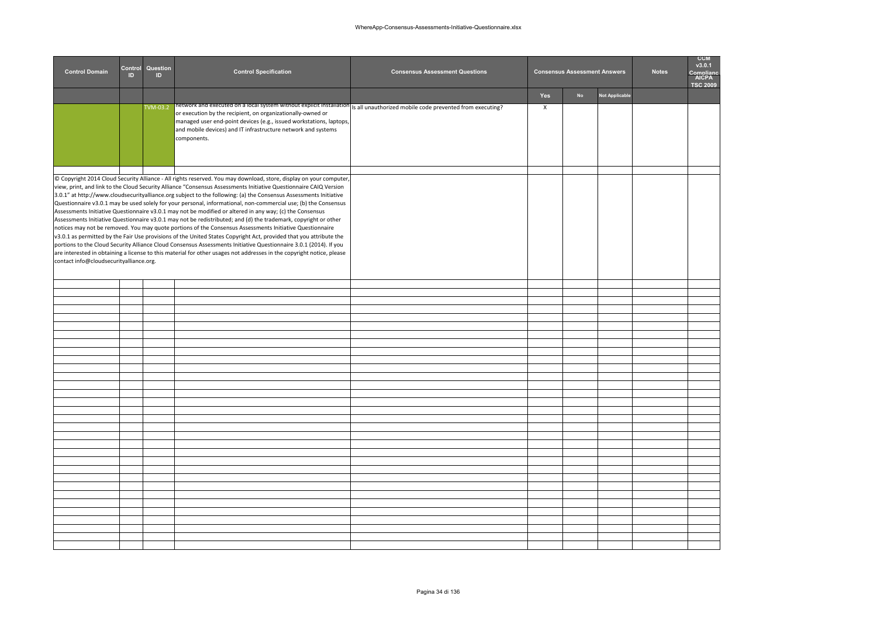| <b>Control Domain</b>                   | Control<br>ID | Question<br>ID | <b>Control Specification</b>                                                                                                                                                                                                                                                                                                                                                                                                                                                                                                                                                                                                                                                                                                                                                                                                                                                                                                                                                                                                                                                                                                                                                                   | <b>Consensus Assessment Questions</b> |              | <b>Consensus Assessment Answers</b> |                       | <b>Notes</b> | <b>CCM</b><br>v3.0.1<br>omnlian<br><b>AICPA</b><br><b>TSC 2009</b> |
|-----------------------------------------|---------------|----------------|------------------------------------------------------------------------------------------------------------------------------------------------------------------------------------------------------------------------------------------------------------------------------------------------------------------------------------------------------------------------------------------------------------------------------------------------------------------------------------------------------------------------------------------------------------------------------------------------------------------------------------------------------------------------------------------------------------------------------------------------------------------------------------------------------------------------------------------------------------------------------------------------------------------------------------------------------------------------------------------------------------------------------------------------------------------------------------------------------------------------------------------------------------------------------------------------|---------------------------------------|--------------|-------------------------------------|-----------------------|--------------|--------------------------------------------------------------------|
|                                         |               |                |                                                                                                                                                                                                                                                                                                                                                                                                                                                                                                                                                                                                                                                                                                                                                                                                                                                                                                                                                                                                                                                                                                                                                                                                |                                       | Yes          | No                                  | <b>Not Applicable</b> |              |                                                                    |
|                                         |               | TVM-03.2       | network and executed on a local system without explicit installation is all unauthorized mobile code prevented from executing?<br>or execution by the recipient, on organizationally-owned or<br>managed user end-point devices (e.g., issued workstations, laptops,<br>and mobile devices) and IT infrastructure network and systems<br>components.                                                                                                                                                                                                                                                                                                                                                                                                                                                                                                                                                                                                                                                                                                                                                                                                                                           |                                       | $\mathsf{x}$ |                                     |                       |              |                                                                    |
| contact info@cloudsecurityalliance.org. |               |                | © Copyright 2014 Cloud Security Alliance - All rights reserved. You may download, store, display on your computer,<br>view, print, and link to the Cloud Security Alliance "Consensus Assessments Initiative Questionnaire CAIQ Version<br>3.0.1" at http://www.cloudsecurityalliance.org subject to the following: (a) the Consensus Assessments Initiative<br>Questionnaire v3.0.1 may be used solely for your personal, informational, non-commercial use; (b) the Consensus<br>Assessments Initiative Questionnaire v3.0.1 may not be modified or altered in any way; (c) the Consensus<br>Assessments Initiative Questionnaire v3.0.1 may not be redistributed; and (d) the trademark, copyright or other<br>notices may not be removed. You may quote portions of the Consensus Assessments Initiative Questionnaire<br>v3.0.1 as permitted by the Fair Use provisions of the United States Copyright Act, provided that you attribute the<br>portions to the Cloud Security Alliance Cloud Consensus Assessments Initiative Questionnaire 3.0.1 (2014). If you<br>are interested in obtaining a license to this material for other usages not addresses in the copyright notice, please |                                       |              |                                     |                       |              |                                                                    |
|                                         |               |                |                                                                                                                                                                                                                                                                                                                                                                                                                                                                                                                                                                                                                                                                                                                                                                                                                                                                                                                                                                                                                                                                                                                                                                                                |                                       |              |                                     |                       |              |                                                                    |
|                                         |               |                |                                                                                                                                                                                                                                                                                                                                                                                                                                                                                                                                                                                                                                                                                                                                                                                                                                                                                                                                                                                                                                                                                                                                                                                                |                                       |              |                                     |                       |              |                                                                    |
|                                         |               |                |                                                                                                                                                                                                                                                                                                                                                                                                                                                                                                                                                                                                                                                                                                                                                                                                                                                                                                                                                                                                                                                                                                                                                                                                |                                       |              |                                     |                       |              |                                                                    |
|                                         |               |                |                                                                                                                                                                                                                                                                                                                                                                                                                                                                                                                                                                                                                                                                                                                                                                                                                                                                                                                                                                                                                                                                                                                                                                                                |                                       |              |                                     |                       |              |                                                                    |
|                                         |               |                |                                                                                                                                                                                                                                                                                                                                                                                                                                                                                                                                                                                                                                                                                                                                                                                                                                                                                                                                                                                                                                                                                                                                                                                                |                                       |              |                                     |                       |              |                                                                    |
|                                         |               |                |                                                                                                                                                                                                                                                                                                                                                                                                                                                                                                                                                                                                                                                                                                                                                                                                                                                                                                                                                                                                                                                                                                                                                                                                |                                       |              |                                     |                       |              |                                                                    |
|                                         |               |                |                                                                                                                                                                                                                                                                                                                                                                                                                                                                                                                                                                                                                                                                                                                                                                                                                                                                                                                                                                                                                                                                                                                                                                                                |                                       |              |                                     |                       |              |                                                                    |
|                                         |               |                |                                                                                                                                                                                                                                                                                                                                                                                                                                                                                                                                                                                                                                                                                                                                                                                                                                                                                                                                                                                                                                                                                                                                                                                                |                                       |              |                                     |                       |              |                                                                    |
|                                         |               |                |                                                                                                                                                                                                                                                                                                                                                                                                                                                                                                                                                                                                                                                                                                                                                                                                                                                                                                                                                                                                                                                                                                                                                                                                |                                       |              |                                     |                       |              |                                                                    |
|                                         |               |                |                                                                                                                                                                                                                                                                                                                                                                                                                                                                                                                                                                                                                                                                                                                                                                                                                                                                                                                                                                                                                                                                                                                                                                                                |                                       |              |                                     |                       |              |                                                                    |
|                                         |               |                |                                                                                                                                                                                                                                                                                                                                                                                                                                                                                                                                                                                                                                                                                                                                                                                                                                                                                                                                                                                                                                                                                                                                                                                                |                                       |              |                                     |                       |              |                                                                    |
|                                         |               |                |                                                                                                                                                                                                                                                                                                                                                                                                                                                                                                                                                                                                                                                                                                                                                                                                                                                                                                                                                                                                                                                                                                                                                                                                |                                       |              |                                     |                       |              |                                                                    |
|                                         |               |                |                                                                                                                                                                                                                                                                                                                                                                                                                                                                                                                                                                                                                                                                                                                                                                                                                                                                                                                                                                                                                                                                                                                                                                                                |                                       |              |                                     |                       |              |                                                                    |
|                                         |               |                |                                                                                                                                                                                                                                                                                                                                                                                                                                                                                                                                                                                                                                                                                                                                                                                                                                                                                                                                                                                                                                                                                                                                                                                                |                                       |              |                                     |                       |              |                                                                    |
|                                         |               |                |                                                                                                                                                                                                                                                                                                                                                                                                                                                                                                                                                                                                                                                                                                                                                                                                                                                                                                                                                                                                                                                                                                                                                                                                |                                       |              |                                     |                       |              |                                                                    |
|                                         |               |                |                                                                                                                                                                                                                                                                                                                                                                                                                                                                                                                                                                                                                                                                                                                                                                                                                                                                                                                                                                                                                                                                                                                                                                                                |                                       |              |                                     |                       |              |                                                                    |
|                                         |               |                |                                                                                                                                                                                                                                                                                                                                                                                                                                                                                                                                                                                                                                                                                                                                                                                                                                                                                                                                                                                                                                                                                                                                                                                                |                                       |              |                                     |                       |              |                                                                    |
|                                         |               |                |                                                                                                                                                                                                                                                                                                                                                                                                                                                                                                                                                                                                                                                                                                                                                                                                                                                                                                                                                                                                                                                                                                                                                                                                |                                       |              |                                     |                       |              |                                                                    |
|                                         |               |                |                                                                                                                                                                                                                                                                                                                                                                                                                                                                                                                                                                                                                                                                                                                                                                                                                                                                                                                                                                                                                                                                                                                                                                                                |                                       |              |                                     |                       |              |                                                                    |
|                                         |               |                |                                                                                                                                                                                                                                                                                                                                                                                                                                                                                                                                                                                                                                                                                                                                                                                                                                                                                                                                                                                                                                                                                                                                                                                                |                                       |              |                                     |                       |              |                                                                    |
|                                         |               |                |                                                                                                                                                                                                                                                                                                                                                                                                                                                                                                                                                                                                                                                                                                                                                                                                                                                                                                                                                                                                                                                                                                                                                                                                |                                       |              |                                     |                       |              |                                                                    |
|                                         |               |                |                                                                                                                                                                                                                                                                                                                                                                                                                                                                                                                                                                                                                                                                                                                                                                                                                                                                                                                                                                                                                                                                                                                                                                                                |                                       |              |                                     |                       |              |                                                                    |
|                                         |               |                |                                                                                                                                                                                                                                                                                                                                                                                                                                                                                                                                                                                                                                                                                                                                                                                                                                                                                                                                                                                                                                                                                                                                                                                                |                                       |              |                                     |                       |              |                                                                    |
|                                         |               |                |                                                                                                                                                                                                                                                                                                                                                                                                                                                                                                                                                                                                                                                                                                                                                                                                                                                                                                                                                                                                                                                                                                                                                                                                |                                       |              |                                     |                       |              |                                                                    |
|                                         |               |                |                                                                                                                                                                                                                                                                                                                                                                                                                                                                                                                                                                                                                                                                                                                                                                                                                                                                                                                                                                                                                                                                                                                                                                                                |                                       |              |                                     |                       |              |                                                                    |
|                                         |               |                |                                                                                                                                                                                                                                                                                                                                                                                                                                                                                                                                                                                                                                                                                                                                                                                                                                                                                                                                                                                                                                                                                                                                                                                                |                                       |              |                                     |                       |              |                                                                    |
|                                         |               |                |                                                                                                                                                                                                                                                                                                                                                                                                                                                                                                                                                                                                                                                                                                                                                                                                                                                                                                                                                                                                                                                                                                                                                                                                |                                       |              |                                     |                       |              |                                                                    |
|                                         |               |                |                                                                                                                                                                                                                                                                                                                                                                                                                                                                                                                                                                                                                                                                                                                                                                                                                                                                                                                                                                                                                                                                                                                                                                                                |                                       |              |                                     |                       |              |                                                                    |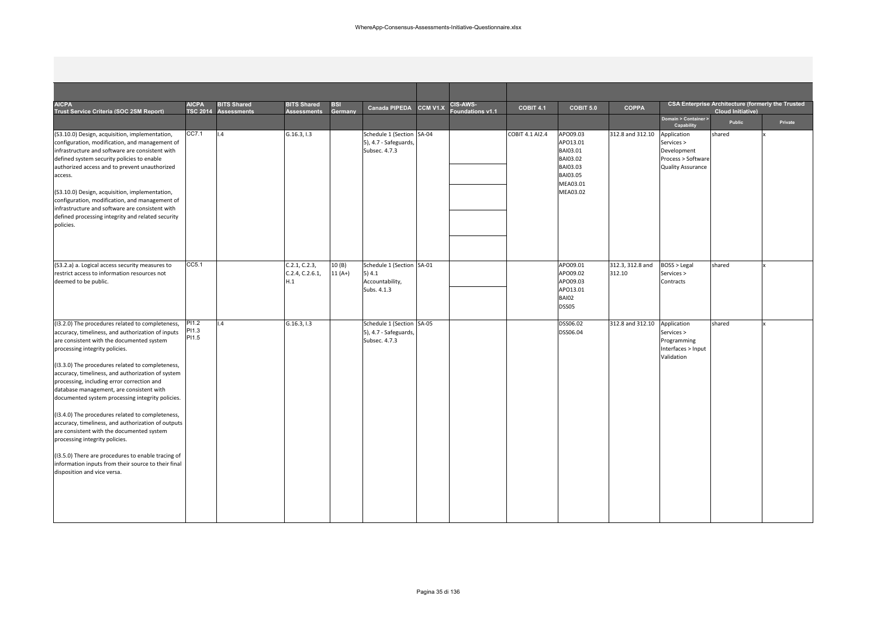| <b>AICPA</b><br>Trust Service Criteria (SOC 2SM Report)                                                                                                                                                                                                                                                                                                                                                                                                                                                                                                                                                                                                                                                                                                                          | <b>AICPA</b>            | <b>BITS Shared</b><br>TSC 2014 Assessments | <b>BITS Shared</b><br><b>Assessments</b> | <b>BSI</b><br>Germany | <b>Canada PIPEDA</b>                                                 | CCM V1.X | <b>CIS-AWS-</b><br>oundations v1.1 | COBIT 4.1       | COBIT 5.0                                                                                    | <b>COPPA</b>               |                                                                                            | <b>CSA Enterprise Architecture (formerly the Trusted</b><br><b>Cloud Initiative)</b> |         |
|----------------------------------------------------------------------------------------------------------------------------------------------------------------------------------------------------------------------------------------------------------------------------------------------------------------------------------------------------------------------------------------------------------------------------------------------------------------------------------------------------------------------------------------------------------------------------------------------------------------------------------------------------------------------------------------------------------------------------------------------------------------------------------|-------------------------|--------------------------------------------|------------------------------------------|-----------------------|----------------------------------------------------------------------|----------|------------------------------------|-----------------|----------------------------------------------------------------------------------------------|----------------------------|--------------------------------------------------------------------------------------------|--------------------------------------------------------------------------------------|---------|
|                                                                                                                                                                                                                                                                                                                                                                                                                                                                                                                                                                                                                                                                                                                                                                                  |                         |                                            |                                          |                       |                                                                      |          |                                    |                 |                                                                                              |                            | Domain > Container ><br>Capability                                                         | Public                                                                               | Private |
| (S3.10.0) Design, acquisition, implementation,<br>configuration, modification, and management of<br>infrastructure and software are consistent with<br>defined system security policies to enable<br>authorized access and to prevent unauthorized<br>access.<br>(S3.10.0) Design, acquisition, implementation,<br>configuration, modification, and management of<br>infrastructure and software are consistent with<br>defined processing integrity and related security<br>policies.                                                                                                                                                                                                                                                                                           | CC7.1                   | 1.4                                        | G.16.3, 1.3                              |                       | Schedule 1 (Section SA-04<br>5), 4.7 - Safeguards,<br>Subsec. 4.7.3  |          |                                    | COBIT 4.1 AI2.4 | APO09.03<br>APO13.01<br>BAI03.01<br>BAI03.02<br>BAI03.03<br>BAI03.05<br>MEA03.01<br>MEA03.02 | 312.8 and 312.10           | Application<br>Services ><br>Development<br>Process > Software<br><b>Quality Assurance</b> | shared                                                                               |         |
| (S3.2.a) a. Logical access security measures to<br>restrict access to information resources not<br>deemed to be public.                                                                                                                                                                                                                                                                                                                                                                                                                                                                                                                                                                                                                                                          | CC5.1                   |                                            | C.2.1, C.2.3,<br>C.2.4, C.2.6.1,<br>H.1  | 10(B)<br>$11(A+)$     | Schedule 1 (Section SA-01<br>5)4.1<br>Accountability,<br>Subs. 4.1.3 |          |                                    |                 | APO09.01<br>APO09.02<br>APO09.03<br>APO13.01<br>BAI02<br>DSS05                               | 312.3, 312.8 and<br>312.10 | <b>BOSS &gt; Legal</b><br>Services ><br>Contracts                                          | shared                                                                               |         |
| (I3.2.0) The procedures related to completeness,<br>accuracy, timeliness, and authorization of inputs<br>are consistent with the documented system<br>processing integrity policies.<br>(13.3.0) The procedures related to completeness,<br>accuracy, timeliness, and authorization of system<br>processing, including error correction and<br>database management, are consistent with<br>documented system processing integrity policies.<br>(13.4.0) The procedures related to completeness,<br>accuracy, timeliness, and authorization of outputs<br>are consistent with the documented system<br>processing integrity policies.<br>(13.5.0) There are procedures to enable tracing of<br>information inputs from their source to their final<br>disposition and vice versa. | PI1.2<br>PI1.3<br>PI1.5 | $\overline{1.4}$                           | G.16.3, 1.3                              |                       | Schedule 1 (Section SA-05<br>5), 4.7 - Safeguards,<br>Subsec. 4.7.3  |          |                                    |                 | DSS06.02<br>DSS06.04                                                                         | 312.8 and 312.10           | Application<br>Services ><br>Programming<br>Interfaces > Input<br>Validation               | shared                                                                               |         |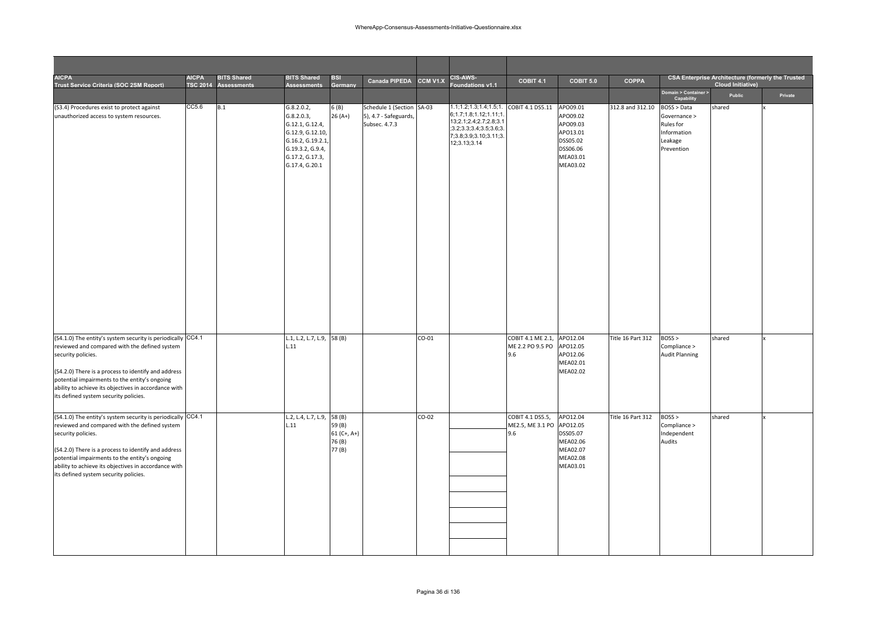| <b>AICPA</b><br>Trust Service Criteria (SOC 2SM Report)                                                                                                                                                                                                                                                                                     | <b>AICPA</b><br><b>TSC 2014</b> | <b>BITS Shared</b><br><b>Assessments</b> | <b>BITS Shared</b><br><b>Assessments</b>                                                                                                     | <b>BSI</b><br>Germany                       | <b>Canada PIPEDA</b>                                                | <b>CCM V1.X</b> | CIS-AWS-<br>oundations v1.1                                                                                                                           | COBIT 4.1                                    | COBIT 5.0                                                                        | COPPA             |                                                                                  | <b>CSA Enterprise Architecture (formerly the Trusted</b><br><b>Cloud Initiative)</b> |         |
|---------------------------------------------------------------------------------------------------------------------------------------------------------------------------------------------------------------------------------------------------------------------------------------------------------------------------------------------|---------------------------------|------------------------------------------|----------------------------------------------------------------------------------------------------------------------------------------------|---------------------------------------------|---------------------------------------------------------------------|-----------------|-------------------------------------------------------------------------------------------------------------------------------------------------------|----------------------------------------------|----------------------------------------------------------------------------------|-------------------|----------------------------------------------------------------------------------|--------------------------------------------------------------------------------------|---------|
|                                                                                                                                                                                                                                                                                                                                             |                                 |                                          |                                                                                                                                              |                                             |                                                                     |                 |                                                                                                                                                       |                                              |                                                                                  |                   | Domain > Container ><br>Capability                                               | Public                                                                               | Private |
| (S3.4) Procedures exist to protect against<br>unauthorized access to system resources.                                                                                                                                                                                                                                                      | CC5.6                           | B.1                                      | G.8.2.0.2,<br>G.8.2.0.3,<br>G.12.1, G.12.4,<br>G.12.9, G.12.10,<br>G.16.2, G.19.2.1<br>G.19.3.2, G.9.4,<br>G.17.2, G.17.3,<br>G.17.4, G.20.1 | 6(B)<br>26 (A+)                             | Schedule 1 (Section SA-03<br>5), 4.7 - Safeguards,<br>Subsec. 4.7.3 |                 | 1.1;1.2;1.3;1.4;1.5;1.<br>6;1.7;1.8;1.12;1.11;1<br>13;2.1;2.4;2.7;2.8;3.1<br>(3.2, 3.3, 3.4, 3.5, 3.6, 3.6)<br>7;3.8;3.9;3.10;3.11;3.<br>12;3.13;3.14 | COBIT 4.1 DS5.11 APO09.01                    | APO09.02<br>APO09.03<br>APO13.01<br>DSS05.02<br>DSS06.06<br>MEA03.01<br>MEA03.02 | 312.8 and 312.10  | BOSS > Data<br>Governance ><br>Rules for<br>Information<br>Leakage<br>Prevention | shared                                                                               |         |
| (S4.1.0) The entity's system security is periodically CC4.1<br>reviewed and compared with the defined system<br>security policies.<br>(S4.2.0) There is a process to identify and address<br>potential impairments to the entity's ongoing<br>ability to achieve its objectives in accordance with<br>its defined system security policies. |                                 |                                          | L.1, L.2, L.7, L.9, 58 (B)<br>L.11                                                                                                           |                                             |                                                                     | $CO-01$         |                                                                                                                                                       | COBIT 4.1 ME 2.1,<br>ME 2.2 PO 9.5 PO<br>9.6 | APO12.04<br>APO12.05<br>APO12.06<br>MEA02.01<br>MEA02.02                         | Title 16 Part 312 | BOSS<br>Compliance ><br><b>Audit Planning</b>                                    | shared                                                                               |         |
| (S4.1.0) The entity's system security is periodically CC4.1<br>reviewed and compared with the defined system<br>security policies.<br>(S4.2.0) There is a process to identify and address<br>potential impairments to the entity's ongoing<br>ability to achieve its objectives in accordance with<br>its defined system security policies. |                                 |                                          | L.2, L.4, L.7, L.9, 58 (B)<br>L.11                                                                                                           | 59 (B)<br>$61 (C+, A+)$<br>76 (B)<br>77 (B) |                                                                     | CO-02           |                                                                                                                                                       | COBIT 4.1 DS5.5,<br>ME2.5, ME 3.1 PO<br>9.6  | APO12.04<br>APO12.05<br>DSS05.07<br>MEA02.06<br>MEA02.07<br>MEA02.08<br>MEA03.01 | Title 16 Part 312 | BOSS<br>Compliance ><br>Independent<br>Audits                                    | shared                                                                               |         |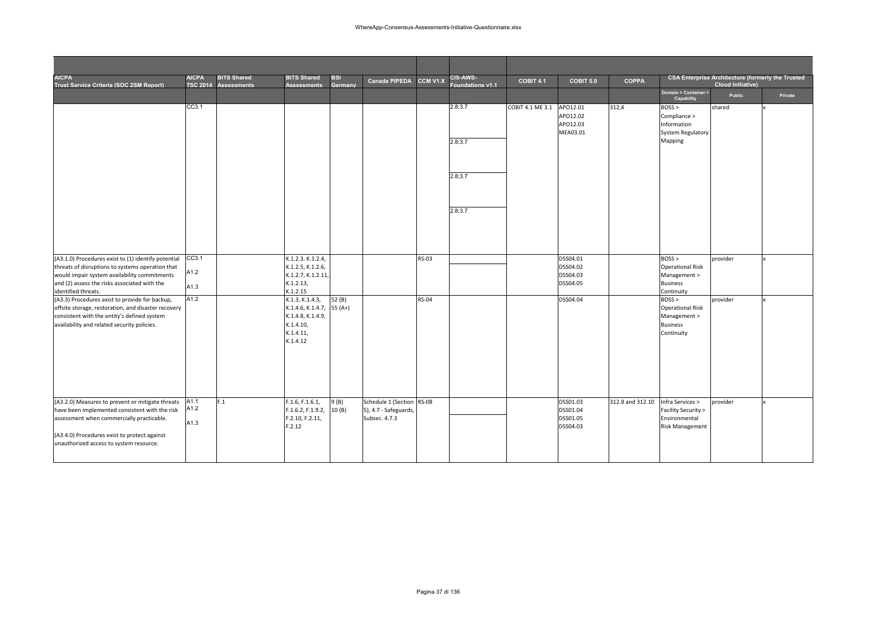| <b>AICPA</b><br>Trust Service Criteria (SOC 2SM Report)                                                                                                                                                                                    | <b>AICPA</b><br><b>TSC 2014</b> | <b>BITS Shared</b><br><b>Assessments</b> | <b>BITS Shared</b><br><b>Assessments</b>                                                        | <b>BSI</b><br>Germany | Canada PIPEDA                                                       | CCM V1.X     | CIS-AWS-<br>Foundations v1.1 | <b>COBIT 4.1</b> | COBIT 5.0                                    | <b>COPPA</b>     |                                                                                    | <b>CSA Enterprise Architecture (formerly the Trusted</b><br><b>Cloud Initiative)</b> |         |
|--------------------------------------------------------------------------------------------------------------------------------------------------------------------------------------------------------------------------------------------|---------------------------------|------------------------------------------|-------------------------------------------------------------------------------------------------|-----------------------|---------------------------------------------------------------------|--------------|------------------------------|------------------|----------------------------------------------|------------------|------------------------------------------------------------------------------------|--------------------------------------------------------------------------------------|---------|
|                                                                                                                                                                                                                                            |                                 |                                          |                                                                                                 |                       |                                                                     |              |                              |                  |                                              |                  | Domain > Container ><br>Capability                                                 | Public                                                                               | Private |
|                                                                                                                                                                                                                                            | CC3.1                           |                                          |                                                                                                 |                       |                                                                     |              | 2.8;3.7                      | COBIT 4.1 ME 3.1 | APO12.01<br>APO12.02<br>APO12.03<br>MEA03.01 | 312,4            | BOSS<br>Compliance ><br>Information<br>System Regulatory                           | shared                                                                               |         |
|                                                                                                                                                                                                                                            |                                 |                                          |                                                                                                 |                       |                                                                     |              | 2.8;3.7                      |                  |                                              |                  | Mapping                                                                            |                                                                                      |         |
|                                                                                                                                                                                                                                            |                                 |                                          |                                                                                                 |                       |                                                                     |              | 2.8;3.7                      |                  |                                              |                  |                                                                                    |                                                                                      |         |
|                                                                                                                                                                                                                                            |                                 |                                          |                                                                                                 |                       |                                                                     |              | 2.8;3.7                      |                  |                                              |                  |                                                                                    |                                                                                      |         |
| (A3.1.0) Procedures exist to (1) identify potential                                                                                                                                                                                        | CC3.1                           |                                          | K.1.2.3. K.1.2.4,                                                                               |                       |                                                                     | <b>RS-03</b> |                              |                  | DSS04.01                                     |                  | BOSS                                                                               | provider                                                                             |         |
| threats of disruptions to systems operation that<br>would impair system availability commitments<br>and (2) assess the risks associated with the<br>identified threats.                                                                    | A1.2<br>A1.3                    |                                          | K.1.2.5, K.1.2.6,<br>K.1.2.7, K.1.2.11,<br>K.1.2.13,<br>K.1.2.15                                |                       |                                                                     |              |                              |                  | DSS04.02<br>DSS04.03<br>DSS04.05             |                  | <b>Operational Risk</b><br>Management ><br><b>Business</b><br>Continuity           |                                                                                      |         |
| (A3.3) Procedures exist to provide for backup,<br>offsite storage, restoration, and disaster recovery<br>consistent with the entity's defined system<br>availability and related security policies.                                        | A1.2                            |                                          | K.1.3, K.1.4.3,<br>K.1.4.6, K.1.4.7,<br>K.1.4.8, K.1.4.9,<br>K.1.4.10,<br>K.1.4.11,<br>K.1.4.12 | 52(B)<br>$55(A+)$     |                                                                     | <b>RS-04</b> |                              |                  | DSS04.04                                     |                  | BOSS<br><b>Operational Risk</b><br>Management ><br><b>Business</b><br>Continuity   | provider                                                                             |         |
| (A3.2.0) Measures to prevent or mitigate threats<br>have been implemented consistent with the risk<br>assessment when commercially practicable.<br>(A3.4.0) Procedures exist to protect against<br>unauthorized access to system resource. | A1.1<br>A1.2<br>A1.3            | F.1                                      | F.1.6, F.1.6.1,<br>F.1.6.2, F.1.9.2,<br>F.2.10, F.2.11,<br>F.2.12                               | 9(B)<br>10(B)         | Schedule 1 (Section RS-08<br>5), 4.7 - Safeguards,<br>Subsec. 4.7.3 |              |                              |                  | DSS01.03<br>DSS01.04<br>DSS01.05<br>DSS04.03 | 312.8 and 312.10 | Infra Services ><br>Facility Security ><br>Environmental<br><b>Risk Management</b> | provider                                                                             |         |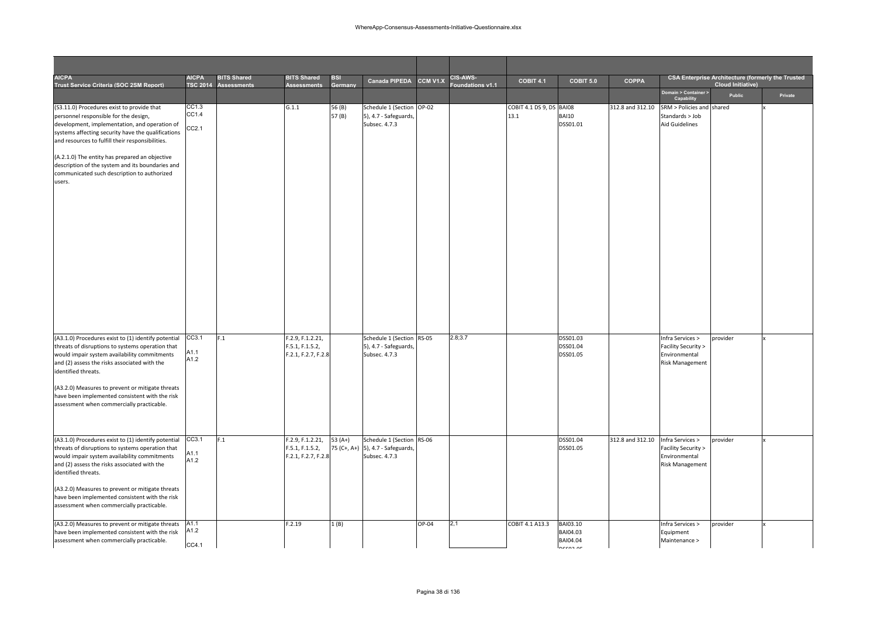| <b>AICPA</b><br>Trust Service Criteria (SOC 2SM Report)                                                                                                                                                                                                                                                                                                                                                       | <b>AICPA</b>            | <b>BITS Shared</b><br>TSC 2014 Assessments | <b>BITS Shared</b><br><b>Assessments</b>                   | <b>BSI</b><br>Germany | <b>Canada PIPEDA</b>                                                            | CCM V1.X | <b>CIS-AWS-</b><br>oundations v1.1 | <b>COBIT 4.1</b>                 | COBIT 5.0                                     | <b>COPPA</b>     |                                                                                    | <b>CSA Enterprise Architecture (formerly the Trusted</b><br><b>Cloud Initiative)</b> |         |
|---------------------------------------------------------------------------------------------------------------------------------------------------------------------------------------------------------------------------------------------------------------------------------------------------------------------------------------------------------------------------------------------------------------|-------------------------|--------------------------------------------|------------------------------------------------------------|-----------------------|---------------------------------------------------------------------------------|----------|------------------------------------|----------------------------------|-----------------------------------------------|------------------|------------------------------------------------------------------------------------|--------------------------------------------------------------------------------------|---------|
|                                                                                                                                                                                                                                                                                                                                                                                                               |                         |                                            |                                                            |                       |                                                                                 |          |                                    |                                  |                                               |                  | Domain > Container ><br>Capability                                                 | Public                                                                               | Private |
| (S3.11.0) Procedures exist to provide that<br>personnel responsible for the design,<br>development, implementation, and operation of<br>systems affecting security have the qualifications<br>and resources to fulfill their responsibilities.<br>(A.2.1.0) The entity has prepared an objective<br>description of the system and its boundaries and<br>communicated such description to authorized<br>users. | CC1.3<br>CC1.4<br>CC2.1 |                                            | G.1.1                                                      | 56 (B)<br>57(B)       | Schedule 1 (Section OP-02<br>5), 4.7 - Safeguards,<br>Subsec. 4.7.3             |          |                                    | COBIT 4.1 DS 9, DS BAI08<br>13.1 | <b>BAI10</b><br>DSS01.01                      | 312.8 and 312.10 | SRM > Policies and<br>Standards > Job<br><b>Aid Guidelines</b>                     | shared                                                                               |         |
| (A3.1.0) Procedures exist to (1) identify potential<br>threats of disruptions to systems operation that<br>would impair system availability commitments<br>and (2) assess the risks associated with the<br>identified threats.<br>(A3.2.0) Measures to prevent or mitigate threats<br>have been implemented consistent with the risk<br>assessment when commercially practicable.                             | CC3.1<br>A1.1<br>A1.2   | F.1                                        | F.2.9, F.1.2.21,<br>F.5.1, F.1.5.2,<br>F.2.1, F.2.7, F.2.8 |                       | Schedule 1 (Section RS-05<br>5), 4.7 - Safeguards,<br>Subsec. 4.7.3             |          | 2.8;3.7                            |                                  | DSS01.03<br>DSS01.04<br>DSS01.05              |                  | Infra Services ><br>Facility Security ><br>Environmental<br><b>Risk Management</b> | provider                                                                             |         |
| (A3.1.0) Procedures exist to (1) identify potential<br>threats of disruptions to systems operation that<br>would impair system availability commitments<br>and (2) assess the risks associated with the<br>identified threats.<br>(A3.2.0) Measures to prevent or mitigate threats<br>have been implemented consistent with the risk<br>assessment when commercially practicable.                             | CC3.1<br>A1.1<br>A1.2   | F.1                                        | F.2.9, F.1.2.21,<br>F.5.1, F.1.5.2,<br>F.2.1, F.2.7, F.2.8 | $53(A+)$              | Schedule 1 (Section RS-06<br>75 (C+, A+) 5), 4.7 - Safeguards,<br>Subsec. 4.7.3 |          |                                    |                                  | DSS01.04<br>DSS01.05                          | 312.8 and 312.10 | Infra Services ><br>Facility Security ><br>Environmental<br><b>Risk Management</b> | provider                                                                             |         |
| (A3.2.0) Measures to prevent or mitigate threats<br>have been implemented consistent with the risk<br>assessment when commercially practicable.                                                                                                                                                                                                                                                               | A1.1<br>A1.2<br>CC4.1   |                                            | F.2.19                                                     | 1(B)                  |                                                                                 | OP-04    | 2,1                                | COBIT 4.1 A13.3                  | BAI03.10<br>BAI04.03<br>BAI04.04<br>Inccon or |                  | Infra Services ><br>Equipment<br>Maintenance >                                     | provider                                                                             |         |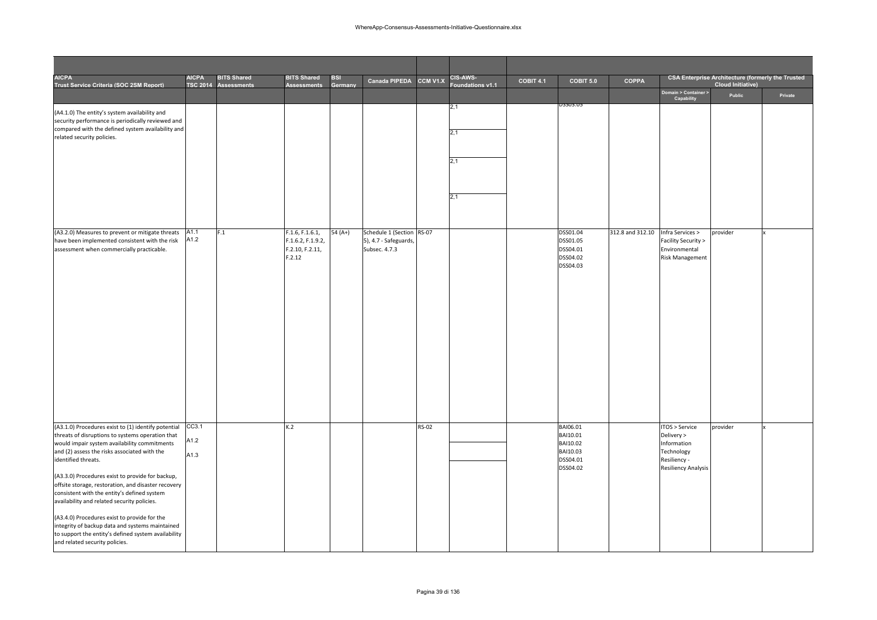| <b>AICPA</b><br>Trust Service Criteria (SOC 2SM Report)                                                                                                                                                                                                                                                                                                                                                                                                                                                                                                                                                                             | <b>AICPA</b>          | <b>BITS Shared</b><br>TSC 2014 Assessments | <b>BITS Shared</b><br><b>Assessments</b>                          | <b>BSI</b><br>Germany | Canada PIPEDA CCM V1.X                                              |              | CIS-AWS-<br>Foundations v1.1 | COBIT 4.1 | COBIT 5.0                                                            | <b>COPPA</b>     |                                                                                                        | <b>CSA Enterprise Architecture (formerly the Trusted</b><br><b>Cloud Initiative)</b> |         |
|-------------------------------------------------------------------------------------------------------------------------------------------------------------------------------------------------------------------------------------------------------------------------------------------------------------------------------------------------------------------------------------------------------------------------------------------------------------------------------------------------------------------------------------------------------------------------------------------------------------------------------------|-----------------------|--------------------------------------------|-------------------------------------------------------------------|-----------------------|---------------------------------------------------------------------|--------------|------------------------------|-----------|----------------------------------------------------------------------|------------------|--------------------------------------------------------------------------------------------------------|--------------------------------------------------------------------------------------|---------|
|                                                                                                                                                                                                                                                                                                                                                                                                                                                                                                                                                                                                                                     |                       |                                            |                                                                   |                       |                                                                     |              |                              |           |                                                                      |                  | Domain > Container ><br>Capability                                                                     | Public                                                                               | Private |
| (A4.1.0) The entity's system availability and<br>security performance is periodically reviewed and<br>compared with the defined system availability and<br>related security policies.                                                                                                                                                                                                                                                                                                                                                                                                                                               |                       |                                            |                                                                   |                       |                                                                     |              | 2,1<br>2,1<br>2,1            |           | 75503.05                                                             |                  |                                                                                                        |                                                                                      |         |
|                                                                                                                                                                                                                                                                                                                                                                                                                                                                                                                                                                                                                                     |                       |                                            |                                                                   |                       |                                                                     |              | 2,1                          |           |                                                                      |                  |                                                                                                        |                                                                                      |         |
| (A3.2.0) Measures to prevent or mitigate threats<br>have been implemented consistent with the risk<br>assessment when commercially practicable.                                                                                                                                                                                                                                                                                                                                                                                                                                                                                     | A1.1<br>A1.2          | F.1                                        | F.1.6, F.1.6.1,<br>F.1.6.2, F.1.9.2,<br>F.2.10, F.2.11,<br>F.2.12 | 54 (A+)               | Schedule 1 (Section RS-07<br>5), 4.7 - Safeguards,<br>Subsec. 4.7.3 |              |                              |           | DSS01.04<br>DSS01.05<br>DSS04.01<br>DSS04.02<br>DSS04.03             | 312.8 and 312.10 | Infra Services ><br>Facility Security ><br>Environmental<br><b>Risk Management</b>                     | provider                                                                             |         |
| (A3.1.0) Procedures exist to (1) identify potential<br>threats of disruptions to systems operation that<br>would impair system availability commitments<br>and (2) assess the risks associated with the<br>identified threats.<br>(A3.3.0) Procedures exist to provide for backup,<br>offsite storage, restoration, and disaster recovery<br>consistent with the entity's defined system<br>availability and related security policies.<br>(A3.4.0) Procedures exist to provide for the<br>integrity of backup data and systems maintained<br>to support the entity's defined system availability<br>and related security policies. | CC3.1<br>A1.2<br>A1.3 |                                            | K.2                                                               |                       |                                                                     | <b>RS-02</b> |                              |           | BAI06.01<br>BAI10.01<br>BAI10.02<br>BAI10.03<br>DSS04.01<br>DSS04.02 |                  | TOS > Service<br>Delivery ><br>Information<br>Technology<br>Resiliency -<br><b>Resiliency Analysis</b> | provider                                                                             |         |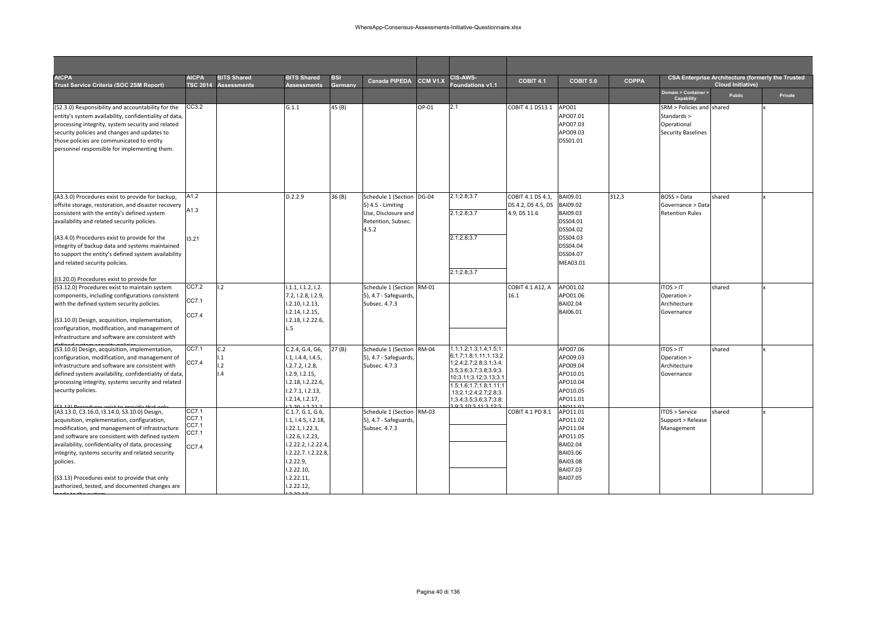| <b>AICPA</b><br>Trust Service Criteria (SOC 2SM Report)                                                                                                                                                                                                                                                                                                                                                                   | <b>AICPA</b><br><b>TSC 2014</b>           | <b>BITS Shared</b><br><b>Assessments</b> | <b>BITS Shared</b><br><b>Assessments</b>                                                                                                                                         | <b>BSI</b><br>Germany | <b>Canada PIPEDA</b>                                                                                 | CCM V1.X | CIS-AWS-<br>oundations v1.1                                                                                                                                                                                                               | COBIT 4.1                                               | COBIT 5.0                                                                                                       | <b>COPPA</b> |                                                                                      | <b>CSA Enterprise Architecture (formerly the Trusted</b><br><b>Cloud Initiative)</b> |         |
|---------------------------------------------------------------------------------------------------------------------------------------------------------------------------------------------------------------------------------------------------------------------------------------------------------------------------------------------------------------------------------------------------------------------------|-------------------------------------------|------------------------------------------|----------------------------------------------------------------------------------------------------------------------------------------------------------------------------------|-----------------------|------------------------------------------------------------------------------------------------------|----------|-------------------------------------------------------------------------------------------------------------------------------------------------------------------------------------------------------------------------------------------|---------------------------------------------------------|-----------------------------------------------------------------------------------------------------------------|--------------|--------------------------------------------------------------------------------------|--------------------------------------------------------------------------------------|---------|
|                                                                                                                                                                                                                                                                                                                                                                                                                           |                                           |                                          |                                                                                                                                                                                  |                       |                                                                                                      |          |                                                                                                                                                                                                                                           |                                                         |                                                                                                                 |              | Domain > Container ><br>Capability                                                   | <b>Public</b>                                                                        | Private |
| (S2.3.0) Responsibility and accountability for the<br>entity's system availability, confidentiality of data,<br>processing integrity, system security and related<br>security policies and changes and updates to<br>those policies are communicated to entity<br>personnel responsible for implementing them.                                                                                                            | CC3.2                                     |                                          | G.1.1                                                                                                                                                                            | 45 (B)                |                                                                                                      | OP-01    | 2,1                                                                                                                                                                                                                                       | COBIT 4.1 DS13.1                                        | APO01<br>APO07.01<br>APO07.03<br>APO09.03<br>DSS01.01                                                           |              | SRM > Policies and shared<br>Standards ><br>Operational<br><b>Security Baselines</b> |                                                                                      |         |
| (A3.3.0) Procedures exist to provide for backup,<br>offsite storage, restoration, and disaster recovery<br>consistent with the entity's defined system<br>availability and related security policies.<br>(A3.4.0) Procedures exist to provide for the<br>integrity of backup data and systems maintained<br>to support the entity's defined system availability<br>and related security policies.                         | A1.2<br>A1.3<br>13.21                     |                                          | D.2.2.9                                                                                                                                                                          | 36 (B)                | Schedule 1 (Section DG-04<br>5) 4.5 - Limiting<br>Use, Disclosure and<br>Retention, Subsec.<br>4.5.2 |          | 2.1;2.8;3.7<br>2.1:2.8:3.7<br>2.1;2.8;3.7<br>2.1;2.8;3.7                                                                                                                                                                                  | COBIT 4.1 DS 4.1,<br>DS 4.2, DS 4.5, DS<br>4.9, DS 11.6 | BAI09.01<br>BAI09.02<br>BAI09.03<br>DSS04.01<br>DSS04.02<br>DSS04.03<br>DSS04.04<br>DSS04.07<br>MEA03.01        | 312,3        | BOSS > Data<br>Governance > Data<br><b>Retention Rules</b>                           | shared                                                                               |         |
| (I3.20.0) Procedures exist to provide for                                                                                                                                                                                                                                                                                                                                                                                 |                                           |                                          |                                                                                                                                                                                  |                       |                                                                                                      |          |                                                                                                                                                                                                                                           |                                                         |                                                                                                                 |              |                                                                                      |                                                                                      |         |
| (S3.12.0) Procedures exist to maintain system<br>components, including configurations consistent<br>with the defined system security policies.<br>(S3.10.0) Design, acquisition, implementation,<br>configuration, modification, and management of<br>infrastructure and software are consistent with                                                                                                                     | CC7.2<br>CC7.1<br>CC7.4                   | 1.2                                      | 1.1.1, 1.1.2, 1.2.<br>7.2, 1.2.8, 1.2.9,<br>1.2.10, 1.2.13,<br>1.2.14, 1.2.15,<br>1.2.18, 1.2.22.6,<br>L.5                                                                       |                       | Schedule 1 (Section RM-01<br>5), 4.7 - Safeguards,<br>Subsec. 4.7.3                                  |          |                                                                                                                                                                                                                                           | COBIT 4.1 A12, A<br>16.1                                | APO01.02<br>APO01.06<br>BAI02.04<br>BAI06.01                                                                    |              | ITOS > IT<br>Operation ><br>Architecture<br>Governance                               | shared                                                                               |         |
| (S3.10.0) Design, acquisition, implementation,<br>configuration, modification, and management of<br>infrastructure and software are consistent with<br>defined system availability, confidentiality of data,<br>processing integrity, systems security and related<br>security policies.                                                                                                                                  | CC7.1<br>CC7.4                            | C.2<br>1.1<br>1.2<br>$\overline{A}$      | C.2.4, G.4, G6,<br>1.1, 1.4.4, 1.4.5,<br>1.2.7.2, 1.2.8,<br>1.2.9, 1.2.15,<br>1.2.18, 1.2.22.6,<br>1.2.7.1, 1.2.13,<br>1.2.14, 1.2.17,                                           | 27(B)                 | Schedule 1 (Section RM-04<br>5), 4.7 - Safeguards,<br>Subsec. 4.7.3                                  |          | 1.1; 1.2; 1.3; 1.4; 1.5; 1<br>6;1.7;1.8;1.11;1.13;2.<br>1;2.4;2.7;2.8;3.1;3.4;<br>3.5; 3.6; 3.7; 3.8; 3.9; 3.<br>10;3.11;3.12;3.13;3.1<br>1.5;1.6;1.7;1.8;1.11;1<br>13;2.1;2.4;2.7;2.8;3.<br>1;3.4;3.5;3.6;3.7;3.8;<br>0.2.10.2.11.2.12.2 |                                                         | APO07.06<br>APO09.03<br>APO09.04<br>APO10.01<br>APO10.04<br>APO10.05<br>APO11.01<br>00110                       |              | ITOS > IT<br>Operation ><br>Architecture<br>Governance                               | shared                                                                               |         |
| (A3.13.0, C3.16.0, I3.14.0, S3.10.0) Design,<br>acquisition, implementation, configuration,<br>modification, and management of infrastructure<br>and software are consistent with defined system<br>availability, confidentiality of data, processing<br>integrity, systems security and related security<br>policies.<br>(S3.13) Procedures exist to provide that only<br>authorized, tested, and documented changes are | CC7.1<br>CC7.1<br>CC7.1<br>CC7.1<br>CC7.4 |                                          | C.1.7, G.1, G.6,<br>I.1, I.4.5, I.2.18,<br>1.22.1, 1.22.3,<br>1.22.6, 1.2.23,<br>1.2.22.2, 1.2.22.4,<br>1.2.22.7.1.2.22.8,<br>1.2.22.9<br>1.2.22.10,<br>1.2.22.11,<br>1.2.22.12, |                       | Schedule 1 (Section RM-03<br>5), 4.7 - Safeguards,<br>Subsec. 4.7.3                                  |          |                                                                                                                                                                                                                                           | COBIT 4.1 PO 8.1                                        | APO11.01<br>APO11.02<br>APO11.04<br>APO11.05<br>BAI02.04<br>BAI03.06<br><b>BAI03.08</b><br>BAI07.03<br>BAI07.05 |              | ITOS > Service<br>Support > Release<br>Management                                    | shared                                                                               |         |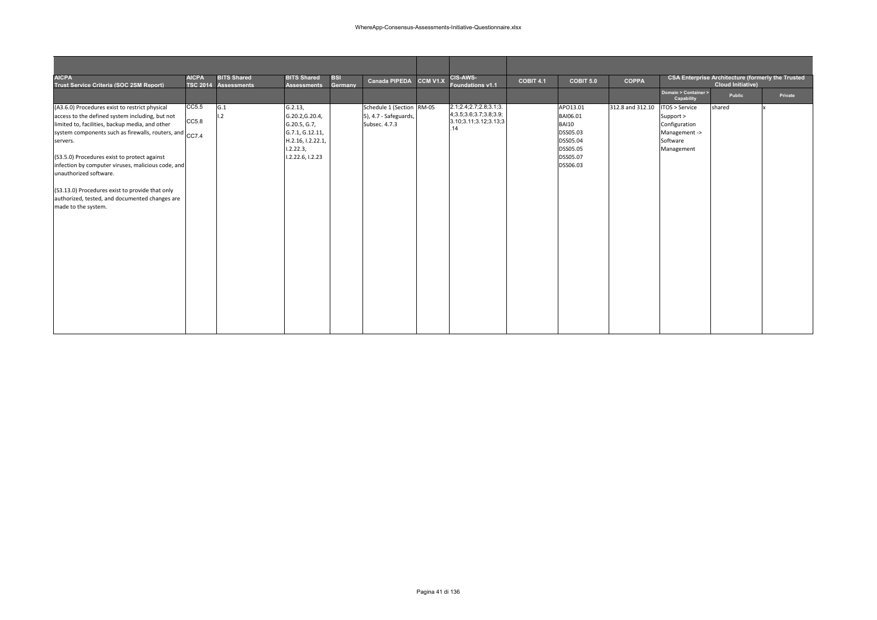| <b>AICPA</b>                                            | <b>AICPA</b> | <b>BITS Shared</b>   | <b>BITS Shared</b> | <b>BSI</b> | Canada PIPEDA             | CCM V1.X | CIS-AWS-                    | <b>COBIT 4.1</b> | COBIT 5.0    | <b>COPPA</b>     |                      | <b>CSA Enterprise Architecture (formerly the Trusted</b> |         |
|---------------------------------------------------------|--------------|----------------------|--------------------|------------|---------------------------|----------|-----------------------------|------------------|--------------|------------------|----------------------|----------------------------------------------------------|---------|
| Trust Service Criteria (SOC 2SM Report)                 |              | TSC 2014 Assessments | <b>Assessments</b> | Germany    |                           |          | <b>Foundations v1.1</b>     |                  |              |                  | Domain > Container > | <b>Cloud Initiative)</b>                                 |         |
|                                                         |              |                      |                    |            |                           |          |                             |                  |              |                  | Capability           | Public                                                   | Private |
| (A3.6.0) Procedures exist to restrict physical          | CC5.5        | G.1                  | G.2.13,            |            | Schedule 1 (Section RM-05 |          | 2.1;2.4;2.7;2.8;3.1;3.      |                  | APO13.01     | 312.8 and 312.10 | ITOS > Service       | shared                                                   |         |
| access to the defined system including, but not         |              | 1.2                  | G.20.2, G.20.4,    |            | 5), 4.7 - Safeguards,     |          | 4; 3.5; 3.6; 3.7; 3.8; 3.9; |                  | BAI06.01     |                  | Support >            |                                                          |         |
| limited to, facilities, backup media, and other         | CC5.8        |                      | G.20.5, G.7,       |            | Subsec. 4.7.3             |          | 3.10;3.11;3.12;3.13;3<br>14 |                  | <b>BAI10</b> |                  | Configuration        |                                                          |         |
| system components such as firewalls, routers, and CC7.4 |              |                      | G.7.1, G.12.11,    |            |                           |          |                             |                  | DSS05.03     |                  | Management ->        |                                                          |         |
| servers.                                                |              |                      | H.2.16, I.2.22.1,  |            |                           |          |                             |                  | DSS05.04     |                  | Software             |                                                          |         |
|                                                         |              |                      | 1.2.22.3,          |            |                           |          |                             |                  | DSS05.05     |                  | Management           |                                                          |         |
| (S3.5.0) Procedures exist to protect against            |              |                      | I.2.22.6, I.2.23   |            |                           |          |                             |                  | DSS05.07     |                  |                      |                                                          |         |
| infection by computer viruses, malicious code, and      |              |                      |                    |            |                           |          |                             |                  | DSS06.03     |                  |                      |                                                          |         |
| unauthorized software.                                  |              |                      |                    |            |                           |          |                             |                  |              |                  |                      |                                                          |         |
| (S3.13.0) Procedures exist to provide that only         |              |                      |                    |            |                           |          |                             |                  |              |                  |                      |                                                          |         |
| authorized, tested, and documented changes are          |              |                      |                    |            |                           |          |                             |                  |              |                  |                      |                                                          |         |
| made to the system.                                     |              |                      |                    |            |                           |          |                             |                  |              |                  |                      |                                                          |         |
|                                                         |              |                      |                    |            |                           |          |                             |                  |              |                  |                      |                                                          |         |
|                                                         |              |                      |                    |            |                           |          |                             |                  |              |                  |                      |                                                          |         |
|                                                         |              |                      |                    |            |                           |          |                             |                  |              |                  |                      |                                                          |         |
|                                                         |              |                      |                    |            |                           |          |                             |                  |              |                  |                      |                                                          |         |
|                                                         |              |                      |                    |            |                           |          |                             |                  |              |                  |                      |                                                          |         |
|                                                         |              |                      |                    |            |                           |          |                             |                  |              |                  |                      |                                                          |         |
|                                                         |              |                      |                    |            |                           |          |                             |                  |              |                  |                      |                                                          |         |
|                                                         |              |                      |                    |            |                           |          |                             |                  |              |                  |                      |                                                          |         |
|                                                         |              |                      |                    |            |                           |          |                             |                  |              |                  |                      |                                                          |         |
|                                                         |              |                      |                    |            |                           |          |                             |                  |              |                  |                      |                                                          |         |
|                                                         |              |                      |                    |            |                           |          |                             |                  |              |                  |                      |                                                          |         |
|                                                         |              |                      |                    |            |                           |          |                             |                  |              |                  |                      |                                                          |         |
|                                                         |              |                      |                    |            |                           |          |                             |                  |              |                  |                      |                                                          |         |
|                                                         |              |                      |                    |            |                           |          |                             |                  |              |                  |                      |                                                          |         |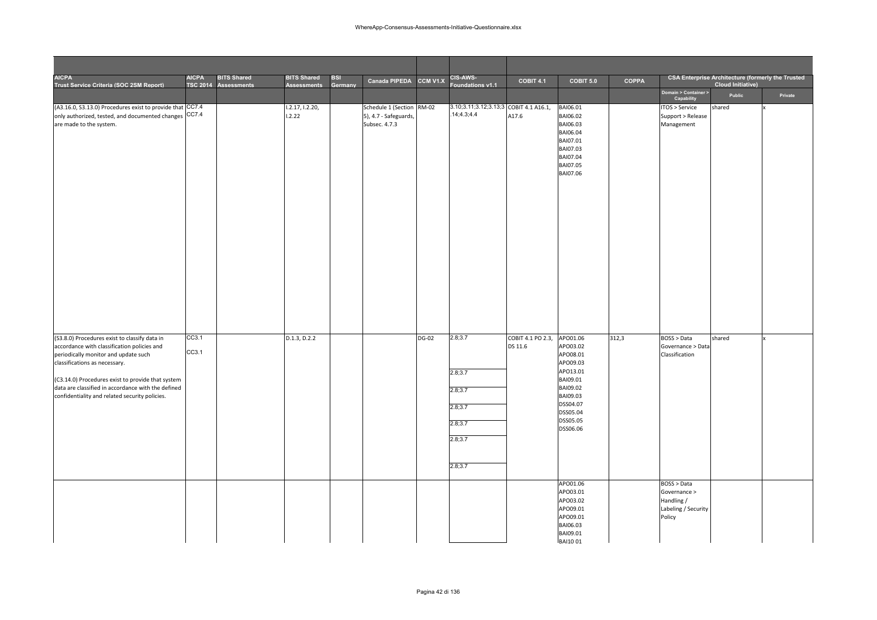| <b>AICPA</b><br>Trust Service Criteria (SOC 2SM Report)                                                                                                                                                                                                                                                                            | <b>AICPA</b>   | <b>BITS Shared</b><br>TSC 2014 Assessments | <b>BITS Shared</b><br><b>Assessments</b> | <b>BSI</b><br>Germany | Canada PIPEDA CCM V1.X                                              |              | <b>CIS-AWS-</b><br>Foundations v1.1                                       | <b>COBIT 4.1</b>             | COBIT 5.0                                                                                                                                    | COPPA |                                                                            | <b>CSA Enterprise Architecture (formerly the Trusted</b><br><b>Cloud Initiative)</b> |         |
|------------------------------------------------------------------------------------------------------------------------------------------------------------------------------------------------------------------------------------------------------------------------------------------------------------------------------------|----------------|--------------------------------------------|------------------------------------------|-----------------------|---------------------------------------------------------------------|--------------|---------------------------------------------------------------------------|------------------------------|----------------------------------------------------------------------------------------------------------------------------------------------|-------|----------------------------------------------------------------------------|--------------------------------------------------------------------------------------|---------|
|                                                                                                                                                                                                                                                                                                                                    |                |                                            |                                          |                       |                                                                     |              |                                                                           |                              |                                                                                                                                              |       | Domain > Container ><br>Capability                                         | Public                                                                               | Private |
| (A3.16.0, S3.13.0) Procedures exist to provide that CC7.4<br>only authorized, tested, and documented changes CC7.4<br>are made to the system.                                                                                                                                                                                      |                |                                            | 1.2.17, 1.2.20,<br>1.2.22                |                       | Schedule 1 (Section RM-02<br>5), 4.7 - Safeguards,<br>Subsec. 4.7.3 |              | 3.10;3.11;3.12;3.13;3 COBIT 4.1 A16.1,<br>14;4.3;4.4                      | A17.6                        | BAI06.01<br>BAI06.02<br>BAI06.03<br>BAI06.04<br>BAI07.01<br>BAI07.03<br>BAI07.04<br><b>BAI07.05</b><br>BAI07.06                              |       | TOS > Service<br>Support > Release<br>Management                           | shared                                                                               |         |
| (S3.8.0) Procedures exist to classify data in<br>accordance with classification policies and<br>periodically monitor and update such<br>classifications as necessary.<br>(C3.14.0) Procedures exist to provide that system<br>data are classified in accordance with the defined<br>confidentiality and related security policies. | CC3.1<br>CC3.1 |                                            | D.1.3, D.2.2                             |                       |                                                                     | <b>DG-02</b> | 2.8;3.7<br>2.8;3.7<br>2.8;3.7<br>2.8;3.7<br>2.8;3.7<br>2.8;3.7<br>2.8;3.7 | COBIT 4.1 PO 2.3,<br>DS 11.6 | APO01.06<br>APO03.02<br>APO08.01<br>APO09.03<br>APO13.01<br>BAI09.01<br>BAI09.02<br>BAI09.03<br>DSS04.07<br>DSS05.04<br>DSS05.05<br>DSS06.06 | 312,3 | <b>BOSS &gt; Data</b><br>Governance > Data<br>Classification               | shared                                                                               |         |
|                                                                                                                                                                                                                                                                                                                                    |                |                                            |                                          |                       |                                                                     |              |                                                                           |                              | APO01.06<br>APO03.01<br>APO03.02<br>APO09.01<br>APO09.01<br>BAI06.03<br>BAI09.01<br><b>BAI1001</b>                                           |       | BOSS > Data<br>Governance ><br>Handling /<br>Labeling / Security<br>Policy |                                                                                      |         |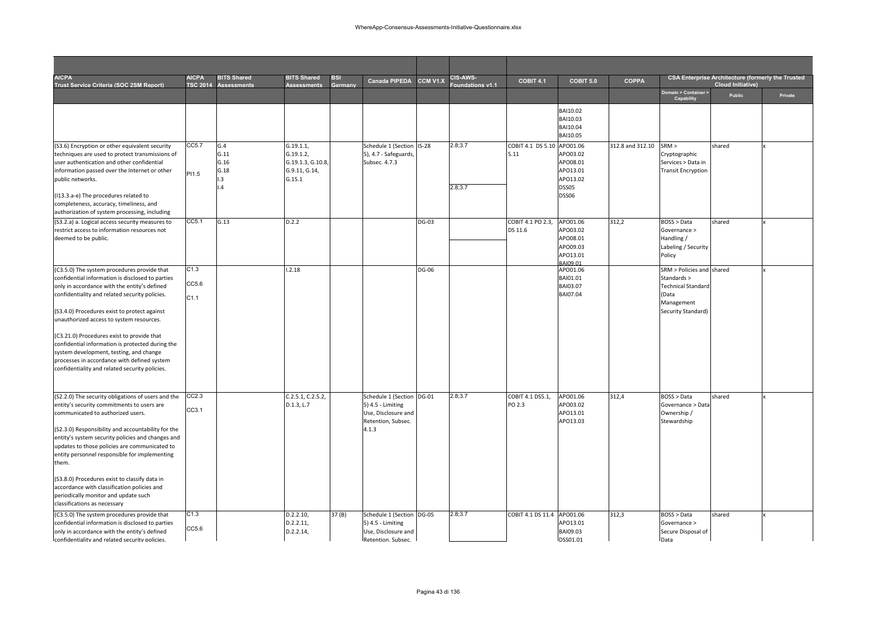| <b>AICPA</b><br>Trust Service Criteria (SOC 2SM Report)                                                                                                                                                                                                                                                                                                                                                                                                                                                                                     | <b>AICPA</b>          | <b>BITS Shared</b><br>TSC 2014 Assessments | <b>BITS Shared</b><br><b>Assessments</b>                             | BSI<br>Germany | Canada PIPEDA                                                                                        | CCM V1.X     | <b>CIS-AWS-</b><br>oundations v1.1 | <b>COBIT 4.1</b>                   | COBIT 5.0                                                             | <b>COPPA</b>     |                                                                                                                    | <b>CSA Enterprise Architecture (formerly the Trusted</b><br><b>Cloud Initiative)</b> |         |
|---------------------------------------------------------------------------------------------------------------------------------------------------------------------------------------------------------------------------------------------------------------------------------------------------------------------------------------------------------------------------------------------------------------------------------------------------------------------------------------------------------------------------------------------|-----------------------|--------------------------------------------|----------------------------------------------------------------------|----------------|------------------------------------------------------------------------------------------------------|--------------|------------------------------------|------------------------------------|-----------------------------------------------------------------------|------------------|--------------------------------------------------------------------------------------------------------------------|--------------------------------------------------------------------------------------|---------|
|                                                                                                                                                                                                                                                                                                                                                                                                                                                                                                                                             |                       |                                            |                                                                      |                |                                                                                                      |              |                                    |                                    |                                                                       |                  | Domain > Container ><br>Capability                                                                                 | Public                                                                               | Private |
|                                                                                                                                                                                                                                                                                                                                                                                                                                                                                                                                             |                       |                                            |                                                                      |                |                                                                                                      |              |                                    |                                    | BAI10.02<br>BAI10.03<br>BAI10.04<br><b>BAI10.05</b>                   |                  |                                                                                                                    |                                                                                      |         |
| (S3.6) Encryption or other equivalent security<br>techniques are used to protect transmissions of<br>user authentication and other confidential<br>information passed over the Internet or other<br>public networks.<br>(I13.3.a-e) The procedures related to<br>completeness, accuracy, timeliness, and<br>authorization of system processing, including                                                                                                                                                                                   | CC5.7<br>PI1.5        | G.4<br>G.11<br>G.16<br>G.18<br>I.3<br>.4   | G.19.1.1<br>G.19.1.2,<br>G.19.1.3, G.10.8<br>G.9.11, G.14,<br>G.15.1 |                | Schedule 1 (Section IS-28<br>5), 4.7 - Safeguards,<br>Subsec. 4.7.3                                  |              | 2.8;3.7<br>2.8;3.7                 | COBIT 4.1 DS 5.10 APO01.06<br>5.11 | APO03.02<br>APO08.01<br>APO13.01<br>APO13.02<br>DSS05<br><b>DSS06</b> | 312.8 and 312.10 | SRM ><br>Cryptographic<br>Services > Data in<br><b>Transit Encryption</b>                                          | shared                                                                               |         |
| (S3.2.a) a. Logical access security measures to<br>restrict access to information resources not<br>deemed to be public.                                                                                                                                                                                                                                                                                                                                                                                                                     | CC5.1                 | G.13                                       | D.2.2                                                                |                |                                                                                                      | <b>DG-03</b> |                                    | COBIT 4.1 PO 2.3,<br>DS 11.6       | APO01.06<br>APO03.02<br>APO08.01<br>APO09.03<br>APO13.01<br>BAI09.01  | 312,2            | BOSS > Data<br>Governance ><br>Handling /<br>Labeling / Security<br>Policy                                         | shared                                                                               |         |
| (C3.5.0) The system procedures provide that<br>confidential information is disclosed to parties<br>only in accordance with the entity's defined<br>confidentiality and related security policies.<br>(S3.4.0) Procedures exist to protect against<br>unauthorized access to system resources.<br>(C3.21.0) Procedures exist to provide that<br>confidential information is protected during the<br>system development, testing, and change<br>processes in accordance with defined system<br>confidentiality and related security policies. | C1.3<br>CC5.6<br>C1.1 |                                            | 1.2.18                                                               |                |                                                                                                      | <b>DG-06</b> |                                    |                                    | APO01.06<br>BAI01.01<br>BAI03.07<br><b>BAI07.04</b>                   |                  | SRM > Policies and shared<br>Standards ><br><b>Technical Standard</b><br>(Data<br>Management<br>Security Standard) |                                                                                      |         |
| (S2.2.0) The security obligations of users and the<br>entity's security commitments to users are<br>communicated to authorized users.<br>(S2.3.0) Responsibility and accountability for the<br>entity's system security policies and changes and<br>updates to those policies are communicated to<br>entity personnel responsible for implementing<br>them.<br>(S3.8.0) Procedures exist to classify data in<br>accordance with classification policies and<br>periodically monitor and update such<br>classifications as necessary         | CC2.3<br>CC3.1        |                                            | C.2.5.1, C.2.5.2,<br>D.1.3, L.7                                      |                | Schedule 1 (Section DG-01<br>5) 4.5 - Limiting<br>Use, Disclosure and<br>Retention, Subsec.<br>4.1.3 |              | 2.8;3.7                            | COBIT 4.1 DS5.1,<br>PO 2.3         | APO01.06<br>APO03.02<br>APO13.01<br>APO13.03                          | 312,4            | BOSS > Data<br>Governance > Data<br>Ownership /<br>Stewardship                                                     | shared                                                                               |         |
| (C3.5.0) The system procedures provide that<br>confidential information is disclosed to parties<br>only in accordance with the entity's defined<br>confidentiality and related security policies.                                                                                                                                                                                                                                                                                                                                           | C1.3<br>CC5.6         |                                            | D.2.2.10,<br>D.2.2.11,<br>D.2.2.14,                                  | 37 (B)         | Schedule 1 (Section DG-05<br>5) 4.5 - Limiting<br>Use, Disclosure and<br>Retention, Subsec.          |              | 2.8;3.7                            | COBIT 4.1 DS 11.4                  | APO01.06<br>APO13.01<br>BAI09.03<br>DSS01.01                          | 312,3            | BOSS > Data<br>Governance ><br>Secure Disposal of<br>Data                                                          | shared                                                                               |         |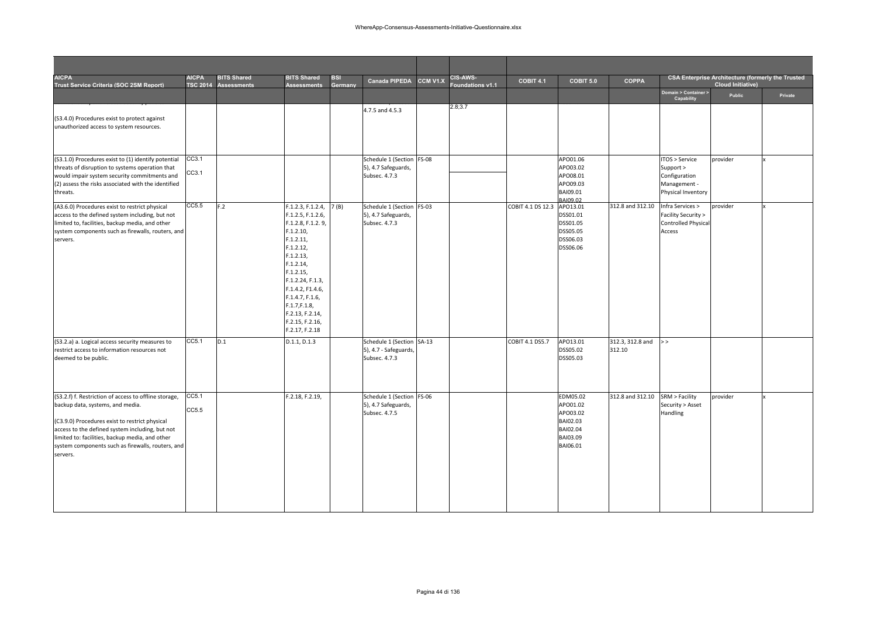| <b>AICPA</b><br>Trust Service Criteria (SOC 2SM Report)                                                                                                                                                                                                                                                            | <b>AICPA</b><br><b>TSC 2014</b> | <b>BITS Shared</b><br><b>Assessments</b> | <b>BITS Shared</b><br><b>Assessments</b>                                                                                                                                                                                                                                           | <b>BSI</b><br>Germany | <b>Canada PIPEDA</b>                                                | <b>CCM V1.X</b> | <b>CIS-AWS-</b><br>oundations v1.1 | COBIT 4.1         | COBIT 5.0                                                                        | <b>COPPA</b>               |                                                                                    | <b>CSA Enterprise Architecture (formerly the Trusted</b><br><b>Cloud Initiative)</b> |         |
|--------------------------------------------------------------------------------------------------------------------------------------------------------------------------------------------------------------------------------------------------------------------------------------------------------------------|---------------------------------|------------------------------------------|------------------------------------------------------------------------------------------------------------------------------------------------------------------------------------------------------------------------------------------------------------------------------------|-----------------------|---------------------------------------------------------------------|-----------------|------------------------------------|-------------------|----------------------------------------------------------------------------------|----------------------------|------------------------------------------------------------------------------------|--------------------------------------------------------------------------------------|---------|
|                                                                                                                                                                                                                                                                                                                    |                                 |                                          |                                                                                                                                                                                                                                                                                    |                       |                                                                     |                 |                                    |                   |                                                                                  |                            | Domain > Container ><br>Capability                                                 | Public                                                                               | Private |
| (S3.4.0) Procedures exist to protect against<br>unauthorized access to system resources.                                                                                                                                                                                                                           |                                 |                                          |                                                                                                                                                                                                                                                                                    |                       | 4.7.5 and 4.5.3                                                     |                 | 2.8;3.7                            |                   |                                                                                  |                            |                                                                                    |                                                                                      |         |
| (S3.1.0) Procedures exist to (1) identify potential<br>threats of disruption to systems operation that<br>would impair system security commitments and<br>(2) assess the risks associated with the identified<br>threats.                                                                                          | CC3.1<br>CC3.1                  |                                          |                                                                                                                                                                                                                                                                                    |                       | Schedule 1 (Section FS-08<br>5), 4.7 Safeguards,<br>Subsec. 4.7.3   |                 |                                    |                   | APO01.06<br>APO03.02<br>APO08.01<br>APO09.03<br>BAI09.01<br>BAI09.02             |                            | ITOS > Service<br>Support ><br>Configuration<br>Management -<br>Physical Inventory | provider                                                                             |         |
| (A3.6.0) Procedures exist to restrict physical<br>access to the defined system including, but not<br>limited to, facilities, backup media, and other<br>system components such as firewalls, routers, and<br>servers.                                                                                              | CC5.5                           | F.2                                      | F.1.2.3, F.1.2.4, 7(B)<br>F.1.2.5, F.1.2.6,<br>F.1.2.8, F.1.2.9,<br>F.1.2.10,<br>F.1.2.11,<br>F.1.2.12,<br>F.1.2.13,<br>F.1.2.14,<br>F.1.2.15,<br>F.1.2.24, F.1.3,<br>F.1.4.2, F1.4.6,<br>F.1.4.7, F.1.6,<br>F.1.7, F.1.8,<br>F.2.13, F.2.14,<br>F.2.15, F.2.16,<br>F.2.17, F.2.18 |                       | Schedule 1 (Section FS-03<br>5), 4.7 Safeguards,<br>Subsec. 4.7.3   |                 |                                    | COBIT 4.1 DS 12.3 | APO13.01<br>DSS01.01<br>DSS01.05<br>DSS05.05<br>DSS06.03<br>DSS06.06             | 312.8 and 312.10           | Infra Services ><br>Facility Security ><br><b>Controlled Physical</b><br>Access    | provider                                                                             |         |
| (S3.2.a) a. Logical access security measures to<br>restrict access to information resources not<br>deemed to be public.                                                                                                                                                                                            | CC5.1                           | D.1                                      | D.1.1, D.1.3                                                                                                                                                                                                                                                                       |                       | Schedule 1 (Section SA-13<br>5), 4.7 - Safeguards,<br>Subsec. 4.7.3 |                 |                                    | COBIT 4.1 DS5.7   | APO13.01<br>DSS05.02<br>DSS05.03                                                 | 312.3, 312.8 and<br>312.10 | >                                                                                  |                                                                                      |         |
| (S3.2.f) f. Restriction of access to offline storage,<br>backup data, systems, and media.<br>(C3.9.0) Procedures exist to restrict physical<br>access to the defined system including, but not<br>limited to: facilities, backup media, and other<br>system components such as firewalls, routers, and<br>servers. | CC5.1<br>CC5.5                  |                                          | F.2.18, F.2.19,                                                                                                                                                                                                                                                                    |                       | Schedule 1 (Section FS-06<br>5), 4.7 Safeguards,<br>Subsec. 4.7.5   |                 |                                    |                   | EDM05.02<br>APO01.02<br>APO03.02<br>BAI02.03<br>BAI02.04<br>BAI03.09<br>BAI06.01 | 312.8 and 312.10           | SRM > Facility<br>Security > Asset<br>Handling                                     | provider                                                                             |         |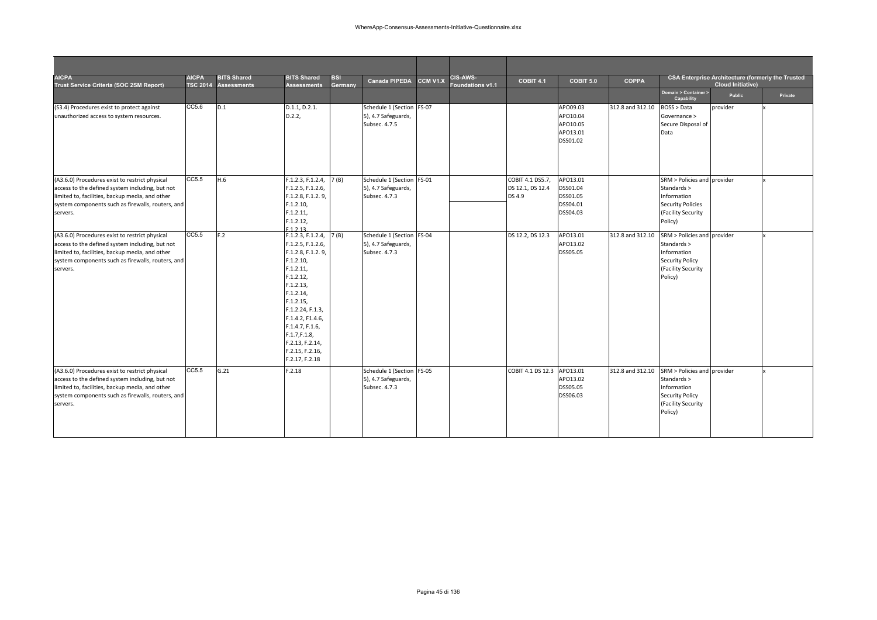| <b>AICPA</b><br>Trust Service Criteria (SOC 2SM Report)                                                                                                                                                               | <b>AICPA</b> | <b>BITS Shared</b><br>TSC 2014 Assessments | <b>BITS Shared</b><br><b>Assessments</b>                                                                                                                                                                                                                                      | <b>BSI</b><br>Germany | <b>Canada PIPEDA</b>                                              | CCM V1.X | <b>CIS-AWS-</b><br>Foundations v1.1 | COBIT 4.1                                      | COBIT 5.0                                                | <b>COPPA</b>     |                                                                                                                        | <b>CSA Enterprise Architecture (formerly the Trusted</b><br>Cloud Initiative) |         |
|-----------------------------------------------------------------------------------------------------------------------------------------------------------------------------------------------------------------------|--------------|--------------------------------------------|-------------------------------------------------------------------------------------------------------------------------------------------------------------------------------------------------------------------------------------------------------------------------------|-----------------------|-------------------------------------------------------------------|----------|-------------------------------------|------------------------------------------------|----------------------------------------------------------|------------------|------------------------------------------------------------------------------------------------------------------------|-------------------------------------------------------------------------------|---------|
|                                                                                                                                                                                                                       |              |                                            |                                                                                                                                                                                                                                                                               |                       |                                                                   |          |                                     |                                                |                                                          |                  | Domain > Container ><br>Capability                                                                                     | Public                                                                        | Private |
| (S3.4) Procedures exist to protect against<br>unauthorized access to system resources.                                                                                                                                | CC5.6        | D.1                                        | D.1.1, D.2.1.<br>D.2.2,                                                                                                                                                                                                                                                       |                       | Schedule 1 (Section FS-07<br>5), 4.7 Safeguards,<br>Subsec. 4.7.5 |          |                                     |                                                | APO09.03<br>APO10.04<br>APO10.05<br>APO13.01<br>DSS01.02 | 312.8 and 312.10 | BOSS > Data<br>Governance ><br>Secure Disposal of<br>Data                                                              | provider                                                                      |         |
| (A3.6.0) Procedures exist to restrict physical<br>access to the defined system including, but not<br>limited to, facilities, backup media, and other<br>system components such as firewalls, routers, and<br>servers. | CC5.5        | H.6                                        | F.1.2.3, F.1.2.4,<br>F.1.2.5, F.1.2.6,<br>F.1.2.8, F.1.2.9,<br>F.1.2.10,<br>F.1.2.11,<br>F.1.2.12,<br>F 1 2 13                                                                                                                                                                | 7(B)                  | Schedule 1 (Section FS-01<br>5), 4.7 Safeguards,<br>Subsec. 4.7.3 |          |                                     | COBIT 4.1 DS5.7,<br>DS 12.1, DS 12.4<br>DS 4.9 | APO13.01<br>DSS01.04<br>DSS01.05<br>DSS04.01<br>DSS04.03 |                  | SRM > Policies and provider<br>Standards ><br>Information<br><b>Security Policies</b><br>(Facility Security<br>Policy) |                                                                               |         |
| (A3.6.0) Procedures exist to restrict physical<br>access to the defined system including, but not<br>limited to, facilities, backup media, and other<br>system components such as firewalls, routers, and<br>servers. | CC5.5        | F.2                                        | F.1.2.3, F.1.2.4,<br>F.1.2.5, F.1.2.6,<br>F.1.2.8, F.1.2.9,<br>F.1.2.10,<br>F.1.2.11,<br>F.1.2.12,<br>F.1.2.13,<br>F.1.2.14,<br>F.1.2.15,<br>F.1.2.24, F.1.3,<br>F.1.4.2, F1.4.6,<br>F.1.4.7, F.1.6,<br>F.1.7, F.1.8,<br>F.2.13, F.2.14,<br>F.2.15, F.2.16,<br>F.2.17, F.2.18 | 7(B)                  | Schedule 1 (Section FS-04<br>5), 4.7 Safeguards,<br>Subsec. 4.7.3 |          |                                     | DS 12.2, DS 12.3                               | APO13.01<br>APO13.02<br>DSS05.05                         | 312.8 and 312.10 | SRM > Policies and provider<br>Standards ><br>Information<br><b>Security Policy</b><br>(Facility Security<br>Policy)   |                                                                               |         |
| (A3.6.0) Procedures exist to restrict physical<br>access to the defined system including, but not<br>limited to, facilities, backup media, and other<br>system components such as firewalls, routers, and<br>servers. | CC5.5        | G.21                                       | F.2.18                                                                                                                                                                                                                                                                        |                       | Schedule 1 (Section FS-05<br>5), 4.7 Safeguards,<br>Subsec. 4.7.3 |          |                                     | COBIT 4.1 DS 12.3                              | APO13.01<br>APO13.02<br>DSS05.05<br>DSS06.03             | 312.8 and 312.10 | SRM > Policies and provider<br>Standards ><br>Information<br><b>Security Policy</b><br>(Facility Security<br>Policy)   |                                                                               |         |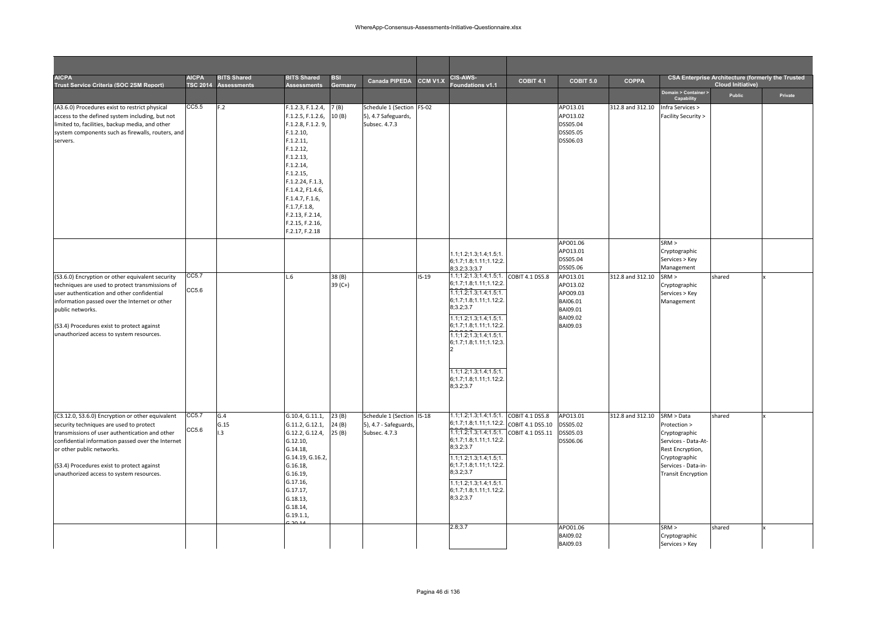| <b>AICPA</b><br>Trust Service Criteria (SOC 2SM Report)                                                                                                                                                                                                                                                                   | <b>AICPA</b><br><b>TSC 2014</b> | <b>BITS Shared</b><br><b>Assessments</b> | <b>BITS Shared</b><br><b>Assessments</b>                                                                                                                                                                                                                                      | <b>BSI</b><br>Germany   | <b>Canada PIPEDA</b>                                                | CCM V1.X | <b>CIS-AWS-</b><br>oundations v1.1                                                                                                                                                                                                                                                                                                       | COBIT 4.1                            | COBIT 5.0                                                                        | <b>COPPA</b>     |                                                                                                                                                             | <b>CSA Enterprise Architecture (formerly the Trusted</b><br><b>Cloud Initiative)</b> |         |
|---------------------------------------------------------------------------------------------------------------------------------------------------------------------------------------------------------------------------------------------------------------------------------------------------------------------------|---------------------------------|------------------------------------------|-------------------------------------------------------------------------------------------------------------------------------------------------------------------------------------------------------------------------------------------------------------------------------|-------------------------|---------------------------------------------------------------------|----------|------------------------------------------------------------------------------------------------------------------------------------------------------------------------------------------------------------------------------------------------------------------------------------------------------------------------------------------|--------------------------------------|----------------------------------------------------------------------------------|------------------|-------------------------------------------------------------------------------------------------------------------------------------------------------------|--------------------------------------------------------------------------------------|---------|
|                                                                                                                                                                                                                                                                                                                           |                                 |                                          |                                                                                                                                                                                                                                                                               |                         |                                                                     |          |                                                                                                                                                                                                                                                                                                                                          |                                      |                                                                                  |                  | Domain > Container ><br>Capability                                                                                                                          | <b>Public</b>                                                                        | Private |
| (A3.6.0) Procedures exist to restrict physical<br>access to the defined system including, but not<br>limited to, facilities, backup media, and other<br>system components such as firewalls, routers, and<br>servers.                                                                                                     | CC5.5                           | F.2                                      | F.1.2.3, F.1.2.4,<br>F.1.2.5, F.1.2.6,<br>F.1.2.8, F.1.2.9,<br>F.1.2.10,<br>F.1.2.11,<br>F.1.2.12,<br>F.1.2.13,<br>F.1.2.14,<br>F.1.2.15,<br>F.1.2.24, F.1.3,<br>F.1.4.2, F1.4.6,<br>F.1.4.7, F.1.6,<br>F.1.7, F.1.8,<br>F.2.13, F.2.14,<br>F.2.15, F.2.16,<br>F.2.17, F.2.18 | 7 (B)<br>10(B)          | Schedule 1 (Section FS-02<br>5), 4.7 Safeguards,<br>Subsec. 4.7.3   |          |                                                                                                                                                                                                                                                                                                                                          |                                      | APO13.01<br>APO13.02<br>DSS05.04<br>DSS05.05<br>DSS06.03                         | 312.8 and 312.10 | Infra Services ><br>Facility Security >                                                                                                                     |                                                                                      |         |
|                                                                                                                                                                                                                                                                                                                           |                                 |                                          |                                                                                                                                                                                                                                                                               |                         |                                                                     |          | 1.1:1.2:1.3:1.4:1.5:1<br>6; 1.7; 1.8; 1.11; 1.12; 2.<br>8;3.2;3.3;3.7                                                                                                                                                                                                                                                                    |                                      | APO01.06<br>APO13.01<br>DSS05.04<br>DSS05.06                                     |                  | SRM ><br>Cryptographic<br>Services > Key<br>Management                                                                                                      |                                                                                      |         |
| (S3.6.0) Encryption or other equivalent security<br>techniques are used to protect transmissions of<br>user authentication and other confidential<br>information passed over the Internet or other<br>public networks.<br>(S3.4) Procedures exist to protect against<br>unauthorized access to system resources.          | CC5.7<br>CC5.6                  |                                          | .6                                                                                                                                                                                                                                                                            | 38 (B)<br>$39($ C+)     |                                                                     | $IS-19$  | 1.1;1.2;1.3;1.4;1.5;1. COBIT 4.1 DS5.8<br>6; 1.7; 1.8; 1.11; 1.12; 2.<br>1.1; 1.2; 1.3; 1.4; 1.5; 1.<br>6;1.7;1.8;1.11;1.12;2.<br>8;3.2;3.7<br>1.1; 1.2; 1.3; 1.4; 1.5; 1.<br>6;1.7;1.8;1.11;1.12;2.<br>1.1; 1.2; 1.3; 1.4; 1.5; 1.<br>6; 1.7; 1.8; 1.11; 1.12; 3.<br>1.1; 1.2; 1.3; 1.4; 1.5; 1.<br>6;1.7;1.8;1.11;1.12;2.<br>8;3.2;3.7 |                                      | APO13.01<br>APO13.02<br>APO09.03<br>BAI06.01<br>BAI09.01<br>BAI09.02<br>BAI09.03 | 312.8 and 312.10 | SRM ><br>Cryptographic<br>Services > Key<br>Management                                                                                                      | shared                                                                               |         |
| (C3.12.0, S3.6.0) Encryption or other equivalent<br>security techniques are used to protect<br>transmissions of user authentication and other<br>confidential information passed over the Internet<br>or other public networks.<br>(S3.4) Procedures exist to protect against<br>unauthorized access to system resources. | CC5.7<br>CC5.6                  | G.4<br>G.15<br>L <sub>3</sub>            | G.10.4, G.11.1,<br>G.11.2, G.12.1,<br>G.12.2, G.12.4,<br>G.12.10,<br>G.14.18,<br>G.14.19, G.16.2,<br>G.16.18,<br>G.16.19,<br>G.17.16,<br>G.17.17,<br>G.18.13,<br>G.18.14,<br>G.19.1.1,                                                                                        | 23(B)<br>24(B)<br>25(B) | Schedule 1 (Section IS-18<br>5), 4.7 - Safeguards,<br>Subsec. 4.7.3 |          | $1.1; 1.2; 1.3; 1.4; 1.5; 1.$ COBIT 4.1 DS5.8<br>6;1.7;1.8;1.11;1.12;2.<br>1.1; 1.2; 1.3; 1.4; 1.5; 1<br>6;1.7;1.8;1.11;1.12;2.<br>8;3.2;3.7<br>1.1; 1.2; 1.3; 1.4; 1.5; 1.<br>6; 1.7; 1.8; 1.11; 1.12; 2.<br>8;3.2;3.7<br>1.1; 1.2; 1.3; 1.4; 1.5; 1.<br>6;1.7;1.8;1.11;1.12;2.<br>8;3.2;3.7                                            | COBIT 4.1 DS5.10<br>COBIT 4.1 DS5.11 | APO13.01<br>DSS05.02<br>DSS05.03<br>DSS06.06                                     | 312.8 and 312.10 | SRM > Data<br>Protection ><br>Cryptographic<br>Services - Data-At-<br>Rest Encryption,<br>Cryptographic<br>Services - Data-in-<br><b>Transit Encryption</b> | shared                                                                               |         |
|                                                                                                                                                                                                                                                                                                                           |                                 |                                          |                                                                                                                                                                                                                                                                               |                         |                                                                     |          | 2.8;3.7                                                                                                                                                                                                                                                                                                                                  |                                      | APO01.06<br>BAI09.02<br>BAI09.03                                                 |                  | SRM ><br>Cryptographic<br>Services > Key                                                                                                                    | shared                                                                               |         |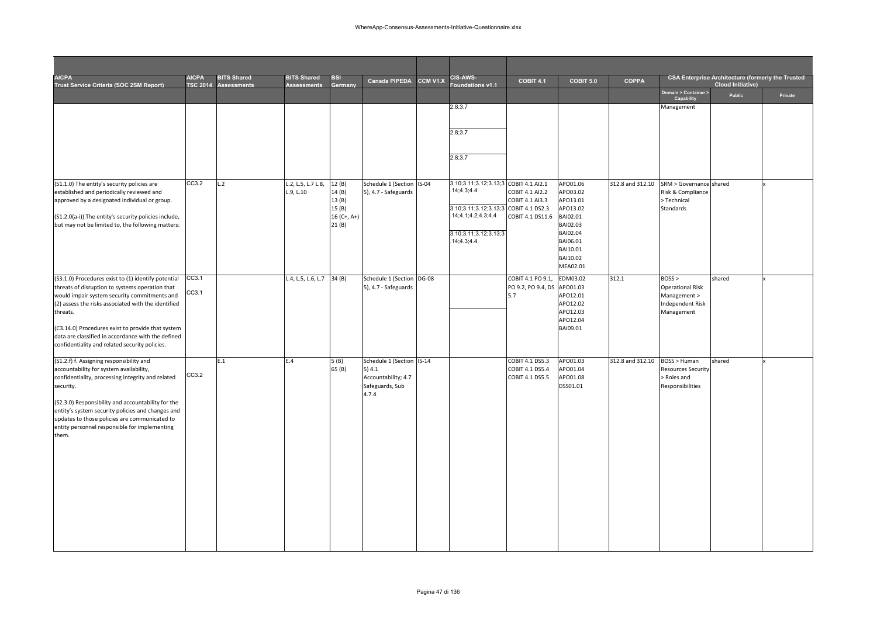| <b>AICPA</b><br>Trust Service Criteria (SOC 2SM Report)                                                    | <b>AICPA</b><br><b>TSC 2014</b> | <b>BITS Shared</b><br><b>Assessments</b> | <b>BITS Shared</b><br><b>Assessments</b> | <b>BSI</b><br><b>Germany</b> | <b>Canada PIPEDA</b>                              | CCM V1.X | <b>CIS-AWS-</b><br>oundations v1.1    | COBIT 4.1                          | COBIT 5.0            | <b>COPPA</b>     |                                           | <b>CSA Enterprise Architecture (formerly the Trusted</b><br><b>Cloud Initiative)</b> |         |
|------------------------------------------------------------------------------------------------------------|---------------------------------|------------------------------------------|------------------------------------------|------------------------------|---------------------------------------------------|----------|---------------------------------------|------------------------------------|----------------------|------------------|-------------------------------------------|--------------------------------------------------------------------------------------|---------|
|                                                                                                            |                                 |                                          |                                          |                              |                                                   |          |                                       |                                    |                      |                  | Domain > Container ><br>Capability        | Public                                                                               | Private |
|                                                                                                            |                                 |                                          |                                          |                              |                                                   |          | 2.8;3.7                               |                                    |                      |                  | Management                                |                                                                                      |         |
|                                                                                                            |                                 |                                          |                                          |                              |                                                   |          |                                       |                                    |                      |                  |                                           |                                                                                      |         |
|                                                                                                            |                                 |                                          |                                          |                              |                                                   |          | 2.8;3.7                               |                                    |                      |                  |                                           |                                                                                      |         |
|                                                                                                            |                                 |                                          |                                          |                              |                                                   |          | 2.8;3.7                               |                                    |                      |                  |                                           |                                                                                      |         |
|                                                                                                            |                                 |                                          |                                          |                              |                                                   |          |                                       |                                    |                      |                  |                                           |                                                                                      |         |
| (S1.1.0) The entity's security policies are                                                                | CC3.2                           | L.2                                      | L.2, L.5, L.7 L.8,                       | 12(B)                        | Schedule 1 (Section IS-04                         |          | 3.10;3.11;3.12;3.13;3 COBIT 4.1 AI2.1 |                                    | APO01.06             | 312.8 and 312.10 | SRM > Governance shared                   |                                                                                      |         |
| established and periodically reviewed and                                                                  |                                 |                                          | L.9, L.10                                | 14(B)<br>13(B)               | 5), 4.7 - Safeguards                              |          | .14;4.3;4.4                           | COBIT 4.1 AI2.2<br>COBIT 4.1 AI3.3 | APO03.02<br>APO13.01 |                  | Risk & Compliance<br>> Technical          |                                                                                      |         |
| approved by a designated individual or group.                                                              |                                 |                                          |                                          | 15(B)                        |                                                   |          | 3.10;3.11;3.12;3.13;3 COBIT 4.1 DS2.3 |                                    | APO13.02             |                  | <b>Standards</b>                          |                                                                                      |         |
| (S1.2.0(a-i)) The entity's security policies include,<br>but may not be limited to, the following matters: |                                 |                                          |                                          | $16 (C+, A+)$<br>21(B)       |                                                   |          | 14;4.1;4.2;4.3;4.4                    | COBIT 4.1 DS11.6                   | BAI02.01<br>BAI02.03 |                  |                                           |                                                                                      |         |
|                                                                                                            |                                 |                                          |                                          |                              |                                                   |          | 3.10;3.11;3.12;3.13;3                 |                                    | BAI02.04             |                  |                                           |                                                                                      |         |
|                                                                                                            |                                 |                                          |                                          |                              |                                                   |          | .14;4.3;4.4                           |                                    | BAI06.01<br>BAI10.01 |                  |                                           |                                                                                      |         |
|                                                                                                            |                                 |                                          |                                          |                              |                                                   |          |                                       |                                    | BAI10.02             |                  |                                           |                                                                                      |         |
|                                                                                                            | CC3.1                           |                                          |                                          |                              |                                                   |          |                                       | COBIT 4.1 PO 9.1,                  | MEA02.01<br>EDM03.02 | 312,1            | BOSS                                      |                                                                                      |         |
| (S3.1.0) Procedures exist to (1) identify potential<br>threats of disruption to systems operation that     |                                 |                                          | L.4, L.5, L.6, L.7                       | 34(B)                        | Schedule 1 (Section DG-08<br>5), 4.7 - Safeguards |          |                                       | PO 9.2, PO 9.4, DS                 | APO01.03             |                  | <b>Operational Risk</b>                   | shared                                                                               |         |
| would impair system security commitments and<br>(2) assess the risks associated with the identified        | CC3.1                           |                                          |                                          |                              |                                                   |          |                                       | 5.7                                | APO12.01<br>APO12.02 |                  | Management ><br><b>Independent Risk</b>   |                                                                                      |         |
| threats.                                                                                                   |                                 |                                          |                                          |                              |                                                   |          |                                       |                                    | APO12.03             |                  | Management                                |                                                                                      |         |
| (C3.14.0) Procedures exist to provide that system                                                          |                                 |                                          |                                          |                              |                                                   |          |                                       |                                    | APO12.04<br>BAI09.01 |                  |                                           |                                                                                      |         |
| data are classified in accordance with the defined                                                         |                                 |                                          |                                          |                              |                                                   |          |                                       |                                    |                      |                  |                                           |                                                                                      |         |
| confidentiality and related security policies.                                                             |                                 |                                          |                                          |                              |                                                   |          |                                       |                                    |                      |                  |                                           |                                                                                      |         |
| (S1.2.f) f. Assigning responsibility and<br>accountability for system availability,                        |                                 | E.1                                      | E.4                                      | 5(B)<br>65 (B)               | Schedule 1 (Section IS-14<br>5)4.1                |          |                                       | COBIT 4.1 DS5.3<br>COBIT 4.1 DS5.4 | APO01.03<br>APO01.04 | 312.8 and 312.10 | BOSS > Human<br><b>Resources Security</b> | shared                                                                               |         |
| confidentiality, processing integrity and related                                                          | CC3.2                           |                                          |                                          |                              | Accountability; 4.7                               |          |                                       | COBIT 4.1 DS5.5                    | APO01.08             |                  | > Roles and                               |                                                                                      |         |
| security.                                                                                                  |                                 |                                          |                                          |                              | Safeguards, Sub<br>4.7.4                          |          |                                       |                                    | DSS01.01             |                  | Responsibilities                          |                                                                                      |         |
| (S2.3.0) Responsibility and accountability for the                                                         |                                 |                                          |                                          |                              |                                                   |          |                                       |                                    |                      |                  |                                           |                                                                                      |         |
| entity's system security policies and changes and<br>updates to those policies are communicated to         |                                 |                                          |                                          |                              |                                                   |          |                                       |                                    |                      |                  |                                           |                                                                                      |         |
| entity personnel responsible for implementing<br>them.                                                     |                                 |                                          |                                          |                              |                                                   |          |                                       |                                    |                      |                  |                                           |                                                                                      |         |
|                                                                                                            |                                 |                                          |                                          |                              |                                                   |          |                                       |                                    |                      |                  |                                           |                                                                                      |         |
|                                                                                                            |                                 |                                          |                                          |                              |                                                   |          |                                       |                                    |                      |                  |                                           |                                                                                      |         |
|                                                                                                            |                                 |                                          |                                          |                              |                                                   |          |                                       |                                    |                      |                  |                                           |                                                                                      |         |
|                                                                                                            |                                 |                                          |                                          |                              |                                                   |          |                                       |                                    |                      |                  |                                           |                                                                                      |         |
|                                                                                                            |                                 |                                          |                                          |                              |                                                   |          |                                       |                                    |                      |                  |                                           |                                                                                      |         |
|                                                                                                            |                                 |                                          |                                          |                              |                                                   |          |                                       |                                    |                      |                  |                                           |                                                                                      |         |
|                                                                                                            |                                 |                                          |                                          |                              |                                                   |          |                                       |                                    |                      |                  |                                           |                                                                                      |         |
|                                                                                                            |                                 |                                          |                                          |                              |                                                   |          |                                       |                                    |                      |                  |                                           |                                                                                      |         |
|                                                                                                            |                                 |                                          |                                          |                              |                                                   |          |                                       |                                    |                      |                  |                                           |                                                                                      |         |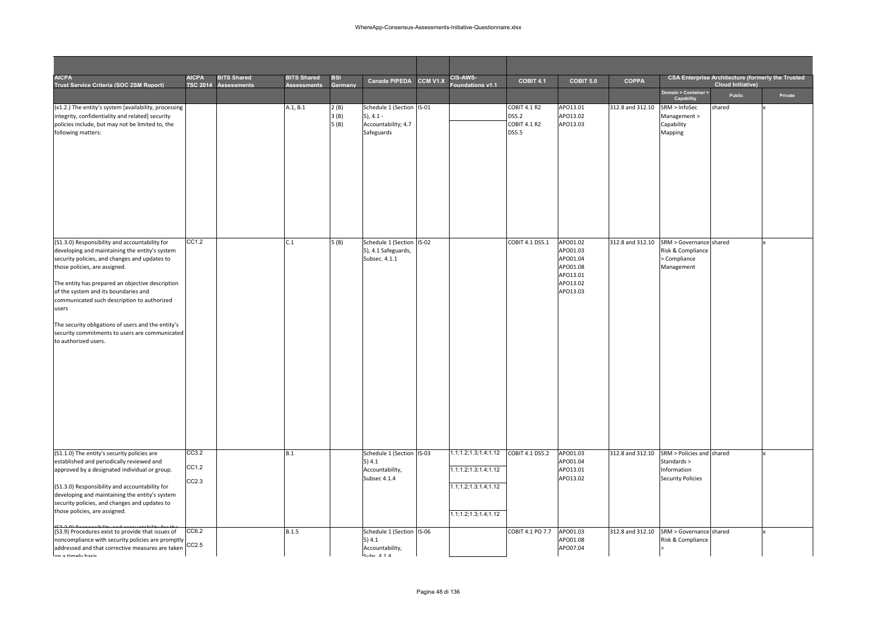| <b>AICPA</b><br>Trust Service Criteria (SOC 2SM Report)                                                                                                                                                                                                                                                                                                                                                                                                                | <b>AICPA</b>            | <b>BITS Shared</b><br>TSC 2014 Assessments | <b>BITS Shared</b><br><b>Assessments</b> | <b>BSI</b><br>Germany | <b>Canada PIPEDA</b>                                                          | CCM V1.X | CIS-AWS-<br>oundations v1.1                                                                                  | COBIT 4.1                                             | COBIT 5.0                                                                        | <b>COPPA</b>     |                                                                                     | <b>CSA Enterprise Architecture (formerly the Trusted</b><br><b>Cloud Initiative)</b> |         |
|------------------------------------------------------------------------------------------------------------------------------------------------------------------------------------------------------------------------------------------------------------------------------------------------------------------------------------------------------------------------------------------------------------------------------------------------------------------------|-------------------------|--------------------------------------------|------------------------------------------|-----------------------|-------------------------------------------------------------------------------|----------|--------------------------------------------------------------------------------------------------------------|-------------------------------------------------------|----------------------------------------------------------------------------------|------------------|-------------------------------------------------------------------------------------|--------------------------------------------------------------------------------------|---------|
|                                                                                                                                                                                                                                                                                                                                                                                                                                                                        |                         |                                            |                                          |                       |                                                                               |          |                                                                                                              |                                                       |                                                                                  |                  | Domain > Container ><br>Capability                                                  | Public                                                                               | Private |
| (x1.2.) The entity's system [availability, processing<br>integrity, confidentiality and related] security<br>policies include, but may not be limited to, the<br>following matters:                                                                                                                                                                                                                                                                                    |                         |                                            | A.1, B.1                                 | 2(B)<br>3(B)<br>5(B)  | Schedule 1 (Section IS-01<br>$5), 4.1 -$<br>Accountability; 4.7<br>Safeguards |          |                                                                                                              | COBIT 4.1 R2<br>DS5.2<br>COBIT 4.1 R2<br><b>DS5.5</b> | APO13.01<br>APO13.02<br>APO13.03                                                 | 312.8 and 312.10 | SRM > InfoSec<br>Management ><br>Capability<br>Mapping                              | shared                                                                               |         |
| (S1.3.0) Responsibility and accountability for<br>developing and maintaining the entity's system<br>security policies, and changes and updates to<br>those policies, are assigned.<br>The entity has prepared an objective description<br>of the system and its boundaries and<br>communicated such description to authorized<br>users<br>The security obligations of users and the entity's<br>security commitments to users are communicated<br>to authorized users. | CC1.2                   |                                            | C.1                                      | 5(B)                  | Schedule 1 (Section IS-02<br>5), 4.1 Safeguards,<br>Subsec. 4.1.1             |          |                                                                                                              | COBIT 4.1 DS5.1                                       | APO01.02<br>APO01.03<br>APO01.04<br>APO01.08<br>APO13.01<br>APO13.02<br>APO13.03 | 312.8 and 312.10 | SRM > Governance shared<br>Risk & Compliance<br>> Compliance<br>Management          |                                                                                      |         |
| (S1.1.0) The entity's security policies are<br>established and periodically reviewed and<br>approved by a designated individual or group.<br>(S1.3.0) Responsibility and accountability for<br>developing and maintaining the entity's system<br>security policies, and changes and updates to<br>those policies, are assigned.                                                                                                                                        | CC3.2<br>CC1.2<br>CC2.3 |                                            | B.1                                      |                       | Schedule 1 (Section<br>5)4.1<br>Accountability,<br>Subsec 4.1.4               | $IS-03$  | 1.1; 1.2; 1.3; 1.4; 1.12<br>1.1; 1.2; 1.3; 1.4; 1.12<br>1.1; 1.2; 1.3; 1.4; 1.12<br>1.1; 1.2; 1.3; 1.4; 1.12 | COBIT 4.1 DS5.2                                       | APO01.03<br>APO01.04<br>APO13.01<br>APO13.02                                     | 312.8 and 312.10 | SRM > Policies and shared<br>Standards ><br>Information<br><b>Security Policies</b> |                                                                                      |         |
| (S3.9) Procedures exist to provide that issues of<br>noncompliance with security policies are promptly<br>addressed and that corrective measures are taken<br>on a timalu hacic                                                                                                                                                                                                                                                                                        | CC6.2<br>CC2.5          |                                            | B.1.5                                    |                       | Schedule 1 (Section IS-06<br>5)4.1<br>Accountability,<br>Cube A 1 A           |          |                                                                                                              | COBIT 4.1 PO 7.7                                      | APO01.03<br>APO01.08<br>APO07.04                                                 | 312.8 and 312.10 | SRM > Governance shared<br>Risk & Compliance                                        |                                                                                      |         |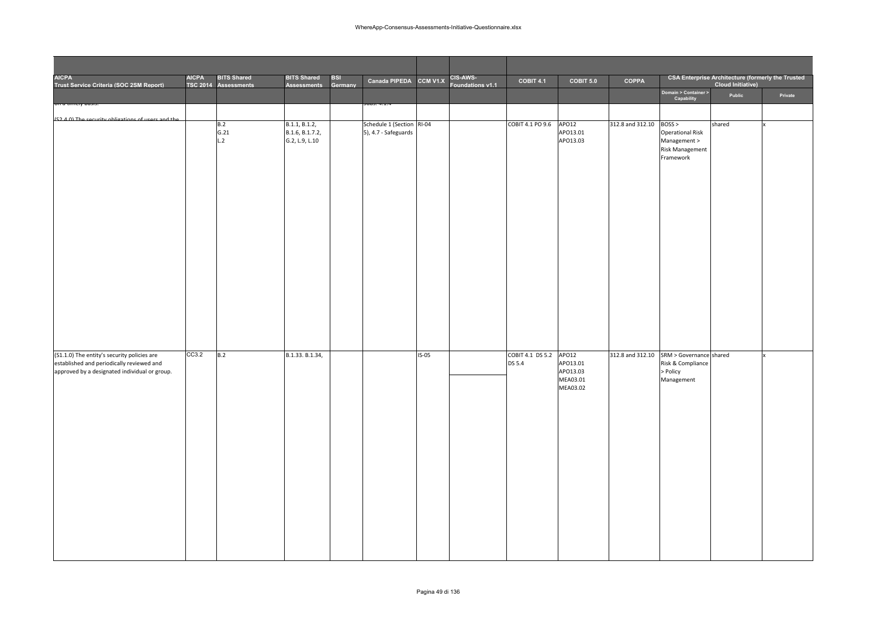| <b>AICPA</b><br>Trust Service Criteria (SOC 2SM Report)                                                                                   | <b>AICPA</b> | <b>BITS Shared</b><br>TSC 2014 Assessments | <b>BITS Shared</b><br><b>Assessments</b>           | BSI<br>Germany | Canada PIPEDA CCM V1.X                            |         | CIS-AWS-<br>Foundations v1.1 | COBIT 4.1                  | COBIT 5.0                                             | <b>COPPA</b>            |                                                                                         | <b>CSA Enterprise Architecture (formerly the Trusted</b><br><b>Cloud Initiative)</b> |         |
|-------------------------------------------------------------------------------------------------------------------------------------------|--------------|--------------------------------------------|----------------------------------------------------|----------------|---------------------------------------------------|---------|------------------------------|----------------------------|-------------------------------------------------------|-------------------------|-----------------------------------------------------------------------------------------|--------------------------------------------------------------------------------------|---------|
|                                                                                                                                           |              |                                            |                                                    |                |                                                   |         |                              |                            |                                                       |                         | Domain > Container ><br>Capability                                                      | Public                                                                               | Private |
|                                                                                                                                           |              |                                            |                                                    |                |                                                   |         |                              |                            |                                                       |                         |                                                                                         |                                                                                      |         |
| (S2 A 0) The security obligations of users and the                                                                                        |              | B.2<br>G.21<br>L.2                         | B.1.1, B.1.2,<br>B.1.6, B.1.7.2,<br>G.2, L.9, L.10 |                | Schedule 1 (Section RI-04<br>5), 4.7 - Safeguards |         |                              | COBIT 4.1 PO 9.6           | AP012<br>APO13.01<br>APO13.03                         | 312.8 and 312.10 BOSS > | <b>Operational Risk</b><br>Management ><br><b>Risk Management</b><br>Framework          | shared                                                                               |         |
| (S1.1.0) The entity's security policies are<br>established and periodically reviewed and<br>approved by a designated individual or group. | CC3.2        | B.2                                        | B.1.33. B.1.34,                                    |                |                                                   | $IS-05$ |                              | COBIT 4.1 DS 5.2<br>DS 5.4 | APO12<br>APO13.01<br>APO13.03<br>MEA03.01<br>MEA03.02 |                         | 312.8 and 312.10 SRM > Governance shared<br>Risk & Compliance<br>> Policy<br>Management |                                                                                      |         |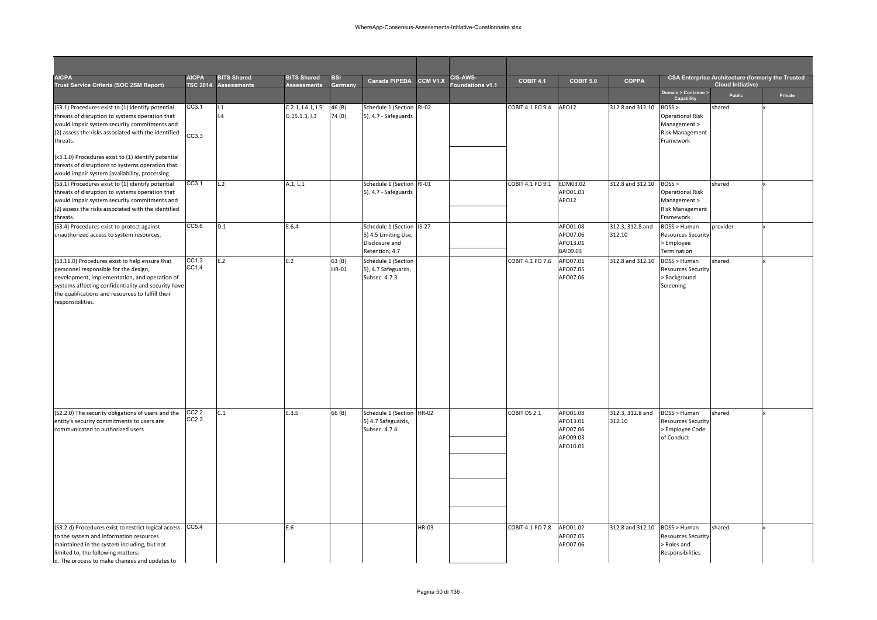| <b>AICPA</b><br>Trust Service Criteria (SOC 2SM Report)                                                                                                                                                                                                                   | <b>AICPA</b>   | <b>BITS Shared</b><br>TSC 2014 Assessments | <b>BITS Shared</b><br><b>Assessments</b> | <b>BSI</b><br>Germany | Canada PIPEDA                                                                         | CCM V1.X | <b>CIS-AWS-</b><br>Foundations v1.1 | <b>COBIT 4.1</b> | COBIT 5.0                                                | <b>COPPA</b>                  |                                                                                        | <b>CSA Enterprise Architecture (formerly the Trusted</b><br><b>Cloud Initiative)</b> |         |
|---------------------------------------------------------------------------------------------------------------------------------------------------------------------------------------------------------------------------------------------------------------------------|----------------|--------------------------------------------|------------------------------------------|-----------------------|---------------------------------------------------------------------------------------|----------|-------------------------------------|------------------|----------------------------------------------------------|-------------------------------|----------------------------------------------------------------------------------------|--------------------------------------------------------------------------------------|---------|
|                                                                                                                                                                                                                                                                           |                |                                            |                                          |                       |                                                                                       |          |                                     |                  |                                                          |                               | Domain > Container ><br>Capability                                                     | Public                                                                               | Private |
| (S3.1) Procedures exist to (1) identify potential<br>threats of disruption to systems operation that<br>would impair system security commitments and<br>(2) assess the risks associated with the identified<br>threats.                                                   | CC3.1<br>CC3.3 | 1.1<br>$\mathsf{L}4$                       | C.2.1, 1.4.1, 1.5,<br>G.15.1.3, I.3      | 46 (B)<br>74 (B)      | Schedule 1 (Section RI-02<br>5), 4.7 - Safeguards                                     |          |                                     | COBIT 4.1 PO 9.4 | APO12                                                    | 312.8 and 312.10              | BOSS<br><b>Operational Risk</b><br>Management ><br><b>Risk Management</b><br>Framework | shared                                                                               |         |
| (x3.1.0) Procedures exist to (1) identify potential<br>threats of disruptions to systems operation that<br>would impair system [availability, processing                                                                                                                  |                |                                            |                                          |                       |                                                                                       |          |                                     |                  |                                                          |                               |                                                                                        |                                                                                      |         |
| (S3.1) Procedures exist to (1) identify potential<br>threats of disruption to systems operation that<br>would impair system security commitments and<br>(2) assess the risks associated with the identified<br>threats.                                                   | CC3.1          | L.2                                        | A.1, L.1                                 |                       | Schedule 1 (Section RI-01<br>5), 4.7 - Safeguards                                     |          |                                     | COBIT 4.1 PO 9.1 | EDM03.02<br>APO01.03<br>APO12                            | 312.8 and 312.10              | BOSS<br><b>Operational Risk</b><br>Management ><br><b>Risk Management</b><br>Framework | shared                                                                               |         |
| (S3.4) Procedures exist to protect against<br>unauthorized access to system resources.                                                                                                                                                                                    | CC5.6          | D.1                                        | E.6.4                                    |                       | Schedule 1 (Section IS-27<br>5) 4.5 Limiting Use,<br>Disclosure and<br>Retention; 4.7 |          |                                     |                  | APO01.08<br>APO07.06<br>APO13.01<br>BAI09.03             | 312.3, 312.8 and<br>312.10    | BOSS > Human<br><b>Resources Security</b><br>> Employee<br>Termination                 | provider                                                                             |         |
| (S3.11.0) Procedures exist to help ensure that<br>personnel responsible for the design,<br>development, implementation, and operation of<br>systems affecting confidentiality and security have<br>the qualifications and resources to fulfill their<br>responsibilities. | CC1.3<br>CC1.4 | E.2                                        | E.2                                      | 63(B)<br>HR-01        | Schedule 1 (Section<br>5), 4.7 Safeguards,<br>Subsec. 4.7.3                           |          |                                     | COBIT 4.1 PO 7.6 | APO07.01<br>APO07.05<br>APO07.06                         | 312.8 and 312.10              | BOSS > Human<br><b>Resources Security</b><br>> Background<br>Screening                 | shared                                                                               |         |
| (S2.2.0) The security obligations of users and the<br>entity's security commitments to users are<br>communicated to authorized users                                                                                                                                      | CC2.2<br>CC2.3 | C.1                                        | E.3.5                                    | 66 (B)                | Schedule 1 (Section<br>5) 4.7 Safeguards,<br>Subsec. 4.7.4                            | HR-02    |                                     | COBIT DS 2.1     | APO01.03<br>APO13.01<br>APO07.06<br>APO09.03<br>APO10.01 | 312.3, 312.8 and<br>312.10    | BOSS > Human<br><b>Resources Security</b><br>> Employee Code<br>of Conduct             | shared                                                                               |         |
| (S3.2.d) Procedures exist to restrict logical access CC5.4<br>to the system and information resources<br>maintained in the system including, but not<br>limited to, the following matters:<br>d. The process to make changes and updates to                               |                |                                            | E.6                                      |                       |                                                                                       | HR-03    |                                     | COBIT 4.1 PO 7.8 | APO01.02<br>APO07.05<br>APO07.06                         | 312.8 and 312.10 BOSS > Human | Resources Security<br>> Roles and<br>Responsibilities                                  | shared                                                                               |         |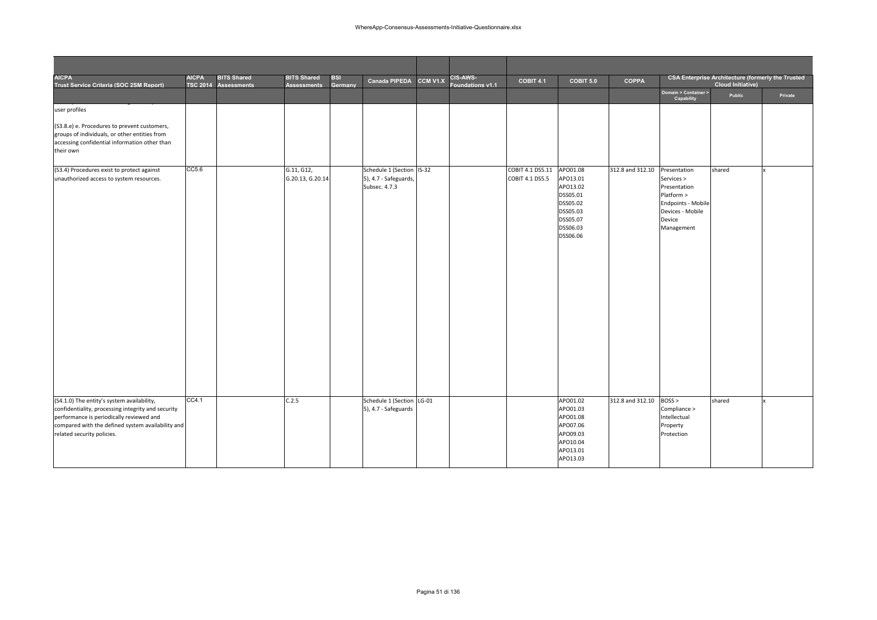| <b>AICPA</b><br>Trust Service Criteria (SOC 2SM Report)                                                                                                                                                                         | <b>AICPA</b> | <b>BITS Shared</b><br>TSC 2014 Assessments | <b>BITS Shared</b><br><b>Assessments</b> | BSI<br>Germany | Canada PIPEDA                                                       | CCM V1.X | CIS-AWS-<br><b>Foundations v1.1</b> | COBIT 4.1                           | COBIT 5.0                                                                                                | <b>COPPA</b>     |                                                                                                                            | <b>CSA Enterprise Architecture (formerly the Trusted</b><br><b>Cloud Initiative)</b> |         |
|---------------------------------------------------------------------------------------------------------------------------------------------------------------------------------------------------------------------------------|--------------|--------------------------------------------|------------------------------------------|----------------|---------------------------------------------------------------------|----------|-------------------------------------|-------------------------------------|----------------------------------------------------------------------------------------------------------|------------------|----------------------------------------------------------------------------------------------------------------------------|--------------------------------------------------------------------------------------|---------|
|                                                                                                                                                                                                                                 |              |                                            |                                          |                |                                                                     |          |                                     |                                     |                                                                                                          |                  | Domain > Container ><br>Capability                                                                                         | Public                                                                               | Private |
| user profiles                                                                                                                                                                                                                   |              |                                            |                                          |                |                                                                     |          |                                     |                                     |                                                                                                          |                  |                                                                                                                            |                                                                                      |         |
| (S3.8.e) e. Procedures to prevent customers,<br>groups of individuals, or other entities from<br>accessing confidential information other than<br>their own                                                                     |              |                                            |                                          |                |                                                                     |          |                                     |                                     |                                                                                                          |                  |                                                                                                                            |                                                                                      |         |
| (S3.4) Procedures exist to protect against<br>unauthorized access to system resources.                                                                                                                                          | CC5.6        |                                            | G.11, G12,<br>G.20.13, G.20.14           |                | Schedule 1 (Section IS-32<br>5), 4.7 - Safeguards,<br>Subsec. 4.7.3 |          |                                     | COBIT 4.1 DS5.11<br>COBIT 4.1 DS5.5 | APO01.08<br>APO13.01<br>APO13.02<br>DSS05.01<br>DSS05.02<br>DSS05.03<br>DSS05.07<br>DSS06.03<br>DSS06.06 | 312.8 and 312.10 | Presentation<br>Services ><br>Presentation<br>Platform ><br>Endpoints - Mobile<br>Devices - Mobile<br>Device<br>Management | shared                                                                               |         |
| (S4.1.0) The entity's system availability,<br>confidentiality, processing integrity and security<br>performance is periodically reviewed and<br>compared with the defined system availability and<br>related security policies. | CC4.1        |                                            | C.2.5                                    |                | Schedule 1 (Section LG-01<br>5), 4.7 - Safeguards                   |          |                                     |                                     | APO01.02<br>APO01.03<br>APO01.08<br>APO07.06<br>APO09.03<br>APO10.04<br>APO13.01<br>APO13.03             | 312.8 and 312.10 | BOSS<br>Compliance ><br>Intellectual<br>Property<br>Protection                                                             | shared                                                                               |         |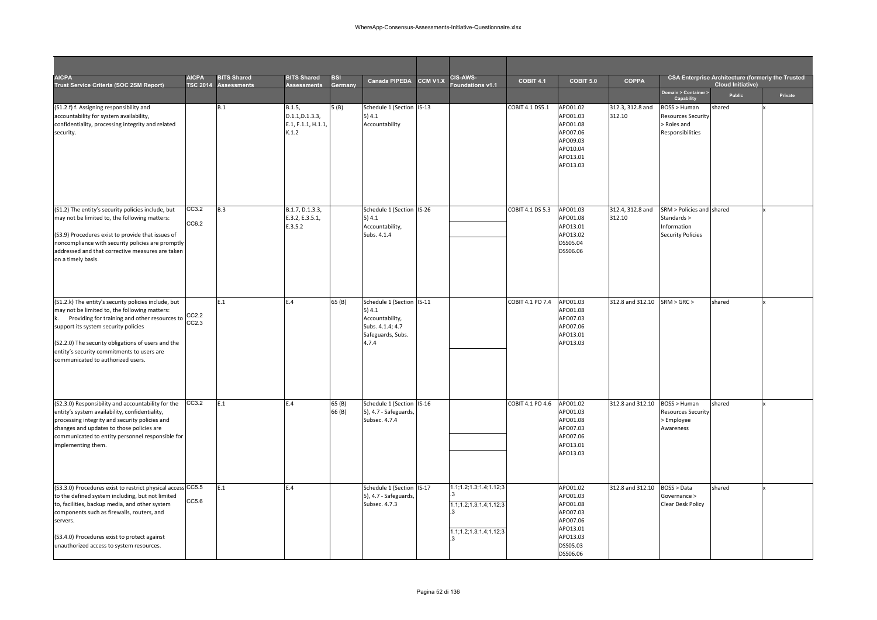| <b>AICPA</b><br>Trust Service Criteria (SOC 2SM Report)                                                                                                                                                                                                                                                                                 | <b>AICPA</b><br><b>TSC 2014</b> | <b>BITS Shared</b><br><b>Assessments</b> | <b>BITS Shared</b><br>Assessments                        | <b>BSI</b><br>Germany | <b>Canada PIPEDA</b>                                                                                    | CCM V1.X | <b>CIS-AWS-</b><br>oundations v1.1                                              | COBIT 4.1        | COBIT 5.0                                                                                                | <b>COPPA</b>                 |                                                                                     | <b>CSA Enterprise Architecture (formerly the Trusted</b><br><b>Cloud Initiative)</b> |         |
|-----------------------------------------------------------------------------------------------------------------------------------------------------------------------------------------------------------------------------------------------------------------------------------------------------------------------------------------|---------------------------------|------------------------------------------|----------------------------------------------------------|-----------------------|---------------------------------------------------------------------------------------------------------|----------|---------------------------------------------------------------------------------|------------------|----------------------------------------------------------------------------------------------------------|------------------------------|-------------------------------------------------------------------------------------|--------------------------------------------------------------------------------------|---------|
|                                                                                                                                                                                                                                                                                                                                         |                                 |                                          |                                                          |                       |                                                                                                         |          |                                                                                 |                  |                                                                                                          |                              | Domain > Container ><br>Capability                                                  | Public                                                                               | Private |
| (S1.2.f) f. Assigning responsibility and<br>accountability for system availability,<br>confidentiality, processing integrity and related<br>security.                                                                                                                                                                                   |                                 | B.1                                      | B.1.5,<br>D.1.1, D.1.3.3,<br>E.1, F.1.1, H.1.1,<br>K.1.2 | 5(B)                  | Schedule 1 (Section<br>5)4.1<br>Accountability                                                          | $IS-13$  |                                                                                 | COBIT 4.1 DS5.1  | APO01.02<br>APO01.03<br>APO01.08<br>APO07.06<br>APO09.03<br>APO10.04<br>APO13.01<br>APO13.03             | 312.3, 312.8 and<br>312.10   | BOSS > Human<br>Resources Security<br>> Roles and<br>Responsibilities               | shared                                                                               |         |
| (S1.2) The entity's security policies include, but<br>may not be limited to, the following matters:<br>(S3.9) Procedures exist to provide that issues of<br>noncompliance with security policies are promptly<br>addressed and that corrective measures are taken<br>on a timely basis.                                                 | CC3.2<br>CC6.2                  | B.3                                      | B.1.7, D.1.3.3,<br>E.3.2, E.3.5.1,<br>E.3.5.2            |                       | Schedule 1 (Section IS-26<br>5)4.1<br>Accountability,<br>Subs. 4.1.4                                    |          |                                                                                 | COBIT 4.1 DS 5.3 | APO01.03<br>APO01.08<br>APO13.01<br>APO13.02<br>DSS05.04<br>DSS06.06                                     | 312.4, 312.8 and<br>312.10   | SRM > Policies and shared<br>Standards ><br>Information<br><b>Security Policies</b> |                                                                                      |         |
| (S1.2.k) The entity's security policies include, but<br>may not be limited to, the following matters:<br>Providing for training and other resources to<br>support its system security policies<br>(S2.2.0) The security obligations of users and the<br>entity's security commitments to users are<br>communicated to authorized users. | CC2.2<br>CC2.3                  | E.1                                      | E.4                                                      | 65 (B)                | Schedule 1 (Section IS-11<br>5)4.1<br>Accountability,<br>Subs. 4.1.4; 4.7<br>Safeguards, Subs.<br>4.7.4 |          |                                                                                 | COBIT 4.1 PO 7.4 | APO01.03<br>APO01.08<br>APO07.03<br>APO07.06<br>APO13.01<br>APO13.03                                     | 312.8 and 312.10 SRM > GRC > |                                                                                     | shared                                                                               |         |
| (S2.3.0) Responsibility and accountability for the<br>entity's system availability, confidentiality,<br>processing integrity and security policies and<br>changes and updates to those policies are<br>communicated to entity personnel responsible for<br>implementing them.                                                           | CC3.2                           | E.1                                      | E.4                                                      | 65 (B)<br>66 (B)      | Schedule 1 (Section IS-16<br>5), 4.7 - Safeguards,<br>Subsec. 4.7.4                                     |          |                                                                                 | COBIT 4.1 PO 4.6 | APO01.02<br>APO01.03<br>APO01.08<br>APO07.03<br>APO07.06<br>APO13.01<br>APO13.03                         | 312.8 and 312.10             | BOSS > Human<br><b>Resources Security</b><br>> Employee<br>Awareness                | shared                                                                               |         |
| (S3.3.0) Procedures exist to restrict physical access<br>to the defined system including, but not limited<br>to, facilities, backup media, and other system<br>components such as firewalls, routers, and<br>servers.<br>(S3.4.0) Procedures exist to protect against<br>unauthorized access to system resources.                       | CC5.5<br>CC5.6                  | E.1                                      | E.4                                                      |                       | Schedule 1 (Section IS-17<br>5), 4.7 - Safeguards,<br>Subsec. 4.7.3                                     |          | 1.1;1.2;1.3;1.4;1.12;3<br>1.1; 1.2; 1.3; 1.4; 1.12; 3<br>1.1;1.2;1.3;1.4;1.12;3 |                  | APO01.02<br>APO01.03<br>APO01.08<br>APO07.03<br>APO07.06<br>APO13.01<br>APO13.03<br>DSS05.03<br>DSS06.06 | 312.8 and 312.10             | <b>BOSS &gt; Data</b><br>Governance ><br>Clear Desk Policy                          | shared                                                                               |         |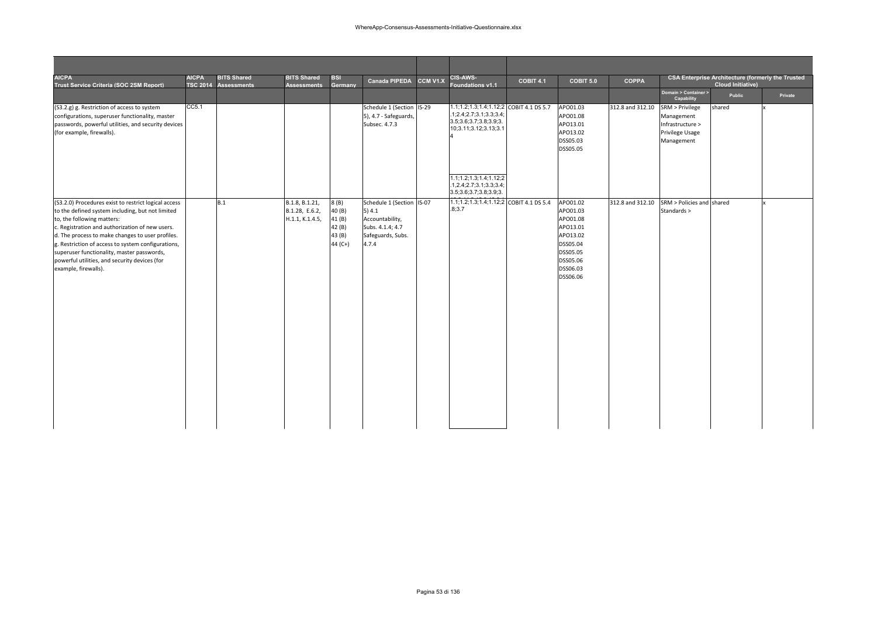| <b>AICPA</b><br>Trust Service Criteria (SOC 2SM Report)                                                                                                                                                                                                                                                                                                                                                                    | <b>AICPA</b> | <b>BITS Shared</b><br>TSC 2014 Assessments | <b>BITS Shared</b><br><b>Assessments</b>            | <b>BSI</b><br>Germany                                  | <b>Canada PIPEDA</b>                                                                                     | CCM V1.X | <b>CIS-AWS-</b><br><b>Foundations v1.1</b>                                                                            | <b>COBIT 4.1</b> | COBIT 5.0                                                                                                            | <b>COPPA</b>     |                                                                                    | <b>Cloud Initiative)</b> | <b>CSA Enterprise Architecture (formerly the Trusted</b> |
|----------------------------------------------------------------------------------------------------------------------------------------------------------------------------------------------------------------------------------------------------------------------------------------------------------------------------------------------------------------------------------------------------------------------------|--------------|--------------------------------------------|-----------------------------------------------------|--------------------------------------------------------|----------------------------------------------------------------------------------------------------------|----------|-----------------------------------------------------------------------------------------------------------------------|------------------|----------------------------------------------------------------------------------------------------------------------|------------------|------------------------------------------------------------------------------------|--------------------------|----------------------------------------------------------|
|                                                                                                                                                                                                                                                                                                                                                                                                                            |              |                                            |                                                     |                                                        |                                                                                                          |          |                                                                                                                       |                  |                                                                                                                      |                  | Domain > Container ><br>Capability                                                 | Public                   | Private                                                  |
| (S3.2.g) g. Restriction of access to system<br>configurations, superuser functionality, master<br>passwords, powerful utilities, and security devices<br>(for example, firewalls).                                                                                                                                                                                                                                         | CC5.1        |                                            |                                                     |                                                        | Schedule 1 (Section IS-29<br>5), 4.7 - Safeguards,<br>Subsec. 4.7.3                                      |          | 1.1;1.2;1.3;1.4;1.12;2 COBIT 4.1 DS 5.7<br>.1;2.4;2.7;3.1;3.3;3.4;<br>3.5;3.6;3.7;3.8;3.9;3.<br>10;3.11;3.12;3.13;3.1 |                  | APO01.03<br>APO01.08<br>APO13.01<br>APO13.02<br>DSS05.03<br>DSS05.05                                                 | 312.8 and 312.10 | SRM > Privilege<br>Management<br>Infrastructure ><br>Privilege Usage<br>Management | shared                   |                                                          |
|                                                                                                                                                                                                                                                                                                                                                                                                                            |              |                                            |                                                     |                                                        |                                                                                                          |          | 1.1; 1.2; 1.3; 1.4; 1.12; 2<br>1,2.4;2.7;3.1;3.3;3.4;<br>3.5; 3.6; 3.7; 3.8; 3.9; 3.                                  |                  |                                                                                                                      |                  |                                                                                    |                          |                                                          |
| (S3.2.0) Procedures exist to restrict logical access<br>to the defined system including, but not limited<br>to, the following matters:<br>c. Registration and authorization of new users.<br>d. The process to make changes to user profiles.<br>g. Restriction of access to system configurations,<br>superuser functionality, master passwords,<br>powerful utilities, and security devices (for<br>example, firewalls). |              | B.1                                        | B.1.8, B.1.21,<br>B.1.28, E.6.2,<br>H.1.1, K.1.4.5, | 8(B)<br>40 (B)<br>41(B)<br>42 (B)<br>43 (B)<br>44 (C+) | Schedule 1 (Section IS-07<br>5) 4.1<br>Accountability,<br>Subs. 4.1.4; 4.7<br>Safeguards, Subs.<br>4.7.4 |          | 1.1;1.2;1.3;1.4;1.12;2 COBIT 4.1 DS 5.4<br>.8;3.7                                                                     |                  | APO01.02<br>APO01.03<br>APO01.08<br>APO13.01<br>APO13.02<br>DSS05.04<br>DSS05.05<br>DSS05.06<br>DSS06.03<br>DSS06.06 | 312.8 and 312.10 | SRM > Policies and shared<br>Standards >                                           |                          |                                                          |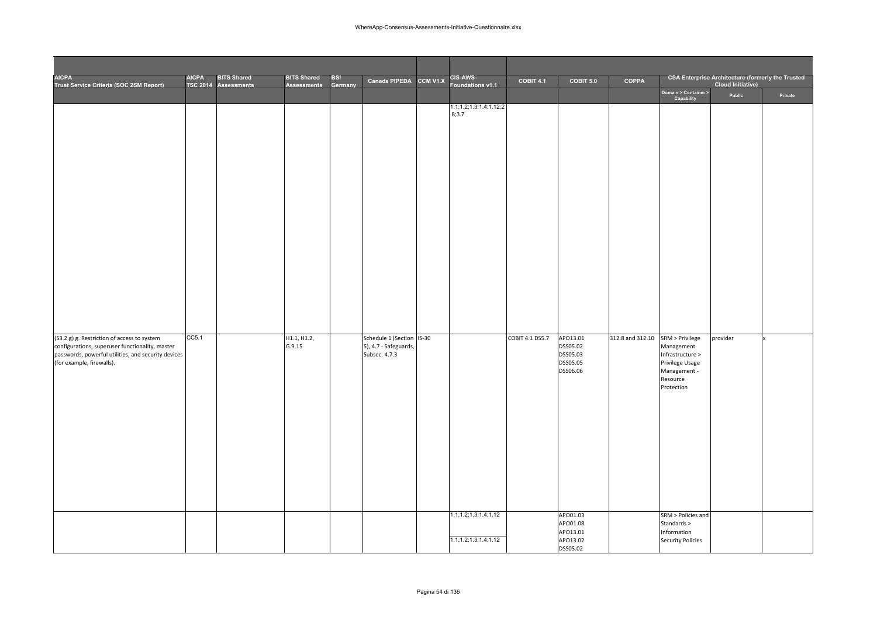| AICPA<br>Trust Service Criteria (SOC 2SM Report)                                                                                                                                   | <b>AICPA</b> | <b>BITS Shared</b><br>TSC 2014 Assessments | <b>BITS Shared</b><br><b>Assessments</b> | <b>BSI</b><br>Germany | Canada PIPEDA                                                       | CCM V1.X | CIS-AWS-<br>Foundations v1.1     | COBIT 4.1       | COBIT 5.0                                                            | <b>COPPA</b>     |                                                                                                                                      | <b>CSA Enterprise Architecture (formerly the Trusted</b><br><b>Cloud Initiative)</b> |         |
|------------------------------------------------------------------------------------------------------------------------------------------------------------------------------------|--------------|--------------------------------------------|------------------------------------------|-----------------------|---------------------------------------------------------------------|----------|----------------------------------|-----------------|----------------------------------------------------------------------|------------------|--------------------------------------------------------------------------------------------------------------------------------------|--------------------------------------------------------------------------------------|---------|
|                                                                                                                                                                                    |              |                                            |                                          |                       |                                                                     |          |                                  |                 |                                                                      |                  | Domain > Container ><br>Capability                                                                                                   | Public                                                                               | Private |
|                                                                                                                                                                                    |              |                                            |                                          |                       |                                                                     |          | 1.1;1.2;1.3;1.4;1.12;2<br>.8;3.7 |                 |                                                                      |                  |                                                                                                                                      |                                                                                      |         |
| (S3.2.g) g. Restriction of access to system<br>configurations, superuser functionality, master<br>passwords, powerful utilities, and security devices<br>(for example, firewalls). | CC5.1        |                                            | H1.1, H1.2,<br>G.9.15                    |                       | Schedule 1 (Section IS-30<br>5), 4.7 - Safeguards,<br>Subsec. 4.7.3 |          | 1.1; 1.2; 1.3; 1.4; 1.12         | COBIT 4.1 DS5.7 | APO13.01<br>DSS05.02<br>DSS05.03<br>DSS05.05<br>DSS06.06<br>APO01.03 | 312.8 and 312.10 | SRM > Privilege<br>Management<br>Infrastructure ><br>Privilege Usage<br>Management -<br>Resource<br>Protection<br>SRM > Policies and | provider                                                                             |         |
|                                                                                                                                                                                    |              |                                            |                                          |                       |                                                                     |          | 1.1; 1.2; 1.3; 1.4; 1.12         |                 | APO01.08<br>APO13.01<br>APO13.02<br><b>DSS05.02</b>                  |                  | Standards ><br>Information<br><b>Security Policies</b>                                                                               |                                                                                      |         |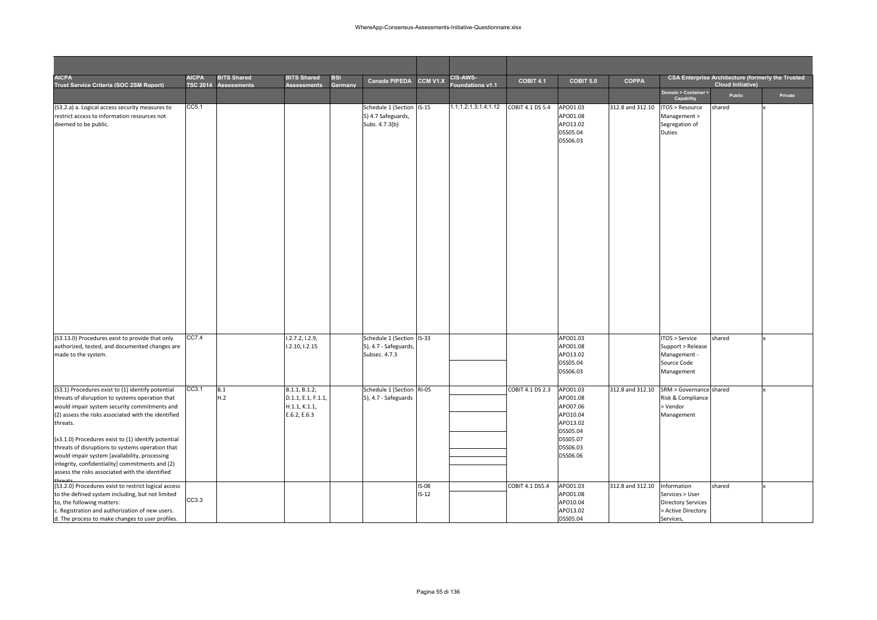| <b>AICPA</b><br>Trust Service Criteria (SOC 2SM Report)                                                                                                                                                                                                                                                                                                                                                                                                                                              | <b>AICPA</b><br><b>TSC 2014</b> | <b>BITS Shared</b><br><b>Assessments</b> | <b>BITS Shared</b><br><b>Assessments</b>                             | <b>BSI</b><br>Germany | <b>Canada PIPEDA</b>                                                | CCM V1.X                | <b>CIS-AWS-</b><br>oundations v1.1 | <b>COBIT 4.1</b> | COBIT 5.0                                                                                                | <b>COPPA</b>     |                                                                                                | <b>CSA Enterprise Architecture (formerly the Trusted</b><br><b>Cloud Initiative)</b> |         |
|------------------------------------------------------------------------------------------------------------------------------------------------------------------------------------------------------------------------------------------------------------------------------------------------------------------------------------------------------------------------------------------------------------------------------------------------------------------------------------------------------|---------------------------------|------------------------------------------|----------------------------------------------------------------------|-----------------------|---------------------------------------------------------------------|-------------------------|------------------------------------|------------------|----------------------------------------------------------------------------------------------------------|------------------|------------------------------------------------------------------------------------------------|--------------------------------------------------------------------------------------|---------|
|                                                                                                                                                                                                                                                                                                                                                                                                                                                                                                      |                                 |                                          |                                                                      |                       |                                                                     |                         |                                    |                  |                                                                                                          |                  | Domain > Container ><br>Capability                                                             | Public                                                                               | Private |
| (S3.2.a) a. Logical access security measures to<br>restrict access to information resources not<br>deemed to be public.                                                                                                                                                                                                                                                                                                                                                                              | CC5.1                           |                                          |                                                                      |                       | Schedule 1 (Section IS-15<br>5) 4.7 Safeguards,<br>Subs. 4.7.3(b)   |                         | 1.1;1.2;1.3;1.4;1.12               | COBIT 4.1 DS 5.4 | APO01.03<br>APO01.08<br>APO13.02<br>DSS05.04<br>DSS06.03                                                 | 312.8 and 312.10 | <b>ITOS &gt; Resource</b><br>Management ><br>Segregation of<br><b>Duties</b>                   | shared                                                                               |         |
| (S3.13.0) Procedures exist to provide that only<br>authorized, tested, and documented changes are<br>made to the system.                                                                                                                                                                                                                                                                                                                                                                             | CC7.4                           |                                          | 1.2.7.2, 1.2.9,<br>1.2.10, 1.2.15                                    |                       | Schedule 1 (Section IS-33<br>5), 4.7 - Safeguards,<br>Subsec. 4.7.3 |                         |                                    |                  | APO01.03<br>APO01.08<br>APO13.02<br>DSS05.04<br>DSS06.03                                                 |                  | ITOS > Service<br>Support > Release<br>Management -<br>Source Code<br>Management               | shared                                                                               |         |
| (S3.1) Procedures exist to (1) identify potential<br>threats of disruption to systems operation that<br>would impair system security commitments and<br>(2) assess the risks associated with the identified<br>threats.<br>(x3.1.0) Procedures exist to (1) identify potential<br>threats of disruptions to systems operation that<br>would impair system [availability, processing<br>integrity, confidentiality] commitments and (2)<br>assess the risks associated with the identified<br>threats | CC3.1                           | B.1<br>H.2                               | B.1.1, B.1.2,<br>D.1.1, E.1, F.1.1,<br>H.1.1, K.1.1,<br>E.6.2, E.6.3 |                       | Schedule 1 (Section RI-05<br>5), 4.7 - Safeguards                   |                         |                                    | COBIT 4.1 DS 2.3 | APO01.03<br>APO01.08<br>APO07.06<br>APO10.04<br>APO13.02<br>DSS05.04<br>DSS05.07<br>DSS06.03<br>DSS06.06 | 312.8 and 312.10 | SRM > Governance shared<br>Risk & Compliance<br>> Vendor<br>Management                         |                                                                                      |         |
| (S3.2.0) Procedures exist to restrict logical access<br>to the defined system including, but not limited<br>to, the following matters:<br>c. Registration and authorization of new users.<br>d. The process to make changes to user profiles.                                                                                                                                                                                                                                                        | CC3.3                           |                                          |                                                                      |                       |                                                                     | <b>IS-08</b><br>$IS-12$ |                                    | COBIT 4.1 DS5.4  | APO01.03<br>APO01.08<br>APO10.04<br>APO13.02<br>DSS05.04                                                 | 312.8 and 312.10 | Information<br>Services > User<br><b>Directory Services</b><br>> Active Directory<br>Services, | shared                                                                               |         |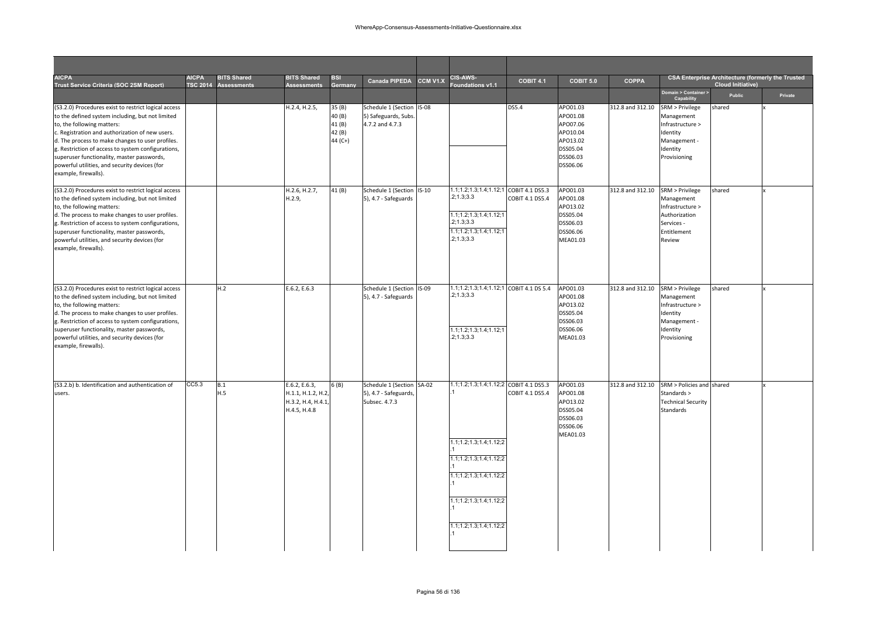| <b>AICPA</b><br>Trust Service Criteria (SOC 2SM Report)                                                                                                                                                                                                                                                                                                                                                                    | <b>AICPA</b><br><b>ISC 2014</b> | <b>BITS Shared</b><br><b>Assessments</b> | <b>BITS Shared</b><br>Assessments                                       | <b>BSI</b><br>Germany                          | <b>Canada PIPEDA</b>                                                | CCM V1.X     | <b>CIS-AWS-</b><br>oundations v1.1                                                                                                                                       | COBIT 4.1       | <b>COBIT 5.0</b>                                                                             | <b>COPPA</b>     |                                                                                                           | <b>CSA Enterprise Architecture (formerly the Trusted</b><br><b>Cloud Initiative)</b> |         |
|----------------------------------------------------------------------------------------------------------------------------------------------------------------------------------------------------------------------------------------------------------------------------------------------------------------------------------------------------------------------------------------------------------------------------|---------------------------------|------------------------------------------|-------------------------------------------------------------------------|------------------------------------------------|---------------------------------------------------------------------|--------------|--------------------------------------------------------------------------------------------------------------------------------------------------------------------------|-----------------|----------------------------------------------------------------------------------------------|------------------|-----------------------------------------------------------------------------------------------------------|--------------------------------------------------------------------------------------|---------|
|                                                                                                                                                                                                                                                                                                                                                                                                                            |                                 |                                          |                                                                         |                                                |                                                                     |              |                                                                                                                                                                          |                 |                                                                                              |                  | Domain > Container ><br>Capability                                                                        | Public                                                                               | Private |
| (S3.2.0) Procedures exist to restrict logical access<br>to the defined system including, but not limited<br>to, the following matters:<br>c. Registration and authorization of new users.<br>d. The process to make changes to user profiles.<br>g. Restriction of access to system configurations,<br>superuser functionality, master passwords,<br>powerful utilities, and security devices (for<br>example, firewalls). |                                 |                                          | H.2.4, H.2.5,                                                           | 35 (B)<br>40 (B)<br>41(B)<br>42 (B)<br>44 (C+) | Schedule 1 (Section<br>5) Safeguards, Subs.<br>4.7.2 and 4.7.3      | <b>IS-08</b> |                                                                                                                                                                          | DS5.4           | APO01.03<br>APO01.08<br>APO07.06<br>APO10.04<br>APO13.02<br>DSS05.04<br>DSS06.03<br>DSS06.06 | 312.8 and 312.10 | SRM > Privilege<br>Management<br>Infrastructure ><br>Identity<br>Management -<br>Identity<br>Provisioning | shared                                                                               |         |
| (S3.2.0) Procedures exist to restrict logical access<br>to the defined system including, but not limited<br>to, the following matters:<br>d. The process to make changes to user profiles.<br>g. Restriction of access to system configurations,<br>superuser functionality, master passwords,<br>powerful utilities, and security devices (for<br>example, firewalls).                                                    |                                 |                                          | H.2.6, H.2.7,<br>H.2.9                                                  | 41(B)                                          | Schedule 1 (Section IS-10<br>5), 4.7 - Safeguards                   |              | 1.1;1.2;1.3;1.4;1.12;1 COBIT 4.1 DS5.3<br>.2; 1.3; 3.3<br>1.1;1.2;1.3;1.4;1.12;1<br>.2; 1.3; 3.3<br>1.1; 1.2; 1.3; 1.4; 1.12; 1<br>.2; 1.3; 3.3                          | COBIT 4.1 DS5.4 | APO01.03<br>APO01.08<br>APO13.02<br>DSS05.04<br>DSS06.03<br>DSS06.06<br>MEA01.03             | 312.8 and 312.10 | SRM > Privilege<br>Management<br>Infrastructure ><br>Authorization<br>Services -<br>Entitlement<br>Review | shared                                                                               |         |
| (S3.2.0) Procedures exist to restrict logical access<br>to the defined system including, but not limited<br>to, the following matters:<br>d. The process to make changes to user profiles.<br>g. Restriction of access to system configurations,<br>superuser functionality, master passwords,<br>powerful utilities, and security devices (for<br>example, firewalls).                                                    |                                 | H.2                                      | E.6.2, E.6.3                                                            |                                                | Schedule 1 (Section IS-09<br>5), 4.7 - Safeguards                   |              | 1.1;1.2;1.3;1.4;1.12;1 COBIT 4.1 DS 5.4<br>.2; 1.3; 3.3<br>1.1; 1.2; 1.3; 1.4; 1.12; 1<br>.2; 1.3; 3.3                                                                   |                 | APO01.03<br>APO01.08<br>APO13.02<br>DSS05.04<br>DSS06.03<br>DSS06.06<br>MEA01.03             | 312.8 and 312.10 | SRM > Privilege<br>Management<br>Infrastructure ><br>Identity<br>Management -<br>Identity<br>Provisioning | shared                                                                               |         |
| (S3.2.b) b. Identification and authentication of<br>users.                                                                                                                                                                                                                                                                                                                                                                 | CC5.3                           | B.1<br>H.5                               | E.6.2, E.6.3,<br>H.1.1, H.1.2, H.2<br>H.3.2, H.4, H.4.1<br>H.4.5, H.4.8 | 6 (B)                                          | Schedule 1 (Section SA-02<br>5), 4.7 - Safeguards,<br>Subsec. 4.7.3 |              | 1.1;1.2;1.3;1.4;1.12;2 COBIT 4.1 DS5.3<br>1.1;1.2;1.3;1.4;1.12;2<br>1.1;1.2;1.3;1.4;1.12;2<br>1.1;1.2;1.3;1.4;1.12;2<br>1.1;1.2;1.3;1.4;1.12;2<br>1.1;1.2;1.3;1.4;1.12;2 | COBIT 4.1 DS5.4 | APO01.03<br>APO01.08<br>APO13.02<br>DSS05.04<br>DSS06.03<br>DSS06.06<br>MEA01.03             | 312.8 and 312.10 | SRM > Policies and shared<br>Standards ><br><b>Technical Security</b><br>Standards                        |                                                                                      |         |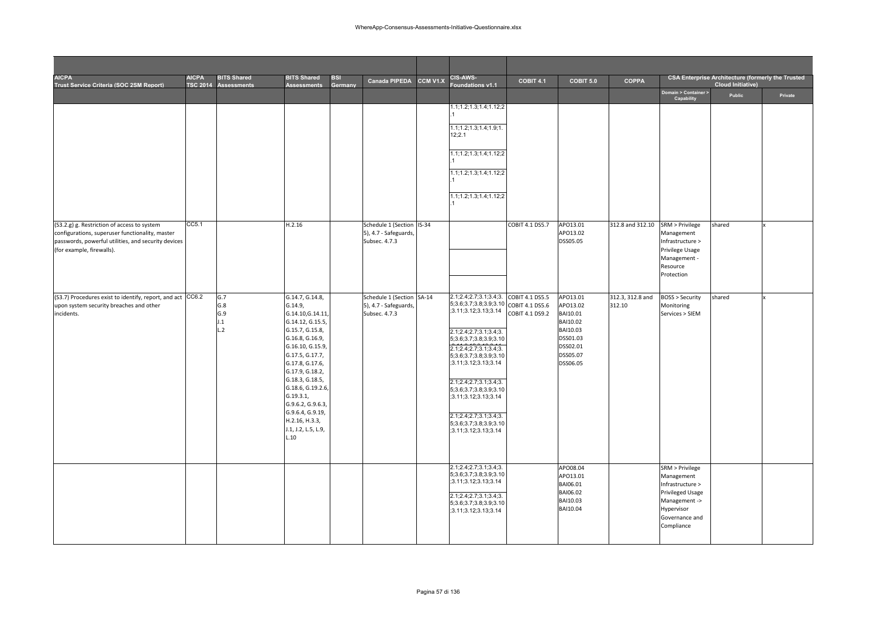| <b>AICPA</b><br>Trust Service Criteria (SOC 2SM Report)                                                                                                                            | <b>AICPA</b> | <b>BITS Shared</b><br>TSC 2014 Assessments | <b>BITS Shared</b><br><b>Assessments</b>                                                                                                                                                                                                                                                                                              | <b>BSI</b><br>Germany | <b>Canada PIPEDA</b>                                                | CCM V1.X | <b>CIS-AWS-</b><br>oundations v1.1                                                                                                                                                                                                                                                                                                                                               | COBIT 4.1                          | COBIT 5.0                                                                                                | <b>COPPA</b>               |                                                                                                                                             | <b>CSA Enterprise Architecture (formerly the Trusted</b><br><b>Cloud Initiative)</b> |         |
|------------------------------------------------------------------------------------------------------------------------------------------------------------------------------------|--------------|--------------------------------------------|---------------------------------------------------------------------------------------------------------------------------------------------------------------------------------------------------------------------------------------------------------------------------------------------------------------------------------------|-----------------------|---------------------------------------------------------------------|----------|----------------------------------------------------------------------------------------------------------------------------------------------------------------------------------------------------------------------------------------------------------------------------------------------------------------------------------------------------------------------------------|------------------------------------|----------------------------------------------------------------------------------------------------------|----------------------------|---------------------------------------------------------------------------------------------------------------------------------------------|--------------------------------------------------------------------------------------|---------|
|                                                                                                                                                                                    |              |                                            |                                                                                                                                                                                                                                                                                                                                       |                       |                                                                     |          |                                                                                                                                                                                                                                                                                                                                                                                  |                                    |                                                                                                          |                            | Domain > Container ><br>Capability                                                                                                          | Public                                                                               | Private |
|                                                                                                                                                                                    |              |                                            |                                                                                                                                                                                                                                                                                                                                       |                       |                                                                     |          | 1.1;1.2;1.3;1.4;1.12;2                                                                                                                                                                                                                                                                                                                                                           |                                    |                                                                                                          |                            |                                                                                                                                             |                                                                                      |         |
|                                                                                                                                                                                    |              |                                            |                                                                                                                                                                                                                                                                                                                                       |                       |                                                                     |          | 1.1; 1.2; 1.3; 1.4; 1.9; 1.                                                                                                                                                                                                                                                                                                                                                      |                                    |                                                                                                          |                            |                                                                                                                                             |                                                                                      |         |
|                                                                                                                                                                                    |              |                                            |                                                                                                                                                                                                                                                                                                                                       |                       |                                                                     |          | 12;2.1                                                                                                                                                                                                                                                                                                                                                                           |                                    |                                                                                                          |                            |                                                                                                                                             |                                                                                      |         |
|                                                                                                                                                                                    |              |                                            |                                                                                                                                                                                                                                                                                                                                       |                       |                                                                     |          | 1.1;1.2;1.3;1.4;1.12;2                                                                                                                                                                                                                                                                                                                                                           |                                    |                                                                                                          |                            |                                                                                                                                             |                                                                                      |         |
|                                                                                                                                                                                    |              |                                            |                                                                                                                                                                                                                                                                                                                                       |                       |                                                                     |          | 1.1;1.2;1.3;1.4;1.12;2                                                                                                                                                                                                                                                                                                                                                           |                                    |                                                                                                          |                            |                                                                                                                                             |                                                                                      |         |
|                                                                                                                                                                                    |              |                                            |                                                                                                                                                                                                                                                                                                                                       |                       |                                                                     |          | 1.1; 1.2; 1.3; 1.4; 1.12; 2                                                                                                                                                                                                                                                                                                                                                      |                                    |                                                                                                          |                            |                                                                                                                                             |                                                                                      |         |
|                                                                                                                                                                                    |              |                                            |                                                                                                                                                                                                                                                                                                                                       |                       |                                                                     |          |                                                                                                                                                                                                                                                                                                                                                                                  |                                    |                                                                                                          |                            |                                                                                                                                             |                                                                                      |         |
| (S3.2.g) g. Restriction of access to system<br>configurations, superuser functionality, master<br>passwords, powerful utilities, and security devices<br>(for example, firewalls). | CC5.1        |                                            | H.2.16                                                                                                                                                                                                                                                                                                                                |                       | Schedule 1 (Section IS-34<br>5), 4.7 - Safeguards,<br>Subsec. 4.7.3 |          |                                                                                                                                                                                                                                                                                                                                                                                  | COBIT 4.1 DS5.7                    | APO13.01<br>APO13.02<br>DSS05.05                                                                         | 312.8 and 312.10           | SRM > Privilege<br>Management<br>Infrastructure ><br>Privilege Usage<br>Management -<br>Resource<br>Protection                              | shared                                                                               |         |
| (S3.7) Procedures exist to identify, report, and act CC6.2<br>upon system security breaches and other<br>incidents.                                                                |              | G.7<br>G.8<br>G.9<br>J.1<br>L.2            | G.14.7, G.14.8,<br>G.14.9,<br>G.14.10, G.14.11,<br>G.14.12, G.15.5,<br>G.15.7, G.15.8,<br>G.16.8, G.16.9,<br>G.16.10, G.15.9,<br>G.17.5, G.17.7,<br>G.17.8, G.17.6,<br>G.17.9, G.18.2,<br>G.18.3, G.18.5,<br>G.18.6, G.19.2.6,<br>G.19.3.1,<br>G.9.6.2, G.9.6.3,<br>G.9.6.4, G.9.19,<br>H.2.16, H.3.3,<br>J.1, J.2, L.5, L.9,<br>1.10 |                       | Schedule 1 (Section SA-14<br>5), 4.7 - Safeguards,<br>Subsec. 4.7.3 |          | 2.1;2.4;2.7;3.1;3.4;3.<br>5;3.6;3.7;3.8;3.9;3.10 COBIT 4.1 DS5.6<br>;3.11;3.12;3.13;3.14<br>2.1;2.4;2.7;3.1;3.4;3.<br>5;3.6;3.7;3.8;3.9;3.10<br>2.1;2.4;2.7;3.1;3.4;3.<br>5;3.6;3.7;3.8;3.9;3.10<br>;3.11;3.12;3.13;3.14<br>2.1;2.4;2.7;3.1;3.4;3.<br>5;3.6;3.7;3.8;3.9;3.10<br>;3.11;3.12;3.13;3.14<br>2.1;2.4;2.7;3.1;3.4;3.<br>5;3.6;3.7;3.8;3.9;3.10<br>;3.11;3.12;3.13;3.14 | COBIT 4.1 DS5.5<br>COBIT 4.1 DS9.2 | APO13.01<br>APO13.02<br>BAI10.01<br>BAI10.02<br>BAI10.03<br>DSS01.03<br>DSS02.01<br>DSS05.07<br>DSS06.05 | 312.3, 312.8 and<br>312.10 | <b>BOSS &gt; Security</b><br>Monitoring<br>Services > SIEM                                                                                  | shared                                                                               |         |
|                                                                                                                                                                                    |              |                                            |                                                                                                                                                                                                                                                                                                                                       |                       |                                                                     |          | 2.1;2.4;2.7;3.1;3.4;3.<br>5;3.6;3.7;3.8;3.9;3.10<br>;3.11;3.12;3.13;3.14<br>2.1;2.4;2.7;3.1;3.4;3.<br>5;3.6;3.7;3.8;3.9;3.10<br>;3.11;3.12;3.13;3.14                                                                                                                                                                                                                             |                                    | APO08.04<br>APO13.01<br>BAI06.01<br>BAI06.02<br>BAI10.03<br>BAI10.04                                     |                            | SRM > Privilege<br>Management<br>Infrastructure ><br><b>Privileged Usage</b><br>Management -><br>Hypervisor<br>Governance and<br>Compliance |                                                                                      |         |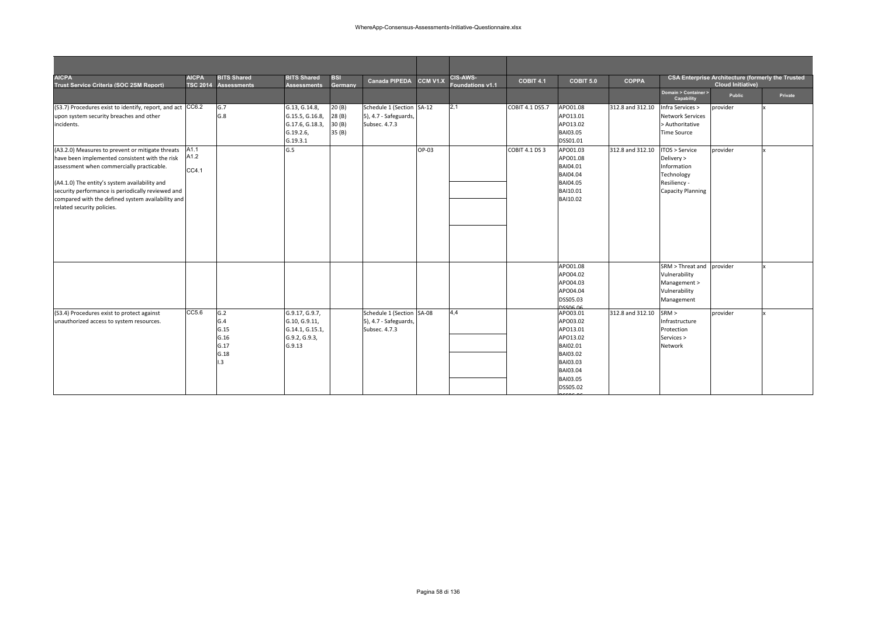| <b>AICPA</b><br>Trust Service Criteria (SOC 2SM Report)                                                                                                                                                                                                                                                                                  | <b>AICPA</b><br><b>TSC 2014</b> | <b>BITS Shared</b><br><b>Assessments</b>                      | <b>BITS Shared</b><br><b>Assessments</b>                                      | <b>BSI</b><br>Germany             | <b>Canada PIPEDA</b>                                                | CCM V1.X | CIS-AWS-<br>Foundations v1.1 | COBIT 4.1             | COBIT 5.0                                                                                                            | <b>COPPA</b>     |                                                                                                       | <b>CSA Enterprise Architecture (formerly the Trusted</b><br><b>Cloud Initiative)</b> |         |
|------------------------------------------------------------------------------------------------------------------------------------------------------------------------------------------------------------------------------------------------------------------------------------------------------------------------------------------|---------------------------------|---------------------------------------------------------------|-------------------------------------------------------------------------------|-----------------------------------|---------------------------------------------------------------------|----------|------------------------------|-----------------------|----------------------------------------------------------------------------------------------------------------------|------------------|-------------------------------------------------------------------------------------------------------|--------------------------------------------------------------------------------------|---------|
|                                                                                                                                                                                                                                                                                                                                          |                                 |                                                               |                                                                               |                                   |                                                                     |          |                              |                       |                                                                                                                      |                  | Domain > Container ><br>Capability                                                                    | Public                                                                               | Private |
| (S3.7) Procedures exist to identify, report, and act CC6.2<br>upon system security breaches and other<br>incidents.                                                                                                                                                                                                                      |                                 | G.7<br>G.8                                                    | G.13, G.14.8,<br>G.15.5, G.16.8,<br>G.17.6, G.18.3,<br>G.19.2.6<br>G.19.3.1   | 20(B)<br>28(B)<br>30(B)<br>35 (B) | Schedule 1 (Section SA-12<br>5), 4.7 - Safeguards,<br>Subsec. 4.7.3 |          | 2,1                          | COBIT 4.1 DS5.7       | APO01.08<br>APO13.01<br>APO13.02<br>BAI03.05<br>DSS01.01                                                             | 312.8 and 312.10 | Infra Services ><br><b>Network Services</b><br>> Authoritative<br><b>Time Source</b>                  | provider                                                                             |         |
| (A3.2.0) Measures to prevent or mitigate threats<br>have been implemented consistent with the risk<br>assessment when commercially practicable.<br>(A4.1.0) The entity's system availability and<br>security performance is periodically reviewed and<br>compared with the defined system availability and<br>related security policies. | A1.1<br>A1.2<br>CC4.1           |                                                               | G.5                                                                           |                                   |                                                                     | OP-03    |                              | <b>COBIT 4.1 DS 3</b> | APO01.03<br>APO01.08<br>BAI04.01<br>BAI04.04<br>BAI04.05<br>BAI10.01<br>BAI10.02                                     | 312.8 and 312.10 | ITOS > Service<br>Delivery ><br>Information<br>Technology<br>Resiliency -<br><b>Capacity Planning</b> | provider                                                                             |         |
|                                                                                                                                                                                                                                                                                                                                          |                                 |                                                               |                                                                               |                                   |                                                                     |          |                              |                       | APO01.08<br>APO04.02<br>APO04.03<br>APO04.04<br>DSS05.03<br>nssne ne                                                 |                  | SRM > Threat and provider<br>Vulnerability<br>Management ><br>Vulnerability<br>Management             |                                                                                      |         |
| (S3.4) Procedures exist to protect against<br>unauthorized access to system resources.                                                                                                                                                                                                                                                   | CC5.6                           | G.2<br>G.4<br>G.15<br>G.16<br>G.17<br>G.18<br>$\overline{.3}$ | G.9.17, G.9.7,<br>G.10, G.9.11,<br>G.14.1, G.15.1,<br>G.9.2, G.9.3,<br>G.9.13 |                                   | Schedule 1 (Section SA-08<br>5), 4.7 - Safeguards,<br>Subsec. 4.7.3 |          | 4,4                          |                       | APO03.01<br>APO03.02<br>APO13.01<br>APO13.02<br>BAI02.01<br>BAI03.02<br>BAI03.03<br>BAI03.04<br>BAI03.05<br>DSS05.02 | 312.8 and 312.10 | SRM ><br>Infrastructure<br>Protection<br>Services ><br>Network                                        | provider                                                                             |         |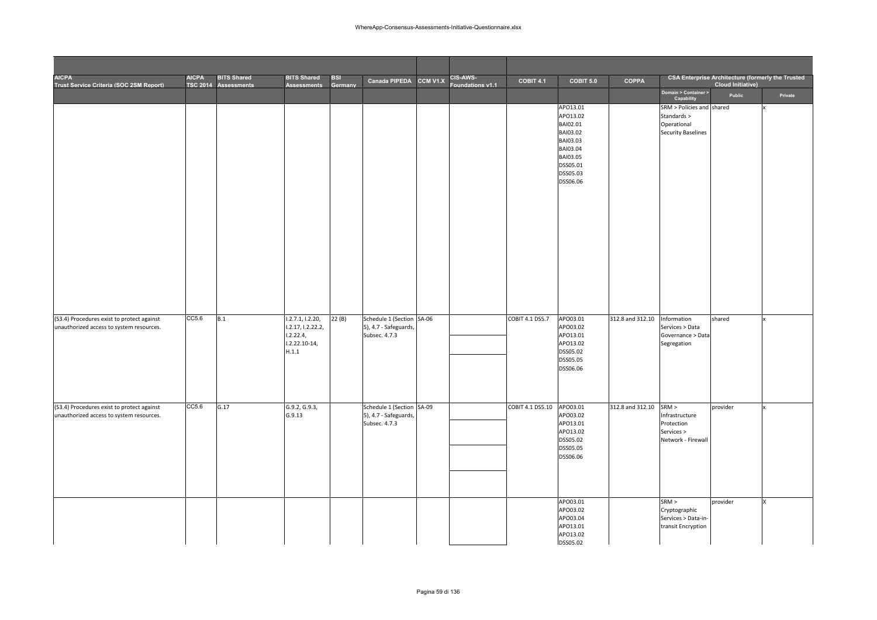| <b>AICPA</b><br>Trust Service Criteria (SOC 2SM Report)                                | <b>AICPA</b> | <b>BITS Shared</b><br>TSC 2014 Assessments | <b>BITS Shared</b><br><b>Assessments</b>                                       | BSI<br>Germany | Canada PIPEDA CCM V1.X                                              | CIS-AWS-<br>oundations v1.1 | COBIT 4.1        | COBIT 5.0                                                                                                            | <b>COPPA</b>     |                                                                                      | <b>CSA Enterprise Architecture (formerly the Trusted</b><br><b>Cloud Initiative)</b> |         |
|----------------------------------------------------------------------------------------|--------------|--------------------------------------------|--------------------------------------------------------------------------------|----------------|---------------------------------------------------------------------|-----------------------------|------------------|----------------------------------------------------------------------------------------------------------------------|------------------|--------------------------------------------------------------------------------------|--------------------------------------------------------------------------------------|---------|
|                                                                                        |              |                                            |                                                                                |                |                                                                     |                             |                  |                                                                                                                      |                  | Domain > Container ><br>Capability                                                   | Public                                                                               | Private |
|                                                                                        |              |                                            |                                                                                |                |                                                                     |                             |                  | APO13.01<br>APO13.02<br>BAI02.01<br>BAI03.02<br>BAI03.03<br>BAI03.04<br>BAI03.05<br>DSS05.01<br>DSS05.03<br>DSS06.06 |                  | SRM > Policies and shared<br>Standards ><br>Operational<br><b>Security Baselines</b> |                                                                                      |         |
| (S3.4) Procedures exist to protect against<br>unauthorized access to system resources. | CC5.6        | B.1                                        | 1.2.7.1, 1.2.20,<br>1.2.17, 1.2.22.2,<br>1.2.22.4,<br>$1.2.22.10-14,$<br>H.1.1 | 22(B)          | Schedule 1 (Section SA-06<br>5), 4.7 - Safeguards,<br>Subsec. 4.7.3 |                             | COBIT 4.1 DS5.7  | APO03.01<br>APO03.02<br>APO13.01<br>APO13.02<br>DSS05.02<br>DSS05.05<br>DSS06.06                                     | 312.8 and 312.10 | Information<br>Services > Data<br>Governance > Data<br>Segregation                   | shared                                                                               |         |
| (S3.4) Procedures exist to protect against<br>unauthorized access to system resources. | CC5.6        | G.17                                       | G.9.2, G.9.3,<br>G.9.13                                                        |                | Schedule 1 (Section SA-09<br>5), 4.7 - Safeguards,<br>Subsec. 4.7.3 |                             | COBIT 4.1 DS5.10 | APO03.01<br>APO03.02<br>APO13.01<br>APO13.02<br>DSS05.02<br>DSS05.05<br>DSS06.06                                     | 312.8 and 312.10 | SRM ><br>Infrastructure<br>Protection<br>Services ><br>Network - Firewall            | provider                                                                             |         |
|                                                                                        |              |                                            |                                                                                |                |                                                                     |                             |                  | APO03.01<br>APO03.02<br>APO03.04<br>APO13.01<br>APO13.02<br>DSS05.02                                                 |                  | SRM ><br>Cryptographic<br>Services > Data-in-<br>transit Encryption                  | provider                                                                             | x       |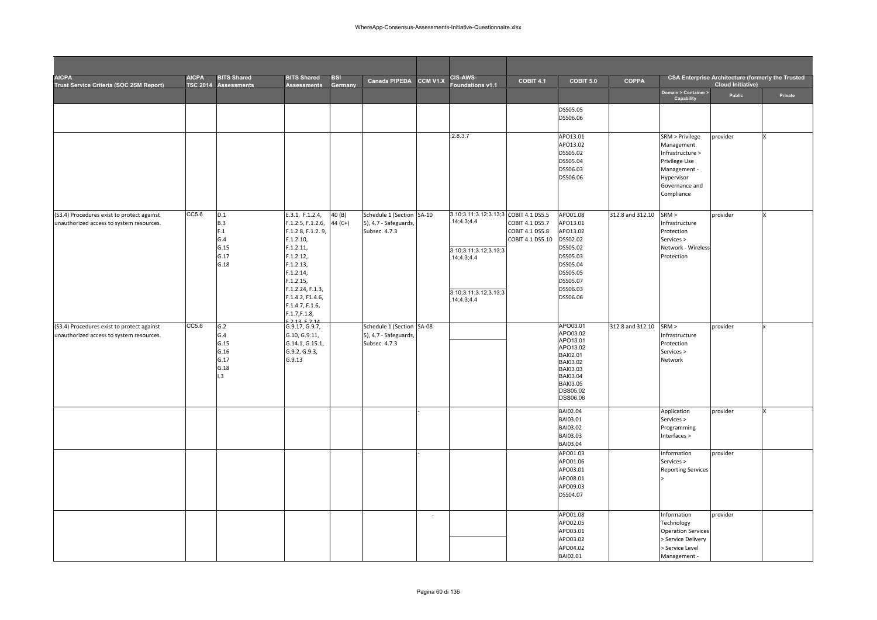| <b>AICPA</b><br>Trust Service Criteria (SOC 2SM Report)                                | <b>AICPA</b> | <b>BITS Shared</b><br>TSC 2014 Assessments        | <b>BITS Shared</b><br><b>Assessments</b>                                                                                                                                                                                       | <b>BSI</b><br><b>Germany</b> | <b>Canada PIPEDA</b>                                                | CCM V1.X | <b>CIS-AWS-</b><br>oundations v1.1                                                                                                  | COBIT 4.1                                                     | <b>COBIT 5.0</b>                                                                                                                 | <b>COPPA</b>     |                                                                                                                                  | CSA Enterprise Architecture (formerly the Trusted<br><b>Cloud Initiative)</b> |         |
|----------------------------------------------------------------------------------------|--------------|---------------------------------------------------|--------------------------------------------------------------------------------------------------------------------------------------------------------------------------------------------------------------------------------|------------------------------|---------------------------------------------------------------------|----------|-------------------------------------------------------------------------------------------------------------------------------------|---------------------------------------------------------------|----------------------------------------------------------------------------------------------------------------------------------|------------------|----------------------------------------------------------------------------------------------------------------------------------|-------------------------------------------------------------------------------|---------|
|                                                                                        |              |                                                   |                                                                                                                                                                                                                                |                              |                                                                     |          |                                                                                                                                     |                                                               |                                                                                                                                  |                  | Domain > Container ><br>Capability                                                                                               | Public                                                                        | Private |
|                                                                                        |              |                                                   |                                                                                                                                                                                                                                |                              |                                                                     |          |                                                                                                                                     |                                                               | DSS05.05<br>DSS06.06                                                                                                             |                  |                                                                                                                                  |                                                                               |         |
|                                                                                        |              |                                                   |                                                                                                                                                                                                                                |                              |                                                                     |          | ;2.8.3.7                                                                                                                            |                                                               | APO13.01<br>APO13.02<br>DSS05.02<br>DSS05.04<br>DSS06.03<br>DSS06.06                                                             |                  | SRM > Privilege<br>Management<br>Infrastructure ><br>Privilege Use<br>Management -<br>Hypervisor<br>Governance and<br>Compliance | provider                                                                      |         |
| (S3.4) Procedures exist to protect against<br>unauthorized access to system resources. | CC5.6        | D.1<br>B.3<br>F.1<br>G.4<br>G.15<br>G.17<br>G.18  | E.3.1, F.1.2.4,<br>F.1.2.5, F.1.2.6,<br>F.1.2.8, F.1.2.9,<br>F.1.2.10,<br>F.1.2.11,<br>F.1.2.12,<br>F.1.2.13,<br>F.1.2.14,<br>F.1.2.15,<br>F.1.2.24, F.1.3,<br>F.1.4.2, F1.4.6,<br>F.1.4.7, F.1.6,<br>F.1.7, F.1.8,<br>2125214 | 40 (B)<br>44 (C+)            | Schedule 1 (Section SA-10<br>5), 4.7 - Safeguards,<br>Subsec. 4.7.3 |          | 3.10;3.11;3.12;3.13;3 COBIT 4.1 DS5.5<br>14;4.3;4.4<br>3.10;3.11;3.12;3.13;3<br>.14;4.3;4.4<br>3.10;3.11;3.12;3.13;3<br>.14;4.3;4.4 | COBIT 4.1 DS5.7<br><b>COBIT 4.1 DS5.8</b><br>COBIT 4.1 DS5.10 | APO01.08<br>APO13.01<br>APO13.02<br>DSS02.02<br>DSS05.02<br>DSS05.03<br>DSS05.04<br>DSS05.05<br>DSS05.07<br>DSS06.03<br>DSS06.06 | 312.8 and 312.10 | SRM ><br>Infrastructure<br>Protection<br>Services ><br>Network - Wireless<br>Protection                                          | provider                                                                      |         |
| (S3.4) Procedures exist to protect against<br>unauthorized access to system resources. | CC5.6        | G.2<br>G.4<br>G.15<br>G.16<br>G.17<br>G.18<br>1.3 | G.9.17, G.9.7,<br>G.10, G.9.11,<br>G.14.1, G.15.1,<br>G.9.2, G.9.3,<br>G.9.13                                                                                                                                                  |                              | Schedule 1 (Section SA-08<br>5), 4.7 - Safeguards,<br>Subsec. 4.7.3 |          |                                                                                                                                     |                                                               | APO03.01<br>APO03.02<br>APO13.01<br>APO13.02<br>BAI02.01<br>BAI03.02<br>BAI03.03<br>BAI03.04<br>BAI03.05<br>DSS05.02<br>DSS06.06 | 312.8 and 312.10 | SRM ><br>Infrastructure<br>Protection<br>Services ><br>Network                                                                   | provider                                                                      |         |
|                                                                                        |              |                                                   |                                                                                                                                                                                                                                |                              |                                                                     |          |                                                                                                                                     |                                                               | BAI02.04<br>BAI03.01<br>BAI03.02<br>BAI03.03<br>BAI03.04                                                                         |                  | Application<br>Services ><br>Programming<br>Interfaces >                                                                         | provider                                                                      | x       |
|                                                                                        |              |                                                   |                                                                                                                                                                                                                                |                              |                                                                     |          |                                                                                                                                     |                                                               | APO01.03<br>APO01.06<br>APO03.01<br>APO08.01<br>APO09.03<br>DSS04.07                                                             |                  | Information<br>Services ><br><b>Reporting Services</b>                                                                           | provider                                                                      |         |
|                                                                                        |              |                                                   |                                                                                                                                                                                                                                |                              |                                                                     | $\sim$   |                                                                                                                                     |                                                               | APO01.08<br>APO02.05<br>APO03.01<br>APO03.02<br>APO04.02<br>BAI02.01                                                             |                  | Information<br>Technology<br><b>Operation Services</b><br>Service Delivery<br>> Service Level<br>Management -                    | provider                                                                      |         |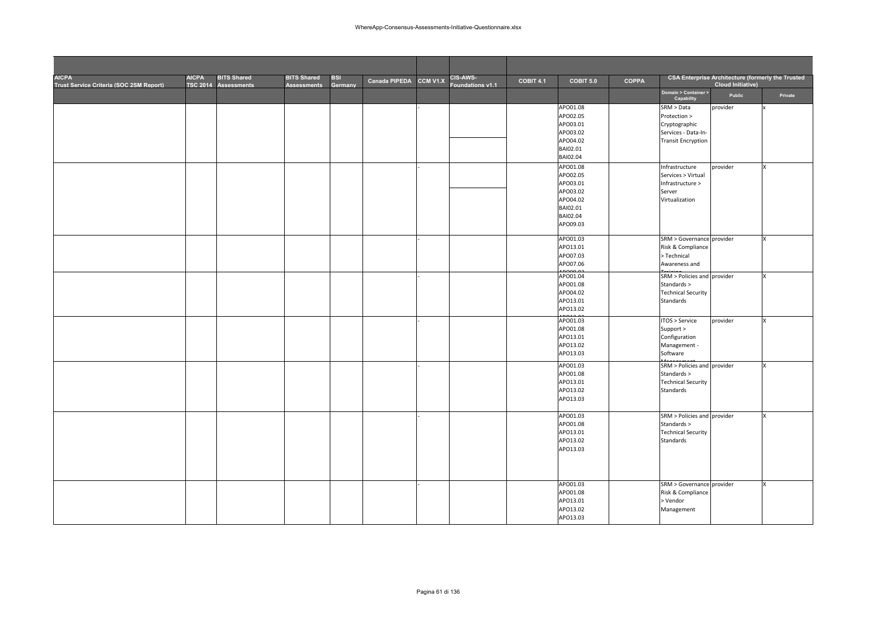| <b>AICPA</b><br>Trust Service Criteria (SOC 2SM Report) | <b>AICPA</b><br><b>TSC 2014</b> | <b>BITS Shared</b><br><b>Assessments</b> | <b>BITS Shared</b><br><b>Assessments</b> | <b>BSI</b><br>Germany | Canada PIPEDA | CCM V1.X | <b>CIS-AWS-</b><br>Foundations v1.1 | COBIT 4.1 | COBIT 5.0            | <b>COPPA</b> |                                            | <b>CSA Enterprise Architecture (formerly the Trusted</b><br><b>Cloud Initiative)</b> |         |
|---------------------------------------------------------|---------------------------------|------------------------------------------|------------------------------------------|-----------------------|---------------|----------|-------------------------------------|-----------|----------------------|--------------|--------------------------------------------|--------------------------------------------------------------------------------------|---------|
|                                                         |                                 |                                          |                                          |                       |               |          |                                     |           |                      |              | Domain > Container ><br>Capability         | Public                                                                               | Private |
|                                                         |                                 |                                          |                                          |                       |               |          |                                     |           | APO01.08             |              | SRM > Data                                 | provider                                                                             |         |
|                                                         |                                 |                                          |                                          |                       |               |          |                                     |           | APO02.05             |              | Protection >                               |                                                                                      |         |
|                                                         |                                 |                                          |                                          |                       |               |          |                                     |           | APO03.01             |              | Cryptographic                              |                                                                                      |         |
|                                                         |                                 |                                          |                                          |                       |               |          |                                     |           | APO03.02             |              | Services - Data-In-                        |                                                                                      |         |
|                                                         |                                 |                                          |                                          |                       |               |          |                                     |           | APO04.02             |              | <b>Transit Encryption</b>                  |                                                                                      |         |
|                                                         |                                 |                                          |                                          |                       |               |          |                                     |           | BAI02.01<br>BAI02.04 |              |                                            |                                                                                      |         |
|                                                         |                                 |                                          |                                          |                       |               |          |                                     |           | APO01.08             |              |                                            |                                                                                      |         |
|                                                         |                                 |                                          |                                          |                       |               |          |                                     |           | APO02.05             |              | Infrastructure<br>Services > Virtual       | provider                                                                             |         |
|                                                         |                                 |                                          |                                          |                       |               |          |                                     |           | APO03.01             |              | Infrastructure >                           |                                                                                      |         |
|                                                         |                                 |                                          |                                          |                       |               |          |                                     |           | APO03.02             |              | Server                                     |                                                                                      |         |
|                                                         |                                 |                                          |                                          |                       |               |          |                                     |           | APO04.02             |              | Virtualization                             |                                                                                      |         |
|                                                         |                                 |                                          |                                          |                       |               |          |                                     |           | BAI02.01             |              |                                            |                                                                                      |         |
|                                                         |                                 |                                          |                                          |                       |               |          |                                     |           | BAI02.04             |              |                                            |                                                                                      |         |
|                                                         |                                 |                                          |                                          |                       |               |          |                                     |           | APO09.03             |              |                                            |                                                                                      |         |
|                                                         |                                 |                                          |                                          |                       |               |          |                                     |           | APO01.03             |              | SRM > Governance provider                  |                                                                                      |         |
|                                                         |                                 |                                          |                                          |                       |               |          |                                     |           | APO13.01             |              | Risk & Compliance                          |                                                                                      |         |
|                                                         |                                 |                                          |                                          |                       |               |          |                                     |           | APO07.03             |              | > Technical                                |                                                                                      |         |
|                                                         |                                 |                                          |                                          |                       |               |          |                                     |           | APO07.06             |              | Awareness and                              |                                                                                      |         |
|                                                         |                                 |                                          |                                          |                       |               |          |                                     |           | APO01.04             |              | SRM > Policies and provider                |                                                                                      |         |
|                                                         |                                 |                                          |                                          |                       |               |          |                                     |           | APO01.08             |              | Standards >                                |                                                                                      |         |
|                                                         |                                 |                                          |                                          |                       |               |          |                                     |           | APO04.02             |              | <b>Technical Security</b>                  |                                                                                      |         |
|                                                         |                                 |                                          |                                          |                       |               |          |                                     |           | APO13.01             |              | Standards                                  |                                                                                      |         |
|                                                         |                                 |                                          |                                          |                       |               |          |                                     |           | APO13.02             |              |                                            |                                                                                      |         |
|                                                         |                                 |                                          |                                          |                       |               |          |                                     |           | APO01.03             |              | ITOS > Service                             | provider                                                                             |         |
|                                                         |                                 |                                          |                                          |                       |               |          |                                     |           | APO01.08<br>APO13.01 |              | Support ><br>Configuration                 |                                                                                      |         |
|                                                         |                                 |                                          |                                          |                       |               |          |                                     |           | APO13.02             |              | Management -                               |                                                                                      |         |
|                                                         |                                 |                                          |                                          |                       |               |          |                                     |           | APO13.03             |              | Software                                   |                                                                                      |         |
|                                                         |                                 |                                          |                                          |                       |               |          |                                     |           |                      |              |                                            |                                                                                      |         |
|                                                         |                                 |                                          |                                          |                       |               |          |                                     |           | APO01.03             |              | SRM > Policies and provider<br>Standards > |                                                                                      |         |
|                                                         |                                 |                                          |                                          |                       |               |          |                                     |           | APO01.08<br>APO13.01 |              | <b>Technical Security</b>                  |                                                                                      |         |
|                                                         |                                 |                                          |                                          |                       |               |          |                                     |           | APO13.02             |              | Standards                                  |                                                                                      |         |
|                                                         |                                 |                                          |                                          |                       |               |          |                                     |           | APO13.03             |              |                                            |                                                                                      |         |
|                                                         |                                 |                                          |                                          |                       |               |          |                                     |           |                      |              |                                            |                                                                                      |         |
|                                                         |                                 |                                          |                                          |                       |               |          |                                     |           | APO01.03             |              | SRM > Policies and provider                |                                                                                      |         |
|                                                         |                                 |                                          |                                          |                       |               |          |                                     |           | APO01.08             |              | Standards >                                |                                                                                      |         |
|                                                         |                                 |                                          |                                          |                       |               |          |                                     |           | APO13.01             |              | <b>Technical Security</b>                  |                                                                                      |         |
|                                                         |                                 |                                          |                                          |                       |               |          |                                     |           | APO13.02             |              | Standards                                  |                                                                                      |         |
|                                                         |                                 |                                          |                                          |                       |               |          |                                     |           | APO13.03             |              |                                            |                                                                                      |         |
|                                                         |                                 |                                          |                                          |                       |               |          |                                     |           |                      |              |                                            |                                                                                      |         |
|                                                         |                                 |                                          |                                          |                       |               |          |                                     |           |                      |              |                                            |                                                                                      |         |
|                                                         |                                 |                                          |                                          |                       |               |          |                                     |           | APO01.03             |              | SRM > Governance provider                  |                                                                                      |         |
|                                                         |                                 |                                          |                                          |                       |               |          |                                     |           | APO01.08             |              | Risk & Compliance                          |                                                                                      |         |
|                                                         |                                 |                                          |                                          |                       |               |          |                                     |           | APO13.01             |              | > Vendor                                   |                                                                                      |         |
|                                                         |                                 |                                          |                                          |                       |               |          |                                     |           | APO13.02             |              | Management                                 |                                                                                      |         |
|                                                         |                                 |                                          |                                          |                       |               |          |                                     |           | APO13.03             |              |                                            |                                                                                      |         |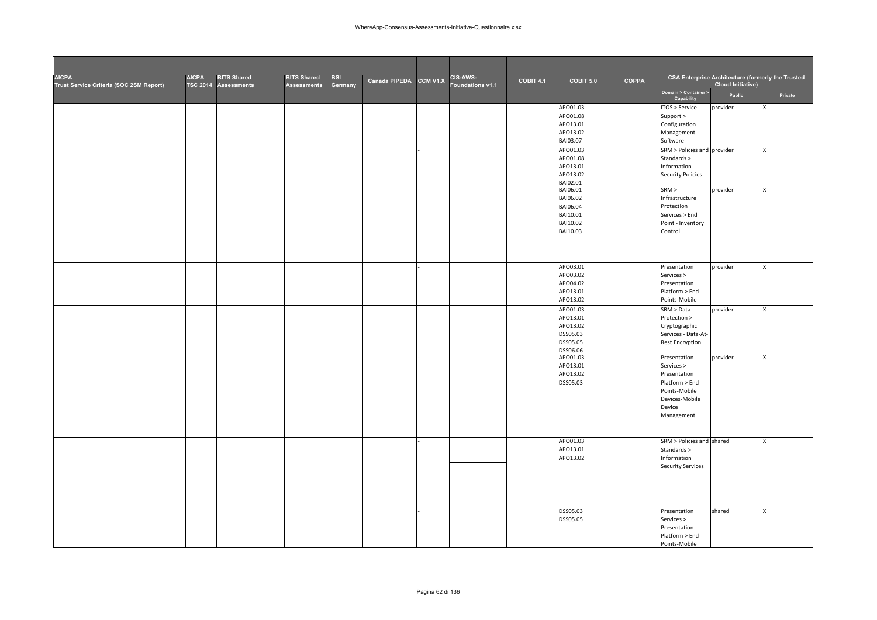| <b>AICPA</b><br>Trust Service Criteria (SOC 2SM Report) | <b>AICPA</b><br><b>TSC 2014</b> | <b>BITS Shared</b><br>Assessments | <b>BITS Shared</b><br><b>Assessments</b> | <b>BSI</b><br>Germany | Canada PIPEDA CCM V1.X | <b>CIS-AWS-</b><br>Foundations v1.1 | COBIT 4.1 | COBIT 5.0            | <b>COPPA</b> |                                    | <b>CSA Enterprise Architecture (formerly the Trusted</b><br><b>Cloud Initiative)</b> |         |
|---------------------------------------------------------|---------------------------------|-----------------------------------|------------------------------------------|-----------------------|------------------------|-------------------------------------|-----------|----------------------|--------------|------------------------------------|--------------------------------------------------------------------------------------|---------|
|                                                         |                                 |                                   |                                          |                       |                        |                                     |           |                      |              | Domain > Container ><br>Capability | Public                                                                               | Private |
|                                                         |                                 |                                   |                                          |                       |                        |                                     |           | APO01.03             |              | ITOS > Service                     | provider                                                                             |         |
|                                                         |                                 |                                   |                                          |                       |                        |                                     |           | APO01.08<br>APO13.01 |              | Support ><br>Configuration         |                                                                                      |         |
|                                                         |                                 |                                   |                                          |                       |                        |                                     |           | APO13.02             |              | Management -                       |                                                                                      |         |
|                                                         |                                 |                                   |                                          |                       |                        |                                     |           | BAI03.07             |              | Software                           |                                                                                      |         |
|                                                         |                                 |                                   |                                          |                       |                        |                                     |           | APO01.03             |              | SRM > Policies and provider        |                                                                                      | x       |
|                                                         |                                 |                                   |                                          |                       |                        |                                     |           | APO01.08             |              | Standards >                        |                                                                                      |         |
|                                                         |                                 |                                   |                                          |                       |                        |                                     |           | APO13.01             |              | Information                        |                                                                                      |         |
|                                                         |                                 |                                   |                                          |                       |                        |                                     |           | APO13.02             |              | <b>Security Policies</b>           |                                                                                      |         |
|                                                         |                                 |                                   |                                          |                       |                        |                                     |           | BAI02.01<br>BAI06.01 |              | SRM >                              | provider                                                                             | x       |
|                                                         |                                 |                                   |                                          |                       |                        |                                     |           | BAI06.02             |              | Infrastructure                     |                                                                                      |         |
|                                                         |                                 |                                   |                                          |                       |                        |                                     |           | BAI06.04             |              | Protection                         |                                                                                      |         |
|                                                         |                                 |                                   |                                          |                       |                        |                                     |           | BAI10.01             |              | Services > End                     |                                                                                      |         |
|                                                         |                                 |                                   |                                          |                       |                        |                                     |           | BAI10.02             |              | Point - Inventory                  |                                                                                      |         |
|                                                         |                                 |                                   |                                          |                       |                        |                                     |           | BAI10.03             |              | Control                            |                                                                                      |         |
|                                                         |                                 |                                   |                                          |                       |                        |                                     |           |                      |              |                                    |                                                                                      |         |
|                                                         |                                 |                                   |                                          |                       |                        |                                     |           |                      |              |                                    |                                                                                      |         |
|                                                         |                                 |                                   |                                          |                       |                        |                                     |           | APO03.01             |              | Presentation                       | provider                                                                             | x       |
|                                                         |                                 |                                   |                                          |                       |                        |                                     |           | APO03.02             |              | Services >                         |                                                                                      |         |
|                                                         |                                 |                                   |                                          |                       |                        |                                     |           | APO04.02             |              | Presentation                       |                                                                                      |         |
|                                                         |                                 |                                   |                                          |                       |                        |                                     |           | APO13.01             |              | Platform > End-                    |                                                                                      |         |
|                                                         |                                 |                                   |                                          |                       |                        |                                     |           | APO13.02             |              | Points-Mobile                      |                                                                                      |         |
|                                                         |                                 |                                   |                                          |                       |                        |                                     |           | APO01.03             |              | SRM > Data                         | provider                                                                             | x       |
|                                                         |                                 |                                   |                                          |                       |                        |                                     |           | APO13.01             |              | Protection >                       |                                                                                      |         |
|                                                         |                                 |                                   |                                          |                       |                        |                                     |           | APO13.02             |              | Cryptographic                      |                                                                                      |         |
|                                                         |                                 |                                   |                                          |                       |                        |                                     |           | DSS05.03             |              | Services - Data-At-                |                                                                                      |         |
|                                                         |                                 |                                   |                                          |                       |                        |                                     |           | DSS05.05<br>DSS06.06 |              | <b>Rest Encryption</b>             |                                                                                      |         |
|                                                         |                                 |                                   |                                          |                       |                        |                                     |           | APO01.03             |              | Presentation                       | provider                                                                             | x       |
|                                                         |                                 |                                   |                                          |                       |                        |                                     |           | APO13.01             |              | Services >                         |                                                                                      |         |
|                                                         |                                 |                                   |                                          |                       |                        |                                     |           | APO13.02             |              | Presentation                       |                                                                                      |         |
|                                                         |                                 |                                   |                                          |                       |                        |                                     |           | DSS05.03             |              | Platform > End-                    |                                                                                      |         |
|                                                         |                                 |                                   |                                          |                       |                        |                                     |           |                      |              | Points-Mobile                      |                                                                                      |         |
|                                                         |                                 |                                   |                                          |                       |                        |                                     |           |                      |              | Devices-Mobile<br>Device           |                                                                                      |         |
|                                                         |                                 |                                   |                                          |                       |                        |                                     |           |                      |              | Management                         |                                                                                      |         |
|                                                         |                                 |                                   |                                          |                       |                        |                                     |           |                      |              |                                    |                                                                                      |         |
|                                                         |                                 |                                   |                                          |                       |                        |                                     |           |                      |              |                                    |                                                                                      |         |
|                                                         |                                 |                                   |                                          |                       |                        |                                     |           | APO01.03             |              | SRM > Policies and shared          |                                                                                      | x       |
|                                                         |                                 |                                   |                                          |                       |                        |                                     |           | APO13.01             |              | Standards >                        |                                                                                      |         |
|                                                         |                                 |                                   |                                          |                       |                        |                                     |           | APO13.02             |              | Information                        |                                                                                      |         |
|                                                         |                                 |                                   |                                          |                       |                        |                                     |           |                      |              | <b>Security Services</b>           |                                                                                      |         |
|                                                         |                                 |                                   |                                          |                       |                        |                                     |           |                      |              |                                    |                                                                                      |         |
|                                                         |                                 |                                   |                                          |                       |                        |                                     |           |                      |              |                                    |                                                                                      |         |
|                                                         |                                 |                                   |                                          |                       |                        |                                     |           |                      |              |                                    |                                                                                      |         |
|                                                         |                                 |                                   |                                          |                       |                        |                                     |           | DSS05.03             |              | Presentation                       | shared                                                                               | x       |
|                                                         |                                 |                                   |                                          |                       |                        |                                     |           | DSS05.05             |              | Services >                         |                                                                                      |         |
|                                                         |                                 |                                   |                                          |                       |                        |                                     |           |                      |              | Presentation                       |                                                                                      |         |
|                                                         |                                 |                                   |                                          |                       |                        |                                     |           |                      |              | Platform > End-                    |                                                                                      |         |
|                                                         |                                 |                                   |                                          |                       |                        |                                     |           |                      |              | Points-Mobile                      |                                                                                      |         |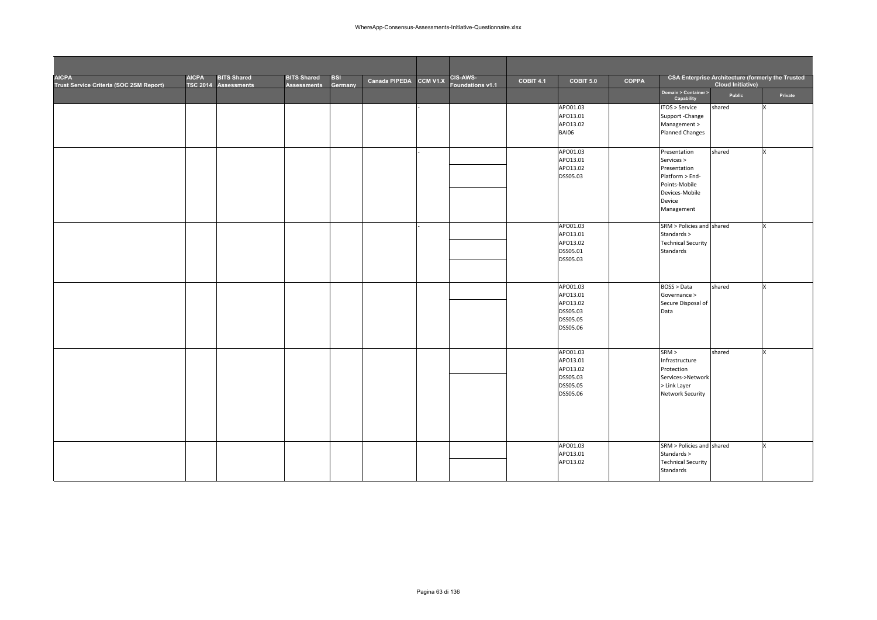| <b>AICPA</b><br>Trust Service Criteria (SOC 2SM Report) | <b>AICPA</b><br><b>TSC 2014</b> | <b>BITS Shared</b><br><b>Assessments</b> | <b>BITS Shared</b><br><b>Assessments</b> | <b>BSI</b><br>Germany | Canada PIPEDA | CCM V1.X | CIS-AWS-<br>Foundations v1.1 | <b>COBIT 4.1</b> | COBIT 5.0    | <b>COPPA</b> |                                    | <b>CSA Enterprise Architecture (formerly the Trusted</b><br><b>Cloud Initiative)</b> |          |
|---------------------------------------------------------|---------------------------------|------------------------------------------|------------------------------------------|-----------------------|---------------|----------|------------------------------|------------------|--------------|--------------|------------------------------------|--------------------------------------------------------------------------------------|----------|
|                                                         |                                 |                                          |                                          |                       |               |          |                              |                  |              |              | Domain > Container ><br>Capability | Public                                                                               | Private  |
|                                                         |                                 |                                          |                                          |                       |               |          |                              |                  | APO01.03     |              | ITOS > Service                     | shared                                                                               | x        |
|                                                         |                                 |                                          |                                          |                       |               |          |                              |                  | APO13.01     |              | Support - Change                   |                                                                                      |          |
|                                                         |                                 |                                          |                                          |                       |               |          |                              |                  | APO13.02     |              | Management >                       |                                                                                      |          |
|                                                         |                                 |                                          |                                          |                       |               |          |                              |                  | <b>BAI06</b> |              | <b>Planned Changes</b>             |                                                                                      |          |
|                                                         |                                 |                                          |                                          |                       |               |          |                              |                  |              |              |                                    |                                                                                      |          |
|                                                         |                                 |                                          |                                          |                       |               |          |                              |                  | APO01.03     |              | Presentation                       | shared                                                                               | x        |
|                                                         |                                 |                                          |                                          |                       |               |          |                              |                  | APO13.01     |              | Services >                         |                                                                                      |          |
|                                                         |                                 |                                          |                                          |                       |               |          |                              |                  | APO13.02     |              | Presentation                       |                                                                                      |          |
|                                                         |                                 |                                          |                                          |                       |               |          |                              |                  | DSS05.03     |              | Platform > End-                    |                                                                                      |          |
|                                                         |                                 |                                          |                                          |                       |               |          |                              |                  |              |              | Points-Mobile                      |                                                                                      |          |
|                                                         |                                 |                                          |                                          |                       |               |          |                              |                  |              |              | Devices-Mobile                     |                                                                                      |          |
|                                                         |                                 |                                          |                                          |                       |               |          |                              |                  |              |              | Device                             |                                                                                      |          |
|                                                         |                                 |                                          |                                          |                       |               |          |                              |                  |              |              | Management                         |                                                                                      |          |
|                                                         |                                 |                                          |                                          |                       |               |          |                              |                  | APO01.03     |              | SRM > Policies and shared          |                                                                                      | x        |
|                                                         |                                 |                                          |                                          |                       |               |          |                              |                  | APO13.01     |              | Standards >                        |                                                                                      |          |
|                                                         |                                 |                                          |                                          |                       |               |          |                              |                  | APO13.02     |              | <b>Technical Security</b>          |                                                                                      |          |
|                                                         |                                 |                                          |                                          |                       |               |          |                              |                  | DSS05.01     |              | Standards                          |                                                                                      |          |
|                                                         |                                 |                                          |                                          |                       |               |          |                              |                  | DSS05.03     |              |                                    |                                                                                      |          |
|                                                         |                                 |                                          |                                          |                       |               |          |                              |                  |              |              |                                    |                                                                                      |          |
|                                                         |                                 |                                          |                                          |                       |               |          |                              |                  |              |              |                                    |                                                                                      |          |
|                                                         |                                 |                                          |                                          |                       |               |          |                              |                  | APO01.03     |              | BOSS > Data                        | shared                                                                               | $\times$ |
|                                                         |                                 |                                          |                                          |                       |               |          |                              |                  | APO13.01     |              | Governance >                       |                                                                                      |          |
|                                                         |                                 |                                          |                                          |                       |               |          |                              |                  | APO13.02     |              | Secure Disposal of                 |                                                                                      |          |
|                                                         |                                 |                                          |                                          |                       |               |          |                              |                  | DSS05.03     |              | Data                               |                                                                                      |          |
|                                                         |                                 |                                          |                                          |                       |               |          |                              |                  | DSS05.05     |              |                                    |                                                                                      |          |
|                                                         |                                 |                                          |                                          |                       |               |          |                              |                  | DSS05.06     |              |                                    |                                                                                      |          |
|                                                         |                                 |                                          |                                          |                       |               |          |                              |                  |              |              |                                    |                                                                                      |          |
|                                                         |                                 |                                          |                                          |                       |               |          |                              |                  | APO01.03     |              | SRM >                              | shared                                                                               | x        |
|                                                         |                                 |                                          |                                          |                       |               |          |                              |                  | APO13.01     |              | Infrastructure                     |                                                                                      |          |
|                                                         |                                 |                                          |                                          |                       |               |          |                              |                  | APO13.02     |              | Protection                         |                                                                                      |          |
|                                                         |                                 |                                          |                                          |                       |               |          |                              |                  | DSS05.03     |              | Services->Network                  |                                                                                      |          |
|                                                         |                                 |                                          |                                          |                       |               |          |                              |                  | DSS05.05     |              | > Link Layer                       |                                                                                      |          |
|                                                         |                                 |                                          |                                          |                       |               |          |                              |                  | DSS05.06     |              | Network Security                   |                                                                                      |          |
|                                                         |                                 |                                          |                                          |                       |               |          |                              |                  |              |              |                                    |                                                                                      |          |
|                                                         |                                 |                                          |                                          |                       |               |          |                              |                  |              |              |                                    |                                                                                      |          |
|                                                         |                                 |                                          |                                          |                       |               |          |                              |                  |              |              |                                    |                                                                                      |          |
|                                                         |                                 |                                          |                                          |                       |               |          |                              |                  |              |              |                                    |                                                                                      |          |
|                                                         |                                 |                                          |                                          |                       |               |          |                              |                  |              |              |                                    |                                                                                      |          |
|                                                         |                                 |                                          |                                          |                       |               |          |                              |                  | APO01.03     |              | SRM > Policies and shared          |                                                                                      | x        |
|                                                         |                                 |                                          |                                          |                       |               |          |                              |                  | APO13.01     |              | Standards >                        |                                                                                      |          |
|                                                         |                                 |                                          |                                          |                       |               |          |                              |                  | APO13.02     |              | <b>Technical Security</b>          |                                                                                      |          |
|                                                         |                                 |                                          |                                          |                       |               |          |                              |                  |              |              | <b>Standards</b>                   |                                                                                      |          |
|                                                         |                                 |                                          |                                          |                       |               |          |                              |                  |              |              |                                    |                                                                                      |          |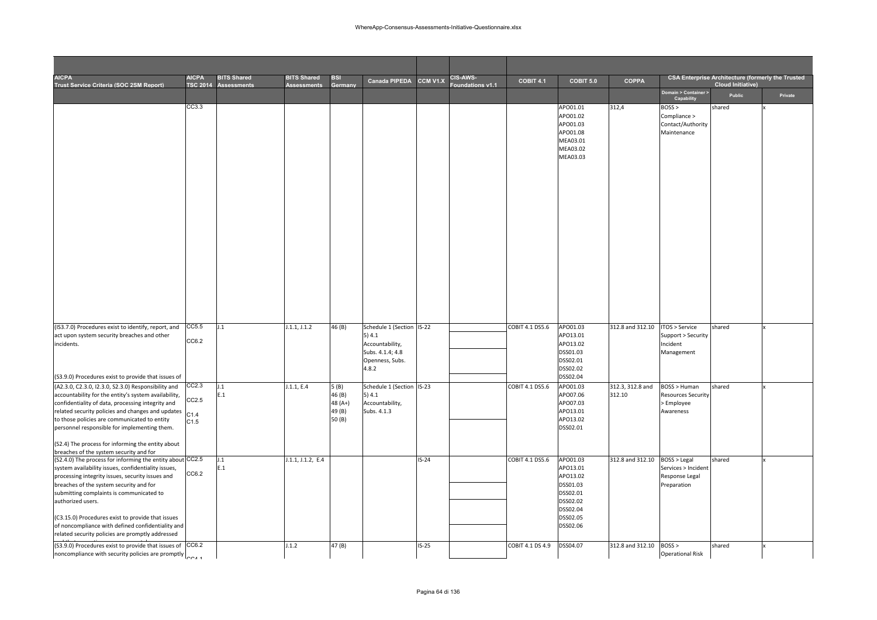| <b>AICPA</b><br>Trust Service Criteria (SOC 2SM Report)                                                                                                                                                                                                                                                                                                                                                                                        | <b>AICPA</b><br><b>TSC 2014</b> | <b>BITS Shared</b><br>Assessments | <b>BITS Shared</b><br><b>Assessments</b> | <b>BSI</b><br>Germany                | Canada PIPEDA CCM V1.X                                                   |         | <b>CIS-AWS-</b><br>oundations v1.1 | <b>COBIT 4.1</b> | COBIT 5.0                                                                                                | <b>COPPA</b>     |                                                                      | <b>CSA Enterprise Architecture (formerly the Trusted</b><br><b>Cloud Initiative)</b> |         |
|------------------------------------------------------------------------------------------------------------------------------------------------------------------------------------------------------------------------------------------------------------------------------------------------------------------------------------------------------------------------------------------------------------------------------------------------|---------------------------------|-----------------------------------|------------------------------------------|--------------------------------------|--------------------------------------------------------------------------|---------|------------------------------------|------------------|----------------------------------------------------------------------------------------------------------|------------------|----------------------------------------------------------------------|--------------------------------------------------------------------------------------|---------|
|                                                                                                                                                                                                                                                                                                                                                                                                                                                |                                 |                                   |                                          |                                      |                                                                          |         |                                    |                  |                                                                                                          |                  | Domain > Container ><br>Capability                                   | Public                                                                               | Private |
|                                                                                                                                                                                                                                                                                                                                                                                                                                                | CC3.3                           |                                   |                                          |                                      |                                                                          |         |                                    |                  | APO01.01<br>APO01.02<br>APO01.03<br>APO01.08<br>MEA03.01<br>MEA03.02<br>MEA03.03                         | 312,4            | $BOSS$ ><br>Compliance ><br>Contact/Authority<br>Maintenance         | shared                                                                               |         |
| (IS3.7.0) Procedures exist to identify, report, and                                                                                                                                                                                                                                                                                                                                                                                            | CC5.5                           | J.1                               | J.1.1, J.1.2                             | 46 (B)                               | Schedule 1 (Section IS-22                                                |         |                                    | COBIT 4.1 DS5.6  | APO01.03                                                                                                 | 312.8 and 312.10 | ITOS > Service                                                       | shared                                                                               |         |
| act upon system security breaches and other<br>incidents.                                                                                                                                                                                                                                                                                                                                                                                      | CC6.2                           |                                   |                                          |                                      | 5)4.1<br>Accountability,<br>Subs. 4.1.4; 4.8<br>Openness, Subs.<br>4.8.2 |         |                                    |                  | APO13.01<br>APO13.02<br>DSS01.03<br>DSS02.01<br>DSS02.02                                                 |                  | Support > Security<br>Incident<br>Management                         |                                                                                      |         |
| (S3.9.0) Procedures exist to provide that issues of<br>(A2.3.0, C2.3.0, I2.3.0, S2.3.0) Responsibility and                                                                                                                                                                                                                                                                                                                                     | CC2.3                           | $\mathbf{1}$                      | J.1.1, E.4                               | 5(B)                                 | Schedule 1 (Section IS-23                                                |         |                                    | COBIT 4.1 DS5.6  | DSS02.04<br>APO01.03                                                                                     | 312.3, 312.8 and | BOSS > Human                                                         | shared                                                                               |         |
| accountability for the entity's system availability,<br>confidentiality of data, processing integrity and<br>related security policies and changes and updates<br>to those policies are communicated to entity<br>personnel responsible for implementing them.<br>(S2.4) The process for informing the entity about<br>breaches of the system security and for                                                                                 | CC2.5<br>C1.4<br>C1.5           | E.1                               |                                          | 46 (B)<br>48 (A+)<br>49 (B)<br>50(B) | 5) 4.1<br>Accountability,<br>Subs. 4.1.3                                 |         |                                    |                  | APO07.06<br>APO07.03<br>APO13.01<br>APO13.02<br>DSS02.01                                                 | 312.10           | <b>Resources Security</b><br>> Employee<br>Awareness                 |                                                                                      |         |
| (S2.4.0) The process for informing the entity about CC2.5<br>system availability issues, confidentiality issues,<br>processing integrity issues, security issues and<br>breaches of the system security and for<br>submitting complaints is communicated to<br>authorized users.<br>(C3.15.0) Procedures exist to provide that issues<br>of noncompliance with defined confidentiality and<br>related security policies are promptly addressed | CC6.2                           | $\cdot$<br>E.1                    | J.1.1, J.1.2, E.4                        |                                      |                                                                          | $IS-24$ |                                    | COBIT 4.1 DS5.6  | APO01.03<br>APO13.01<br>APO13.02<br>DSS01.03<br>DSS02.01<br>DSS02.02<br>DSS02.04<br>DSS02.05<br>DSS02.06 | 312.8 and 312.10 | BOSS > Legal<br>Services > Incident<br>Response Legal<br>Preparation | shared                                                                               |         |
| (S3.9.0) Procedures exist to provide that issues of CC6.2<br>noncompliance with security policies are promptly                                                                                                                                                                                                                                                                                                                                 |                                 |                                   | 1.1.2                                    | 47 (B)                               |                                                                          | $IS-25$ |                                    | COBIT 4.1 DS 4.9 | DSS04.07                                                                                                 | 312.8 and 312.10 | BOSS ><br><b>Operational Risk</b>                                    | shared                                                                               |         |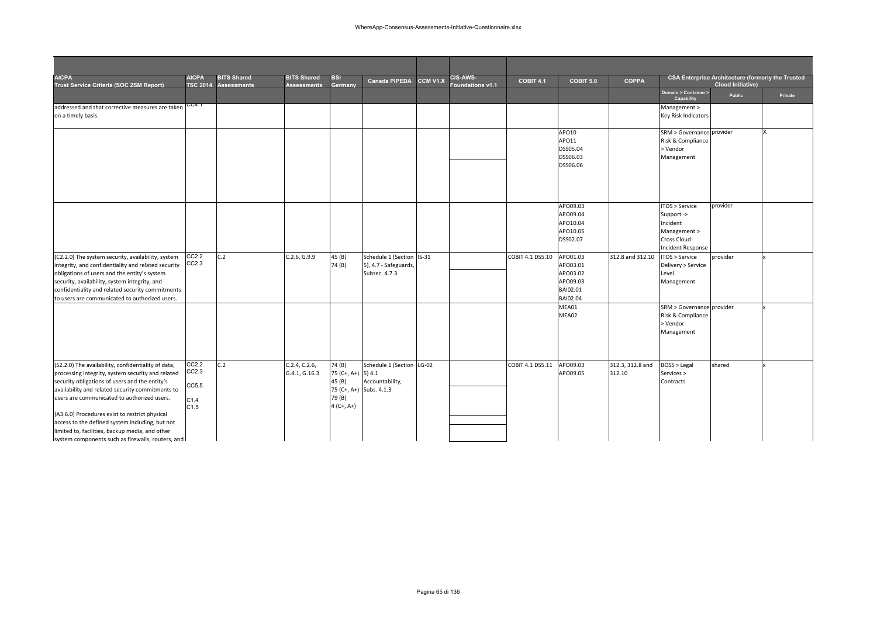| <b>AICPA</b><br>Trust Service Criteria (SOC 2SM Report)                                             | AICPA          | <b>BITS Shared</b><br>TSC 2014 Assessments | <b>BITS Shared</b><br><b>Assessments</b> | <b>BSI</b><br>Germany   | Canada PIPEDA                          | CCM V1.X | <b>CIS-AWS-</b><br>Foundations v1.1 | <b>COBIT 4.1</b> | COBIT 5.0            | <b>COPPA</b>     |                                    | <b>CSA Enterprise Architecture (formerly the Trusted</b><br><b>Cloud Initiative)</b> |         |
|-----------------------------------------------------------------------------------------------------|----------------|--------------------------------------------|------------------------------------------|-------------------------|----------------------------------------|----------|-------------------------------------|------------------|----------------------|------------------|------------------------------------|--------------------------------------------------------------------------------------|---------|
|                                                                                                     |                |                                            |                                          |                         |                                        |          |                                     |                  |                      |                  | Domain > Container ><br>Capability | Public                                                                               | Private |
| addressed and that corrective measures are taken                                                    | CC4.1          |                                            |                                          |                         |                                        |          |                                     |                  |                      |                  | Management >                       |                                                                                      |         |
| on a timely basis.                                                                                  |                |                                            |                                          |                         |                                        |          |                                     |                  |                      |                  | <b>Key Risk Indicators</b>         |                                                                                      |         |
|                                                                                                     |                |                                            |                                          |                         |                                        |          |                                     |                  | APO10                |                  | SRM > Governance provider          |                                                                                      |         |
|                                                                                                     |                |                                            |                                          |                         |                                        |          |                                     |                  | APO11                |                  | Risk & Compliance                  |                                                                                      |         |
|                                                                                                     |                |                                            |                                          |                         |                                        |          |                                     |                  | DSS05.04<br>DSS06.03 |                  | > Vendor<br>Management             |                                                                                      |         |
|                                                                                                     |                |                                            |                                          |                         |                                        |          |                                     |                  | DSS06.06             |                  |                                    |                                                                                      |         |
|                                                                                                     |                |                                            |                                          |                         |                                        |          |                                     |                  |                      |                  |                                    |                                                                                      |         |
|                                                                                                     |                |                                            |                                          |                         |                                        |          |                                     |                  |                      |                  |                                    |                                                                                      |         |
|                                                                                                     |                |                                            |                                          |                         |                                        |          |                                     |                  |                      |                  |                                    |                                                                                      |         |
|                                                                                                     |                |                                            |                                          |                         |                                        |          |                                     |                  | APO09.03             |                  | ITOS > Service                     | provider                                                                             |         |
|                                                                                                     |                |                                            |                                          |                         |                                        |          |                                     |                  | APO09.04             |                  | Support ->                         |                                                                                      |         |
|                                                                                                     |                |                                            |                                          |                         |                                        |          |                                     |                  | APO10.04             |                  | Incident                           |                                                                                      |         |
|                                                                                                     |                |                                            |                                          |                         |                                        |          |                                     |                  | APO10.05             |                  | Management >                       |                                                                                      |         |
|                                                                                                     |                |                                            |                                          |                         |                                        |          |                                     |                  | DSS02.07             |                  | <b>Cross Cloud</b>                 |                                                                                      |         |
|                                                                                                     |                |                                            |                                          |                         |                                        |          |                                     |                  |                      |                  | <b>Incident Response</b>           |                                                                                      |         |
| (C2.2.0) The system security, availability, system                                                  | CC2.2<br>CC2.3 | C.2                                        | C.2.6, G.9.9                             | 45 (B)                  | Schedule 1 (Section IS-31              |          |                                     | COBIT 4.1 DS5.10 | APO01.03             | 312.8 and 312.10 | ITOS > Service                     | provider                                                                             |         |
| integrity, and confidentiality and related security<br>obligations of users and the entity's system |                |                                            |                                          | 74 (B)                  | 5), 4.7 - Safeguards,<br>Subsec. 4.7.3 |          |                                     |                  | APO03.01<br>APO03.02 |                  | Delivery > Service<br>Level        |                                                                                      |         |
| security, availability, system integrity, and                                                       |                |                                            |                                          |                         |                                        |          |                                     |                  | APO09.03             |                  | Management                         |                                                                                      |         |
| confidentiality and related security commitments                                                    |                |                                            |                                          |                         |                                        |          |                                     |                  | BAI02.01             |                  |                                    |                                                                                      |         |
| to users are communicated to authorized users.                                                      |                |                                            |                                          |                         |                                        |          |                                     |                  | BAI02.04             |                  |                                    |                                                                                      |         |
|                                                                                                     |                |                                            |                                          |                         |                                        |          |                                     |                  | MEA01                |                  | SRM > Governance provider          |                                                                                      |         |
|                                                                                                     |                |                                            |                                          |                         |                                        |          |                                     |                  | MEA02                |                  | Risk & Compliance                  |                                                                                      |         |
|                                                                                                     |                |                                            |                                          |                         |                                        |          |                                     |                  |                      |                  | > Vendor                           |                                                                                      |         |
|                                                                                                     |                |                                            |                                          |                         |                                        |          |                                     |                  |                      |                  | Management                         |                                                                                      |         |
|                                                                                                     |                |                                            |                                          |                         |                                        |          |                                     |                  |                      |                  |                                    |                                                                                      |         |
|                                                                                                     |                |                                            |                                          |                         |                                        |          |                                     |                  |                      |                  |                                    |                                                                                      |         |
| (S2.2.0) The availability, confidentiality of data,                                                 | CC2.2          | C.2                                        | C.2.4, C.2.6,                            | 74 (B)                  | Schedule 1 (Section LG-02              |          |                                     | COBIT 4.1 DS5.11 | APO09.03             | 312.3, 312.8 and | <b>BOSS &gt; Legal</b>             | shared                                                                               |         |
| processing integrity, system security and related                                                   | CC2.3          |                                            | G.4.1, G.16.3                            | 75 (C+, A+) 5) 4.1      |                                        |          |                                     |                  | APO09.05             | 312.10           | Services >                         |                                                                                      |         |
| security obligations of users and the entity's                                                      | CC5.5          |                                            |                                          | 45 (B)                  | Accountability,                        |          |                                     |                  |                      |                  | Contracts                          |                                                                                      |         |
| availability and related security commitments to                                                    |                |                                            |                                          | 75 (C+, A+) Subs. 4.1.3 |                                        |          |                                     |                  |                      |                  |                                    |                                                                                      |         |
| users are communicated to authorized users.                                                         | C1.4           |                                            |                                          | 79 (B)<br>$4(C+, A+)$   |                                        |          |                                     |                  |                      |                  |                                    |                                                                                      |         |
|                                                                                                     | C1.5           |                                            |                                          |                         |                                        |          |                                     |                  |                      |                  |                                    |                                                                                      |         |
| (A3.6.0) Procedures exist to restrict physical<br>access to the defined system including, but not   |                |                                            |                                          |                         |                                        |          |                                     |                  |                      |                  |                                    |                                                                                      |         |
| limited to, facilities, backup media, and other                                                     |                |                                            |                                          |                         |                                        |          |                                     |                  |                      |                  |                                    |                                                                                      |         |
| system components such as firewalls, routers, and                                                   |                |                                            |                                          |                         |                                        |          |                                     |                  |                      |                  |                                    |                                                                                      |         |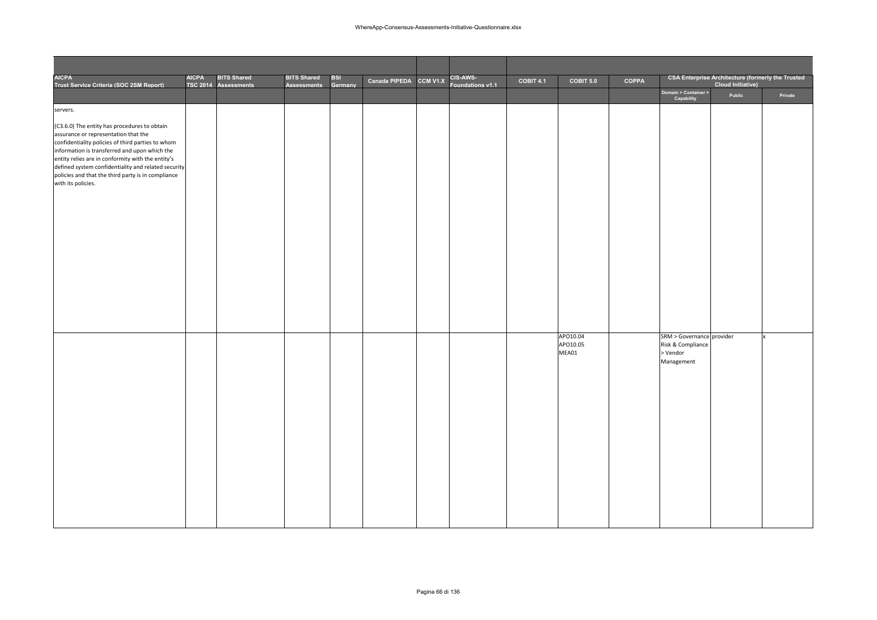| <b>AICPA</b><br>Trust Service Criteria (SOC 2SM Report)                                                                                                                                                                                                                                                                                                                            | <b>AICPA</b> | <b>BITS Shared</b><br>TSC 2014 Assessments | <b>BITS Shared</b><br><b>Assessments</b> | BSI<br>Germany | Canada PIPEDA CCM V1.X | CIS-AWS-<br>Foundations v1.1 | COBIT 4.1 | COBIT 5.0                     | COPPA |                                                                            | <b>CSA Enterprise Architecture (formerly the Trusted</b><br><b>Cloud Initiative)</b> |         |
|------------------------------------------------------------------------------------------------------------------------------------------------------------------------------------------------------------------------------------------------------------------------------------------------------------------------------------------------------------------------------------|--------------|--------------------------------------------|------------------------------------------|----------------|------------------------|------------------------------|-----------|-------------------------------|-------|----------------------------------------------------------------------------|--------------------------------------------------------------------------------------|---------|
|                                                                                                                                                                                                                                                                                                                                                                                    |              |                                            |                                          |                |                        |                              |           |                               |       | Domain > Container ><br>Capability                                         | Public                                                                               | Private |
| servers.                                                                                                                                                                                                                                                                                                                                                                           |              |                                            |                                          |                |                        |                              |           |                               |       |                                                                            |                                                                                      |         |
| (C3.6.0) The entity has procedures to obtain<br>assurance or representation that the<br>confidentiality policies of third parties to whom<br>information is transferred and upon which the<br>entity relies are in conformity with the entity's<br>defined system confidentiality and related security<br>policies and that the third party is in compliance<br>with its policies. |              |                                            |                                          |                |                        |                              |           |                               |       |                                                                            |                                                                                      |         |
|                                                                                                                                                                                                                                                                                                                                                                                    |              |                                            |                                          |                |                        |                              |           |                               |       |                                                                            |                                                                                      |         |
|                                                                                                                                                                                                                                                                                                                                                                                    |              |                                            |                                          |                |                        |                              |           | APO10.04<br>APO10.05<br>MEA01 |       | SRM > Governance provider<br>Risk & Compliance<br>$>$ Vendor<br>Management |                                                                                      |         |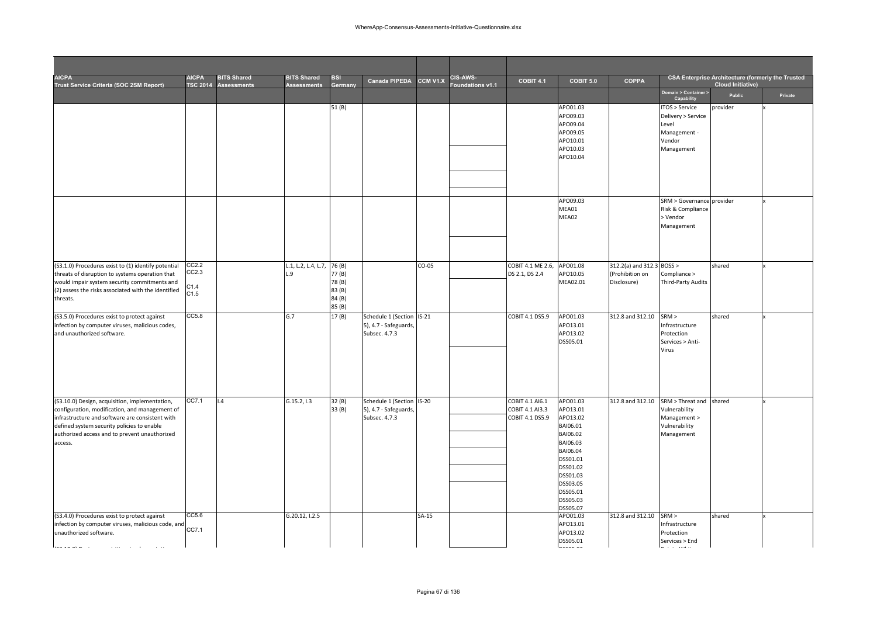| <b>AICPA</b><br>Trust Service Criteria (SOC 2SM Report)                                                                                                                                                                                                                                                                                                                                                               | <b>AICPA</b><br><b>TSC 2014</b> | <b>BITS Shared</b><br>Assessments | <b>BITS Shared</b><br><b>Assessments</b> | <b>BSI</b><br>Germany                         | Canada PIPEDA                                                       | <b>CCM V1.X</b> | <b>CIS-AWS-</b><br>oundations v1.1 | COBIT 4.1                                             | COBIT 5.0                                                                                                                                                            | <b>COPPA</b>                                                |                                                                                         | <b>CSA Enterprise Architecture (formerly the Trusted</b><br><b>Cloud Initiative)</b> |         |
|-----------------------------------------------------------------------------------------------------------------------------------------------------------------------------------------------------------------------------------------------------------------------------------------------------------------------------------------------------------------------------------------------------------------------|---------------------------------|-----------------------------------|------------------------------------------|-----------------------------------------------|---------------------------------------------------------------------|-----------------|------------------------------------|-------------------------------------------------------|----------------------------------------------------------------------------------------------------------------------------------------------------------------------|-------------------------------------------------------------|-----------------------------------------------------------------------------------------|--------------------------------------------------------------------------------------|---------|
|                                                                                                                                                                                                                                                                                                                                                                                                                       |                                 |                                   |                                          |                                               |                                                                     |                 |                                    |                                                       |                                                                                                                                                                      |                                                             | Domain > Container ><br>Capability                                                      | Public                                                                               | Private |
|                                                                                                                                                                                                                                                                                                                                                                                                                       |                                 |                                   |                                          | 51(B)                                         |                                                                     |                 |                                    |                                                       | APO01.03<br>APO09.03<br>APO09.04<br>APO09.05<br>APO10.01<br>APO10.03<br>APO10.04                                                                                     |                                                             | TOS > Service<br>Delivery > Service<br>Level<br>Management -<br>Vendor<br>Management    | provider                                                                             |         |
|                                                                                                                                                                                                                                                                                                                                                                                                                       |                                 |                                   |                                          |                                               |                                                                     |                 |                                    |                                                       | APO09.03<br>MEA01<br>MEA02                                                                                                                                           |                                                             | SRM > Governance provider<br>Risk & Compliance<br>> Vendor<br>Management                |                                                                                      |         |
| (S3.1.0) Procedures exist to (1) identify potential<br>threats of disruption to systems operation that<br>would impair system security commitments and<br>(2) assess the risks associated with the identified<br>threats.                                                                                                                                                                                             | CC2.2<br>CC2.3<br>C1.4<br>C1.5  |                                   | L.1, L.2, L.4, L.7, 76 (B)<br>$\cdot$    | 77 (B)<br>78(B)<br>83 (B)<br>84 (B)<br>85 (B) |                                                                     | $CO-05$         |                                    | COBIT 4.1 ME 2.6,<br>DS 2.1, DS 2.4                   | APO01.08<br>APO10.05<br>MEA02.01                                                                                                                                     | 312.2(a) and 312.3 BOSS ><br>(Prohibition on<br>Disclosure) | Compliance ><br>Third-Party Audits                                                      | shared                                                                               |         |
| (S3.5.0) Procedures exist to protect against<br>infection by computer viruses, malicious codes,<br>and unauthorized software.                                                                                                                                                                                                                                                                                         | CC5.8                           |                                   | G.7                                      | 17(B)                                         | Schedule 1 (Section IS-21<br>5), 4.7 - Safeguards,<br>Subsec. 4.7.3 |                 |                                    | COBIT 4.1 DS5.9                                       | APO01.03<br>APO13.01<br>APO13.02<br>DSS05.01                                                                                                                         | 312.8 and 312.10                                            | SRM ><br>Infrastructure<br>Protection<br>Services > Anti-<br>Virus                      | shared                                                                               |         |
| (S3.10.0) Design, acquisition, implementation,<br>configuration, modification, and management of<br>infrastructure and software are consistent with<br>defined system security policies to enable<br>authorized access and to prevent unauthorized<br>access.                                                                                                                                                         | CC7.1                           | 1.4                               | G.15.2, 1.3                              | 32 (B)<br>33 (B)                              | Schedule 1 (Section IS-20<br>5), 4.7 - Safeguards,<br>Subsec. 4.7.3 |                 |                                    | COBIT 4.1 AI6.1<br>COBIT 4.1 AI3.3<br>COBIT 4.1 DS5.9 | APO01.03<br>APO13.01<br>APO13.02<br>BAI06.01<br>BAI06.02<br>BAI06.03<br>BAI06.04<br>DSS01.01<br>DSS01.02<br>DSS01.03<br>DSS03.05<br>DSS05.01<br>DSS05.03<br>DSS05.07 | 312.8 and 312.10                                            | SRM > Threat and shared<br>Vulnerability<br>Management ><br>Vulnerability<br>Management |                                                                                      |         |
| (S3.4.0) Procedures exist to protect against<br>infection by computer viruses, malicious code, and<br>unauthorized software.<br><b><i><u>Lander and the state of the state of the state of the state of the state of the state of the state of the state of the state of the state of the state of the state of the state of the state of the state of the state of </u></i></b><br>and the company<br><b>College</b> | CC5.6<br>CC7.1                  |                                   | G.20.12, I.2.5                           |                                               |                                                                     | $SA-15$         |                                    |                                                       | APO01.03<br>APO13.01<br>APO13.02<br>DSS05.01<br>- ---- --                                                                                                            | 312.8 and 312.10                                            | SRM ><br>Infrastructure<br>Protection<br>Services > End<br>and company                  | shared                                                                               |         |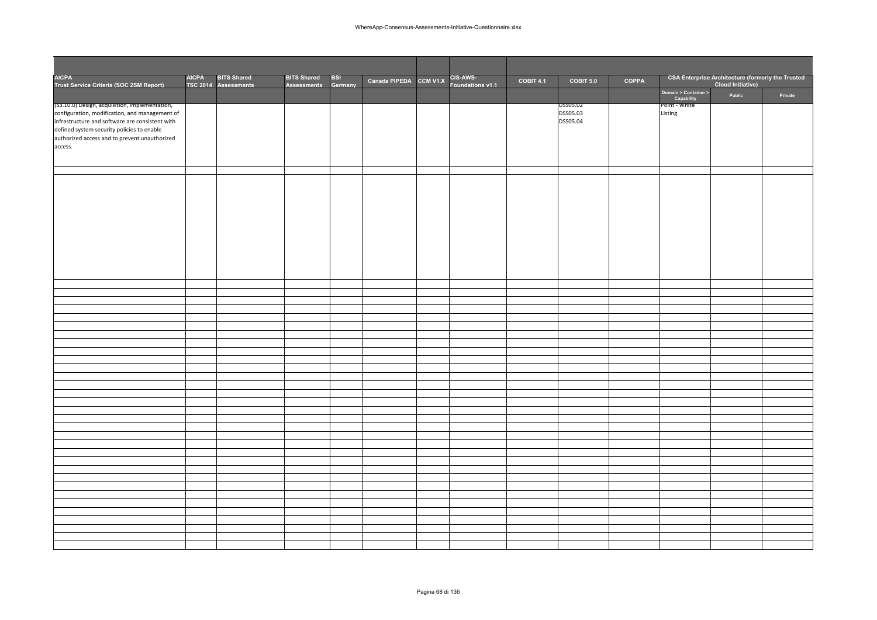| CSA Enterprise Architecture (formerly the Trusted<br>Cloud Initiative)<br><b>AICPA</b><br><b>BITS Shared</b><br>CIS-AWS-<br><b>BITS Shared</b><br><b>BSI</b><br>Canada PIPEDA CCM V1.X<br>COPPA<br>COBIT 4.1<br>COBIT 5.0<br>Trust Service Criteria (SOC 2SM Report)<br>TSC 2014 Assessments<br>Germany<br>Foundations v1.1<br><b>Assessments</b><br>Domain > Container ><br>Public<br>Private<br>Capability<br>Point - White<br>(S3.10.0) Design, acquisition, implementation,<br>DSS05.02<br>DSS05.03<br>Listing<br>DSS05.04 |                                                                                                                                                                                                             |  |  |  |  |  |  |  |
|--------------------------------------------------------------------------------------------------------------------------------------------------------------------------------------------------------------------------------------------------------------------------------------------------------------------------------------------------------------------------------------------------------------------------------------------------------------------------------------------------------------------------------|-------------------------------------------------------------------------------------------------------------------------------------------------------------------------------------------------------------|--|--|--|--|--|--|--|
|                                                                                                                                                                                                                                                                                                                                                                                                                                                                                                                                | <b>AICPA</b>                                                                                                                                                                                                |  |  |  |  |  |  |  |
|                                                                                                                                                                                                                                                                                                                                                                                                                                                                                                                                |                                                                                                                                                                                                             |  |  |  |  |  |  |  |
|                                                                                                                                                                                                                                                                                                                                                                                                                                                                                                                                | configuration, modification, and management of<br>infrastructure and software are consistent with<br>defined system security policies to enable<br>authorized access and to prevent unauthorized<br>access. |  |  |  |  |  |  |  |
|                                                                                                                                                                                                                                                                                                                                                                                                                                                                                                                                |                                                                                                                                                                                                             |  |  |  |  |  |  |  |
|                                                                                                                                                                                                                                                                                                                                                                                                                                                                                                                                |                                                                                                                                                                                                             |  |  |  |  |  |  |  |
|                                                                                                                                                                                                                                                                                                                                                                                                                                                                                                                                |                                                                                                                                                                                                             |  |  |  |  |  |  |  |
|                                                                                                                                                                                                                                                                                                                                                                                                                                                                                                                                |                                                                                                                                                                                                             |  |  |  |  |  |  |  |
|                                                                                                                                                                                                                                                                                                                                                                                                                                                                                                                                |                                                                                                                                                                                                             |  |  |  |  |  |  |  |
|                                                                                                                                                                                                                                                                                                                                                                                                                                                                                                                                |                                                                                                                                                                                                             |  |  |  |  |  |  |  |
|                                                                                                                                                                                                                                                                                                                                                                                                                                                                                                                                |                                                                                                                                                                                                             |  |  |  |  |  |  |  |
|                                                                                                                                                                                                                                                                                                                                                                                                                                                                                                                                |                                                                                                                                                                                                             |  |  |  |  |  |  |  |
|                                                                                                                                                                                                                                                                                                                                                                                                                                                                                                                                |                                                                                                                                                                                                             |  |  |  |  |  |  |  |
|                                                                                                                                                                                                                                                                                                                                                                                                                                                                                                                                |                                                                                                                                                                                                             |  |  |  |  |  |  |  |
|                                                                                                                                                                                                                                                                                                                                                                                                                                                                                                                                |                                                                                                                                                                                                             |  |  |  |  |  |  |  |
|                                                                                                                                                                                                                                                                                                                                                                                                                                                                                                                                |                                                                                                                                                                                                             |  |  |  |  |  |  |  |
|                                                                                                                                                                                                                                                                                                                                                                                                                                                                                                                                |                                                                                                                                                                                                             |  |  |  |  |  |  |  |
|                                                                                                                                                                                                                                                                                                                                                                                                                                                                                                                                |                                                                                                                                                                                                             |  |  |  |  |  |  |  |
|                                                                                                                                                                                                                                                                                                                                                                                                                                                                                                                                |                                                                                                                                                                                                             |  |  |  |  |  |  |  |
|                                                                                                                                                                                                                                                                                                                                                                                                                                                                                                                                |                                                                                                                                                                                                             |  |  |  |  |  |  |  |
|                                                                                                                                                                                                                                                                                                                                                                                                                                                                                                                                |                                                                                                                                                                                                             |  |  |  |  |  |  |  |
|                                                                                                                                                                                                                                                                                                                                                                                                                                                                                                                                |                                                                                                                                                                                                             |  |  |  |  |  |  |  |
|                                                                                                                                                                                                                                                                                                                                                                                                                                                                                                                                |                                                                                                                                                                                                             |  |  |  |  |  |  |  |
|                                                                                                                                                                                                                                                                                                                                                                                                                                                                                                                                |                                                                                                                                                                                                             |  |  |  |  |  |  |  |
|                                                                                                                                                                                                                                                                                                                                                                                                                                                                                                                                |                                                                                                                                                                                                             |  |  |  |  |  |  |  |
|                                                                                                                                                                                                                                                                                                                                                                                                                                                                                                                                |                                                                                                                                                                                                             |  |  |  |  |  |  |  |
|                                                                                                                                                                                                                                                                                                                                                                                                                                                                                                                                |                                                                                                                                                                                                             |  |  |  |  |  |  |  |
|                                                                                                                                                                                                                                                                                                                                                                                                                                                                                                                                |                                                                                                                                                                                                             |  |  |  |  |  |  |  |
|                                                                                                                                                                                                                                                                                                                                                                                                                                                                                                                                |                                                                                                                                                                                                             |  |  |  |  |  |  |  |
|                                                                                                                                                                                                                                                                                                                                                                                                                                                                                                                                |                                                                                                                                                                                                             |  |  |  |  |  |  |  |
|                                                                                                                                                                                                                                                                                                                                                                                                                                                                                                                                |                                                                                                                                                                                                             |  |  |  |  |  |  |  |
|                                                                                                                                                                                                                                                                                                                                                                                                                                                                                                                                |                                                                                                                                                                                                             |  |  |  |  |  |  |  |
|                                                                                                                                                                                                                                                                                                                                                                                                                                                                                                                                |                                                                                                                                                                                                             |  |  |  |  |  |  |  |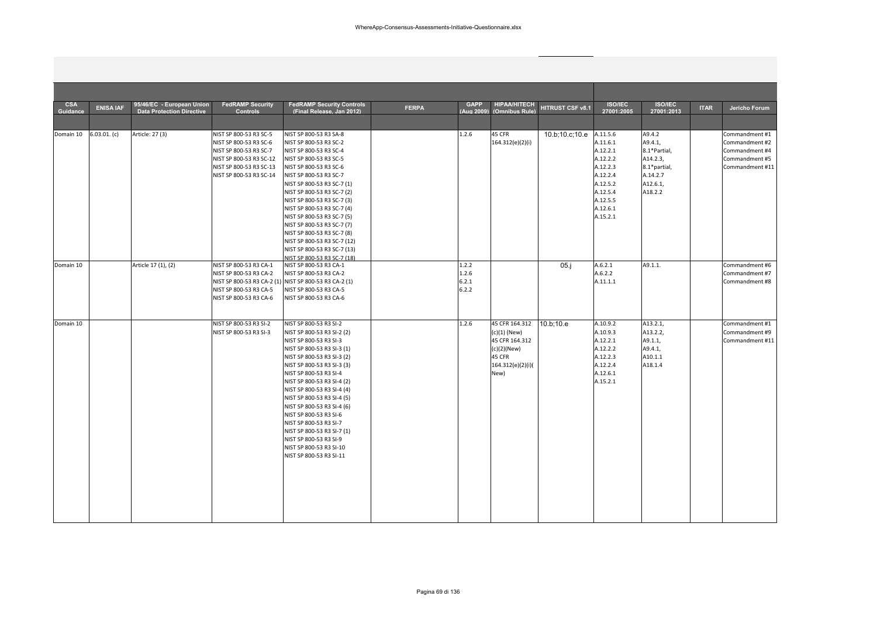| <b>CSA</b><br>Guidance | <b>ENISA IAF</b> | 95/46/EC - European Union<br><b>Data Protection Directive</b> | <b>FedRAMP Security</b><br><b>Controls</b>                                                                                                                  | <b>FedRAMP Security Controls</b><br>(Final Release, Jan 2012)                                                                                                                                                                                                                                                                                                                                                                                                                                | <b>FERPA</b> | <b>GAPP</b><br>(Aug 2009)        | <b>HIPAA/HITECH</b><br>(Omnibus Rule)                                                                    | <b>HITRUST CSF v8.1</b> | <b>ISO/IEC</b><br>27001:2005                                                                                                     | <b>ISO/IEC</b><br>27001:2013                                                                     | <b>ITAR</b> | Jericho Forum                                                                           |
|------------------------|------------------|---------------------------------------------------------------|-------------------------------------------------------------------------------------------------------------------------------------------------------------|----------------------------------------------------------------------------------------------------------------------------------------------------------------------------------------------------------------------------------------------------------------------------------------------------------------------------------------------------------------------------------------------------------------------------------------------------------------------------------------------|--------------|----------------------------------|----------------------------------------------------------------------------------------------------------|-------------------------|----------------------------------------------------------------------------------------------------------------------------------|--------------------------------------------------------------------------------------------------|-------------|-----------------------------------------------------------------------------------------|
| Domain 10              | $6.03.01.$ (c)   | Article: 27 (3)                                               | NIST SP 800-53 R3 SC-5<br>NIST SP 800-53 R3 SC-6<br>NIST SP 800-53 R3 SC-7<br>NIST SP 800-53 R3 SC-12<br>NIST SP 800-53 R3 SC-13<br>NIST SP 800-53 R3 SC-14 | NIST SP 800-53 R3 SA-8<br>NIST SP 800-53 R3 SC-2<br>NIST SP 800-53 R3 SC-4<br>NIST SP 800-53 R3 SC-5<br>NIST SP 800-53 R3 SC-6<br>NIST SP 800-53 R3 SC-7<br>NIST SP 800-53 R3 SC-7 (1)<br>NIST SP 800-53 R3 SC-7 (2)<br>NIST SP 800-53 R3 SC-7 (3)<br>NIST SP 800-53 R3 SC-7 (4)<br>NIST SP 800-53 R3 SC-7 (5)<br>NIST SP 800-53 R3 SC-7 (7)<br>NIST SP 800-53 R3 SC-7 (8)<br>NIST SP 800-53 R3 SC-7 (12)                                                                                    |              | 1.2.6                            | 45 CFR<br>164.312(e)(2)(i)                                                                               | 10.b;10.c;10.e          | A.11.5.6<br>A.11.6.1<br>A.12.2.1<br>A.12.2.2<br>A.12.2.3<br>A.12.2.4<br>A.12.5.2<br>A.12.5.4<br>A.12.5.5<br>A.12.6.1<br>A.15.2.1 | A9.4.2<br>A9.4.1,<br>8.1*Partial,<br>A14.2.3,<br>8.1*partial,<br>A.14.2.7<br>A12.6.1,<br>A18.2.2 |             | Commandment #1<br>Commandment #2<br>Commandment #4<br>Commandment #5<br>Commandment #11 |
| Domain 10              |                  | Article 17 (1), (2)                                           | NIST SP 800-53 R3 CA-1<br>NIST SP 800-53 R3 CA-2<br>NIST SP 800-53 R3 CA-5<br>NIST SP 800-53 R3 CA-6                                                        | NIST SP 800-53 R3 SC-7 (13)<br>NIST SP 800-53 R3 SC-7 (18)<br>NIST SP 800-53 R3 CA-1<br>NIST SP 800-53 R3 CA-2<br>NIST SP 800-53 R3 CA-2 (1) NIST SP 800-53 R3 CA-2 (1)<br>NIST SP 800-53 R3 CA-5<br>NIST SP 800-53 R3 CA-6                                                                                                                                                                                                                                                                  |              | 1.2.2<br>1.2.6<br>6.2.1<br>6.2.2 |                                                                                                          | 05.j                    | A.6.2.1<br>A.6.2.2<br>A.11.1.1                                                                                                   | A9.1.1.                                                                                          |             | Commandment #6<br>Commandment #7<br>Commandment #8                                      |
| Domain 10              |                  |                                                               | NIST SP 800-53 R3 SI-2<br>NIST SP 800-53 R3 SI-3                                                                                                            | NIST SP 800-53 R3 SI-2<br>NIST SP 800-53 R3 SI-2 (2)<br>NIST SP 800-53 R3 SI-3<br>NIST SP 800-53 R3 SI-3 (1)<br>NIST SP 800-53 R3 SI-3 (2)<br>NIST SP 800-53 R3 SI-3 (3)<br>NIST SP 800-53 R3 SI-4<br>NIST SP 800-53 R3 SI-4 (2)<br>NIST SP 800-53 R3 SI-4 (4)<br>NIST SP 800-53 R3 SI-4 (5)<br>NIST SP 800-53 R3 SI-4 (6)<br>NIST SP 800-53 R3 SI-6<br>NIST SP 800-53 R3 SI-7<br>NIST SP 800-53 R3 SI-7 (1)<br>NIST SP 800-53 R3 SI-9<br>NIST SP 800-53 R3 SI-10<br>NIST SP 800-53 R3 SI-11 |              | 1.2.6                            | 45 CFR 164.312<br>$(c)(1)$ (New)<br>45 CFR 164.312<br>(c)(2)(New)<br>45 CFR<br>164.312(e)(2)(i)(<br>New) | 10.b;10.e               | A.10.9.2<br>A.10.9.3<br>A.12.2.1<br>A.12.2.2<br>A.12.2.3<br>A.12.2.4<br>A.12.6.1<br>A.15.2.1                                     | A13.2.1.<br>A13.2.2,<br>A9.1.1,<br>A9.4.1,<br>A10.1.1<br>A18.1.4                                 |             | Commandment #1<br>Commandment #9<br>Commandment #11                                     |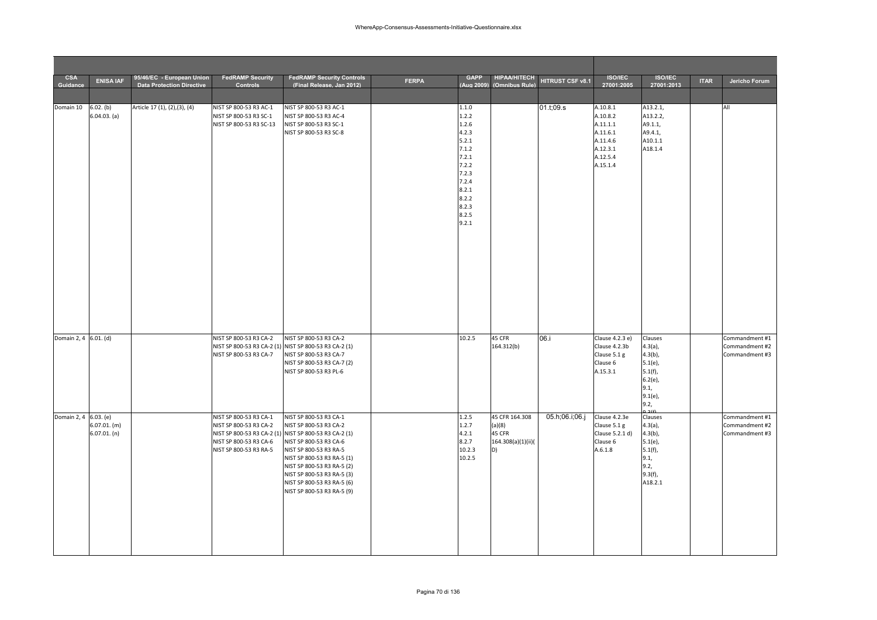| <b>CSA</b><br>Guidance | <b>ENISA IAF</b>               | 95/46/EC - European Union<br><b>Data Protection Directive</b> | <b>FedRAMP Security</b><br><b>Controls</b>                                                           | <b>FedRAMP Security Controls</b><br>(Final Release. Jan 2012)                                                                                                                                                                                                                                                       | <b>FERPA</b> | <b>GAPP</b><br>(Aug 2009)                                                                                                           | <b>HIPAA/HITECH</b><br>(Omnibus Rule)                          | HITRUST CSF v8.1 | <b>ISO/IEC</b><br>27001:2005                                                                 | <b>ISO/IEC</b><br>27001:2013                                                                                | <b>ITAR</b> | Jericho Forum                                      |
|------------------------|--------------------------------|---------------------------------------------------------------|------------------------------------------------------------------------------------------------------|---------------------------------------------------------------------------------------------------------------------------------------------------------------------------------------------------------------------------------------------------------------------------------------------------------------------|--------------|-------------------------------------------------------------------------------------------------------------------------------------|----------------------------------------------------------------|------------------|----------------------------------------------------------------------------------------------|-------------------------------------------------------------------------------------------------------------|-------------|----------------------------------------------------|
|                        |                                |                                                               |                                                                                                      |                                                                                                                                                                                                                                                                                                                     |              |                                                                                                                                     |                                                                |                  |                                                                                              |                                                                                                             |             |                                                    |
| Domain 10 6.02. (b)    | 6.04.03. (a)                   | Article 17 (1), (2), (3), (4)                                 | NIST SP 800-53 R3 AC-1<br>NIST SP 800-53 R3 SC-1<br>NIST SP 800-53 R3 SC-13                          | NIST SP 800-53 R3 AC-1<br>NIST SP 800-53 R3 AC-4<br>NIST SP 800-53 R3 SC-1<br>NIST SP 800-53 R3 SC-8                                                                                                                                                                                                                |              | 1.1.0<br>1.2.2<br>1.2.6<br>4.2.3<br>5.2.1<br>7.1.2<br>7.2.1<br>7.2.2<br>7.2.3<br>7.2.4<br>8.2.1<br>8.2.2<br>8.2.3<br>8.2.5<br>9.2.1 |                                                                | 01.t;09.s        | A.10.8.1<br>A.10.8.2<br>A.11.1.1<br>A.11.6.1<br>A.11.4.6<br>A.12.3.1<br>A.12.5.4<br>A.15.1.4 | A13.2.1,<br>A13.2.2,<br>A9.1.1,<br>A9.4.1,<br>A10.1.1<br>A18.1.4                                            |             | All                                                |
| Domain 2, 4 6.01. (d)  |                                |                                                               | NIST SP 800-53 R3 CA-2<br>NIST SP 800-53 R3 CA-7                                                     | NIST SP 800-53 R3 CA-2<br>NIST SP 800-53 R3 CA-2 (1) NIST SP 800-53 R3 CA-2 (1)<br>NIST SP 800-53 R3 CA-7<br>NIST SP 800-53 R3 CA-7 (2)<br>NIST SP 800-53 R3 PL-6                                                                                                                                                   |              | 10.2.5                                                                                                                              | 45 CFR<br>164.312(b)                                           | 06.i             | Clause 4.2.3 e)<br>Clause 4.2.3b<br>Clause 5.1 g<br>Clause 6<br>A.15.3.1                     | Clauses<br>$4.3(a)$ ,<br>$4.3(b)$ ,<br>$5.1(e)$ ,<br>$5.1(f)$ ,<br>$6.2(e)$ ,<br>9.1,<br>$9.1(e)$ ,<br>9.2, |             | Commandment #1<br>Commandment #2<br>Commandment #3 |
| Domain 2, 4 6.03. (e)  | $6.07.01.$ (m)<br>6.07.01. (n) |                                                               | NIST SP 800-53 R3 CA-1<br>NIST SP 800-53 R3 CA-2<br>NIST SP 800-53 R3 CA-6<br>NIST SP 800-53 R3 RA-5 | NIST SP 800-53 R3 CA-1<br>NIST SP 800-53 R3 CA-2<br>NIST SP 800-53 R3 CA-2 (1) NIST SP 800-53 R3 CA-2 (1)<br>NIST SP 800-53 R3 CA-6<br>NIST SP 800-53 R3 RA-5<br>NIST SP 800-53 R3 RA-5 (1)<br>NIST SP 800-53 R3 RA-5 (2)<br>NIST SP 800-53 R3 RA-5 (3)<br>NIST SP 800-53 R3 RA-5 (6)<br>NIST SP 800-53 R3 RA-5 (9) |              | 1.2.5<br>1.2.7<br>4.2.1<br>8.2.7<br>10.2.3<br>10.2.5                                                                                | 45 CFR 164.308<br>(a)(8)<br>45 CFR<br>164.308(a)(1)(ii)(<br>D) | 05.h;06.i;06.j   | Clause 4.2.3e<br>Clause 5.1 g<br>Clause 5.2.1 d)<br>Clause 6<br>A.6.1.8                      | Clauses<br>$4.3(a)$ ,<br>$4.3(b)$ ,<br>$5.1(e)$ ,<br>$5.1(f)$ ,<br>9.1,<br>9.2,<br>$9.3(f)$ ,<br>A18.2.1    |             | Commandment #1<br>Commandment #2<br>Commandment #3 |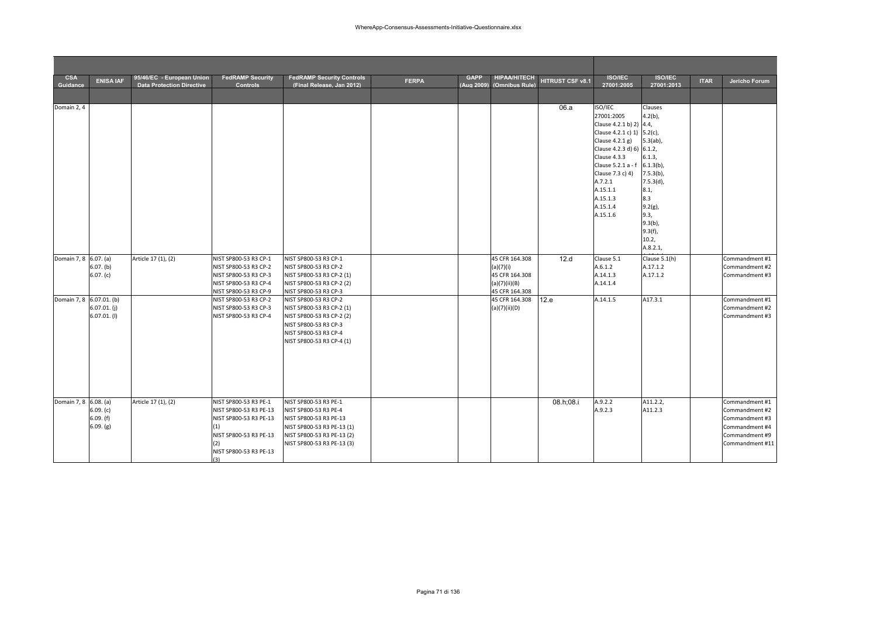| <b>CSA</b><br>Guidance   | <b>ENISA IAF</b>                   | 95/46/EC - European Union<br><b>Data Protection Directive</b> | <b>FedRAMP Security</b><br>Controls                                                                                                                | <b>FedRAMP Security Controls</b><br>(Final Release, Jan 2012)                                                                                                                           | <b>FERPA</b> | <b>GAPP</b> | <b>HIPAA/HITECH</b><br>(Aug 2009) (Omnibus Rule)               | HITRUST CSF v8.1 | <b>ISO/IEC</b><br>27001:2005                                                                                                                                                                                                                        | <b>ISO/IEC</b><br>27001:2013                                                                                                     | <b>ITAR</b> | Jericho Forum                                                                                             |
|--------------------------|------------------------------------|---------------------------------------------------------------|----------------------------------------------------------------------------------------------------------------------------------------------------|-----------------------------------------------------------------------------------------------------------------------------------------------------------------------------------------|--------------|-------------|----------------------------------------------------------------|------------------|-----------------------------------------------------------------------------------------------------------------------------------------------------------------------------------------------------------------------------------------------------|----------------------------------------------------------------------------------------------------------------------------------|-------------|-----------------------------------------------------------------------------------------------------------|
|                          |                                    |                                                               |                                                                                                                                                    |                                                                                                                                                                                         |              |             |                                                                |                  |                                                                                                                                                                                                                                                     |                                                                                                                                  |             |                                                                                                           |
| Domain 2, 4              |                                    |                                                               |                                                                                                                                                    |                                                                                                                                                                                         |              |             |                                                                | 06.a             | ISO/IEC<br>27001:2005<br>Clause 4.2.1 b) 2) 4.4,<br>Clause 4.2.1 c) 1) 5.2(c),<br>Clause 4.2.1 g)<br>Clause 4.2.3 d) 6) 6.1.2,<br>Clause 4.3.3<br>Clause 5.2.1 a - f<br>Clause 7.3 c) 4)<br>A.7.2.1<br>A.15.1.1<br>A.15.1.3<br>A.15.1.4<br>A.15.1.6 | Clauses<br>$4.2(b)$ ,<br>$5.3(ab)$ ,<br>6.1.3,<br>$6.1.3(b)$ ,<br>$7.5.3(b)$ ,<br>7.5.3(d),<br>8.1,<br>8.3<br>$9.2(g)$ ,<br>9.3, |             |                                                                                                           |
| Domain 7, 8 6.07. (a)    | 6.07. (b)<br>6.07. (c)             | Article 17 (1), (2)                                           | NIST SP800-53 R3 CP-1<br>NIST SP800-53 R3 CP-2<br>NIST SP800-53 R3 CP-3<br>NIST SP800-53 R3 CP-4                                                   | NIST SP800-53 R3 CP-1<br>NIST SP800-53 R3 CP-2<br>NIST SP800-53 R3 CP-2 (1)<br>NIST SP800-53 R3 CP-2 (2)                                                                                |              |             | 45 CFR 164.308<br>(a)(7)(i)<br>45 CFR 164.308<br>(a)(7)(ii)(B) | 12.d             | Clause 5.1<br>A.6.1.2<br>A.14.1.3<br>A.14.1.4                                                                                                                                                                                                       | $9.3(b)$ ,<br>$9.3(f)$ ,<br>10.2,<br>A.8.2.1,<br>Clause 5.1(h)<br>A.17.1.2<br>A.17.1.2                                           |             | Commandment #1<br>Commandment #2<br>Commandment #3                                                        |
| Domain 7, 8 6.07.01. (b) | $6.07.01$ . (j)<br>$6.07.01.$ (I)  |                                                               | NIST SP800-53 R3 CP-9<br>NIST SP800-53 R3 CP-2<br>NIST SP800-53 R3 CP-3<br>NIST SP800-53 R3 CP-4                                                   | NIST SP800-53 R3 CP-3<br>NIST SP800-53 R3 CP-2<br>NIST SP800-53 R3 CP-2 (1)<br>NIST SP800-53 R3 CP-2 (2)<br>NIST SP800-53 R3 CP-3<br>NIST SP800-53 R3 CP-4<br>NIST SP800-53 R3 CP-4 (1) |              |             | 45 CFR 164.308<br>45 CFR 164.308<br>(a)(7)(ii)(D)              | 12.e             | A.14.1.5                                                                                                                                                                                                                                            | A17.3.1                                                                                                                          |             | Commandment #1<br>Commandment #2<br>Commandment #3                                                        |
| Domain 7, 8 6.08. (a)    | 6.09. (c)<br>6.09.(f)<br>6.09. (g) | Article 17 (1), (2)                                           | NIST SP800-53 R3 PE-1<br>NIST SP800-53 R3 PE-13<br>NIST SP800-53 R3 PE-13<br>(1)<br>NIST SP800-53 R3 PE-13<br>(2)<br>NIST SP800-53 R3 PE-13<br>13) | NIST SP800-53 R3 PE-1<br>NIST SP800-53 R3 PE-4<br>NIST SP800-53 R3 PE-13<br>NIST SP800-53 R3 PE-13 (1)<br>NIST SP800-53 R3 PE-13 (2)<br>NIST SP800-53 R3 PE-13 (3)                      |              |             |                                                                | 08.h;08.i        | A.9.2.2<br>A.9.2.3                                                                                                                                                                                                                                  | A11.2.2,<br>A11.2.3                                                                                                              |             | Commandment #1<br>Commandment #2<br>Commandment #3<br>Commandment #4<br>Commandment #9<br>Commandment #11 |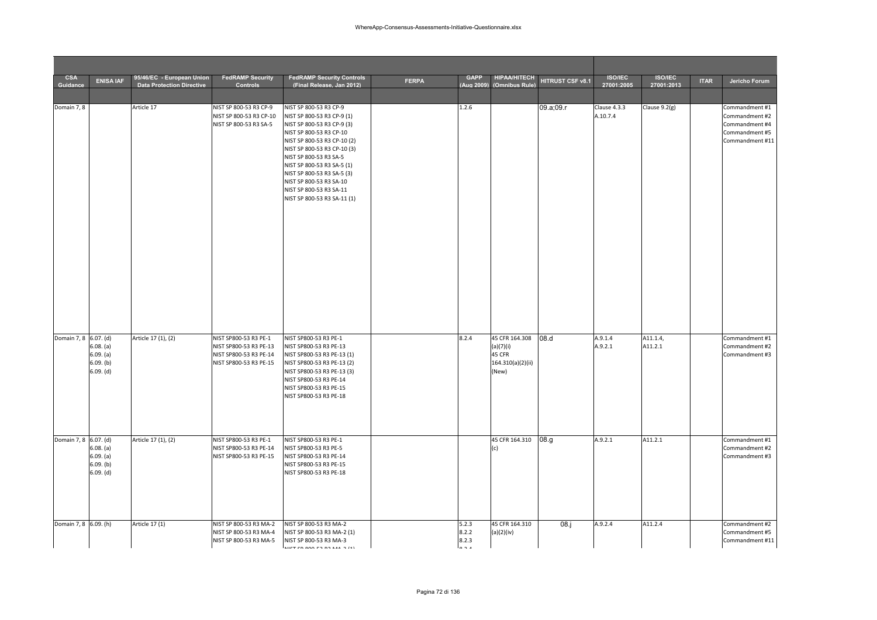| <b>CSA</b><br>Guidance | <b>ENISA IAF</b>                                     | 95/46/EC - European Union<br><b>Data Protection Directive</b> | <b>FedRAMP Security</b><br><b>Controls</b>                                                          | <b>FedRAMP Security Controls</b><br>(Final Release, Jan 2012)                                                                                                                                                                                                                                                                                          | <b>FERPA</b> | <b>GAPP</b><br>(Aug 2009)       | <b>HIPAA/HITECH</b><br>(Omnibus Rule)                               | HITRUST CSF v8.1 | <b>ISO/IEC</b><br>27001:2005 | <b>ISO/IEC</b><br>27001:2013 | <b>ITAR</b> | Jericho Forum                                                                           |
|------------------------|------------------------------------------------------|---------------------------------------------------------------|-----------------------------------------------------------------------------------------------------|--------------------------------------------------------------------------------------------------------------------------------------------------------------------------------------------------------------------------------------------------------------------------------------------------------------------------------------------------------|--------------|---------------------------------|---------------------------------------------------------------------|------------------|------------------------------|------------------------------|-------------|-----------------------------------------------------------------------------------------|
|                        |                                                      |                                                               |                                                                                                     |                                                                                                                                                                                                                                                                                                                                                        |              |                                 |                                                                     |                  |                              |                              |             |                                                                                         |
| Domain 7, 8            |                                                      | Article 17                                                    | NIST SP 800-53 R3 CP-9<br>NIST SP 800-53 R3 CP-10<br>NIST SP 800-53 R3 SA-5                         | NIST SP 800-53 R3 CP-9<br>NIST SP 800-53 R3 CP-9 (1)<br>NIST SP 800-53 R3 CP-9 (3)<br>NIST SP 800-53 R3 CP-10<br>NIST SP 800-53 R3 CP-10 (2)<br>NIST SP 800-53 R3 CP-10 (3)<br>NIST SP 800-53 R3 SA-5<br>NIST SP 800-53 R3 SA-5 (1)<br>NIST SP 800-53 R3 SA-5 (3)<br>NIST SP 800-53 R3 SA-10<br>NIST SP 800-53 R3 SA-11<br>NIST SP 800-53 R3 SA-11 (1) |              | 1.2.6                           |                                                                     | 09.a;09.r        | Clause 4.3.3<br>A.10.7.4     | Clause $9.2(g)$              |             | Commandment #1<br>Commandment #2<br>Commandment #4<br>Commandment #5<br>Commandment #11 |
| Domain 7, 8 6.07. (d)  | 6.08. (a)<br>6.09. (a)<br>6.09. (b)<br>6.09. (d)     | Article 17 (1), (2)                                           | NIST SP800-53 R3 PE-1<br>NIST SP800-53 R3 PE-13<br>NIST SP800-53 R3 PE-14<br>NIST SP800-53 R3 PE-15 | NIST SP800-53 R3 PE-1<br>NIST SP800-53 R3 PE-13<br>NIST SP800-53 R3 PE-13 (1)<br>NIST SP800-53 R3 PE-13 (2)<br>NIST SP800-53 R3 PE-13 (3)<br>NIST SP800-53 R3 PE-14<br>NIST SP800-53 R3 PE-15<br>NIST SP800-53 R3 PE-18                                                                                                                                |              | 8.2.4                           | 45 CFR 164.308<br>(a)(7)(i)<br>45 CFR<br>164.310(a)(2)(ii)<br>(New) | 08.d             | A.9.1.4<br>A.9.2.1           | A11.1.4,<br>A11.2.1          |             | Commandment #1<br>Commandment #2<br>Commandment #3                                      |
| Domain 7, 8 6.07. (d)  | 6.08. (a)<br>6.09. (a)<br>$6.09.$ (b)<br>$6.09.$ (d) | Article 17 (1), (2)                                           | NIST SP800-53 R3 PE-1<br>NIST SP800-53 R3 PE-14<br>NIST SP800-53 R3 PE-15                           | NIST SP800-53 R3 PE-1<br>NIST SP800-53 R3 PE-5<br>NIST SP800-53 R3 PE-14<br>NIST SP800-53 R3 PE-15<br>NIST SP800-53 R3 PE-18                                                                                                                                                                                                                           |              |                                 | 45 CFR 164.310                                                      | 08.g             | A.9.2.1                      | A11.2.1                      |             | Commandment #1<br>Commandment #2<br>Commandment #3                                      |
| Domain 7, 8 6.09. (h)  |                                                      | Article 17 (1)                                                | NIST SP 800-53 R3 MA-2<br>NIST SP 800-53 R3 MA-4<br>NIST SP 800-53 R3 MA-5                          | NIST SP 800-53 R3 MA-2<br>NIST SP 800-53 R3 MA-2 (1)<br>NIST SP 800-53 R3 MA-3<br>MCTCDOOOCDD2MAAD1                                                                                                                                                                                                                                                    |              | 5.2.3<br>8.2.2<br>8.2.3<br>0.21 | 45 CFR 164.310<br>(a)(2)(iv)                                        | $08.$ j          | A.9.2.4                      | A11.2.4                      |             | Commandment #2<br>Commandment #5<br>Commandment #11                                     |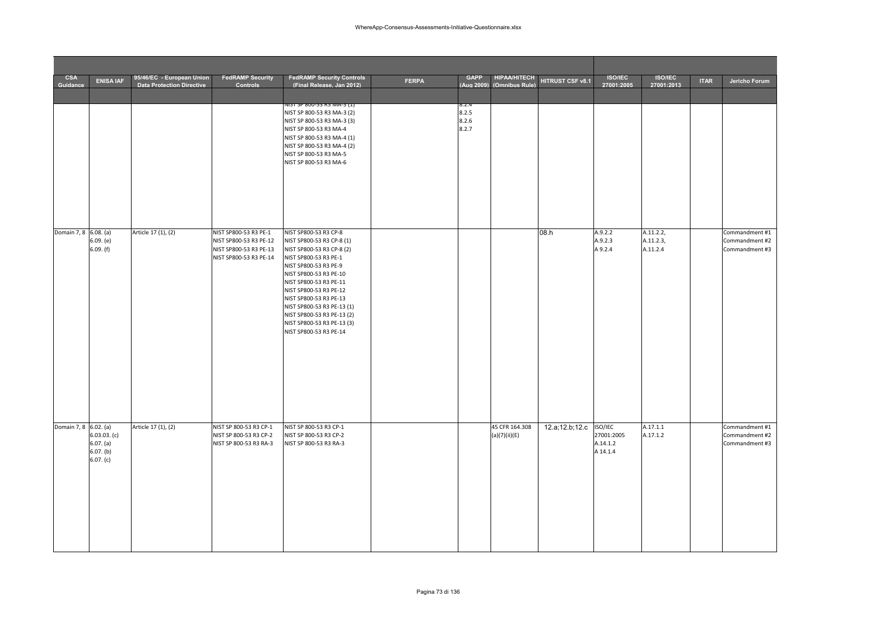| <b>CSA</b><br>Guidance | <b>ENISA IAF</b>                                    | 95/46/EC - European Union<br><b>Data Protection Directive</b> | <b>FedRAMP Security</b><br><b>Controls</b>                                                          | <b>FedRAMP Security Controls</b><br>(Final Release, Jan 2012)                                                                                                                                                                                                                                                                                                 | <b>FERPA</b> | <b>GAPP</b><br>(Aug 2009)        | <b>HIPAA/HITECH</b><br>(Omnibus Rule) | HITRUST CSF v8.1 | <b>ISO/IEC</b><br>27001:2005                  | <b>ISO/IEC</b><br>27001:2013       | <b>ITAR</b> | Jericho Forum                                      |
|------------------------|-----------------------------------------------------|---------------------------------------------------------------|-----------------------------------------------------------------------------------------------------|---------------------------------------------------------------------------------------------------------------------------------------------------------------------------------------------------------------------------------------------------------------------------------------------------------------------------------------------------------------|--------------|----------------------------------|---------------------------------------|------------------|-----------------------------------------------|------------------------------------|-------------|----------------------------------------------------|
|                        |                                                     |                                                               |                                                                                                     |                                                                                                                                                                                                                                                                                                                                                               |              |                                  |                                       |                  |                                               |                                    |             |                                                    |
|                        |                                                     |                                                               |                                                                                                     | <u>NIST SP 800-53 R3 MA-3 [1]</u><br>NIST SP 800-53 R3 MA-3 (2)<br>NIST SP 800-53 R3 MA-3 (3)<br>NIST SP 800-53 R3 MA-4<br>NIST SP 800-53 R3 MA-4 (1)<br>NIST SP 800-53 R3 MA-4 (2)<br>NIST SP 800-53 R3 MA-5<br>NIST SP 800-53 R3 MA-6                                                                                                                       |              | 8.Z.4<br>8.2.5<br>8.2.6<br>8.2.7 |                                       |                  |                                               |                                    |             |                                                    |
| Domain 7, 8 6.08. (a)  | 6.09. (e)<br>6.09. (f)                              | Article 17 (1), (2)                                           | NIST SP800-53 R3 PE-1<br>NIST SP800-53 R3 PE-12<br>NIST SP800-53 R3 PE-13<br>NIST SP800-53 R3 PE-14 | NIST SP800-53 R3 CP-8<br>NIST SP800-53 R3 CP-8 (1)<br>NIST SP800-53 R3 CP-8 (2)<br>NIST SP800-53 R3 PE-1<br>NIST SP800-53 R3 PE-9<br>NIST SP800-53 R3 PE-10<br>NIST SP800-53 R3 PE-11<br>NIST SP800-53 R3 PE-12<br>NIST SP800-53 R3 PE-13<br>NIST SP800-53 R3 PE-13 (1)<br>NIST SP800-53 R3 PE-13 (2)<br>NIST SP800-53 R3 PE-13 (3)<br>NIST SP800-53 R3 PE-14 |              |                                  |                                       | 08.h             | A.9.2.2<br>A.9.2.3<br>A9.2.4                  | A.11.2.2,<br>A.11.2.3,<br>A.11.2.4 |             | Commandment #1<br>Commandment #2<br>Commandment #3 |
| Domain 7, 8 6.02. (a)  | 6.03.03. (c)<br>6.07. (a)<br>6.07. (b)<br>6.07. (c) | Article 17 (1), (2)                                           | NIST SP 800-53 R3 CP-1<br>NIST SP 800-53 R3 CP-2<br>NIST SP 800-53 R3 RA-3                          | NIST SP 800-53 R3 CP-1<br>NIST SP 800-53 R3 CP-2<br>NIST SP 800-53 R3 RA-3                                                                                                                                                                                                                                                                                    |              |                                  | 45 CFR 164.308<br>(a)(7)(ii)(E)       | 12.a; 12.b; 12.c | ISO/IEC<br>27001:2005<br>A.14.1.2<br>A 14.1.4 | A.17.1.1<br>A.17.1.2               |             | Commandment #1<br>Commandment #2<br>Commandment #3 |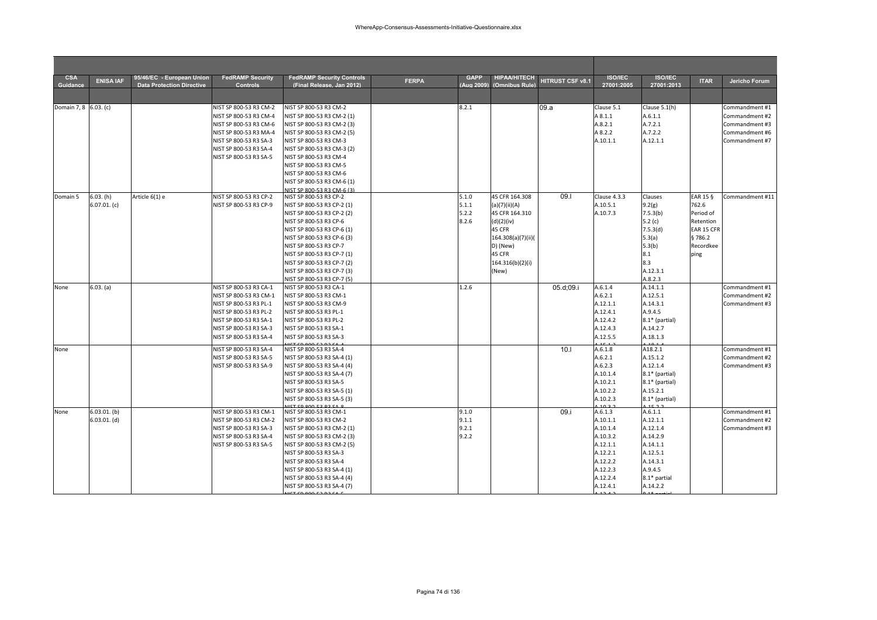| <b>CSA</b><br>Guidance | <b>ENISA IAF</b> | 95/46/EC - European Union<br><b>Data Protection Directive</b> | <b>FedRAMP Security</b><br><b>Controls</b> | <b>FedRAMP Security Controls</b><br>(Final Release, Jan 2012) | <b>FERPA</b> | <b>GAPP</b><br>(Aug 2009) | <b>HIPAA/HITECH</b><br>(Omnibus Rule) | HITRUST CSF v8.1 | <b>ISO/IEC</b><br>27001:2005 | <b>ISO/IEC</b><br>27001:2013 | <b>ITAR</b> | Jericho Forum   |
|------------------------|------------------|---------------------------------------------------------------|--------------------------------------------|---------------------------------------------------------------|--------------|---------------------------|---------------------------------------|------------------|------------------------------|------------------------------|-------------|-----------------|
|                        |                  |                                                               |                                            |                                                               |              |                           |                                       |                  |                              |                              |             |                 |
| Domain 7, 8 6.03. (c)  |                  |                                                               | NIST SP 800-53 R3 CM-2                     | NIST SP 800-53 R3 CM-2                                        |              | 8.2.1                     |                                       | 09.a             | Clause 5.1                   | Clause 5.1(h)                |             | Commandment #1  |
|                        |                  |                                                               | NIST SP 800-53 R3 CM-4                     | NIST SP 800-53 R3 CM-2 (1)                                    |              |                           |                                       |                  | A 8.1.1                      | A.6.1.1                      |             | Commandment #2  |
|                        |                  |                                                               | NIST SP 800-53 R3 CM-6                     | NIST SP 800-53 R3 CM-2 (3)                                    |              |                           |                                       |                  | A.8.2.1                      | A.7.2.1                      |             | Commandment #3  |
|                        |                  |                                                               | NIST SP 800-53 R3 MA-4                     | NIST SP 800-53 R3 CM-2 (5)                                    |              |                           |                                       |                  | A 8.2.2                      | A.7.2.2                      |             | Commandment #6  |
|                        |                  |                                                               | NIST SP 800-53 R3 SA-3                     | NIST SP 800-53 R3 CM-3                                        |              |                           |                                       |                  | A.10.1.1                     | A.12.1.1                     |             | Commandment #7  |
|                        |                  |                                                               | NIST SP 800-53 R3 SA-4                     | NIST SP 800-53 R3 CM-3 (2)                                    |              |                           |                                       |                  |                              |                              |             |                 |
|                        |                  |                                                               | NIST SP 800-53 R3 SA-5                     | NIST SP 800-53 R3 CM-4                                        |              |                           |                                       |                  |                              |                              |             |                 |
|                        |                  |                                                               |                                            | NIST SP 800-53 R3 CM-5<br>NIST SP 800-53 R3 CM-6              |              |                           |                                       |                  |                              |                              |             |                 |
|                        |                  |                                                               |                                            | NIST SP 800-53 R3 CM-6 (1)                                    |              |                           |                                       |                  |                              |                              |             |                 |
|                        |                  |                                                               |                                            | NIST SP 800-53 R3 CM-6 (3)                                    |              |                           |                                       |                  |                              |                              |             |                 |
| Domain 5               | 6.03. (h)        | Article 6(1) e                                                | NIST SP 800-53 R3 CP-2                     | NIST SP 800-53 R3 CP-2                                        |              | 5.1.0                     | 45 CFR 164.308                        | 09.1             | Clause 4.3.3                 | Clauses                      | EAR 15 §    | Commandment #11 |
|                        | $6.07.01.$ (c)   |                                                               | NIST SP 800-53 R3 CP-9                     | NIST SP 800-53 R3 CP-2 (1)                                    |              | 5.1.1                     | (a)(7)(ii)(A)                         |                  | A.10.5.1                     | 9.2(g)                       | 762.6       |                 |
|                        |                  |                                                               |                                            | NIST SP 800-53 R3 CP-2 (2)                                    |              | 5.2.2                     | 45 CFR 164.310                        |                  | A.10.7.3                     | 7.5.3(b)                     | Period of   |                 |
|                        |                  |                                                               |                                            | NIST SP 800-53 R3 CP-6                                        |              | 8.2.6                     | (d)(2)(iv)                            |                  |                              | 5.2 $(c)$                    | Retention   |                 |
|                        |                  |                                                               |                                            | NIST SP 800-53 R3 CP-6 (1)                                    |              |                           | 45 CFR                                |                  |                              | 7.5.3(d)                     | EAR 15 CFR  |                 |
|                        |                  |                                                               |                                            | NIST SP 800-53 R3 CP-6 (3)                                    |              |                           | 164.308(a)(7)(ii)(                    |                  |                              | 5.3(a)                       | §786.2      |                 |
|                        |                  |                                                               |                                            | NIST SP 800-53 R3 CP-7                                        |              |                           | D) (New)                              |                  |                              | 5.3(b)                       | Recordkee   |                 |
|                        |                  |                                                               |                                            | NIST SP 800-53 R3 CP-7 (1)                                    |              |                           | 45 CFR                                |                  |                              | 8.1                          | ping        |                 |
|                        |                  |                                                               |                                            | NIST SP 800-53 R3 CP-7 (2)                                    |              |                           | 164.316(b)(2)(i)                      |                  |                              | 8.3                          |             |                 |
|                        |                  |                                                               |                                            | NIST SP 800-53 R3 CP-7 (3)                                    |              |                           | (New)                                 |                  |                              | A.12.3.1                     |             |                 |
|                        |                  |                                                               |                                            | NIST SP 800-53 R3 CP-7 (5)                                    |              |                           |                                       |                  |                              | A.8.2.3                      |             |                 |
| None                   | 6.03. (a)        |                                                               | NIST SP 800-53 R3 CA-1                     | NIST SP 800-53 R3 CA-1                                        |              | 1.2.6                     |                                       | 05.d;09.i        | A.6.1.4                      | A.14.1.1                     |             | Commandment #1  |
|                        |                  |                                                               | NIST SP 800-53 R3 CM-1                     | NIST SP 800-53 R3 CM-1                                        |              |                           |                                       |                  | A.6.2.1                      | A.12.5.1                     |             | Commandment #2  |
|                        |                  |                                                               | NIST SP 800-53 R3 PL-1                     | NIST SP 800-53 R3 CM-9                                        |              |                           |                                       |                  | A.12.1.1                     | A.14.3.1                     |             | Commandment #3  |
|                        |                  |                                                               | NIST SP 800-53 R3 PL-2                     | NIST SP 800-53 R3 PL-1                                        |              |                           |                                       |                  | A.12.4.1                     | A.9.4.5                      |             |                 |
|                        |                  |                                                               | NIST SP 800-53 R3 SA-1                     | NIST SP 800-53 R3 PL-2                                        |              |                           |                                       |                  | A.12.4.2                     | 8.1* (partial)               |             |                 |
|                        |                  |                                                               | NIST SP 800-53 R3 SA-3                     | NIST SP 800-53 R3 SA-1                                        |              |                           |                                       |                  | A.12.4.3                     | A.14.2.7                     |             |                 |
|                        |                  |                                                               | NIST SP 800-53 R3 SA-4                     | NIST SP 800-53 R3 SA-3                                        |              |                           |                                       |                  | A.12.5.5                     | A.18.1.3                     |             |                 |
| None                   |                  |                                                               | NIST SP 800-53 R3 SA-4                     | NIST SP 800-53 R3 SA-4                                        |              |                           |                                       | 10.1             | A.6.1.8                      | A18.2.1                      |             | Commandment #1  |
|                        |                  |                                                               | NIST SP 800-53 R3 SA-5                     | NIST SP 800-53 R3 SA-4 (1)                                    |              |                           |                                       |                  | A.6.2.1                      | A.15.1.2                     |             | Commandment #2  |
|                        |                  |                                                               | NIST SP 800-53 R3 SA-9                     | NIST SP 800-53 R3 SA-4 (4)                                    |              |                           |                                       |                  | A.6.2.3                      | A.12.1.4                     |             | Commandment #3  |
|                        |                  |                                                               |                                            | NIST SP 800-53 R3 SA-4 (7)                                    |              |                           |                                       |                  | A.10.1.4                     | 8.1* (partial)               |             |                 |
|                        |                  |                                                               |                                            | NIST SP 800-53 R3 SA-5                                        |              |                           |                                       |                  | A.10.2.1                     | $8.1*$ (partial)             |             |                 |
|                        |                  |                                                               |                                            | NIST SP 800-53 R3 SA-5 (1)                                    |              |                           |                                       |                  | A.10.2.2                     | A.15.2.1                     |             |                 |
|                        |                  |                                                               |                                            | NIST SP 800-53 R3 SA-5 (3)                                    |              |                           |                                       |                  | A.10.2.3                     | 8.1* (partial)               |             |                 |
| None                   | $6.03.01.$ (b)   |                                                               | NIST SP 800-53 R3 CM-1                     | <u>IICT CD ON A COD</u> CAC<br>NIST SP 800-53 R3 CM-1         |              | 9.1.0                     |                                       | 09.i             | A.6.1.3                      | محافظ<br>A.6.1.1             |             | Commandment #1  |
|                        | $6.03.01.$ (d)   |                                                               | NIST SP 800-53 R3 CM-2                     | NIST SP 800-53 R3 CM-2                                        |              | 9.1.1                     |                                       |                  | A.10.1.1                     | A.12.1.1                     |             | Commandment #2  |
|                        |                  |                                                               | NIST SP 800-53 R3 SA-3                     | NIST SP 800-53 R3 CM-2 (1)                                    |              | 9.2.1                     |                                       |                  | A.10.1.4                     | A.12.1.4                     |             | Commandment #3  |
|                        |                  |                                                               | NIST SP 800-53 R3 SA-4                     | NIST SP 800-53 R3 CM-2 (3)                                    |              | 9.2.2                     |                                       |                  | A.10.3.2                     | A.14.2.9                     |             |                 |
|                        |                  |                                                               | NIST SP 800-53 R3 SA-5                     | NIST SP 800-53 R3 CM-2 (5)                                    |              |                           |                                       |                  | A.12.1.1                     | A.14.1.1                     |             |                 |
|                        |                  |                                                               |                                            | NIST SP 800-53 R3 SA-3                                        |              |                           |                                       |                  | A.12.2.1                     | A.12.5.1                     |             |                 |
|                        |                  |                                                               |                                            | NIST SP 800-53 R3 SA-4                                        |              |                           |                                       |                  | A.12.2.2                     | A.14.3.1                     |             |                 |
|                        |                  |                                                               |                                            | NIST SP 800-53 R3 SA-4 (1)                                    |              |                           |                                       |                  | A.12.2.3                     | A.9.4.5                      |             |                 |
|                        |                  |                                                               |                                            | NIST SP 800-53 R3 SA-4 (4)                                    |              |                           |                                       |                  | A.12.2.4                     | 8.1* partial                 |             |                 |
|                        |                  |                                                               |                                            | NIST SP 800-53 R3 SA-4 (7)                                    |              |                           |                                       |                  | A.12.4.1                     | A.14.2.2                     |             |                 |
|                        |                  |                                                               |                                            |                                                               |              |                           |                                       |                  |                              |                              |             |                 |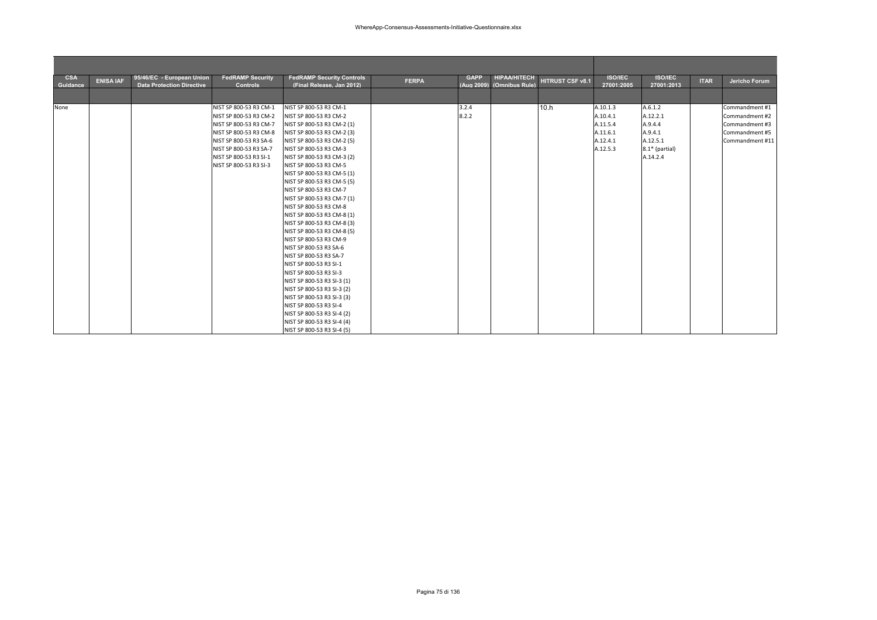| <b>CSA</b><br>Guidance | <b>ENISA IAF</b> | 95/46/EC - European Union<br><b>Data Protection Directive</b> | <b>FedRAMP Security</b><br><b>Controls</b>       | <b>FedRAMP Security Controls</b><br>(Final Release, Jan 2012) | <b>FERPA</b> | <b>GAPP</b><br>(Aug 2009) | <b>HIPAA/HITECH</b><br>(Omnibus Rule) | <b>HITRUST CSF v8.1</b> | <b>ISO/IEC</b><br>27001:2005 | <b>ISO/IEC</b><br>27001:2013 | <b>ITAR</b> | Jericho Forum                    |
|------------------------|------------------|---------------------------------------------------------------|--------------------------------------------------|---------------------------------------------------------------|--------------|---------------------------|---------------------------------------|-------------------------|------------------------------|------------------------------|-------------|----------------------------------|
|                        |                  |                                                               |                                                  |                                                               |              |                           |                                       |                         |                              |                              |             |                                  |
| None                   |                  |                                                               | NIST SP 800-53 R3 CM-1                           | NIST SP 800-53 R3 CM-1                                        |              | 3.2.4                     |                                       | 10.h                    | A.10.1.3                     | A.6.1.2                      |             | Commandment #1                   |
|                        |                  |                                                               | NIST SP 800-53 R3 CM-2                           | NIST SP 800-53 R3 CM-2                                        |              | 8.2.2                     |                                       |                         | A.10.4.1                     | A.12.2.1                     |             | Commandment #2                   |
|                        |                  |                                                               | NIST SP 800-53 R3 CM-7<br>NIST SP 800-53 R3 CM-8 | NIST SP 800-53 R3 CM-2 (1)<br>NIST SP 800-53 R3 CM-2 (3)      |              |                           |                                       |                         | A.11.5.4<br>A.11.6.1         | A.9.4.4<br>A.9.4.1           |             | Commandment #3<br>Commandment #5 |
|                        |                  |                                                               | NIST SP 800-53 R3 SA-6                           | NIST SP 800-53 R3 CM-2 (5)                                    |              |                           |                                       |                         | A.12.4.1                     | A.12.5.1                     |             | Commandment #11                  |
|                        |                  |                                                               | NIST SP 800-53 R3 SA-7                           | NIST SP 800-53 R3 CM-3                                        |              |                           |                                       |                         | A.12.5.3                     | 8.1* (partial)               |             |                                  |
|                        |                  |                                                               | NIST SP 800-53 R3 SI-1                           | NIST SP 800-53 R3 CM-3 (2)                                    |              |                           |                                       |                         |                              | A.14.2.4                     |             |                                  |
|                        |                  |                                                               | NIST SP 800-53 R3 SI-3                           | NIST SP 800-53 R3 CM-5                                        |              |                           |                                       |                         |                              |                              |             |                                  |
|                        |                  |                                                               |                                                  | NIST SP 800-53 R3 CM-5 (1)                                    |              |                           |                                       |                         |                              |                              |             |                                  |
|                        |                  |                                                               |                                                  | NIST SP 800-53 R3 CM-5 (5)                                    |              |                           |                                       |                         |                              |                              |             |                                  |
|                        |                  |                                                               |                                                  | NIST SP 800-53 R3 CM-7                                        |              |                           |                                       |                         |                              |                              |             |                                  |
|                        |                  |                                                               |                                                  | NIST SP 800-53 R3 CM-7 (1)                                    |              |                           |                                       |                         |                              |                              |             |                                  |
|                        |                  |                                                               |                                                  | NIST SP 800-53 R3 CM-8                                        |              |                           |                                       |                         |                              |                              |             |                                  |
|                        |                  |                                                               |                                                  | NIST SP 800-53 R3 CM-8 (1)                                    |              |                           |                                       |                         |                              |                              |             |                                  |
|                        |                  |                                                               |                                                  | NIST SP 800-53 R3 CM-8 (3)                                    |              |                           |                                       |                         |                              |                              |             |                                  |
|                        |                  |                                                               |                                                  | NIST SP 800-53 R3 CM-8 (5)                                    |              |                           |                                       |                         |                              |                              |             |                                  |
|                        |                  |                                                               |                                                  | NIST SP 800-53 R3 CM-9                                        |              |                           |                                       |                         |                              |                              |             |                                  |
|                        |                  |                                                               |                                                  | NIST SP 800-53 R3 SA-6                                        |              |                           |                                       |                         |                              |                              |             |                                  |
|                        |                  |                                                               |                                                  | NIST SP 800-53 R3 SA-7                                        |              |                           |                                       |                         |                              |                              |             |                                  |
|                        |                  |                                                               |                                                  | NIST SP 800-53 R3 SI-1                                        |              |                           |                                       |                         |                              |                              |             |                                  |
|                        |                  |                                                               |                                                  | NIST SP 800-53 R3 SI-3                                        |              |                           |                                       |                         |                              |                              |             |                                  |
|                        |                  |                                                               |                                                  | NIST SP 800-53 R3 SI-3 (1)                                    |              |                           |                                       |                         |                              |                              |             |                                  |
|                        |                  |                                                               |                                                  | NIST SP 800-53 R3 SI-3 (2)                                    |              |                           |                                       |                         |                              |                              |             |                                  |
|                        |                  |                                                               |                                                  | NIST SP 800-53 R3 SI-3 (3)                                    |              |                           |                                       |                         |                              |                              |             |                                  |
|                        |                  |                                                               |                                                  | NIST SP 800-53 R3 SI-4                                        |              |                           |                                       |                         |                              |                              |             |                                  |
|                        |                  |                                                               |                                                  | NIST SP 800-53 R3 SI-4 (2)                                    |              |                           |                                       |                         |                              |                              |             |                                  |
|                        |                  |                                                               |                                                  | NIST SP 800-53 R3 SI-4 (4)                                    |              |                           |                                       |                         |                              |                              |             |                                  |
|                        |                  |                                                               |                                                  | NIST SP 800-53 R3 SI-4 (5)                                    |              |                           |                                       |                         |                              |                              |             |                                  |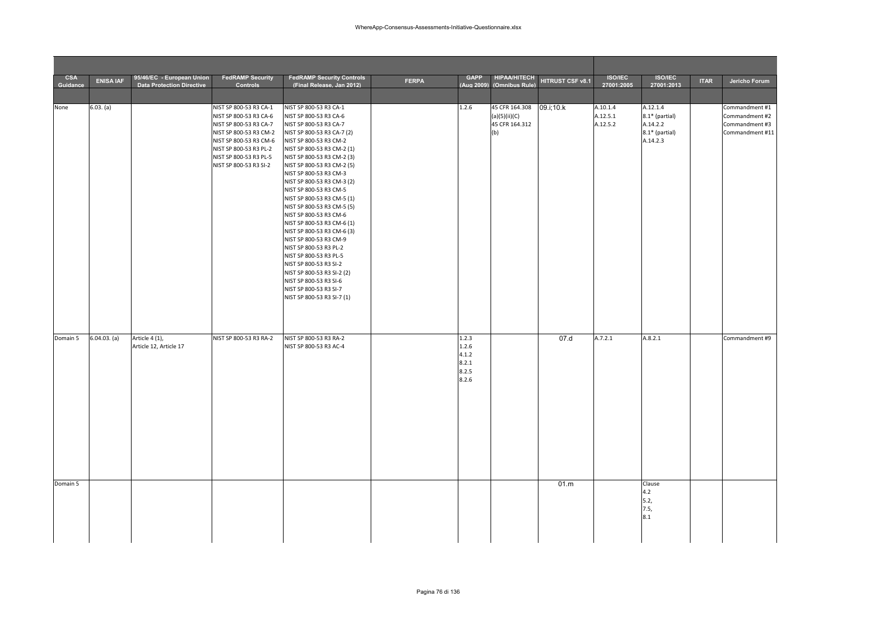| <b>CSA</b><br>Guidance | <b>ENISA IAF</b> | 95/46/EC - European Union<br><b>Data Protection Directive</b> | <b>FedRAMP Security</b><br><b>Controls</b>                                                                                                                                                                   | <b>FedRAMP Security Controls</b><br>(Final Release, Jan 2012)                                                                                                                                                                                                                                                                                                                                                                                                                                                                                                                                                                                                                            | <b>FERPA</b> | <b>GAPP</b>                                        | <b>HIPAA/HITECH</b><br>(Aug 2009) (Omnibus Rule)         | HITRUST CSF v8.1 | <b>ISO/IEC</b><br>27001:2005     | <b>ISO/IEC</b><br>27001:2013                                         | <b>ITAR</b> | Jericho Forum                                                         |
|------------------------|------------------|---------------------------------------------------------------|--------------------------------------------------------------------------------------------------------------------------------------------------------------------------------------------------------------|------------------------------------------------------------------------------------------------------------------------------------------------------------------------------------------------------------------------------------------------------------------------------------------------------------------------------------------------------------------------------------------------------------------------------------------------------------------------------------------------------------------------------------------------------------------------------------------------------------------------------------------------------------------------------------------|--------------|----------------------------------------------------|----------------------------------------------------------|------------------|----------------------------------|----------------------------------------------------------------------|-------------|-----------------------------------------------------------------------|
|                        |                  |                                                               |                                                                                                                                                                                                              |                                                                                                                                                                                                                                                                                                                                                                                                                                                                                                                                                                                                                                                                                          |              |                                                    |                                                          |                  |                                  |                                                                      |             |                                                                       |
| None                   | 6.03. (a)        |                                                               | NIST SP 800-53 R3 CA-1<br>NIST SP 800-53 R3 CA-6<br>NIST SP 800-53 R3 CA-7<br>NIST SP 800-53 R3 CM-2<br>NIST SP 800-53 R3 CM-6<br>NIST SP 800-53 R3 PL-2<br>NIST SP 800-53 R3 PL-5<br>NIST SP 800-53 R3 SI-2 | NIST SP 800-53 R3 CA-1<br>NIST SP 800-53 R3 CA-6<br>NIST SP 800-53 R3 CA-7<br>NIST SP 800-53 R3 CA-7 (2)<br>NIST SP 800-53 R3 CM-2<br>NIST SP 800-53 R3 CM-2 (1)<br>NIST SP 800-53 R3 CM-2 (3)<br>NIST SP 800-53 R3 CM-2 (5)<br>NIST SP 800-53 R3 CM-3<br>NIST SP 800-53 R3 CM-3 (2)<br>NIST SP 800-53 R3 CM-5<br>NIST SP 800-53 R3 CM-5 (1)<br>NIST SP 800-53 R3 CM-5 (5)<br>NIST SP 800-53 R3 CM-6<br>NIST SP 800-53 R3 CM-6 (1)<br>NIST SP 800-53 R3 CM-6 (3)<br>NIST SP 800-53 R3 CM-9<br>NIST SP 800-53 R3 PL-2<br>NIST SP 800-53 R3 PL-5<br>NIST SP 800-53 R3 SI-2<br>NIST SP 800-53 R3 SI-2 (2)<br>NIST SP 800-53 R3 SI-6<br>NIST SP 800-53 R3 SI-7<br>NIST SP 800-53 R3 SI-7 (1) |              | 1.2.6                                              | 45 CFR 164.308<br>(a)(5)(ii)(C)<br>45 CFR 164.312<br>(b) | 09.i;10.k        | A.10.1.4<br>A.12.5.1<br>A.12.5.2 | A.12.1.4<br>8.1* (partial)<br>A.14.2.2<br>8.1* (partial)<br>A.14.2.3 |             | Commandment #1<br>Commandment #2<br>Commandment #3<br>Commandment #11 |
| Domain 5               | 6.04.03. (a)     | Article 4 (1),<br>Article 12, Article 17                      | NIST SP 800-53 R3 RA-2                                                                                                                                                                                       | NIST SP 800-53 R3 RA-2<br>NIST SP 800-53 R3 AC-4                                                                                                                                                                                                                                                                                                                                                                                                                                                                                                                                                                                                                                         |              | 1.2.3<br>1.2.6<br>4.1.2<br>8.2.1<br>8.2.5<br>8.2.6 |                                                          | 07.d             | A.7.2.1                          | A.8.2.1                                                              |             | Commandment #9                                                        |
| Domain 5               |                  |                                                               |                                                                                                                                                                                                              |                                                                                                                                                                                                                                                                                                                                                                                                                                                                                                                                                                                                                                                                                          |              |                                                    |                                                          | 01.m             |                                  | Clause<br>4.2<br>5.2,<br>7.5,<br>8.1                                 |             |                                                                       |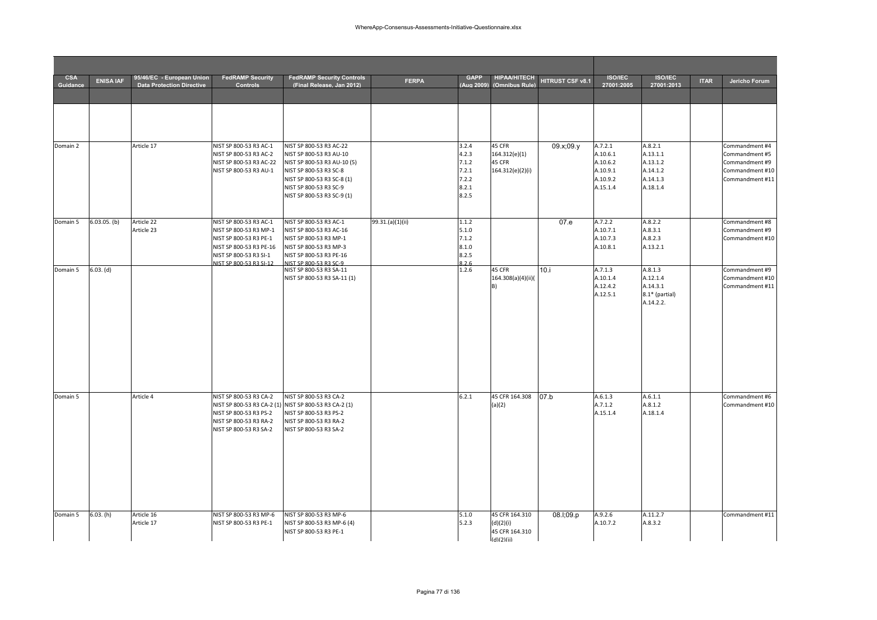| <b>CSA</b> |                  | 95/46/EC - European Union        | <b>FedRAMP Security</b>                           | <b>FedRAMP Security Controls</b>                                                |                  | <b>GAPP</b>    | <b>HIPAA/HITECH</b>          |                  | <b>ISO/IEC</b>       | <b>ISO/IEC</b>       |             |                                    |
|------------|------------------|----------------------------------|---------------------------------------------------|---------------------------------------------------------------------------------|------------------|----------------|------------------------------|------------------|----------------------|----------------------|-------------|------------------------------------|
| Guidance   | <b>ENISA IAF</b> | <b>Data Protection Directive</b> | <b>Controls</b>                                   | (Final Release, Jan 2012)                                                       | <b>FERPA</b>     | (Aug 2009)     | (Omnibus Rule)               | HITRUST CSF v8.1 | 27001:2005           | 27001:2013           | <b>ITAR</b> | Jericho Forum                      |
|            |                  |                                  |                                                   |                                                                                 |                  |                |                              |                  |                      |                      |             |                                    |
|            |                  |                                  |                                                   |                                                                                 |                  |                |                              |                  |                      |                      |             |                                    |
|            |                  |                                  |                                                   |                                                                                 |                  |                |                              |                  |                      |                      |             |                                    |
|            |                  |                                  |                                                   |                                                                                 |                  |                |                              |                  |                      |                      |             |                                    |
| Domain 2   |                  | Article 17                       | NIST SP 800-53 R3 AC-1                            | NIST SP 800-53 R3 AC-22                                                         |                  | 3.2.4          | 45 CFR                       | 09.x;09.y        | A.7.2.1              | A.8.2.1              |             | Commandment #4                     |
|            |                  |                                  | NIST SP 800-53 R3 AC-2                            | NIST SP 800-53 R3 AU-10                                                         |                  | 4.2.3          | 164.312(e)(1)                |                  | A.10.6.1             | A.13.1.1             |             | Commandment #5                     |
|            |                  |                                  | NIST SP 800-53 R3 AC-22                           | NIST SP 800-53 R3 AU-10 (5)                                                     |                  | 7.1.2          | 45 CFR                       |                  | A.10.6.2             | A.13.1.2             |             | Commandment #9                     |
|            |                  |                                  | NIST SP 800-53 R3 AU-1                            | NIST SP 800-53 R3 SC-8<br>NIST SP 800-53 R3 SC-8 (1)                            |                  | 7.2.1<br>7.2.2 | 164.312(e)(2)(i)             |                  | A.10.9.1<br>A.10.9.2 | A.14.1.2<br>A.14.1.3 |             | Commandment #10<br>Commandment #11 |
|            |                  |                                  |                                                   | NIST SP 800-53 R3 SC-9                                                          |                  | 8.2.1          |                              |                  | A.15.1.4             | A.18.1.4             |             |                                    |
|            |                  |                                  |                                                   | NIST SP 800-53 R3 SC-9 (1)                                                      |                  | 8.2.5          |                              |                  |                      |                      |             |                                    |
|            |                  |                                  |                                                   |                                                                                 |                  |                |                              |                  |                      |                      |             |                                    |
| Domain 5   | $6.03.05.$ (b)   | Article 22                       | NIST SP 800-53 R3 AC-1                            | NIST SP 800-53 R3 AC-1                                                          | 99.31.(a)(1)(ii) | 1.1.2          |                              | 07.e             | A.7.2.2              | A.8.2.2              |             | Commandment #8                     |
|            |                  | Article 23                       | NIST SP 800-53 R3 MP-1                            | NIST SP 800-53 R3 AC-16                                                         |                  | 5.1.0          |                              |                  | A.10.7.1             | A.8.3.1              |             | Commandment #9                     |
|            |                  |                                  | NIST SP 800-53 R3 PE-1                            | NIST SP 800-53 R3 MP-1                                                          |                  | 7.1.2          |                              |                  | A.10.7.3             | A.8.2.3              |             | Commandment #10                    |
|            |                  |                                  | NIST SP 800-53 R3 PE-16<br>NIST SP 800-53 R3 SI-1 | NIST SP 800-53 R3 MP-3<br>NIST SP 800-53 R3 PE-16                               |                  | 8.1.0<br>8.2.5 |                              |                  | A.10.8.1             | A.13.2.1             |             |                                    |
|            |                  |                                  | NIST SP 800-53 R3 SI-12                           | NIST SP 800-53 R3 SC-9                                                          |                  | 8.2.6          |                              |                  |                      |                      |             |                                    |
| Domain 5   | $6.03.$ (d)      |                                  |                                                   | NIST SP 800-53 R3 SA-11                                                         |                  | 1.2.6          | 45 CFR                       | 10.i             | A.7.1.3              | A.8.1.3              |             | Commandment #9                     |
|            |                  |                                  |                                                   | NIST SP 800-53 R3 SA-11 (1)                                                     |                  |                | 164.308(a)(4)(ii)(<br>B)     |                  | A.10.1.4<br>A.12.4.2 | A.12.1.4<br>A.14.3.1 |             | Commandment #10<br>Commandment #11 |
|            |                  |                                  |                                                   |                                                                                 |                  |                |                              |                  | A.12.5.1             | 8.1* (partial)       |             |                                    |
|            |                  |                                  |                                                   |                                                                                 |                  |                |                              |                  |                      | A.14.2.2.            |             |                                    |
|            |                  |                                  |                                                   |                                                                                 |                  |                |                              |                  |                      |                      |             |                                    |
|            |                  |                                  |                                                   |                                                                                 |                  |                |                              |                  |                      |                      |             |                                    |
|            |                  |                                  |                                                   |                                                                                 |                  |                |                              |                  |                      |                      |             |                                    |
|            |                  |                                  |                                                   |                                                                                 |                  |                |                              |                  |                      |                      |             |                                    |
|            |                  |                                  |                                                   |                                                                                 |                  |                |                              |                  |                      |                      |             |                                    |
|            |                  |                                  |                                                   |                                                                                 |                  |                |                              |                  |                      |                      |             |                                    |
|            |                  |                                  |                                                   |                                                                                 |                  |                |                              |                  |                      |                      |             |                                    |
|            |                  |                                  |                                                   |                                                                                 |                  |                |                              |                  |                      |                      |             |                                    |
| Domain 5   |                  | Article 4                        | NIST SP 800-53 R3 CA-2                            | NIST SP 800-53 R3 CA-2                                                          |                  | 6.2.1          | 45 CFR 164.308               | 07.b             | A.6.1.3              | A.6.1.1              |             | Commandment #6                     |
|            |                  |                                  | NIST SP 800-53 R3 PS-2                            | NIST SP 800-53 R3 CA-2 (1) NIST SP 800-53 R3 CA-2 (1)<br>NIST SP 800-53 R3 PS-2 |                  |                | (a)(2)                       |                  | A.7.1.2<br>A.15.1.4  | A.8.1.2<br>A.18.1.4  |             | Commandment #10                    |
|            |                  |                                  | NIST SP 800-53 R3 RA-2                            | NIST SP 800-53 R3 RA-2                                                          |                  |                |                              |                  |                      |                      |             |                                    |
|            |                  |                                  | NIST SP 800-53 R3 SA-2                            | NIST SP 800-53 R3 SA-2                                                          |                  |                |                              |                  |                      |                      |             |                                    |
|            |                  |                                  |                                                   |                                                                                 |                  |                |                              |                  |                      |                      |             |                                    |
|            |                  |                                  |                                                   |                                                                                 |                  |                |                              |                  |                      |                      |             |                                    |
|            |                  |                                  |                                                   |                                                                                 |                  |                |                              |                  |                      |                      |             |                                    |
|            |                  |                                  |                                                   |                                                                                 |                  |                |                              |                  |                      |                      |             |                                    |
|            |                  |                                  |                                                   |                                                                                 |                  |                |                              |                  |                      |                      |             |                                    |
|            |                  |                                  |                                                   |                                                                                 |                  |                |                              |                  |                      |                      |             |                                    |
|            |                  |                                  |                                                   |                                                                                 |                  |                |                              |                  |                      |                      |             |                                    |
| Domain 5   | 6.03.(h)         | Article 16                       | NIST SP 800-53 R3 MP-6                            | NIST SP 800-53 R3 MP-6                                                          |                  | 5.1.0          | 45 CFR 164.310               | 08.I;09.p        | A.9.2.6              | A.11.2.7             |             | Commandment #11                    |
|            |                  | Article 17                       | NIST SP 800-53 R3 PE-1                            | NIST SP 800-53 R3 MP-6 (4)                                                      |                  | 5.2.3          | (d)(2)(i)                    |                  | A.10.7.2             | A.8.3.2              |             |                                    |
|            |                  |                                  |                                                   | NIST SP 800-53 R3 PE-1                                                          |                  |                | 45 CFR 164.310<br>(d)(2)(ii) |                  |                      |                      |             |                                    |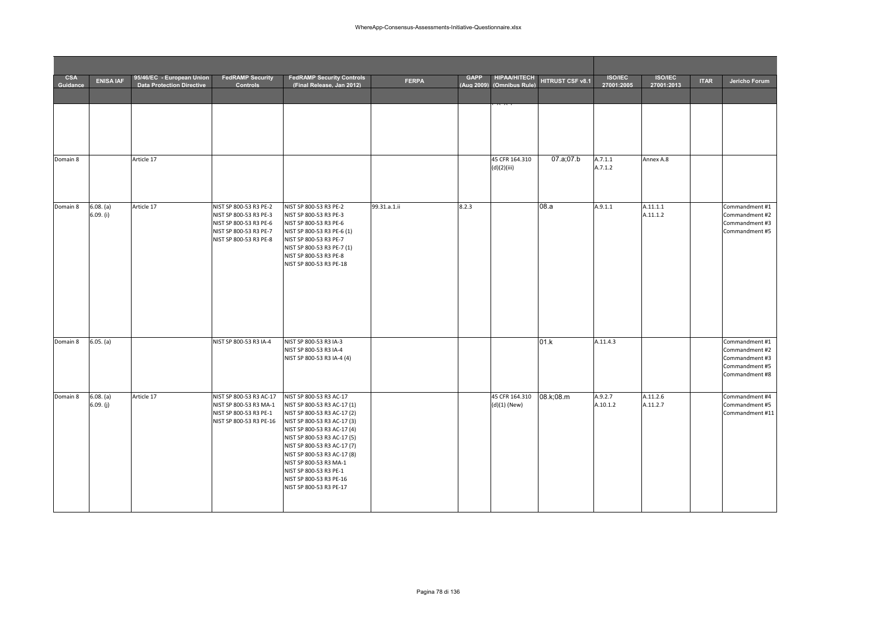| <b>CSA</b><br>Guidance | <b>ENISA IAF</b>       | 95/46/EC - European Union<br><b>Data Protection Directive</b> | <b>FedRAMP Security</b><br><b>Controls</b>                                                                                     | <b>FedRAMP Security Controls</b><br>(Final Release, Jan 2012)                                                                                                                                                                                                                                                                                              | <b>FERPA</b> | <b>GAPP</b><br>(Aug 2009) | <b>HIPAA/HITECH</b><br>(Omnibus Rule) | HITRUST CSF v8.1 | <b>ISO/IEC</b><br>27001:2005 | <b>ISO/IEC</b><br>27001:2013 | <b>ITAR</b> | Jericho Forum                                                                          |
|------------------------|------------------------|---------------------------------------------------------------|--------------------------------------------------------------------------------------------------------------------------------|------------------------------------------------------------------------------------------------------------------------------------------------------------------------------------------------------------------------------------------------------------------------------------------------------------------------------------------------------------|--------------|---------------------------|---------------------------------------|------------------|------------------------------|------------------------------|-------------|----------------------------------------------------------------------------------------|
|                        |                        |                                                               |                                                                                                                                |                                                                                                                                                                                                                                                                                                                                                            |              |                           |                                       |                  |                              |                              |             |                                                                                        |
|                        |                        |                                                               |                                                                                                                                |                                                                                                                                                                                                                                                                                                                                                            |              |                           |                                       |                  |                              |                              |             |                                                                                        |
| Domain 8               |                        | Article 17                                                    |                                                                                                                                |                                                                                                                                                                                                                                                                                                                                                            |              |                           | 45 CFR 164.310<br>(d)(2)(iii)         | 07.a;07.b        | A.7.1.1<br>A.7.1.2           | Annex A.8                    |             |                                                                                        |
| Domain 8               | 6.08. (a)<br>6.09. (i) | Article 17                                                    | NIST SP 800-53 R3 PE-2<br>NIST SP 800-53 R3 PE-3<br>NIST SP 800-53 R3 PE-6<br>NIST SP 800-53 R3 PE-7<br>NIST SP 800-53 R3 PE-8 | NIST SP 800-53 R3 PE-2<br>NIST SP 800-53 R3 PE-3<br>NIST SP 800-53 R3 PE-6<br>NIST SP 800-53 R3 PE-6 (1)<br>NIST SP 800-53 R3 PE-7<br>NIST SP 800-53 R3 PE-7 (1)<br>NIST SP 800-53 R3 PE-8<br>NIST SP 800-53 R3 PE-18                                                                                                                                      | 99.31.a.1.ii | 8.2.3                     |                                       | 08.a             | A.9.1.1                      | A.11.1.1<br>A.11.1.2         |             | Commandment #1<br>Commandment #2<br>Commandment #3<br>Commandment #5                   |
| Domain 8               | 6.05. (a)              |                                                               | NIST SP 800-53 R3 IA-4                                                                                                         | NIST SP 800-53 R3 IA-3<br>NIST SP 800-53 R3 IA-4<br>NIST SP 800-53 R3 IA-4 (4)                                                                                                                                                                                                                                                                             |              |                           |                                       | 01.k             | A.11.4.3                     |                              |             | Commandment #1<br>Commandment #2<br>Commandment #3<br>Commandment #5<br>Commandment #8 |
| Domain 8               | 6.08. (a)<br>6.09. (j) | Article 17                                                    | NIST SP 800-53 R3 AC-17<br>NIST SP 800-53 R3 MA-1<br>NIST SP 800-53 R3 PE-1<br>NIST SP 800-53 R3 PE-16                         | NIST SP 800-53 R3 AC-17<br>NIST SP 800-53 R3 AC-17 (1)<br>NIST SP 800-53 R3 AC-17 (2)<br>NIST SP 800-53 R3 AC-17 (3)<br>NIST SP 800-53 R3 AC-17 (4)<br>NIST SP 800-53 R3 AC-17 (5)<br>NIST SP 800-53 R3 AC-17 (7)<br>NIST SP 800-53 R3 AC-17 (8)<br>NIST SP 800-53 R3 MA-1<br>NIST SP 800-53 R3 PE-1<br>NIST SP 800-53 R3 PE-16<br>NIST SP 800-53 R3 PE-17 |              |                           | 45 CFR 164.310<br>(d)(1) (New)        | 08.k;08.m        | A.9.2.7<br>A.10.1.2          | A.11.2.6<br>A.11.2.7         |             | Commandment #4<br>Commandment #5<br>Commandment #11                                    |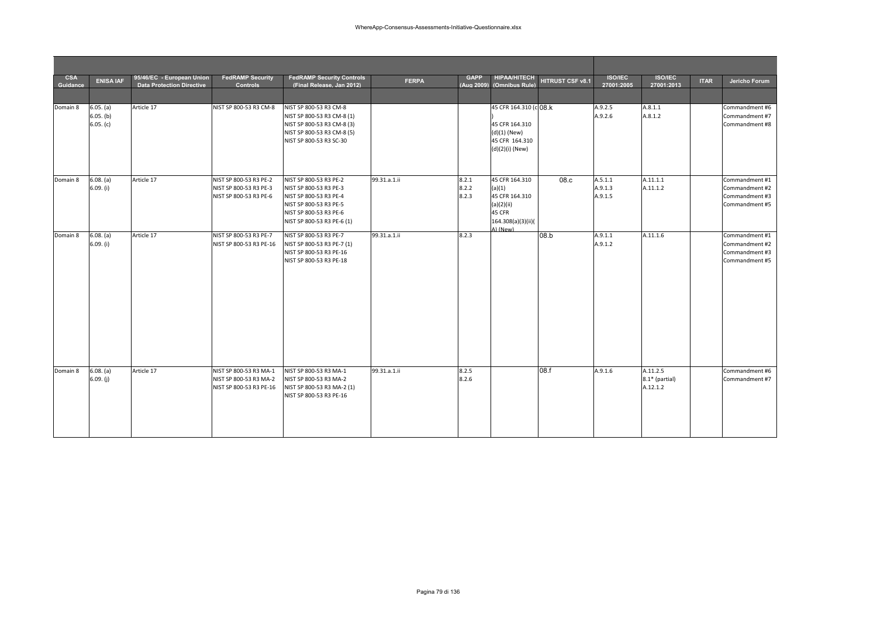| <b>CSA</b><br>Guidance | <b>ENISA IAF</b>                    | 95/46/EC - European Union<br><b>Data Protection Directive</b> | <b>FedRAMP Security</b><br><b>Controls</b>                                  | <b>FedRAMP Security Controls</b><br>(Final Release, Jan 2012)                                                                                                | <b>FERPA</b> | <b>GAPP</b><br>(Aug 2009) | <b>HIPAA/HITECH</b><br>(Omnibus Rule)                                                                | HITRUST CSF v8.1 | <b>ISO/IEC</b><br>27001:2005  | <b>ISO/IEC</b><br>27001:2013           | <b>ITAR</b> | Jericho Forum                                                        |
|------------------------|-------------------------------------|---------------------------------------------------------------|-----------------------------------------------------------------------------|--------------------------------------------------------------------------------------------------------------------------------------------------------------|--------------|---------------------------|------------------------------------------------------------------------------------------------------|------------------|-------------------------------|----------------------------------------|-------------|----------------------------------------------------------------------|
|                        |                                     |                                                               |                                                                             |                                                                                                                                                              |              |                           |                                                                                                      |                  |                               |                                        |             |                                                                      |
| Domain 8               | 6.05. (a)<br>6.05. (b)<br>6.05. (c) | Article 17                                                    | NIST SP 800-53 R3 CM-8                                                      | NIST SP 800-53 R3 CM-8<br>NIST SP 800-53 R3 CM-8 (1)<br>NIST SP 800-53 R3 CM-8 (3)<br>NIST SP 800-53 R3 CM-8 (5)<br>NIST SP 800-53 R3 SC-30                  |              |                           | 45 CFR 164.310 (c 08.k<br>45 CFR 164.310<br>$(d)(1)$ (New)<br>45 CFR 164.310<br>(d)(2)(i) (New)      |                  | A.9.2.5<br>A.9.2.6            | A.8.1.1<br>A.8.1.2                     |             | Commandment #6<br>Commandment #7<br>Commandment #8                   |
| Domain 8               | 6.08. (a)<br>6.09. (i)              | Article 17                                                    | NIST SP 800-53 R3 PE-2<br>NIST SP 800-53 R3 PE-3<br>NIST SP 800-53 R3 PE-6  | NIST SP 800-53 R3 PE-2<br>NIST SP 800-53 R3 PE-3<br>NIST SP 800-53 R3 PE-4<br>NIST SP 800-53 R3 PE-5<br>NIST SP 800-53 R3 PE-6<br>NIST SP 800-53 R3 PE-6 (1) | 99.31.a.1.ii | 8.2.1<br>8.2.2<br>8.2.3   | 45 CFR 164.310<br>(a)(1)<br>45 CFR 164.310<br>(a)(2)(ii)<br>45 CFR<br>164.308(a)(3)(ii)(<br>A) (New) | 08.c             | A.5.1.1<br>A.9.1.3<br>A.9.1.5 | A.11.1.1<br>A.11.1.2                   |             | Commandment #1<br>Commandment #2<br>Commandment #3<br>Commandment #5 |
| Domain 8               | 6.08. (a)<br>6.09. (i)              | Article 17                                                    | NIST SP 800-53 R3 PE-7<br>NIST SP 800-53 R3 PE-16                           | NIST SP 800-53 R3 PE-7<br>NIST SP 800-53 R3 PE-7 (1)<br>NIST SP 800-53 R3 PE-16<br>NIST SP 800-53 R3 PE-18                                                   | 99.31.a.1.ii | 8.2.3                     |                                                                                                      | 08.b             | A.9.1.1<br>A.9.1.2            | A.11.1.6                               |             | Commandment #1<br>Commandment #2<br>Commandment #3<br>Commandment #5 |
| Domain 8               | 6.08. (a)<br>6.09. (j)              | Article 17                                                    | NIST SP 800-53 R3 MA-1<br>NIST SP 800-53 R3 MA-2<br>NIST SP 800-53 R3 PE-16 | NIST SP 800-53 R3 MA-1<br>NIST SP 800-53 R3 MA-2<br>NIST SP 800-53 R3 MA-2 (1)<br>NIST SP 800-53 R3 PE-16                                                    | 99.31.a.1.ii | 8.2.5<br>8.2.6            |                                                                                                      | 08.f             | A.9.1.6                       | A.11.2.5<br>8.1* (partial)<br>A.12.1.2 |             | Commandment #6<br>Commandment #7                                     |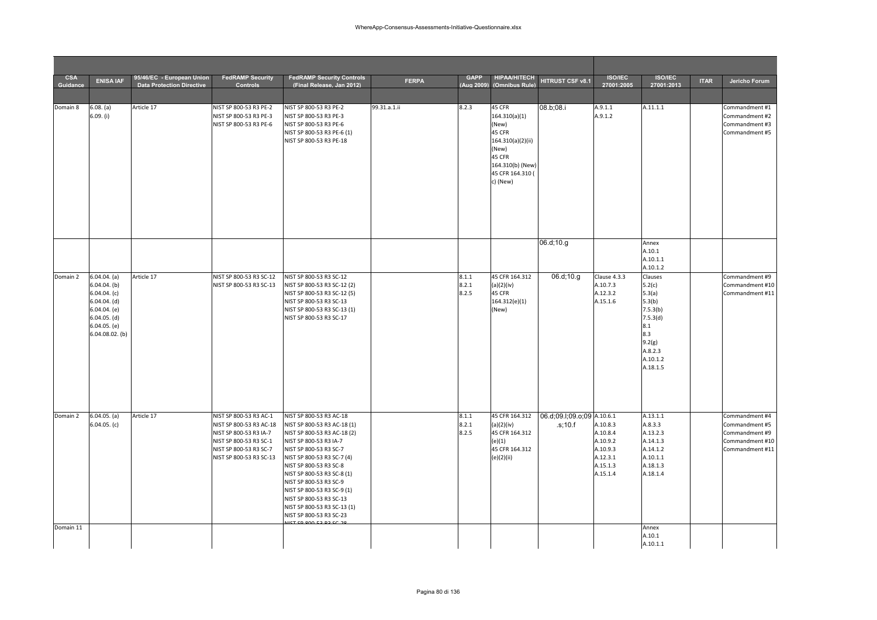| <b>CSA</b><br>Guidance | <b>ENISA IAF</b>                                                                                                                                | 95/46/EC - European Union<br><b>Data Protection Directive</b> | <b>FedRAMP Security</b><br><b>Controls</b>                                                                                                                 | <b>FedRAMP Security Controls</b><br>(Final Release. Jan 2012)                                                                                                                                                                                                                                                                                                                | <b>FERPA</b> | <b>GAPP</b><br>(Aug 2009 | <b>HIPAA/HITECH</b><br>(Omnibus Rule)                                                                                                  | HITRUST CSF v8.1                                      | <b>ISO/IEC</b><br>27001:2005                                                     | <b>ISO/IEC</b><br>27001:2013                                                                                             | <b>ITAR</b> | Jericho Forum                                                                            |
|------------------------|-------------------------------------------------------------------------------------------------------------------------------------------------|---------------------------------------------------------------|------------------------------------------------------------------------------------------------------------------------------------------------------------|------------------------------------------------------------------------------------------------------------------------------------------------------------------------------------------------------------------------------------------------------------------------------------------------------------------------------------------------------------------------------|--------------|--------------------------|----------------------------------------------------------------------------------------------------------------------------------------|-------------------------------------------------------|----------------------------------------------------------------------------------|--------------------------------------------------------------------------------------------------------------------------|-------------|------------------------------------------------------------------------------------------|
|                        |                                                                                                                                                 |                                                               |                                                                                                                                                            |                                                                                                                                                                                                                                                                                                                                                                              |              |                          |                                                                                                                                        |                                                       |                                                                                  |                                                                                                                          |             |                                                                                          |
| Domain 8               | 6.08. (a)<br>6.09. (i)                                                                                                                          | Article 17                                                    | NIST SP 800-53 R3 PE-2<br>NIST SP 800-53 R3 PE-3<br>NIST SP 800-53 R3 PE-6                                                                                 | NIST SP 800-53 R3 PE-2<br>NIST SP 800-53 R3 PE-3<br>NIST SP 800-53 R3 PE-6<br>NIST SP 800-53 R3 PE-6 (1)<br>NIST SP 800-53 R3 PE-18                                                                                                                                                                                                                                          | 99.31.a.1.ii | 8.2.3                    | 45 CFR<br>164.310(a)(1)<br>(New)<br>45 CFR<br>164.310(a)(2)(ii)<br>(New)<br>45 CFR<br>164.310(b) (New)<br>45 CFR 164.310 (<br>c) (New) | 08.b;08.i                                             | A.9.1.1<br>A.9.1.2                                                               | A.11.1.1                                                                                                                 |             | Commandment #1<br>Commandment #2<br>Commandment #3<br>Commandment #5                     |
|                        |                                                                                                                                                 |                                                               |                                                                                                                                                            |                                                                                                                                                                                                                                                                                                                                                                              |              |                          |                                                                                                                                        | 06.d;10.g                                             |                                                                                  | Annex<br>A.10.1<br>A.10.1.1<br>A.10.1.2                                                                                  |             |                                                                                          |
| Domain 2               | $6.04.04.$ (a)<br>$6.04.04.$ (b)<br>$6.04.04.$ (c)<br>$6.04.04.$ (d)<br>$6.04.04.$ (e)<br>$6.04.05.$ (d)<br>$6.04.05.$ (e)<br>$6.04.08.02.$ (b) | Article 17                                                    | NIST SP 800-53 R3 SC-12<br>NIST SP 800-53 R3 SC-13                                                                                                         | NIST SP 800-53 R3 SC-12<br>NIST SP 800-53 R3 SC-12 (2)<br>NIST SP 800-53 R3 SC-12 (5)<br>NIST SP 800-53 R3 SC-13<br>NIST SP 800-53 R3 SC-13 (1)<br>NIST SP 800-53 R3 SC-17                                                                                                                                                                                                   |              | 8.1.1<br>8.2.1<br>8.2.5  | 45 CFR 164.312<br>(a)(2)(iv)<br>45 CFR<br>164.312(e)(1)<br>(New)                                                                       | 06.d;10.g                                             | Clause 4.3.3<br>A.10.7.3<br>A.12.3.2<br>A.15.1.6                                 | Clauses<br>5.2(c)<br>5.3(a)<br>5.3(b)<br>7.5.3(b)<br>7.5.3(d)<br>8.1<br>8.3<br>9.2(g)<br>A.8.2.3<br>A.10.1.2<br>A.18.1.5 |             | Commandment #9<br>Commandment #10<br>Commandment #11                                     |
| Domain 2               | $6.04.05.$ (a)<br>$6.04.05.$ (c)                                                                                                                | Article 17                                                    | NIST SP 800-53 R3 AC-1<br>NIST SP 800-53 R3 AC-18<br>NIST SP 800-53 R3 IA-7<br>NIST SP 800-53 R3 SC-1<br>NIST SP 800-53 R3 SC-7<br>NIST SP 800-53 R3 SC-13 | NIST SP 800-53 R3 AC-18<br>NIST SP 800-53 R3 AC-18 (1)<br>NIST SP 800-53 R3 AC-18 (2)<br>NIST SP 800-53 R3 IA-7<br>NIST SP 800-53 R3 SC-7<br>NIST SP 800-53 R3 SC-7 (4)<br>NIST SP 800-53 R3 SC-8<br>NIST SP 800-53 R3 SC-8 (1)<br>NIST SP 800-53 R3 SC-9<br>NIST SP 800-53 R3 SC-9 (1)<br>NIST SP 800-53 R3 SC-13<br>NIST SP 800-53 R3 SC-13 (1)<br>NIST SP 800-53 R3 SC-23 |              | 8.1.1<br>8.2.1<br>8.2.5  | (a)(2)(iv)<br>45 CFR 164.312<br>(e)(1)<br>45 CFR 164.312<br>(e)(2)(ii)                                                                 | 45 CFR 164.312 06.d;09.l;09.o;09 A.10.6.1<br>.s; 10.f | A.10.8.3<br>A.10.8.4<br>A.10.9.2<br>A.10.9.3<br>A.12.3.1<br>A.15.1.3<br>A.15.1.4 | A.13.1.1<br>A.8.3.3<br>A.13.2.3<br>A.14.1.3<br>A.14.1.2<br>A.10.1.1<br>A.18.1.3<br>A.18.1.4                              |             | Commandment #4<br>Commandment #5<br>Commandment #9<br>Commandment #10<br>Commandment #11 |
| Domain 11              |                                                                                                                                                 |                                                               |                                                                                                                                                            |                                                                                                                                                                                                                                                                                                                                                                              |              |                          |                                                                                                                                        |                                                       |                                                                                  | Annex<br>A.10.1<br>A.10.1.1                                                                                              |             |                                                                                          |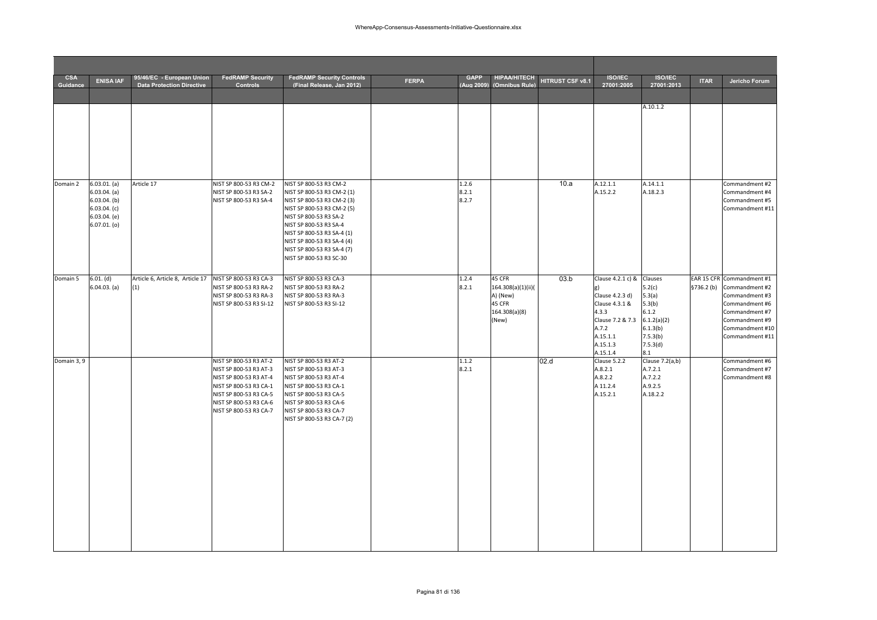| <b>CSA</b><br>Guidance | <b>ENISA IAF</b>                                                                                 | 95/46/EC - European Union<br><b>Data Protection Directive</b> | <b>FedRAMP Security</b><br>Controls                                                                                                                                                | <b>FedRAMP Security Controls</b><br>(Final Release. Jan 2012)                                                                                                                                                                                                                             | <b>FERPA</b> | <b>GAPP</b><br>(Aug 2009) | <b>HIPAA/HITECH</b><br>(Omnibus Rule)                                        | HITRUST CSF v8.1 | <b>ISO/IEC</b><br>27001:2005                                                                                                                     | <b>ISO/IEC</b><br>27001:2013                                                                             | <b>ITAR</b> | Jericho Forum                                                                                                                                                        |
|------------------------|--------------------------------------------------------------------------------------------------|---------------------------------------------------------------|------------------------------------------------------------------------------------------------------------------------------------------------------------------------------------|-------------------------------------------------------------------------------------------------------------------------------------------------------------------------------------------------------------------------------------------------------------------------------------------|--------------|---------------------------|------------------------------------------------------------------------------|------------------|--------------------------------------------------------------------------------------------------------------------------------------------------|----------------------------------------------------------------------------------------------------------|-------------|----------------------------------------------------------------------------------------------------------------------------------------------------------------------|
|                        |                                                                                                  |                                                               |                                                                                                                                                                                    |                                                                                                                                                                                                                                                                                           |              |                           |                                                                              |                  |                                                                                                                                                  | A.10.1.2                                                                                                 |             |                                                                                                                                                                      |
| Domain 2               | 6.03.01. (a)<br>6.03.04. (a)<br>$6.03.04.$ (b)<br>6.03.04. (c)<br>6.03.04. (e)<br>$6.07.01.$ (o) | Article 17                                                    | NIST SP 800-53 R3 CM-2<br>NIST SP 800-53 R3 SA-2<br>NIST SP 800-53 R3 SA-4                                                                                                         | NIST SP 800-53 R3 CM-2<br>NIST SP 800-53 R3 CM-2 (1)<br>NIST SP 800-53 R3 CM-2 (3)<br>NIST SP 800-53 R3 CM-2 (5)<br>NIST SP 800-53 R3 SA-2<br>NIST SP 800-53 R3 SA-4<br>NIST SP 800-53 R3 SA-4 (1)<br>NIST SP 800-53 R3 SA-4 (4)<br>NIST SP 800-53 R3 SA-4 (7)<br>NIST SP 800-53 R3 SC-30 |              | 1.2.6<br>8.2.1<br>8.2.7   |                                                                              | 10.a             | A.12.1.1<br>A.15.2.2                                                                                                                             | A.14.1.1<br>A.18.2.3                                                                                     |             | Commandment #2<br>Commandment #4<br>Commandment #5<br>Commandment #11                                                                                                |
| Domain 5               | 6.01. (d)<br>6.04.03. (a)                                                                        | Article 6, Article 8, Article 17<br>(1)                       | NIST SP 800-53 R3 CA-3<br>NIST SP 800-53 R3 RA-2<br>NIST SP 800-53 R3 RA-3<br>NIST SP 800-53 R3 SI-12                                                                              | NIST SP 800-53 R3 CA-3<br>NIST SP 800-53 R3 RA-2<br>NIST SP 800-53 R3 RA-3<br>NIST SP 800-53 R3 SI-12                                                                                                                                                                                     |              | 1.2.4<br>8.2.1            | 45 CFR<br>164.308(a)(1)(ii)(<br>A) (New)<br>45 CFR<br>164.308(a)(8)<br>(New) | 03.b             | Clause 4.2.1 c) &<br>$\mathbf{g}$<br>Clause 4.2.3 d)<br>Clause 4.3.1 &<br>4.3.3<br>Clause 7.2 & 7.3<br>A.7.2<br>A.15.1.1<br>A.15.1.3<br>A.15.1.4 | Clauses<br>5.2(c)<br>5.3(a)<br>5.3(b)<br>6.1.2<br>6.1.2(a)(2)<br>6.1.3(b)<br>7.5.3(b)<br>7.5.3(d)<br>8.1 |             | EAR 15 CFR Commandment #1<br>§736.2 (b) Commandment #2<br>Commandment #3<br>Commandment #6<br>Commandment #7<br>Commandment #9<br>Commandment #10<br>Commandment #11 |
| Domain 3, 9            |                                                                                                  |                                                               | NIST SP 800-53 R3 AT-2<br>NIST SP 800-53 R3 AT-3<br>NIST SP 800-53 R3 AT-4<br>NIST SP 800-53 R3 CA-1<br>NIST SP 800-53 R3 CA-5<br>NIST SP 800-53 R3 CA-6<br>NIST SP 800-53 R3 CA-7 | NIST SP 800-53 R3 AT-2<br>NIST SP 800-53 R3 AT-3<br>NIST SP 800-53 R3 AT-4<br>NIST SP 800-53 R3 CA-1<br>NIST SP 800-53 R3 CA-5<br>NIST SP 800-53 R3 CA-6<br>NIST SP 800-53 R3 CA-7<br>NIST SP 800-53 R3 CA-7 (2)                                                                          |              | 1.1.2<br>8.2.1            |                                                                              | 02.d             | Clause 5.2.2<br>A.8.2.1<br>A.8.2.2<br>A 11.2.4<br>A.15.2.1                                                                                       | Clause 7.2(a,b)<br>A.7.2.1<br>A.7.2.2<br>A.9.2.5<br>A.18.2.2                                             |             | Commandment #6<br>Commandment #7<br>Commandment #8                                                                                                                   |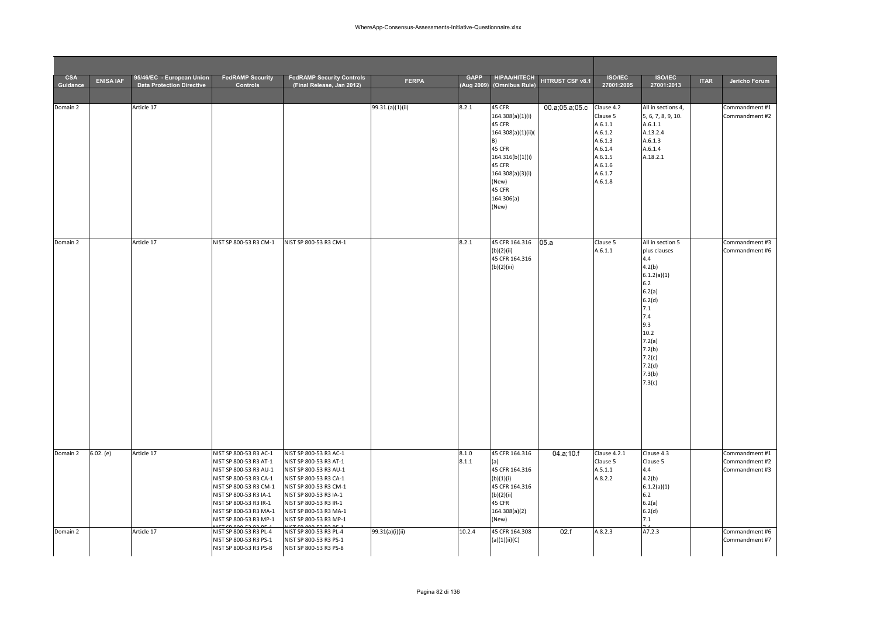|                        |                  | 95/46/EC - European Union<br><b>FedRAMP Security</b><br><b>FedRAMP Security Controls</b><br><b>GAPP</b><br><b>HIPAA/HITECH</b> |                                                                                                                                                                                                              |                                                                                                                                                                                                              |                  |           |                                                                                                          |                  |                                                                |                                                                            |             |                                  |
|------------------------|------------------|--------------------------------------------------------------------------------------------------------------------------------|--------------------------------------------------------------------------------------------------------------------------------------------------------------------------------------------------------------|--------------------------------------------------------------------------------------------------------------------------------------------------------------------------------------------------------------|------------------|-----------|----------------------------------------------------------------------------------------------------------|------------------|----------------------------------------------------------------|----------------------------------------------------------------------------|-------------|----------------------------------|
| <b>CSA</b><br>Guidance | <b>ENISA IAF</b> | <b>Data Protection Directive</b>                                                                                               | <b>Controls</b>                                                                                                                                                                                              | (Final Release, Jan 2012)                                                                                                                                                                                    | <b>FERPA</b>     | Aug 2009) | (Omnibus Rule)                                                                                           | HITRUST CSF v8.1 | <b>ISO/IEC</b><br>27001:2005                                   | <b>ISO/IEC</b><br>27001:2013                                               | <b>ITAR</b> | Jericho Forum                    |
| Domain 2               |                  | Article 17                                                                                                                     |                                                                                                                                                                                                              |                                                                                                                                                                                                              | 99.31.(a)(1)(ii) | 8.2.1     | 45 CFR<br>164.308(a)(1)(i)<br>45 CFR<br>164.308(a)(1)(ii)(                                               | 00.a;05.a;05.c   | Clause 4.2<br>Clause 5<br>A.6.1.1<br>A.6.1.2                   | All in sections 4,<br>5, 6, 7, 8, 9, 10.<br>A.6.1.1<br>A.13.2.4            |             | Commandment #1<br>Commandment #2 |
|                        |                  |                                                                                                                                |                                                                                                                                                                                                              |                                                                                                                                                                                                              |                  |           | B)<br>45 CFR<br>164.316(b)(1)(i)<br>45 CFR<br>164.308(a)(3)(i)<br>(New)<br>45 CFR<br>164.306(a)<br>(New) |                  | A.6.1.3<br>A.6.1.4<br>A.6.1.5<br>A.6.1.6<br>A.6.1.7<br>A.6.1.8 | A.6.1.3<br>A.6.1.4<br>A.18.2.1                                             |             |                                  |
| Domain 2               |                  | Article 17                                                                                                                     | NIST SP 800-53 R3 CM-1                                                                                                                                                                                       | NIST SP 800-53 R3 CM-1                                                                                                                                                                                       |                  | 8.2.1     | 45 CFR 164.316<br>(b)(2)(ii)<br>45 CFR 164.316                                                           | 05.a             | Clause 5<br>A.6.1.1                                            | All in section 5<br>plus clauses<br>4.4                                    |             | Commandment #3<br>Commandment #6 |
|                        |                  |                                                                                                                                |                                                                                                                                                                                                              |                                                                                                                                                                                                              |                  |           | (b)(2)(iii)                                                                                              |                  |                                                                | 4.2(b)<br>6.1.2(a)(1)<br>6.2<br>6.2(a)<br>6.2(d)                           |             |                                  |
|                        |                  |                                                                                                                                |                                                                                                                                                                                                              |                                                                                                                                                                                                              |                  |           |                                                                                                          |                  |                                                                | 7.1<br>7.4<br>9.3<br>10.2<br>7.2(a)<br>7.2(b)<br>7.2(c)<br>7.2(d)          |             |                                  |
|                        |                  |                                                                                                                                |                                                                                                                                                                                                              |                                                                                                                                                                                                              |                  |           |                                                                                                          |                  |                                                                | 7.3(b)<br>7.3(c)                                                           |             |                                  |
| Domain 2               | 6.02. (e)        | Article 17                                                                                                                     | NIST SP 800-53 R3 AC-1                                                                                                                                                                                       | NIST SP 800-53 R3 AC-1                                                                                                                                                                                       |                  | 8.1.0     | 45 CFR 164.316                                                                                           | 04.a;10.f        | Clause 4.2.1                                                   | Clause 4.3                                                                 |             | Commandment #1                   |
|                        |                  |                                                                                                                                | NIST SP 800-53 R3 AT-1<br>NIST SP 800-53 R3 AU-1<br>NIST SP 800-53 R3 CA-1<br>NIST SP 800-53 R3 CM-1<br>NIST SP 800-53 R3 IA-1<br>NIST SP 800-53 R3 IR-1<br>NIST SP 800-53 R3 MA-1<br>NIST SP 800-53 R3 MP-1 | NIST SP 800-53 R3 AT-1<br>NIST SP 800-53 R3 AU-1<br>NIST SP 800-53 R3 CA-1<br>NIST SP 800-53 R3 CM-1<br>NIST SP 800-53 R3 IA-1<br>NIST SP 800-53 R3 IR-1<br>NIST SP 800-53 R3 MA-1<br>NIST SP 800-53 R3 MP-1 |                  | 8.1.1     | (a)<br>45 CFR 164.316<br>(b)(1)(i)<br>45 CFR 164.316<br>(b)(2)(ii)<br>45 CFR<br>164.308(a)(2)<br>(New)   |                  | Clause 5<br>A.5.1.1<br>A.8.2.2                                 | Clause 5<br>4.4<br>4.2(b)<br>6.1.2(a)(1)<br>6.2<br>6.2(a)<br>6.2(d)<br>7.1 |             | Commandment #2<br>Commandment #3 |
| Domain 2               |                  | Article 17                                                                                                                     | NIST SP 800-53 R3 PL-4<br>NIST SP 800-53 R3 PS-1<br>NIST SP 800-53 R3 PS-8                                                                                                                                   | NIST SP 800-53 R3 PL-4<br>NIST SP 800-53 R3 PS-1<br>NIST SP 800-53 R3 PS-8                                                                                                                                   | 99.31(a)(i)(ii)  | 10.2.4    | 45 CFR 164.308<br>(a)(1)(ii)(C)                                                                          | 02.f             | A.8.2.3                                                        | A7.2.3                                                                     |             | Commandment #6<br>Commandment #7 |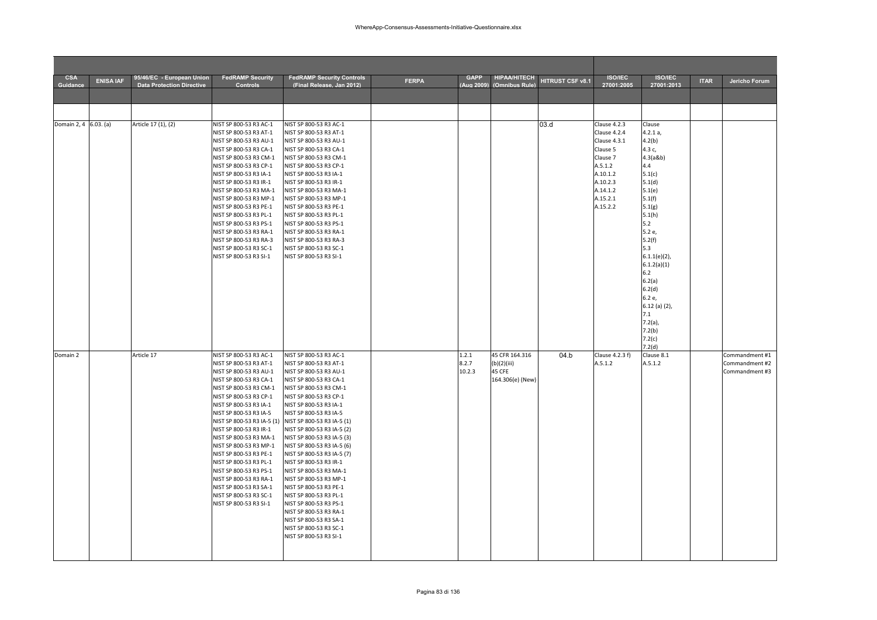| <b>CSA</b><br>Guidance | <b>ENISA IAF</b> | 95/46/EC - European Union<br><b>Data Protection Directive</b> | <b>FedRAMP Security</b><br><b>Controls</b>                                      | <b>FedRAMP Security Controls</b><br>(Final Release, Jan 2012) | <b>FERPA</b> | <b>GAPP</b><br>(Aug 2009) | <b>HIPAA/HITECH</b><br>(Omnibus Rule) | HITRUST CSF v8.1 | <b>ISO/IEC</b><br>27001:2005 | <b>ISO/IEC</b><br>27001:2013 | <b>ITAR</b> | Jericho Forum                    |
|------------------------|------------------|---------------------------------------------------------------|---------------------------------------------------------------------------------|---------------------------------------------------------------|--------------|---------------------------|---------------------------------------|------------------|------------------------------|------------------------------|-------------|----------------------------------|
|                        |                  |                                                               |                                                                                 |                                                               |              |                           |                                       |                  |                              |                              |             |                                  |
|                        |                  |                                                               |                                                                                 |                                                               |              |                           |                                       |                  |                              |                              |             |                                  |
|                        |                  |                                                               |                                                                                 |                                                               |              |                           |                                       |                  |                              |                              |             |                                  |
| Domain 2, 4 6.03. (a)  |                  | Article 17 (1), (2)                                           | NIST SP 800-53 R3 AC-1                                                          | NIST SP 800-53 R3 AC-1                                        |              |                           |                                       | 03.d             | Clause 4.2.3                 | Clause                       |             |                                  |
|                        |                  |                                                               | NIST SP 800-53 R3 AT-1                                                          | NIST SP 800-53 R3 AT-1                                        |              |                           |                                       |                  | Clause 4.2.4                 | 4.2.1 a,                     |             |                                  |
|                        |                  |                                                               | NIST SP 800-53 R3 AU-1<br>NIST SP 800-53 R3 CA-1                                | NIST SP 800-53 R3 AU-1<br>NIST SP 800-53 R3 CA-1              |              |                           |                                       |                  | Clause 4.3.1<br>Clause 5     | 4.2(b)<br>4.3 c,             |             |                                  |
|                        |                  |                                                               | NIST SP 800-53 R3 CM-1                                                          | NIST SP 800-53 R3 CM-1                                        |              |                           |                                       |                  | Clause 7                     | 4.3(a8b)                     |             |                                  |
|                        |                  |                                                               | NIST SP 800-53 R3 CP-1                                                          | NIST SP 800-53 R3 CP-1                                        |              |                           |                                       |                  | A.5.1.2                      | 4.4                          |             |                                  |
|                        |                  |                                                               | NIST SP 800-53 R3 IA-1                                                          | NIST SP 800-53 R3 IA-1                                        |              |                           |                                       |                  | A.10.1.2                     | 5.1(c)                       |             |                                  |
|                        |                  |                                                               | NIST SP 800-53 R3 IR-1                                                          | NIST SP 800-53 R3 IR-1                                        |              |                           |                                       |                  | A.10.2.3                     | 5.1(d)                       |             |                                  |
|                        |                  |                                                               | NIST SP 800-53 R3 MA-1<br>NIST SP 800-53 R3 MP-1                                | NIST SP 800-53 R3 MA-1<br>NIST SP 800-53 R3 MP-1              |              |                           |                                       |                  | A.14.1.2<br>A.15.2.1         | 5.1(e)<br>5.1(f)             |             |                                  |
|                        |                  |                                                               | NIST SP 800-53 R3 PE-1                                                          | NIST SP 800-53 R3 PE-1                                        |              |                           |                                       |                  | A.15.2.2                     | 5.1(g)                       |             |                                  |
|                        |                  |                                                               | NIST SP 800-53 R3 PL-1                                                          | NIST SP 800-53 R3 PL-1                                        |              |                           |                                       |                  |                              | 5.1(h)                       |             |                                  |
|                        |                  |                                                               | NIST SP 800-53 R3 PS-1                                                          | NIST SP 800-53 R3 PS-1                                        |              |                           |                                       |                  |                              | 5.2                          |             |                                  |
|                        |                  |                                                               | NIST SP 800-53 R3 RA-1<br>NIST SP 800-53 R3 RA-3                                | NIST SP 800-53 R3 RA-1<br>NIST SP 800-53 R3 RA-3              |              |                           |                                       |                  |                              | 5.2 e,<br>5.2(f)             |             |                                  |
|                        |                  |                                                               | NIST SP 800-53 R3 SC-1                                                          | NIST SP 800-53 R3 SC-1                                        |              |                           |                                       |                  |                              | 5.3                          |             |                                  |
|                        |                  |                                                               | NIST SP 800-53 R3 SI-1                                                          | NIST SP 800-53 R3 SI-1                                        |              |                           |                                       |                  |                              | $6.1.1(e)(2)$ ,              |             |                                  |
|                        |                  |                                                               |                                                                                 |                                                               |              |                           |                                       |                  |                              | 6.1.2(a)(1)                  |             |                                  |
|                        |                  |                                                               |                                                                                 |                                                               |              |                           |                                       |                  |                              | 6.2                          |             |                                  |
|                        |                  |                                                               |                                                                                 |                                                               |              |                           |                                       |                  |                              | 6.2(a)<br>6.2(d)             |             |                                  |
|                        |                  |                                                               |                                                                                 |                                                               |              |                           |                                       |                  |                              | 6.2 e,                       |             |                                  |
|                        |                  |                                                               |                                                                                 |                                                               |              |                           |                                       |                  |                              | $6.12$ (a) (2),              |             |                                  |
|                        |                  |                                                               |                                                                                 |                                                               |              |                           |                                       |                  |                              | 7.1                          |             |                                  |
|                        |                  |                                                               |                                                                                 |                                                               |              |                           |                                       |                  |                              | $7.2(a)$ ,                   |             |                                  |
|                        |                  |                                                               |                                                                                 |                                                               |              |                           |                                       |                  |                              | 7.2(b)<br>7.2(c)             |             |                                  |
|                        |                  |                                                               |                                                                                 |                                                               |              |                           |                                       |                  |                              | 7.2(d)                       |             |                                  |
| Domain 2               |                  | Article 17                                                    | NIST SP 800-53 R3 AC-1                                                          | NIST SP 800-53 R3 AC-1                                        |              | 1.2.1                     | 45 CFR 164.316                        | 04.b             | Clause 4.2.3 f)              | Clause 8.1                   |             | Commandment #1                   |
|                        |                  |                                                               | NIST SP 800-53 R3 AT-1                                                          | NIST SP 800-53 R3 AT-1                                        |              | 8.2.7                     | (b)(2)(iii)                           |                  | A.5.1.2                      | A.5.1.2                      |             | Commandment #2<br>Commandment #3 |
|                        |                  |                                                               | NIST SP 800-53 R3 AU-1<br>NIST SP 800-53 R3 CA-1                                | NIST SP 800-53 R3 AU-1<br>NIST SP 800-53 R3 CA-1              |              | 10.2.3                    | 45 CFE<br>164.306(e) (New)            |                  |                              |                              |             |                                  |
|                        |                  |                                                               | NIST SP 800-53 R3 CM-1                                                          | NIST SP 800-53 R3 CM-1                                        |              |                           |                                       |                  |                              |                              |             |                                  |
|                        |                  |                                                               | NIST SP 800-53 R3 CP-1                                                          | NIST SP 800-53 R3 CP-1                                        |              |                           |                                       |                  |                              |                              |             |                                  |
|                        |                  |                                                               | NIST SP 800-53 R3 IA-1                                                          | NIST SP 800-53 R3 IA-1                                        |              |                           |                                       |                  |                              |                              |             |                                  |
|                        |                  |                                                               | NIST SP 800-53 R3 IA-5<br>NIST SP 800-53 R3 IA-5 (1) NIST SP 800-53 R3 IA-5 (1) | NIST SP 800-53 R3 IA-5                                        |              |                           |                                       |                  |                              |                              |             |                                  |
|                        |                  |                                                               | NIST SP 800-53 R3 IR-1                                                          | NIST SP 800-53 R3 IA-5 (2)                                    |              |                           |                                       |                  |                              |                              |             |                                  |
|                        |                  |                                                               | NIST SP 800-53 R3 MA-1                                                          | NIST SP 800-53 R3 IA-5 (3)                                    |              |                           |                                       |                  |                              |                              |             |                                  |
|                        |                  |                                                               | NIST SP 800-53 R3 MP-1                                                          | NIST SP 800-53 R3 IA-5 (6)                                    |              |                           |                                       |                  |                              |                              |             |                                  |
|                        |                  |                                                               | NIST SP 800-53 R3 PE-1                                                          | NIST SP 800-53 R3 IA-5 (7)                                    |              |                           |                                       |                  |                              |                              |             |                                  |
|                        |                  |                                                               | NIST SP 800-53 R3 PL-1<br>NIST SP 800-53 R3 PS-1                                | NIST SP 800-53 R3 IR-1<br>NIST SP 800-53 R3 MA-1              |              |                           |                                       |                  |                              |                              |             |                                  |
|                        |                  |                                                               | NIST SP 800-53 R3 RA-1                                                          | NIST SP 800-53 R3 MP-1                                        |              |                           |                                       |                  |                              |                              |             |                                  |
|                        |                  |                                                               | NIST SP 800-53 R3 SA-1                                                          | NIST SP 800-53 R3 PE-1                                        |              |                           |                                       |                  |                              |                              |             |                                  |
|                        |                  |                                                               | NIST SP 800-53 R3 SC-1                                                          | NIST SP 800-53 R3 PL-1                                        |              |                           |                                       |                  |                              |                              |             |                                  |
|                        |                  |                                                               | NIST SP 800-53 R3 SI-1                                                          | NIST SP 800-53 R3 PS-1                                        |              |                           |                                       |                  |                              |                              |             |                                  |
|                        |                  |                                                               |                                                                                 | NIST SP 800-53 R3 RA-1<br>NIST SP 800-53 R3 SA-1              |              |                           |                                       |                  |                              |                              |             |                                  |
|                        |                  |                                                               |                                                                                 | NIST SP 800-53 R3 SC-1                                        |              |                           |                                       |                  |                              |                              |             |                                  |
|                        |                  |                                                               |                                                                                 | NIST SP 800-53 R3 SI-1                                        |              |                           |                                       |                  |                              |                              |             |                                  |
|                        |                  |                                                               |                                                                                 |                                                               |              |                           |                                       |                  |                              |                              |             |                                  |
|                        |                  |                                                               |                                                                                 |                                                               |              |                           |                                       |                  |                              |                              |             |                                  |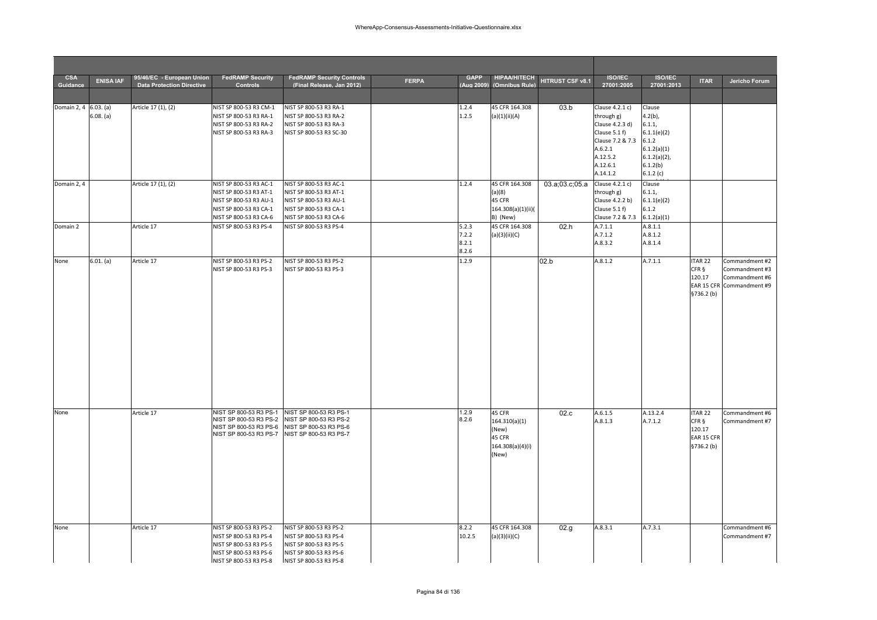| <b>CSA</b><br>Guidance | <b>ENISA IAF</b> | 95/46/EC - European Union<br><b>Data Protection Directive</b> | <b>FedRAMP Security</b><br><b>Controls</b>                                                                                     | <b>FedRAMP Security Controls</b><br>(Final Release. Jan 2012)                                                                  | <b>FERPA</b> | <b>GAPP</b><br>(Aug 2009)        | <b>HIPAA/HITECH</b><br>(Omnibus Rule)                                   | HITRUST CSF v8.1 | <b>ISO/IEC</b><br>27001:2005                                                                                                         | <b>ISO/IEC</b><br>27001:2013                                                                                     | <b>ITAR</b>                                            | Jericho Forum                                                                   |
|------------------------|------------------|---------------------------------------------------------------|--------------------------------------------------------------------------------------------------------------------------------|--------------------------------------------------------------------------------------------------------------------------------|--------------|----------------------------------|-------------------------------------------------------------------------|------------------|--------------------------------------------------------------------------------------------------------------------------------------|------------------------------------------------------------------------------------------------------------------|--------------------------------------------------------|---------------------------------------------------------------------------------|
|                        |                  |                                                               |                                                                                                                                |                                                                                                                                |              |                                  |                                                                         |                  |                                                                                                                                      |                                                                                                                  |                                                        |                                                                                 |
| Domain 2, 4 6.03. (a)  | 6.08. (a)        | Article 17 (1), (2)                                           | NIST SP 800-53 R3 CM-1<br>NIST SP 800-53 R3 RA-1<br>NIST SP 800-53 R3 RA-2<br>NIST SP 800-53 R3 RA-3                           | NIST SP 800-53 R3 RA-1<br>NIST SP 800-53 R3 RA-2<br>NIST SP 800-53 R3 RA-3<br>NIST SP 800-53 R3 SC-30                          |              | 1.2.4<br>1.2.5                   | 45 CFR 164.308<br>(a)(1)(ii)(A)                                         | 03.b             | Clause 4.2.1 c)<br>through g)<br>Clause 4.2.3 d)<br>Clause 5.1 f)<br>Clause 7.2 & 7.3<br>A.6.2.1<br>A.12.5.2<br>A.12.6.1<br>A.14.1.2 | Clause<br>$4.2(b)$ ,<br>6.1.1,<br>6.1.1(e)(2)<br>6.1.2<br>6.1.2(a)(1)<br>$6.1.2(a)(2)$ ,<br>6.1.2(b)<br>6.1.2(c) |                                                        |                                                                                 |
| Domain 2, 4            |                  | Article 17 (1), (2)                                           | NIST SP 800-53 R3 AC-1<br>NIST SP 800-53 R3 AT-1<br>NIST SP 800-53 R3 AU-1<br>NIST SP 800-53 R3 CA-1<br>NIST SP 800-53 R3 CA-6 | NIST SP 800-53 R3 AC-1<br>NIST SP 800-53 R3 AT-1<br>NIST SP 800-53 R3 AU-1<br>NIST SP 800-53 R3 CA-1<br>NIST SP 800-53 R3 CA-6 |              | 1.2.4                            | 45 CFR 164.308<br>(a)(8)<br>45 CFR<br>164.308(a)(1)(ii)(<br>B) (New)    | 03.a;03.c;05.a   | Clause 4.2.1 c)<br>through g)<br>Clause 4.2.2 b)<br>Clause 5.1 f)<br>Clause 7.2 & 7.3                                                | Clause<br>6.1.1,<br>6.1.1(e)(2)<br>6.1.2<br>6.1.2(a)(1)                                                          |                                                        |                                                                                 |
| Domain 2               |                  | Article 17                                                    | NIST SP 800-53 R3 PS-4                                                                                                         | NIST SP 800-53 R3 PS-4                                                                                                         |              | 5.2.3<br>7.2.2<br>8.2.1<br>8.2.6 | 45 CFR 164.308<br>(a)(3)(ii)(C)                                         | 02.h             | A.7.1.1<br>A.7.1.2<br>A.8.3.2                                                                                                        | A.8.1.1<br>A.8.1.2<br>A.8.1.4                                                                                    |                                                        |                                                                                 |
| None                   | 6.01. (a)        | Article 17                                                    | NIST SP 800-53 R3 PS-2<br>NIST SP 800-53 R3 PS-3                                                                               | NIST SP 800-53 R3 PS-2<br>NIST SP 800-53 R3 PS-3                                                                               |              | 1.2.9                            |                                                                         | 02.b             | A.8.1.2                                                                                                                              | A.7.1.1                                                                                                          | ITAR <sub>22</sub><br>CFR §<br>120.17<br>\$736.2(b)    | Commandment #2<br>Commandment #3<br>Commandment #6<br>EAR 15 CFR Commandment #9 |
| None                   |                  | Article 17                                                    | NIST SP 800-53 R3 PS-1<br>NIST SP 800-53 R3 PS-2<br>NIST SP 800-53 R3 PS-6<br>NIST SP 800-53 R3 PS-7                           | NIST SP 800-53 R3 PS-1<br>NIST SP 800-53 R3 PS-2<br>NIST SP 800-53 R3 PS-6<br>NIST SP 800-53 R3 PS-7                           |              | 1.2.9<br>8.2.6                   | 45 CFR<br>164.310(a)(1)<br>(New)<br>45 CFR<br>164.308(a)(4)(i)<br>(New) | 02.c             | A.6.1.5<br>A.8.1.3                                                                                                                   | A.13.2.4<br>A.7.1.2                                                                                              | ITAR 22<br>CFR §<br>120.17<br>EAR 15 CFR<br>§736.2 (b) | Commandment #6<br>Commandment #7                                                |
| None                   |                  | Article 17                                                    | NIST SP 800-53 R3 PS-2<br>NIST SP 800-53 R3 PS-4<br>NIST SP 800-53 R3 PS-5<br>NIST SP 800-53 R3 PS-6<br>NIST SP 800-53 R3 PS-8 | NIST SP 800-53 R3 PS-2<br>NIST SP 800-53 R3 PS-4<br>NIST SP 800-53 R3 PS-5<br>NIST SP 800-53 R3 PS-6<br>NIST SP 800-53 R3 PS-8 |              | 8.2.2<br>10.2.5                  | 45 CFR 164.308<br>(a)(3)(ii)(C)                                         | 02.g.            | A.8.3.1                                                                                                                              | A.7.3.1                                                                                                          |                                                        | Commandment #6<br>Commandment #7                                                |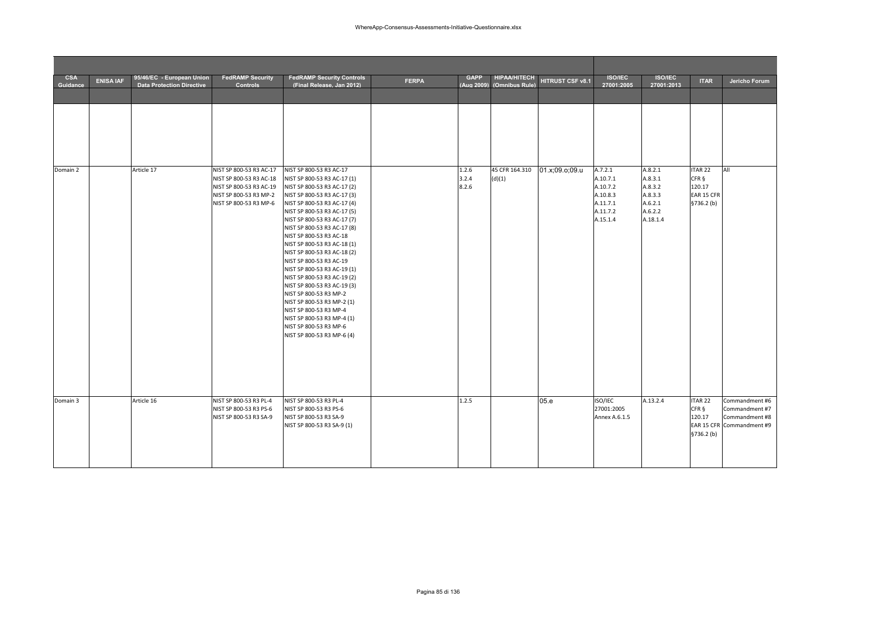| <b>CSA</b><br>Guidance | <b>ENISA IAF</b> | 95/46/EC - European Union<br><b>Data Protection Directive</b> | <b>FedRAMP Security</b><br><b>Controls</b>                                                                                        | <b>FedRAMP Security Controls</b><br>(Final Release. Jan 2012)                                                                                                                                                                                                                                                                                                                                                                                                                                                                                                                                                                             | <b>FERPA</b> | <b>GAPP</b><br>(Aug 2009) | <b>HIPAA/HITECH</b><br>(Omnibus Rule) | HITRUST CSF v8.1 | <b>ISO/IEC</b><br>27001:2005                                                    | <b>ISO/IEC</b><br>27001:2013                                               | <b>ITAR</b>                                                      | Jericho Forum                                                                   |
|------------------------|------------------|---------------------------------------------------------------|-----------------------------------------------------------------------------------------------------------------------------------|-------------------------------------------------------------------------------------------------------------------------------------------------------------------------------------------------------------------------------------------------------------------------------------------------------------------------------------------------------------------------------------------------------------------------------------------------------------------------------------------------------------------------------------------------------------------------------------------------------------------------------------------|--------------|---------------------------|---------------------------------------|------------------|---------------------------------------------------------------------------------|----------------------------------------------------------------------------|------------------------------------------------------------------|---------------------------------------------------------------------------------|
|                        |                  |                                                               |                                                                                                                                   |                                                                                                                                                                                                                                                                                                                                                                                                                                                                                                                                                                                                                                           |              |                           |                                       |                  |                                                                                 |                                                                            |                                                                  |                                                                                 |
|                        |                  |                                                               |                                                                                                                                   |                                                                                                                                                                                                                                                                                                                                                                                                                                                                                                                                                                                                                                           |              |                           |                                       |                  |                                                                                 |                                                                            |                                                                  |                                                                                 |
| Domain 2               |                  | Article 17                                                    | NIST SP 800-53 R3 AC-17<br>NIST SP 800-53 R3 AC-18<br>NIST SP 800-53 R3 AC-19<br>NIST SP 800-53 R3 MP-2<br>NIST SP 800-53 R3 MP-6 | NIST SP 800-53 R3 AC-17<br>NIST SP 800-53 R3 AC-17 (1)<br>NIST SP 800-53 R3 AC-17 (2)<br>NIST SP 800-53 R3 AC-17 (3)<br>NIST SP 800-53 R3 AC-17 (4)<br>NIST SP 800-53 R3 AC-17 (5)<br>NIST SP 800-53 R3 AC-17 (7)<br>NIST SP 800-53 R3 AC-17 (8)<br>NIST SP 800-53 R3 AC-18<br>NIST SP 800-53 R3 AC-18 (1)<br>NIST SP 800-53 R3 AC-18 (2)<br>NIST SP 800-53 R3 AC-19<br>NIST SP 800-53 R3 AC-19 (1)<br>NIST SP 800-53 R3 AC-19 (2)<br>NIST SP 800-53 R3 AC-19 (3)<br>NIST SP 800-53 R3 MP-2<br>NIST SP 800-53 R3 MP-2 (1)<br>NIST SP 800-53 R3 MP-4<br>NIST SP 800-53 R3 MP-4 (1)<br>NIST SP 800-53 R3 MP-6<br>NIST SP 800-53 R3 MP-6 (4) |              | 1.2.6<br>3.2.4<br>8.2.6   | 45 CFR 164.310<br>(d)(1)              | 01.x;09.o;09.u   | A.7.2.1<br>A.10.7.1<br>A.10.7.2<br>A.10.8.3<br>A.11.7.1<br>A.11.7.2<br>A.15.1.4 | A.8.2.1<br>A.8.3.1<br>A.8.3.2<br>A.8.3.3<br>A.6.2.1<br>A.6.2.2<br>A.18.1.4 | ITAR <sub>22</sub><br>CFR §<br>120.17<br>EAR 15 CFR<br>§736.2(b) | All                                                                             |
| Domain 3               |                  | Article 16                                                    | NIST SP 800-53 R3 PL-4<br>NIST SP 800-53 R3 PS-6<br>NIST SP 800-53 R3 SA-9                                                        | NIST SP 800-53 R3 PL-4<br>NIST SP 800-53 R3 PS-6<br>NIST SP 800-53 R3 SA-9<br>NIST SP 800-53 R3 SA-9 (1)                                                                                                                                                                                                                                                                                                                                                                                                                                                                                                                                  |              | 1.2.5                     |                                       | 05.e             | ISO/IEC<br>27001:2005<br>Annex A.6.1.5                                          | A.13.2.4                                                                   | <b>ITAR 22</b><br>CFR §<br>120.17<br>§736.2 (b)                  | Commandment #6<br>Commandment #7<br>Commandment #8<br>EAR 15 CFR Commandment #9 |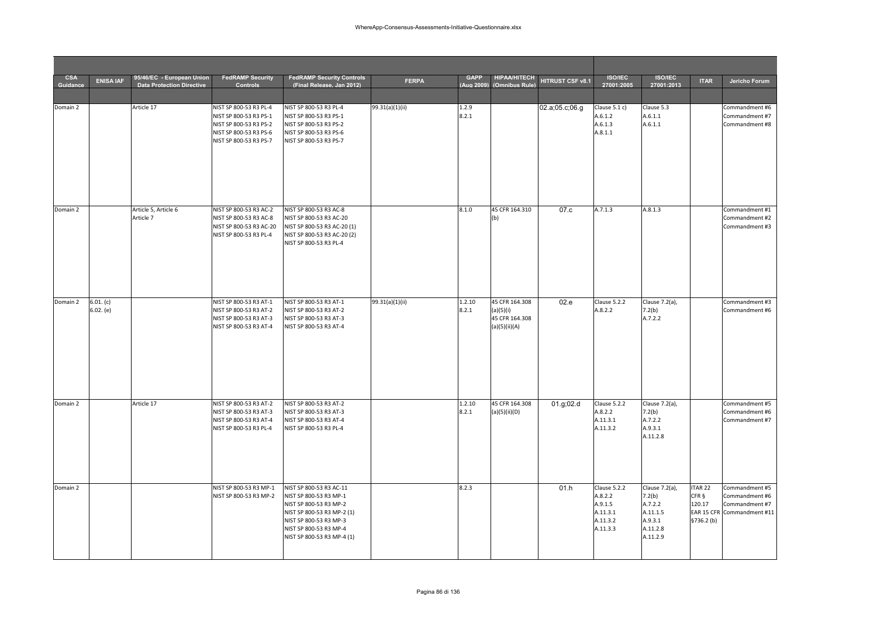| <b>CSA</b><br>Guidance | <b>ENISA IAF</b>       | 95/46/EC - European Union<br><b>Data Protection Directive</b> | <b>FedRAMP Security</b><br><b>Controls</b>                                                                                     | <b>FedRAMP Security Controls</b><br>(Final Release, Jan 2012)                                                                                                                               | <b>FERPA</b>    | <b>GAPP</b><br>(Aug 2009) | <b>HIPAA/HITECH</b><br>(Omnibus Rule)                          | HITRUST CSF v8.1 | <b>ISO/IEC</b><br>27001:2005                                           | <b>ISO/IEC</b><br>27001:2013                                                       | <b>ITAR</b>                                    | Jericho Forum                                                                    |
|------------------------|------------------------|---------------------------------------------------------------|--------------------------------------------------------------------------------------------------------------------------------|---------------------------------------------------------------------------------------------------------------------------------------------------------------------------------------------|-----------------|---------------------------|----------------------------------------------------------------|------------------|------------------------------------------------------------------------|------------------------------------------------------------------------------------|------------------------------------------------|----------------------------------------------------------------------------------|
|                        |                        |                                                               |                                                                                                                                |                                                                                                                                                                                             |                 |                           |                                                                |                  |                                                                        |                                                                                    |                                                |                                                                                  |
| Domain 2               |                        | Article 17                                                    | NIST SP 800-53 R3 PL-4<br>NIST SP 800-53 R3 PS-1<br>NIST SP 800-53 R3 PS-2<br>NIST SP 800-53 R3 PS-6<br>NIST SP 800-53 R3 PS-7 | NIST SP 800-53 R3 PL-4<br>NIST SP 800-53 R3 PS-1<br>NIST SP 800-53 R3 PS-2<br>NIST SP 800-53 R3 PS-6<br>NIST SP 800-53 R3 PS-7                                                              | 99.31(a)(1)(ii) | 1.2.9<br>8.2.1            |                                                                | 02.a;05.c;06.g   | Clause 5.1 c)<br>A.6.1.2<br>A.6.1.3<br>A.8.1.1                         | Clause 5.3<br>A.6.1.1<br>A.6.1.1                                                   |                                                | Commandment #6<br>Commandment #7<br>Commandment #8                               |
| Domain 2               |                        | Article 5, Article 6<br>Article 7                             | NIST SP 800-53 R3 AC-2<br>NIST SP 800-53 R3 AC-8<br>NIST SP 800-53 R3 AC-20<br>NIST SP 800-53 R3 PL-4                          | NIST SP 800-53 R3 AC-8<br>NIST SP 800-53 R3 AC-20<br>NIST SP 800-53 R3 AC-20 (1)<br>NIST SP 800-53 R3 AC-20 (2)<br>NIST SP 800-53 R3 PL-4                                                   |                 | 8.1.0                     | 45 CFR 164.310<br>(b)                                          | 07.c             | A.7.1.3                                                                | A.8.1.3                                                                            |                                                | Commandment #1<br>Commandment #2<br>Commandment #3                               |
| Domain 2               | 6.01. (c)<br>6.02. (e) |                                                               | NIST SP 800-53 R3 AT-1<br>NIST SP 800-53 R3 AT-2<br>NIST SP 800-53 R3 AT-3<br>NIST SP 800-53 R3 AT-4                           | NIST SP 800-53 R3 AT-1<br>NIST SP 800-53 R3 AT-2<br>NIST SP 800-53 R3 AT-3<br>NIST SP 800-53 R3 AT-4                                                                                        | 99.31(a)(1)(ii) | 1.2.10<br>8.2.1           | 45 CFR 164.308<br>(a)(5)(i)<br>45 CFR 164.308<br>(a)(5)(ii)(A) | 02.e             | Clause 5.2.2<br>A.8.2.2                                                | Clause 7.2(a),<br>7.2(b)<br>A.7.2.2                                                |                                                | Commandment #3<br>Commandment #6                                                 |
| Domain 2               |                        | Article 17                                                    | NIST SP 800-53 R3 AT-2<br>NIST SP 800-53 R3 AT-3<br>NIST SP 800-53 R3 AT-4<br>NIST SP 800-53 R3 PL-4                           | NIST SP 800-53 R3 AT-2<br>NIST SP 800-53 R3 AT-3<br>NIST SP 800-53 R3 AT-4<br>NIST SP 800-53 R3 PL-4                                                                                        |                 | 1.2.10<br>8.2.1           | 45 CFR 164.308<br>(a)(5)(ii)(D)                                | 01.g; 02.d       | Clause 5.2.2<br>A.8.2.2<br>A.11.3.1<br>A.11.3.2                        | Clause 7.2(a),<br>7.2(b)<br>A.7.2.2<br>A.9.3.1<br>A.11.2.8                         |                                                | Commandment #5<br>Commandment #6<br>Commandment #7                               |
| Domain 2               |                        |                                                               | NIST SP 800-53 R3 MP-1<br>NIST SP 800-53 R3 MP-2                                                                               | NIST SP 800-53 R3 AC-11<br>NIST SP 800-53 R3 MP-1<br>NIST SP 800-53 R3 MP-2<br>NIST SP 800-53 R3 MP-2 (1)<br>NIST SP 800-53 R3 MP-3<br>NIST SP 800-53 R3 MP-4<br>NIST SP 800-53 R3 MP-4 (1) |                 | 8.2.3                     |                                                                | 01.h             | Clause 5.2.2<br>A.8.2.2<br>A.9.1.5<br>A.11.3.1<br>A.11.3.2<br>A.11.3.3 | Clause 7.2(a),<br>7.2(b)<br>A.7.2.2<br>A.11.1.5<br>A.9.3.1<br>A.11.2.8<br>A.11.2.9 | <b>TAR 22</b><br>CFR §<br>120.17<br>§736.2 (b) | Commandment #5<br>Commandment #6<br>Commandment #7<br>EAR 15 CFR Commandment #11 |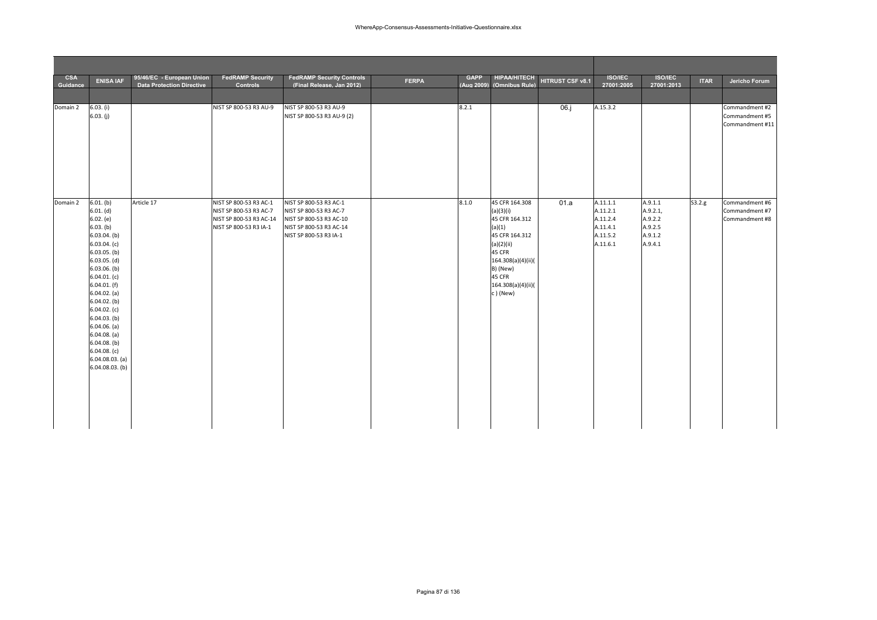| <b>CSA</b><br>Guidance | <b>ENISA IAF</b>                                                                                                                                                                                                                                                                                                                                                 | 95/46/EC - European Union<br>Data Protection Directive | <b>FedRAMP Security</b><br>Controls                                                                   | <b>FedRAMP Security Controls</b><br>(Final Release, Jan 2012)                                                                    | <b>FERPA</b> | <b>GAPP</b> | <b>HIPAA/HITECH</b><br>(Aug 2009) (Omnibus Rule)                                                                                                                                | HITRUST CSF v8.1 | <b>ISO/IEC</b><br>27001:2005                                         | <b>ISO/IEC</b><br>27001:2013                                    | <b>ITAR</b> | Jericho Forum                                       |
|------------------------|------------------------------------------------------------------------------------------------------------------------------------------------------------------------------------------------------------------------------------------------------------------------------------------------------------------------------------------------------------------|--------------------------------------------------------|-------------------------------------------------------------------------------------------------------|----------------------------------------------------------------------------------------------------------------------------------|--------------|-------------|---------------------------------------------------------------------------------------------------------------------------------------------------------------------------------|------------------|----------------------------------------------------------------------|-----------------------------------------------------------------|-------------|-----------------------------------------------------|
| Domain 2               | 6.03. (i)<br>6.03. (j)                                                                                                                                                                                                                                                                                                                                           |                                                        | NIST SP 800-53 R3 AU-9                                                                                | NIST SP 800-53 R3 AU-9<br>NIST SP 800-53 R3 AU-9 (2)                                                                             |              | 8.2.1       |                                                                                                                                                                                 | 06.j             | A.15.3.2                                                             |                                                                 |             | Commandment #2<br>Commandment #5<br>Commandment #11 |
| Domain 2               | 6.01. (b)<br>6.01. (d)<br>6.02. (e)<br>6.03. (b)<br>$6.03.04.$ (b)<br>6.03.04. (c)<br>$6.03.05.$ (b)<br>$6.03.05.$ (d)<br>$6.03.06.$ (b)<br>6.04.01. (c)<br>$6.04.01.$ (f)<br>$6.04.02.$ (a)<br>$6.04.02.$ (b)<br>6.04.02. (c)<br>$6.04.03.$ (b)<br>$6.04.06.$ (a)<br>$6.04.08.$ (a)<br>$6.04.08.$ (b)<br>6.04.08. (c)<br>$6.04.08.03.$ (a)<br>$6.04.08.03.$ (b) | Article 17                                             | NIST SP 800-53 R3 AC-1<br>NIST SP 800-53 R3 AC-7<br>NIST SP 800-53 R3 AC-14<br>NIST SP 800-53 R3 IA-1 | NIST SP 800-53 R3 AC-1<br>NIST SP 800-53 R3 AC-7<br>NIST SP 800-53 R3 AC-10<br>NIST SP 800-53 R3 AC-14<br>NIST SP 800-53 R3 IA-1 |              | 8.1.0       | 45 CFR 164.308<br>(a)(3)(i)<br>45 CFR 164.312<br>(a)(1)<br>45 CFR 164.312<br>(a)(2)(ii)<br>45 CFR<br>164.308(a)(4)(ii)(<br>B) (New)<br>45 CFR<br>164.308(a)(4)(ii)(<br>c) (New) | 01.a             | A.11.1.1<br>A.11.2.1<br>A.11.2.4<br>A.11.4.1<br>A.11.5.2<br>A.11.6.1 | A.9.1.1<br>A.9.2.1,<br>A.9.2.2<br>A.9.2.5<br>A.9.1.2<br>A.9.4.1 | 53.2.g      | Commandment #6<br>Commandment #7<br>Commandment #8  |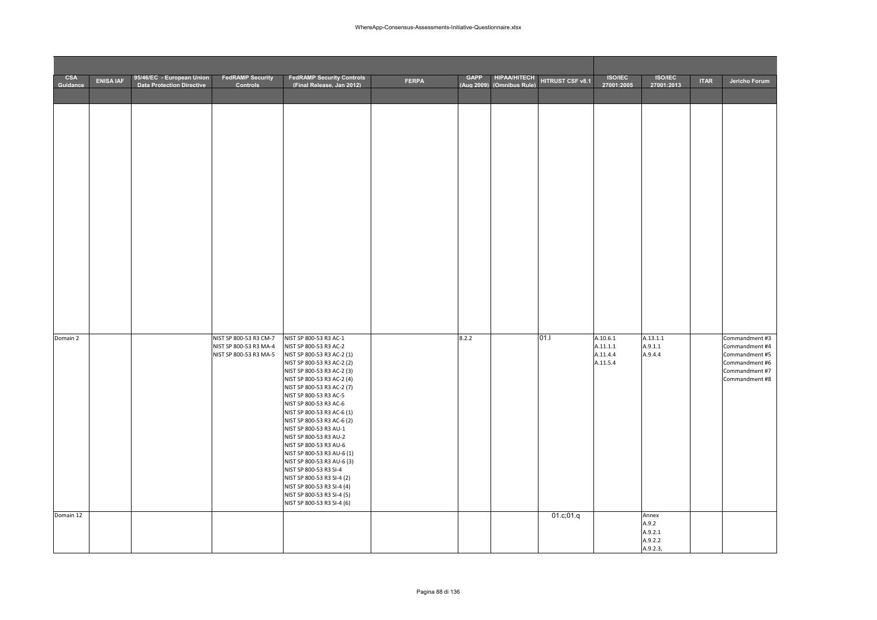| <b>CSA</b><br>Guidance | <b>ENISA IAF</b> | 95/46/EC - European Union<br><b>Data Protection Directive</b> | <b>FedRAMP Security</b><br>Controls                                        | <b>FedRAMP Security Controls</b><br>(Final Release. Jan 2012)                                                                                                                                                                                                                                                                                                                                                                                                                                                                                                                                                      | <b>FERPA</b> | <b>GAPP</b><br>(Aug 2009) | <b>HIPAA/HITECH</b><br>(Omnibus Rule) | HITRUST CSF v8.1  | <b>ISO/IEC</b><br>27001:2005                 | <b>ISO/IEC</b><br>27001:2013            | <b>ITAR</b> | Jericho Forum                                                                                            |
|------------------------|------------------|---------------------------------------------------------------|----------------------------------------------------------------------------|--------------------------------------------------------------------------------------------------------------------------------------------------------------------------------------------------------------------------------------------------------------------------------------------------------------------------------------------------------------------------------------------------------------------------------------------------------------------------------------------------------------------------------------------------------------------------------------------------------------------|--------------|---------------------------|---------------------------------------|-------------------|----------------------------------------------|-----------------------------------------|-------------|----------------------------------------------------------------------------------------------------------|
|                        |                  |                                                               |                                                                            |                                                                                                                                                                                                                                                                                                                                                                                                                                                                                                                                                                                                                    |              |                           |                                       |                   |                                              |                                         |             |                                                                                                          |
| Domain 2<br>Domain 12  |                  |                                                               | NIST SP 800-53 R3 CM-7<br>NIST SP 800-53 R3 MA-4<br>NIST SP 800-53 R3 MA-5 | NIST SP 800-53 R3 AC-1<br>NIST SP 800-53 R3 AC-2<br>NIST SP 800-53 R3 AC-2 (1)<br>NIST SP 800-53 R3 AC-2 (2)<br>NIST SP 800-53 R3 AC-2 (3)<br>NIST SP 800-53 R3 AC-2 (4)<br>NIST SP 800-53 R3 AC-2 (7)<br>NIST SP 800-53 R3 AC-5<br>NIST SP 800-53 R3 AC-6<br>NIST SP 800-53 R3 AC-6 (1)<br>NIST SP 800-53 R3 AC-6 (2)<br>NIST SP 800-53 R3 AU-1<br>NIST SP 800-53 R3 AU-2<br>NIST SP 800-53 R3 AU-6<br>NIST SP 800-53 R3 AU-6 (1)<br>NIST SP 800-53 R3 AU-6 (3)<br>NIST SP 800-53 R3 SI-4<br>NIST SP 800-53 R3 SI-4 (2)<br>NIST SP 800-53 R3 SI-4 (4)<br>NIST SP 800-53 R3 SI-4 (5)<br>NIST SP 800-53 R3 SI-4 (6) |              | 8.2.2                     |                                       | 01.1<br>01.c;01.q | A.10.6.1<br>A.11.1.1<br>A.11.4.4<br>A.11.5.4 | A.13.1.1<br>A.9.1.1<br>A.9.4.4<br>Annex |             | Commandment #3<br>Commandment #4<br>Commandment #5<br>Commandment #6<br>Commandment #7<br>Commandment #8 |
|                        |                  |                                                               |                                                                            |                                                                                                                                                                                                                                                                                                                                                                                                                                                                                                                                                                                                                    |              |                           |                                       |                   |                                              | A.9.2<br>A.9.2.1<br>A.9.2.2<br>A.9.2.3, |             |                                                                                                          |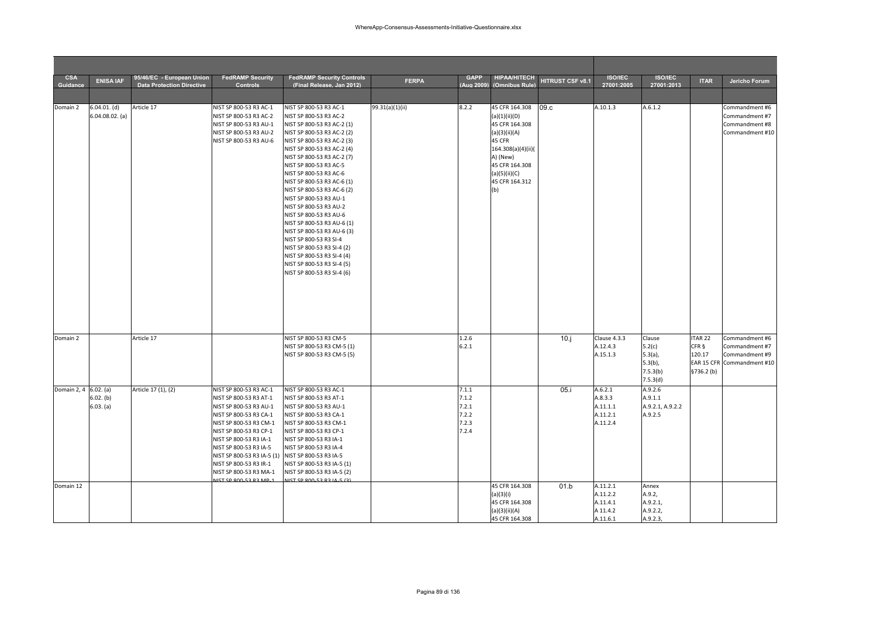| <b>CSA</b><br>Guidance | <b>ENISA IAF</b>                    | 95/46/EC - European Union<br><b>Data Protection Directive</b> | <b>FedRAMP Security</b><br><b>Controls</b>                                                                                                                                                                                                                                                                                                             | <b>FedRAMP Security Controls</b><br>(Final Release, Jan 2012)                                                                                                                                                                                                                                                                                                                                                                                                                                                                                                                                                      | <b>FERPA</b>    | <b>GAPP</b><br>(Aug 2009)                          | <b>HIPAA/HITECH</b><br>(Omnibus Rule)                                                                                                                                      | HITRUST CSF v8.1 | <b>ISO/IEC</b><br>27001:2005                             | <b>ISO/IEC</b><br>27001:2013                                         | <b>ITAR</b>                                        | Jericho Forum                                                                    |
|------------------------|-------------------------------------|---------------------------------------------------------------|--------------------------------------------------------------------------------------------------------------------------------------------------------------------------------------------------------------------------------------------------------------------------------------------------------------------------------------------------------|--------------------------------------------------------------------------------------------------------------------------------------------------------------------------------------------------------------------------------------------------------------------------------------------------------------------------------------------------------------------------------------------------------------------------------------------------------------------------------------------------------------------------------------------------------------------------------------------------------------------|-----------------|----------------------------------------------------|----------------------------------------------------------------------------------------------------------------------------------------------------------------------------|------------------|----------------------------------------------------------|----------------------------------------------------------------------|----------------------------------------------------|----------------------------------------------------------------------------------|
|                        |                                     |                                                               |                                                                                                                                                                                                                                                                                                                                                        |                                                                                                                                                                                                                                                                                                                                                                                                                                                                                                                                                                                                                    |                 |                                                    |                                                                                                                                                                            |                  |                                                          |                                                                      |                                                    |                                                                                  |
| Domain 2               | $6.04.01.$ (d)<br>$6.04.08.02.$ (a) | Article 17                                                    | NIST SP 800-53 R3 AC-1<br>NIST SP 800-53 R3 AC-2<br>NIST SP 800-53 R3 AU-1<br>NIST SP 800-53 R3 AU-2<br>NIST SP 800-53 R3 AU-6                                                                                                                                                                                                                         | NIST SP 800-53 R3 AC-1<br>NIST SP 800-53 R3 AC-2<br>NIST SP 800-53 R3 AC-2 (1)<br>NIST SP 800-53 R3 AC-2 (2)<br>NIST SP 800-53 R3 AC-2 (3)<br>NIST SP 800-53 R3 AC-2 (4)<br>NIST SP 800-53 R3 AC-2 (7)<br>NIST SP 800-53 R3 AC-5<br>NIST SP 800-53 R3 AC-6<br>NIST SP 800-53 R3 AC-6 (1)<br>NIST SP 800-53 R3 AC-6 (2)<br>NIST SP 800-53 R3 AU-1<br>NIST SP 800-53 R3 AU-2<br>NIST SP 800-53 R3 AU-6<br>NIST SP 800-53 R3 AU-6 (1)<br>NIST SP 800-53 R3 AU-6 (3)<br>NIST SP 800-53 R3 SI-4<br>NIST SP 800-53 R3 SI-4 (2)<br>NIST SP 800-53 R3 SI-4 (4)<br>NIST SP 800-53 R3 SI-4 (5)<br>NIST SP 800-53 R3 SI-4 (6) | 99.31(a)(1)(ii) | 8.2.2                                              | 45 CFR 164.308<br>(a)(1)(ii)(D)<br>45 CFR 164.308<br>(a)(3)(ii)(A)<br>45 CFR<br>164.308(a)(4)(ii)(<br>A) (New)<br>45 CFR 164.308<br>(a)(5)(ii)(C)<br>45 CFR 164.312<br>(b) | 09.c             | A.10.1.3                                                 | A.6.1.2                                                              |                                                    | Commandment #6<br>Commandment #7<br>Commandment #8<br>Commandment #10            |
| Domain 2               |                                     | Article 17                                                    |                                                                                                                                                                                                                                                                                                                                                        | NIST SP 800-53 R3 CM-5<br>NIST SP 800-53 R3 CM-5 (1)<br>NIST SP 800-53 R3 CM-5 (5)                                                                                                                                                                                                                                                                                                                                                                                                                                                                                                                                 |                 | 1.2.6<br>6.2.1                                     |                                                                                                                                                                            | 10.1             | Clause 4.3.3<br>A.12.4.3<br>A.15.1.3                     | Clause<br>5.2(c)<br>$5.3(a)$ ,<br>$5.3(b)$ ,<br>7.5.3(b)<br>7.5.3(d) | ITAR <sub>22</sub><br>CFR §<br>120.17<br>§736.2(b) | Commandment #6<br>Commandment #7<br>Commandment #9<br>EAR 15 CFR Commandment #10 |
| Domain 2, 4 6.02. (a)  | 6.02. (b)<br>6.03. (a)              | Article 17 (1), (2)                                           | NIST SP 800-53 R3 AC-1<br>NIST SP 800-53 R3 AT-1<br>NIST SP 800-53 R3 AU-1<br>NIST SP 800-53 R3 CA-1<br>NIST SP 800-53 R3 CM-1<br>NIST SP 800-53 R3 CP-1<br>NIST SP 800-53 R3 IA-1<br>NIST SP 800-53 R3 IA-5<br>NIST SP 800-53 R3 IA-5 (1) NIST SP 800-53 R3 IA-5<br>NIST SP 800-53 R3 IR-1<br>NIST SP 800-53 R3 MA-1<br><b>NIST SP 800-53 R3 MP-1</b> | NIST SP 800-53 R3 AC-1<br>NIST SP 800-53 R3 AT-1<br>NIST SP 800-53 R3 AU-1<br>NIST SP 800-53 R3 CA-1<br>NIST SP 800-53 R3 CM-1<br>NIST SP 800-53 R3 CP-1<br>NIST SP 800-53 R3 IA-1<br>NIST SP 800-53 R3 IA-4<br>NIST SP 800-53 R3 IA-5 (1)<br>NIST SP 800-53 R3 IA-5 (2)<br>NIST SP 800-53 R3 IA-5 (3)                                                                                                                                                                                                                                                                                                             |                 | 7.1.1<br>7.1.2<br>7.2.1<br>7.2.2<br>7.2.3<br>7.2.4 |                                                                                                                                                                            | 05.i             | A.6.2.1<br>A.8.3.3<br>A.11.1.1<br>A.11.2.1<br>A.11.2.4   | A.9.2.6<br>A.9.1.1<br>A.9.2.1, A.9.2.2<br>A.9.2.5                    |                                                    |                                                                                  |
| Domain 12              |                                     |                                                               |                                                                                                                                                                                                                                                                                                                                                        |                                                                                                                                                                                                                                                                                                                                                                                                                                                                                                                                                                                                                    |                 |                                                    | 45 CFR 164.308<br>(a)(3)(i)<br>45 CFR 164.308<br>(a)(3)(ii)(A)<br>45 CFR 164.308                                                                                           | 01.b             | A.11.2.1<br>A.11.2.2<br>A.11.4.1<br>A 11.4.2<br>A.11.6.1 | Annex<br>A.9.2,<br>A.9.2.1,<br>A.9.2.2,<br>A.9.2.3,                  |                                                    |                                                                                  |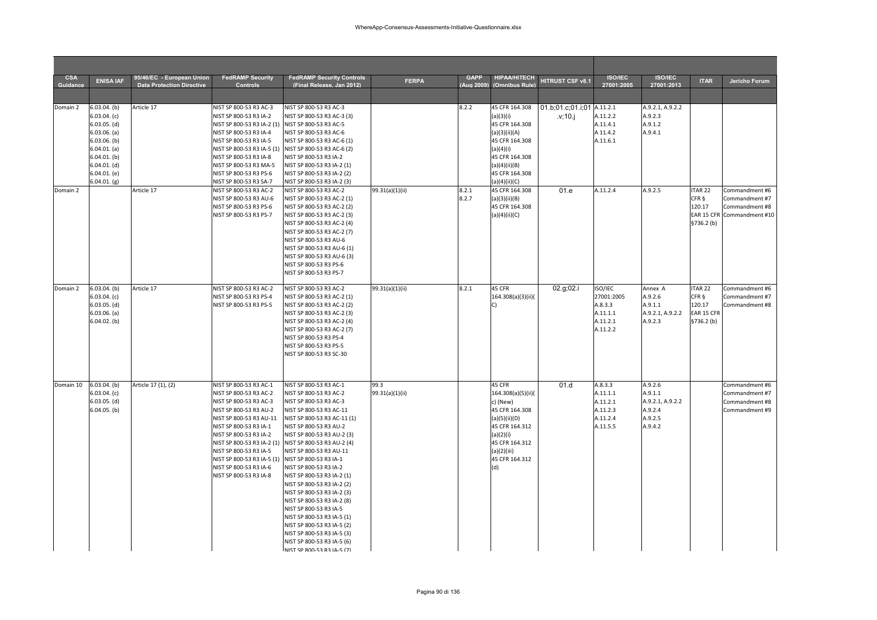| <b>CSA</b> | <b>ENISA IAF</b> | 95/46/EC - European Union        | <b>FedRAMP Security</b>                           | <b>FedRAMP Security Controls</b> | <b>FERPA</b>    | <b>GAPP</b> | <b>HIPAA/HITECH</b> | HITRUST CSF v8.1           | <b>ISO/IEC</b> | <b>ISO/IEC</b>   | <b>ITAR</b>        | Jericho Forum              |
|------------|------------------|----------------------------------|---------------------------------------------------|----------------------------------|-----------------|-------------|---------------------|----------------------------|----------------|------------------|--------------------|----------------------------|
| Guidance   |                  | <b>Data Protection Directive</b> | Controls                                          | (Final Release, Jan 2012)        |                 | Aua 2009    | (Omnibus Rule)      |                            | 27001:2005     | 27001:2013       |                    |                            |
| Domain 2   | $6.03.04.$ (b)   | Article 17                       | NIST SP 800-53 R3 AC-3                            | NIST SP 800-53 R3 AC-3           |                 | 8.2.2       | 45 CFR 164.308      | 01.b;01.c;01.i;01 A.11.2.1 |                | A.9.2.1, A.9.2.2 |                    |                            |
|            | $6.03.04.$ (c)   |                                  | NIST SP 800-53 R3 IA-2                            | NIST SP 800-53 R3 AC-3 (3)       |                 |             | (a)(3)(i)           | .v;10.j                    | A.11.2.2       | A.9.2.3          |                    |                            |
|            | $6.03.05.$ (d)   |                                  | NIST SP 800-53 R3 IA-2 (1) NIST SP 800-53 R3 AC-5 |                                  |                 |             | 45 CFR 164.308      |                            | A.11.4.1       | A.9.1.2          |                    |                            |
|            | $6.03.06.$ (a)   |                                  | NIST SP 800-53 R3 IA-4                            | NIST SP 800-53 R3 AC-6           |                 |             | (a)(3)(ii)(A)       |                            | A 11.4.2       | A.9.4.1          |                    |                            |
|            | $6.03.06.$ (b)   |                                  | NIST SP 800-53 R3 IA-5                            | NIST SP 800-53 R3 AC-6 (1)       |                 |             | 45 CFR 164.308      |                            | A.11.6.1       |                  |                    |                            |
|            | $6.04.01.$ (a)   |                                  | NIST SP 800-53 R3 IA-5 (1)                        | NIST SP 800-53 R3 AC-6 (2)       |                 |             | (a)(4)(i)           |                            |                |                  |                    |                            |
|            | $6.04.01.$ (b)   |                                  | NIST SP 800-53 R3 IA-8                            | NIST SP 800-53 R3 IA-2           |                 |             | 45 CFR 164.308      |                            |                |                  |                    |                            |
|            | $6.04.01.$ (d)   |                                  | NIST SP 800-53 R3 MA-5                            | NIST SP 800-53 R3 IA-2 (1)       |                 |             | (a)(4)(ii)(B)       |                            |                |                  |                    |                            |
|            | 6.04.01. (e)     |                                  | NIST SP 800-53 R3 PS-6                            | NIST SP 800-53 R3 IA-2 (2)       |                 |             | 45 CFR 164.308      |                            |                |                  |                    |                            |
|            | 6.04.01. (g)     |                                  | NIST SP 800-53 R3 SA-7                            | NIST SP 800-53 R3 IA-2 (3)       |                 |             | (a)(4)(ii)(C)       |                            |                |                  |                    |                            |
| Domain 2   |                  | Article 17                       | NIST SP 800-53 R3 AC-2                            | NIST SP 800-53 R3 AC-2           | 99.31(a)(1)(ii) | 8.2.1       | 45 CFR 164.308      | 01.e                       | A.11.2.4       | A.9.2.5          | ITAR <sub>22</sub> | Commandment #6             |
|            |                  |                                  | NIST SP 800-53 R3 AU-6                            | NIST SP 800-53 R3 AC-2 (1)       |                 | 8.2.7       | (a)(3)(ii)(B)       |                            |                |                  | CFR §              | Commandment #7             |
|            |                  |                                  | NIST SP 800-53 R3 PS-6                            | NIST SP 800-53 R3 AC-2 (2)       |                 |             | 45 CFR 164.308      |                            |                |                  | 120.17             | Commandment #8             |
|            |                  |                                  | NIST SP 800-53 R3 PS-7                            | NIST SP 800-53 R3 AC-2 (3)       |                 |             | (a)(4)(ii)(C)       |                            |                |                  |                    | EAR 15 CFR Commandment #10 |
|            |                  |                                  |                                                   | NIST SP 800-53 R3 AC-2 (4)       |                 |             |                     |                            |                |                  | \$736.2(b)         |                            |
|            |                  |                                  |                                                   | NIST SP 800-53 R3 AC-2 (7)       |                 |             |                     |                            |                |                  |                    |                            |
|            |                  |                                  |                                                   | NIST SP 800-53 R3 AU-6           |                 |             |                     |                            |                |                  |                    |                            |
|            |                  |                                  |                                                   | NIST SP 800-53 R3 AU-6 (1)       |                 |             |                     |                            |                |                  |                    |                            |
|            |                  |                                  |                                                   | NIST SP 800-53 R3 AU-6 (3)       |                 |             |                     |                            |                |                  |                    |                            |
|            |                  |                                  |                                                   | NIST SP 800-53 R3 PS-6           |                 |             |                     |                            |                |                  |                    |                            |
|            |                  |                                  |                                                   | NIST SP 800-53 R3 PS-7           |                 |             |                     |                            |                |                  |                    |                            |
| Domain 2   | $6.03.04.$ (b)   | Article 17                       | NIST SP 800-53 R3 AC-2                            | NIST SP 800-53 R3 AC-2           | 99.31(a)(1)(ii) | 8.2.1       | 45 CFR              | 02.g;02.i                  | ISO/IEC        | Annex A          | ITAR <sub>22</sub> | Commandment #6             |
|            | 6.03.04. (c)     |                                  | NIST SP 800-53 R3 PS-4                            | NIST SP 800-53 R3 AC-2 (1)       |                 |             | 164.308(a)(3)(ii)(  |                            | 27001:2005     | A.9.2.6          | CFR §              | Commandment #7             |
|            | $6.03.05.$ (d)   |                                  | NIST SP 800-53 R3 PS-5                            | NIST SP 800-53 R3 AC-2 (2)       |                 |             | $\cap$              |                            | A.8.3.3        | A.9.1.1          | 120.17             | Commandment #8             |
|            | $6.03.06.$ (a)   |                                  |                                                   | NIST SP 800-53 R3 AC-2 (3)       |                 |             |                     |                            | A.11.1.1       | A.9.2.1, A.9.2.2 | EAR 15 CFR         |                            |
|            | $6.04.02.$ (b)   |                                  |                                                   | NIST SP 800-53 R3 AC-2 (4)       |                 |             |                     |                            | A.11.2.1       | A.9.2.3          | \$736.2(b)         |                            |
|            |                  |                                  |                                                   | NIST SP 800-53 R3 AC-2 (7)       |                 |             |                     |                            | A.11.2.2       |                  |                    |                            |
|            |                  |                                  |                                                   | NIST SP 800-53 R3 PS-4           |                 |             |                     |                            |                |                  |                    |                            |
|            |                  |                                  |                                                   | NIST SP 800-53 R3 PS-5           |                 |             |                     |                            |                |                  |                    |                            |
|            |                  |                                  |                                                   | NIST SP 800-53 R3 SC-30          |                 |             |                     |                            |                |                  |                    |                            |
|            |                  |                                  |                                                   |                                  |                 |             |                     |                            |                |                  |                    |                            |
|            |                  |                                  |                                                   |                                  |                 |             |                     |                            |                |                  |                    |                            |
| Domain 10  | $6.03.04.$ (b)   | Article 17 (1), (2)              | NIST SP 800-53 R3 AC-1                            | NIST SP 800-53 R3 AC-1           | 99.3            |             | 45 CFR              | 01.d                       | A.8.3.3        | A.9.2.6          |                    | Commandment #6             |
|            | 6.03.04. (c)     |                                  | NIST SP 800-53 R3 AC-2                            | NIST SP 800-53 R3 AC-2           | 99.31(a)(1)(ii) |             | 164.308(a)(5)(ii)(  |                            | A.11.1.1       | A.9.1.1          |                    | Commandment #7             |
|            | $6.03.05.$ (d)   |                                  | NIST SP 800-53 R3 AC-3                            | NIST SP 800-53 R3 AC-3           |                 |             | c) (New)            |                            | A.11.2.1       | A.9.2.1, A.9.2.2 |                    | Commandment #8             |
|            | $6.04.05.$ (b)   |                                  | NIST SP 800-53 R3 AU-2                            | NIST SP 800-53 R3 AC-11          |                 |             | 45 CFR 164.308      |                            | A.11.2.3       | A.9.2.4          |                    | Commandment #9             |
|            |                  |                                  | NIST SP 800-53 R3 AU-11                           | NIST SP 800-53 R3 AC-11 (1)      |                 |             | (a)(5)(ii)(D)       |                            | A.11.2.4       | A.9.2.5          |                    |                            |
|            |                  |                                  | NIST SP 800-53 R3 IA-1                            | NIST SP 800-53 R3 AU-2           |                 |             | 45 CFR 164.312      |                            | A.11.5.5       | A.9.4.2          |                    |                            |
|            |                  |                                  | NIST SP 800-53 R3 IA-2                            | NIST SP 800-53 R3 AU-2 (3)       |                 |             | (a)(2)(i)           |                            |                |                  |                    |                            |
|            |                  |                                  | NIST SP 800-53 R3 IA-2 (1)                        | NIST SP 800-53 R3 AU-2 (4)       |                 |             | 45 CFR 164.312      |                            |                |                  |                    |                            |
|            |                  |                                  | NIST SP 800-53 R3 IA-5                            | NIST SP 800-53 R3 AU-11          |                 |             | (a)(2)(iii)         |                            |                |                  |                    |                            |
|            |                  |                                  | NIST SP 800-53 R3 IA-5 (1)                        | NIST SP 800-53 R3 IA-1           |                 |             | 45 CFR 164.312      |                            |                |                  |                    |                            |
|            |                  |                                  | NIST SP 800-53 R3 IA-6                            | NIST SP 800-53 R3 IA-2           |                 |             | (d)                 |                            |                |                  |                    |                            |
|            |                  |                                  | NIST SP 800-53 R3 IA-8                            | NIST SP 800-53 R3 IA-2 (1)       |                 |             |                     |                            |                |                  |                    |                            |
|            |                  |                                  |                                                   | NIST SP 800-53 R3 IA-2 (2)       |                 |             |                     |                            |                |                  |                    |                            |
|            |                  |                                  |                                                   | NIST SP 800-53 R3 IA-2 (3)       |                 |             |                     |                            |                |                  |                    |                            |
|            |                  |                                  |                                                   | NIST SP 800-53 R3 IA-2 (8)       |                 |             |                     |                            |                |                  |                    |                            |
|            |                  |                                  |                                                   | NIST SP 800-53 R3 IA-5           |                 |             |                     |                            |                |                  |                    |                            |
|            |                  |                                  |                                                   | NIST SP 800-53 R3 IA-5 (1)       |                 |             |                     |                            |                |                  |                    |                            |
|            |                  |                                  |                                                   | NIST SP 800-53 R3 IA-5 (2)       |                 |             |                     |                            |                |                  |                    |                            |
|            |                  |                                  |                                                   | NIST SP 800-53 R3 IA-5 (3)       |                 |             |                     |                            |                |                  |                    |                            |
|            |                  |                                  |                                                   | NIST SP 800-53 R3 IA-5 (6)       |                 |             |                     |                            |                |                  |                    |                            |
|            |                  |                                  |                                                   | NIST SP 800-53 R3 IA-5 (7)       |                 |             |                     |                            |                |                  |                    |                            |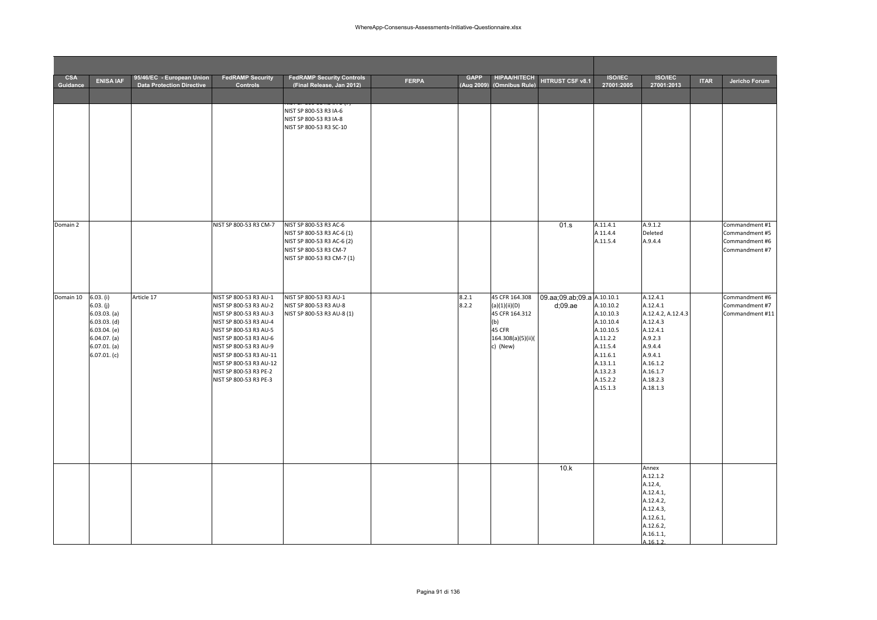| <b>CSA</b> |                                                                                                                                    | 95/46/EC - European Union        | <b>FedRAMP Security</b>                                                                                                                                                                                                                                                                      | <b>FedRAMP Security Controls</b>                                                                                                           |              | <b>GAPP</b>    | <b>HIPAA/HITECH</b>                                                                                  |                                          | <b>ISO/IEC</b>                                                                                                                       | <b>ISO/IEC</b>                                                                                                                                      |             |                                                                      |
|------------|------------------------------------------------------------------------------------------------------------------------------------|----------------------------------|----------------------------------------------------------------------------------------------------------------------------------------------------------------------------------------------------------------------------------------------------------------------------------------------|--------------------------------------------------------------------------------------------------------------------------------------------|--------------|----------------|------------------------------------------------------------------------------------------------------|------------------------------------------|--------------------------------------------------------------------------------------------------------------------------------------|-----------------------------------------------------------------------------------------------------------------------------------------------------|-------------|----------------------------------------------------------------------|
| Guidance   | <b>ENISA IAF</b>                                                                                                                   | <b>Data Protection Directive</b> | <b>Controls</b>                                                                                                                                                                                                                                                                              | (Final Release, Jan 2012)                                                                                                                  | <b>FERPA</b> | (Aug 2009)     | (Omnibus Rule)                                                                                       | HITRUST CSF v8.1                         | 27001:2005                                                                                                                           | 27001:2013                                                                                                                                          | <b>ITAR</b> | Jericho Forum                                                        |
|            |                                                                                                                                    |                                  |                                                                                                                                                                                                                                                                                              | NIST SP 800-53 R3 IA-6<br>NIST SP 800-53 R3 IA-8<br>NIST SP 800-53 R3 SC-10                                                                |              |                |                                                                                                      |                                          |                                                                                                                                      |                                                                                                                                                     |             |                                                                      |
| Domain 2   |                                                                                                                                    |                                  | NIST SP 800-53 R3 CM-7                                                                                                                                                                                                                                                                       | NIST SP 800-53 R3 AC-6<br>NIST SP 800-53 R3 AC-6 (1)<br>NIST SP 800-53 R3 AC-6 (2)<br>NIST SP 800-53 R3 CM-7<br>NIST SP 800-53 R3 CM-7 (1) |              |                |                                                                                                      | 01.s                                     | A.11.4.1<br>A 11.4.4<br>A.11.5.4                                                                                                     | A.9.1.2<br>Deleted<br>A.9.4.4                                                                                                                       |             | Commandment #1<br>Commandment #5<br>Commandment #6<br>Commandment #7 |
| Domain 10  | 6.03. (i)<br>6.03. (j)<br>$6.03.03.$ $(a)$<br>$6.03.03.$ (d)<br>$6.03.04.$ (e)<br>$6.04.07.$ (a)<br>$6.07.01.$ (a)<br>6.07.01. (c) | Article 17                       | NIST SP 800-53 R3 AU-1<br>NIST SP 800-53 R3 AU-2<br>NIST SP 800-53 R3 AU-3<br>NIST SP 800-53 R3 AU-4<br>NIST SP 800-53 R3 AU-5<br>NIST SP 800-53 R3 AU-6<br>NIST SP 800-53 R3 AU-9<br>NIST SP 800-53 R3 AU-11<br>NIST SP 800-53 R3 AU-12<br>NIST SP 800-53 R3 PE-2<br>NIST SP 800-53 R3 PE-3 | NIST SP 800-53 R3 AU-1<br>NIST SP 800-53 R3 AU-8<br>NIST SP 800-53 R3 AU-8 (1)                                                             |              | 8.2.1<br>8.2.2 | 45 CFR 164.308<br>(a)(1)(ii)(D)<br>45 CFR 164.312<br>(b)<br>45 CFR<br>164.308(a)(5)(ii)(<br>c) (New) | 09.aa;09.ab;09.a A.10.10.1<br>$d$ :09.ae | A.10.10.2<br>A.10.10.3<br>A.10.10.4<br>A.10.10.5<br>A.11.2.2<br>A.11.5.4<br>A.11.6.1<br>A.13.1.1<br>A.13.2.3<br>A.15.2.2<br>A.15.1.3 | A.12.4.1<br>A.12.4.1<br>A.12.4.2, A.12.4.3<br>A.12.4.3<br>A.12.4.1<br>A.9.2.3<br>A.9.4.4<br>A.9.4.1<br>A.16.1.2<br>A.16.1.7<br>A.18.2.3<br>A.18.1.3 |             | Commandment #6<br>Commandment #7<br>Commandment #11                  |
|            |                                                                                                                                    |                                  |                                                                                                                                                                                                                                                                                              |                                                                                                                                            |              |                |                                                                                                      | 10.k                                     |                                                                                                                                      | Annex<br>A.12.1.2<br>A.12.4,<br>A.12.4.1,<br>A.12.4.2,<br>A.12.4.3,<br>A.12.6.1,<br>A.12.6.2,<br>A.16.1.1,<br>1.1612                                |             |                                                                      |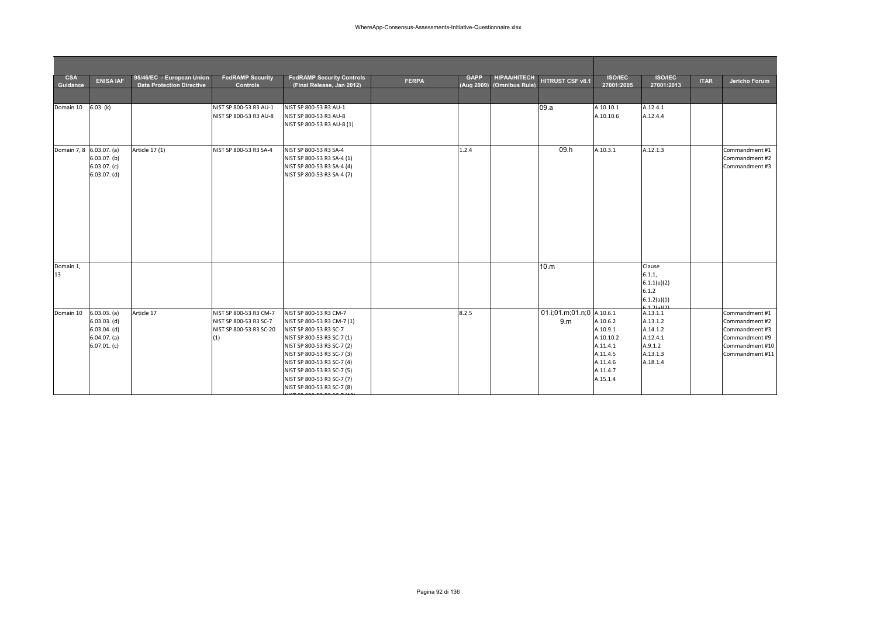| <b>CSA</b><br>Guidance   | <b>ENISA IAF</b>                                                                   | 95/46/EC - European Union<br><b>Data Protection Directive</b> | <b>FedRAMP Security</b><br><b>Controls</b>                                         | <b>FedRAMP Security Controls</b><br>(Final Release, Jan 2012)                                                                                                                                                                                                                                    | <b>FERPA</b> | <b>GAPP</b> | <b>HIPAA/HITECH</b><br>(Aug 2009) (Omnibus Rule) | HITRUST CSF v8.1                            | <b>ISO/IEC</b><br>27001:2005                                                                  | <b>ISO/IEC</b><br>27001:2013                                                    | <b>ITAR</b> | Jericho Forum                                                                                              |
|--------------------------|------------------------------------------------------------------------------------|---------------------------------------------------------------|------------------------------------------------------------------------------------|--------------------------------------------------------------------------------------------------------------------------------------------------------------------------------------------------------------------------------------------------------------------------------------------------|--------------|-------------|--------------------------------------------------|---------------------------------------------|-----------------------------------------------------------------------------------------------|---------------------------------------------------------------------------------|-------------|------------------------------------------------------------------------------------------------------------|
|                          |                                                                                    |                                                               |                                                                                    |                                                                                                                                                                                                                                                                                                  |              |             |                                                  |                                             |                                                                                               |                                                                                 |             |                                                                                                            |
| Domain 10                | 6.03. (k)                                                                          |                                                               | NIST SP 800-53 R3 AU-1<br>NIST SP 800-53 R3 AU-8                                   | NIST SP 800-53 R3 AU-1<br>NIST SP 800-53 R3 AU-8<br>NIST SP 800-53 R3 AU-8 (1)                                                                                                                                                                                                                   |              |             |                                                  | 09.a                                        | A.10.10.1<br>A.10.10.6                                                                        | A.12.4.1<br>A.12.4.4                                                            |             |                                                                                                            |
| Domain 7, 8 6.03.07. (a) | $6.03.07.$ (b)<br>6.03.07. (c)<br>$6.03.07.$ (d)                                   | Article 17 (1)                                                | NIST SP 800-53 R3 SA-4                                                             | NIST SP 800-53 R3 SA-4<br>NIST SP 800-53 R3 SA-4 (1)<br>NIST SP 800-53 R3 SA-4 (4)<br>NIST SP 800-53 R3 SA-4 (7)                                                                                                                                                                                 |              | 1.2.4       |                                                  | 09.h                                        | A.10.3.1                                                                                      | A.12.1.3                                                                        |             | Commandment #1<br>Commandment #2<br>Commandment #3                                                         |
| Domain 1,<br>13          |                                                                                    |                                                               |                                                                                    |                                                                                                                                                                                                                                                                                                  |              |             |                                                  | 10.m                                        |                                                                                               | Clause<br>6.1.1,<br>6.1.1(e)(2)<br>6.1.2<br>6.1.2(a)(1)<br>(12617)              |             |                                                                                                            |
| Domain 10                | 6.03.03. (a)<br>$6.03.03.$ (d)<br>$6.03.04.$ (d)<br>$6.04.07.$ (a)<br>6.07.01. (c) | Article 17                                                    | NIST SP 800-53 R3 CM-7<br>NIST SP 800-53 R3 SC-7<br>NIST SP 800-53 R3 SC-20<br>(1) | NIST SP 800-53 R3 CM-7<br>NIST SP 800-53 R3 CM-7 (1)<br>NIST SP 800-53 R3 SC-7<br>NIST SP 800-53 R3 SC-7 (1)<br>NIST SP 800-53 R3 SC-7 (2)<br>NIST SP 800-53 R3 SC-7 (3)<br>NIST SP 800-53 R3 SC-7 (4)<br>NIST SP 800-53 R3 SC-7 (5)<br>NIST SP 800-53 R3 SC-7 (7)<br>NIST SP 800-53 R3 SC-7 (8) |              | 8.2.5       |                                                  | 01.i;01.m;01.n;0 A.10.6.1<br>9 <sub>m</sub> | A.10.6.2<br>A.10.9.1<br>A.10.10.2<br>A.11.4.1<br>A.11.4.5<br>A.11.4.6<br>A.11.4.7<br>A.15.1.4 | A.13.1.1<br>A.13.1.2<br>A.14.1.2<br>A.12.4.1<br>A.9.1.2<br>A.13.1.3<br>A.18.1.4 |             | Commandment #1<br>Commandment #2<br>Commandment #3<br>Commandment #9<br>Commandment #10<br>Commandment #11 |

NIST SP 800 53 R3 SC 7 (12)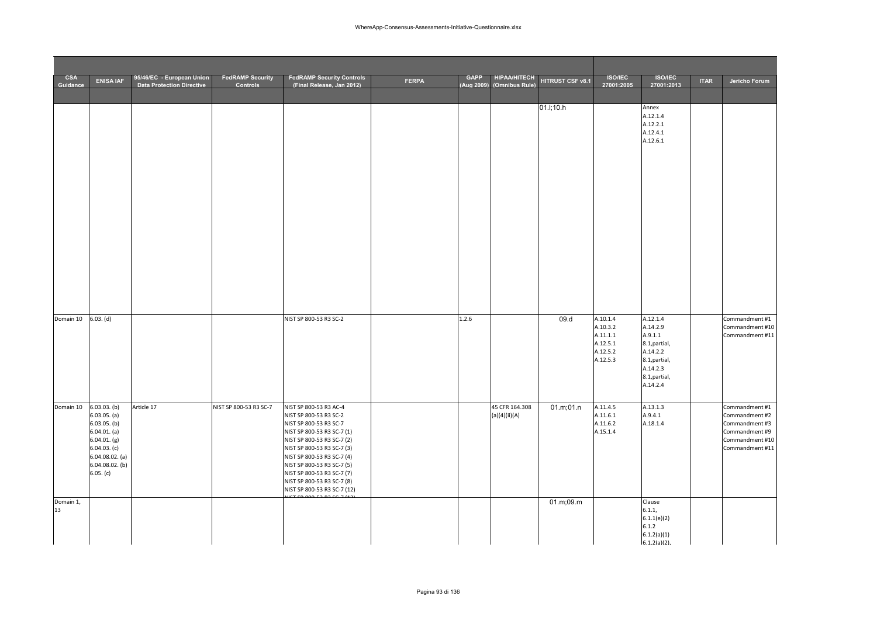| <b>CSA</b><br>Guidance | <b>ENISA IAF</b>                                                                                                                                        | 95/46/EC - European Union<br><b>Data Protection Directive</b> | <b>FedRAMP Security</b><br>Controls | <b>FedRAMP Security Controls</b><br>(Final Release, Jan 2012)                                                                                                                                                                                                                                                               | <b>FERPA</b> | <b>GAPP</b> | <b>HIPAA/HITECH</b><br>(Aug 2009) (Omnibus Rule) | HITRUST CSF v8.1 | <b>ISO/IEC</b><br>27001:2005                                         | <b>ISO/IEC</b><br>27001:2013                                                                                           | <b>ITAR</b> | Jericho Forum                                                                                              |
|------------------------|---------------------------------------------------------------------------------------------------------------------------------------------------------|---------------------------------------------------------------|-------------------------------------|-----------------------------------------------------------------------------------------------------------------------------------------------------------------------------------------------------------------------------------------------------------------------------------------------------------------------------|--------------|-------------|--------------------------------------------------|------------------|----------------------------------------------------------------------|------------------------------------------------------------------------------------------------------------------------|-------------|------------------------------------------------------------------------------------------------------------|
|                        |                                                                                                                                                         |                                                               |                                     |                                                                                                                                                                                                                                                                                                                             |              |             |                                                  | 01.l;10.h        |                                                                      | Annex<br>A.12.1.4<br>A.12.2.1<br>A.12.4.1<br>A.12.6.1                                                                  |             |                                                                                                            |
| Domain 10              | 6.03. (d)                                                                                                                                               |                                                               |                                     | NIST SP 800-53 R3 SC-2                                                                                                                                                                                                                                                                                                      |              | 1.2.6       |                                                  | 09.d             | A.10.1.4<br>A.10.3.2<br>A.11.1.1<br>A.12.5.1<br>A.12.5.2<br>A.12.5.3 | A.12.1.4<br>A.14.2.9<br>A.9.1.1<br>8.1, partial,<br>A.14.2.2<br>8.1, partial,<br>A.14.2.3<br>8.1, partial,<br>A.14.2.4 |             | Commandment #1<br>Commandment #10<br>Commandment #11                                                       |
| Domain 10              | $6.03.03.$ (b)<br>$6.03.05.$ (a)<br>$6.03.05.$ (b)<br>6.04.01. (a)<br>6.04.01. (g)<br>6.04.03. (c)<br>$6.04.08.02.$ (a)<br>6.04.08.02. (b)<br>6.05. (c) | Article 17                                                    | NIST SP 800-53 R3 SC-7              | NIST SP 800-53 R3 AC-4<br>NIST SP 800-53 R3 SC-2<br>NIST SP 800-53 R3 SC-7<br>NIST SP 800-53 R3 SC-7 (1)<br>NIST SP 800-53 R3 SC-7 (2)<br>NIST SP 800-53 R3 SC-7 (3)<br>NIST SP 800-53 R3 SC-7 (4)<br>NIST SP 800-53 R3 SC-7 (5)<br>NIST SP 800-53 R3 SC-7 (7)<br>NIST SP 800-53 R3 SC-7 (8)<br>NIST SP 800-53 R3 SC-7 (12) |              |             | 45 CFR 164.308<br>(a)(4)(ii)(A)                  | 01.m;01.n        | A.11.4.5<br>A.11.6.1<br>A.11.6.2<br>A.15.1.4                         | A.13.1.3<br>A.9.4.1<br>A.18.1.4                                                                                        |             | Commandment #1<br>Commandment #2<br>Commandment #3<br>Commandment #9<br>Commandment #10<br>Commandment #11 |
| Domain 1,<br>13        |                                                                                                                                                         |                                                               |                                     |                                                                                                                                                                                                                                                                                                                             |              |             |                                                  | 01.m;09.m        |                                                                      | Clause<br>6.1.1,<br>6.1.1(e)(2)<br>6.1.2<br>6.1.2(a)(1)<br>$6.1.2(a)(2)$ ,                                             |             |                                                                                                            |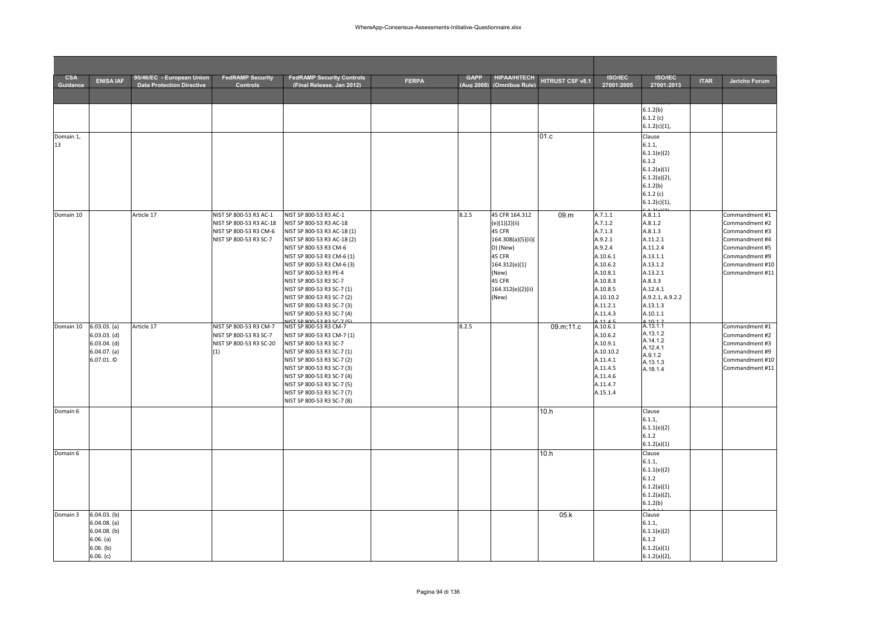| <b>CSA</b><br>Guidance | <b>ENISA IAF</b>                                                                            | 95/46/EC - European Union<br><b>Data Protection Directive</b> | <b>FedRAMP Security</b><br><b>Controls</b>                                                            | <b>FedRAMP Security Controls</b><br>(Final Release, Jan 2012)                                                                                                                                                                                                                                                                                                                                                  | <b>FERPA</b> | <b>GAPP</b><br>(Aug 2009) | <b>HIPAA/HITECH</b><br>(Omnibus Rule)                                                                                                                   | HITRUST CSF v8.1 | <b>ISO/IEC</b><br>27001:2005                                                                                                                         | <b>ISO/IEC</b><br>27001:2013                                                                                                                                        | <b>ITAR</b> | Jericho Forum                                                                                                                                  |
|------------------------|---------------------------------------------------------------------------------------------|---------------------------------------------------------------|-------------------------------------------------------------------------------------------------------|----------------------------------------------------------------------------------------------------------------------------------------------------------------------------------------------------------------------------------------------------------------------------------------------------------------------------------------------------------------------------------------------------------------|--------------|---------------------------|---------------------------------------------------------------------------------------------------------------------------------------------------------|------------------|------------------------------------------------------------------------------------------------------------------------------------------------------|---------------------------------------------------------------------------------------------------------------------------------------------------------------------|-------------|------------------------------------------------------------------------------------------------------------------------------------------------|
|                        |                                                                                             |                                                               |                                                                                                       |                                                                                                                                                                                                                                                                                                                                                                                                                |              |                           |                                                                                                                                                         |                  |                                                                                                                                                      |                                                                                                                                                                     |             |                                                                                                                                                |
|                        |                                                                                             |                                                               |                                                                                                       |                                                                                                                                                                                                                                                                                                                                                                                                                |              |                           |                                                                                                                                                         |                  |                                                                                                                                                      | 6.1.2(b)<br>6.1.2(c)<br>$6.1.2(c)(1)$ ,                                                                                                                             |             |                                                                                                                                                |
| Domain 1,<br>13        |                                                                                             |                                                               |                                                                                                       |                                                                                                                                                                                                                                                                                                                                                                                                                |              |                           |                                                                                                                                                         | 01.c             |                                                                                                                                                      | Clause<br>6.1.1,<br>6.1.1(e)(2)<br>6.1.2<br>6.1.2(a)(1)<br>$6.1.2(a)(2)$ ,<br>6.1.2(b)<br>6.1.2(c)<br>$6.1.2(c)(1)$ ,                                               |             |                                                                                                                                                |
| Domain 10              |                                                                                             | Article 17                                                    | NIST SP 800-53 R3 AC-1<br>NIST SP 800-53 R3 AC-18<br>NIST SP 800-53 R3 CM-6<br>NIST SP 800-53 R3 SC-7 | NIST SP 800-53 R3 AC-1<br>NIST SP 800-53 R3 AC-18<br>NIST SP 800-53 R3 AC-18 (1)<br>NIST SP 800-53 R3 AC-18 (2)<br>NIST SP 800-53 R3 CM-6<br>NIST SP 800-53 R3 CM-6 (1)<br>NIST SP 800-53 R3 CM-6 (3)<br>NIST SP 800-53 R3 PE-4<br>NIST SP 800-53 R3 SC-7<br>NIST SP 800-53 R3 SC-7 (1)<br>NIST SP 800-53 R3 SC-7 (2)<br>NIST SP 800-53 R3 SC-7 (3)<br>NIST SP 800-53 R3 SC-7 (4)<br>ILET CD ONA ES DS CC 7 /E |              | 8.2.5                     | 45 CFR 164.312<br>(e)(1)(2)(ii)<br>45 CFR<br>164.308(a)(5)(ii)(<br>D) (New)<br>45 CFR<br>164.312(e)(1)<br>(New)<br>45 CFR<br>164.312(e)(2)(ii)<br>(New) | 09.m             | A.7.1.1<br>A.7.1.2<br>A.7.1.3<br>A.9.2.1<br>A.9.2.4<br>A.10.6.1<br>A.10.6.2<br>A.10.8.1<br>A.10.8.3<br>A.10.8.5<br>A.10.10.2<br>A.11.2.1<br>A.11.4.3 | A.8.1.1<br>A.8.1.2<br>A.8.1.3<br>A.11.2.1<br>A.11.2.4<br>A.13.1.1<br>A.13.1.2<br>A.13.2.1<br>A.8.3.3<br>A.12.4.1<br>A.9.2.1, A.9.2.2<br>A.13.1.3<br>A.10.1.1<br>101 |             | Commandment #1<br>Commandment #2<br>Commandment #3<br>Commandment #4<br>Commandment #5<br>Commandment #9<br>Commandment #10<br>Commandment #11 |
| Domain 10              | $6.03.03.$ $(a)$<br>$6.03.03.$ (d)<br>$6.03.04.$ (d)<br>$6.04.07.$ (a)<br>6.07.01. ©        | Article 17                                                    | NIST SP 800-53 R3 CM-7<br>NIST SP 800-53 R3 SC-7<br>NIST SP 800-53 R3 SC-20<br>(1)                    | NIST SP 800-53 R3 CM-7<br>NIST SP 800-53 R3 CM-7 (1)<br>NIST SP 800-53 R3 SC-7<br>NIST SP 800-53 R3 SC-7 (1)<br>NIST SP 800-53 R3 SC-7 (2)<br>NIST SP 800-53 R3 SC-7 (3)<br>NIST SP 800-53 R3 SC-7 (4)<br>NIST SP 800-53 R3 SC-7 (5)<br>NIST SP 800-53 R3 SC-7 (7)<br>NIST SP 800-53 R3 SC-7 (8)                                                                                                               |              | 8.2.5                     |                                                                                                                                                         | 09.m;11.c        | A.10.6.1<br>A.10.6.2<br>A.10.9.1<br>A.10.10.2<br>A.11.4.1<br>A.11.4.5<br>A.11.4.6<br>A.11.4.7<br>A.15.1.4                                            | A.13.1.1<br>A.13.1.2<br>A.14.1.2<br>A.12.4.1<br>A.9.1.2<br>A.13.1.3<br>A.18.1.4                                                                                     |             | Commandment #1<br>Commandment #2<br>Commandment #3<br>Commandment #9<br>Commandment #10<br>Commandment #11                                     |
| Domain 6               |                                                                                             |                                                               |                                                                                                       |                                                                                                                                                                                                                                                                                                                                                                                                                |              |                           |                                                                                                                                                         | 10.h             |                                                                                                                                                      | Clause<br>6.1.1,<br>6.1.1(e)(2)<br>6.1.2<br>6.1.2(a)(1)                                                                                                             |             |                                                                                                                                                |
| Domain 6               |                                                                                             |                                                               |                                                                                                       |                                                                                                                                                                                                                                                                                                                                                                                                                |              |                           |                                                                                                                                                         | 10.h             |                                                                                                                                                      | Clause<br>6.1.1,<br>6.1.1(e)(2)<br>6.1.2<br>6.1.2(a)(1)<br>$6.1.2(a)(2)$ ,<br>6.1.2(b)                                                                              |             |                                                                                                                                                |
| Domain 3               | $6.04.03.$ (b)<br>$6.04.08.$ (a)<br>$6.04.08.$ (b)<br>6.06. (a)<br>$6.06.$ (b)<br>6.06. (c) |                                                               |                                                                                                       |                                                                                                                                                                                                                                                                                                                                                                                                                |              |                           |                                                                                                                                                         | 05.k             |                                                                                                                                                      | Clause<br>6.1.1,<br>6.1.1(e)(2)<br>6.1.2<br>6.1.2(a)(1)<br>$6.1.2(a)(2)$ ,                                                                                          |             |                                                                                                                                                |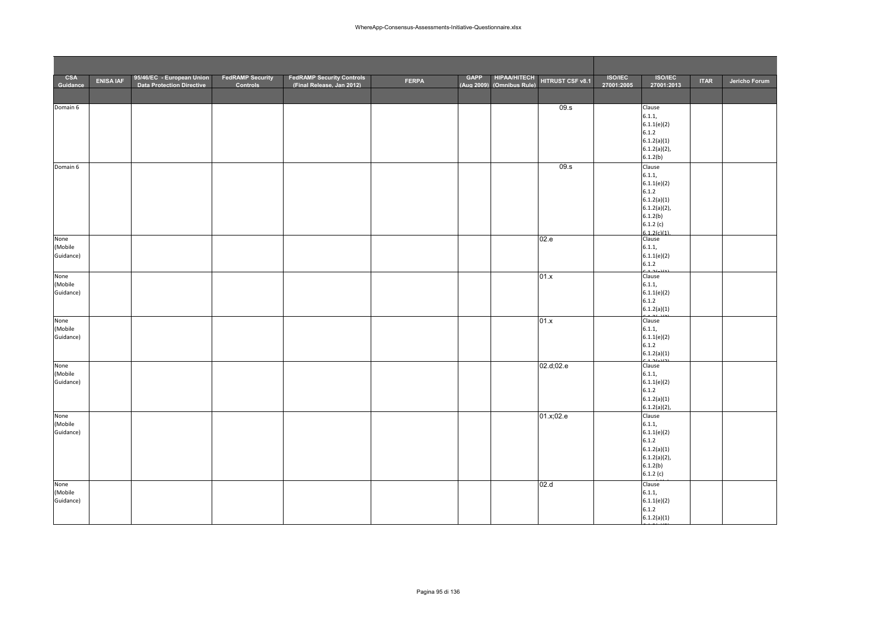| <b>CSA</b><br>Guidance | <b>ENISA IAF</b> | 95/46/EC - European Union<br><b>Data Protection Directive</b> | <b>FedRAMP Security</b><br>Controls | <b>FedRAMP Security Controls</b><br>(Final Release, Jan 2012) | <b>FERPA</b> | <b>GAPP</b><br>(Aug 2009) | <b>HIPAA/HITECH</b><br>(Omnibus Rule) | HITRUST CSF v8.1 | <b>ISO/IEC</b><br>27001:2005 | <b>ISO/IEC</b><br>27001:2013   | <b>ITAR</b> | Jericho Forum |
|------------------------|------------------|---------------------------------------------------------------|-------------------------------------|---------------------------------------------------------------|--------------|---------------------------|---------------------------------------|------------------|------------------------------|--------------------------------|-------------|---------------|
|                        |                  |                                                               |                                     |                                                               |              |                           |                                       |                  |                              |                                |             |               |
| Domain 6               |                  |                                                               |                                     |                                                               |              |                           |                                       | 09.s             |                              | Clause                         |             |               |
|                        |                  |                                                               |                                     |                                                               |              |                           |                                       |                  |                              | 6.1.1,<br>6.1.1(e)(2)          |             |               |
|                        |                  |                                                               |                                     |                                                               |              |                           |                                       |                  |                              | 6.1.2                          |             |               |
|                        |                  |                                                               |                                     |                                                               |              |                           |                                       |                  |                              | 6.1.2(a)(1)<br>$6.1.2(a)(2)$ , |             |               |
|                        |                  |                                                               |                                     |                                                               |              |                           |                                       |                  |                              | 6.1.2(b)                       |             |               |
| Domain 6               |                  |                                                               |                                     |                                                               |              |                           |                                       | 09.s             |                              | Clause                         |             |               |
|                        |                  |                                                               |                                     |                                                               |              |                           |                                       |                  |                              | 6.1.1,<br>6.1.1(e)(2)          |             |               |
|                        |                  |                                                               |                                     |                                                               |              |                           |                                       |                  |                              | 6.1.2                          |             |               |
|                        |                  |                                                               |                                     |                                                               |              |                           |                                       |                  |                              | 6.1.2(a)(1)                    |             |               |
|                        |                  |                                                               |                                     |                                                               |              |                           |                                       |                  |                              | $6.1.2(a)(2)$ ,<br>6.1.2(b)    |             |               |
|                        |                  |                                                               |                                     |                                                               |              |                           |                                       |                  |                              | 6.1.2(c)                       |             |               |
| None                   |                  |                                                               |                                     |                                                               |              |                           |                                       | 02.e             |                              | 6.1.2(c)(1)<br>Clause          |             |               |
| (Mobile                |                  |                                                               |                                     |                                                               |              |                           |                                       |                  |                              | 6.1.1,                         |             |               |
| Guidance)              |                  |                                                               |                                     |                                                               |              |                           |                                       |                  |                              | 6.1.1(e)(2)<br>6.1.2           |             |               |
|                        |                  |                                                               |                                     |                                                               |              |                           |                                       |                  |                              |                                |             |               |
| None<br>(Mobile        |                  |                                                               |                                     |                                                               |              |                           |                                       | 01.x             |                              | Clause<br>6.1.1,               |             |               |
| Guidance)              |                  |                                                               |                                     |                                                               |              |                           |                                       |                  |                              | 6.1.1(e)(2)                    |             |               |
|                        |                  |                                                               |                                     |                                                               |              |                           |                                       |                  |                              | 6.1.2<br>6.1.2(a)(1)           |             |               |
| None                   |                  |                                                               |                                     |                                                               |              |                           |                                       | 01.x             |                              | Clause                         |             |               |
| (Mobile                |                  |                                                               |                                     |                                                               |              |                           |                                       |                  |                              | 6.1.1,                         |             |               |
| Guidance)              |                  |                                                               |                                     |                                                               |              |                           |                                       |                  |                              | 6.1.1(e)(2)<br>6.1.2           |             |               |
|                        |                  |                                                               |                                     |                                                               |              |                           |                                       |                  |                              | 6.1.2(a)(1)                    |             |               |
| None                   |                  |                                                               |                                     |                                                               |              |                           |                                       | 02.d;02.e        |                              | Clause                         |             |               |
| (Mobile                |                  |                                                               |                                     |                                                               |              |                           |                                       |                  |                              | 6.1.1,                         |             |               |
| Guidance)              |                  |                                                               |                                     |                                                               |              |                           |                                       |                  |                              | 6.1.1(e)(2)<br>6.1.2           |             |               |
|                        |                  |                                                               |                                     |                                                               |              |                           |                                       |                  |                              | 6.1.2(a)(1)                    |             |               |
|                        |                  |                                                               |                                     |                                                               |              |                           |                                       |                  |                              | $6.1.2(a)(2)$ ,                |             |               |
| None<br>(Mobile        |                  |                                                               |                                     |                                                               |              |                           |                                       | 01.x;02.e        |                              | Clause<br>6.1.1,               |             |               |
| Guidance)              |                  |                                                               |                                     |                                                               |              |                           |                                       |                  |                              | 6.1.1(e)(2)                    |             |               |
|                        |                  |                                                               |                                     |                                                               |              |                           |                                       |                  |                              | 6.1.2                          |             |               |
|                        |                  |                                                               |                                     |                                                               |              |                           |                                       |                  |                              | 6.1.2(a)(1)<br>$6.1.2(a)(2)$ , |             |               |
|                        |                  |                                                               |                                     |                                                               |              |                           |                                       |                  |                              | 6.1.2(b)                       |             |               |
|                        |                  |                                                               |                                     |                                                               |              |                           |                                       |                  |                              | 6.1.2(c)                       |             |               |
| None<br>(Mobile        |                  |                                                               |                                     |                                                               |              |                           |                                       | 02.d             |                              | Clause<br>6.1.1,               |             |               |
| Guidance)              |                  |                                                               |                                     |                                                               |              |                           |                                       |                  |                              | 6.1.1(e)(2)                    |             |               |
|                        |                  |                                                               |                                     |                                                               |              |                           |                                       |                  |                              | 6.1.2                          |             |               |
|                        |                  |                                                               |                                     |                                                               |              |                           |                                       |                  |                              | 6.1.2(a)(1)                    |             |               |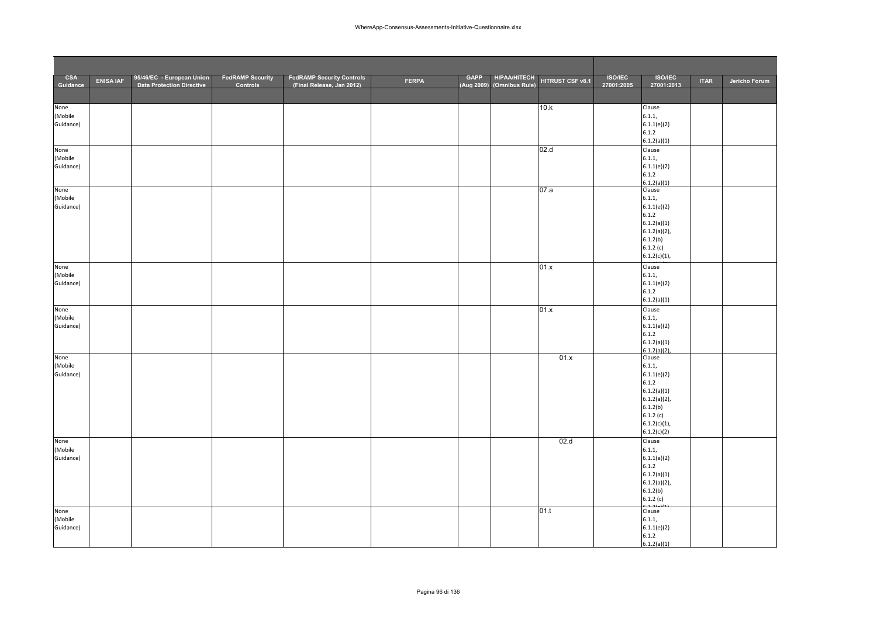| <b>CSA</b><br>Guidance | <b>ENISA IAF</b> | 95/46/EC - European Union<br><b>Data Protection Directive</b> | <b>FedRAMP Security</b><br>Controls | <b>FedRAMP Security Controls</b><br>(Final Release. Jan 2012) | <b>FERPA</b> | <b>GAPP</b> | <b>HIPAA/HITECH</b><br>(Aug 2009) (Omnibus Rule) | HITRUST CSF v8.1 | <b>ISO/IEC</b><br>27001:2005 | <b>ISO/IEC</b><br>27001:2013 | <b>ITAR</b> | Jericho Forum |
|------------------------|------------------|---------------------------------------------------------------|-------------------------------------|---------------------------------------------------------------|--------------|-------------|--------------------------------------------------|------------------|------------------------------|------------------------------|-------------|---------------|
|                        |                  |                                                               |                                     |                                                               |              |             |                                                  |                  |                              |                              |             |               |
| None                   |                  |                                                               |                                     |                                                               |              |             |                                                  | 10.k             |                              | Clause                       |             |               |
| (Mobile                |                  |                                                               |                                     |                                                               |              |             |                                                  |                  |                              | 6.1.1,                       |             |               |
| Guidance)              |                  |                                                               |                                     |                                                               |              |             |                                                  |                  |                              | 6.1.1(e)(2)<br>6.1.2         |             |               |
|                        |                  |                                                               |                                     |                                                               |              |             |                                                  |                  |                              | 6.1.2(a)(1)                  |             |               |
| None                   |                  |                                                               |                                     |                                                               |              |             |                                                  | 02.d             |                              | Clause                       |             |               |
| (Mobile                |                  |                                                               |                                     |                                                               |              |             |                                                  |                  |                              | 6.1.1,                       |             |               |
| Guidance)              |                  |                                                               |                                     |                                                               |              |             |                                                  |                  |                              | 6.1.1(e)(2)                  |             |               |
|                        |                  |                                                               |                                     |                                                               |              |             |                                                  |                  |                              | 6.1.2<br>6.1.2(a)(1)         |             |               |
| None                   |                  |                                                               |                                     |                                                               |              |             |                                                  | 07.a             |                              | Clause                       |             |               |
| (Mobile                |                  |                                                               |                                     |                                                               |              |             |                                                  |                  |                              | 6.1.1,                       |             |               |
| Guidance)              |                  |                                                               |                                     |                                                               |              |             |                                                  |                  |                              | 6.1.1(e)(2)                  |             |               |
|                        |                  |                                                               |                                     |                                                               |              |             |                                                  |                  |                              | 6.1.2                        |             |               |
|                        |                  |                                                               |                                     |                                                               |              |             |                                                  |                  |                              | 6.1.2(a)(1)                  |             |               |
|                        |                  |                                                               |                                     |                                                               |              |             |                                                  |                  |                              | $6.1.2(a)(2)$ ,<br>6.1.2(b)  |             |               |
|                        |                  |                                                               |                                     |                                                               |              |             |                                                  |                  |                              | 6.1.2(c)                     |             |               |
|                        |                  |                                                               |                                     |                                                               |              |             |                                                  |                  |                              | $6.1.2(c)(1)$ ,              |             |               |
| None                   |                  |                                                               |                                     |                                                               |              |             |                                                  | 01.x             |                              | Clause                       |             |               |
| (Mobile                |                  |                                                               |                                     |                                                               |              |             |                                                  |                  |                              | 6.1.1,                       |             |               |
| Guidance)              |                  |                                                               |                                     |                                                               |              |             |                                                  |                  |                              | 6.1.1(e)(2)                  |             |               |
|                        |                  |                                                               |                                     |                                                               |              |             |                                                  |                  |                              | 6.1.2                        |             |               |
|                        |                  |                                                               |                                     |                                                               |              |             |                                                  |                  |                              | 6.1.2(a)(1)                  |             |               |
| None<br>(Mobile        |                  |                                                               |                                     |                                                               |              |             |                                                  | 01.x             |                              | Clause<br>6.1.1,             |             |               |
| Guidance)              |                  |                                                               |                                     |                                                               |              |             |                                                  |                  |                              | 6.1.1(e)(2)                  |             |               |
|                        |                  |                                                               |                                     |                                                               |              |             |                                                  |                  |                              | 6.1.2                        |             |               |
|                        |                  |                                                               |                                     |                                                               |              |             |                                                  |                  |                              | 6.1.2(a)(1)                  |             |               |
| None                   |                  |                                                               |                                     |                                                               |              |             |                                                  | 01.x             |                              | 6.1.2(a)(2)<br>Clause        |             |               |
| (Mobile                |                  |                                                               |                                     |                                                               |              |             |                                                  |                  |                              | 6.1.1,                       |             |               |
| Guidance)              |                  |                                                               |                                     |                                                               |              |             |                                                  |                  |                              | 6.1.1(e)(2)                  |             |               |
|                        |                  |                                                               |                                     |                                                               |              |             |                                                  |                  |                              | 6.1.2                        |             |               |
|                        |                  |                                                               |                                     |                                                               |              |             |                                                  |                  |                              | 6.1.2(a)(1)                  |             |               |
|                        |                  |                                                               |                                     |                                                               |              |             |                                                  |                  |                              | $6.1.2(a)(2)$ ,              |             |               |
|                        |                  |                                                               |                                     |                                                               |              |             |                                                  |                  |                              | 6.1.2(b)<br>6.1.2(c)         |             |               |
|                        |                  |                                                               |                                     |                                                               |              |             |                                                  |                  |                              | $6.1.2(c)(1)$ ,              |             |               |
|                        |                  |                                                               |                                     |                                                               |              |             |                                                  |                  |                              | 6.1.2(c)(2)                  |             |               |
| None                   |                  |                                                               |                                     |                                                               |              |             |                                                  | 02.d             |                              | Clause                       |             |               |
| (Mobile                |                  |                                                               |                                     |                                                               |              |             |                                                  |                  |                              | 6.1.1,                       |             |               |
| Guidance)              |                  |                                                               |                                     |                                                               |              |             |                                                  |                  |                              | 6.1.1(e)(2)<br>6.1.2         |             |               |
|                        |                  |                                                               |                                     |                                                               |              |             |                                                  |                  |                              | 6.1.2(a)(1)                  |             |               |
|                        |                  |                                                               |                                     |                                                               |              |             |                                                  |                  |                              | $6.1.2(a)(2)$ ,              |             |               |
|                        |                  |                                                               |                                     |                                                               |              |             |                                                  |                  |                              | 6.1.2(b)                     |             |               |
|                        |                  |                                                               |                                     |                                                               |              |             |                                                  |                  |                              | 6.1.2(c)                     |             |               |
| None                   |                  |                                                               |                                     |                                                               |              |             |                                                  | 01.t             |                              | Clause                       |             |               |
| (Mobile                |                  |                                                               |                                     |                                                               |              |             |                                                  |                  |                              | 6.1.1,                       |             |               |
| Guidance)              |                  |                                                               |                                     |                                                               |              |             |                                                  |                  |                              | 6.1.1(e)(2)                  |             |               |
|                        |                  |                                                               |                                     |                                                               |              |             |                                                  |                  |                              | 6.1.2<br>6.1.2(a)(1)         |             |               |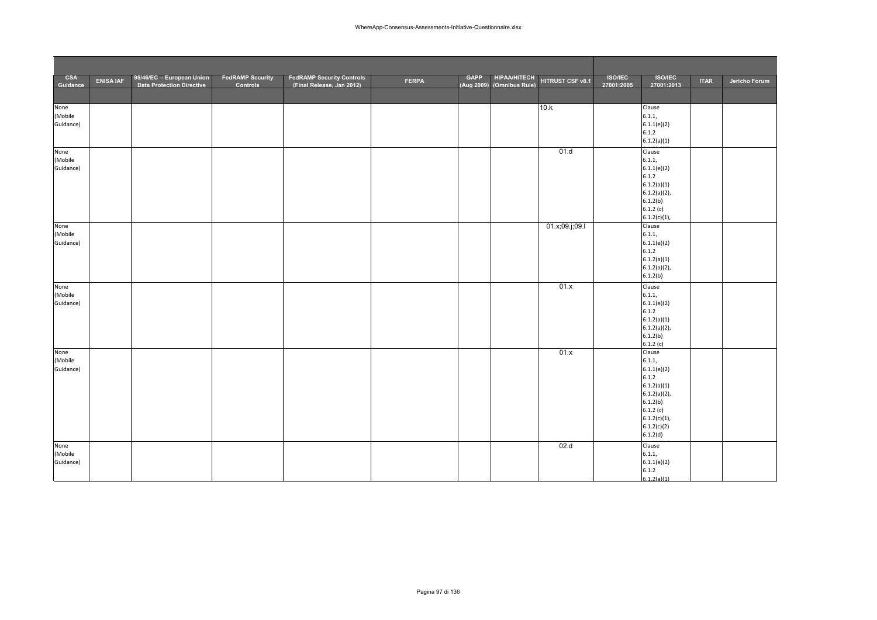| <b>CSA</b><br>Guidance | <b>ENISA IAF</b> | 95/46/EC - European Union<br><b>Data Protection Directive</b> | <b>FedRAMP Security</b><br><b>Controls</b> | <b>FedRAMP Security Controls</b><br>(Final Release, Jan 2012) | <b>FERPA</b> | <b>GAPP</b> | <b>HIPAA/HITECH</b><br>(Aug 2009) (Omnibus Rule) | HITRUST CSF v8.1 | <b>ISO/IEC</b><br>27001:2005 | <b>ISO/IEC</b><br>27001:2013 | <b>ITAR</b> | Jericho Forum |
|------------------------|------------------|---------------------------------------------------------------|--------------------------------------------|---------------------------------------------------------------|--------------|-------------|--------------------------------------------------|------------------|------------------------------|------------------------------|-------------|---------------|
|                        |                  |                                                               |                                            |                                                               |              |             |                                                  |                  |                              |                              |             |               |
| None                   |                  |                                                               |                                            |                                                               |              |             |                                                  | 10.k             |                              | Clause                       |             |               |
| (Mobile                |                  |                                                               |                                            |                                                               |              |             |                                                  |                  |                              | 6.1.1,                       |             |               |
| Guidance)              |                  |                                                               |                                            |                                                               |              |             |                                                  |                  |                              | 6.1.1(e)(2)                  |             |               |
|                        |                  |                                                               |                                            |                                                               |              |             |                                                  |                  |                              | 6.1.2                        |             |               |
|                        |                  |                                                               |                                            |                                                               |              |             |                                                  |                  |                              | 6.1.2(a)(1)                  |             |               |
| None                   |                  |                                                               |                                            |                                                               |              |             |                                                  | 01.d             |                              | Clause                       |             |               |
| (Mobile                |                  |                                                               |                                            |                                                               |              |             |                                                  |                  |                              | 6.1.1,                       |             |               |
| Guidance)              |                  |                                                               |                                            |                                                               |              |             |                                                  |                  |                              | 6.1.1(e)(2)<br>6.1.2         |             |               |
|                        |                  |                                                               |                                            |                                                               |              |             |                                                  |                  |                              | 6.1.2(a)(1)                  |             |               |
|                        |                  |                                                               |                                            |                                                               |              |             |                                                  |                  |                              | $6.1.2(a)(2)$ ,              |             |               |
|                        |                  |                                                               |                                            |                                                               |              |             |                                                  |                  |                              | 6.1.2(b)                     |             |               |
|                        |                  |                                                               |                                            |                                                               |              |             |                                                  |                  |                              | 6.1.2(c)                     |             |               |
|                        |                  |                                                               |                                            |                                                               |              |             |                                                  |                  |                              | $6.1.2(c)(1)$ ,<br>Clause    |             |               |
| None<br>(Mobile        |                  |                                                               |                                            |                                                               |              |             |                                                  | 01.x;09.j;09.l   |                              | 6.1.1,                       |             |               |
| Guidance)              |                  |                                                               |                                            |                                                               |              |             |                                                  |                  |                              | 6.1.1(e)(2)                  |             |               |
|                        |                  |                                                               |                                            |                                                               |              |             |                                                  |                  |                              | 6.1.2                        |             |               |
|                        |                  |                                                               |                                            |                                                               |              |             |                                                  |                  |                              | 6.1.2(a)(1)                  |             |               |
|                        |                  |                                                               |                                            |                                                               |              |             |                                                  |                  |                              | $6.1.2(a)(2)$ ,              |             |               |
|                        |                  |                                                               |                                            |                                                               |              |             |                                                  |                  |                              | 6.1.2(b)                     |             |               |
| None                   |                  |                                                               |                                            |                                                               |              |             |                                                  | 01.x             |                              | Clause                       |             |               |
| (Mobile<br>Guidance)   |                  |                                                               |                                            |                                                               |              |             |                                                  |                  |                              | 6.1.1,<br>6.1.1(e)(2)        |             |               |
|                        |                  |                                                               |                                            |                                                               |              |             |                                                  |                  |                              | 6.1.2                        |             |               |
|                        |                  |                                                               |                                            |                                                               |              |             |                                                  |                  |                              | 6.1.2(a)(1)                  |             |               |
|                        |                  |                                                               |                                            |                                                               |              |             |                                                  |                  |                              | $6.1.2(a)(2)$ ,              |             |               |
|                        |                  |                                                               |                                            |                                                               |              |             |                                                  |                  |                              | 6.1.2(b)                     |             |               |
|                        |                  |                                                               |                                            |                                                               |              |             |                                                  | 01.x             |                              | 6.1.2(c)<br>Clause           |             |               |
| None<br>(Mobile        |                  |                                                               |                                            |                                                               |              |             |                                                  |                  |                              | 6.1.1,                       |             |               |
| Guidance)              |                  |                                                               |                                            |                                                               |              |             |                                                  |                  |                              | 6.1.1(e)(2)                  |             |               |
|                        |                  |                                                               |                                            |                                                               |              |             |                                                  |                  |                              | 6.1.2                        |             |               |
|                        |                  |                                                               |                                            |                                                               |              |             |                                                  |                  |                              | 6.1.2(a)(1)                  |             |               |
|                        |                  |                                                               |                                            |                                                               |              |             |                                                  |                  |                              | $6.1.2(a)(2)$ ,              |             |               |
|                        |                  |                                                               |                                            |                                                               |              |             |                                                  |                  |                              | 6.1.2(b)<br>6.1.2(c)         |             |               |
|                        |                  |                                                               |                                            |                                                               |              |             |                                                  |                  |                              | $6.1.2(c)(1)$ ,              |             |               |
|                        |                  |                                                               |                                            |                                                               |              |             |                                                  |                  |                              | 6.1.2(c)(2)                  |             |               |
|                        |                  |                                                               |                                            |                                                               |              |             |                                                  |                  |                              | 6.1.2(d)                     |             |               |
| None                   |                  |                                                               |                                            |                                                               |              |             |                                                  | 02.d             |                              | Clause                       |             |               |
| (Mobile                |                  |                                                               |                                            |                                                               |              |             |                                                  |                  |                              | 6.1.1,                       |             |               |
| Guidance)              |                  |                                                               |                                            |                                                               |              |             |                                                  |                  |                              | 6.1.1(e)(2)                  |             |               |
|                        |                  |                                                               |                                            |                                                               |              |             |                                                  |                  |                              | 6.1.2<br>612(a)(1)           |             |               |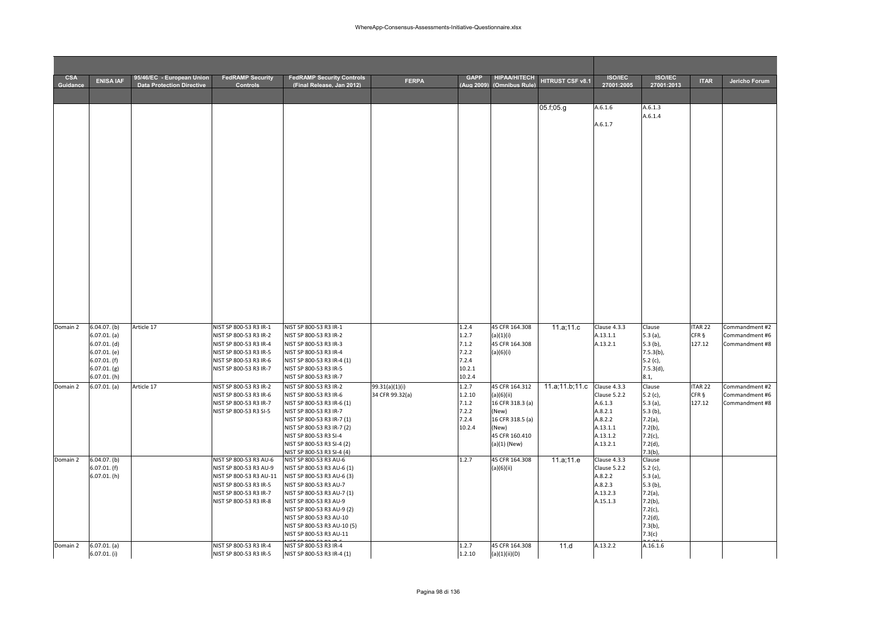# Pagina 98 di 136

| <b>CSA</b><br><b>Guidance</b> | <b>ENISA IAF</b>                 | 95/46/EC - European Union<br><b>Data Protection Directive</b> | <b>FedRAMP Security</b><br>Controls               | <b>FedRAMP Security Controls</b><br>(Final Release, Jan 2012) | <b>FERPA</b>                      | <b>GAPP</b><br>Aug 2009 | <b>HIPAA/HITECH</b><br>(Omnibus Rule) | HITRUST CSF v8.1 | <b>ISO/IEC</b><br>27001:2005 | <b>ISO/IEC</b><br>27001:2013 | <b>ITAR</b>                 | Jericho Forum                    |
|-------------------------------|----------------------------------|---------------------------------------------------------------|---------------------------------------------------|---------------------------------------------------------------|-----------------------------------|-------------------------|---------------------------------------|------------------|------------------------------|------------------------------|-----------------------------|----------------------------------|
|                               |                                  |                                                               |                                                   |                                                               |                                   |                         |                                       |                  |                              |                              |                             |                                  |
|                               |                                  |                                                               |                                                   |                                                               |                                   |                         |                                       | 05.f;05.g        | A.6.1.6                      | A.6.1.3<br>A.6.1.4           |                             |                                  |
|                               |                                  |                                                               |                                                   |                                                               |                                   |                         |                                       |                  | A.6.1.7                      |                              |                             |                                  |
|                               |                                  |                                                               |                                                   |                                                               |                                   |                         |                                       |                  |                              |                              |                             |                                  |
|                               |                                  |                                                               |                                                   |                                                               |                                   |                         |                                       |                  |                              |                              |                             |                                  |
|                               |                                  |                                                               |                                                   |                                                               |                                   |                         |                                       |                  |                              |                              |                             |                                  |
|                               |                                  |                                                               |                                                   |                                                               |                                   |                         |                                       |                  |                              |                              |                             |                                  |
|                               |                                  |                                                               |                                                   |                                                               |                                   |                         |                                       |                  |                              |                              |                             |                                  |
|                               |                                  |                                                               |                                                   |                                                               |                                   |                         |                                       |                  |                              |                              |                             |                                  |
|                               |                                  |                                                               |                                                   |                                                               |                                   |                         |                                       |                  |                              |                              |                             |                                  |
|                               |                                  |                                                               |                                                   |                                                               |                                   |                         |                                       |                  |                              |                              |                             |                                  |
|                               |                                  |                                                               |                                                   |                                                               |                                   |                         |                                       |                  |                              |                              |                             |                                  |
|                               |                                  |                                                               |                                                   |                                                               |                                   |                         |                                       |                  |                              |                              |                             |                                  |
|                               |                                  |                                                               |                                                   |                                                               |                                   |                         |                                       |                  |                              |                              |                             |                                  |
|                               |                                  |                                                               |                                                   |                                                               |                                   |                         |                                       |                  |                              |                              |                             |                                  |
|                               |                                  |                                                               |                                                   |                                                               |                                   |                         |                                       |                  |                              |                              |                             |                                  |
|                               |                                  |                                                               |                                                   |                                                               |                                   |                         |                                       |                  |                              |                              |                             |                                  |
|                               |                                  |                                                               |                                                   |                                                               |                                   |                         |                                       |                  |                              |                              |                             |                                  |
|                               |                                  |                                                               |                                                   |                                                               |                                   |                         |                                       |                  |                              |                              |                             |                                  |
| Domain 2                      | $6.04.07.$ (b)                   | Article 17                                                    | NIST SP 800-53 R3 IR-1                            | NIST SP 800-53 R3 IR-1                                        |                                   | 1.2.4                   | 45 CFR 164.308                        | 11.a;11.c        | Clause 4.3.3                 | Clause                       | <b>TAR22</b>                | Commandment #2                   |
|                               | 6.07.01. (a)<br>$6.07.01.$ (d)   |                                                               | NIST SP 800-53 R3 IR-2<br>NIST SP 800-53 R3 IR-4  | NIST SP 800-53 R3 IR-2<br>NIST SP 800-53 R3 IR-3              |                                   | 1.2.7<br>7.1.2          | (a)(1)(i)<br>45 CFR 164.308           |                  | A.13.1.1<br>A.13.2.1         | 5.3(a),<br>$5.3(b)$ ,        | CFR §<br>127.12             | Commandment #6<br>Commandment #8 |
|                               | 6.07.01. (e)                     |                                                               | NIST SP 800-53 R3 IR-5                            | NIST SP 800-53 R3 IR-4                                        |                                   | 7.2.2                   | (a)(6)(i)                             |                  |                              | $7.5.3(b)$ ,                 |                             |                                  |
|                               | $6.07.01.$ (f)<br>$6.07.01.$ (g) |                                                               | NIST SP 800-53 R3 IR-6<br>NIST SP 800-53 R3 IR-7  | NIST SP 800-53 R3 IR-4 (1)<br>NIST SP 800-53 R3 IR-5          |                                   | 7.2.4<br>10.2.1         |                                       |                  |                              | 5.2(c),<br>7.5.3(d),         |                             |                                  |
|                               | 6.07.01. (h)                     |                                                               |                                                   | NIST SP 800-53 R3 IR-7                                        |                                   | 10.2.4                  |                                       |                  |                              | 8.1,                         |                             |                                  |
| Domain 2                      | $\overline{6.0}$ 7.01. (a)       | Article 17                                                    | NIST SP 800-53 R3 IR-2<br>NIST SP 800-53 R3 IR-6  | NIST SP 800-53 R3 IR-2<br>NIST SP 800-53 R3 IR-6              | 99.31(a)(1)(i)<br>34 CFR 99.32(a) | 1.2.7<br>1.2.10         | 45 CFR 164.312<br>(a)(6)(ii)          | 11.a;11.b;11.c   | Clause 4.3.3<br>Clause 5.2.2 | Clause<br>5.2 $(c)$ ,        | ITAR <sub>22</sub><br>CFR § | Commandment #2<br>Commandment #6 |
|                               |                                  |                                                               | NIST SP 800-53 R3 IR-7                            | NIST SP 800-53 R3 IR-6 (1)                                    |                                   | 7.1.2                   | 16 CFR 318.3 (a)                      |                  | A.6.1.3                      | 5.3(a),                      | 127.12                      | Commandment #8                   |
|                               |                                  |                                                               | NIST SP 800-53 R3 SI-5                            | NIST SP 800-53 R3 IR-7                                        |                                   | 7.2.2<br>7.2.4          | (New)                                 |                  | A.8.2.1                      | $5.3(b)$ ,                   |                             |                                  |
|                               |                                  |                                                               |                                                   | NIST SP 800-53 R3 IR-7 (1)<br>NIST SP 800-53 R3 IR-7 (2)      |                                   | 10.2.4                  | 16 CFR 318.5 (a)<br>(New)             |                  | A.8.2.2<br>A.13.1.1          | $7.2(a)$ ,<br>$7.2(b)$ ,     |                             |                                  |
|                               |                                  |                                                               |                                                   | NIST SP 800-53 R3 SI-4                                        |                                   |                         | 45 CFR 160.410                        |                  | A.13.1.2                     | $7.2(c)$ ,                   |                             |                                  |
|                               |                                  |                                                               |                                                   | NIST SP 800-53 R3 SI-4 (2)<br>NIST SP 800-53 R3 SI-4 (4)      |                                   |                         | $(a)(1)$ (New)                        |                  | A.13.2.1                     | 7.2(d),<br>7.3(b)            |                             |                                  |
| Domain 2                      | 6.04.07. (b)                     |                                                               | NIST SP 800-53 R3 AU-6                            | NIST SP 800-53 R3 AU-6                                        |                                   | 1.2.7                   | 45 CFR 164.308                        | 11.a;11.e        | Clause 4.3.3                 | Clause                       |                             |                                  |
|                               | $6.07.01.$ (f)<br>6.07.01. (h)   |                                                               | NIST SP 800-53 R3 AU-9<br>NIST SP 800-53 R3 AU-11 | NIST SP 800-53 R3 AU-6 (1)<br>NIST SP 800-53 R3 AU-6 (3)      |                                   |                         | (a)(6)(ii)                            |                  | Clause 5.2.2<br>A.8.2.2      | 5.2(c),<br>$5.3$ (a),        |                             |                                  |
|                               |                                  |                                                               | NIST SP 800-53 R3 IR-5                            | NIST SP 800-53 R3 AU-7                                        |                                   |                         |                                       |                  | A.8.2.3                      | $5.3(b)$ ,                   |                             |                                  |
|                               |                                  |                                                               | NIST SP 800-53 R3 IR-7<br>NIST SP 800-53 R3 IR-8  | NIST SP 800-53 R3 AU-7 (1)<br>NIST SP 800-53 R3 AU-9          |                                   |                         |                                       |                  | A.13.2.3<br>A.15.1.3         | $7.2(a)$ ,<br>$7.2(b)$ ,     |                             |                                  |
|                               |                                  |                                                               |                                                   | NIST SP 800-53 R3 AU-9 (2)                                    |                                   |                         |                                       |                  |                              | $7.2(c)$ ,                   |                             |                                  |
|                               |                                  |                                                               |                                                   | NIST SP 800-53 R3 AU-10<br>NIST SP 800-53 R3 AU-10 (5)        |                                   |                         |                                       |                  |                              | 7.2(d),<br>$7.3(b)$ ,        |                             |                                  |
|                               |                                  |                                                               |                                                   | NIST SP 800-53 R3 AU-11                                       |                                   |                         |                                       |                  |                              | 7.3(c)                       |                             |                                  |
| Domain 2                      | 6.07.01. (a)                     |                                                               | NIST SP 800-53 R3 IR-4                            | NIST SP 800-53 R3 IR-4                                        |                                   | 1.2.7                   | 45 CFR 164.308                        | 11.d             | A.13.2.2                     | A.16.1.6                     |                             |                                  |
|                               | $6.07.01$ . (i)                  |                                                               | NIST SP 800-53 R3 IR-5                            | NIST SP 800-53 R3 IR-4 (1)                                    |                                   | 1.2.10                  | (a)(1)(ii)(D)                         |                  |                              |                              |                             |                                  |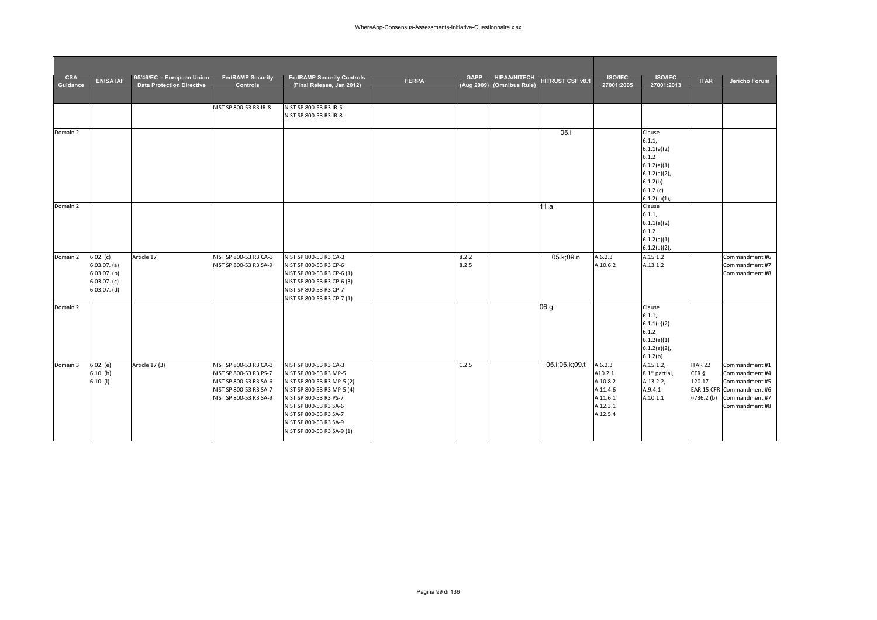| <b>CSA</b><br>Guidance | <b>ENISA IAF</b>                                                                | 95/46/EC - European Union<br><b>Data Protection Directive</b> | <b>FedRAMP Security</b><br><b>Controls</b>                                                                                     | <b>FedRAMP Security Controls</b><br>(Final Release, Jan 2012)                                                                                                                                                                                      | <b>FERPA</b> | <b>GAPP</b><br>(Aug 2009) | <b>HIPAA/HITECH</b><br>(Omnibus Rule) | HITRUST CSF v8.1 | <b>ISO/IEC</b><br>27001:2005                                                   | <b>ISO/IEC</b><br>27001:2013                                                                                          | <b>ITAR</b>                                         | Jericho Forum                                                                                                       |
|------------------------|---------------------------------------------------------------------------------|---------------------------------------------------------------|--------------------------------------------------------------------------------------------------------------------------------|----------------------------------------------------------------------------------------------------------------------------------------------------------------------------------------------------------------------------------------------------|--------------|---------------------------|---------------------------------------|------------------|--------------------------------------------------------------------------------|-----------------------------------------------------------------------------------------------------------------------|-----------------------------------------------------|---------------------------------------------------------------------------------------------------------------------|
|                        |                                                                                 |                                                               |                                                                                                                                |                                                                                                                                                                                                                                                    |              |                           |                                       |                  |                                                                                |                                                                                                                       |                                                     |                                                                                                                     |
|                        |                                                                                 |                                                               | NIST SP 800-53 R3 IR-8                                                                                                         | NIST SP 800-53 R3 IR-5<br>NIST SP 800-53 R3 IR-8                                                                                                                                                                                                   |              |                           |                                       |                  |                                                                                |                                                                                                                       |                                                     |                                                                                                                     |
| Domain 2               |                                                                                 |                                                               |                                                                                                                                |                                                                                                                                                                                                                                                    |              |                           |                                       | 05.i             |                                                                                | Clause<br>6.1.1,<br>6.1.1(e)(2)<br>6.1.2<br>6.1.2(a)(1)<br>$6.1.2(a)(2)$ ,<br>6.1.2(b)<br>6.1.2(c)<br>$6.1.2(c)(1)$ , |                                                     |                                                                                                                     |
| Domain 2               |                                                                                 |                                                               |                                                                                                                                |                                                                                                                                                                                                                                                    |              |                           |                                       | 11.a             |                                                                                | Clause<br>6.1.1,<br>6.1.1(e)(2)<br>6.1.2<br>6.1.2(a)(1)<br>$6.1.2(a)(2)$ ,                                            |                                                     |                                                                                                                     |
| Domain 2               | 6.02. (c)<br>6.03.07. (a)<br>$6.03.07.$ (b)<br>$6.03.07.$ (c)<br>$6.03.07.$ (d) | Article 17                                                    | NIST SP 800-53 R3 CA-3<br>NIST SP 800-53 R3 SA-9                                                                               | NIST SP 800-53 R3 CA-3<br>NIST SP 800-53 R3 CP-6<br>NIST SP 800-53 R3 CP-6 (1)<br>NIST SP 800-53 R3 CP-6 (3)<br>NIST SP 800-53 R3 CP-7<br>NIST SP 800-53 R3 CP-7 (1)                                                                               |              | 8.2.2<br>8.2.5            |                                       | 05.k;09.n        | A.6.2.3<br>A.10.6.2                                                            | A.15.1.2<br>A.13.1.2                                                                                                  |                                                     | Commandment #6<br>Commandment #7<br>Commandment #8                                                                  |
| Domain 2               |                                                                                 |                                                               |                                                                                                                                |                                                                                                                                                                                                                                                    |              |                           |                                       | 06.g             |                                                                                | Clause<br>6.1.1,<br>6.1.1(e)(2)<br>6.1.2<br>6.1.2(a)(1)<br>$6.1.2(a)(2)$ ,<br>6.1.2(b)                                |                                                     |                                                                                                                     |
| Domain 3               | 6.02. (e)<br>6.10. (h)<br>6.10. (i)                                             | Article 17 (3)                                                | NIST SP 800-53 R3 CA-3<br>NIST SP 800-53 R3 PS-7<br>NIST SP 800-53 R3 SA-6<br>NIST SP 800-53 R3 SA-7<br>NIST SP 800-53 R3 SA-9 | NIST SP 800-53 R3 CA-3<br>NIST SP 800-53 R3 MP-5<br>NIST SP 800-53 R3 MP-5 (2)<br>NIST SP 800-53 R3 MP-5 (4)<br>NIST SP 800-53 R3 PS-7<br>NIST SP 800-53 R3 SA-6<br>NIST SP 800-53 R3 SA-7<br>NIST SP 800-53 R3 SA-9<br>NIST SP 800-53 R3 SA-9 (1) |              | 1.2.5                     |                                       | 05.i;05.k;09.t   | A.6.2.3<br>A10.2.1<br>A.10.8.2<br>A.11.4.6<br>A.11.6.1<br>A.12.3.1<br>A.12.5.4 | A.15.1.2,<br>8.1* partial,<br>A.13.2.2,<br>A.9.4.1<br>A.10.1.1                                                        | ITAR <sub>22</sub><br>CFR §<br>120.17<br>\$736.2(b) | Commandment #1<br>Commandment #4<br>Commandment #5<br>EAR 15 CFR Commandment #6<br>Commandment #7<br>Commandment #8 |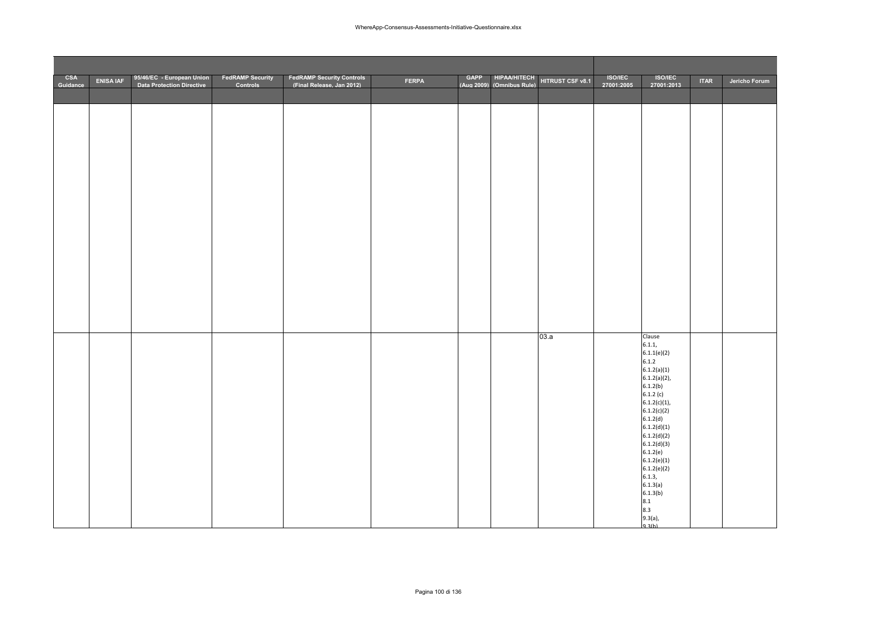| <b>CSA</b><br>Guidance | <b>ENISA IAF</b> | 95/46/EC - European Union<br><b>Data Protection Directive</b> | <b>FedRAMP Security</b><br>Controls | <b>FedRAMP Security Controls</b><br>(Final Release. Jan 2012) | <b>FERPA</b> | GAPP HIPAA/HITECH<br>(Aug 2009) (Omnibus Rule) | HITRUST CSF v8.1 | <b>ISO/IEC</b><br>27001:2005 | <b>ISO/IEC</b><br>27001:2013 | <b>ITAR</b> | Jericho Forum |
|------------------------|------------------|---------------------------------------------------------------|-------------------------------------|---------------------------------------------------------------|--------------|------------------------------------------------|------------------|------------------------------|------------------------------|-------------|---------------|
|                        |                  |                                                               |                                     |                                                               |              |                                                |                  |                              |                              |             |               |
|                        |                  |                                                               |                                     |                                                               |              |                                                |                  |                              |                              |             |               |
|                        |                  |                                                               |                                     |                                                               |              |                                                |                  |                              |                              |             |               |
|                        |                  |                                                               |                                     |                                                               |              |                                                |                  |                              |                              |             |               |
|                        |                  |                                                               |                                     |                                                               |              |                                                |                  |                              |                              |             |               |
|                        |                  |                                                               |                                     |                                                               |              |                                                |                  |                              |                              |             |               |
|                        |                  |                                                               |                                     |                                                               |              |                                                |                  |                              |                              |             |               |
|                        |                  |                                                               |                                     |                                                               |              |                                                |                  |                              |                              |             |               |
|                        |                  |                                                               |                                     |                                                               |              |                                                |                  |                              |                              |             |               |
|                        |                  |                                                               |                                     |                                                               |              |                                                |                  |                              |                              |             |               |
|                        |                  |                                                               |                                     |                                                               |              |                                                |                  |                              |                              |             |               |
|                        |                  |                                                               |                                     |                                                               |              |                                                |                  |                              |                              |             |               |
|                        |                  |                                                               |                                     |                                                               |              |                                                |                  |                              |                              |             |               |
|                        |                  |                                                               |                                     |                                                               |              |                                                |                  |                              |                              |             |               |
|                        |                  |                                                               |                                     |                                                               |              |                                                | 03.a             |                              | Clause                       |             |               |
|                        |                  |                                                               |                                     |                                                               |              |                                                |                  |                              | 6.1.1,<br>6.1.1(e)(2)        |             |               |
|                        |                  |                                                               |                                     |                                                               |              |                                                |                  |                              | 6.1.2<br>6.1.2(a)(1)         |             |               |
|                        |                  |                                                               |                                     |                                                               |              |                                                |                  |                              | $6.1.2(a)(2)$ ,<br>6.1.2(b)  |             |               |
|                        |                  |                                                               |                                     |                                                               |              |                                                |                  |                              | 6.1.2(c)<br>$6.1.2(c)(1)$ ,  |             |               |
|                        |                  |                                                               |                                     |                                                               |              |                                                |                  |                              | 6.1.2(c)(2)<br>6.1.2(d)      |             |               |
|                        |                  |                                                               |                                     |                                                               |              |                                                |                  |                              | 6.1.2(d)(1)<br>6.1.2(d)(2)   |             |               |
|                        |                  |                                                               |                                     |                                                               |              |                                                |                  |                              | 6.1.2(d)(3)<br>6.1.2(e)      |             |               |
|                        |                  |                                                               |                                     |                                                               |              |                                                |                  |                              | 6.1.2(e)(1)<br>6.1.2(e)(2)   |             |               |
|                        |                  |                                                               |                                     |                                                               |              |                                                |                  |                              | 6.1.3,<br>6.1.3(a)           |             |               |
|                        |                  |                                                               |                                     |                                                               |              |                                                |                  |                              | 6.1.3(b)<br>8.1              |             |               |
|                        |                  |                                                               |                                     |                                                               |              |                                                |                  |                              | 8.3                          |             |               |
|                        |                  |                                                               |                                     |                                                               |              |                                                |                  |                              | $9.3(a),$<br>$9.3(b)$        |             |               |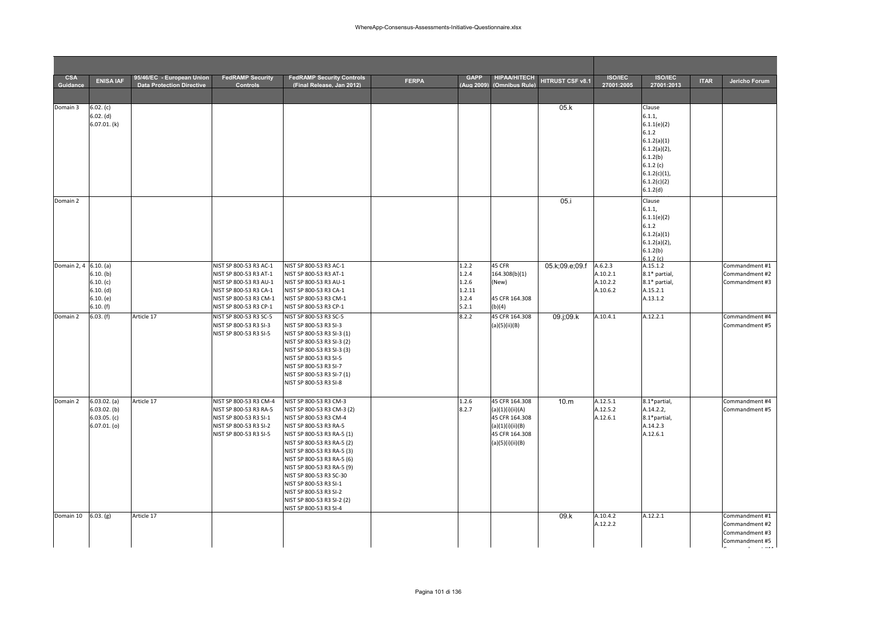| <b>CSA</b><br>Guidance | <b>ENISA IAF</b>                 | 95/46/EC - European Union<br><b>Data Protection Directive</b> | <b>FedRAMP Security</b><br><b>Controls</b>       | <b>FedRAMP Security Controls</b><br>(Final Release, Jan 2012) | <b>FERPA</b> | <b>GAPP</b><br>(Aug 2009) | <b>HIPAA/HITECH</b><br>(Omnibus Rule) | HITRUST CSF v8.1 | <b>ISO/IEC</b><br>27001:2005 | <b>ISO/IEC</b><br>27001:2013   | <b>ITAR</b> | Jericho Forum                    |
|------------------------|----------------------------------|---------------------------------------------------------------|--------------------------------------------------|---------------------------------------------------------------|--------------|---------------------------|---------------------------------------|------------------|------------------------------|--------------------------------|-------------|----------------------------------|
|                        |                                  |                                                               |                                                  |                                                               |              |                           |                                       |                  |                              |                                |             |                                  |
| Domain 3               | 6.02. (c)                        |                                                               |                                                  |                                                               |              |                           |                                       | 05.k             |                              | Clause                         |             |                                  |
|                        | 6.02. (d)<br>6.07.01(k)          |                                                               |                                                  |                                                               |              |                           |                                       |                  |                              | 6.1.1,<br>6.1.1(e)(2)          |             |                                  |
|                        |                                  |                                                               |                                                  |                                                               |              |                           |                                       |                  |                              | 6.1.2                          |             |                                  |
|                        |                                  |                                                               |                                                  |                                                               |              |                           |                                       |                  |                              | 6.1.2(a)(1)                    |             |                                  |
|                        |                                  |                                                               |                                                  |                                                               |              |                           |                                       |                  |                              | $6.1.2(a)(2)$ ,<br>6.1.2(b)    |             |                                  |
|                        |                                  |                                                               |                                                  |                                                               |              |                           |                                       |                  |                              | 6.1.2(c)                       |             |                                  |
|                        |                                  |                                                               |                                                  |                                                               |              |                           |                                       |                  |                              | $6.1.2(c)(1)$ ,                |             |                                  |
|                        |                                  |                                                               |                                                  |                                                               |              |                           |                                       |                  |                              | 6.1.2(c)(2)<br>6.1.2(d)        |             |                                  |
| Domain 2               |                                  |                                                               |                                                  |                                                               |              |                           |                                       | 05.i             |                              | Clause                         |             |                                  |
|                        |                                  |                                                               |                                                  |                                                               |              |                           |                                       |                  |                              | 6.1.1,                         |             |                                  |
|                        |                                  |                                                               |                                                  |                                                               |              |                           |                                       |                  |                              | 6.1.1(e)(2)<br>6.1.2           |             |                                  |
|                        |                                  |                                                               |                                                  |                                                               |              |                           |                                       |                  |                              | 6.1.2(a)(1)                    |             |                                  |
|                        |                                  |                                                               |                                                  |                                                               |              |                           |                                       |                  |                              | $6.1.2(a)(2)$ ,                |             |                                  |
|                        |                                  |                                                               |                                                  |                                                               |              |                           |                                       |                  |                              | 6.1.2(b)<br>6.1.2(c)           |             |                                  |
| Domain 2, 4 6.10. (a)  |                                  |                                                               | NIST SP 800-53 R3 AC-1                           | NIST SP 800-53 R3 AC-1                                        |              | 1.2.2                     | 45 CFR                                | 05.k;09.e;09.f   | A.6.2.3                      | A.15.1.2                       |             | Commandment #1                   |
|                        | $6.10.$ (b)<br>6.10. (c)         |                                                               | NIST SP 800-53 R3 AT-1<br>NIST SP 800-53 R3 AU-1 | NIST SP 800-53 R3 AT-1<br>NIST SP 800-53 R3 AU-1              |              | 1.2.4<br>1.2.6            | 164.308(b)(1)<br>(New)                |                  | A.10.2.1<br>A.10.2.2         | 8.1* partial,<br>8.1* partial, |             | Commandment #2<br>Commandment #3 |
|                        | 6.10. (d)                        |                                                               | NIST SP 800-53 R3 CA-1                           | NIST SP 800-53 R3 CA-1                                        |              | 1.2.11                    |                                       |                  | A.10.6.2                     | A.15.2.1                       |             |                                  |
|                        | 6.10. (e)                        |                                                               | NIST SP 800-53 R3 CM-1                           | NIST SP 800-53 R3 CM-1                                        |              | 3.2.4                     | 45 CFR 164.308                        |                  |                              | A.13.1.2                       |             |                                  |
|                        | $6.10.$ (f)                      |                                                               | NIST SP 800-53 R3 CP-1                           | NIST SP 800-53 R3 CP-1                                        |              | 5.2.1                     | (b)(4)                                |                  |                              |                                |             |                                  |
| Domain 2               | 6.03.(f)                         | Article 17                                                    | NIST SP 800-53 R3 SC-5<br>NIST SP 800-53 R3 SI-3 | NIST SP 800-53 R3 SC-5<br>NIST SP 800-53 R3 SI-3              |              | 8.2.2                     | 45 CFR 164.308<br>(a)(5)(ii)(B)       | $09.$ j;09.k     | A.10.4.1                     | A.12.2.1                       |             | Commandment #4<br>Commandment #5 |
|                        |                                  |                                                               | NIST SP 800-53 R3 SI-5                           | NIST SP 800-53 R3 SI-3 (1)                                    |              |                           |                                       |                  |                              |                                |             |                                  |
|                        |                                  |                                                               |                                                  | NIST SP 800-53 R3 SI-3 (2)                                    |              |                           |                                       |                  |                              |                                |             |                                  |
|                        |                                  |                                                               |                                                  | NIST SP 800-53 R3 SI-3 (3)<br>NIST SP 800-53 R3 SI-5          |              |                           |                                       |                  |                              |                                |             |                                  |
|                        |                                  |                                                               |                                                  | NIST SP 800-53 R3 SI-7                                        |              |                           |                                       |                  |                              |                                |             |                                  |
|                        |                                  |                                                               |                                                  | NIST SP 800-53 R3 SI-7 (1)                                    |              |                           |                                       |                  |                              |                                |             |                                  |
|                        |                                  |                                                               |                                                  | NIST SP 800-53 R3 SI-8                                        |              |                           |                                       |                  |                              |                                |             |                                  |
| Domain 2               | 6.03.02. (a)                     | Article 17                                                    | NIST SP 800-53 R3 CM-4                           | NIST SP 800-53 R3 CM-3                                        |              | 1.2.6                     | 45 CFR 164.308                        | 10.m             | A.12.5.1                     | 8.1*partial,                   |             | Commandment #4                   |
|                        | $6.03.02.$ (b)                   |                                                               | NIST SP 800-53 R3 RA-5                           | NIST SP 800-53 R3 CM-3 (2)                                    |              | 8.2.7                     | (a)(1)(i)(ii)(A)                      |                  | A.12.5.2                     | A.14.2.2,                      |             | Commandment #5                   |
|                        | $6.03.05.$ (c)<br>$6.07.01.$ (o) |                                                               | NIST SP 800-53 R3 SI-1<br>NIST SP 800-53 R3 SI-2 | NIST SP 800-53 R3 CM-4<br>NIST SP 800-53 R3 RA-5              |              |                           | 45 CFR 164.308<br>(a)(1)(i)(ii)(B)    |                  | A.12.6.1                     | 8.1*partial,<br>A.14.2.3       |             |                                  |
|                        |                                  |                                                               | NIST SP 800-53 R3 SI-5                           | NIST SP 800-53 R3 RA-5 (1)                                    |              |                           | 45 CFR 164.308                        |                  |                              | A.12.6.1                       |             |                                  |
|                        |                                  |                                                               |                                                  | NIST SP 800-53 R3 RA-5 (2)                                    |              |                           | (a)(5)(i)(ii)(B)                      |                  |                              |                                |             |                                  |
|                        |                                  |                                                               |                                                  | NIST SP 800-53 R3 RA-5 (3)<br>NIST SP 800-53 R3 RA-5 (6)      |              |                           |                                       |                  |                              |                                |             |                                  |
|                        |                                  |                                                               |                                                  | NIST SP 800-53 R3 RA-5 (9)                                    |              |                           |                                       |                  |                              |                                |             |                                  |
|                        |                                  |                                                               |                                                  | NIST SP 800-53 R3 SC-30                                       |              |                           |                                       |                  |                              |                                |             |                                  |
|                        |                                  |                                                               |                                                  | NIST SP 800-53 R3 SI-1<br>NIST SP 800-53 R3 SI-2              |              |                           |                                       |                  |                              |                                |             |                                  |
|                        |                                  |                                                               |                                                  | NIST SP 800-53 R3 SI-2 (2)                                    |              |                           |                                       |                  |                              |                                |             |                                  |
|                        |                                  |                                                               |                                                  | NIST SP 800-53 R3 SI-4                                        |              |                           |                                       |                  |                              |                                |             |                                  |
| Domain 10              | 6.03. (g)                        | Article 17                                                    |                                                  |                                                               |              |                           |                                       | 09.k             | A.10.4.2<br>A.12.2.2         | A.12.2.1                       |             | Commandment #1<br>Commandment #2 |
|                        |                                  |                                                               |                                                  |                                                               |              |                           |                                       |                  |                              |                                |             | Commandment #3                   |
|                        |                                  |                                                               |                                                  |                                                               |              |                           |                                       |                  |                              |                                |             | Commandment #5                   |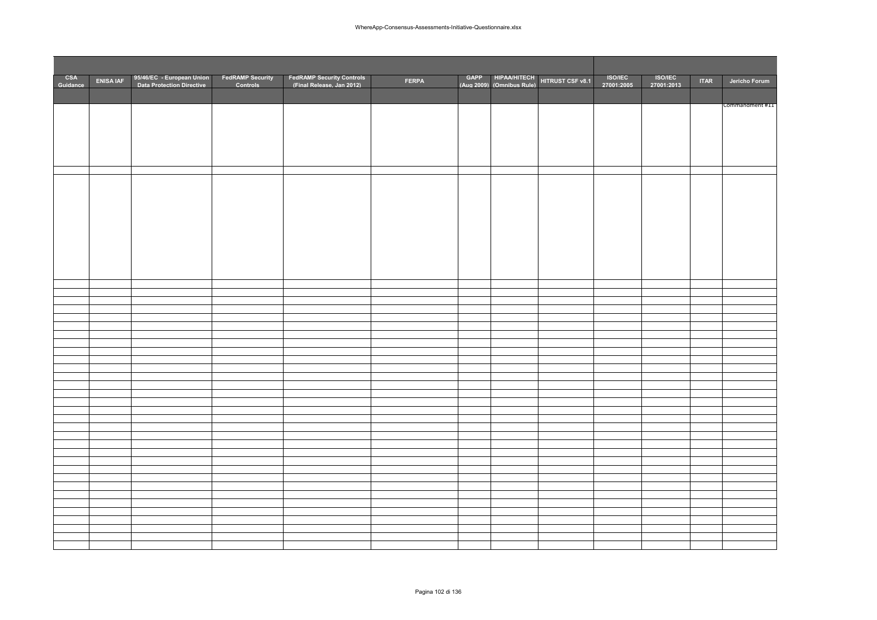| CSA<br>Guidance | <b>ENISA IAF</b> | 95/46/EC - European Union<br>Data Protection Directive | FedRAMP Security<br>Controls | FedRAMP Security Controls<br>Final Release. Jan 2012) | <b>FERPA</b> |  | GAPP HIPAA/HITECH HITRUST CSF v8.1 | <b>ISO/IEC</b><br>27001:2005 | <b>ISO/IEC</b><br>27001:2013 | <b>ITAR</b> | Jericho Forum   |
|-----------------|------------------|--------------------------------------------------------|------------------------------|-------------------------------------------------------|--------------|--|------------------------------------|------------------------------|------------------------------|-------------|-----------------|
|                 |                  |                                                        |                              |                                                       |              |  |                                    |                              |                              |             |                 |
|                 |                  |                                                        |                              |                                                       |              |  |                                    |                              |                              |             | Commandment #11 |
|                 |                  |                                                        |                              |                                                       |              |  |                                    |                              |                              |             |                 |
|                 |                  |                                                        |                              |                                                       |              |  |                                    |                              |                              |             |                 |
|                 |                  |                                                        |                              |                                                       |              |  |                                    |                              |                              |             |                 |
|                 |                  |                                                        |                              |                                                       |              |  |                                    |                              |                              |             |                 |
|                 |                  |                                                        |                              |                                                       |              |  |                                    |                              |                              |             |                 |
|                 |                  |                                                        |                              |                                                       |              |  |                                    |                              |                              |             |                 |
|                 |                  |                                                        |                              |                                                       |              |  |                                    |                              |                              |             |                 |
|                 |                  |                                                        |                              |                                                       |              |  |                                    |                              |                              |             |                 |
|                 |                  |                                                        |                              |                                                       |              |  |                                    |                              |                              |             |                 |
|                 |                  |                                                        |                              |                                                       |              |  |                                    |                              |                              |             |                 |
|                 |                  |                                                        |                              |                                                       |              |  |                                    |                              |                              |             |                 |
|                 |                  |                                                        |                              |                                                       |              |  |                                    |                              |                              |             |                 |
|                 |                  |                                                        |                              |                                                       |              |  |                                    |                              |                              |             |                 |
|                 |                  |                                                        |                              |                                                       |              |  |                                    |                              |                              |             |                 |
|                 |                  |                                                        |                              |                                                       |              |  |                                    |                              |                              |             |                 |
|                 |                  |                                                        |                              |                                                       |              |  |                                    |                              |                              |             |                 |
|                 |                  |                                                        |                              |                                                       |              |  |                                    |                              |                              |             |                 |
|                 |                  |                                                        |                              |                                                       |              |  |                                    |                              |                              |             |                 |
|                 |                  |                                                        |                              |                                                       |              |  |                                    |                              |                              |             |                 |
|                 |                  |                                                        |                              |                                                       |              |  |                                    |                              |                              |             |                 |
|                 |                  |                                                        |                              |                                                       |              |  |                                    |                              |                              |             |                 |
|                 |                  |                                                        |                              |                                                       |              |  |                                    |                              |                              |             |                 |
|                 |                  |                                                        |                              |                                                       |              |  |                                    |                              |                              |             |                 |
|                 |                  |                                                        |                              |                                                       |              |  |                                    |                              |                              |             |                 |
|                 |                  |                                                        |                              |                                                       |              |  |                                    |                              |                              |             |                 |
|                 |                  |                                                        |                              |                                                       |              |  |                                    |                              |                              |             |                 |
|                 |                  |                                                        |                              |                                                       |              |  |                                    |                              |                              |             |                 |
|                 |                  |                                                        |                              |                                                       |              |  |                                    |                              |                              |             |                 |
|                 |                  |                                                        |                              |                                                       |              |  |                                    |                              |                              |             |                 |
|                 |                  |                                                        |                              |                                                       |              |  |                                    |                              |                              |             |                 |
|                 |                  |                                                        |                              |                                                       |              |  |                                    |                              |                              |             |                 |
|                 |                  |                                                        |                              |                                                       |              |  |                                    |                              |                              |             |                 |
|                 |                  |                                                        |                              |                                                       |              |  |                                    |                              |                              |             |                 |
|                 |                  |                                                        |                              |                                                       |              |  |                                    |                              |                              |             |                 |
|                 |                  |                                                        |                              |                                                       |              |  |                                    |                              |                              |             |                 |
|                 |                  |                                                        |                              |                                                       |              |  |                                    |                              |                              |             |                 |
|                 |                  |                                                        |                              |                                                       |              |  |                                    |                              |                              |             |                 |
|                 |                  |                                                        |                              |                                                       |              |  |                                    |                              |                              |             |                 |
|                 |                  |                                                        |                              |                                                       |              |  |                                    |                              |                              |             |                 |
|                 |                  |                                                        |                              |                                                       |              |  |                                    |                              |                              |             |                 |
|                 |                  |                                                        |                              |                                                       |              |  |                                    |                              |                              |             |                 |
|                 |                  |                                                        |                              |                                                       |              |  |                                    |                              |                              |             |                 |
|                 |                  |                                                        |                              |                                                       |              |  |                                    |                              |                              |             |                 |
|                 |                  |                                                        |                              |                                                       |              |  |                                    |                              |                              |             |                 |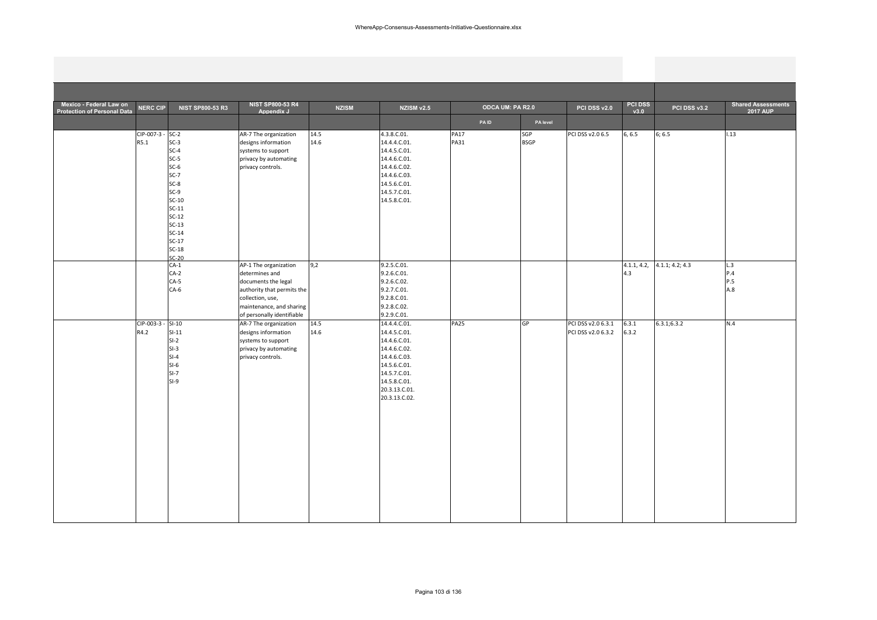| Mexico - Federal Law on<br><b>Protection of Personal Data</b> | <b>NERC CIP</b>           | <b>NIST SP800-53 R3</b>                                                                                                                                    | <b>NIST SP800-53 R4</b><br>Appendix J                                                                                                                                      | <b>NZISM</b> | <b>NZISM v2.5</b>                                                                                                                                              | <b>ODCA UM: PA R2.0</b>    |                    | PCI DSS v2.0                             | <b>PCI DSS</b><br>v3.0 | PCI DSS v3.2    | <b>Shared Assessments</b><br><b>2017 AUP</b> |
|---------------------------------------------------------------|---------------------------|------------------------------------------------------------------------------------------------------------------------------------------------------------|----------------------------------------------------------------------------------------------------------------------------------------------------------------------------|--------------|----------------------------------------------------------------------------------------------------------------------------------------------------------------|----------------------------|--------------------|------------------------------------------|------------------------|-----------------|----------------------------------------------|
|                                                               |                           |                                                                                                                                                            |                                                                                                                                                                            |              |                                                                                                                                                                | <b>PAID</b>                | PA level           |                                          |                        |                 |                                              |
|                                                               | CIP-007-3 - SC-2<br>R5.1  | $SC-3$<br>$SC-4$<br>$SC-5$<br>$SC-6$<br>$SC-7$<br>$SC-8$<br>$SC-9$<br>$SC-10$<br>$SC-11$<br>$SC-12$<br>$SC-13$<br>$SC-14$<br>$SC-17$<br>$SC-18$<br>$SC-20$ | AR-7 The organization<br>designs information<br>systems to support<br>privacy by automating<br>privacy controls.                                                           | 14.5<br>14.6 | 4.3.8.C.01.<br>14.4.4.C.01.<br>14.4.5.C.01.<br>14.4.6.C.01.<br>14.4.6.C.02.<br>14.4.6.C.03.<br>14.5.6.C.01.<br>14.5.7.C.01.<br>14.5.8.C.01.                    | <b>PA17</b><br><b>PA31</b> | SGP<br><b>BSGP</b> | PCI DSS v2.0 6.5                         | 6, 6.5                 | 6; 6.5          | 1.13                                         |
|                                                               |                           | $CA-1$<br>$CA-2$<br>$CA-5$<br>$CA-6$                                                                                                                       | AP-1 The organization<br>determines and<br>documents the legal<br>authority that permits the<br>collection, use,<br>maintenance, and sharing<br>of personally identifiable | 9,2          | 9.2.5.C.01.<br>9.2.6.C.01.<br>9.2.6.C.02.<br>9.2.7.C.01.<br>9.2.8.C.01.<br>9.2.8.C.02.<br>9.2.9.C.01.                                                          |                            |                    |                                          | 4.1.1, 4.2,<br>4.3     | 4.1.1; 4.2; 4.3 | L.3<br>P.4<br>P.5<br>A.8                     |
|                                                               | CIP-003-3 - SI-10<br>R4.2 | $SI-11$<br>$SI-2$<br>$SI-3$<br>$SI-4$<br>$SI-6$<br>$S-I-7$<br>$SI-9$                                                                                       | AR-7 The organization<br>designs information<br>systems to support<br>privacy by automating<br>privacy controls.                                                           | 14.5<br>14.6 | 14.4.4.C.01.<br>14.4.5.C.01.<br>14.4.6.C.01.<br>14.4.6.C.02.<br>14.4.6.C.03.<br>14.5.6.C.01.<br>14.5.7.C.01.<br>14.5.8.C.01.<br>20.3.13.C.01.<br>20.3.13.C.02. | <b>PA25</b>                | GP                 | PCI DSS v2.0 6.3.1<br>PCI DSS v2.0 6.3.2 | 6.3.1<br>6.3.2         | 6.3.1; 6.3.2    | N.4                                          |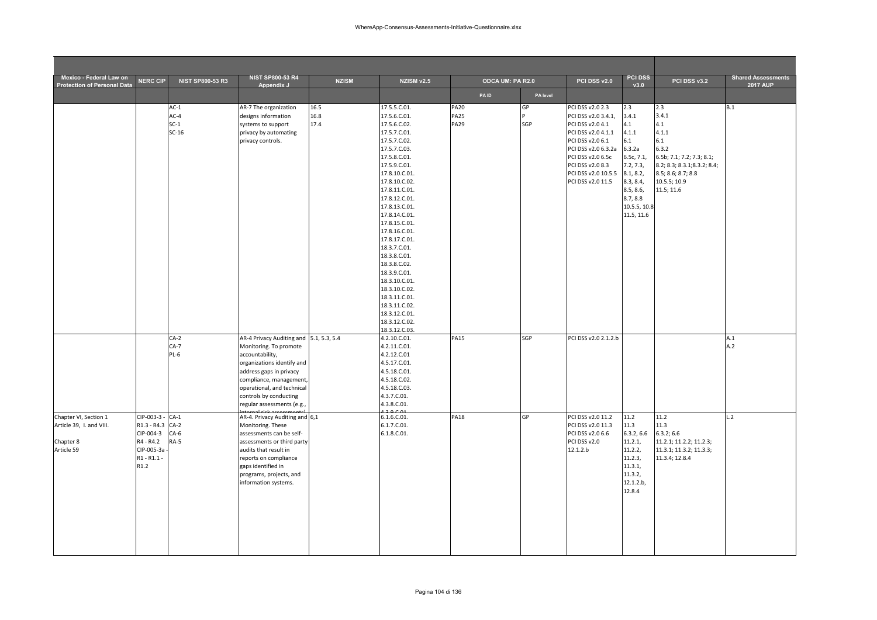| Mexico - Federal Law on<br><b>Protection of Personal Data</b>                | <b>NERC CIP</b>                                                                                       | <b>NIST SP800-53 R3</b>               | <b>NIST SP800-53 R4</b><br>Appendix J                                                                                                                                                                                                                          | <b>NZISM</b>         | NZISM v2.5                                                                                                                                                                                                                                                                                                                                                                                                                                                                   | ODCA UM: PA R2.0                          |           | PCI DSS v2.0                                                                                                                                                                                                      | <b>PCI DSS</b><br>v3.0                                                                                                                                    | PCI DSS v3.2                                                                                                                                                  | <b>Shared Assessments</b><br><b>2017 AUP</b> |
|------------------------------------------------------------------------------|-------------------------------------------------------------------------------------------------------|---------------------------------------|----------------------------------------------------------------------------------------------------------------------------------------------------------------------------------------------------------------------------------------------------------------|----------------------|------------------------------------------------------------------------------------------------------------------------------------------------------------------------------------------------------------------------------------------------------------------------------------------------------------------------------------------------------------------------------------------------------------------------------------------------------------------------------|-------------------------------------------|-----------|-------------------------------------------------------------------------------------------------------------------------------------------------------------------------------------------------------------------|-----------------------------------------------------------------------------------------------------------------------------------------------------------|---------------------------------------------------------------------------------------------------------------------------------------------------------------|----------------------------------------------|
|                                                                              |                                                                                                       |                                       |                                                                                                                                                                                                                                                                |                      |                                                                                                                                                                                                                                                                                                                                                                                                                                                                              | <b>PAID</b>                               | PA level  |                                                                                                                                                                                                                   |                                                                                                                                                           |                                                                                                                                                               |                                              |
|                                                                              |                                                                                                       | $AC-1$<br>$AC-4$<br>$SC-1$<br>$SC-16$ | AR-7 The organization<br>designs information<br>systems to support<br>privacy by automating<br>privacy controls.                                                                                                                                               | 16.5<br>16.8<br>17.4 | 17.5.5.C.01.<br>17.5.6.C.01.<br>17.5.6.C.02.<br>17.5.7.C.01.<br>17.5.7.C.02.<br>17.5.7.C.03.<br>17.5.8.C.01.<br>17.5.9.C.01.<br>17.8.10.C.01.<br>17.8.10.C.02.<br>17.8.11.C.01.<br>17.8.12.C.01.<br>17.8.13.C.01.<br>17.8.14.C.01.<br>17.8.15.C.01.<br>17.8.16.C.01.<br>17.8.17.C.01.<br>18.3.7.C.01.<br>18.3.8.C.01.<br>18.3.8.C.02.<br>18.3.9.C.01.<br>18.3.10.C.01.<br>18.3.10.C.02.<br>18.3.11.C.01.<br>18.3.11.C.02.<br>18.3.12.C.01.<br>18.3.12.C.02.<br>18.3.12.C.03. | <b>PA20</b><br><b>PA25</b><br><b>PA29</b> | GP<br>SGP | PCI DSS v2.0 2.3<br>PCI DSS v2.0 3.4.1,<br>PCI DSS v2.0 4.1<br>PCI DSS v2.0 4.1.1<br>PCI DSS v2.0 6.1<br>PCI DSS v2.0 6.3.2a<br>PCI DSS v2.0 6.5c<br>PCI DSS v2.0 8.3<br>PCI DSS v2.0 10.5.5<br>PCI DSS v2.0 11.5 | 2.3<br>3.4.1<br>4.1<br>4.1.1<br>6.1<br>6.3.2a<br>6.5c, 7.1,<br>7.2, 7.3,<br>8.1, 8.2,<br>8.3, 8.4,<br>8.5, 8.6,<br>8.7, 8.8<br>10.5.5, 10.8<br>11.5, 11.6 | 2.3<br>3.4.1<br>4.1<br>4.1.1<br>6.1<br>6.3.2<br>6.5b; 7.1; 7.2; 7.3; 8.1;<br>8.2; 8.3; 8.3.1; 8.3.2; 8.4;<br>8.5; 8.6; 8.7; 8.8<br>10.5.5; 10.9<br>11.5; 11.6 | B.1                                          |
|                                                                              |                                                                                                       | $CA-2$<br>$CA-7$<br>$PL-6$            | AR-4 Privacy Auditing and 5.1, 5.3, 5.4<br>Monitoring. To promote<br>accountability,<br>organizations identify and<br>address gaps in privacy<br>compliance, management,<br>operational, and technical<br>controls by conducting<br>regular assessments (e.g., |                      | 4.2.10.C.01.<br>4.2.11.C.01.<br>4.2.12.C.01<br>4.5.17.C.01.<br>4.5.18.C.01.<br>4.5.18.C.02.<br>4.5.18.C.03.<br>4.3.7.C.01.<br>4.3.8.C.01.                                                                                                                                                                                                                                                                                                                                    | <b>PA15</b>                               | SGP       | PCI DSS v2.0 2.1.2.b                                                                                                                                                                                              |                                                                                                                                                           |                                                                                                                                                               | A.1<br>A.2                                   |
| Chapter VI, Section 1<br>Article 39, I. and VIII.<br>Chapter 8<br>Article 59 | CIP-003-3 - CA-1<br>R1.3 - R4.3 CA-2<br>CIP-004-3<br>R4 - R4.2<br>CIP-005-3a<br>$R1 - R1.1 -$<br>R1.2 | $CA-6$<br>RA-5                        | AR-4. Privacy Auditing and 6,1<br>Monitoring. These<br>assessments can be self-<br>assessments or third party<br>audits that result in<br>reports on compliance<br>gaps identified in<br>programs, projects, and<br>information systems.                       |                      | 6.1.6.C.01.<br>6.1.7.C.01.<br>6.1.8.C.01.                                                                                                                                                                                                                                                                                                                                                                                                                                    | <b>PA18</b>                               | GP        | PCI DSS v2.0 11.2<br>PCI DSS v2.0 11.3<br>PCI DSS v2.0 6.6<br>PCI DSS v2.0<br>12.1.2.b                                                                                                                            | 11.2<br>11.3<br>6.3.2, 6.6<br>11.2.1,<br>11.2.2,<br>11.2.3,<br>11.3.1,<br>11.3.2,<br>12.1.2.b,<br>12.8.4                                                  | 11.2<br>11.3<br>6.3.2; 6.6<br>11.2.1; 11.2.2; 11.2.3;<br>11.3.1; 11.3.2; 11.3.3;<br>11.3.4; 12.8.4                                                            | L.2                                          |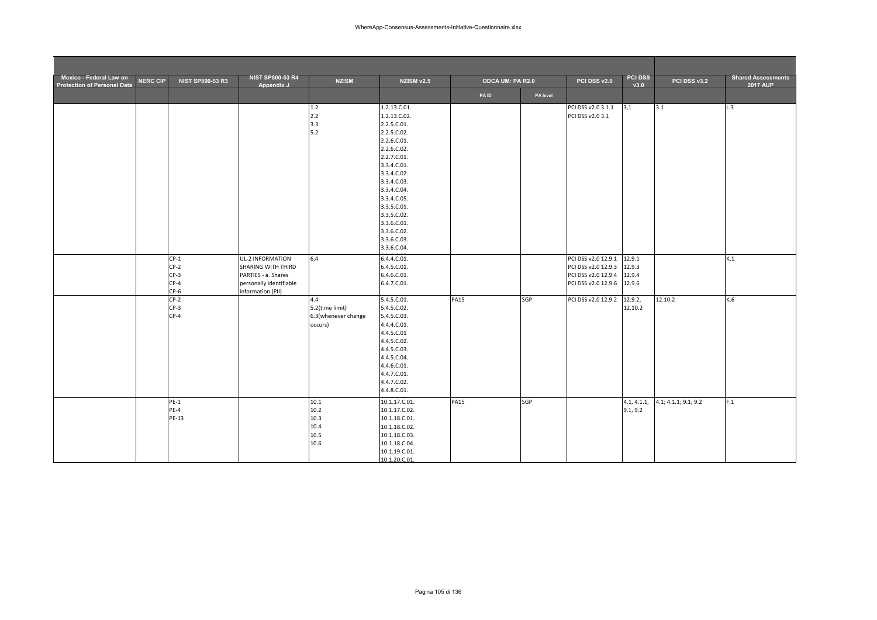| Mexico - Federal Law on<br><b>Protection of Personal Data</b> | <b>NERC CIP</b> | <b>NIST SP800-53 R3</b>                        | <b>NIST SP800-53 R4</b><br>Appendix J                                                                         | <b>NZISM</b>                                             | <b>NZISM v2.5</b>                                                                                                                                                                                                                                             | ODCA UM: PA R2.0 |          | PCI DSS v2.0                                                                             | <b>PCI DSS</b><br>v3.0               | PCI DSS v3.2         | <b>Shared Assessments</b><br><b>2017 AUP</b> |
|---------------------------------------------------------------|-----------------|------------------------------------------------|---------------------------------------------------------------------------------------------------------------|----------------------------------------------------------|---------------------------------------------------------------------------------------------------------------------------------------------------------------------------------------------------------------------------------------------------------------|------------------|----------|------------------------------------------------------------------------------------------|--------------------------------------|----------------------|----------------------------------------------|
|                                                               |                 |                                                |                                                                                                               |                                                          |                                                                                                                                                                                                                                                               | <b>PAID</b>      | PA level |                                                                                          |                                      |                      |                                              |
|                                                               |                 |                                                |                                                                                                               | 1.2<br>2.2<br>3.3<br>5.2                                 | 1.2.13.C.01.<br>1.2.13.C.02.<br>2.2.5.C.01.<br>2.2.5.C.02.<br>2.2.6.C.01.<br>2.2.6.C.02.<br>2.2.7.C.01.<br>3.3.4.C.01.<br>3.3.4.C.02.<br>3.3.4.C.03.<br>3.3.4.C.04.<br>3.3.4.C.05.<br>3.3.5.C.01.<br>3.3.5.C.02.<br>3.3.6.C.01.<br>3.3.6.C.02.<br>3.3.6.C.03. |                  |          | PCI DSS v2.0 3.1.1<br>PCI DSS v2.0 3.1                                                   | 3,1                                  | 3.1                  | L.3                                          |
|                                                               |                 | $CP-1$<br>$CP-2$<br>$CP-3$<br>$CP-4$<br>$CP-6$ | UL-2 INFORMATION<br>SHARING WITH THIRD<br>PARTIES - a. Shares<br>personally identifiable<br>information (PII) | 6,4                                                      | 3.3.6.C.04.<br>6.4.4.C.01.<br>6.4.5.C.01.<br>6.4.6.C.01.<br>6.4.7.C.01.                                                                                                                                                                                       |                  |          | PCI DSS v2.0 12.9.1<br>PCI DSS v2.0 12.9.3<br>PCI DSS v2.0 12.9.4<br>PCI DSS v2.0 12.9.6 | 12.9.1<br>12.9.3<br>12.9.4<br>12.9.6 |                      | K.1                                          |
|                                                               |                 | $CP-2$<br>$CP-3$<br>$CP-4$                     |                                                                                                               | 4.4<br>5.2(time limit)<br>6.3(whenever change<br>occurs) | 5.4.5.C.01.<br>5.4.5.C.02.<br>5.4.5.C.03.<br>4.4.4.C.01.<br>4.4.5.C.01<br>4.4.5.C.02.<br>4.4.5.C.03.<br>4.4.5.C.04.<br>4.4.6.C.01.<br>4.4.7.C.01.<br>4.4.7.C.02.<br>4.4.8.C.01.                                                                               | <b>PA15</b>      | SGP      | PCI DSS v2.0 12.9.2                                                                      | 12.9.2,<br>12.10.2                   | 12.10.2              | K.6                                          |
|                                                               |                 | $PE-1$<br>$PE-4$<br>PE-13                      |                                                                                                               | 10.1<br>10.2<br>10.3<br>10.4<br>10.5<br>10.6             | 10.1.17.C.01.<br>10.1.17.C.02.<br>10.1.18.C.01.<br>10.1.18.C.02.<br>10.1.18.C.03.<br>10.1.18.C.04.<br>10.1.19.C.01.<br>10.1.20.C.01.                                                                                                                          | <b>PA15</b>      | SGP      |                                                                                          | 4.1, 4.1.1,<br>9.1, 9.2              | 4.1; 4.1.1; 9.1; 9.2 | F.1                                          |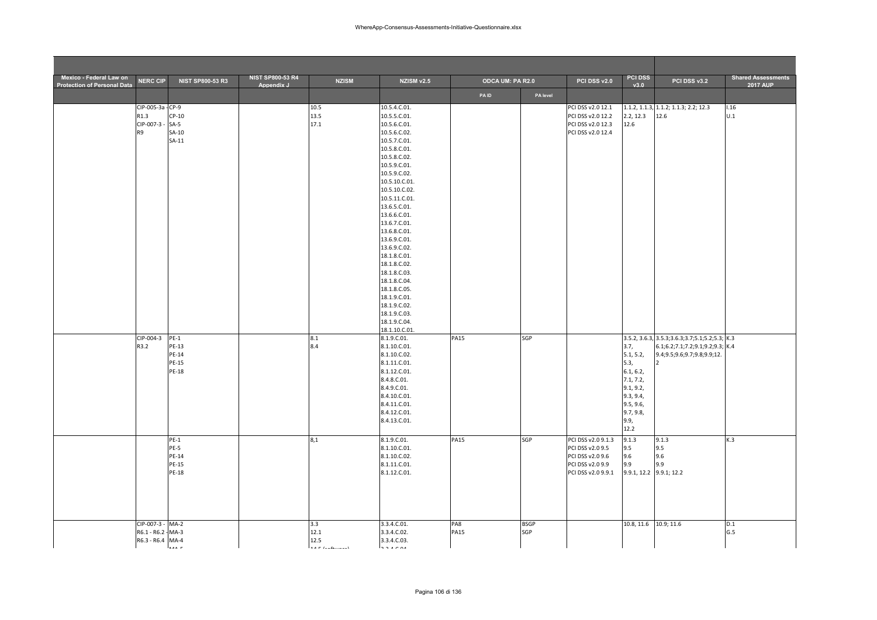| Mexico - Federal Law on<br><b>Protection of Personal Data</b> | <b>NERC CIP</b>                                            | <b>NIST SP800-53 R3</b>                           | <b>NIST SP800-53 R4</b><br>Appendix J | <b>NZISM</b>                            | NZISM v2.5                                                                                                                                                                                                                                                                                                                                                                                                                                      | ODCA UM: PA R2.0   |                    | PCI DSS v2.0                                                                                         | <b>PCI DSS</b><br>v3.0                                                                                                  | PCI DSS v3.2                                                                                                           | <b>Shared Assessments</b><br><b>2017 AUP</b> |
|---------------------------------------------------------------|------------------------------------------------------------|---------------------------------------------------|---------------------------------------|-----------------------------------------|-------------------------------------------------------------------------------------------------------------------------------------------------------------------------------------------------------------------------------------------------------------------------------------------------------------------------------------------------------------------------------------------------------------------------------------------------|--------------------|--------------------|------------------------------------------------------------------------------------------------------|-------------------------------------------------------------------------------------------------------------------------|------------------------------------------------------------------------------------------------------------------------|----------------------------------------------|
|                                                               |                                                            |                                                   |                                       |                                         |                                                                                                                                                                                                                                                                                                                                                                                                                                                 | <b>PAID</b>        | PA level           |                                                                                                      |                                                                                                                         |                                                                                                                        |                                              |
|                                                               | CIP-005-3a - CP-9<br>R1.3<br>CIP-007-3-<br>R9              | $CP-10$<br>$SA-5$<br>SA-10<br>$SA-11$             |                                       | 10.5<br>13.5<br>17.1                    | 10.5.4.C.01.<br>10.5.5.C.01.<br>10.5.6.C.01.<br>10.5.6.C.02.<br>10.5.7.C.01.<br>10.5.8.C.01.<br>10.5.8.C.02.<br>10.5.9.C.01.<br>10.5.9.C.02.<br>10.5.10.C.01.<br>10.5.10.C.02.<br>10.5.11.C.01.<br>13.6.5.C.01.<br>13.6.6.C.01.<br>13.6.7.C.01.<br>13.6.8.C.01.<br>13.6.9.C.01.<br>13.6.9.C.02.<br>18.1.8.C.01.<br>18.1.8.C.02.<br>18.1.8.C.03.<br>18.1.8.C.04.<br>18.1.8.C.05.<br>18.1.9.C.01.<br>18.1.9.C.02.<br>18.1.9.C.03.<br>18.1.9.C.04. |                    |                    | PCI DSS v2.0 12.1<br>PCI DSS v2.0 12.2<br>PCI DSS v2.0 12.3<br>PCI DSS v2.0 12.4                     | 2.2, 12.3<br>12.6                                                                                                       | 1.1.2, 1.1.3, 1.1.2; 1.1.3; 2.2; 12.3<br>12.6                                                                          | 1.16<br>U.1                                  |
|                                                               | CIP-004-3<br>R3.2                                          | $PE-1$<br>PE-13<br>PE-14<br><b>PE-15</b><br>PE-18 |                                       | 8.1<br>8.4                              | 18.1.10.C.01.<br>8.1.9.C.01.<br>8.1.10.C.01.<br>8.1.10.C.02.<br>8.1.11.C.01.<br>8.1.12.C.01.<br>8.4.8.C.01.<br>8.4.9.C.01.<br>8.4.10.C.01.<br>8.4.11.C.01.<br>8.4.12.C.01.<br>8.4.13.C.01.                                                                                                                                                                                                                                                      | <b>PA15</b>        | SGP                |                                                                                                      | 3.7,<br>5.1, 5.2,<br>5.3,<br>6.1, 6.2,<br>7.1, 7.2,<br>9.1, 9.2,<br>9.3, 9.4,<br>9.5, 9.6,<br>9.7, 9.8,<br>9.9,<br>12.2 | 3.5.2, 3.6.3, 3.5.3; 3.6.3; 3.7; 5.1; 5.2; 5.3; K.3<br>6.1;6.2;7.1;7.2;9.1;9.2;9.3; K.4<br>9.4;9.5;9.6;9.7;9.8;9.9;12. |                                              |
|                                                               |                                                            | $PE-1$<br>PE-5<br>PE-14<br>PE-15<br><b>PE-18</b>  |                                       | 8,1                                     | 8.1.9.C.01.<br>8.1.10.C.01.<br>8.1.10.C.02.<br>8.1.11.C.01.<br>8.1.12.C.01.                                                                                                                                                                                                                                                                                                                                                                     | <b>PA15</b>        | SGP                | PCI DSS v2.0 9.1.3<br>PCI DSS v2.0 9.5<br>PCI DSS v2.0 9.6<br>PCI DSS v2.0 9.9<br>PCI DSS v2.0 9.9.1 | 9.1.3<br>9.5<br>9.6<br>9.9<br>9.9.1, 12.2 9.9.1; 12.2                                                                   | 9.1.3<br>9.5<br>9.6<br>9.9                                                                                             | K.3                                          |
|                                                               | CIP-007-3 - MA-2<br>R6.1 - R6.2 - MA-3<br>R6.3 - R6.4 MA-4 | - ۱۰۰۰                                            |                                       | 3.3<br>12.1<br>12.5<br>$A = L_{1}L_{2}$ | 3.3.4.C.01.<br>3.3.4.C.02.<br>3.3.4.C.03.<br>.                                                                                                                                                                                                                                                                                                                                                                                                  | PA8<br><b>PA15</b> | <b>BSGP</b><br>SGP |                                                                                                      | 10.8, 11.6 10.9; 11.6                                                                                                   |                                                                                                                        | D.1<br>G.5                                   |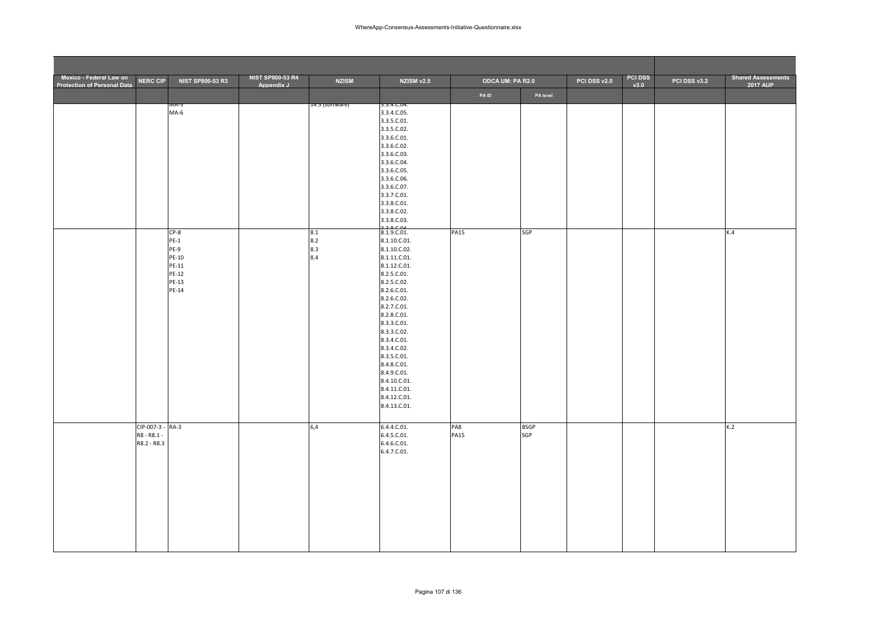| Mexico - Federal Law on<br><b>Protection of Personal Data</b> | <b>NERC CIP</b>                                | <b>NIST SP800-53 R3</b>                                               | <b>NIST SP800-53 R4</b><br>Appendix J | <b>NZISM</b>             | NZISM v2.5                                                                                                                                                                                                                                                                                                                                     | ODCA UM: PA R2.0   |                    | PCI DSS v2.0 | <b>PCI DSS</b><br>v3.0 | PCI DSS v3.2 | <b>Shared Assessments</b><br><b>2017 AUP</b> |
|---------------------------------------------------------------|------------------------------------------------|-----------------------------------------------------------------------|---------------------------------------|--------------------------|------------------------------------------------------------------------------------------------------------------------------------------------------------------------------------------------------------------------------------------------------------------------------------------------------------------------------------------------|--------------------|--------------------|--------------|------------------------|--------------|----------------------------------------------|
|                                                               |                                                |                                                                       |                                       |                          |                                                                                                                                                                                                                                                                                                                                                | PAID               | PA level           |              |                        |              |                                              |
|                                                               |                                                | 71A-5<br>$MA-6$                                                       |                                       | 14.5 (sortware)          | 3.3.4.C.U4.<br>3.3.4.C.05.<br>3.3.5.C.01.<br>3.3.5.C.02.<br>3.3.6.C.01.<br>3.3.6.C.02.<br>3.3.6.C.03.<br>3.3.6.C.04.<br>3.3.6.C.05.<br>3.3.6.C.06.<br>3.3.6.C.07.<br>3.3.7.C.01.<br>3.3.8.C.01.<br>3.3.8.C.02.<br>3.3.8.C.03.<br>22000                                                                                                         |                    |                    |              |                        |              |                                              |
|                                                               |                                                | $CP-8$<br>$PE-1$<br>PE-9<br>PE-10<br>PE-11<br>PE-12<br>PE-13<br>PE-14 |                                       | 8.1<br>8.2<br>8.3<br>8.4 | 8.1.9.C.01.<br>8.1.10.C.01.<br>8.1.10.C.02.<br>8.1.11.C.01.<br>8.1.12.C.01.<br>8.2.5.C.01.<br>8.2.5.C.02.<br>8.2.6.C.01.<br>8.2.6.C.02.<br>8.2.7.C.01.<br>8.2.8.C.01.<br>8.3.3.C.01.<br>8.3.3.C.02.<br>8.3.4.C.01.<br>8.3.4.C.02.<br>8.3.5.C.01.<br>8.4.8.C.01.<br>8.4.9.C.01.<br>8.4.10.C.01.<br>8.4.11.C.01.<br>8.4.12.C.01.<br>8.4.13.C.01. | <b>PA15</b>        | SGP                |              |                        |              | K.4                                          |
|                                                               | CIP-007-3 - RA-3<br>R8 - R8.1 -<br>R8.2 - R8.3 |                                                                       |                                       | 6,4                      | 6.4.4.C.01.<br>6.4.5.C.01.<br>$6.4.6$ .C.01.<br>6.4.7.C.01.                                                                                                                                                                                                                                                                                    | PA8<br><b>PA15</b> | <b>BSGP</b><br>SGP |              |                        |              | K.2                                          |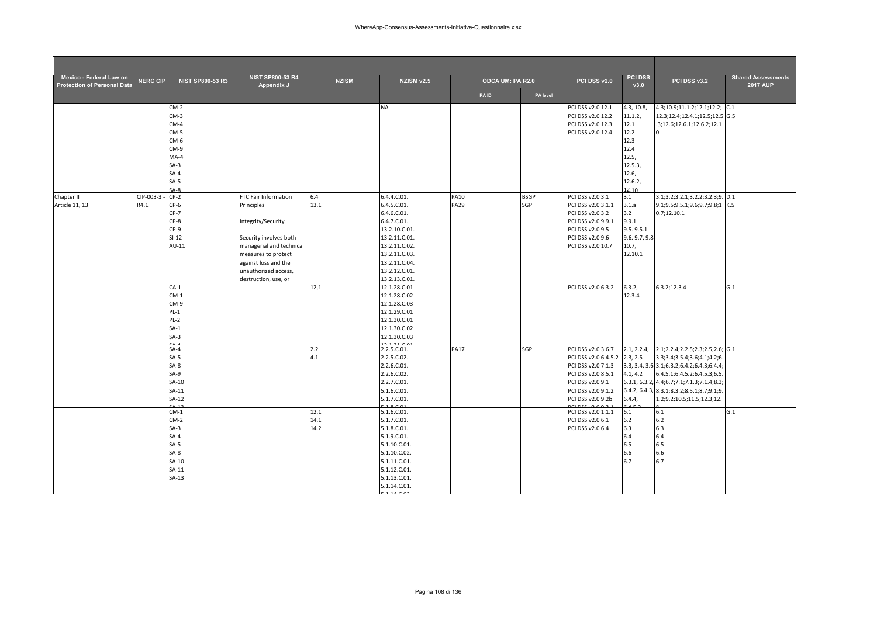| Mexico - Federal Law on<br><b>Protection of Personal Data</b> | <b>NERC CIP</b>   | <b>NIST SP800-53 R3</b>                                                                                                                                        | <b>NIST SP800-53 R4</b><br>Appendix J                                                                                                                                                                         | <b>NZISM</b>                       | NZISM v2.5                                                                                                                                                                                                                                                | ODCA UM: PA R2.0           |                    | PCI DSS v2.0                                                                                                                                                                                                        | <b>PCI DSS</b><br>v3.0                                                                           | PCI DSS v3.2                                                                                                                                                                                                                                                                                                                            | <b>Shared Assessments</b><br><b>2017 AUP</b> |
|---------------------------------------------------------------|-------------------|----------------------------------------------------------------------------------------------------------------------------------------------------------------|---------------------------------------------------------------------------------------------------------------------------------------------------------------------------------------------------------------|------------------------------------|-----------------------------------------------------------------------------------------------------------------------------------------------------------------------------------------------------------------------------------------------------------|----------------------------|--------------------|---------------------------------------------------------------------------------------------------------------------------------------------------------------------------------------------------------------------|--------------------------------------------------------------------------------------------------|-----------------------------------------------------------------------------------------------------------------------------------------------------------------------------------------------------------------------------------------------------------------------------------------------------------------------------------------|----------------------------------------------|
|                                                               |                   |                                                                                                                                                                |                                                                                                                                                                                                               |                                    |                                                                                                                                                                                                                                                           | <b>PAID</b>                | PA level           |                                                                                                                                                                                                                     |                                                                                                  |                                                                                                                                                                                                                                                                                                                                         |                                              |
|                                                               |                   | $CM-2$<br>$CM-3$<br>$CM-4$<br>$CM-5$<br>CM-6<br>$CM-9$<br>$MA-4$<br>$SA-3$<br>$SA-4$<br>$SA-5$                                                                 |                                                                                                                                                                                                               |                                    | <b>NA</b>                                                                                                                                                                                                                                                 |                            |                    | PCI DSS v2.0 12.1<br>PCI DSS v2.0 12.2<br>PCI DSS v2.0 12.3<br>PCI DSS v2.0 12.4                                                                                                                                    | 4.3, 10.8,<br>11.1.2,<br>12.1<br>12.2<br>12.3<br>12.4<br>12.5,<br>12.5.3,<br>12.6,<br>12.6.2,    | 4.3;10.9;11.1.2;12.1;12.2; C.1<br>12.3;12.4;12.4.1;12.5;12.5 G.5<br>.3;12.6;12.6.1;12.6.2;12.1                                                                                                                                                                                                                                          |                                              |
| Chapter II<br>Article 11, 13                                  | CIP-003-3<br>R4.1 | $A-A$<br>$CP-2$<br>$CP-6$<br>$CP-7$<br>$CP-8$<br>$CP-9$<br>$SI-12$<br>$AU-11$                                                                                  | FTC Fair Information<br>Principles<br>Integrity/Security<br>Security involves both<br>managerial and technical<br>measures to protect<br>against loss and the<br>unauthorized access,<br>destruction, use, or | 6.4<br>13.1                        | 6.4.4.C.01.<br>6.4.5.C.01.<br>6.4.6.C.01.<br>6.4.7.C.01.<br>13.2.10.C.01.<br>13.2.11.C.01.<br>13.2.11.C.02.<br>13.2.11.C.03.<br>13.2.11.C.04.<br>13.2.12.C.01.<br>13.2.13.C.01.                                                                           | <b>PA10</b><br><b>PA29</b> | <b>BSGP</b><br>SGP | PCI DSS v2.0 3.1<br>PCI DSS v2.0 3.1.1<br>PCI DSS v2.0 3.2<br>PCI DSS v2.0 9.9.1<br>PCI DSS v2.0 9.5<br>PCI DSS v2.0 9.6<br>PCI DSS v2.0 10.7                                                                       | 12 10<br>3.1<br>3.1.a<br>3.2<br>9.9.1<br>9.5.9.5.1<br>9.6.9.7,9.8<br>10.7,<br>12.10.1            | 3.1;3.2;3.2.1;3.2.2;3.2.3;9. D.1<br>9.1;9.5;9.5.1;9.6;9.7;9.8;1 K.5<br>0.7;12.10.1                                                                                                                                                                                                                                                      |                                              |
|                                                               |                   | $CA-1$<br>$CM-1$<br>$CM-9$<br>$PL-1$<br>$PL-2$<br>$SA-1$<br>$SA-3$                                                                                             |                                                                                                                                                                                                               | 12,1                               | 12.1.28.C.01<br>12.1.28.C.02<br>12.1.28.C.03<br>12.1.29.C.01<br>12.1.30.C.01<br>12.1.30.C.02<br>12.1.30.C.03                                                                                                                                              |                            |                    | PCI DSS v2.0 6.3.2                                                                                                                                                                                                  | 6.3.2,<br>12.3.4                                                                                 | 6.3.2;12.3.4                                                                                                                                                                                                                                                                                                                            | G.1                                          |
|                                                               |                   | $SA-4$<br>$SA-5$<br>$SA-8$<br>$SA-9$<br>SA-10<br>$SA-11$<br>$SA-12$<br>$CM-1$<br>$CM-2$<br>$SA-3$<br>$SA-4$<br>$SA-5$<br>$SA-8$<br>SA-10<br>$SA-11$<br>$SA-13$ |                                                                                                                                                                                                               | 2.2<br>4.1<br>12.1<br>14.1<br>14.2 | 2.2.5.C.01.<br>2.2.5.C.02.<br>2.2.6.C.01.<br>2.2.6.C.02.<br>2.2.7.C.01.<br>5.1.6.C.01.<br>5.1.7.C.01.<br>1000<br>5.1.6.C.01.<br>5.1.7.C.01.<br>5.1.8.C.01.<br>5.1.9.C.01.<br>5.1.10.C.01.<br>5.1.10.C.02.<br>5.1.11.C.01.<br>5.1.12.C.01.<br>5.1.13.C.01. | <b>PA17</b>                | SGP                | PCI DSS v2.0 3.6.7<br>PCI DSS v2.0 6.4.5.2<br>PCI DSS v2.0 7.1.3<br>PCI DSS v2.0 8.5.1<br>PCI DSS v2.0 9.1<br>PCI DSS v2.0 9.1.2<br>PCI DSS v2.0 9.2b<br>PCI DSS v2.0 1.1.1<br>PCI DSS v2.0 6.1<br>PCI DSS v2.0 6.4 | 2.1, 2.2.4,<br>2.3, 2.5<br>4.1, 4.2<br>6.4.4.<br>6.1<br>$6.2$<br>6.3<br>6.4<br>6.5<br>6.6<br>6.7 | 2.1;2.2.4;2.2.5;2.3;2.5;2.6; G.1<br>3.3;3.4;3.5.4;3.6;4.1;4.2;6.<br>3.3, 3.4, 3.6 3.1; 6.3.2; 6.4.2; 6.4.3; 6.4.4;<br>6.4.5.1;6.4.5.2;6.4.5.3;6.5.<br>6.3.1, 6.3.2, 4.4; 6.7; 7.1; 7.1.3; 7.1.4; 8.3;<br>6.4.2, 6.4.3, 8.3.1; 8.3.2; 8.5.1; 8.7; 9.1; 9.<br>1.2;9.2;10.5;11.5;12.3;12.<br>6.1<br>6.2<br>6.3<br>6.4<br>6.5<br>6.6<br>6.7 | G.1                                          |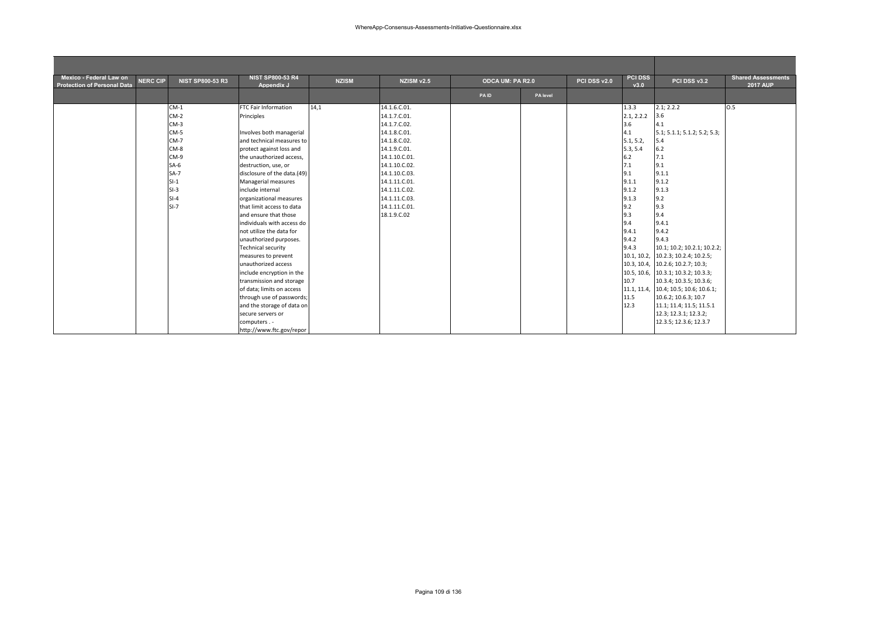| Mexico - Federal Law on<br><b>Protection of Personal Data</b> | <b>NERC CIP</b> | <b>NIST SP800-53 R3</b> | <b>NIST SP800-53 R4</b><br>Appendix J | <b>NZISM</b> | NZISM v2.5    | ODCA UM: PA R2.0 |          | PCI DSS v2.0 | <b>PCI DSS</b><br>v3.0 | PCI DSS v3.2                          | <b>Shared Assessments</b><br><b>2017 AUP</b> |
|---------------------------------------------------------------|-----------------|-------------------------|---------------------------------------|--------------|---------------|------------------|----------|--------------|------------------------|---------------------------------------|----------------------------------------------|
|                                                               |                 |                         |                                       |              |               | PAID             | PA level |              |                        |                                       |                                              |
|                                                               |                 | $CM-1$                  | FTC Fair Information                  | 14,1         | 14.1.6.C.01.  |                  |          |              | 1.3.3                  | 2.1; 2.2.2                            | 0.5                                          |
|                                                               |                 | $CM-2$                  | Principles                            |              | 14.1.7.C.01.  |                  |          |              | 2.1, 2.2.2             | 3.6                                   |                                              |
|                                                               |                 | $CM-3$                  |                                       |              | 14.1.7.C.02.  |                  |          |              | 3.6                    | 4.1                                   |                                              |
|                                                               |                 | $CM-5$                  | Involves both managerial              |              | 14.1.8.C.01.  |                  |          |              | 4.1                    | 5.1; 5.1.1; 5.1.2; 5.2; 5.3;          |                                              |
|                                                               |                 | $CM-7$                  | and technical measures to             |              | 14.1.8.C.02.  |                  |          |              | 5.1, 5.2,              | 5.4                                   |                                              |
|                                                               |                 | $CM-8$                  | protect against loss and              |              | 14.1.9.C.01.  |                  |          |              | 5.3, 5.4               | 6.2                                   |                                              |
|                                                               |                 | CM-9                    | the unauthorized access,              |              | 14.1.10.C.01. |                  |          |              | 6.2                    | 7.1                                   |                                              |
|                                                               |                 | $SA-6$                  | destruction, use, or                  |              | 14.1.10.C.02. |                  |          |              | 7.1                    | 9.1                                   |                                              |
|                                                               |                 | $SA-7$                  | disclosure of the data.(49)           |              | 14.1.10.C.03. |                  |          |              | 9.1                    | 9.1.1                                 |                                              |
|                                                               |                 | $SI-1$                  | Managerial measures                   |              | 14.1.11.C.01. |                  |          |              | 9.1.1                  | 9.1.2                                 |                                              |
|                                                               |                 | $SI-3$                  | include internal                      |              | 14.1.11.C.02. |                  |          |              | 9.1.2                  | 9.1.3                                 |                                              |
|                                                               |                 | $SI-4$                  | organizational measures               |              | 14.1.11.C.03. |                  |          |              | 9.1.3                  | 9.2                                   |                                              |
|                                                               |                 | $SI-7$                  | that limit access to data             |              | 14.1.11.C.01. |                  |          |              | 9.2                    | 9.3                                   |                                              |
|                                                               |                 |                         | and ensure that those                 |              | 18.1.9.C.02   |                  |          |              | 9.3                    | 9.4                                   |                                              |
|                                                               |                 |                         | individuals with access do            |              |               |                  |          |              | 9.4                    | 9.4.1                                 |                                              |
|                                                               |                 |                         | not utilize the data for              |              |               |                  |          |              | 9.4.1                  | 9.4.2                                 |                                              |
|                                                               |                 |                         | unauthorized purposes.                |              |               |                  |          |              | 9.4.2                  | 9.4.3                                 |                                              |
|                                                               |                 |                         | <b>Technical security</b>             |              |               |                  |          |              | 9.4.3                  | 10.1; 10.2; 10.2.1; 10.2.2;           |                                              |
|                                                               |                 |                         | measures to prevent                   |              |               |                  |          |              |                        | 10.1, 10.2, 10.2.3; 10.2.4; 10.2.5;   |                                              |
|                                                               |                 |                         | unauthorized access                   |              |               |                  |          |              | 10.3, 10.4,            | 10.2.6; 10.2.7; 10.3;                 |                                              |
|                                                               |                 |                         | include encryption in the             |              |               |                  |          |              | 10.5, 10.6,            | 10.3.1; 10.3.2; 10.3.3;               |                                              |
|                                                               |                 |                         | transmission and storage              |              |               |                  |          |              | 10.7                   | 10.3.4; 10.3.5; 10.3.6;               |                                              |
|                                                               |                 |                         | of data; limits on access             |              |               |                  |          |              |                        | 11.1, 11.4, 10.4; 10.5; 10.6; 10.6.1; |                                              |
|                                                               |                 |                         | through use of passwords;             |              |               |                  |          |              | 11.5                   | 10.6.2; 10.6.3; 10.7                  |                                              |
|                                                               |                 |                         | and the storage of data on            |              |               |                  |          |              | 12.3                   | 11.1; 11.4; 11.5; 11.5.1              |                                              |
|                                                               |                 |                         | secure servers or                     |              |               |                  |          |              |                        | 12.3; 12.3.1; 12.3.2;                 |                                              |
|                                                               |                 |                         | computers. -                          |              |               |                  |          |              |                        | 12.3.5; 12.3.6; 12.3.7                |                                              |
|                                                               |                 |                         | http://www.ftc.gov/repor              |              |               |                  |          |              |                        |                                       |                                              |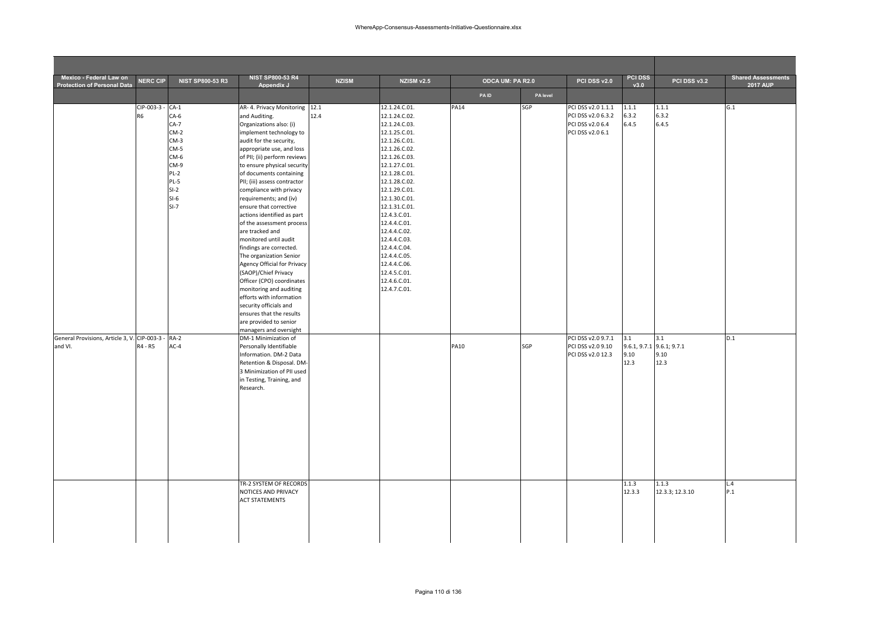| Mexico - Federal Law on                                  |                                    |                                                                                                                  | <b>NIST SP800-53 R4</b>                                                                                                                                                                                                                                                                                                                                                                                                                                                                                                                                                                                                                                                                                                                                        |              |                                                                                                                                                                                                                                                                                                                                                                                           |                         |                 |                                                                                  | <b>PCI DSS</b>          |                                                  | <b>Shared Assessments</b> |
|----------------------------------------------------------|------------------------------------|------------------------------------------------------------------------------------------------------------------|----------------------------------------------------------------------------------------------------------------------------------------------------------------------------------------------------------------------------------------------------------------------------------------------------------------------------------------------------------------------------------------------------------------------------------------------------------------------------------------------------------------------------------------------------------------------------------------------------------------------------------------------------------------------------------------------------------------------------------------------------------------|--------------|-------------------------------------------------------------------------------------------------------------------------------------------------------------------------------------------------------------------------------------------------------------------------------------------------------------------------------------------------------------------------------------------|-------------------------|-----------------|----------------------------------------------------------------------------------|-------------------------|--------------------------------------------------|---------------------------|
| <b>Protection of Personal Data</b>                       | <b>NERC CIP</b>                    | <b>NIST SP800-53 R3</b>                                                                                          | Appendix J                                                                                                                                                                                                                                                                                                                                                                                                                                                                                                                                                                                                                                                                                                                                                     | <b>NZISM</b> | NZISM v2.5                                                                                                                                                                                                                                                                                                                                                                                | <b>ODCA UM: PA R2.0</b> |                 | PCI DSS v2.0                                                                     | v3.0                    | PCI DSS v3.2                                     | <b>2017 AUP</b>           |
|                                                          | CIP-003-3 - CA-1<br>R <sub>6</sub> | $CA-6$<br>$CA-7$<br>$CM-2$<br>$CM-3$<br>$CM-5$<br>CM-6<br>CM-9<br>$PL-2$<br>$PL-5$<br>$SI-2$<br>$SI-6$<br>$SI-7$ | AR- 4. Privacy Monitoring 12.1<br>and Auditing.<br>Organizations also: (i)<br>implement technology to<br>audit for the security,<br>appropriate use, and loss<br>of PII; (ii) perform reviews<br>to ensure physical security<br>of documents containing<br>PII; (iii) assess contractor<br>compliance with privacy<br>requirements; and (iv)<br>ensure that corrective<br>actions identified as part<br>of the assessment process<br>are tracked and<br>monitored until audit<br>findings are corrected.<br>The organization Senior<br>Agency Official for Privacy<br>(SAOP)/Chief Privacy<br>Officer (CPO) coordinates<br>monitoring and auditing<br>efforts with information<br>security officials and<br>ensures that the results<br>are provided to senior | 12.4         | 12.1.24.C.01.<br>12.1.24.C.02.<br>12.1.24.C.03.<br>12.1.25.C.01.<br>12.1.26.C.01.<br>12.1.26.C.02.<br>12.1.26.C.03.<br>12.1.27.C.01.<br>12.1.28.C.01.<br>12.1.28.C.02.<br>12.1.29.C.01.<br>12.1.30.C.01.<br>12.1.31.C.01.<br>12.4.3.C.01.<br>12.4.4.C.01.<br>12.4.4.C.02.<br>12.4.4.C.03.<br>12.4.4.C.04.<br>12.4.4.C.05.<br>12.4.4.C.06.<br>12.4.5.C.01.<br>12.4.6.C.01.<br>12.4.7.C.01. | PAID<br><b>PA14</b>     | PA level<br>SGP | PCI DSS v2.0 1.1.1<br>PCI DSS v2.0 6.3.2<br>PCI DSS v2.0 6.4<br>PCI DSS v2.0 6.1 | 1.1.1<br>6.3.2<br>6.4.5 | 1.1.1<br>6.3.2<br>6.4.5                          | G.1                       |
| General Provisions, Article 3, V. CIP-003-3 -<br>and VI. | R4 - R5                            | $RA-2$<br>$AC-4$                                                                                                 | managers and oversight<br>DM-1 Minimization of<br>Personally Identifiable<br>Information. DM-2 Data<br>Retention & Disposal. DM-<br>3 Minimization of PII used<br>in Testing, Training, and<br>Research.                                                                                                                                                                                                                                                                                                                                                                                                                                                                                                                                                       |              |                                                                                                                                                                                                                                                                                                                                                                                           | <b>PA10</b>             | SGP             | PCI DSS v2.0 9.7.1<br>PCI DSS v2.0 9.10<br>PCI DSS v2.0 12.3                     | 3.1<br>9.10<br>12.3     | 3.1<br>9.6.1, 9.7.1 9.6.1; 9.7.1<br>9.10<br>12.3 | D.1                       |
|                                                          |                                    |                                                                                                                  | TR-2 SYSTEM OF RECORDS<br>NOTICES AND PRIVACY<br><b>ACT STATEMENTS</b>                                                                                                                                                                                                                                                                                                                                                                                                                                                                                                                                                                                                                                                                                         |              |                                                                                                                                                                                                                                                                                                                                                                                           |                         |                 |                                                                                  | 1.1.3<br>12.3.3         | 1.1.3<br>12.3.3; 12.3.10                         | L.4<br>P.1                |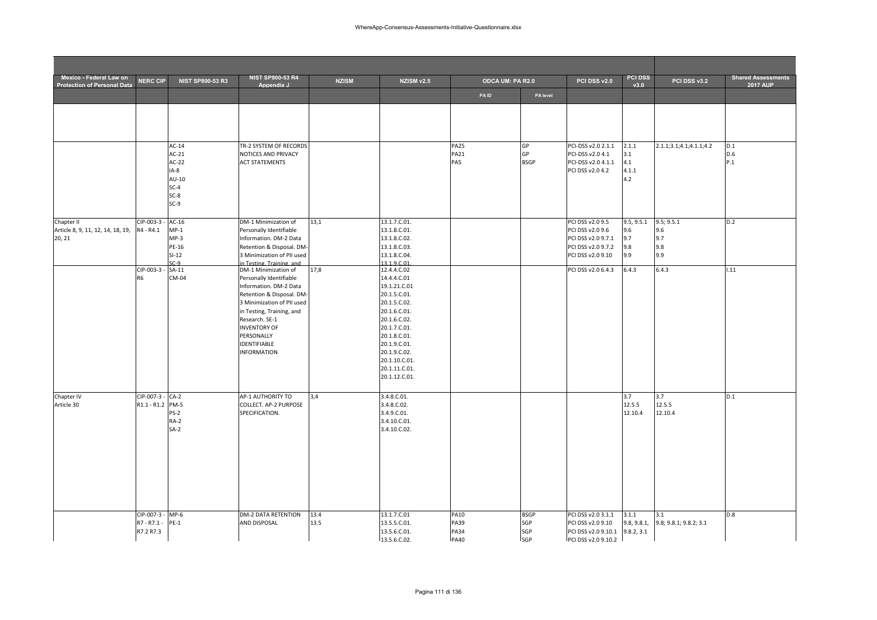| Mexico - Federal Law on<br><b>Protection of Personal Data</b> | <b>NERC CIP</b>                 | <b>NIST SP800-53 R3</b>     | <b>NIST SP800-53 R4</b><br>Appendix J                                                | <b>NZISM</b> | NZISM v2.5                                      | ODCA UM: PA R2.0           |                    | PCI DSS v2.0                               | <b>PCI DSS</b><br>v3.0 | PCI DSS v3.2                  | <b>Shared Assessments</b><br><b>2017 AUP</b> |
|---------------------------------------------------------------|---------------------------------|-----------------------------|--------------------------------------------------------------------------------------|--------------|-------------------------------------------------|----------------------------|--------------------|--------------------------------------------|------------------------|-------------------------------|----------------------------------------------|
|                                                               |                                 |                             |                                                                                      |              |                                                 | PAID                       | PA level           |                                            |                        |                               |                                              |
|                                                               |                                 |                             |                                                                                      |              |                                                 |                            |                    |                                            |                        |                               |                                              |
|                                                               |                                 | $AC-14$                     | TR-2 SYSTEM OF RECORDS                                                               |              |                                                 | <b>PA25</b>                | GP                 | PCI-DSS v2.0 2.1.1                         | 2.1.1                  | 2.1.1;3.1;4.1;4.1.1;4.2       | D.1                                          |
|                                                               |                                 | $AC-21$<br>$AC-22$          | NOTICES AND PRIVACY<br><b>ACT STATEMENTS</b>                                         |              |                                                 | <b>PA21</b><br>PA5         | GP<br><b>BSGP</b>  | PCI-DSS v2.0 4.1<br>PCI-DSS v2.0 4.1.1     | 3.1<br>4.1             |                               | D.6<br>P.1                                   |
|                                                               |                                 | IA-8<br>$AU-10$<br>$SC-4$   |                                                                                      |              |                                                 |                            |                    | PCI DSS v2.0 4.2                           | 4.1.1<br>4.2           |                               |                                              |
|                                                               |                                 | $SC-8$<br>$SC-9$            |                                                                                      |              |                                                 |                            |                    |                                            |                        |                               |                                              |
| Chapter II<br>Article 8, 9, 11, 12, 14, 18, 19,               | CIP-003-3<br>R4 - R4.1          | $AC-16$<br>$MP-1$           | DM-1 Minimization of<br>Personally Identifiable                                      | 13,1         | 13.1.7.C.01.<br>13.1.8.C.01.                    |                            |                    | PCI DSS v2.0 9.5<br>PCI DSS v2.0 9.6       | 9.5, 9.5.1<br>9.6      | 9.5; 9.5.1<br>9.6             | D.2                                          |
| 20, 21                                                        |                                 | $MP-3$<br>PE-16             | Information. DM-2 Data<br>Retention & Disposal. DM-                                  |              | 13.1.8.C.02.<br>13.1.8.C.03.                    |                            |                    | PCI DSS v2.0 9.7.1<br>PCI DSS v2.0 9.7.2   | 9.7<br>9.8             | 9.7<br>9.8                    |                                              |
|                                                               | CIP-003-3 -                     | $SI-12$<br>$C-9$<br>$SA-11$ | 3 Minimization of PII used<br>in Testing, Training, and<br>DM-1 Minimization of      | 17,8         | 13.1.8.C.04.<br>13.1.9.C.01<br>12.4.4.C.02      |                            |                    | PCI DSS v2.0 9.10<br>PCI DSS v2.0 6.4.3    | 9.9<br>6.4.3           | 9.9<br>6.4.3                  | 1.11                                         |
|                                                               | R <sub>6</sub>                  | CM-04                       | Personally Identifiable<br>Information. DM-2 Data                                    |              | 14.4.4.C.01<br>19.1.21.C.01                     |                            |                    |                                            |                        |                               |                                              |
|                                                               |                                 |                             | Retention & Disposal. DM-<br>3 Minimization of PII used<br>in Testing, Training, and |              | 20.1.5.C.01.<br>20.1.5.C.02.<br>20.1.6.C.01.    |                            |                    |                                            |                        |                               |                                              |
|                                                               |                                 |                             | Research. SE-1<br><b>INVENTORY OF</b><br>PERSONALLY                                  |              | 20.1.6.C.02.<br>20.1.7.C.01.<br>20.1.8.C.01.    |                            |                    |                                            |                        |                               |                                              |
|                                                               |                                 |                             | <b>IDENTIFIABLE</b><br><b>INFORMATION</b>                                            |              | 20.1.9.C.01.<br>20.1.9.C.02.                    |                            |                    |                                            |                        |                               |                                              |
|                                                               |                                 |                             |                                                                                      |              | 20.1.10.C.01.<br>20.1.11.C.01.<br>20.1.12.C.01. |                            |                    |                                            |                        |                               |                                              |
| Chapter IV                                                    | CIP-007-3 - CA-2                |                             | AP-1 AUTHORITY TO                                                                    | 3,4          | 3.4.8.C.01.                                     |                            |                    |                                            | 3.7                    | 3.7                           | D.1                                          |
| Article 30                                                    | R1.1 - R1.2 PM-5                | $PS-2$<br>$RA-2$            | COLLECT. AP-2 PURPOSE<br>SPECIFICATION.                                              |              | 3.4.8.C.02.<br>3.4.9.C.01.<br>3.4.10.C.01.      |                            |                    |                                            | 12.5.5<br>12.10.4      | 12.5.5<br>12.10.4             |                                              |
|                                                               |                                 | $SA-2$                      |                                                                                      |              | 3.4.10.C.02.                                    |                            |                    |                                            |                        |                               |                                              |
|                                                               |                                 |                             |                                                                                      |              |                                                 |                            |                    |                                            |                        |                               |                                              |
|                                                               |                                 |                             |                                                                                      |              |                                                 |                            |                    |                                            |                        |                               |                                              |
|                                                               |                                 |                             |                                                                                      |              |                                                 |                            |                    |                                            |                        |                               |                                              |
|                                                               | CIP-007-3 - MP-6<br>R7 - R7.1 - | $PE-1$                      | DM-2 DATA RETENTION<br>AND DISPOSAL                                                  | 13.4<br>13.5 | 13.1.7.C.01<br>13.5.5.C.01.                     | <b>PA10</b><br>PA39        | <b>BSGP</b><br>SGP | PCI DSS v2.0 3.1.1<br>PCI DSS v2.0 9.10    | 3.1.1<br>9.8, 9.8.1,   | 3.1<br>9.8; 9.8.1; 9.8.2; 3.1 | D.8                                          |
|                                                               | R7.2 R7.3                       |                             |                                                                                      |              | 13.5.6.C.01.<br>13.5.6.C.02.                    | <b>PA34</b><br><b>PA40</b> | SGP<br><b>SGP</b>  | PCI DSS v2.0 9.10.1<br>PCI DSS v2.0 9.10.2 | 9.8.2, 3.1             |                               |                                              |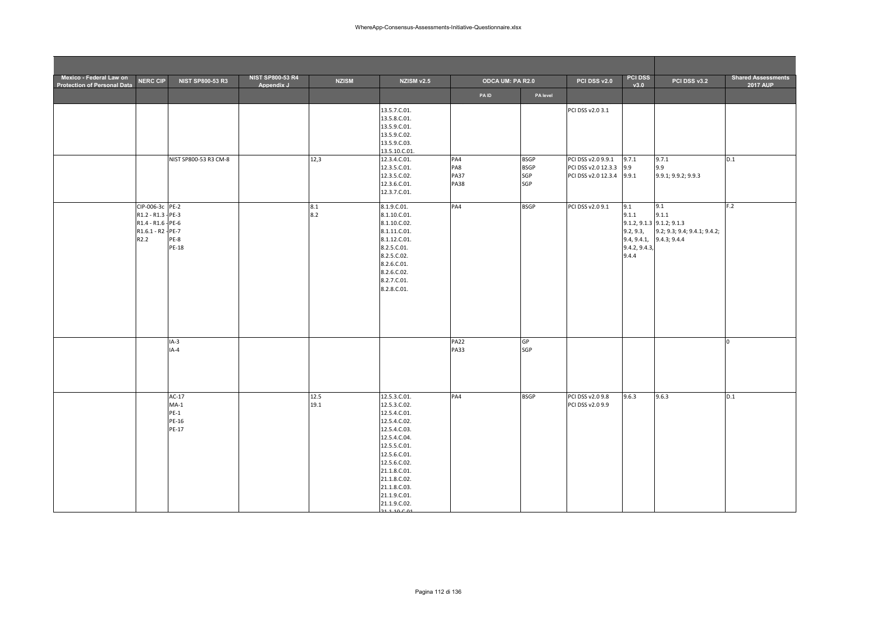| Mexico - Federal Law on<br><b>Protection of Personal Data</b> | <b>NERC CIP</b>                                                                                       | NIST SP800-53 R3                              | <b>NIST SP800-53 R4</b><br>Appendix J | <b>NZISM</b> | <b>NZISM v2.5</b>                                                                                                                                                                                                            | <b>ODCA UM: PA R2.0</b>                  |                                          | PCI DSS v2.0                                                                               | <b>PCI DSS</b><br>v3.0                              | PCI DSS v3.2                                                                                              | <b>Shared Assessments</b><br>2017 AUP |
|---------------------------------------------------------------|-------------------------------------------------------------------------------------------------------|-----------------------------------------------|---------------------------------------|--------------|------------------------------------------------------------------------------------------------------------------------------------------------------------------------------------------------------------------------------|------------------------------------------|------------------------------------------|--------------------------------------------------------------------------------------------|-----------------------------------------------------|-----------------------------------------------------------------------------------------------------------|---------------------------------------|
|                                                               |                                                                                                       |                                               |                                       |              |                                                                                                                                                                                                                              | <b>PAID</b>                              | PA level                                 |                                                                                            |                                                     |                                                                                                           |                                       |
|                                                               |                                                                                                       | NIST SP800-53 R3 CM-8                         |                                       | 12,3         | 13.5.7.C.01.<br>13.5.8.C.01.<br>13.5.9.C.01.<br>13.5.9.C.02.<br>13.5.9.C.03.<br>13.5.10.C.01.<br>12.3.4.C.01.<br>12.3.5.C.01.<br>12.3.5.C.02.<br>12.3.6.C.01.<br>12.3.7.C.01.                                                | PA4<br>PA8<br><b>PA37</b><br><b>PA38</b> | <b>BSGP</b><br><b>BSGP</b><br>SGP<br>SGP | PCI DSS v2.0 3.1<br>PCI DSS v2.0 9.9.1<br>PCI DSS v2.0 12.3.3<br>PCI DSS v2.0 12.3.4 9.9.1 | 9.7.1<br>9.9                                        | 9.7.1<br>9.9<br>9.9.1; 9.9.2; 9.9.3                                                                       | D.1                                   |
|                                                               | CIP-006-3c PE-2<br>R1.2 - R1.3 - PE-3<br>R1.4 - R1.6 - PE-6<br>R1.6.1 - R2 - PE-7<br>R <sub>2.2</sub> | <b>PE-8</b><br><b>PE-18</b>                   |                                       | 8.1<br>8.2   | 8.1.9.C.01.<br>8.1.10.C.01.<br>8.1.10.C.02.<br>8.1.11.C.01.<br>8.1.12.C.01.<br>8.2.5.C.01.<br>8.2.5.C.02.<br>8.2.6.C.01.<br>8.2.6.C.02.<br>8.2.7.C.01.<br>8.2.8.C.01.                                                        | PA4                                      | <b>BSGP</b>                              | PCI DSS v2.09.1                                                                            | 9.1<br>9.1.1<br>9.2, 9.3,<br>9.4.2, 9.4.3,<br>9.4.4 | 9.1<br>9.1.1<br>$9.1.2, 9.1.3$ $9.1.2, 9.1.3$<br>9.2; 9.3; 9.4; 9.4.1; 9.4.2;<br>9.4, 9.4.1, 9.4.3; 9.4.4 | F.2                                   |
|                                                               |                                                                                                       | $IA-3$<br>$IA-4$                              |                                       |              |                                                                                                                                                                                                                              | <b>PA22</b><br><b>PA33</b>               | <b>GP</b><br>SGP                         |                                                                                            |                                                     |                                                                                                           | O                                     |
|                                                               |                                                                                                       | $AC-17$<br>$MA-1$<br>$PE-1$<br>PE-16<br>PE-17 |                                       | 12.5<br>19.1 | 12.5.3.C.01.<br>12.5.3.C.02.<br>12.5.4.C.01.<br>12.5.4.C.02.<br>12.5.4.C.03.<br>12.5.4.C.04.<br>12.5.5.C.01.<br>12.5.6.C.01.<br>12.5.6.C.02.<br>21.1.8.C.01.<br>21.1.8.C.02.<br>21.1.8.C.03.<br>21.1.9.C.01.<br>21.1.9.C.02. | PA4                                      | <b>BSGP</b>                              | PCI DSS v2.0 9.8<br>PCI DSS v2.0 9.9                                                       | 9.6.3                                               | 9.6.3                                                                                                     | D.1                                   |

21 1 10 C 01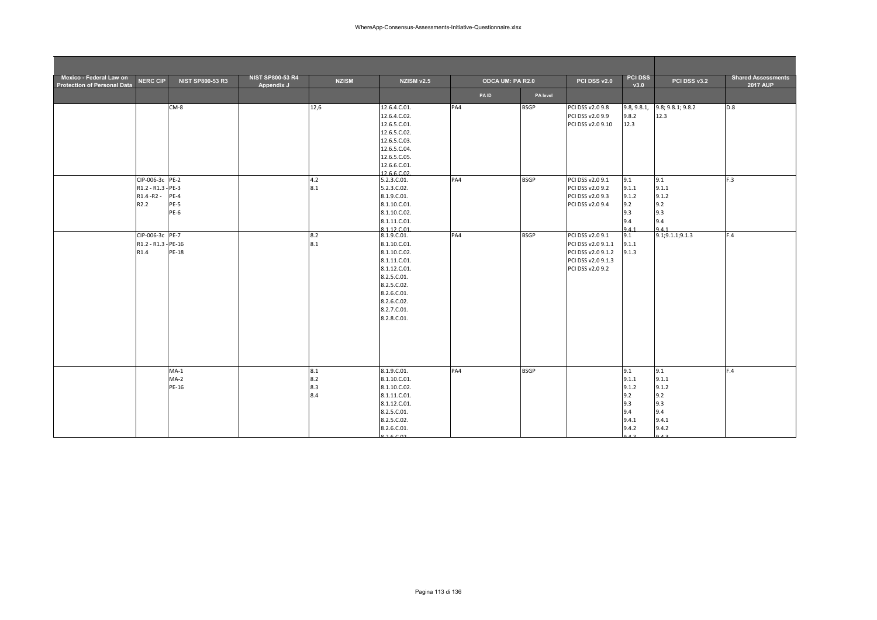| Mexico - Federal Law on<br><b>Protection of Personal Data</b> | <b>NERC CIP</b>                                              | <b>NIST SP800-53 R3</b>   | <b>NIST SP800-53 R4</b><br>Appendix J | <b>NZISM</b>             | NZISM v2.5                                                                                                                                                            | ODCA UM: PA R2.0 |             | PCI DSS v2.0                                                                                           | <b>PCI DSS</b><br>v3.0                                                 | PCI DSS v3.2                                                           | <b>Shared Assessments</b><br><b>2017 AUP</b> |
|---------------------------------------------------------------|--------------------------------------------------------------|---------------------------|---------------------------------------|--------------------------|-----------------------------------------------------------------------------------------------------------------------------------------------------------------------|------------------|-------------|--------------------------------------------------------------------------------------------------------|------------------------------------------------------------------------|------------------------------------------------------------------------|----------------------------------------------|
|                                                               |                                                              |                           |                                       |                          |                                                                                                                                                                       | <b>PAID</b>      | PA level    |                                                                                                        |                                                                        |                                                                        |                                              |
|                                                               |                                                              | CM-8                      |                                       | 12,6                     | 12.6.4.C.01.<br>12.6.4.C.02.<br>12.6.5.C.01.<br>12.6.5.C.02.<br>12.6.5.C.03.<br>12.6.5.C.04.<br>12.6.5.C.05.<br>12.6.6.C.01.<br>12.6.6.C.02.                          | PA4              | <b>BSGP</b> | PCI DSS v2.0 9.8<br>PCI DSS v2.0 9.9<br>PCI DSS v2.0 9.10                                              | 9.8, 9.8.1,<br>9.8.2<br>12.3                                           | 9.8; 9.8.1; 9.8.2<br>12.3                                              | D.8                                          |
|                                                               | CIP-006-3c PE-2<br>R1.2 - R1.3 - PE-3<br>R1.4 - R2 -<br>R2.2 | $PE-4$<br>PE-5<br>PE-6    |                                       | 4.2<br>8.1               | 5.2.3.C.01.<br>5.2.3.C.02.<br>8.1.9.C.01.<br>8.1.10.C.01.<br>8.1.10.C.02.<br>8.1.11.C.01.<br>8.1.12.C.01                                                              | PA4              | <b>BSGP</b> | PCI DSS v2.0 9.1<br>PCI DSS v2.0 9.2<br>PCI DSS v2.0 9.3<br>PCI DSS v2.0 9.4                           | 9.1<br>9.1.1<br>9.1.2<br>9.2<br>9.3<br>9.4<br>941                      | 9.1<br>9.1.1<br>9.1.2<br>9.2<br>9.3<br>9.4<br>941                      | F.3                                          |
|                                                               | CIP-006-3c PE-7<br>R1.2 - R1.3 - PE-16<br>R1.4               | PE-18                     |                                       | 8.2<br>8.1               | 8.1.9.C.01.<br>8.1.10.C.01.<br>8.1.10.C.02.<br>8.1.11.C.01.<br>8.1.12.C.01.<br>8.2.5.C.01.<br>8.2.5.C.02.<br>8.2.6.C.01.<br>8.2.6.C.02.<br>8.2.7.C.01.<br>8.2.8.C.01. | PA4              | <b>BSGP</b> | PCI DSS v2.0 9.1<br>PCI DSS v2.0 9.1.1<br>PCI DSS v2.0 9.1.2<br>PCI DSS v2.0 9.1.3<br>PCI DSS v2.0 9.2 | 9.1<br>9.1.1<br>9.1.3                                                  | 9.1; 9.1.1; 9.1.3                                                      | F.4                                          |
|                                                               |                                                              | $MA-1$<br>$MA-2$<br>PE-16 |                                       | 8.1<br>8.2<br>8.3<br>8.4 | 8.1.9.C.01.<br>8.1.10.C.01.<br>8.1.10.C.02.<br>8.1.11.C.01.<br>8.1.12.C.01.<br>8.2.5.C.01.<br>8.2.5.C.02.<br>8.2.6.C.01.<br>82602                                     | PA4              | <b>BSGP</b> |                                                                                                        | 9.1<br>9.1.1<br>9.1.2<br>9.2<br>9.3<br>9.4<br>9.4.1<br>9.4.2<br>$\sim$ | 9.1<br>9.1.1<br>9.1.2<br>9.2<br>9.3<br>9.4<br>9.4.1<br>9.4.2<br>$\sim$ | F.4                                          |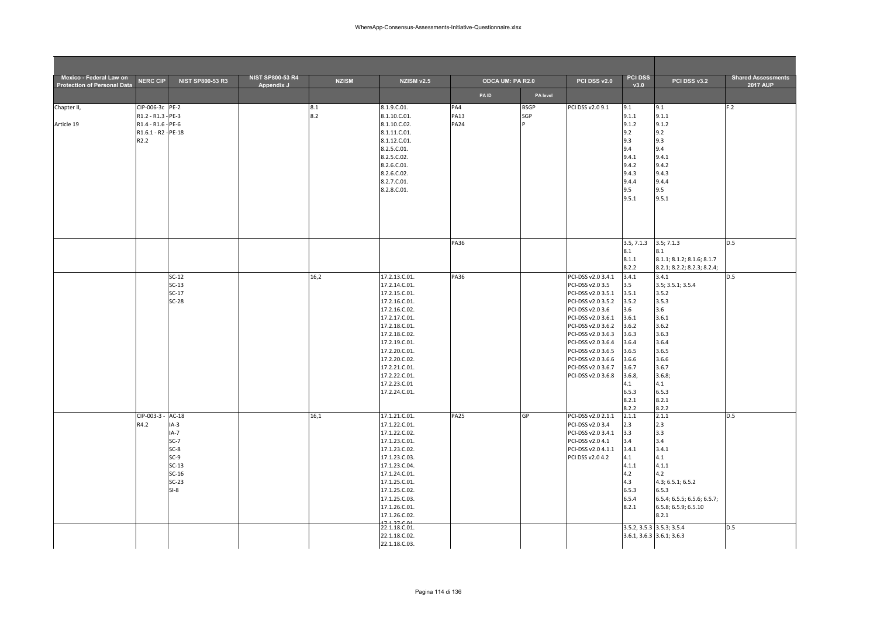| Mexico - Federal Law on<br><b>Protection of Personal Data</b> | <b>NERC CIP</b>     | <b>NIST SP800-53 R3</b> | <b>NIST SP800-53 R4</b><br>Appendix J | <b>NZISM</b> | NZISM v2.5                     | ODCA UM: PA R2.0 |             | PCI DSS v2.0       | <b>PCI DSS</b><br>v3.0 | PCI DSS v3.2                                        | <b>Shared Assessments</b><br>2017 AUP |
|---------------------------------------------------------------|---------------------|-------------------------|---------------------------------------|--------------|--------------------------------|------------------|-------------|--------------------|------------------------|-----------------------------------------------------|---------------------------------------|
|                                                               |                     |                         |                                       |              |                                | <b>PAID</b>      | PA level    |                    |                        |                                                     |                                       |
| Chapter II,                                                   | CIP-006-3c PE-2     |                         |                                       | 8.1          | 8.1.9.C.01.                    | PA4              | <b>BSGP</b> | PCI DSS v2.0 9.1   | 9.1                    | 9.1                                                 | F.2                                   |
|                                                               | R1.2 - R1.3 - PE-3  |                         |                                       | 8.2          | 8.1.10.C.01.                   | <b>PA13</b>      | SGP         |                    | 9.1.1                  | 9.1.1                                               |                                       |
| Article 19                                                    | R1.4 - R1.6 - PE-6  |                         |                                       |              | 8.1.10.C.02.                   | <b>PA24</b>      |             |                    | 9.1.2                  | 9.1.2                                               |                                       |
|                                                               | R1.6.1 - R2 - PE-18 |                         |                                       |              | 8.1.11.C.01.                   |                  |             |                    | 9.2                    | 9.2                                                 |                                       |
|                                                               | R <sub>2.2</sub>    |                         |                                       |              | 8.1.12.C.01.                   |                  |             |                    | 9.3                    | 9.3                                                 |                                       |
|                                                               |                     |                         |                                       |              | 8.2.5.C.01.<br>8.2.5.C.02.     |                  |             |                    | 9.4<br>9.4.1           | 9.4<br>9.4.1                                        |                                       |
|                                                               |                     |                         |                                       |              | 8.2.6.C.01.                    |                  |             |                    | 9.4.2                  | 9.4.2                                               |                                       |
|                                                               |                     |                         |                                       |              | 8.2.6.C.02.                    |                  |             |                    | 9.4.3                  | 9.4.3                                               |                                       |
|                                                               |                     |                         |                                       |              | 8.2.7.C.01.                    |                  |             |                    | 9.4.4                  | 9.4.4                                               |                                       |
|                                                               |                     |                         |                                       |              | 8.2.8.C.01.                    |                  |             |                    | 9.5                    | 9.5                                                 |                                       |
|                                                               |                     |                         |                                       |              |                                |                  |             |                    | 9.5.1                  | 9.5.1                                               |                                       |
|                                                               |                     |                         |                                       |              |                                |                  |             |                    |                        |                                                     |                                       |
|                                                               |                     |                         |                                       |              |                                |                  |             |                    |                        |                                                     |                                       |
|                                                               |                     |                         |                                       |              |                                |                  |             |                    |                        |                                                     |                                       |
|                                                               |                     |                         |                                       |              |                                |                  |             |                    |                        |                                                     |                                       |
|                                                               |                     |                         |                                       |              |                                | <b>PA36</b>      |             |                    | 3.5, 7.1.3             | 3.5; 7.1.3                                          | D.5                                   |
|                                                               |                     |                         |                                       |              |                                |                  |             |                    | 8.1                    | 8.1                                                 |                                       |
|                                                               |                     |                         |                                       |              |                                |                  |             |                    | 8.1.1                  | 8.1.1; 8.1.2; 8.1.6; 8.1.7                          |                                       |
|                                                               |                     |                         |                                       |              |                                |                  |             |                    | 8.2.2                  | 8.2.1; 8.2.2; 8.2.3; 8.2.4;                         |                                       |
|                                                               |                     | $SC-12$                 |                                       | 16,2         | 17.2.13.C.01.                  | <b>PA36</b>      |             | PCI-DSS v2.0 3.4.1 | 3.4.1                  | 3.4.1                                               | D.5                                   |
|                                                               |                     | $SC-13$                 |                                       |              | 17.2.14.C.01.                  |                  |             | PCI-DSS v2.0 3.5   | 3.5                    | 3.5; 3.5.1; 3.5.4                                   |                                       |
|                                                               |                     | $SC-17$                 |                                       |              | 17.2.15.C.01.                  |                  |             | PCI-DSS v2.0 3.5.1 | 3.5.1                  | 3.5.2                                               |                                       |
|                                                               |                     | $SC-28$                 |                                       |              | 17.2.16.C.01.                  |                  |             | PCI-DSS v2.0 3.5.2 | 3.5.2                  | 3.5.3                                               |                                       |
|                                                               |                     |                         |                                       |              | 17.2.16.C.02.                  |                  |             | PCI-DSS v2.0 3.6   | 3.6                    | 3.6                                                 |                                       |
|                                                               |                     |                         |                                       |              | 17.2.17.C.01.                  |                  |             | PCI-DSS v2.0 3.6.1 | 3.6.1                  | 3.6.1                                               |                                       |
|                                                               |                     |                         |                                       |              | 17.2.18.C.01.                  |                  |             | PCI-DSS v2.0 3.6.2 | 3.6.2                  | 3.6.2                                               |                                       |
|                                                               |                     |                         |                                       |              | 17.2.18.C.02.                  |                  |             | PCI-DSS v2.0 3.6.3 | 3.6.3                  | 3.6.3                                               |                                       |
|                                                               |                     |                         |                                       |              | 17.2.19.C.01.                  |                  |             | PCI-DSS v2.0 3.6.4 | 3.6.4                  | 3.6.4                                               |                                       |
|                                                               |                     |                         |                                       |              | 17.2.20.C.01.                  |                  |             | PCI-DSS v2.0 3.6.5 | 3.6.5                  | 3.6.5                                               |                                       |
|                                                               |                     |                         |                                       |              | 17.2.20.C.02.                  |                  |             | PCI-DSS v2.0 3.6.6 | 3.6.6                  | 3.6.6                                               |                                       |
|                                                               |                     |                         |                                       |              | 17.2.21.C.01.                  |                  |             | PCI-DSS v2.0 3.6.7 | 3.6.7                  | 3.6.7                                               |                                       |
|                                                               |                     |                         |                                       |              | 17.2.22.C.01.<br>17.2.23.C.01  |                  |             | PCI-DSS v2.0 3.6.8 | 3.6.8,<br>4.1          | 3.6.8;<br>4.1                                       |                                       |
|                                                               |                     |                         |                                       |              | 17.2.24.C.01.                  |                  |             |                    | 6.5.3                  | 6.5.3                                               |                                       |
|                                                               |                     |                         |                                       |              |                                |                  |             |                    | 8.2.1                  | 8.2.1                                               |                                       |
|                                                               |                     |                         |                                       |              |                                |                  |             |                    | 8.2.2                  | 8.2.2                                               |                                       |
|                                                               | CIP-003-3           | $AC-18$                 |                                       | 16,1         | 17.1.21.C.01.                  | <b>PA25</b>      | GP          | PCI-DSS v2.0 2.1.1 | 2.1.1                  | 2.1.1                                               | D.5                                   |
|                                                               | R4.2                | $IA-3$                  |                                       |              | 17.1.22.C.01.                  |                  |             | PCI-DSS v2.0 3.4   | 2.3                    | 2.3                                                 |                                       |
|                                                               |                     | $IA-7$                  |                                       |              | 17.1.22.C.02.                  |                  |             | PCI-DSS v2.0 3.4.1 | 3.3                    | 3.3                                                 |                                       |
|                                                               |                     | $SC-7$                  |                                       |              | 17.1.23.C.01.                  |                  |             | PCI-DSS v2.0 4.1   | 3.4                    | 3.4                                                 |                                       |
|                                                               |                     | $SC-8$                  |                                       |              | 17.1.23.C.02.                  |                  |             | PCI-DSS v2.0 4.1.1 | 3.4.1                  | 3.4.1                                               |                                       |
|                                                               |                     | $SC-9$                  |                                       |              | 17.1.23.C.03.                  |                  |             | PCI DSS v2.0 4.2   | 4.1                    | 4.1                                                 |                                       |
|                                                               |                     | $SC-13$                 |                                       |              | 17.1.23.C.04.                  |                  |             |                    | 4.1.1                  | 4.1.1                                               |                                       |
|                                                               |                     | $SC-16$                 |                                       |              | 17.1.24.C.01.                  |                  |             |                    | 4.2                    | 4.2                                                 |                                       |
|                                                               |                     | $SC-23$<br>$SI-8$       |                                       |              | 17.1.25.C.01.<br>17.1.25.C.02. |                  |             |                    | 4.3<br>6.5.3           | 4.3; 6.5.1; 6.5.2<br>6.5.3                          |                                       |
|                                                               |                     |                         |                                       |              | 17.1.25.C.03.                  |                  |             |                    | 6.5.4                  |                                                     |                                       |
|                                                               |                     |                         |                                       |              | 17.1.26.C.01.                  |                  |             |                    | 8.2.1                  | 6.5.4; 6.5.5; 6.5.6; 6.5.7;<br>6.5.8; 6.5.9; 6.5.10 |                                       |
|                                                               |                     |                         |                                       |              | 17.1.26.C.02.                  |                  |             |                    |                        | 8.2.1                                               |                                       |
|                                                               |                     |                         |                                       |              | 7127001                        |                  |             |                    |                        |                                                     |                                       |
|                                                               |                     |                         |                                       |              | 22.1.18.C.01.                  |                  |             |                    |                        | 3.5.2, 3.5.3 3.5.3; 3.5.4                           | D.5                                   |
|                                                               |                     |                         |                                       |              | 22.1.18.C.02.                  |                  |             |                    |                        | 3.6.1, 3.6.3 3.6.1; 3.6.3                           |                                       |
|                                                               |                     |                         |                                       |              | 22.1.18.C.03.                  |                  |             |                    |                        |                                                     |                                       |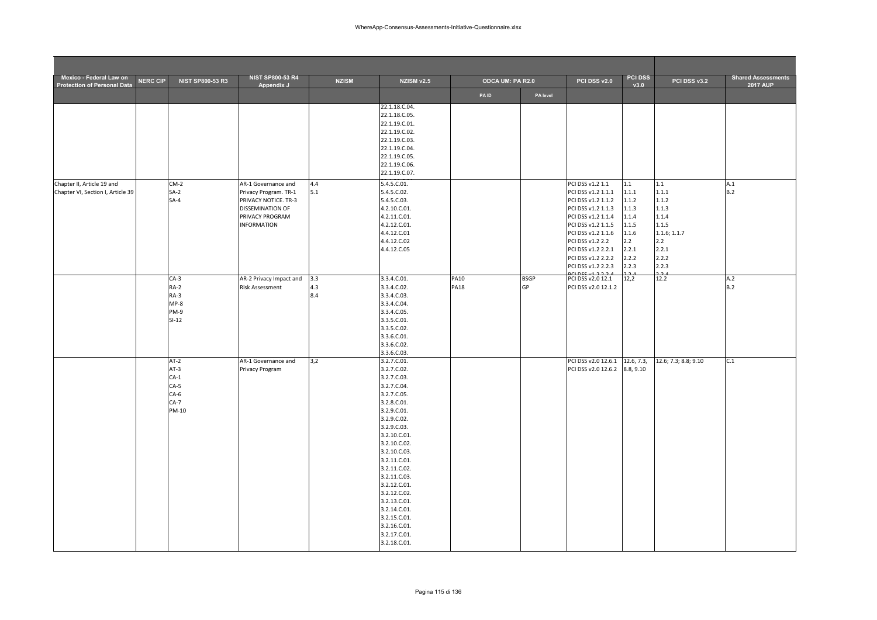| Mexico - Federal Law on<br><b>Protection of Personal Data</b>   | <b>NERC CIP</b> | <b>NIST SP800-53 R3</b>                                           | <b>NIST SP800-53 R4</b><br>Appendix J                                                                                             | <b>NZISM</b>      | NZISM v2.5                                                                                                                                                                                                                                                                                                                                                          | ODCA UM: PA R2.0           |                   | PCI DSS v2.0                                                                                                                                                                                                                               | <b>PCI DSS</b><br>v3.0                                                                      | PCI DSS v3.2                                                                                       | <b>Shared Assessments</b><br><b>2017 AUP</b> |
|-----------------------------------------------------------------|-----------------|-------------------------------------------------------------------|-----------------------------------------------------------------------------------------------------------------------------------|-------------------|---------------------------------------------------------------------------------------------------------------------------------------------------------------------------------------------------------------------------------------------------------------------------------------------------------------------------------------------------------------------|----------------------------|-------------------|--------------------------------------------------------------------------------------------------------------------------------------------------------------------------------------------------------------------------------------------|---------------------------------------------------------------------------------------------|----------------------------------------------------------------------------------------------------|----------------------------------------------|
|                                                                 |                 |                                                                   |                                                                                                                                   |                   |                                                                                                                                                                                                                                                                                                                                                                     | <b>PAID</b>                | PA level          |                                                                                                                                                                                                                                            |                                                                                             |                                                                                                    |                                              |
|                                                                 |                 |                                                                   |                                                                                                                                   |                   | 22.1.18.C.04.<br>22.1.18.C.05.<br>22.1.19.C.01.<br>22.1.19.C.02.<br>22.1.19.C.03.<br>22.1.19.C.04.<br>22.1.19.C.05.<br>22.1.19.C.06.<br>22.1.19.C.07.                                                                                                                                                                                                               |                            |                   |                                                                                                                                                                                                                                            |                                                                                             |                                                                                                    |                                              |
| Chapter II, Article 19 and<br>Chapter VI, Section I, Article 39 |                 | $CM-2$<br>$SA-2$<br>$SA-4$                                        | AR-1 Governance and<br>Privacy Program. TR-1<br>PRIVACY NOTICE. TR-3<br>DISSEMINATION OF<br>PRIVACY PROGRAM<br><b>INFORMATION</b> | 4.4<br>5.1        | 5.4.5.C.01.<br>5.4.5.C.02.<br>5.4.5.C.03.<br>4.2.10.C.01.<br>4.2.11.C.01.<br>4.2.12.C.01.<br>4.4.12.C.01<br>4.4.12.C.02<br>4.4.12.C.05                                                                                                                                                                                                                              |                            |                   | PCI DSS v1.2 1.1<br>PCI DSS v1.2 1.1.1<br>PCI DSS v1.2 1.1.2<br>PCI DSS v1.2 1.1.3<br>PCI DSS v1.2 1.1.4<br>PCI DSS v1.2 1.1.5<br>PCI DSS v1.2 1.1.6<br>PCI DSS v1.2 2.2<br>PCI DSS v1.2 2.2.1<br>PCI DSS v1.2 2.2.2<br>PCI DSS v1.2 2.2.3 | 1.1<br>1.1.1<br>1.1.2<br>1.1.3<br>1.1.4<br>1.1.5<br>1.1.6<br>2.2<br>2.2.1<br>2.2.2<br>2.2.3 | 1.1<br>1.1.1<br>1.1.2<br>1.1.3<br>1.1.4<br>1.1.5<br>1.1.6; 1.1.7<br>2.2<br>2.2.1<br>2.2.2<br>2.2.3 | A.1<br>B.2                                   |
|                                                                 |                 | $CA-3$<br>RA-2<br>RA-3<br>$MP-8$<br>PM-9<br>$SI-12$               | AR-2 Privacy Impact and<br><b>Risk Assessment</b>                                                                                 | 3.3<br>4.3<br>8.4 | 3.3.4.C.01.<br>3.3.4.C.02.<br>3.3.4.C.03.<br>3.3.4.C.04.<br>3.3.4.C.05.<br>3.3.5.C.01.<br>3.3.5.C.02.<br>3.3.6.C.01.<br>3.3.6.C.02.<br>3.3.6.C.03.                                                                                                                                                                                                                  | <b>PA10</b><br><b>PA18</b> | <b>BSGP</b><br>GP | PCI DSS v2.0 12.1<br>PCI DSS v2.0 12.1.2                                                                                                                                                                                                   | 12,2                                                                                        | 12.2                                                                                               | A.2<br>B.2                                   |
|                                                                 |                 | $AT-2$<br>$AT-3$<br>$CA-1$<br>$CA-5$<br>$CA-6$<br>$CA-7$<br>PM-10 | AR-1 Governance and<br>Privacy Program                                                                                            | 3,2               | 3.2.7.C.01.<br>3.2.7.C.02.<br>3.2.7.C.03.<br>3.2.7.C.04.<br>3.2.7.C.05.<br>3.2.8.C.01.<br>3.2.9.C.01.<br>3.2.9.C.02.<br>3.2.9.C.03.<br>3.2.10.C.01.<br>3.2.10.C.02.<br>3.2.10.C.03.<br>3.2.11.C.01.<br>3.2.11.C.02.<br>3.2.11.C.03.<br>3.2.12.C.01.<br>3.2.12.C.02.<br>3.2.13.C.01.<br>3.2.14.C.01.<br>3.2.15.C.01.<br>3.2.16.C.01.<br>3.2.17.C.01.<br>3.2.18.C.01. |                            |                   | PCI DSS v2.0 12.6.1<br>PCI DSS v2.0 12.6.2                                                                                                                                                                                                 | 12.6, 7.3,<br>8.8, 9.10                                                                     | 12.6; 7.3; 8.8; 9.10                                                                               | C.1                                          |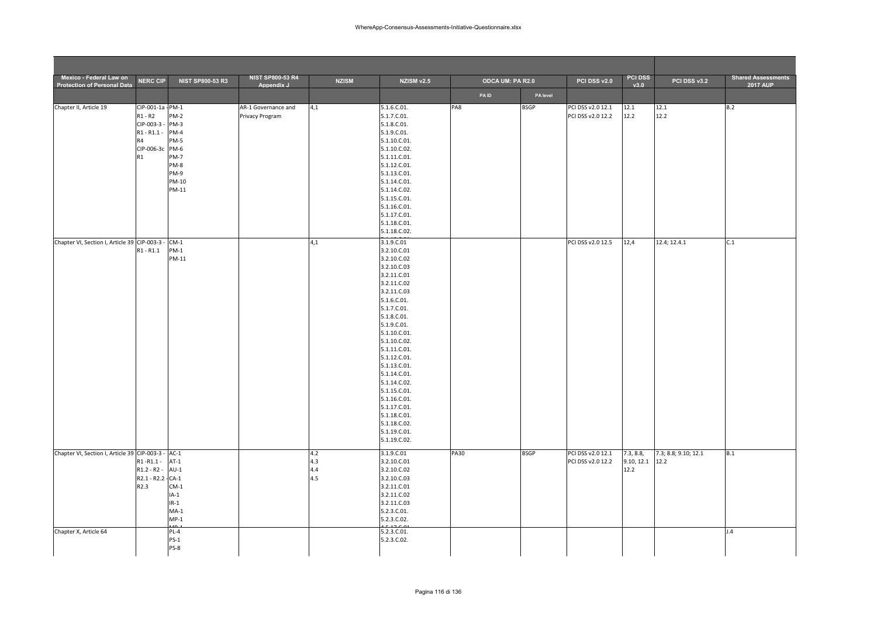| Mexico - Federal Law on                            |                    |                         | <b>NIST SP800-53 R4</b> |              |                              |             |                  |                   | <b>PCI DSS</b>    |                      | <b>Shared Assessments</b> |
|----------------------------------------------------|--------------------|-------------------------|-------------------------|--------------|------------------------------|-------------|------------------|-------------------|-------------------|----------------------|---------------------------|
| <b>Protection of Personal Data</b>                 | <b>NERC CIP</b>    | <b>NIST SP800-53 R3</b> | Appendix J              | <b>NZISM</b> | NZISM v2.5                   |             | ODCA UM: PA R2.0 | PCI DSS v2.0      | v3.0              | PCI DSS v3.2         | 2017 AUP                  |
|                                                    |                    |                         |                         |              |                              | <b>PAID</b> |                  | PA level          |                   |                      |                           |
| Chapter II, Article 19                             | CIP-001-1a - PM-1  |                         | AR-1 Governance and     | 4,1          | 5.1.6.C.01.                  | PA8         | <b>BSGP</b>      | PCI DSS v2.0 12.1 | 12.1              | 12.1                 | B.2                       |
|                                                    | $R1 - R2$          | <b>PM-2</b>             | Privacy Program         |              | 5.1.7.C.01.                  |             |                  | PCI DSS v2.0 12.2 | 12.2              | 12.2                 |                           |
|                                                    | CIP-003-3 -        | PM-3                    |                         |              | 5.1.8.C.01.                  |             |                  |                   |                   |                      |                           |
|                                                    | $R1 - R1.1 -$      | <b>PM-4</b>             |                         |              | 5.1.9.C.01.                  |             |                  |                   |                   |                      |                           |
|                                                    | R4                 | PM-5                    |                         |              | 5.1.10.C.01.                 |             |                  |                   |                   |                      |                           |
|                                                    | CIP-006-3c PM-6    |                         |                         |              | 5.1.10.C.02.                 |             |                  |                   |                   |                      |                           |
|                                                    | R1                 | <b>PM-7</b>             |                         |              | 5.1.11.C.01.                 |             |                  |                   |                   |                      |                           |
|                                                    |                    | PM-8                    |                         |              | 5.1.12.C.01.                 |             |                  |                   |                   |                      |                           |
|                                                    |                    | PM-9                    |                         |              | 5.1.13.C.01.                 |             |                  |                   |                   |                      |                           |
|                                                    |                    | PM-10                   |                         |              | 5.1.14.C.01.                 |             |                  |                   |                   |                      |                           |
|                                                    |                    | PM-11                   |                         |              | 5.1.14.C.02.                 |             |                  |                   |                   |                      |                           |
|                                                    |                    |                         |                         |              | 5.1.15.C.01.                 |             |                  |                   |                   |                      |                           |
|                                                    |                    |                         |                         |              | 5.1.16.C.01.                 |             |                  |                   |                   |                      |                           |
|                                                    |                    |                         |                         |              | 5.1.17.C.01.                 |             |                  |                   |                   |                      |                           |
|                                                    |                    |                         |                         |              | 5.1.18.C.01.                 |             |                  |                   |                   |                      |                           |
|                                                    |                    |                         |                         |              | 5.1.18.C.02.                 |             |                  |                   |                   |                      |                           |
| Chapter VI, Section I, Article 39 CIP-003-3 -      |                    | $CM-1$                  |                         | 4,1          | 3.1.9.C.01                   |             |                  | PCI DSS v2.0 12.5 | 12,4              | 12.4; 12.4.1         | C.1                       |
|                                                    | $R1 - R1.1$        | $PM-1$                  |                         |              | 3.2.10.C.01                  |             |                  |                   |                   |                      |                           |
|                                                    |                    | PM-11                   |                         |              | 3.2.10.C.02                  |             |                  |                   |                   |                      |                           |
|                                                    |                    |                         |                         |              | 3.2.10.C.03                  |             |                  |                   |                   |                      |                           |
|                                                    |                    |                         |                         |              | 3.2.11.C.01                  |             |                  |                   |                   |                      |                           |
|                                                    |                    |                         |                         |              | 3.2.11.C.02                  |             |                  |                   |                   |                      |                           |
|                                                    |                    |                         |                         |              | 3.2.11.C.03                  |             |                  |                   |                   |                      |                           |
|                                                    |                    |                         |                         |              | 5.1.6.C.01.                  |             |                  |                   |                   |                      |                           |
|                                                    |                    |                         |                         |              | 5.1.7.C.01.                  |             |                  |                   |                   |                      |                           |
|                                                    |                    |                         |                         |              | 5.1.8.C.01.                  |             |                  |                   |                   |                      |                           |
|                                                    |                    |                         |                         |              | 5.1.9.C.01.                  |             |                  |                   |                   |                      |                           |
|                                                    |                    |                         |                         |              | 5.1.10.C.01.                 |             |                  |                   |                   |                      |                           |
|                                                    |                    |                         |                         |              | 5.1.10.C.02.                 |             |                  |                   |                   |                      |                           |
|                                                    |                    |                         |                         |              | 5.1.11.C.01.                 |             |                  |                   |                   |                      |                           |
|                                                    |                    |                         |                         |              | 5.1.12.C.01.                 |             |                  |                   |                   |                      |                           |
|                                                    |                    |                         |                         |              | 5.1.13.C.01.                 |             |                  |                   |                   |                      |                           |
|                                                    |                    |                         |                         |              | 5.1.14.C.01.                 |             |                  |                   |                   |                      |                           |
|                                                    |                    |                         |                         |              | 5.1.14.C.02.                 |             |                  |                   |                   |                      |                           |
|                                                    |                    |                         |                         |              | 5.1.15.C.01.                 |             |                  |                   |                   |                      |                           |
|                                                    |                    |                         |                         |              | 5.1.16.C.01.                 |             |                  |                   |                   |                      |                           |
|                                                    |                    |                         |                         |              | 5.1.17.C.01.                 |             |                  |                   |                   |                      |                           |
|                                                    |                    |                         |                         |              | 5.1.18.C.01.<br>5.1.18.C.02. |             |                  |                   |                   |                      |                           |
|                                                    |                    |                         |                         |              | 5.1.19.C.01.                 |             |                  |                   |                   |                      |                           |
|                                                    |                    |                         |                         |              | 5.1.19.C.02.                 |             |                  |                   |                   |                      |                           |
|                                                    |                    |                         |                         |              |                              |             |                  |                   |                   |                      |                           |
| Chapter VI, Section I, Article 39 CIP-003-3 - AC-1 |                    |                         |                         | 4.2          | 3.1.9.C.01                   | <b>PA30</b> | <b>BSGP</b>      | PCI DSS v2.0 12.1 | 7.3, 8.8,         | 7.3; 8.8; 9.10; 12.1 | B.1                       |
|                                                    | $R1 - R1.1 -$      | $AT-1$                  |                         | 4.3          | 3.2.10.C.01                  |             |                  | PCI DSS v2.0 12.2 | $9.10, 12.1$ 12.2 |                      |                           |
|                                                    | $R1.2 - R2 -$      | $AU-1$                  |                         | 4.4          | 3.2.10.C.02                  |             |                  |                   | 12.2              |                      |                           |
|                                                    | R2.1 - R2.2 - CA-1 |                         |                         | 4.5          | 3.2.10.C.03                  |             |                  |                   |                   |                      |                           |
|                                                    | R2.3               | $CM-1$                  |                         |              | 3.2.11.C.01                  |             |                  |                   |                   |                      |                           |
|                                                    |                    | $IA-1$                  |                         |              | 3.2.11.C.02                  |             |                  |                   |                   |                      |                           |
|                                                    |                    | $IR-1$                  |                         |              | 3.2.11.C.03                  |             |                  |                   |                   |                      |                           |
|                                                    |                    | $MA-1$                  |                         |              | 5.2.3.C.01.                  |             |                  |                   |                   |                      |                           |
|                                                    |                    | $MP-1$<br>$\sim$        |                         |              | 5.2.3.C.02.<br>$1 - 1 - 0$   |             |                  |                   |                   |                      |                           |
| Chapter X, Article 64                              |                    | $PL-4$                  |                         |              | 5.2.3.C.01.                  |             |                  |                   |                   |                      | J.4                       |
|                                                    |                    | $PS-1$                  |                         |              | 5.2.3.C.02.                  |             |                  |                   |                   |                      |                           |
|                                                    |                    |                         |                         |              |                              |             |                  |                   |                   |                      |                           |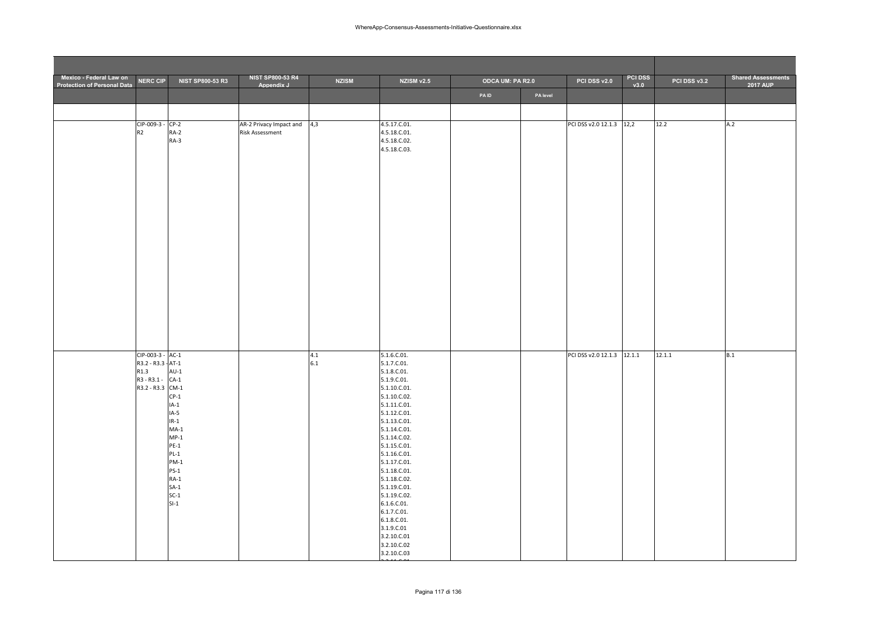| Mexico - Federal Law on<br><b>Protection of Personal Data</b> | <b>NERC CIP</b>                        | <b>NIST SP800-53 R3</b> | <b>NIST SP800-53 R4</b><br>Appendix J | <b>NZISM</b> | NZISM v2.5                   | <b>ODCA UM: PA R2.0</b> |          | PCI DSS v2.0               | <b>PCI DSS</b><br>v3.0 | PCI DSS v3.2 | <b>Shared Assessments</b><br><b>2017 AUP</b> |
|---------------------------------------------------------------|----------------------------------------|-------------------------|---------------------------------------|--------------|------------------------------|-------------------------|----------|----------------------------|------------------------|--------------|----------------------------------------------|
|                                                               |                                        |                         |                                       |              |                              | <b>PAID</b>             | PA level |                            |                        |              |                                              |
|                                                               |                                        |                         |                                       |              |                              |                         |          |                            |                        |              |                                              |
|                                                               | CIP-009-3 - CP-2                       |                         | AR-2 Privacy Impact and               | 4,3          | 4.5.17.C.01.                 |                         |          | PCI DSS v2.0 12.1.3 12,2   |                        | 12.2         | A.2                                          |
|                                                               | R2                                     | RA-2<br>RA-3            | Risk Assessment                       |              | 4.5.18.C.01.<br>4.5.18.C.02. |                         |          |                            |                        |              |                                              |
|                                                               |                                        |                         |                                       |              | 4.5.18.C.03.                 |                         |          |                            |                        |              |                                              |
|                                                               |                                        |                         |                                       |              |                              |                         |          |                            |                        |              |                                              |
|                                                               |                                        |                         |                                       |              |                              |                         |          |                            |                        |              |                                              |
|                                                               |                                        |                         |                                       |              |                              |                         |          |                            |                        |              |                                              |
|                                                               |                                        |                         |                                       |              |                              |                         |          |                            |                        |              |                                              |
|                                                               |                                        |                         |                                       |              |                              |                         |          |                            |                        |              |                                              |
|                                                               |                                        |                         |                                       |              |                              |                         |          |                            |                        |              |                                              |
|                                                               |                                        |                         |                                       |              |                              |                         |          |                            |                        |              |                                              |
|                                                               |                                        |                         |                                       |              |                              |                         |          |                            |                        |              |                                              |
|                                                               |                                        |                         |                                       |              |                              |                         |          |                            |                        |              |                                              |
|                                                               |                                        |                         |                                       |              |                              |                         |          |                            |                        |              |                                              |
|                                                               |                                        |                         |                                       |              |                              |                         |          |                            |                        |              |                                              |
|                                                               |                                        |                         |                                       |              |                              |                         |          |                            |                        |              |                                              |
|                                                               |                                        |                         |                                       |              |                              |                         |          |                            |                        |              |                                              |
|                                                               |                                        |                         |                                       |              |                              |                         |          |                            |                        |              |                                              |
|                                                               | CIP-003-3 - AC-1<br>R3.2 - R3.3 - AT-1 |                         |                                       | 4.1<br>6.1   | 5.1.6.C.01.<br>5.1.7.C.01.   |                         |          | PCI DSS v2.0 12.1.3 12.1.1 |                        | 12.1.1       | B.1                                          |
|                                                               | R1.3<br>R3-R3.1- CA-1                  | $AU-1$                  |                                       |              | 5.1.8.C.01.<br>5.1.9.C.01.   |                         |          |                            |                        |              |                                              |
|                                                               | R3.2 - R3.3 CM-1                       |                         |                                       |              | 5.1.10.C.01.                 |                         |          |                            |                        |              |                                              |
|                                                               |                                        | $CP-1$<br>$IA-1$        |                                       |              | 5.1.10.C.02.<br>5.1.11.C.01. |                         |          |                            |                        |              |                                              |
|                                                               |                                        | $IA-5$                  |                                       |              | 5.1.12.C.01.                 |                         |          |                            |                        |              |                                              |
|                                                               |                                        | $IR-1$                  |                                       |              | 5.1.13.C.01.                 |                         |          |                            |                        |              |                                              |
|                                                               |                                        | $MA-1$<br>$MP-1$        |                                       |              | 5.1.14.C.01.<br>5.1.14.C.02. |                         |          |                            |                        |              |                                              |
|                                                               |                                        | $PE-1$                  |                                       |              | 5.1.15.C.01.                 |                         |          |                            |                        |              |                                              |
|                                                               |                                        | $PL-1$                  |                                       |              | 5.1.16.C.01.                 |                         |          |                            |                        |              |                                              |
|                                                               |                                        | $PM-1$<br>$PS-1$        |                                       |              | 5.1.17.C.01.<br>5.1.18.C.01. |                         |          |                            |                        |              |                                              |
|                                                               |                                        | $RA-1$                  |                                       |              | 5.1.18.C.02.                 |                         |          |                            |                        |              |                                              |
|                                                               |                                        | $SA-1$                  |                                       |              | 5.1.19.C.01.                 |                         |          |                            |                        |              |                                              |
|                                                               |                                        | $SC-1$<br>$SI-1$        |                                       |              | 5.1.19.C.02.<br>6.1.6.C.01.  |                         |          |                            |                        |              |                                              |
|                                                               |                                        |                         |                                       |              | 6.1.7.C.01.                  |                         |          |                            |                        |              |                                              |
|                                                               |                                        |                         |                                       |              | 6.1.8.C.01.                  |                         |          |                            |                        |              |                                              |
|                                                               |                                        |                         |                                       |              | 3.1.9.C.01<br>3.2.10.C.01    |                         |          |                            |                        |              |                                              |
|                                                               |                                        |                         |                                       |              | 3.2.10.C.02                  |                         |          |                            |                        |              |                                              |
|                                                               |                                        |                         |                                       |              | 3.2.10.C.03                  |                         |          |                            |                        |              |                                              |

3 2 11 C 01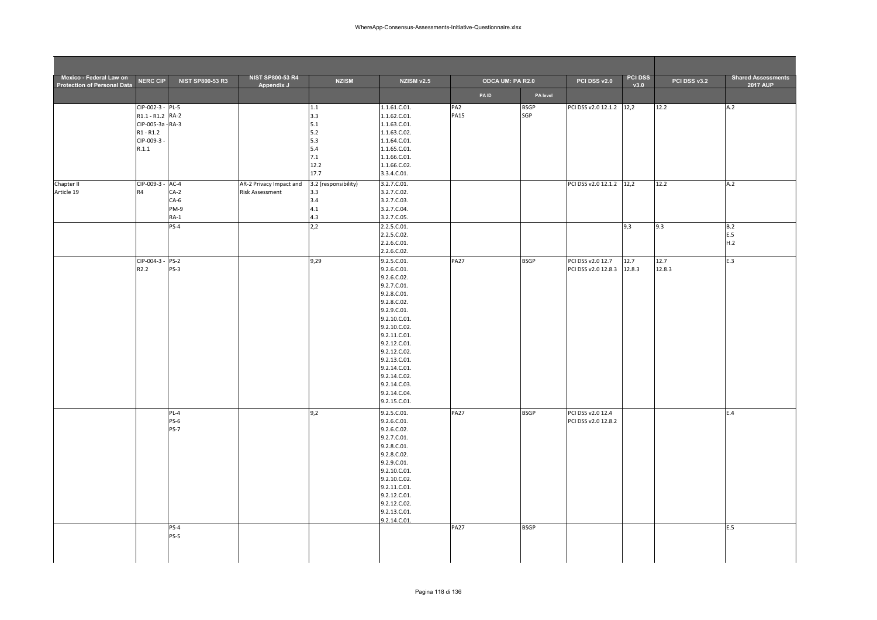| Mexico - Federal Law on            | <b>NERC CIP</b>   | NIST SP800-53 R3 | <b>NIST SP800-53 R4</b> | <b>NZISM</b>         | NZISM v2.5   |                 | <b>ODCA UM: PA R2.0</b> | PCI DSS v2.0             | PCI DSS | PCI DSS v3.2 | <b>Shared Assessments</b> |
|------------------------------------|-------------------|------------------|-------------------------|----------------------|--------------|-----------------|-------------------------|--------------------------|---------|--------------|---------------------------|
| <b>Protection of Personal Data</b> |                   |                  | Appendix J              |                      |              | <b>PAID</b>     | PA level                |                          | v3.0    |              | 2017 AUP                  |
|                                    | CIP-002-3 - PL-5  |                  |                         | 1.1                  | 1.1.61.C.01. | PA <sub>2</sub> | <b>BSGP</b>             | PCI DSS v2.0 12.1.2      | 12,2    | 12.2         | A.2                       |
|                                    | R1.1 - R1.2 RA-2  |                  |                         | 3.3                  | 1.1.62.C.01. | <b>PA15</b>     | SGP                     |                          |         |              |                           |
|                                    | CIP-005-3a - RA-3 |                  |                         | 5.1                  | 1.1.63.C.01. |                 |                         |                          |         |              |                           |
|                                    | $R1 - R1.2$       |                  |                         | $5.2$                | 1.1.63.C.02. |                 |                         |                          |         |              |                           |
|                                    | CIP-009-3-        |                  |                         | 5.3                  | 1.1.64.C.01. |                 |                         |                          |         |              |                           |
|                                    | R.1.1             |                  |                         | 5.4                  | 1.1.65.C.01. |                 |                         |                          |         |              |                           |
|                                    |                   |                  |                         | 7.1                  | 1.1.66.C.01. |                 |                         |                          |         |              |                           |
|                                    |                   |                  |                         | 12.2                 | 1.1.66.C.02. |                 |                         |                          |         |              |                           |
|                                    |                   |                  |                         | 17.7                 | 3.3.4.C.01.  |                 |                         |                          |         |              |                           |
| Chapter II                         | CIP-009-3 - AC-4  |                  | AR-2 Privacy Impact and | 3.2 (responsibility) | 3.2.7.C.01.  |                 |                         | PCI DSS v2.0 12.1.2 12,2 |         | 12.2         | A.2                       |
| Article 19                         | R <sub>4</sub>    | $CA-2$           | <b>Risk Assessment</b>  | 3.3                  | 3.2.7.C.02.  |                 |                         |                          |         |              |                           |
|                                    |                   | $CA-6$           |                         | 3.4                  | 3.2.7.C.03.  |                 |                         |                          |         |              |                           |
|                                    |                   | PM-9             |                         | 4.1                  | 3.2.7.C.04.  |                 |                         |                          |         |              |                           |
|                                    |                   | $RA-1$           |                         | 4.3                  | 3.2.7.C.05.  |                 |                         |                          |         |              |                           |
|                                    |                   | <b>PS-4</b>      |                         | 2,2                  | 2.2.5.C.01.  |                 |                         |                          | 9,3     | 9.3          | B.2                       |
|                                    |                   |                  |                         |                      | 2.2.5.C.02.  |                 |                         |                          |         |              | E.5                       |
|                                    |                   |                  |                         |                      | 2.2.6.C.01.  |                 |                         |                          |         |              | H.2                       |
|                                    |                   |                  |                         |                      | 2.2.6.C.02.  |                 |                         |                          |         |              |                           |
|                                    | CIP-004-3 - PS-2  |                  |                         | 9,29                 | 9.2.5.C.01.  | <b>PA27</b>     | <b>BSGP</b>             | PCI DSS v2.0 12.7        | 12.7    | 12.7         | E.3                       |
|                                    | R <sub>2.2</sub>  | $PS-3$           |                         |                      | 9.2.6.C.01.  |                 |                         | PCI DSS v2.0 12.8.3      | 12.8.3  | 12.8.3       |                           |
|                                    |                   |                  |                         |                      | 9.2.6.C.02.  |                 |                         |                          |         |              |                           |
|                                    |                   |                  |                         |                      | 9.2.7.C.01.  |                 |                         |                          |         |              |                           |
|                                    |                   |                  |                         |                      | 9.2.8.C.01.  |                 |                         |                          |         |              |                           |
|                                    |                   |                  |                         |                      | 9.2.8.C.02.  |                 |                         |                          |         |              |                           |
|                                    |                   |                  |                         |                      | 9.2.9.C.01.  |                 |                         |                          |         |              |                           |
|                                    |                   |                  |                         |                      | 9.2.10.C.01. |                 |                         |                          |         |              |                           |
|                                    |                   |                  |                         |                      | 9.2.10.C.02. |                 |                         |                          |         |              |                           |
|                                    |                   |                  |                         |                      | 9.2.11.C.01. |                 |                         |                          |         |              |                           |
|                                    |                   |                  |                         |                      | 9.2.12.C.01. |                 |                         |                          |         |              |                           |
|                                    |                   |                  |                         |                      | 9.2.12.C.02. |                 |                         |                          |         |              |                           |
|                                    |                   |                  |                         |                      | 9.2.13.C.01. |                 |                         |                          |         |              |                           |
|                                    |                   |                  |                         |                      | 9.2.14.C.01. |                 |                         |                          |         |              |                           |
|                                    |                   |                  |                         |                      | 9.2.14.C.02. |                 |                         |                          |         |              |                           |
|                                    |                   |                  |                         |                      | 9.2.14.C.03. |                 |                         |                          |         |              |                           |
|                                    |                   |                  |                         |                      | 9.2.14.C.04. |                 |                         |                          |         |              |                           |
|                                    |                   |                  |                         |                      | 9.2.15.C.01. |                 |                         |                          |         |              |                           |
|                                    |                   | PL-4             |                         | 9,2                  | 9.2.5.C.01.  | <b>PA27</b>     | <b>BSGP</b>             | PCI DSS v2.0 12.4        |         |              | E.4                       |
|                                    |                   | <b>PS-6</b>      |                         |                      | 9.2.6.C.01.  |                 |                         | PCI DSS v2.0 12.8.2      |         |              |                           |
|                                    |                   | <b>PS-7</b>      |                         |                      | 9.2.6.C.02.  |                 |                         |                          |         |              |                           |
|                                    |                   |                  |                         |                      | 9.2.7.C.01.  |                 |                         |                          |         |              |                           |
|                                    |                   |                  |                         |                      | 9.2.8.C.01.  |                 |                         |                          |         |              |                           |
|                                    |                   |                  |                         |                      | 9.2.8.C.02.  |                 |                         |                          |         |              |                           |
|                                    |                   |                  |                         |                      | 9.2.9.C.01.  |                 |                         |                          |         |              |                           |
|                                    |                   |                  |                         |                      | 9.2.10.C.01. |                 |                         |                          |         |              |                           |
|                                    |                   |                  |                         |                      | 9.2.10.C.02. |                 |                         |                          |         |              |                           |
|                                    |                   |                  |                         |                      | 9.2.11.C.01. |                 |                         |                          |         |              |                           |
|                                    |                   |                  |                         |                      | 9.2.12.C.01. |                 |                         |                          |         |              |                           |
|                                    |                   |                  |                         |                      | 9.2.12.C.02. |                 |                         |                          |         |              |                           |
|                                    |                   |                  |                         |                      | 9.2.13.C.01. |                 |                         |                          |         |              |                           |
|                                    |                   |                  |                         |                      | 9.2.14.C.01. |                 |                         |                          |         |              |                           |
|                                    |                   | $PS-4$           |                         |                      |              | <b>PA27</b>     | <b>BSGP</b>             |                          |         |              | E.5                       |
|                                    |                   | $PS-5$           |                         |                      |              |                 |                         |                          |         |              |                           |
|                                    |                   |                  |                         |                      |              |                 |                         |                          |         |              |                           |
|                                    |                   |                  |                         |                      |              |                 |                         |                          |         |              |                           |
|                                    |                   |                  |                         |                      |              |                 |                         |                          |         |              |                           |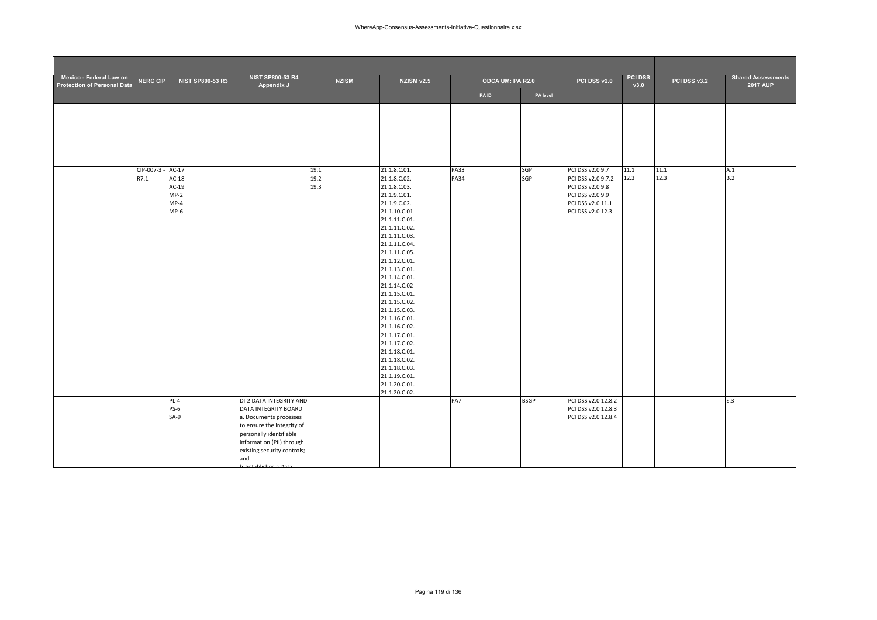| Mexico - Federal Law on<br><b>Protection of Personal Data</b> | <b>NERC CIP</b>    | <b>NIST SP800-53 R3</b>       | <b>NIST SP800-53 R4</b><br>Appendix J                                                                                                                                    | <b>NZISM</b>         | NZISM v2.5                                                                                                                                                                                                                                                                                                                                                                                                                        | ODCA UM: PA R2.0           |             | PCI DSS v2.0                                               | <b>PCI DSS</b><br>v3.0 | PCI DSS v3.2 | <b>Shared Assessments</b><br><b>2017 AUP</b> |
|---------------------------------------------------------------|--------------------|-------------------------------|--------------------------------------------------------------------------------------------------------------------------------------------------------------------------|----------------------|-----------------------------------------------------------------------------------------------------------------------------------------------------------------------------------------------------------------------------------------------------------------------------------------------------------------------------------------------------------------------------------------------------------------------------------|----------------------------|-------------|------------------------------------------------------------|------------------------|--------------|----------------------------------------------|
|                                                               |                    |                               |                                                                                                                                                                          |                      |                                                                                                                                                                                                                                                                                                                                                                                                                                   | PAID                       | PA level    |                                                            |                        |              |                                              |
|                                                               | CIP-007-3-<br>R7.1 | $AC-17$<br>$AC-18$<br>$AC-19$ |                                                                                                                                                                          | 19.1<br>19.2<br>19.3 | 21.1.8.C.01.<br>21.1.8.C.02.<br>21.1.8.C.03.                                                                                                                                                                                                                                                                                                                                                                                      | <b>PA33</b><br><b>PA34</b> | SGP<br>SGP  | PCI DSS v2.0 9.7<br>PCI DSS v2.0 9.7.2<br>PCI DSS v2.0 9.8 | 11.1<br>12.3           | 11.1<br>12.3 | A.1<br>B.2                                   |
|                                                               |                    | $MP-2$<br>$MP-4$<br>$MP-6$    |                                                                                                                                                                          |                      | 21.1.9.C.01.<br>21.1.9.C.02.<br>21.1.10.C.01<br>21.1.11.C.01.<br>21.1.11.C.02.<br>21.1.11.C.03.<br>21.1.11.C.04.<br>21.1.11.C.05.<br>21.1.12.C.01.<br>21.1.13.C.01.<br>21.1.14.C.01.<br>21.1.14.C.02<br>21.1.15.C.01.<br>21.1.15.C.02.<br>21.1.15.C.03.<br>21.1.16.C.01.<br>21.1.16.C.02.<br>21.1.17.C.01.<br>21.1.17.C.02.<br>21.1.18.C.01.<br>21.1.18.C.02.<br>21.1.18.C.03.<br>21.1.19.C.01.<br>21.1.20.C.01.<br>21.1.20.C.02. |                            |             | PCI DSS v2.0 9.9<br>PCI DSS v2.0 11.1<br>PCI DSS v2.0 12.3 |                        |              |                                              |
|                                                               |                    | $PL-4$<br>$PS-6$              | DI-2 DATA INTEGRITY AND<br>DATA INTEGRITY BOARD                                                                                                                          |                      |                                                                                                                                                                                                                                                                                                                                                                                                                                   | PA7                        | <b>BSGP</b> | PCI DSS v2.0 12.8.2<br>PCI DSS v2.0 12.8.3                 |                        |              | E.3                                          |
|                                                               |                    | SA-9                          | a. Documents processes<br>to ensure the integrity of<br>personally identifiable<br>information (PII) through<br>existing security controls;<br>and<br>Establishes a Data |                      |                                                                                                                                                                                                                                                                                                                                                                                                                                   |                            |             | PCI DSS v2.0 12.8.4                                        |                        |              |                                              |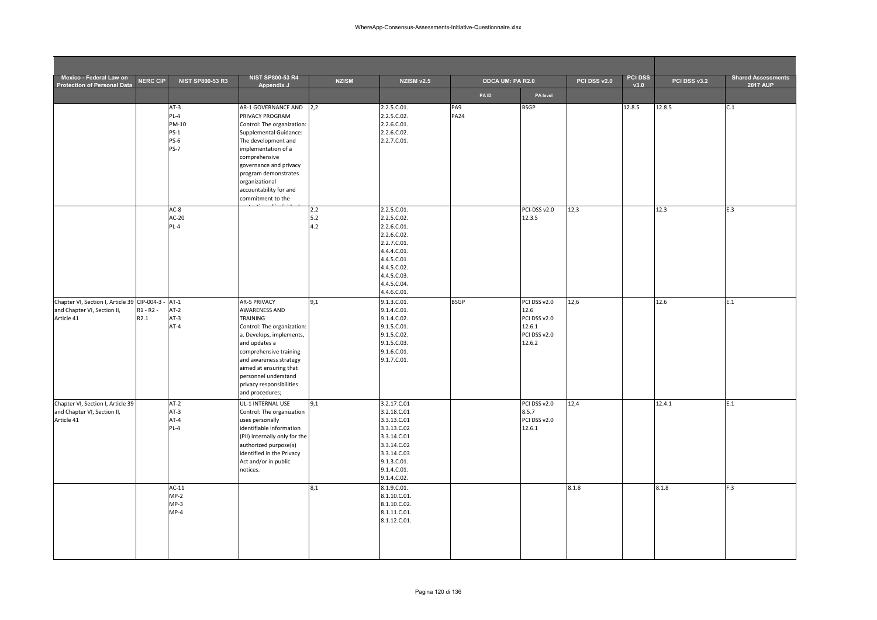| Mexico - Federal Law on<br><b>Protection of Personal Data</b>                              | <b>NERC CIP</b>     | <b>NIST SP800-53 R3</b>                                         | <b>NIST SP800-53 R4</b><br>Appendix J                                                                                                                                                                                                                                                   | <b>NZISM</b>        | NZISM v2.5                                                                                                                                                       | ODCA UM: PA R2.0   |                                                                          | PCI DSS v2.0 | <b>PCI DSS</b><br>v3.0 | PCI DSS v3.2 | <b>Shared Assessments</b><br><b>2017 AUP</b> |
|--------------------------------------------------------------------------------------------|---------------------|-----------------------------------------------------------------|-----------------------------------------------------------------------------------------------------------------------------------------------------------------------------------------------------------------------------------------------------------------------------------------|---------------------|------------------------------------------------------------------------------------------------------------------------------------------------------------------|--------------------|--------------------------------------------------------------------------|--------------|------------------------|--------------|----------------------------------------------|
|                                                                                            |                     |                                                                 |                                                                                                                                                                                                                                                                                         |                     |                                                                                                                                                                  | <b>PAID</b>        | PA level                                                                 |              |                        |              |                                              |
|                                                                                            |                     | $AT-3$<br>PL-4<br>PM-10<br>$PS-1$<br><b>PS-6</b><br><b>PS-7</b> | AR-1 GOVERNANCE AND<br>PRIVACY PROGRAM<br>Control: The organization:<br>Supplemental Guidance:<br>The development and<br>implementation of a<br>comprehensive<br>governance and privacy<br>program demonstrates<br>organizational<br>accountability for and<br>commitment to the        | 2,2                 | 2.2.5.C.01.<br>2.2.5.C.02.<br>2.2.6.C.01.<br>2.2.6.C.02.<br>2.2.7.C.01.                                                                                          | PA9<br><b>PA24</b> | <b>BSGP</b>                                                              |              | 12.8.5                 | 12.8.5       | C.1                                          |
|                                                                                            |                     | $AC-8$<br>$AC-20$<br>PL-4                                       |                                                                                                                                                                                                                                                                                         | 2.2<br>$5.2$<br>4.2 | 2.2.5.C.01.<br>2.2.5.C.02.<br>2.2.6.C.01.<br>2.2.6.C.02.<br>2.2.7.C.01.<br>4.4.4.C.01.<br>4.4.5.C.01<br>4.4.5.C.02.<br>4.4.5.C.03.<br>4.4.5.C.04.<br>4.4.6.C.01. |                    | PCI-DSS v2.0<br>12.3.5                                                   | 12,3         |                        | 12.3         | E.3                                          |
| Chapter VI, Section I, Article 39 CIP-004-3 -<br>and Chapter VI, Section II,<br>Article 41 | $R1 - R2 -$<br>R2.1 | $AT-1$<br>$AT-2$<br>$AT-3$<br>$AT-4$                            | <b>AR-5 PRIVACY</b><br><b>AWARENESS AND</b><br>TRAINING<br>Control: The organization:<br>a. Develops, implements,<br>and updates a<br>comprehensive training<br>and awareness strategy<br>aimed at ensuring that<br>personnel understand<br>privacy responsibilities<br>and procedures; | 9.1                 | 9.1.3.C.01.<br>9.1.4.C.01.<br>9.1.4.C.02.<br>9.1.5.C.01.<br>9.1.5.C.02.<br>9.1.5.C.03.<br>9.1.6.C.01.<br>9.1.7.C.01.                                             | <b>BSGP</b>        | PCI DSS v2.0<br>12.6<br>PCI DSS v2.0<br>12.6.1<br>PCI DSS v2.0<br>12.6.2 | 12,6         |                        | 12.6         | E.1                                          |
| Chapter VI, Section I, Article 39<br>and Chapter VI, Section II,<br>Article 41             |                     | $AT-2$<br>$AT-3$<br>$AT-4$<br>PL-4                              | UL-1 INTERNAL USE<br>Control: The organization<br>uses personally<br>identifiable information<br>(PII) internally only for the<br>authorized purpose(s)<br>identified in the Privacy<br>Act and/or in public<br>notices.                                                                | 9,1                 | 3.2.17.C.01<br>3.2.18.C.01<br>3.3.13.C.01<br>3.3.13.C.02<br>3.3.14.C.01<br>3.3.14.C.02<br>3.3.14.C.03<br>9.1.3.C.01.<br>9.1.4.C.01.<br>9.1.4.C.02.               |                    | PCI DSS v2.0<br>8.5.7<br>PCI DSS v2.0<br>12.6.1                          | 12,4         |                        | 12.4.1       | E.1                                          |
|                                                                                            |                     | $AC-11$<br>$MP-2$<br>$MP-3$<br>$MP-4$                           |                                                                                                                                                                                                                                                                                         | 8,1                 | 8.1.9.C.01.<br>8.1.10.C.01.<br>8.1.10.C.02.<br>8.1.11.C.01.<br>8.1.12.C.01.                                                                                      |                    |                                                                          | 8.1.8        |                        | 8.1.8        | F.3                                          |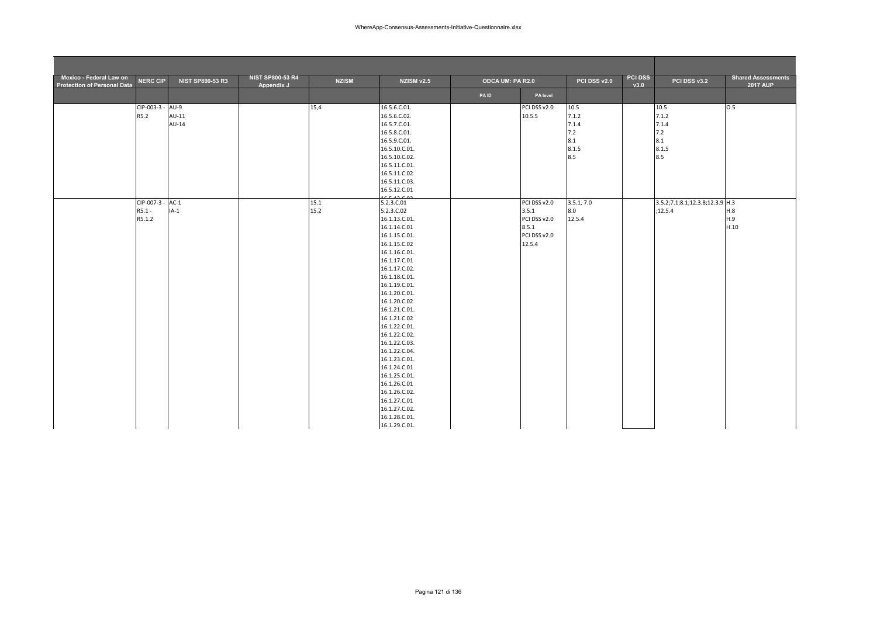| Mexico - Federal Law on<br><b>Protection of Personal Data</b> | <b>NERC CIP</b>  | <b>NIST SP800-53 R3</b> | <b>NIST SP800-53 R4</b><br>Appendix J | <b>NZISM</b> | <b>NZISM v2.5</b>                                                                                                                                                                                                                                                                                                                                                                                                                                                    | ODCA UM: PA R2.0 |                                                                          | PCI DSS v2.0                                         | <b>PCI DSS</b><br>v3.0 | PCI DSS v3.2                                         | <b>Shared Assessments</b><br><b>2017 AUP</b> |
|---------------------------------------------------------------|------------------|-------------------------|---------------------------------------|--------------|----------------------------------------------------------------------------------------------------------------------------------------------------------------------------------------------------------------------------------------------------------------------------------------------------------------------------------------------------------------------------------------------------------------------------------------------------------------------|------------------|--------------------------------------------------------------------------|------------------------------------------------------|------------------------|------------------------------------------------------|----------------------------------------------|
|                                                               |                  |                         |                                       |              |                                                                                                                                                                                                                                                                                                                                                                                                                                                                      | <b>PAID</b>      | PA level                                                                 |                                                      |                        |                                                      |                                              |
| R5.2                                                          | CIP-003-3 - AU-9 | $AU-11$<br>AU-14        |                                       | 15,4         | 16.5.6.C.01.<br>16.5.6.C.02.<br>16.5.7.C.01.<br>16.5.8.C.01.<br>16.5.9.C.01.<br>16.5.10.C.01.<br>16.5.10.C.02.<br>16.5.11.C.01.<br>16.5.11.C.02<br>16.5.11.C.03.<br>16.5.12.C.01                                                                                                                                                                                                                                                                                     |                  | PCI DSS v2.0<br>10.5.5                                                   | 10.5<br>7.1.2<br>7.1.4<br>7.2<br>8.1<br>8.1.5<br>8.5 |                        | 10.5<br>7.1.2<br>7.1.4<br>7.2<br>8.1<br>8.1.5<br>8.5 | 0.5                                          |
| $R5.1 -$<br>R5.1.2                                            | CIP-007-3 - AC-1 | $IA-1$                  |                                       | 15.1<br>15.2 | 0.51200<br>5.2.3.C.01<br>5.2.3.C.02<br>16.1.13.C.01.<br>16.1.14.C.01<br>16.1.15.C.01.<br>16.1.15.C.02<br>16.1.16.C.01.<br>16.1.17.C.01<br>16.1.17.C.02.<br>16.1.18.C.01.<br>16.1.19.C.01.<br>16.1.20.C.01.<br>16.1.20.C.02<br>16.1.21.C.01.<br>16.1.21.C.02<br>16.1.22.C.01.<br>16.1.22.C.02.<br>16.1.22.C.03.<br>16.1.22.C.04.<br>16.1.23.C.01.<br>16.1.24.C.01<br>16.1.25.C.01.<br>16.1.26.C.01<br>16.1.26.C.02.<br>16.1.27.C.01<br>16.1.27.C.02.<br>16.1.28.C.01. |                  | PCI DSS v2.0<br>3.5.1<br>PCI DSS v2.0<br>8.5.1<br>PCI DSS v2.0<br>12.5.4 | 3.5.1, 7.0<br>8.0<br>12.5.4                          |                        | 3.5.2;7.1;8.1;12.3.8;12.3.9 H.3<br>;12.5.4           | H.8<br>H.9<br>H.10                           |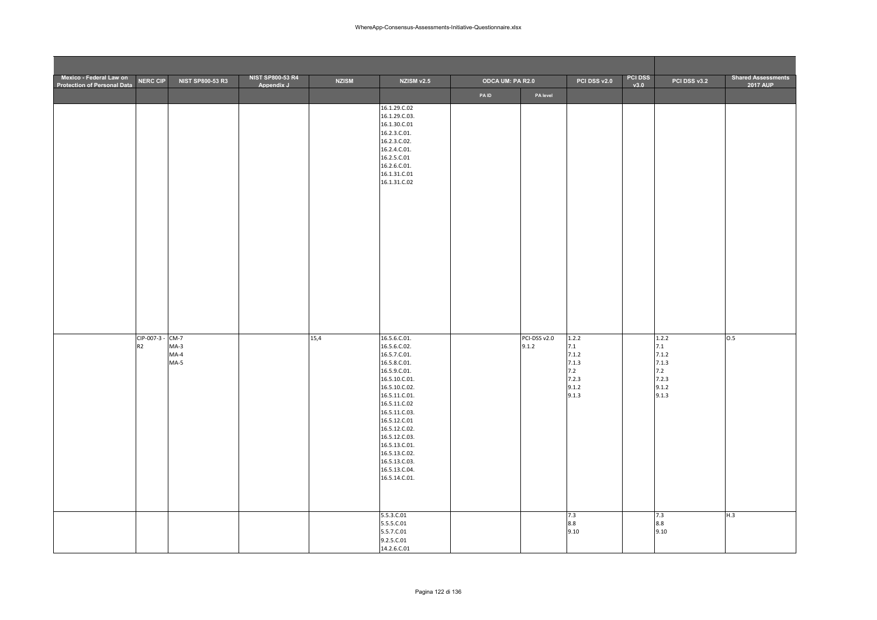| Mexico - Federal Law on<br><b>Protection of Personal Data</b> | <b>NERC CIP</b>                    | <b>NIST SP800-53 R3</b>    | <b>NIST SP800-53 R4</b><br>Appendix J | <b>NZISM</b> | NZISM v2.5                                                                                                                                                                                                                                                                                              | <b>ODCA UM: PA R2.0</b> |                       | PCI DSS v2.0                                                     | <b>PCI DSS</b><br>v3.0 | PCI DSS v3.2                                                     | <b>Shared Assessments</b><br><b>2017 AUP</b> |
|---------------------------------------------------------------|------------------------------------|----------------------------|---------------------------------------|--------------|---------------------------------------------------------------------------------------------------------------------------------------------------------------------------------------------------------------------------------------------------------------------------------------------------------|-------------------------|-----------------------|------------------------------------------------------------------|------------------------|------------------------------------------------------------------|----------------------------------------------|
|                                                               |                                    |                            |                                       |              |                                                                                                                                                                                                                                                                                                         | PAID                    | PA level              |                                                                  |                        |                                                                  |                                              |
|                                                               |                                    |                            |                                       |              | 16.1.29.C.02<br>16.1.29.C.03.<br>16.1.30.C.01<br>16.2.3.C.01.<br>16.2.3.C.02.<br>16.2.4.C.01.<br>16.2.5.C.01<br>16.2.6.C.01.<br>16.1.31.C.01<br>16.1.31.C.02                                                                                                                                            |                         |                       |                                                                  |                        |                                                                  |                                              |
|                                                               | CIP-007-3 - CM-7<br>R <sub>2</sub> | $MA-3$<br>$MA-4$<br>$MA-5$ |                                       | 15,4         | 16.5.6.C.01.<br>16.5.6.C.02.<br>16.5.7.C.01.<br>16.5.8.C.01.<br>16.5.9.C.01.<br>16.5.10.C.01.<br>16.5.10.C.02.<br>16.5.11.C.01.<br>16.5.11.C.02<br>16.5.11.C.03.<br>16.5.12.C.01<br>16.5.12.C.02.<br>16.5.12.C.03.<br>16.5.13.C.01.<br>16.5.13.C.02.<br>16.5.13.C.03.<br>16.5.13.C.04.<br>16.5.14.C.01. |                         | PCI-DSS v2.0<br>9.1.2 | 1.2.2<br>7.1<br>7.1.2<br>7.1.3<br>7.2<br>7.2.3<br>9.1.2<br>9.1.3 |                        | 1.2.2<br>7.1<br>7.1.2<br>7.1.3<br>7.2<br>7.2.3<br>9.1.2<br>9.1.3 | 0.5                                          |
|                                                               |                                    |                            |                                       |              | 5.5.3.C.01<br>5.5.5.C.01<br>5.5.7.C.01<br>9.2.5.C.01<br>14.2.6.C.01                                                                                                                                                                                                                                     |                         |                       | 7.3<br>8.8<br>9.10                                               |                        | 7.3<br>8.8<br>9.10                                               | H.3                                          |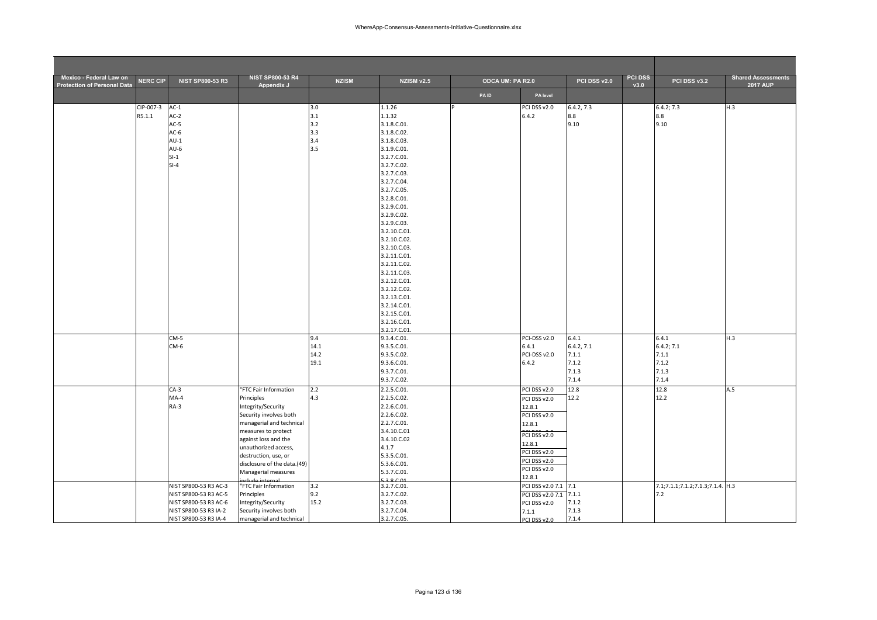| Mexico - Federal Law on<br><b>Protection of Personal Data</b> | <b>NERC CIP</b> | <b>NIST SP800-53 R3</b> | <b>NIST SP800-53 R4</b><br>Appendix J        | <b>NZISM</b> | NZISM v2.5                   | ODCA UM: PA R2.0 |                              | PCI DSS v2.0 | <b>PCI DSS</b><br>v3.0 | PCI DSS v3.2                     | <b>Shared Assessments</b><br><b>2017 AUP</b> |
|---------------------------------------------------------------|-----------------|-------------------------|----------------------------------------------|--------------|------------------------------|------------------|------------------------------|--------------|------------------------|----------------------------------|----------------------------------------------|
|                                                               |                 |                         |                                              |              |                              | <b>PAID</b>      | PA level                     |              |                        |                                  |                                              |
|                                                               | CIP-007-3       | $AC-1$                  |                                              | 3.0          | 1.1.26                       |                  | PCI DSS v2.0                 | 6.4.2, 7.3   |                        | 6.4.2; 7.3                       | H.3                                          |
|                                                               | R5.1.1          | $AC-2$                  |                                              | 3.1          | 1.1.32                       |                  | 6.4.2                        | 8.8          |                        | 8.8                              |                                              |
|                                                               |                 | $AC-5$                  |                                              | 3.2          | 3.1.8.C.01.                  |                  |                              | 9.10         |                        | 9.10                             |                                              |
|                                                               |                 | $AC-6$                  |                                              | 3.3          | 3.1.8.C.02.                  |                  |                              |              |                        |                                  |                                              |
|                                                               |                 | $AU-1$                  |                                              | 3.4          | 3.1.8.C.03.                  |                  |                              |              |                        |                                  |                                              |
|                                                               |                 | $AU-6$                  |                                              | 3.5          | 3.1.9.C.01.                  |                  |                              |              |                        |                                  |                                              |
|                                                               |                 | $SI-1$                  |                                              |              | 3.2.7.C.01.                  |                  |                              |              |                        |                                  |                                              |
|                                                               |                 | $SI-4$                  |                                              |              | 3.2.7.C.02.                  |                  |                              |              |                        |                                  |                                              |
|                                                               |                 |                         |                                              |              | 3.2.7.C.03.                  |                  |                              |              |                        |                                  |                                              |
|                                                               |                 |                         |                                              |              | 3.2.7.C.04.<br>3.2.7.C.05.   |                  |                              |              |                        |                                  |                                              |
|                                                               |                 |                         |                                              |              | 3.2.8.C.01.                  |                  |                              |              |                        |                                  |                                              |
|                                                               |                 |                         |                                              |              | 3.2.9.C.01.                  |                  |                              |              |                        |                                  |                                              |
|                                                               |                 |                         |                                              |              | 3.2.9.C.02.                  |                  |                              |              |                        |                                  |                                              |
|                                                               |                 |                         |                                              |              | 3.2.9.C.03.                  |                  |                              |              |                        |                                  |                                              |
|                                                               |                 |                         |                                              |              | 3.2.10.C.01.                 |                  |                              |              |                        |                                  |                                              |
|                                                               |                 |                         |                                              |              | 3.2.10.C.02.                 |                  |                              |              |                        |                                  |                                              |
|                                                               |                 |                         |                                              |              | 3.2.10.C.03.                 |                  |                              |              |                        |                                  |                                              |
|                                                               |                 |                         |                                              |              | 3.2.11.C.01.                 |                  |                              |              |                        |                                  |                                              |
|                                                               |                 |                         |                                              |              | 3.2.11.C.02.                 |                  |                              |              |                        |                                  |                                              |
|                                                               |                 |                         |                                              |              | 3.2.11.C.03.                 |                  |                              |              |                        |                                  |                                              |
|                                                               |                 |                         |                                              |              | 3.2.12.C.01.                 |                  |                              |              |                        |                                  |                                              |
|                                                               |                 |                         |                                              |              | 3.2.12.C.02.<br>3.2.13.C.01. |                  |                              |              |                        |                                  |                                              |
|                                                               |                 |                         |                                              |              | 3.2.14.C.01.                 |                  |                              |              |                        |                                  |                                              |
|                                                               |                 |                         |                                              |              | 3.2.15.C.01.                 |                  |                              |              |                        |                                  |                                              |
|                                                               |                 |                         |                                              |              | 3.2.16.C.01.                 |                  |                              |              |                        |                                  |                                              |
|                                                               |                 |                         |                                              |              | 3.2.17.C.01.                 |                  |                              |              |                        |                                  |                                              |
|                                                               |                 | $CM-5$                  |                                              | 9.4          | 9.3.4.C.01.                  |                  | PCI-DSS v2.0                 | 6.4.1        |                        | 6.4.1                            | H.3                                          |
|                                                               |                 | CM-6                    |                                              | 14.1         | 9.3.5.C.01.                  |                  | 6.4.1                        | 6.4.2, 7.1   |                        | 6.4.2; 7.1                       |                                              |
|                                                               |                 |                         |                                              | 14.2         | 9.3.5.C.02.                  |                  | PCI-DSS v2.0                 | 7.1.1        |                        | 7.1.1                            |                                              |
|                                                               |                 |                         |                                              | 19.1         | 9.3.6.C.01.                  |                  | 6.4.2                        | 7.1.2        |                        | 7.1.2                            |                                              |
|                                                               |                 |                         |                                              |              | 9.3.7.C.01.                  |                  |                              | 7.1.3        |                        | 7.1.3                            |                                              |
|                                                               |                 |                         |                                              |              | 9.3.7.C.02.                  |                  |                              | 7.1.4        |                        | 7.1.4                            |                                              |
|                                                               |                 | $CA-3$                  | "FTC Fair Information                        | 2.2          | 2.2.5.C.01.                  |                  | PCI DSS v2.0                 | 12.8         |                        | 12.8                             | A.5                                          |
|                                                               |                 | $MA-4$<br>$RA-3$        | Principles                                   | 4.3          | 2.2.5.C.02.<br>2.2.6.C.01.   |                  | PCI DSS v2.0                 | 12.2         |                        | 12.2                             |                                              |
|                                                               |                 |                         | Integrity/Security<br>Security involves both |              | 2.2.6.C.02.                  |                  | 12.8.1                       |              |                        |                                  |                                              |
|                                                               |                 |                         | managerial and technical                     |              | 2.2.7.C.01.                  |                  | PCI DSS v2.0<br>12.8.1       |              |                        |                                  |                                              |
|                                                               |                 |                         | measures to protect                          |              | 3.4.10.C.01                  |                  |                              |              |                        |                                  |                                              |
|                                                               |                 |                         | against loss and the                         |              | 3.4.10.C.02                  |                  | PCI DSS v2.0                 |              |                        |                                  |                                              |
|                                                               |                 |                         | unauthorized access,                         |              | 4.1.7                        |                  | 12.8.1                       |              |                        |                                  |                                              |
|                                                               |                 |                         | destruction, use, or                         |              | 5.3.5.C.01.                  |                  | PCI DSS v2.0<br>PCI DSS v2.0 |              |                        |                                  |                                              |
|                                                               |                 |                         | disclosure of the data.(49)                  |              | 5.3.6.C.01.                  |                  | PCI DSS v2.0                 |              |                        |                                  |                                              |
|                                                               |                 |                         | Managerial measures                          |              | 5.3.7.C.01.                  |                  | 12.8.1                       |              |                        |                                  |                                              |
|                                                               |                 | NIST SP800-53 R3 AC-3   | aclude internal<br>"FTC Fair Information     | 3.2          | 38001<br>3.2.7.C.01.         |                  | PCI DSS v2.0 7.1 7.1         |              |                        | 7.1;7.1.1;7.1.2;7.1.3;7.1.4. H.3 |                                              |
|                                                               |                 | NIST SP800-53 R3 AC-5   | Principles                                   | 9.2          | 3.2.7.C.02.                  |                  | PCI DSS v2.0 7.1             | 7.1.1        |                        | 7.2                              |                                              |
|                                                               |                 | NIST SP800-53 R3 AC-6   | Integrity/Security                           | 15.2         | 3.2.7.C.03.                  |                  | PCI DSS v2.0                 | 7.1.2        |                        |                                  |                                              |
|                                                               |                 | NIST SP800-53 R3 IA-2   | Security involves both                       |              | 3.2.7.C.04.                  |                  | 7.1.1                        | 7.1.3        |                        |                                  |                                              |
|                                                               |                 | NIST SP800-53 R3 IA-4   | managerial and technical                     |              | 3.2.7.C.05.                  |                  | PCI DSS v2.0                 | 7.1.4        |                        |                                  |                                              |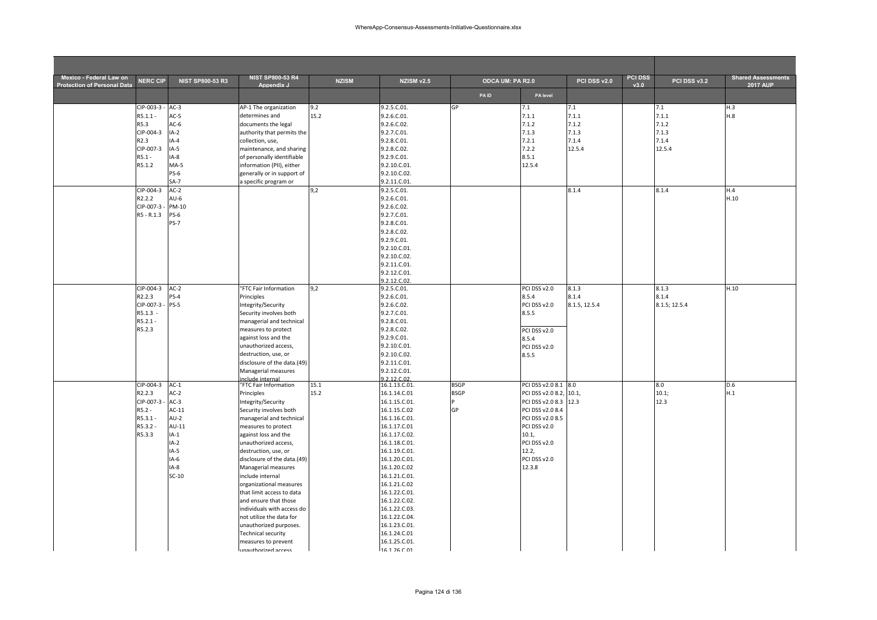| Mexico - Federal Law on<br><b>Protection of Personal Data</b> | <b>NERC CIP</b> | <b>NIST SP800-53 R3</b> | <b>NIST SP800-53 R4</b><br>Appendix J      | <b>NZISM</b> | <b>NZISM v2.5</b>              | ODCA UM: PA R2.0 |                         | PCI DSS v2.0  | <b>PCI DSS</b><br>v3.0 | PCI DSS v3.2  | <b>Shared Assessments</b><br><b>2017 AUP</b> |
|---------------------------------------------------------------|-----------------|-------------------------|--------------------------------------------|--------------|--------------------------------|------------------|-------------------------|---------------|------------------------|---------------|----------------------------------------------|
|                                                               |                 |                         |                                            |              |                                | <b>PAID</b>      | PA level                |               |                        |               |                                              |
|                                                               | CIP-003-3       | $AC-3$                  | AP-1 The organization                      | 9.2          | 9.2.5.C.01.                    | GP               | 7.1                     | 7.1           |                        | 7.1           | H.3                                          |
|                                                               | $R5.1.1 -$      | $AC-5$                  | determines and                             | 15.2         | 9.2.6.C.01.                    |                  | 7.1.1                   | 7.1.1         |                        | 7.1.1         | H.8                                          |
|                                                               | R5.3            | $AC-6$                  | documents the legal                        |              | 9.2.6.C.02.                    |                  | 7.1.2                   | 7.1.2         |                        | 7.1.2         |                                              |
|                                                               | CIP-004-3       | $IA-2$                  | authority that permits the                 |              | 9.2.7.C.01.                    |                  | 7.1.3                   | 7.1.3         |                        | 7.1.3         |                                              |
|                                                               | R2.3            | $IA-4$                  | collection, use,                           |              | 9.2.8.C.01.                    |                  | 7.2.1                   | 7.1.4         |                        | 7.1.4         |                                              |
|                                                               | CIP-007-3       | $IA-5$                  | maintenance, and sharing                   |              | 9.2.8.C.02.                    |                  | 7.2.2                   | 12.5.4        |                        | 12.5.4        |                                              |
|                                                               | $R5.1 -$        | IA-8                    | of personally identifiable                 |              | 9.2.9.C.01.                    |                  | 8.5.1                   |               |                        |               |                                              |
|                                                               | R5.1.2          | $MA-5$                  | information (PII), either                  |              | 9.2.10.C.01.                   |                  | 12.5.4                  |               |                        |               |                                              |
|                                                               |                 | <b>PS-6</b>             | generally or in support of                 |              | 9.2.10.C.02.                   |                  |                         |               |                        |               |                                              |
|                                                               |                 | $SA-7$                  | a specific program or                      |              | 9.2.11.C.01.                   |                  |                         |               |                        |               |                                              |
|                                                               | CIP-004-3       | $AC-2$                  |                                            | 9,2          | 9.2.5.C.01.                    |                  |                         | 8.1.4         |                        | 8.1.4         | H.4                                          |
|                                                               | R2.2.2          | $AU-6$                  |                                            |              | 9.2.6.C.01.                    |                  |                         |               |                        |               | H.10                                         |
|                                                               | CIP-007-3       | PM-10                   |                                            |              | 9.2.6.C.02.                    |                  |                         |               |                        |               |                                              |
|                                                               | R5 - R.1.3      | $PS-6$                  |                                            |              | 9.2.7.C.01.                    |                  |                         |               |                        |               |                                              |
|                                                               |                 | <b>PS-7</b>             |                                            |              | 9.2.8.C.01.                    |                  |                         |               |                        |               |                                              |
|                                                               |                 |                         |                                            |              | 9.2.8.C.02.                    |                  |                         |               |                        |               |                                              |
|                                                               |                 |                         |                                            |              | 9.2.9.C.01.                    |                  |                         |               |                        |               |                                              |
|                                                               |                 |                         |                                            |              | 9.2.10.C.01.                   |                  |                         |               |                        |               |                                              |
|                                                               |                 |                         |                                            |              | 9.2.10.C.02.                   |                  |                         |               |                        |               |                                              |
|                                                               |                 |                         |                                            |              | 9.2.11.C.01.                   |                  |                         |               |                        |               |                                              |
|                                                               |                 |                         |                                            |              | 9.2.12.C.01.                   |                  |                         |               |                        |               |                                              |
|                                                               |                 |                         |                                            |              | 9.2.12.C.02.                   |                  |                         |               |                        |               |                                              |
|                                                               | CIP-004-3       | $AC-2$                  | "FTC Fair Information                      | 9,2          | 9.2.5.C.01.                    |                  | PCI DSS v2.0            | 8.1.3         |                        | 8.1.3         | H.10                                         |
|                                                               | R2.2.3          | $PS-4$                  | Principles                                 |              | 9.2.6.C.01.                    |                  | 8.5.4                   | 8.1.4         |                        | 8.1.4         |                                              |
|                                                               | CIP-007-3       | $PS-5$                  | Integrity/Security                         |              | 9.2.6.C.02.                    |                  | PCI DSS v2.0            | 8.1.5, 12.5.4 |                        | 8.1.5; 12.5.4 |                                              |
|                                                               | R5.1.3 -        |                         | Security involves both                     |              | 9.2.7.C.01.                    |                  | 8.5.5                   |               |                        |               |                                              |
|                                                               | $R5.2.1 -$      |                         | managerial and technical                   |              | 9.2.8.C.01.                    |                  |                         |               |                        |               |                                              |
|                                                               | R5.2.3          |                         | measures to protect                        |              | 9.2.8.C.02.                    |                  | PCI DSS v2.0            |               |                        |               |                                              |
|                                                               |                 |                         | against loss and the                       |              | 9.2.9.C.01.                    |                  | 8.5.4                   |               |                        |               |                                              |
|                                                               |                 |                         | unauthorized access,                       |              | 9.2.10.C.01.                   |                  | PCI DSS v2.0            |               |                        |               |                                              |
|                                                               |                 |                         | destruction, use, or                       |              | 9.2.10.C.02.                   |                  | 8.5.5                   |               |                        |               |                                              |
|                                                               |                 |                         | disclosure of the data.(49)                |              | 9.2.11.C.01.                   |                  |                         |               |                        |               |                                              |
|                                                               |                 |                         | Managerial measures                        |              | 9.2.12.C.01.                   |                  |                         |               |                        |               |                                              |
|                                                               |                 |                         | nclude internal                            |              | 9.2.12.02.                     |                  |                         |               |                        |               |                                              |
|                                                               | CIP-004-3       | $AC-1$                  | "FTC Fair Information                      | 15.1         | 16.1.13.C.01.                  | <b>BSGP</b>      | PCI DSS v2.0 8.1 8.0    |               |                        | 8.0           | D.6                                          |
|                                                               | R2.2.3          | $AC-2$                  | Principles                                 | 15.2         | 16.1.14.C.01                   | <b>BSGP</b>      | PCI DSS v2.0 8.2, 10.1, |               |                        | 10.1;         | H.1                                          |
|                                                               | CIP-007-3       | $AC-3$                  | Integrity/Security                         |              | 16.1.15.C.01.                  |                  | PCI DSS v2.0 8.3 12.3   |               |                        | 12.3          |                                              |
|                                                               | $R5.2 -$        | $AC-11$                 | Security involves both                     |              | 16.1.15.C.02                   | GP               | PCI DSS v2.0 8.4        |               |                        |               |                                              |
|                                                               | R5.3.1-         | $AU-2$                  | managerial and technical                   |              | 16.1.16.C.01.                  |                  | PCI DSS v2.0 8.5        |               |                        |               |                                              |
|                                                               | R5.3.2 -        | $AU-11$                 | measures to protect                        |              | 16.1.17.C.01                   |                  | PCI DSS v2.0            |               |                        |               |                                              |
|                                                               | R5.3.3          | $IA-1$                  | against loss and the                       |              | 16.1.17.C.02.                  |                  | 10.1,                   |               |                        |               |                                              |
|                                                               |                 | $IA-2$                  | unauthorized access,                       |              | 16.1.18.C.01.                  |                  | PCI DSS v2.0            |               |                        |               |                                              |
|                                                               |                 | $IA-5$                  | destruction, use, or                       |              | 16.1.19.C.01.                  |                  | 12.2,                   |               |                        |               |                                              |
|                                                               |                 | IA-6                    | disclosure of the data.(49)                |              | 16.1.20.C.01.                  |                  | PCI DSS v2.0            |               |                        |               |                                              |
|                                                               |                 | $IA-8$<br>$SC-10$       | Managerial measures                        |              | 16.1.20.C.02                   |                  | 12.3.8                  |               |                        |               |                                              |
|                                                               |                 |                         | include internal                           |              | 16.1.21.C.01.                  |                  |                         |               |                        |               |                                              |
|                                                               |                 |                         | organizational measures                    |              | 16.1.21.C.02                   |                  |                         |               |                        |               |                                              |
|                                                               |                 |                         | that limit access to data                  |              | 16.1.22.C.01.<br>16.1.22.C.02. |                  |                         |               |                        |               |                                              |
|                                                               |                 |                         | and ensure that those                      |              |                                |                  |                         |               |                        |               |                                              |
|                                                               |                 |                         | individuals with access do                 |              | 16.1.22.C.03.                  |                  |                         |               |                        |               |                                              |
|                                                               |                 |                         | not utilize the data for                   |              | 16.1.22.C.04.                  |                  |                         |               |                        |               |                                              |
|                                                               |                 |                         | unauthorized purposes.                     |              | 16.1.23.C.01.                  |                  |                         |               |                        |               |                                              |
|                                                               |                 |                         | <b>Technical security</b>                  |              | 16.1.24.C.01<br>16.1.25.C.01.  |                  |                         |               |                        |               |                                              |
|                                                               |                 |                         | measures to prevent<br>unauthorized access |              | 16 1 26 0 01                   |                  |                         |               |                        |               |                                              |
|                                                               |                 |                         |                                            |              |                                |                  |                         |               |                        |               |                                              |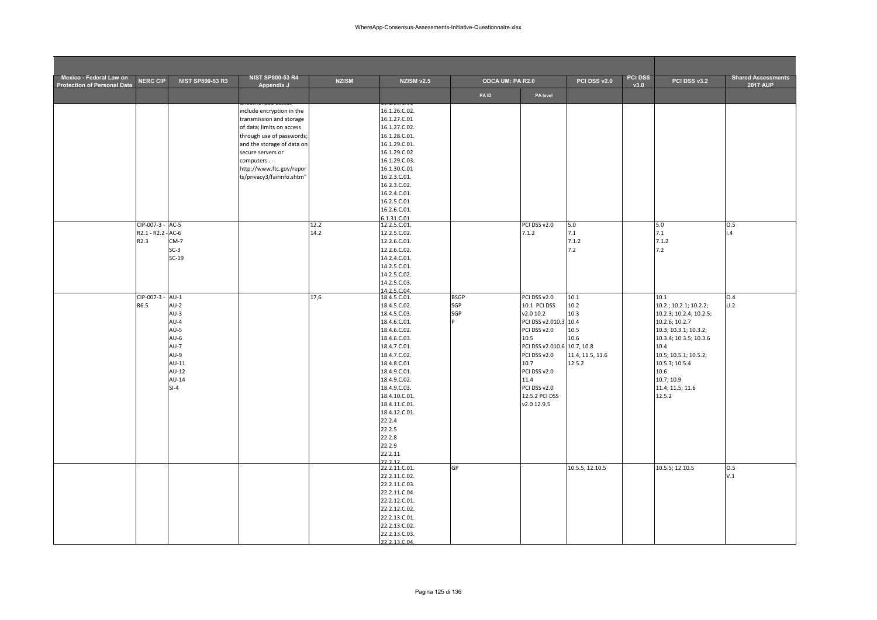| Mexico - Federal Law on<br><b>Protection of Personal Data</b> | <b>NERC CIP</b>                                            | <b>NIST SP800-53 R3</b>                                                                                               | <b>NIST SP800-53 R4</b><br>Appendix J                                                                                                                                                                                                       | <b>NZISM</b> | <b>NZISM v2.5</b>                                                                                                                                                                                                                                                                                                                               | ODCA UM: PA R2.0               |                                                                                                                                                                                                                            | PCI DSS v2.0                                                       | PCI DSS<br>v3.0 | PCI DSS v3.2                                                                                                                                                                                                                         | <b>Shared Assessments</b><br><b>2017 AUP</b> |
|---------------------------------------------------------------|------------------------------------------------------------|-----------------------------------------------------------------------------------------------------------------------|---------------------------------------------------------------------------------------------------------------------------------------------------------------------------------------------------------------------------------------------|--------------|-------------------------------------------------------------------------------------------------------------------------------------------------------------------------------------------------------------------------------------------------------------------------------------------------------------------------------------------------|--------------------------------|----------------------------------------------------------------------------------------------------------------------------------------------------------------------------------------------------------------------------|--------------------------------------------------------------------|-----------------|--------------------------------------------------------------------------------------------------------------------------------------------------------------------------------------------------------------------------------------|----------------------------------------------|
|                                                               |                                                            |                                                                                                                       |                                                                                                                                                                                                                                             |              |                                                                                                                                                                                                                                                                                                                                                 | <b>PAID</b>                    | PA level                                                                                                                                                                                                                   |                                                                    |                 |                                                                                                                                                                                                                                      |                                              |
|                                                               | CIP-007-3 - AC-5<br>R2.1 - R2.2 - AC-6<br>R <sub>2.3</sub> | $CM-7$<br>$SC-3$<br>$SC-19$                                                                                           | include encryption in the<br>transmission and storage<br>of data; limits on access<br>through use of passwords;<br>and the storage of data on<br>secure servers or<br>computers.-<br>http://www.ftc.gov/repor<br>ts/privacy3/fairinfo.shtm" | 12.2<br>14.2 | 16.1.26.C.02.<br>16.1.27.C.01<br>16.1.27.C.02.<br>16.1.28.C.01.<br>16.1.29.C.01.<br>16.1.29.C.02<br>16.1.29.C.03.<br>16.1.30.C.01<br>16.2.3.C.01.<br>16.2.3.C.02.<br>16.2.4.C.01.<br>16.2.5.C.01<br>16.2.6.C.01.<br>6.1.31.C.01<br>12.2.5.C.01.<br>12.2.5.C.02.<br>12.2.6.C.01.<br>12.2.6.C.02.<br>14.2.4.C.01.<br>14.2.5.C.01.<br>14.2.5.C.02. |                                | PCI DSS v2.0<br>7.1.2                                                                                                                                                                                                      | 5.0<br>7.1<br>7.1.2<br>7.2                                         |                 | 5.0<br>7.1<br>7.1.2<br>7.2                                                                                                                                                                                                           | 0.5<br>.4                                    |
|                                                               | CIP-007-3 -<br>R6.5                                        | $AU-1$<br>$AU-2$<br>$AU-3$<br>AU-4<br>$AU-5$<br>$AU-6$<br>$AU-7$<br>$AU-9$<br>$AU-11$<br>$AU-12$<br>$AU-14$<br>$SI-4$ |                                                                                                                                                                                                                                             | 17,6         | 14.2.5.C.03.<br>14.2.5.C.04<br>18.4.5.C.01.<br>18.4.5.C.02.<br>18.4.5.C.03.<br>18.4.6.C.01.<br>18.4.6.C.02.<br>18.4.6.C.03.<br>18.4.7.C.01.<br>18.4.7.C.02.<br>18.4.8.C.01<br>18.4.9.C.01.<br>18.4.9.C.02.<br>18.4.9.C.03.<br>18.4.10.C.01.<br>18.4.11.C.01.<br>18.4.12.C.01.<br>22.2.4<br>22.2.5<br>22.2.8<br>22.2.9<br>22.2.11<br>22212       | <b>BSGP</b><br>SGP<br>SGP<br>D | PCI DSS v2.0<br>10.1 PCI DSS<br>v2.0 10.2<br>PCI DSS v2.010.3 10.4<br>PCI DSS v2.0<br>10.5<br>PCI DSS v2.010.6 10.7, 10.8<br>PCI DSS v2.0<br>10.7<br>PCI DSS v2.0<br>11.4<br>PCI DSS v2.0<br>12.5.2 PCI DSS<br>v2.0 12.9.5 | 10.1<br>10.2<br>10.3<br>10.5<br>10.6<br>11.4, 11.5, 11.6<br>12.5.2 |                 | 10.1<br>10.2; 10.2.1; 10.2.2;<br>10.2.3; 10.2.4; 10.2.5;<br>10.2.6; 10.2.7<br>10.3; 10.3.1; 10.3.2;<br>10.3.4; 10.3.5; 10.3.6<br>10.4<br>10.5; 10.5.1; 10.5.2;<br>10.5.3; 10.5.4<br>10.6<br>10.7; 10.9<br>11.4; 11.5; 11.6<br>12.5.2 | 0.4<br>U.2                                   |
|                                                               |                                                            |                                                                                                                       |                                                                                                                                                                                                                                             |              | 22.2.11.C.01.<br>22.2.11.C.02.<br>22.2.11.C.03.<br>22.2.11.C.04.<br>22.2.12.C.01.<br>22.2.12.C.02.<br>22.2.13.C.01.<br>22.2.13.C.02.<br>22.2.13.C.03.<br>$22.212C04$                                                                                                                                                                            | GP                             |                                                                                                                                                                                                                            | 10.5.5, 12.10.5                                                    |                 | 10.5.5; 12.10.5                                                                                                                                                                                                                      | 0.5<br>V.1                                   |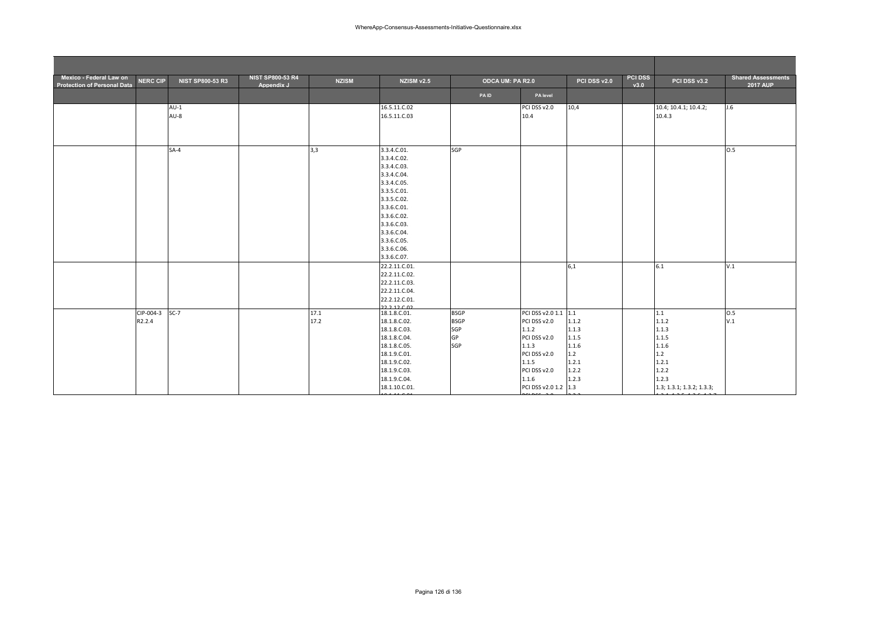| Mexico - Federal Law on<br><b>Protection of Personal Data</b> | <b>NERC CIP</b>     | <b>NIST SP800-53 R3</b> | <b>NIST SP800-53 R4</b><br>Appendix J | <b>NZISM</b> | NZISM v2.5                                                                                                                                                                                                     | ODCA UM: PA R2.0                               |                                                                                                                                                  | PCI DSS v2.0                                                       | <b>PCI DSS</b><br>v3.0 | PCI DSS v3.2                                                                                           | <b>Shared Assessments</b><br><b>2017 AUP</b> |
|---------------------------------------------------------------|---------------------|-------------------------|---------------------------------------|--------------|----------------------------------------------------------------------------------------------------------------------------------------------------------------------------------------------------------------|------------------------------------------------|--------------------------------------------------------------------------------------------------------------------------------------------------|--------------------------------------------------------------------|------------------------|--------------------------------------------------------------------------------------------------------|----------------------------------------------|
|                                                               |                     |                         |                                       |              |                                                                                                                                                                                                                | PAID                                           | PA level                                                                                                                                         |                                                                    |                        |                                                                                                        |                                              |
|                                                               |                     | $AU-1$<br>$AU-8$        |                                       |              | 16.5.11.C.02<br>16.5.11.C.03                                                                                                                                                                                   |                                                | PCI DSS v2.0<br>10.4                                                                                                                             | 10,4                                                               |                        | 10.4; 10.4.1; 10.4.2;<br>10.4.3                                                                        | J.6                                          |
|                                                               |                     | $SA-4$                  |                                       | 3,3          | 3.3.4.C.01.<br>3.3.4.C.02.<br>3.3.4.C.03.<br>3.3.4.C.04.<br>3.3.4.C.05.<br>3.3.5.C.01.<br>3.3.5.C.02.<br>3.3.6.C.01.<br>3.3.6.C.02.<br>3.3.6.C.03.<br>3.3.6.C.04.<br>3.3.6.C.05.<br>3.3.6.C.06.<br>3.3.6.C.07. | SGP                                            |                                                                                                                                                  |                                                                    |                        |                                                                                                        | 0.5                                          |
|                                                               |                     |                         |                                       |              | 22.2.11.C.01.<br>22.2.11.C.02.<br>22.2.11.C.03.<br>22.2.11.C.04.<br>22.2.12.C.01.<br>$22.21200$                                                                                                                |                                                |                                                                                                                                                  | 6,1                                                                |                        | 6.1                                                                                                    | V.1                                          |
|                                                               | CIP-004-3<br>R2.2.4 | $SC-7$                  |                                       | 17.1<br>17.2 | 18.1.8.C.01.<br>18.1.8.C.02.<br>18.1.8.C.03.<br>18.1.8.C.04.<br>18.1.8.C.05.<br>18.1.9.C.01.<br>18.1.9.C.02.<br>18.1.9.C.03.<br>18.1.9.C.04.<br>18.1.10.C.01.                                                  | <b>BSGP</b><br><b>BSGP</b><br>SGP<br>GP<br>SGP | PCI DSS v2.0 1.1 1.1<br>PCI DSS v2.0<br>1.1.2<br>PCI DSS v2.0<br>1.1.3<br>PCI DSS v2.0<br>1.1.5<br>PCI DSS v2.0<br>1.1.6<br>PCI DSS v2.0 1.2 1.3 | 1.1.2<br>1.1.3<br>1.1.5<br>1.1.6<br>1.2<br>1.2.1<br>1.2.2<br>1.2.3 |                        | 1.1<br>1.1.2<br>1.1.3<br>1.1.5<br>1.1.6<br>1.2<br>1.2.1<br>1.2.2<br>1.2.3<br>1.3; 1.3.1; 1.3.2; 1.3.3; | O.5<br>V.1                                   |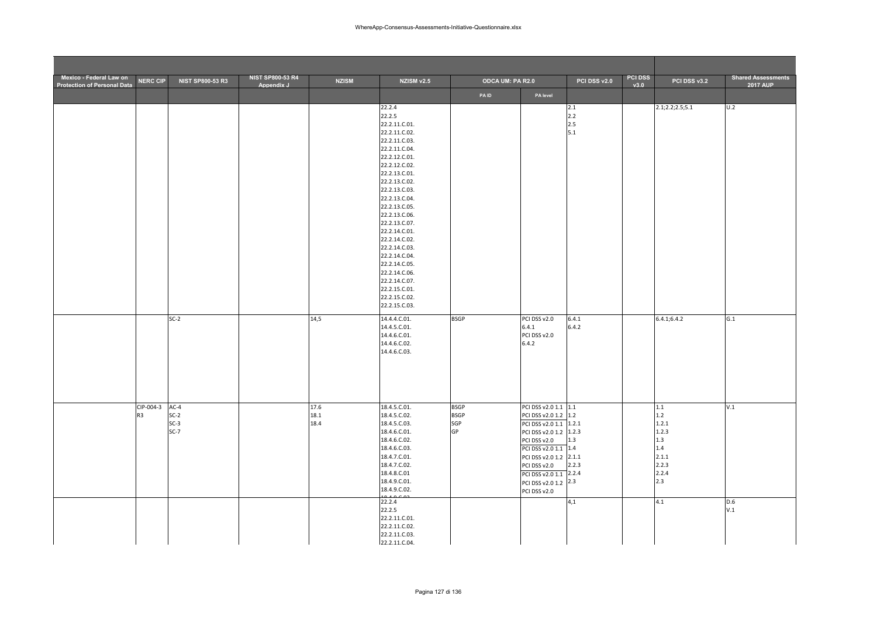| Mexico - Federal Law on<br><b>Protection of Personal Data</b> | <b>NERC CIP</b>             | NIST SP800-53 R3                     | <b>NIST SP800-53 R4</b><br>Appendix J | <b>NZISM</b>         | NZISM v2.5                                                                                                                                                                                                                                                                                                                                                                                                              | ODCA UM: PA R2.0                        |                                                                                                                                                                                                                                                      | PCI DSS v2.0             | <b>PCI DSS</b><br>v3.0 | PCI DSS v3.2                                                                   | <b>Shared Assessments</b><br><b>2017 AUP</b> |
|---------------------------------------------------------------|-----------------------------|--------------------------------------|---------------------------------------|----------------------|-------------------------------------------------------------------------------------------------------------------------------------------------------------------------------------------------------------------------------------------------------------------------------------------------------------------------------------------------------------------------------------------------------------------------|-----------------------------------------|------------------------------------------------------------------------------------------------------------------------------------------------------------------------------------------------------------------------------------------------------|--------------------------|------------------------|--------------------------------------------------------------------------------|----------------------------------------------|
|                                                               |                             |                                      |                                       |                      |                                                                                                                                                                                                                                                                                                                                                                                                                         | PAID                                    | PA level                                                                                                                                                                                                                                             |                          |                        |                                                                                |                                              |
|                                                               |                             |                                      |                                       |                      | 22.2.4<br>22.2.5<br>22.2.11.C.01.<br>22.2.11.C.02.<br>22.2.11.C.03.<br>22.2.11.C.04.<br>22.2.12.C.01.<br>22.2.12.C.02.<br>22.2.13.C.01.<br>22.2.13.C.02.<br>22.2.13.C.03.<br>22.2.13.C.04.<br>22.2.13.C.05.<br>22.2.13.C.06.<br>22.2.13.C.07.<br>22.2.14.C.01.<br>22.2.14.C.02.<br>22.2.14.C.03.<br>22.2.14.C.04.<br>22.2.14.C.05.<br>22.2.14.C.06.<br>22.2.14.C.07.<br>22.2.15.C.01.<br>22.2.15.C.02.<br>22.2.15.C.03. |                                         |                                                                                                                                                                                                                                                      | 2.1<br>2.2<br>2.5<br>5.1 |                        | 2.1; 2.2; 2.5; 5.1                                                             | U.2                                          |
|                                                               |                             | $SC-2$                               |                                       | 14,5                 | 14.4.4.C.01.<br>14.4.5.C.01.<br>14.4.6.C.01.<br>14.4.6.C.02.<br>14.4.6.C.03.                                                                                                                                                                                                                                                                                                                                            | <b>BSGP</b>                             | PCI DSS v2.0<br>6.4.1<br>PCI DSS v2.0<br>6.4.2                                                                                                                                                                                                       | 6.4.1<br>6.4.2           |                        | 6.4.1; 6.4.2                                                                   | G.1                                          |
|                                                               | CIP-004-3<br>R <sub>3</sub> | $AC-4$<br>$SC-2$<br>$SC-3$<br>$SC-7$ |                                       | 17.6<br>18.1<br>18.4 | 18.4.5.C.01.<br>18.4.5.C.02.<br>18.4.5.C.03.<br>18.4.6.C.01.<br>18.4.6.C.02.<br>18.4.6.C.03.<br>18.4.7.C.01.<br>18.4.7.C.02.<br>18.4.8.C.01<br>18.4.9.C.01.<br>18.4.9.C.02.                                                                                                                                                                                                                                             | <b>BSGP</b><br><b>BSGP</b><br>SGP<br>GP | PCI DSS v2.0 1.1 1.1<br>PCI DSS v2.0 1.2 1.2<br>PCI DSS v2.0 1.1 1.2.1<br>PCI DSS v2.0 1.2 1.2.3<br>PCI DSS v2.0<br>PCI DSS v2.0 1.1 1.4<br>PCI DSS v2.0 1.2 2.1.1<br>PCI DSS v2.0<br>PCI DSS v2.0 1.1 2.2.4<br>PCI DSS v2.0 1.2 2.3<br>PCI DSS v2.0 | 1.3<br>2.2.3             |                        | 1.1<br>$1.2$<br>1.2.1<br>1.2.3<br>1.3<br>1.4<br>2.1.1<br>2.2.3<br>2.2.4<br>2.3 | V.1                                          |
|                                                               |                             |                                      |                                       |                      | 22.2.4<br>22.2.5<br>22.2.11.C.01.<br>22.2.11.C.02.<br>22.2.11.C.03.<br>22.2.11.C.04.                                                                                                                                                                                                                                                                                                                                    |                                         |                                                                                                                                                                                                                                                      | 4,1                      |                        | 4.1                                                                            | D.6<br>V.1                                   |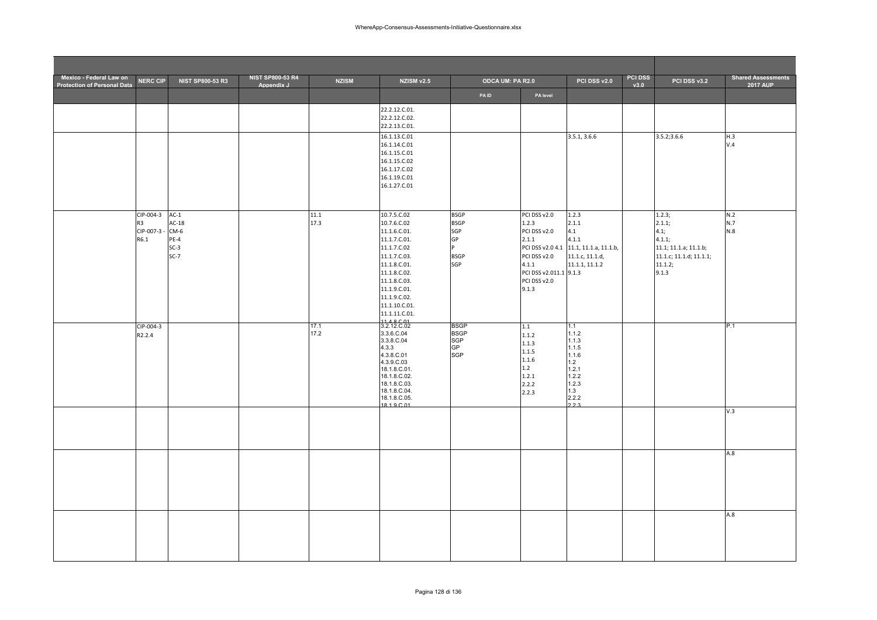| Mexico - Federal Law on<br><b>Protection of Personal Data</b> | <b>NERC CIP</b>                                    | <b>NIST SP800-53 R3</b>                                   | <b>NIST SP800-53 R4</b><br>Appendix J | <b>NZISM</b> | NZISM v2.5                                                                                                                                                                                                             | ODCA UM: PA R2.0                                                   |                                                                                                                            | PCI DSS v2.0                                                                                                  | <b>PCI DSS</b><br>v3.0 | PCI DSS v3.2                                                                                               | <b>Shared Assessments</b><br>2017 AUP |
|---------------------------------------------------------------|----------------------------------------------------|-----------------------------------------------------------|---------------------------------------|--------------|------------------------------------------------------------------------------------------------------------------------------------------------------------------------------------------------------------------------|--------------------------------------------------------------------|----------------------------------------------------------------------------------------------------------------------------|---------------------------------------------------------------------------------------------------------------|------------------------|------------------------------------------------------------------------------------------------------------|---------------------------------------|
|                                                               |                                                    |                                                           |                                       |              |                                                                                                                                                                                                                        | <b>PAID</b>                                                        | PA level                                                                                                                   |                                                                                                               |                        |                                                                                                            |                                       |
|                                                               |                                                    |                                                           |                                       |              | 22.2.12.C.01.<br>22.2.12.C.02.<br>22.2.13.C.01.                                                                                                                                                                        |                                                                    |                                                                                                                            |                                                                                                               |                        |                                                                                                            |                                       |
|                                                               |                                                    |                                                           |                                       |              | 16.1.13.C.01<br>16.1.14.C.01<br>16.1.15.C.01<br>16.1.15.C.02<br>16.1.17.C.02<br>16.1.19.C.01<br>16.1.27.C.01                                                                                                           |                                                                    |                                                                                                                            | 3.5.1, 3.6.6                                                                                                  |                        | 3.5.2; 3.6.6                                                                                               | H.3<br>V.4                            |
|                                                               | CIP-004-3<br>R <sub>3</sub><br>CIP-007-3 -<br>R6.1 | $AC-1$<br>$AC-18$<br>$CM-6$<br>$PE-4$<br>$SC-3$<br>$SC-7$ |                                       | 11.1<br>17.3 | 10.7.5.C.02<br>10.7.6.C.02<br>11.1.6.C.01.<br>11.1.7.C.01.<br>11.1.7.C.02<br>11.1.7.C.03.<br>11.1.8.C.01.<br>11.1.8.C.02.<br>11.1.8.C.03.<br>11.1.9.C.01.<br>11.1.9.C.02.<br>11.1.10.C.01.<br>11.1.11.C.01.<br>11.0001 | <b>BSGP</b><br><b>BSGP</b><br>SGP<br>GP<br>D<br><b>BSGP</b><br>SGP | PCI DSS v2.0<br>1.2.3<br>PCI DSS v2.0<br>2.1.1<br>PCI DSS v2.0<br>4.1.1<br>PCI DSS v2.011.1 9.1.3<br>PCI DSS v2.0<br>9.1.3 | 1.2.3<br>2.1.1<br>4.1<br>4.1.1<br>PCI DSS v2.0 4.1 11.1, 11.1.a, 11.1.b,<br>11.1.c, 11.1.d,<br>11.1.1, 11.1.2 |                        | 1.2.3;<br>2.1.1;<br>4.1;<br>4.1.1;<br>11.1; 11.1.a; 11.1.b;<br>11.1.c; 11.1.d; 11.1.1;<br>11.1.2;<br>9.1.3 | N.2<br>N.7<br>N.8                     |
|                                                               | CIP-004-3<br>R2.2.4                                |                                                           |                                       | 17.1<br>17.2 | 3.2.12.C.02<br>3.3.6.C.04<br>3.3.8.C.04<br>4.3.3<br>4.3.8.C.01<br>4.3.9.C.03<br>18.1.8.C.01.<br>18.1.8.C.02.<br>18.1.8.C.03.<br>18.1.8.C.04.<br>18.1.8.C.05.<br>18 1 9 C 01                                            | <b>BSGP</b><br><b>BSGP</b><br>SGP<br><b>GP</b><br><b>SGP</b>       | 1.1<br>1.1.2<br>1.1.3<br>1.1.5<br>1.1.6<br>1.2<br>1.2.1<br>2.2.2<br>2.2.3                                                  | 1.1<br>1.1.2<br>1.1.3<br>1.1.5<br>1.1.6<br>1.2<br>1.2.1<br>1.2.2<br>1.2.3<br>1.3<br>2.2.2<br>223              |                        |                                                                                                            | P.1                                   |
|                                                               |                                                    |                                                           |                                       |              |                                                                                                                                                                                                                        |                                                                    |                                                                                                                            |                                                                                                               |                        |                                                                                                            | V.3                                   |
|                                                               |                                                    |                                                           |                                       |              |                                                                                                                                                                                                                        |                                                                    |                                                                                                                            |                                                                                                               |                        |                                                                                                            | A.8                                   |
|                                                               |                                                    |                                                           |                                       |              |                                                                                                                                                                                                                        |                                                                    |                                                                                                                            |                                                                                                               |                        |                                                                                                            | A.8                                   |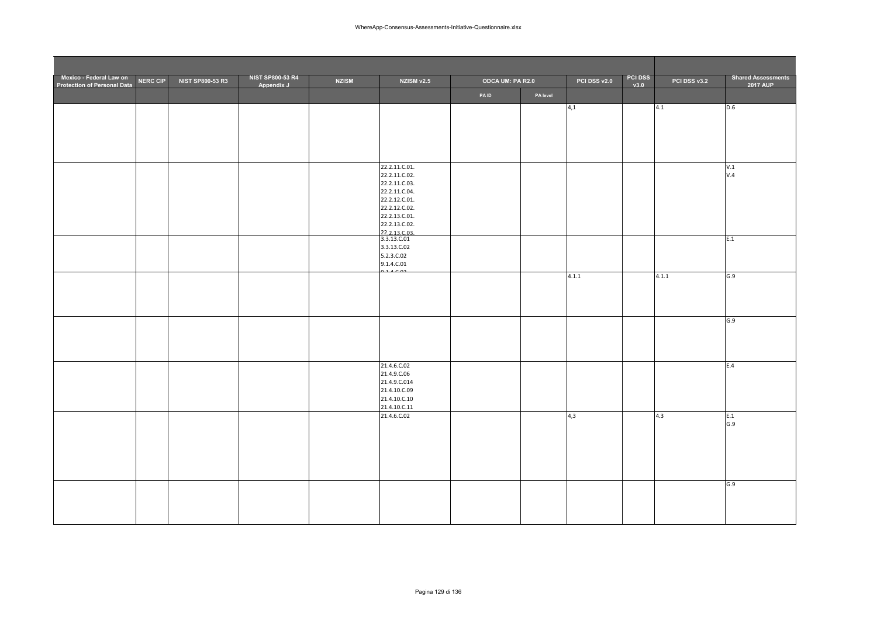| Mexico - Federal Law on<br><b>Protection of Personal Data</b> | NERC CIP | <b>NIST SP800-53 R3</b> | <b>NIST SP800-53 R4</b><br>Appendix J | <b>NZISM</b> | NZISM v2.5                     | <b>ODCA UM: PA R2.0</b> |          | PCI DSS v2.0 | <b>PCI DSS</b><br>v3.0 | PCI DSS v3.2 | <b>Shared Assessments</b><br><b>2017 AUP</b> |
|---------------------------------------------------------------|----------|-------------------------|---------------------------------------|--------------|--------------------------------|-------------------------|----------|--------------|------------------------|--------------|----------------------------------------------|
|                                                               |          |                         |                                       |              |                                | PAID                    | PA level |              |                        |              |                                              |
|                                                               |          |                         |                                       |              |                                |                         |          | 4,1          |                        | 4.1          | D.6                                          |
|                                                               |          |                         |                                       |              |                                |                         |          |              |                        |              |                                              |
|                                                               |          |                         |                                       |              |                                |                         |          |              |                        |              |                                              |
|                                                               |          |                         |                                       |              |                                |                         |          |              |                        |              |                                              |
|                                                               |          |                         |                                       |              |                                |                         |          |              |                        |              |                                              |
|                                                               |          |                         |                                       |              | 22.2.11.C.01.<br>22.2.11.C.02. |                         |          |              |                        |              | V.1<br>V.4                                   |
|                                                               |          |                         |                                       |              | 22.2.11.C.03.                  |                         |          |              |                        |              |                                              |
|                                                               |          |                         |                                       |              | 22.2.11.C.04.<br>22.2.12.C.01. |                         |          |              |                        |              |                                              |
|                                                               |          |                         |                                       |              | 22.2.12.C.02.                  |                         |          |              |                        |              |                                              |
|                                                               |          |                         |                                       |              | 22.2.13.C.01.                  |                         |          |              |                        |              |                                              |
|                                                               |          |                         |                                       |              | 22.2.13.C.02.<br>22.2.13.C.03. |                         |          |              |                        |              |                                              |
|                                                               |          |                         |                                       |              | 3.3.13.C.01                    |                         |          |              |                        |              | E.1                                          |
|                                                               |          |                         |                                       |              | 3.3.13.C.02<br>5.2.3.C.02      |                         |          |              |                        |              |                                              |
|                                                               |          |                         |                                       |              | 9.1.4.C.01                     |                         |          |              |                        |              |                                              |
|                                                               |          |                         |                                       |              |                                |                         |          | 4.1.1        |                        | 4.1.1        | G.9                                          |
|                                                               |          |                         |                                       |              |                                |                         |          |              |                        |              |                                              |
|                                                               |          |                         |                                       |              |                                |                         |          |              |                        |              |                                              |
|                                                               |          |                         |                                       |              |                                |                         |          |              |                        |              |                                              |
|                                                               |          |                         |                                       |              |                                |                         |          |              |                        |              | G.9                                          |
|                                                               |          |                         |                                       |              |                                |                         |          |              |                        |              |                                              |
|                                                               |          |                         |                                       |              |                                |                         |          |              |                        |              |                                              |
|                                                               |          |                         |                                       |              | 21.4.6.C.02                    |                         |          |              |                        |              | E.4                                          |
|                                                               |          |                         |                                       |              | 21.4.9.C.06                    |                         |          |              |                        |              |                                              |
|                                                               |          |                         |                                       |              | 21.4.9.C.014                   |                         |          |              |                        |              |                                              |
|                                                               |          |                         |                                       |              | 21.4.10.C.09<br>21.4.10.C.10   |                         |          |              |                        |              |                                              |
|                                                               |          |                         |                                       |              | 21.4.10.C.11                   |                         |          |              |                        |              |                                              |
|                                                               |          |                         |                                       |              | 21.4.6.C.02                    |                         |          | 4,3          |                        | 4.3          | E.1<br>G.9                                   |
|                                                               |          |                         |                                       |              |                                |                         |          |              |                        |              |                                              |
|                                                               |          |                         |                                       |              |                                |                         |          |              |                        |              |                                              |
|                                                               |          |                         |                                       |              |                                |                         |          |              |                        |              |                                              |
|                                                               |          |                         |                                       |              |                                |                         |          |              |                        |              |                                              |
|                                                               |          |                         |                                       |              |                                |                         |          |              |                        |              | G.9                                          |
|                                                               |          |                         |                                       |              |                                |                         |          |              |                        |              |                                              |
|                                                               |          |                         |                                       |              |                                |                         |          |              |                        |              |                                              |
|                                                               |          |                         |                                       |              |                                |                         |          |              |                        |              |                                              |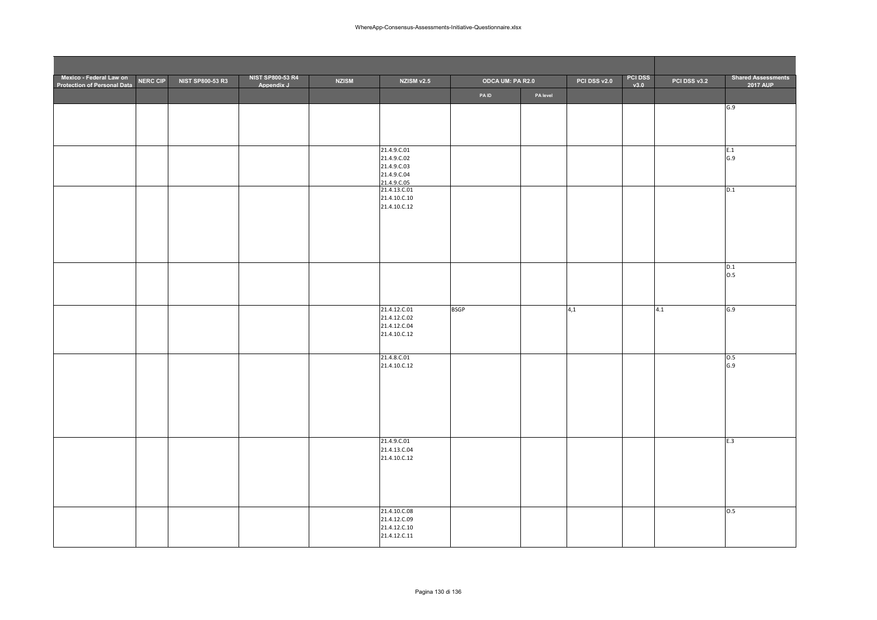| Mexico - Federal Law on<br>Protection of Personal Data | <b>NERC CIP</b> | NIST SP800-53 R3 | <b>NIST SP800-53 R4</b><br>Appendix J | <b>NZISM</b> | NZISM v2.5                   | ODCA UM: PA R2.0 |          | PCI DSS v2.0 | PCI DSS<br>v3.0 | PCI DSS v3.2 | <b>Shared Assessments</b><br><b>2017 AUP</b> |
|--------------------------------------------------------|-----------------|------------------|---------------------------------------|--------------|------------------------------|------------------|----------|--------------|-----------------|--------------|----------------------------------------------|
|                                                        |                 |                  |                                       |              |                              | <b>PAID</b>      | PA level |              |                 |              |                                              |
|                                                        |                 |                  |                                       |              |                              |                  |          |              |                 |              | G.9                                          |
|                                                        |                 |                  |                                       |              |                              |                  |          |              |                 |              |                                              |
|                                                        |                 |                  |                                       |              |                              |                  |          |              |                 |              |                                              |
|                                                        |                 |                  |                                       |              | 21.4.9.C.01                  |                  |          |              |                 |              | E.1                                          |
|                                                        |                 |                  |                                       |              | 21.4.9.C.02<br>21.4.9.C.03   |                  |          |              |                 |              | G.9                                          |
|                                                        |                 |                  |                                       |              | 21.4.9.C.04<br>21.4.9.C.05   |                  |          |              |                 |              |                                              |
|                                                        |                 |                  |                                       |              | 21.4.13.C.01                 |                  |          |              |                 |              | D.1                                          |
|                                                        |                 |                  |                                       |              | 21.4.10.C.10<br>21.4.10.C.12 |                  |          |              |                 |              |                                              |
|                                                        |                 |                  |                                       |              |                              |                  |          |              |                 |              |                                              |
|                                                        |                 |                  |                                       |              |                              |                  |          |              |                 |              |                                              |
|                                                        |                 |                  |                                       |              |                              |                  |          |              |                 |              |                                              |
|                                                        |                 |                  |                                       |              |                              |                  |          |              |                 |              |                                              |
|                                                        |                 |                  |                                       |              |                              |                  |          |              |                 |              | D.1<br>0.5                                   |
|                                                        |                 |                  |                                       |              |                              |                  |          |              |                 |              |                                              |
|                                                        |                 |                  |                                       |              |                              |                  |          |              |                 |              |                                              |
|                                                        |                 |                  |                                       |              | 21.4.12.C.01<br>21.4.12.C.02 | <b>BSGP</b>      |          | 4,1          |                 | 4.1          | G.9                                          |
|                                                        |                 |                  |                                       |              | 21.4.12.C.04                 |                  |          |              |                 |              |                                              |
|                                                        |                 |                  |                                       |              | 21.4.10.C.12                 |                  |          |              |                 |              |                                              |
|                                                        |                 |                  |                                       |              | 21.4.8.C.01                  |                  |          |              |                 |              | 0.5                                          |
|                                                        |                 |                  |                                       |              | 21.4.10.C.12                 |                  |          |              |                 |              | G.9                                          |
|                                                        |                 |                  |                                       |              |                              |                  |          |              |                 |              |                                              |
|                                                        |                 |                  |                                       |              |                              |                  |          |              |                 |              |                                              |
|                                                        |                 |                  |                                       |              |                              |                  |          |              |                 |              |                                              |
|                                                        |                 |                  |                                       |              |                              |                  |          |              |                 |              |                                              |
|                                                        |                 |                  |                                       |              |                              |                  |          |              |                 |              |                                              |
|                                                        |                 |                  |                                       |              | 21.4.9.C.01<br>21.4.13.C.04  |                  |          |              |                 |              | E.3                                          |
|                                                        |                 |                  |                                       |              | 21.4.10.C.12                 |                  |          |              |                 |              |                                              |
|                                                        |                 |                  |                                       |              |                              |                  |          |              |                 |              |                                              |
|                                                        |                 |                  |                                       |              |                              |                  |          |              |                 |              |                                              |
|                                                        |                 |                  |                                       |              |                              |                  |          |              |                 |              |                                              |
|                                                        |                 |                  |                                       |              | 21.4.10.C.08<br>21.4.12.C.09 |                  |          |              |                 |              | 0.5                                          |
|                                                        |                 |                  |                                       |              | 21.4.12.C.10                 |                  |          |              |                 |              |                                              |
|                                                        |                 |                  |                                       |              | 21.4.12.C.11                 |                  |          |              |                 |              |                                              |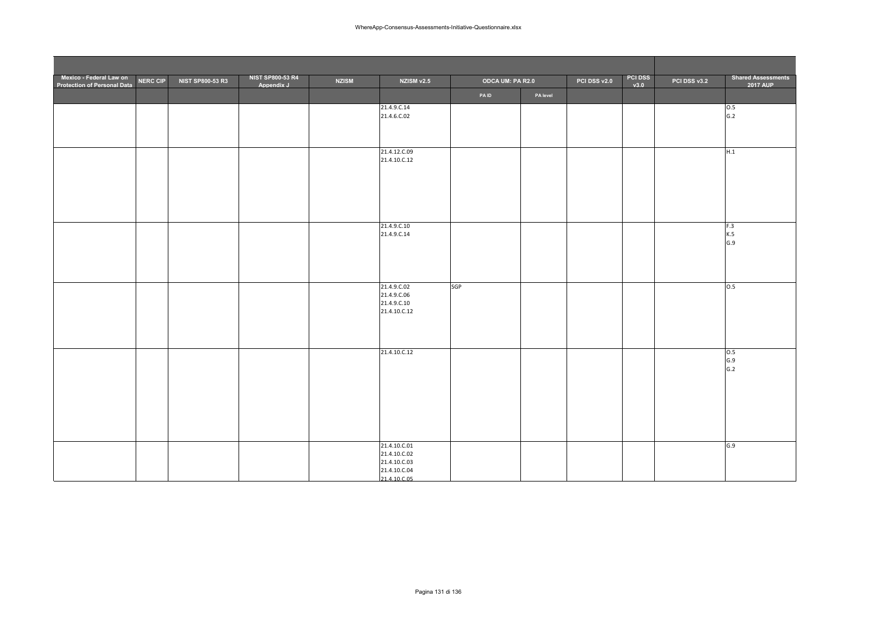| Mexico - Federal Law on<br>Protection of Personal Data | <b>NERC CIP</b> | NIST SP800-53 R3 | <b>NIST SP800-53 R4</b><br>Appendix J | <b>NZISM</b> | NZISM v2.5                                                                   | ODCA UM: PA R2.0 |          | PCI DSS v2.0 | <b>PCI DSS</b><br>v3.0 | PCI DSS v3.2 | <b>Shared Assessments</b><br><b>2017 AUP</b> |
|--------------------------------------------------------|-----------------|------------------|---------------------------------------|--------------|------------------------------------------------------------------------------|------------------|----------|--------------|------------------------|--------------|----------------------------------------------|
|                                                        |                 |                  |                                       |              |                                                                              | PAID             | PA level |              |                        |              |                                              |
|                                                        |                 |                  |                                       |              | 21.4.9.C.14<br>21.4.6.C.02                                                   |                  |          |              |                        |              | 0.5<br>G.2                                   |
|                                                        |                 |                  |                                       |              | 21.4.12.C.09<br>21.4.10.C.12                                                 |                  |          |              |                        |              | H.1                                          |
|                                                        |                 |                  |                                       |              |                                                                              |                  |          |              |                        |              |                                              |
|                                                        |                 |                  |                                       |              | 21.4.9.C.10<br>21.4.9.C.14                                                   |                  |          |              |                        |              | F.3<br>K.5<br>G.9                            |
|                                                        |                 |                  |                                       |              | 21.4.9.C.02<br>21.4.9.C.06<br>21.4.9.C.10<br>21.4.10.C.12                    | SGP              |          |              |                        |              | 0.5                                          |
|                                                        |                 |                  |                                       |              | 21.4.10.C.12                                                                 |                  |          |              |                        |              | 0.5<br>G.9<br>G.2                            |
|                                                        |                 |                  |                                       |              | 21.4.10.C.01<br>21.4.10.C.02<br>21.4.10.C.03<br>21.4.10.C.04<br>21.4.10 C 05 |                  |          |              |                        |              | G.9                                          |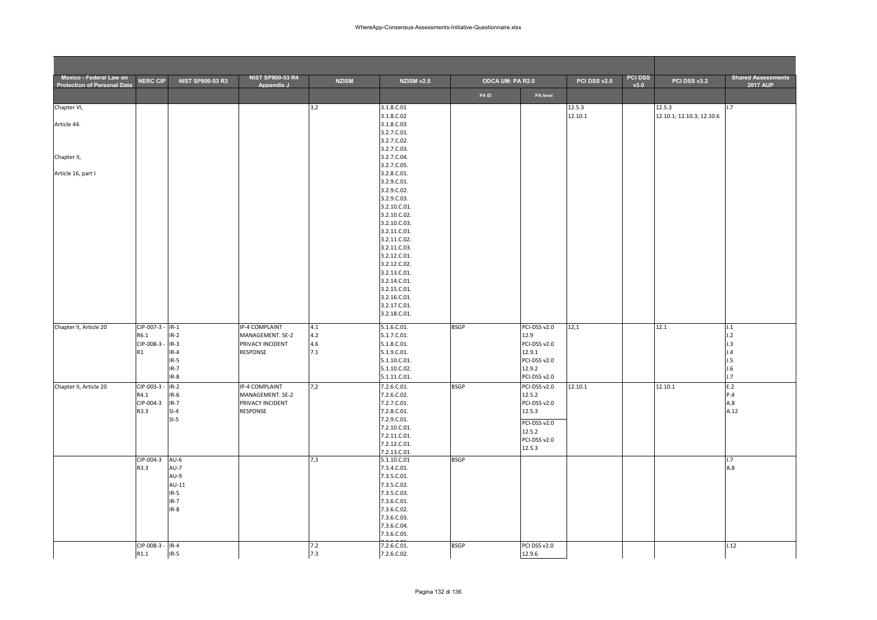| Mexico - Federal Law on<br><b>Protection of Personal Data</b> | <b>NERC CIP</b>          | <b>NIST SP800-53 R3</b> | <b>NIST SP800-53 R4</b><br>Appendix J | <b>NZISM</b> | <b>NZISM v2.5</b>            | ODCA UM: PA R2.0 |                        | PCI DSS v2.0 | <b>PCI DSS</b><br>v3.0 | PCI DSS v3.2              | <b>Shared Assessments</b><br><b>2017 AUP</b> |
|---------------------------------------------------------------|--------------------------|-------------------------|---------------------------------------|--------------|------------------------------|------------------|------------------------|--------------|------------------------|---------------------------|----------------------------------------------|
|                                                               |                          |                         |                                       |              |                              | <b>PAID</b>      | PA level               |              |                        |                           |                                              |
| Chapter VI,                                                   |                          |                         |                                       | 3,2          | 3.1.8.C.01                   |                  |                        | 12.5.3       |                        | 12.5.3                    | 1.7                                          |
|                                                               |                          |                         |                                       |              | 3.1.8.C.02                   |                  |                        | 12.10.1      |                        | 12.10.1; 12.10.3; 12.10.6 |                                              |
| Article 44.                                                   |                          |                         |                                       |              | 3.1.8.C.03                   |                  |                        |              |                        |                           |                                              |
|                                                               |                          |                         |                                       |              | 3.2.7.C.01.<br>3.2.7.C.02.   |                  |                        |              |                        |                           |                                              |
|                                                               |                          |                         |                                       |              | 3.2.7.C.03.                  |                  |                        |              |                        |                           |                                              |
| Chapter II,                                                   |                          |                         |                                       |              | 3.2.7.C.04.                  |                  |                        |              |                        |                           |                                              |
|                                                               |                          |                         |                                       |              | 3.2.7.C.05.                  |                  |                        |              |                        |                           |                                              |
| Article 16, part I                                            |                          |                         |                                       |              | 3.2.8.C.01.                  |                  |                        |              |                        |                           |                                              |
|                                                               |                          |                         |                                       |              | 3.2.9.C.01.<br>3.2.9.C.02.   |                  |                        |              |                        |                           |                                              |
|                                                               |                          |                         |                                       |              | 3.2.9.C.03.                  |                  |                        |              |                        |                           |                                              |
|                                                               |                          |                         |                                       |              | 3.2.10.C.01.                 |                  |                        |              |                        |                           |                                              |
|                                                               |                          |                         |                                       |              | 3.2.10.C.02.                 |                  |                        |              |                        |                           |                                              |
|                                                               |                          |                         |                                       |              | 3.2.10.C.03.                 |                  |                        |              |                        |                           |                                              |
|                                                               |                          |                         |                                       |              | 3.2.11.C.01.                 |                  |                        |              |                        |                           |                                              |
|                                                               |                          |                         |                                       |              | 3.2.11.C.02.<br>3.2.11.C.03. |                  |                        |              |                        |                           |                                              |
|                                                               |                          |                         |                                       |              | 3.2.12.C.01.                 |                  |                        |              |                        |                           |                                              |
|                                                               |                          |                         |                                       |              | 3.2.12.C.02.                 |                  |                        |              |                        |                           |                                              |
|                                                               |                          |                         |                                       |              | 3.2.13.C.01.                 |                  |                        |              |                        |                           |                                              |
|                                                               |                          |                         |                                       |              | 3.2.14.C.01.                 |                  |                        |              |                        |                           |                                              |
|                                                               |                          |                         |                                       |              | 3.2.15.C.01.                 |                  |                        |              |                        |                           |                                              |
|                                                               |                          |                         |                                       |              | 3.2.16.C.01.                 |                  |                        |              |                        |                           |                                              |
|                                                               |                          |                         |                                       |              | 3.2.17.C.01.<br>3.2.18.C.01. |                  |                        |              |                        |                           |                                              |
|                                                               |                          |                         |                                       |              |                              |                  |                        |              |                        |                           |                                              |
| Chapter II, Article 20                                        | CIP-007-3 - IR-1<br>R6.1 |                         | IP-4 COMPLAINT                        | 4.1          | 5.1.6.C.01.                  | <b>BSGP</b>      | PCI-DSS v2.0<br>12.9   | 12,1         |                        | 12.1                      | J.1                                          |
|                                                               | CIP-008-3 -              | $IR-2$<br>$IR-3$        | MANAGEMENT. SE-2<br>PRIVACY INCIDENT  | 4.2<br>4.6   | 5.1.7.C.01.<br>5.1.8.C.01.   |                  | PCI-DSS v2.0           |              |                        |                           | J.2<br>J.3                                   |
|                                                               | R1                       | $IR-4$                  | <b>RESPONSE</b>                       | 7.1          | 5.1.9.C.01.                  |                  | 12.9.1                 |              |                        |                           | J.4                                          |
|                                                               |                          | $IR-5$                  |                                       |              | 5.1.10.C.01.                 |                  | PCI-DSS v2.0           |              |                        |                           | J.5                                          |
|                                                               |                          | $IR-7$                  |                                       |              | 5.1.10.C.02.                 |                  | 12.9.2                 |              |                        |                           | J.6                                          |
|                                                               |                          | $IR-8$                  |                                       |              | 5.1.11.C.01.                 |                  | PCI-DSS v2.0           |              |                        |                           | J.7                                          |
| Chapter II, Article 20                                        | CIP-003-3 -              | $IR-2$                  | IP-4 COMPLAINT                        | 7,2          | 7.2.6.C.01.                  | <b>BSGP</b>      | PCI-DSS v2.0           | 12.10.1      |                        | 12.10.1                   | E.2                                          |
|                                                               | R4.1<br>CIP-004-3        | $IR-6$                  | MANAGEMENT. SE-2<br>PRIVACY INCIDENT  |              | 7.2.6.C.02.<br>7.2.7.C.01.   |                  | 12.5.2<br>PCI-DSS v2.0 |              |                        |                           | P.4<br>A.8                                   |
|                                                               | R3.3                     | $IR-7$<br>$SI-4$        | <b>RESPONSE</b>                       |              | 7.2.8.C.01.                  |                  | 12.5.3                 |              |                        |                           | A.12                                         |
|                                                               |                          | $SI-5$                  |                                       |              | 7.2.9.C.01.                  |                  |                        |              |                        |                           |                                              |
|                                                               |                          |                         |                                       |              | 7.2.10.C.01.                 |                  | PCI-DSS v2.0<br>12.5.2 |              |                        |                           |                                              |
|                                                               |                          |                         |                                       |              | 7.2.11.C.01.                 |                  | PCI-DSS v2.0           |              |                        |                           |                                              |
|                                                               |                          |                         |                                       |              | 7.2.12.C.01.                 |                  | 12.5.3                 |              |                        |                           |                                              |
|                                                               | CIP-004-3                | $AU-6$                  |                                       | 7,3          | 7.2.13.C.01.<br>5.1.10.C.01  | <b>BSGP</b>      |                        |              |                        |                           | J.7                                          |
|                                                               | R3.3                     | $AU-7$                  |                                       |              | 7.3.4.C.01.                  |                  |                        |              |                        |                           | A.8                                          |
|                                                               |                          | AU-9                    |                                       |              | 7.3.5.C.01.                  |                  |                        |              |                        |                           |                                              |
|                                                               |                          | AU-11                   |                                       |              | 7.3.5.C.02.                  |                  |                        |              |                        |                           |                                              |
|                                                               |                          | $IR-5$                  |                                       |              | 7.3.5.C.03.                  |                  |                        |              |                        |                           |                                              |
|                                                               |                          | $IR-7$                  |                                       |              | 7.3.6.C.01.                  |                  |                        |              |                        |                           |                                              |
|                                                               |                          | $IR-8$                  |                                       |              | 7.3.6.C.02.<br>7.3.6.C.03.   |                  |                        |              |                        |                           |                                              |
|                                                               |                          |                         |                                       |              | 7.3.6.C.04.                  |                  |                        |              |                        |                           |                                              |
|                                                               |                          |                         |                                       |              | 7.3.6.C.05.                  |                  |                        |              |                        |                           |                                              |
|                                                               | CIP-008-3 - IR-4         |                         |                                       | 7.2          | 7.2.6.C.01.                  | <b>BSGP</b>      | PCI DSS v2.0           |              |                        |                           | J.12                                         |
|                                                               | R1.1                     | $IR-5$                  |                                       | 7.3          | 7.2.6.C.02.                  |                  | 12.9.6                 |              |                        |                           |                                              |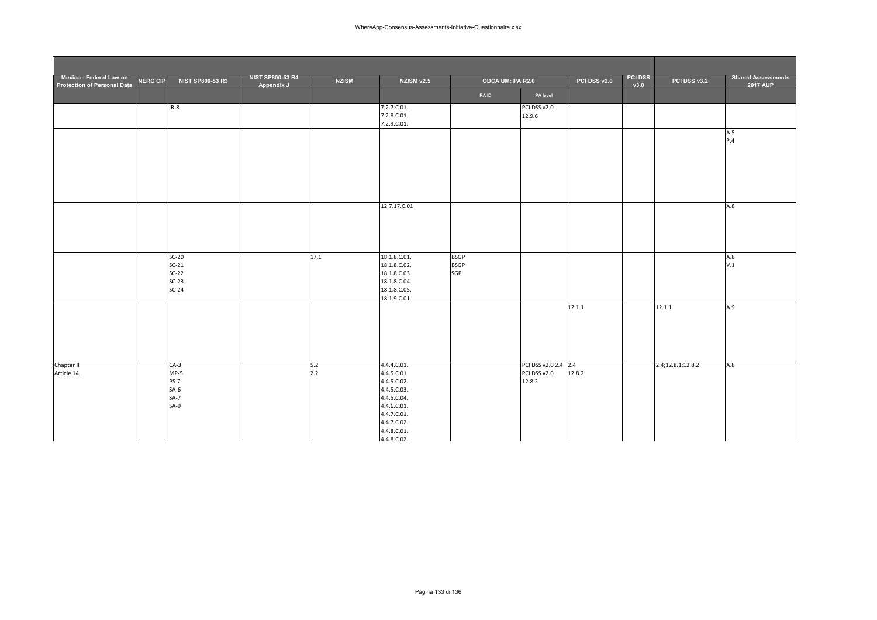| Mexico - Federal Law on<br><b>Protection of Personal Data</b> | <b>NERC CIP</b> | NIST SP800-53 R3                                              | <b>NIST SP800-53 R4</b><br>Appendix J | <b>NZISM</b> | NZISM v2.5                                                                                                                                        | ODCA UM: PA R2.0                  |                                                | PCI DSS v2.0 | <b>PCI DSS</b><br>v3.0 | PCI DSS v3.2      | <b>Shared Assessments</b><br><b>2017 AUP</b> |
|---------------------------------------------------------------|-----------------|---------------------------------------------------------------|---------------------------------------|--------------|---------------------------------------------------------------------------------------------------------------------------------------------------|-----------------------------------|------------------------------------------------|--------------|------------------------|-------------------|----------------------------------------------|
|                                                               |                 |                                                               |                                       |              |                                                                                                                                                   | PAID                              | PA level                                       |              |                        |                   |                                              |
|                                                               |                 | $IR-8$                                                        |                                       |              | 7.2.7.C.01.<br>7.2.8.C.01.<br>7.2.9.C.01.                                                                                                         |                                   | PCI DSS v2.0<br>12.9.6                         |              |                        |                   |                                              |
|                                                               |                 |                                                               |                                       |              |                                                                                                                                                   |                                   |                                                |              |                        |                   | A.5<br>P.4                                   |
|                                                               |                 |                                                               |                                       |              |                                                                                                                                                   |                                   |                                                |              |                        |                   |                                              |
|                                                               |                 |                                                               |                                       |              |                                                                                                                                                   |                                   |                                                |              |                        |                   |                                              |
|                                                               |                 |                                                               |                                       |              | 12.7.17.C.01                                                                                                                                      |                                   |                                                |              |                        |                   | A.8                                          |
|                                                               |                 |                                                               |                                       |              |                                                                                                                                                   |                                   |                                                |              |                        |                   |                                              |
|                                                               |                 | $SC-20$<br>$SC-21$<br>$SC-22$<br>$SC-23$<br>$SC-24$           |                                       | 17,1         | 18.1.8.C.01.<br>18.1.8.C.02.<br>18.1.8.C.03.<br>18.1.8.C.04.<br>18.1.8.C.05.<br>18.1.9.C.01.                                                      | <b>BSGP</b><br><b>BSGP</b><br>SGP |                                                |              |                        |                   | A.8<br>V.1                                   |
|                                                               |                 |                                                               |                                       |              |                                                                                                                                                   |                                   |                                                | 12.1.1       |                        | 12.1.1            | A.9                                          |
| Chapter II<br>Article 14.                                     |                 | $CA-3$<br>$MP-5$<br><b>PS-7</b><br>$SA-6$<br>$SA-7$<br>$SA-9$ |                                       | 5.2<br>2.2   | 4.4.4.C.01.<br>4.4.5.C.01<br>4.4.5.C.02.<br>4.4.5.C.03.<br>4.4.5.C.04.<br>4.4.6.C.01.<br>4.4.7.C.01.<br>4.4.7.C.02.<br>4.4.8.C.01.<br>4.4.8.C.02. |                                   | PCI DSS v2.0 2.4 2.4<br>PCI DSS v2.0<br>12.8.2 | 12.8.2       |                        | 2.4;12.8.1;12.8.2 | A.8                                          |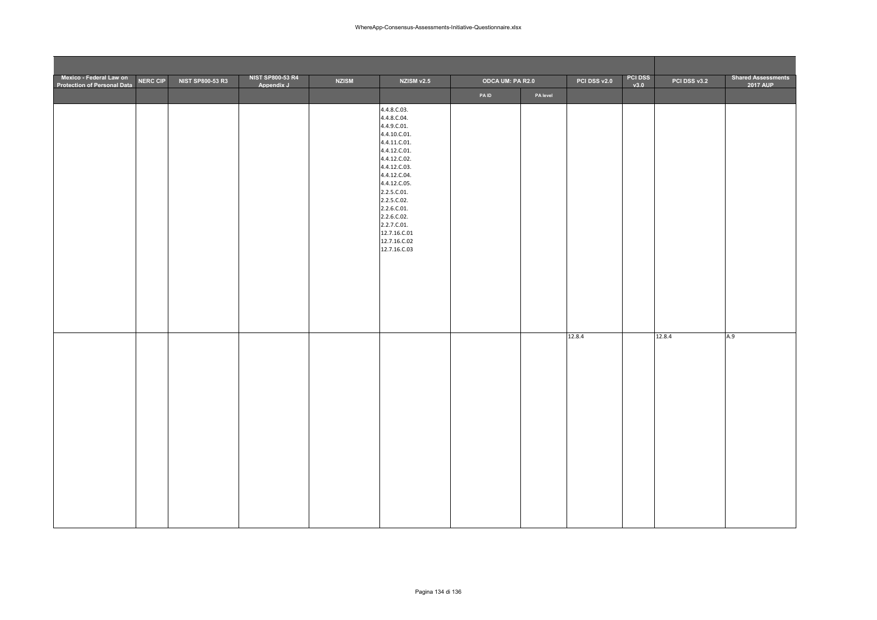| Mexico - Federal Law on<br>Protection of Personal Data | <b>NERC CIP</b> | NIST SP800-53 R3 | <b>NIST SP800-53 R4</b><br>Appendix J | <b>NZISM</b> | NZISM v2.5                                                                                                                                                                                                                                                                           | ODCA UM: PA R2.0 |          | PCI DSS v2.0 | <b>PCI DSS</b><br>v3.0 | PCI DSS v3.2 | <b>Shared Assessments</b><br><b>2017 AUP</b> |
|--------------------------------------------------------|-----------------|------------------|---------------------------------------|--------------|--------------------------------------------------------------------------------------------------------------------------------------------------------------------------------------------------------------------------------------------------------------------------------------|------------------|----------|--------------|------------------------|--------------|----------------------------------------------|
|                                                        |                 |                  |                                       |              |                                                                                                                                                                                                                                                                                      | PAID             | PA level |              |                        |              |                                              |
|                                                        |                 |                  |                                       |              | 4.4.8.C.03.<br>4.4.8.C.04.<br>4.4.9.C.01.<br>4.4.10.C.01.<br>4.4.11.C.01.<br>4.4.12.C.01.<br>4.4.12.C.02.<br>4.4.12.C.03.<br>4.4.12.C.04.<br>4.4.12.C.05.<br>2.2.5.C.01.<br>2.2.5.C.02.<br>2.2.6.C.01.<br>2.2.6.C.02.<br>2.2.7.C.01.<br>12.7.16.C.01<br>12.7.16.C.02<br>12.7.16.C.03 |                  |          |              |                        |              |                                              |
|                                                        |                 |                  |                                       |              |                                                                                                                                                                                                                                                                                      |                  |          | 12.8.4       |                        | 12.8.4       | A.9                                          |
|                                                        |                 |                  |                                       |              |                                                                                                                                                                                                                                                                                      |                  |          |              |                        |              |                                              |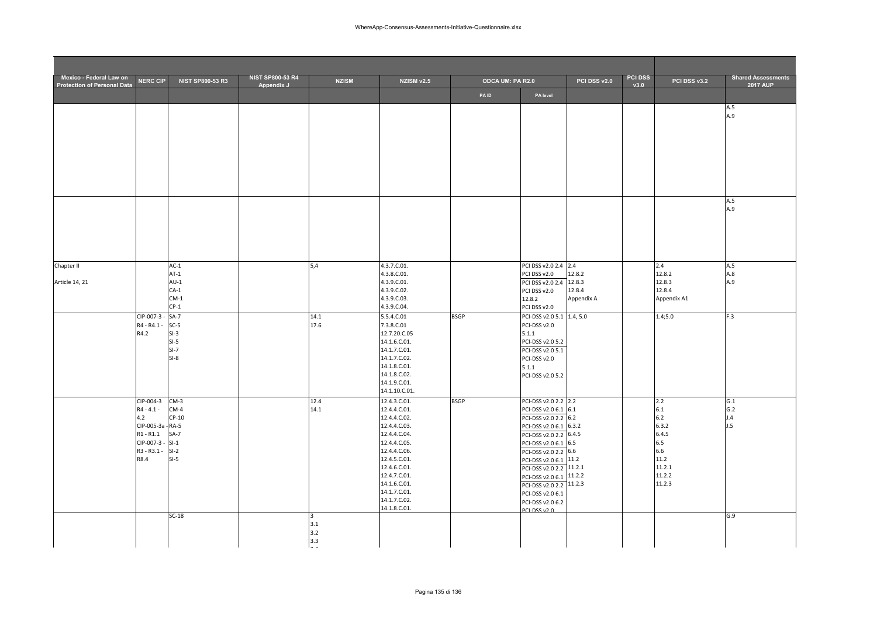| Mexico - Federal Law on<br><b>Protection of Personal Data</b> | <b>NERC CIP</b>                  | <b>NIST SP800-53 R3</b> | <b>NIST SP800-53 R4</b><br>Appendix J | <b>NZISM</b>  | <b>NZISM v2.5</b>             | ODCA UM: PA R2.0 |                                                  | PCI DSS v2.0     | <b>PCI DSS</b><br>v3.0 | PCI DSS v3.2     | <b>Shared Assessments</b><br><b>2017 AUP</b> |
|---------------------------------------------------------------|----------------------------------|-------------------------|---------------------------------------|---------------|-------------------------------|------------------|--------------------------------------------------|------------------|------------------------|------------------|----------------------------------------------|
|                                                               |                                  |                         |                                       |               |                               | PAID             | PA level                                         |                  |                        |                  |                                              |
|                                                               |                                  |                         |                                       |               |                               |                  |                                                  |                  |                        |                  | A.5                                          |
|                                                               |                                  |                         |                                       |               |                               |                  |                                                  |                  |                        |                  | A.9                                          |
|                                                               |                                  |                         |                                       |               |                               |                  |                                                  |                  |                        |                  |                                              |
|                                                               |                                  |                         |                                       |               |                               |                  |                                                  |                  |                        |                  |                                              |
|                                                               |                                  |                         |                                       |               |                               |                  |                                                  |                  |                        |                  |                                              |
|                                                               |                                  |                         |                                       |               |                               |                  |                                                  |                  |                        |                  |                                              |
|                                                               |                                  |                         |                                       |               |                               |                  |                                                  |                  |                        |                  |                                              |
|                                                               |                                  |                         |                                       |               |                               |                  |                                                  |                  |                        |                  |                                              |
|                                                               |                                  |                         |                                       |               |                               |                  |                                                  |                  |                        |                  | A.5<br>A.9                                   |
|                                                               |                                  |                         |                                       |               |                               |                  |                                                  |                  |                        |                  |                                              |
|                                                               |                                  |                         |                                       |               |                               |                  |                                                  |                  |                        |                  |                                              |
|                                                               |                                  |                         |                                       |               |                               |                  |                                                  |                  |                        |                  |                                              |
|                                                               |                                  |                         |                                       |               |                               |                  |                                                  |                  |                        |                  |                                              |
| Chapter II                                                    |                                  | $AC-1$                  |                                       | 5,4           | 4.3.7.C.01.                   |                  | PCI DSS v2.0 2.4 2.4                             |                  |                        | 2.4              | A.5                                          |
| Article 14, 21                                                |                                  | $AT-1$<br>$AU-1$        |                                       |               | 4.3.8.C.01.<br>4.3.9.C.01.    |                  | PCI DSS v2.0<br>PCI DSS v2.0 2.4                 | 12.8.2<br>12.8.3 |                        | 12.8.2<br>12.8.3 | A.8<br>A.9                                   |
|                                                               |                                  | $CA-1$                  |                                       |               | 4.3.9.C.02.                   |                  | PCI DSS v2.0                                     | 12.8.4           |                        | 12.8.4           |                                              |
|                                                               |                                  | $CM-1$<br>$CP-1$        |                                       |               | 4.3.9.C.03.<br>4.3.9.C.04.    |                  | 12.8.2<br>PCI DSS v2.0                           | Appendix A       |                        | Appendix A1      |                                              |
|                                                               | $CIP-007-3 -$                    | $SA-7$                  |                                       | 14.1          | 5.5.4.C.01                    | <b>BSGP</b>      | PCI-DSS v2.0 5.1 1.4, 5.0                        |                  |                        | 1.4;5.0          | F.3                                          |
|                                                               | R4 - R4.1 -                      | $SC-5$                  |                                       | 17.6          | 7.3.8.C.01                    |                  | PCI-DSS v2.0                                     |                  |                        |                  |                                              |
|                                                               | R4.2                             | $SI-3$<br>$SI-5$        |                                       |               | 12.7.20.C.05<br>14.1.6.C.01.  |                  | 5.1.1<br>PCI-DSS v2.0 5.2                        |                  |                        |                  |                                              |
|                                                               |                                  | $SI-7$                  |                                       |               | 14.1.7.C.01.                  |                  | PCI-DSS v2.0 5.1                                 |                  |                        |                  |                                              |
|                                                               |                                  | $SI-8$                  |                                       |               | 14.1.7.C.02.<br>14.1.8.C.01.  |                  | PCI-DSS v2.0                                     |                  |                        |                  |                                              |
|                                                               |                                  |                         |                                       |               | 14.1.8.C.02.                  |                  | 5.1.1<br>PCI-DSS v2.0 5.2                        |                  |                        |                  |                                              |
|                                                               |                                  |                         |                                       |               | 14.1.9.C.01.                  |                  |                                                  |                  |                        |                  |                                              |
|                                                               | CIP-004-3                        | $CM-3$                  |                                       | 12.4          | 14.1.10.C.01.<br>12.4.3.C.01. | <b>BSGP</b>      | PCI-DSS v2.0 2.2 2.2                             |                  |                        | 2.2              | G.1                                          |
|                                                               | $R4 - 4.1 -$                     | $CM-4$                  |                                       | 14.1          | 12.4.4.C.01.                  |                  | PCI-DSS v2.0 6.1 6.1                             |                  |                        | 6.1              | G.2                                          |
|                                                               | 4.2                              | $CP-10$                 |                                       |               | 12.4.4.C.02.                  |                  | PCI-DSS v2.0 2.2 6.2                             |                  |                        | $6.2$            | J.4                                          |
|                                                               | CIP-005-3a - RA-5<br>$R1 - R1.1$ | $SA-7$                  |                                       |               | 12.4.4.C.03.<br>12.4.4.C.04.  |                  | PCI-DSS v2.0 6.1 6.3.2<br>PCI-DSS v2.0 2.2 6.4.5 |                  |                        | 6.3.2<br>6.4.5   | J.5                                          |
|                                                               | CIP-007-3 -                      | $SI-1$                  |                                       |               | 12.4.4.C.05.                  |                  | PCI-DSS v2.0 6.1 6.5                             |                  |                        | 6.5              |                                              |
|                                                               | R3 - R3.1 -<br>R8.4              | $SI-2$<br>$SI-5$        |                                       |               | 12.4.4.C.06.<br>12.4.5.C.01.  |                  | PCI-DSS v2.0 2.2 6.6                             |                  |                        | 6.6<br>11.2      |                                              |
|                                                               |                                  |                         |                                       |               | 12.4.6.C.01.                  |                  | PCI-DSS v2.0 6.1 11.2<br>PCI-DSS v2.0 2.2 11.2.1 |                  |                        | 11.2.1           |                                              |
|                                                               |                                  |                         |                                       |               | 12.4.7.C.01.                  |                  | PCI-DSS v2.0 6.1 11.2.2                          |                  |                        | 11.2.2           |                                              |
|                                                               |                                  |                         |                                       |               | 14.1.6.C.01.<br>14.1.7.C.01.  |                  | PCI-DSS v2.0 2.2 11.2.3<br>PCI-DSS v2.0 6.1      |                  |                        | 11.2.3           |                                              |
|                                                               |                                  |                         |                                       |               | 14.1.7.C.02.                  |                  | PCI-DSS v2.0 6.2                                 |                  |                        |                  |                                              |
|                                                               |                                  | $SC-18$                 |                                       | 3             | 14.1.8.C.01.                  |                  | <b>PCLDSSV20</b>                                 |                  |                        |                  | G.9                                          |
|                                                               |                                  |                         |                                       | 3.1           |                               |                  |                                                  |                  |                        |                  |                                              |
|                                                               |                                  |                         |                                       | 3.2<br>3.3    |                               |                  |                                                  |                  |                        |                  |                                              |
|                                                               |                                  |                         |                                       | $\sim$ $\sim$ |                               |                  |                                                  |                  |                        |                  |                                              |